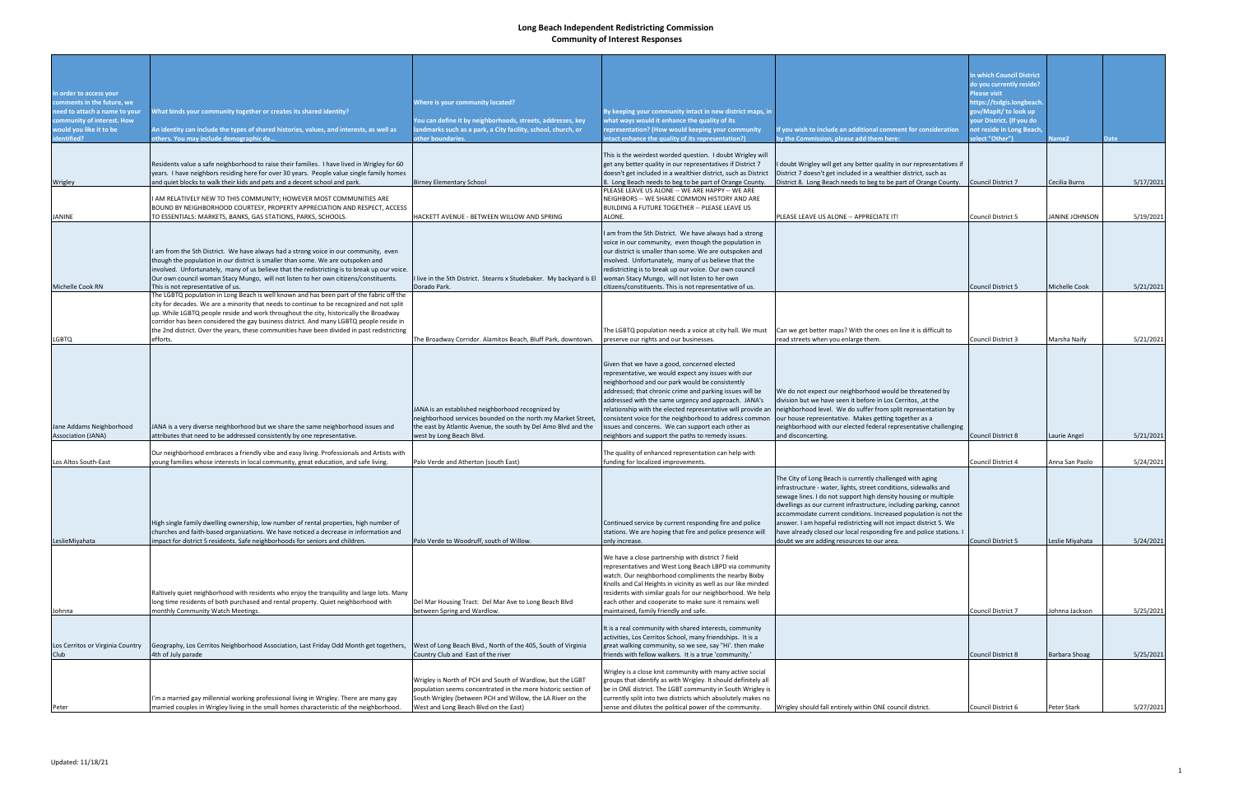|                                                             |                                                                                                                                                                                       |                                                                                            |                                                                                                                       |                                                                                                                                       | n which Council District                        |                       |             |
|-------------------------------------------------------------|---------------------------------------------------------------------------------------------------------------------------------------------------------------------------------------|--------------------------------------------------------------------------------------------|-----------------------------------------------------------------------------------------------------------------------|---------------------------------------------------------------------------------------------------------------------------------------|-------------------------------------------------|-----------------------|-------------|
|                                                             |                                                                                                                                                                                       |                                                                                            |                                                                                                                       |                                                                                                                                       | do you currently reside?                        |                       |             |
| In order to access your                                     |                                                                                                                                                                                       |                                                                                            |                                                                                                                       |                                                                                                                                       | Please visit                                    |                       |             |
| comments in the future, we<br>need to attach a name to your | What binds your community together or creates its shared identity?                                                                                                                    | <b>Nhere is your community located?</b>                                                    | By keeping your community intact in new district maps, in                                                             |                                                                                                                                       | nttps://tsdgis.longbeach<br>ov/Mapit/to look up |                       |             |
| community of interest. How                                  |                                                                                                                                                                                       | 'ou can define it by neighborhoods, streets, addresses, key                                | what ways would it enhance the quality of its                                                                         |                                                                                                                                       | our District. (If you do                        |                       |             |
| would you like it to be                                     | An identity can include the types of shared histories, values, and interests, as well as                                                                                              | ndmarks such as a park, a City facility, school, church, or                                | representation? (How would keeping your community                                                                     | f you wish to include an additional comment for consideration                                                                         | not reside in Long Beach                        |                       |             |
| identified?                                                 | others. You may include demographic da                                                                                                                                                | other boundaries.                                                                          | intact enhance the quality of its representation?)                                                                    | by the Commission, please add them here:                                                                                              | elect "Other")                                  | lame2                 | <b>Date</b> |
|                                                             |                                                                                                                                                                                       |                                                                                            | This is the weirdest worded question. I doubt Wrigley will                                                            |                                                                                                                                       |                                                 |                       |             |
|                                                             | Residents value a safe neighborhood to raise their families. I have lived in Wrigley for 60                                                                                           |                                                                                            | get any better quality in our representatives if District 7                                                           | I doubt Wrigley will get any better quality in our representatives if                                                                 |                                                 |                       |             |
|                                                             | years. I have neighbors residing here for over 30 years. People value single family homes                                                                                             |                                                                                            | doesn't get included in a wealthier district, such as District                                                        | District 7 doesn't get included in a wealthier district, such as                                                                      | Council District 7                              |                       | 5/17/2021   |
| Wrigley                                                     | and quiet blocks to walk their kids and pets and a decent school and park.                                                                                                            | <b>Birney Elementary School</b>                                                            | 8. Long Beach needs to beg to be part of Orange County.<br>PLEASE LEAVE US ALONE -- WE ARE HAPPY -- WE ARE            | District 8. Long Beach needs to beg to be part of Orange County.                                                                      |                                                 | Cecilia Burns         |             |
|                                                             | I AM RELATIVELY NEW TO THIS COMMUNITY; HOWEVER MOST COMMUNITIES ARE                                                                                                                   |                                                                                            | NEIGHBORS -- WE SHARE COMMON HISTORY AND ARE                                                                          |                                                                                                                                       |                                                 |                       |             |
|                                                             | BOUND BY NEIGHBORHOOD COURTESY, PROPERTY APPRECIATION AND RESPECT, ACCESS                                                                                                             |                                                                                            | BUILDING A FUTURE TOGETHER -- PLEASE LEAVE US                                                                         |                                                                                                                                       |                                                 |                       |             |
| JANINE                                                      | TO ESSENTIALS: MARKETS, BANKS, GAS STATIONS, PARKS, SCHOOLS.                                                                                                                          | HACKETT AVENUE - BETWEEN WILLOW AND SPRING                                                 | ALONE.                                                                                                                | PLEASE LEAVE US ALONE -- APPRECIATE IT!                                                                                               | <b>Council District 5</b>                       | <b>JANINE JOHNSON</b> | 5/19/2021   |
|                                                             |                                                                                                                                                                                       |                                                                                            | I am from the 5th District. We have always had a strong                                                               |                                                                                                                                       |                                                 |                       |             |
|                                                             |                                                                                                                                                                                       |                                                                                            | voice in our community, even though the population in                                                                 |                                                                                                                                       |                                                 |                       |             |
|                                                             | I am from the 5th District. We have always had a strong voice in our community, even                                                                                                  |                                                                                            | our district is smaller than some. We are outspoken and                                                               |                                                                                                                                       |                                                 |                       |             |
|                                                             | though the population in our district is smaller than some. We are outspoken and<br>involved. Unfortunately, many of us believe that the redistricting is to break up our voice.      |                                                                                            | involved. Unfortunately, many of us believe that the<br>redistricting is to break up our voice. Our own council       |                                                                                                                                       |                                                 |                       |             |
|                                                             | Our own council woman Stacy Mungo, will not listen to her own citizens/constituents.                                                                                                  | I live in the 5th District. Stearns x Studebaker. My backyard is El                        | woman Stacy Mungo, will not listen to her own                                                                         |                                                                                                                                       |                                                 |                       |             |
| Michelle Cook RN                                            | This is not representative of us.                                                                                                                                                     | Dorado Park.                                                                               | citizens/constituents. This is not representative of us.                                                              |                                                                                                                                       | <b>Council District 5</b>                       | Michelle Cook         | 5/21/2021   |
|                                                             | The LGBTQ population in Long Beach is well known and has been part of the fabric off the<br>city for decades. We are a minority that needs to continue to be recognized and not split |                                                                                            |                                                                                                                       |                                                                                                                                       |                                                 |                       |             |
|                                                             | up. While LGBTQ people reside and work throughout the city, historically the Broadway                                                                                                 |                                                                                            |                                                                                                                       |                                                                                                                                       |                                                 |                       |             |
|                                                             | corridor has been considered the gay business district. And many LGBTQ people reside in                                                                                               |                                                                                            |                                                                                                                       |                                                                                                                                       |                                                 |                       |             |
|                                                             | the 2nd district. Over the years, these communities have been divided in past redistricting                                                                                           |                                                                                            | The LGBTQ population needs a voice at city hall. We must                                                              | Can we get better maps? With the ones on line it is difficult to                                                                      |                                                 |                       |             |
| LGBTQ                                                       | efforts.                                                                                                                                                                              | The Broadway Corridor. Alamitos Beach, Bluff Park, downtown.                               | preserve our rights and our businesses.                                                                               | read streets when you enlarge them.                                                                                                   | Council District 3                              | Marsha Naify          | 5/21/2021   |
|                                                             |                                                                                                                                                                                       |                                                                                            |                                                                                                                       |                                                                                                                                       |                                                 |                       |             |
|                                                             |                                                                                                                                                                                       |                                                                                            | Given that we have a good, concerned elected                                                                          |                                                                                                                                       |                                                 |                       |             |
|                                                             |                                                                                                                                                                                       |                                                                                            | representative, we would expect any issues with our                                                                   |                                                                                                                                       |                                                 |                       |             |
|                                                             |                                                                                                                                                                                       |                                                                                            | neighborhood and our park would be consistently<br>addressed; that chronic crime and parking issues will be           | We do not expect our neighborhood would be threatened by                                                                              |                                                 |                       |             |
|                                                             |                                                                                                                                                                                       |                                                                                            | addressed with the same urgency and approach. JANA's                                                                  | division but we have seen it before in Los Cerritos, , at the                                                                         |                                                 |                       |             |
|                                                             |                                                                                                                                                                                       | JANA is an established neighborhood recognized by                                          | relationship with the elected representative will provide an                                                          | neighborhood level. We do suffer from split representation by                                                                         |                                                 |                       |             |
|                                                             |                                                                                                                                                                                       | neighborhood services bounded on the north my Market Street,                               | consistent voice for the neighborhood to address common                                                               | our house representative. Makes getting together as a                                                                                 |                                                 |                       |             |
| Jane Addams Neighborhood<br><b>Association (JANA)</b>       | JANA is a very diverse neighborhood but we share the same neighborhood issues and<br>attributes that need to be addressed consistently by one representative.                         | the east by Atlantic Avenue, the south by Del Amo Blvd and the<br>west by Long Beach Blvd. | issues and concerns. We can support each other as<br>neighbors and support the paths to remedy issues.                | neighborhood with our elected federal representative challenging<br>and disconcerting.                                                | <b>Council District 8</b>                       | Laurie Angel          | 5/21/2021   |
|                                                             |                                                                                                                                                                                       |                                                                                            |                                                                                                                       |                                                                                                                                       |                                                 |                       |             |
|                                                             | Our neighborhood embraces a friendly vibe and easy living. Professionals and Artists with                                                                                             |                                                                                            | The quality of enhanced representation can help with                                                                  |                                                                                                                                       |                                                 |                       |             |
| Los Altos South-East                                        | young families whose interests in local community, great education, and safe living                                                                                                   | Palo Verde and Atherton (south East)                                                       | funding for localized improvements.                                                                                   |                                                                                                                                       | Council District 4                              | Anna San Paolo        | 5/24/2021   |
|                                                             |                                                                                                                                                                                       |                                                                                            |                                                                                                                       | The City of Long Beach is currently challenged with aging                                                                             |                                                 |                       |             |
|                                                             |                                                                                                                                                                                       |                                                                                            |                                                                                                                       | infrastructure - water, lights, street conditions, sidewalks and                                                                      |                                                 |                       |             |
|                                                             |                                                                                                                                                                                       |                                                                                            |                                                                                                                       | sewage lines. I do not support high density housing or multiple                                                                       |                                                 |                       |             |
|                                                             |                                                                                                                                                                                       |                                                                                            |                                                                                                                       | dwellings as our current infrastructure, including parking, cannot<br>accommodate current conditions. Increased population is not the |                                                 |                       |             |
|                                                             | High single family dwelling ownership, low number of rental properties, high number of                                                                                                |                                                                                            | Continued service by current responding fire and police                                                               | answer. I am hopeful redistricting will not impact district 5. We                                                                     |                                                 |                       |             |
|                                                             | churches and faith-based organizations. We have noticed a decrease in information and                                                                                                 |                                                                                            | stations. We are hoping that fire and police presence will                                                            | have already closed our local responding fire and police stations. I                                                                  |                                                 |                       |             |
| LeslieMiyahata                                              | impact for district 5 residents. Safe neighborhoods for seniors and children.                                                                                                         | Palo Verde to Woodruff, south of Willow.                                                   | only increase.                                                                                                        | doubt we are adding resources to our area.                                                                                            | Council District 5                              | Leslie Miyahata       | 5/24/2021   |
|                                                             |                                                                                                                                                                                       |                                                                                            | We have a close partnership with district 7 field                                                                     |                                                                                                                                       |                                                 |                       |             |
|                                                             |                                                                                                                                                                                       |                                                                                            | representatives and West Long Beach LBPD via community                                                                |                                                                                                                                       |                                                 |                       |             |
|                                                             |                                                                                                                                                                                       |                                                                                            | watch. Our neighborhood compliments the nearby Bixby<br>Knolls and Cal Heights in vicinity as well as our like minded |                                                                                                                                       |                                                 |                       |             |
|                                                             | Raltively quiet neighborhood with residents who enjoy the tranquility and large lots. Many                                                                                            |                                                                                            | residents with similar goals for our neighborhood. We help                                                            |                                                                                                                                       |                                                 |                       |             |
|                                                             | long time residents of both purchased and rental property. Quiet neighborhood with                                                                                                    | Del Mar Housing Tract: Del Mar Ave to Long Beach Blvd                                      | each other and cooperate to make sure it remains well                                                                 |                                                                                                                                       |                                                 |                       |             |
| Johnna                                                      | monthly Community Watch Meetings.                                                                                                                                                     | between Spring and Wardlow.                                                                | maintained, family friendly and safe.                                                                                 |                                                                                                                                       | Council District 7                              | Johnna Jackson        | 5/25/2021   |
|                                                             |                                                                                                                                                                                       |                                                                                            | It is a real community with shared interests, community                                                               |                                                                                                                                       |                                                 |                       |             |
|                                                             |                                                                                                                                                                                       |                                                                                            | activities, Los Cerritos School, many friendships. It is a                                                            |                                                                                                                                       |                                                 |                       |             |
| Los Cerritos or Virginia Country                            | Geography, Los Cerritos Neighborhood Association, Last Friday Odd Month get togethers,                                                                                                | West of Long Beach Blvd., North of the 405, South of Virginia                              | great walking community, so we see, say "Hi'. then make                                                               |                                                                                                                                       |                                                 |                       |             |
| Club                                                        | 4th of July parade                                                                                                                                                                    | Country Club and East of the river                                                         | friends with fellow walkers. It is a true 'community.'                                                                |                                                                                                                                       | <b>Council District 8</b>                       | <b>Barbara Shoag</b>  | 5/25/2021   |
|                                                             |                                                                                                                                                                                       |                                                                                            | Wrigley is a close knit community with many active social                                                             |                                                                                                                                       |                                                 |                       |             |
|                                                             |                                                                                                                                                                                       | Wrigley is North of PCH and South of Wardlow, but the LGBT                                 | groups that identify as with Wrigley. It should definitely all                                                        |                                                                                                                                       |                                                 |                       |             |
|                                                             |                                                                                                                                                                                       | population seems concentrated in the more historic section of                              | be in ONE district. The LGBT community in South Wrigley is                                                            |                                                                                                                                       |                                                 |                       |             |
|                                                             | 'm a married gay millennial working professional living in Wrigley. There are many gay                                                                                                | South Wrigley (between PCH and Willow, the LA River on the                                 | currently split into two districts which absolutely makes no                                                          |                                                                                                                                       |                                                 |                       |             |
| Peter                                                       | married couples in Wrigley living in the small homes characteristic of the neighborhood.                                                                                              | West and Long Beach Blvd on the East)                                                      | sense and dilutes the political power of the community.                                                               | Wrigley should fall entirely within ONE council district.                                                                             | Council District 6                              | Peter Stark           | 5/27/2021   |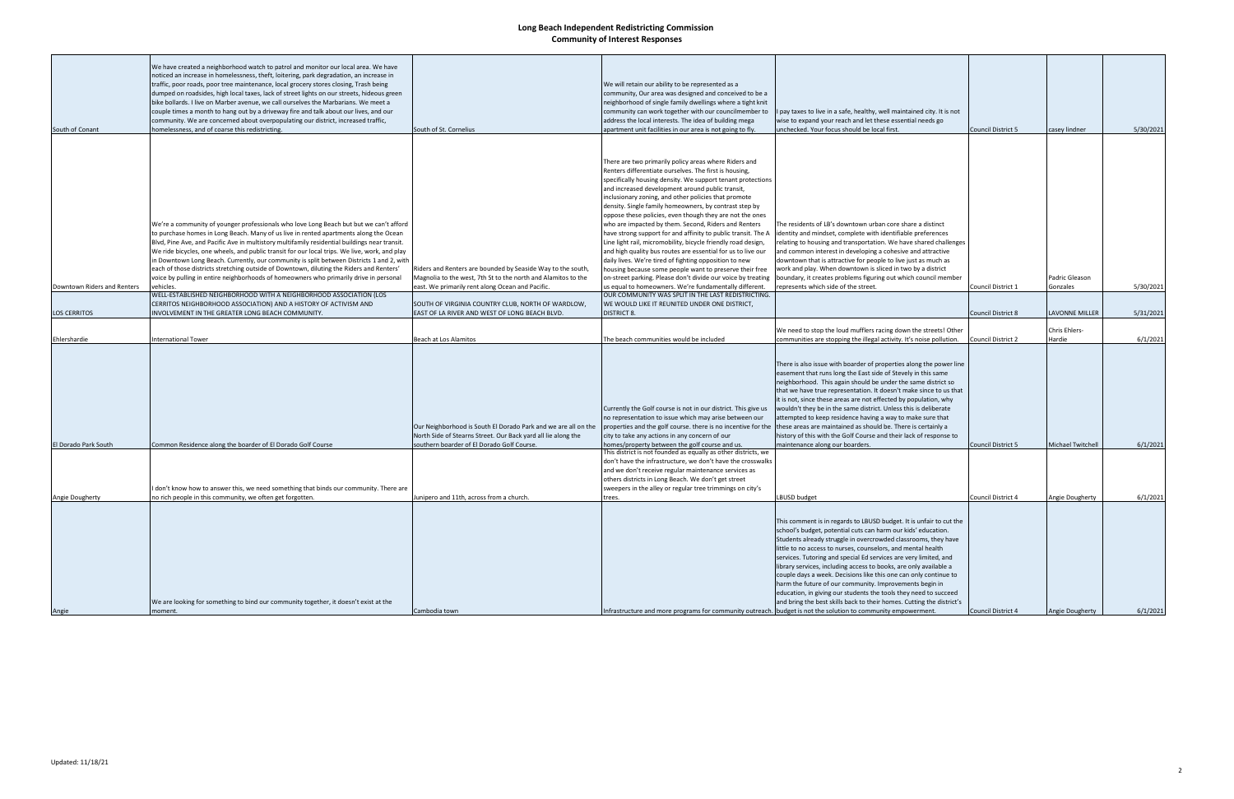|                             | We have created a neighborhood watch to patrol and monitor our local area. We have<br>noticed an increase in homelessness, theft, loitering, park degradation, an increase in       |                                                                                                                              |                                                                                                                         |                                                                                                                                     |                    |                       |           |
|-----------------------------|-------------------------------------------------------------------------------------------------------------------------------------------------------------------------------------|------------------------------------------------------------------------------------------------------------------------------|-------------------------------------------------------------------------------------------------------------------------|-------------------------------------------------------------------------------------------------------------------------------------|--------------------|-----------------------|-----------|
|                             | traffic, poor roads, poor tree maintenance, local grocery stores closing, Trash being<br>dumped on roadsides, high local taxes, lack of street lights on our streets, hideous green |                                                                                                                              | We will retain our ability to be represented as a<br>community, Our area was designed and conceived to be a             |                                                                                                                                     |                    |                       |           |
|                             | bike bollards. I live on Marber avenue, we call ourselves the Marbarians. We meet a<br>couple times a month to hang out by a driveway fire and talk about our lives, and our        |                                                                                                                              | neighborhood of single family dwellings where a tight knit<br>community can work together with our councilmember to     | I pay taxes to live in a safe, healthy, well maintained city. It is not                                                             |                    |                       |           |
|                             | community. We are concerned about overpopulating our district, increased traffic,                                                                                                   |                                                                                                                              | address the local interests. The idea of building mega                                                                  | wise to expand your reach and let these essential needs go                                                                          |                    |                       |           |
| South of Conant             | homelessness, and of coarse this redistricting.                                                                                                                                     | South of St. Cornelius                                                                                                       | apartment unit facilities in our area is not going to fly.                                                              | unchecked. Your focus should be local first.                                                                                        | Council District 5 | casey lindner         | 5/30/2021 |
|                             |                                                                                                                                                                                     |                                                                                                                              |                                                                                                                         |                                                                                                                                     |                    |                       |           |
|                             |                                                                                                                                                                                     |                                                                                                                              |                                                                                                                         |                                                                                                                                     |                    |                       |           |
|                             |                                                                                                                                                                                     |                                                                                                                              | There are two primarily policy areas where Riders and                                                                   |                                                                                                                                     |                    |                       |           |
|                             |                                                                                                                                                                                     |                                                                                                                              | Renters differentiate ourselves. The first is housing,<br>specifically housing density. We support tenant protections   |                                                                                                                                     |                    |                       |           |
|                             |                                                                                                                                                                                     |                                                                                                                              | and increased development around public transit,                                                                        |                                                                                                                                     |                    |                       |           |
|                             |                                                                                                                                                                                     |                                                                                                                              | inclusionary zoning, and other policies that promote                                                                    |                                                                                                                                     |                    |                       |           |
|                             |                                                                                                                                                                                     |                                                                                                                              | density. Single family homeowners, by contrast step by                                                                  |                                                                                                                                     |                    |                       |           |
|                             |                                                                                                                                                                                     |                                                                                                                              | oppose these policies, even though they are not the ones                                                                |                                                                                                                                     |                    |                       |           |
|                             | We're a community of younger professionals who love Long Beach but but we can't afford<br>to purchase homes in Long Beach. Many of us live in rented apartments along the Ocean     |                                                                                                                              | who are impacted by them. Second, Riders and Renters<br>have strong support for and affinity to public transit. The A   | The residents of LB's downtown urban core share a distinct<br>identity and mindset, complete with identifiable preferences          |                    |                       |           |
|                             | Blvd, Pine Ave, and Pacific Ave in multistory multifamily residential buildings near transit.                                                                                       |                                                                                                                              | Line light rail, micromobility, bicycle friendly road design,                                                           | relating to housing and transportation. We have shared challenges                                                                   |                    |                       |           |
|                             | We ride bicycles, one wheels, and public transit for our local trips. We live, work, and play                                                                                       |                                                                                                                              | and high quality bus routes are essential for us to live our                                                            | and common interest in developing a cohesive and attractive                                                                         |                    |                       |           |
|                             | in Downtown Long Beach. Currently, our community is split between Districts 1 and 2, with                                                                                           |                                                                                                                              | daily lives. We're tired of fighting opposition to new                                                                  | downtown that is attractive for people to live just as much as                                                                      |                    |                       |           |
|                             | each of those districts stretching outside of Downtown, diluting the Riders and Renters'<br>voice by pulling in entire neighborhoods of homeowners who primarily drive in personal  | Riders and Renters are bounded by Seaside Way to the south,<br>Magnolia to the west, 7th St to the north and Alamitos to the | housing because some people want to preserve their free<br>on-street parking. Please don't divide our voice by treating | work and play. When downtown is sliced in two by a district<br>boundary, it creates problems figuring out which council member      |                    | Padric Gleason        |           |
| Downtown Riders and Renters | vehicles.                                                                                                                                                                           | east. We primarily rent along Ocean and Pacific.                                                                             | us equal to homeowners. We're fundamentally different.                                                                  | represents which side of the street.                                                                                                | Council District 1 | Gonzales              | 5/30/2021 |
|                             | WELL-ESTABLISHED NEIGHBORHOOD WITH A NEIGHBORHOOD ASSOCIATION (LOS                                                                                                                  |                                                                                                                              | OUR COMMUNITY WAS SPLIT IN THE LAST REDISTRICTING.                                                                      |                                                                                                                                     |                    |                       |           |
|                             | CERRITOS NEIGHBORHOOD ASSOCIATION) AND A HISTORY OF ACTIVISM AND                                                                                                                    | SOUTH OF VIRGINIA COUNTRY CLUB, NORTH OF WARDLOW,                                                                            | WE WOULD LIKE IT REUNITED UNDER ONE DISTRICT,                                                                           |                                                                                                                                     |                    |                       |           |
| <b>LOS CERRITOS</b>         | INVOLVEMENT IN THE GREATER LONG BEACH COMMUNITY.                                                                                                                                    | EAST OF LA RIVER AND WEST OF LONG BEACH BLVD.                                                                                | <b>DISTRICT 8.</b>                                                                                                      |                                                                                                                                     | Council District 8 | <b>LAVONNE MILLER</b> | 5/31/2021 |
|                             |                                                                                                                                                                                     |                                                                                                                              |                                                                                                                         | We need to stop the loud mufflers racing down the streets! Other                                                                    |                    | <b>Chris Ehlers-</b>  |           |
| Ehlershardie                | <b>International Tower</b>                                                                                                                                                          | Beach at Los Alamitos                                                                                                        | The beach communities would be included                                                                                 | communities are stopping the illegal activity. It's noise pollution.                                                                | Council District 2 | Hardie                | 6/1/2021  |
|                             |                                                                                                                                                                                     |                                                                                                                              |                                                                                                                         |                                                                                                                                     |                    |                       |           |
|                             |                                                                                                                                                                                     |                                                                                                                              |                                                                                                                         | There is also issue with boarder of properties along the power line                                                                 |                    |                       |           |
|                             |                                                                                                                                                                                     |                                                                                                                              |                                                                                                                         | easement that runs long the East side of Stevely in this same                                                                       |                    |                       |           |
|                             |                                                                                                                                                                                     |                                                                                                                              |                                                                                                                         | neighborhood. This again should be under the same district so<br>that we have true representation. It doesn't make since to us that |                    |                       |           |
|                             |                                                                                                                                                                                     |                                                                                                                              |                                                                                                                         | it is not, since these areas are not effected by population, why                                                                    |                    |                       |           |
|                             |                                                                                                                                                                                     |                                                                                                                              | Currently the Golf course is not in our district. This give us                                                          | wouldn't they be in the same district. Unless this is deliberate                                                                    |                    |                       |           |
|                             |                                                                                                                                                                                     |                                                                                                                              | no representation to issue which may arise between our                                                                  | attempted to keep residence having a way to make sure that                                                                          |                    |                       |           |
|                             |                                                                                                                                                                                     | Our Neighborhood is South El Dorado Park and we are all on the                                                               | properties and the golf course. there is no incentive for the                                                           | these areas are maintained as should be. There is certainly a                                                                       |                    |                       |           |
| El Dorado Park South        | Common Residence along the boarder of El Dorado Golf Course                                                                                                                         | North Side of Stearns Street. Our Back yard all lie along the<br>southern boarder of El Dorado Golf Course.                  | city to take any actions in any concern of our<br>homes/property between the golf course and us.                        | history of this with the Golf Course and their lack of response to<br>maintenance along our boarders.                               | Council District 5 | Michael Twitchell     | 6/1/2021  |
|                             |                                                                                                                                                                                     |                                                                                                                              | This district is not founded as equally as other districts, we                                                          |                                                                                                                                     |                    |                       |           |
|                             |                                                                                                                                                                                     |                                                                                                                              | don't have the infrastructure, we don't have the crosswalks                                                             |                                                                                                                                     |                    |                       |           |
|                             |                                                                                                                                                                                     |                                                                                                                              | and we don't receive regular maintenance services as<br>others districts in Long Beach. We don't get street             |                                                                                                                                     |                    |                       |           |
|                             | I don't know how to answer this, we need something that binds our community. There are                                                                                              |                                                                                                                              | sweepers in the alley or regular tree trimmings on city's                                                               |                                                                                                                                     |                    |                       |           |
| Angie Dougherty             | no rich people in this community, we often get forgotten.                                                                                                                           | Junipero and 11th, across from a church.                                                                                     | trees.                                                                                                                  | LBUSD budget                                                                                                                        | Council District 4 | Angie Dougherty       | 6/1/2021  |
|                             |                                                                                                                                                                                     |                                                                                                                              |                                                                                                                         |                                                                                                                                     |                    |                       |           |
|                             |                                                                                                                                                                                     |                                                                                                                              |                                                                                                                         | This comment is in regards to LBUSD budget. It is unfair to cut the                                                                 |                    |                       |           |
|                             |                                                                                                                                                                                     |                                                                                                                              |                                                                                                                         | school's budget, potential cuts can harm our kids' education.                                                                       |                    |                       |           |
|                             |                                                                                                                                                                                     |                                                                                                                              |                                                                                                                         | Students already struggle in overcrowded classrooms, they have                                                                      |                    |                       |           |
|                             |                                                                                                                                                                                     |                                                                                                                              |                                                                                                                         | little to no access to nurses, counselors, and mental health<br>services. Tutoring and special Ed services are very limited, and    |                    |                       |           |
|                             |                                                                                                                                                                                     |                                                                                                                              |                                                                                                                         | library services, including access to books, are only available a                                                                   |                    |                       |           |
|                             |                                                                                                                                                                                     |                                                                                                                              |                                                                                                                         | couple days a week. Decisions like this one can only continue to                                                                    |                    |                       |           |
|                             |                                                                                                                                                                                     |                                                                                                                              |                                                                                                                         | harm the future of our community. Improvements begin in                                                                             |                    |                       |           |
|                             |                                                                                                                                                                                     |                                                                                                                              |                                                                                                                         | education, in giving our students the tools they need to succeed                                                                    |                    |                       |           |
| Angie                       | We are looking for something to bind our community together, it doesn't exist at the<br>moment.                                                                                     | Cambodia town                                                                                                                | Infrastructure and more programs for community outreach. budget is not the solution to community empowerment.           | and bring the best skills back to their homes. Cutting the district's                                                               | Council District 4 | Angie Dougherty       | 6/1/2021  |
|                             |                                                                                                                                                                                     |                                                                                                                              |                                                                                                                         |                                                                                                                                     |                    |                       |           |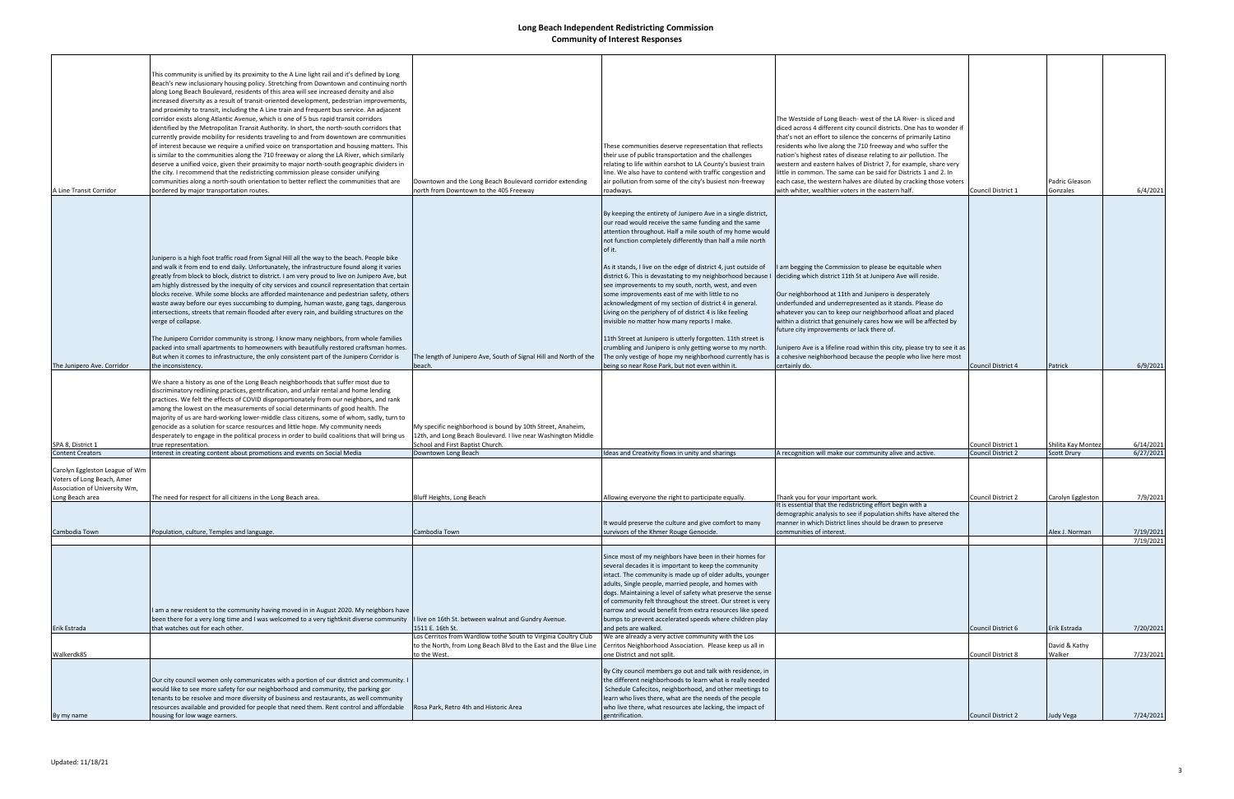| A Line Transit Corridor                                                                                          | This community is unified by its proximity to the A Line light rail and it's defined by Long<br>Beach's new inclusionary housing policy. Stretching from Downtown and continuing north<br>along Long Beach Boulevard, residents of this area will see increased density and also<br>increased diversity as a result of transit-oriented development, pedestrian improvements,<br>and proximity to transit, including the A Line train and frequent bus service. An adjacent<br>corridor exists along Atlantic Avenue, which is one of 5 bus rapid transit corridors<br>identified by the Metropolitan Transit Authority. In short, the north-south corridors that<br>currently provide mobility for residents traveling to and from downtown are communities<br>of interest because we require a unified voice on transportation and housing matters. This<br>is similar to the communities along the 710 freeway or along the LA River, which similarly<br>deserve a unified voice, given their proximity to major north-south geographic dividers in<br>the city. I recommend that the redistricting commission please consider unifying<br>communities along a north-south orientation to better reflect the communities that are<br>bordered by major transportation routes. | Downtown and the Long Beach Boulevard corridor extending<br>north from Downtown to the 405 Freeway                                                              | These communities deserve representation that reflects<br>their use of public transportation and the challenges<br>relating to life within earshot to LA County's busiest train<br>line. We also have to contend with traffic congestion and<br>air pollution from some of the city's busiest non-freeway<br>roadways.                                                                                                                                                                                                                                                                                                                                                                                                                                                                                   | The Westside of Long Beach- west of the LA River- is sliced and<br>diced across 4 different city council districts. One has to wonder if<br>that's not an effort to silence the concerns of primarily Latino<br>residents who live along the 710 freeway and who suffer the<br>nation's highest rates of disease relating to air pollution. The<br>western and eastern halves of District 7, for example, share very<br>little in common. The same can be said for Districts 1 and 2. In<br>each case, the western halves are diluted by cracking those voters<br>with whiter, wealthier voters in the eastern half. | Council District 1 | Padric Gleason<br>Gonzales | 6/4/2021  |
|------------------------------------------------------------------------------------------------------------------|----------------------------------------------------------------------------------------------------------------------------------------------------------------------------------------------------------------------------------------------------------------------------------------------------------------------------------------------------------------------------------------------------------------------------------------------------------------------------------------------------------------------------------------------------------------------------------------------------------------------------------------------------------------------------------------------------------------------------------------------------------------------------------------------------------------------------------------------------------------------------------------------------------------------------------------------------------------------------------------------------------------------------------------------------------------------------------------------------------------------------------------------------------------------------------------------------------------------------------------------------------------------------------|-----------------------------------------------------------------------------------------------------------------------------------------------------------------|----------------------------------------------------------------------------------------------------------------------------------------------------------------------------------------------------------------------------------------------------------------------------------------------------------------------------------------------------------------------------------------------------------------------------------------------------------------------------------------------------------------------------------------------------------------------------------------------------------------------------------------------------------------------------------------------------------------------------------------------------------------------------------------------------------|----------------------------------------------------------------------------------------------------------------------------------------------------------------------------------------------------------------------------------------------------------------------------------------------------------------------------------------------------------------------------------------------------------------------------------------------------------------------------------------------------------------------------------------------------------------------------------------------------------------------|--------------------|----------------------------|-----------|
|                                                                                                                  | Junipero is a high foot traffic road from Signal Hill all the way to the beach. People bike<br>and walk it from end to end daily. Unfortunately, the infrastructure found along it varies<br>greatly from block to block, district to district. I am very proud to live on Junipero Ave, but<br>am highly distressed by the inequity of city services and council representation that certain<br>blocks receive. While some blocks are afforded maintenance and pedestrian safety, others<br>waste away before our eyes succumbing to dumping, human waste, gang tags, dangerous<br>intersections, streets that remain flooded after every rain, and building structures on the<br>verge of collapse.<br>The Junipero Corridor community is strong. I know many neighbors, from whole families<br>packed into small apartments to homeowners with beautifully restored craftsman homes.                                                                                                                                                                                                                                                                                                                                                                                          |                                                                                                                                                                 | By keeping the entirety of Junipero Ave in a single district,<br>our road would receive the same funding and the same<br>attention throughout. Half a mile south of my home would<br>not function completely differently than half a mile north<br>of it.<br>As it stands, I live on the edge of district 4, just outside of<br>district 6. This is devastating to my neighborhood because I<br>see improvements to my south, north, west, and even<br>some improvements east of me with little to no<br>acknowledgment of my section of district 4 in general.<br>Living on the periphery of of district 4 is like feeling<br>invisible no matter how many reports I make.<br>11th Street at Junipero is utterly forgotten. 11th street is<br>crumbling and Junipero is only getting worse to my north. | I am begging the Commission to please be equitable when<br>deciding which district 11th St at Junipero Ave will reside.<br>Our neighborhood at 11th and Junipero is desperately<br>underfunded and underrepresented as it stands. Please do<br>whatever you can to keep our neighborhood afloat and placed<br>within a district that genuinely cares how we will be affected by<br>future city improvements or lack there of.<br>Junipero Ave is a lifeline road within this city, please try to see it as                                                                                                           |                    |                            |           |
|                                                                                                                  | But when it comes to infrastructure, the only consistent part of the Junipero Corridor is                                                                                                                                                                                                                                                                                                                                                                                                                                                                                                                                                                                                                                                                                                                                                                                                                                                                                                                                                                                                                                                                                                                                                                                        | The length of Junipero Ave, South of Signal Hill and North of the                                                                                               | The only vestige of hope my neighborhood currently has is                                                                                                                                                                                                                                                                                                                                                                                                                                                                                                                                                                                                                                                                                                                                                | a cohesive neighborhood because the people who live here most                                                                                                                                                                                                                                                                                                                                                                                                                                                                                                                                                        |                    |                            |           |
| The Junipero Ave. Corridor                                                                                       | the inconsistency.                                                                                                                                                                                                                                                                                                                                                                                                                                                                                                                                                                                                                                                                                                                                                                                                                                                                                                                                                                                                                                                                                                                                                                                                                                                               | beach.                                                                                                                                                          | being so near Rose Park, but not even within it.                                                                                                                                                                                                                                                                                                                                                                                                                                                                                                                                                                                                                                                                                                                                                         | certainly do.                                                                                                                                                                                                                                                                                                                                                                                                                                                                                                                                                                                                        | Council District 4 | Patrick                    | 6/9/2021  |
| SPA 8, District 1                                                                                                | We share a history as one of the Long Beach neighborhoods that suffer most due to<br>discriminatory redlining practices, gentrification, and unfair rental and home lending<br>practices. We felt the effects of COVID disproportionately from our neighbors, and rank<br>among the lowest on the measurements of social determinants of good health. The<br>majority of us are hard-working lower-middle class citizens, some of whom, sadly, turn to<br>genocide as a solution for scarce resources and little hope. My community needs<br>desperately to engage in the political process in order to build coalitions that will bring us<br>true representation                                                                                                                                                                                                                                                                                                                                                                                                                                                                                                                                                                                                               | My specific neighborhood is bound by 10th Street, Anaheim,<br>12th, and Long Beach Boulevard. I live near Washington Middle<br>School and First Baptist Church. |                                                                                                                                                                                                                                                                                                                                                                                                                                                                                                                                                                                                                                                                                                                                                                                                          |                                                                                                                                                                                                                                                                                                                                                                                                                                                                                                                                                                                                                      | Council District 1 | Shilita Kay Montez         | 6/14/2021 |
| <b>Content Creators</b>                                                                                          | Interest in creating content about promotions and events on Social Media                                                                                                                                                                                                                                                                                                                                                                                                                                                                                                                                                                                                                                                                                                                                                                                                                                                                                                                                                                                                                                                                                                                                                                                                         | Downtown Long Beach                                                                                                                                             | Ideas and Creativity flows in unity and sharings                                                                                                                                                                                                                                                                                                                                                                                                                                                                                                                                                                                                                                                                                                                                                         | A recognition will make our community alive and active.                                                                                                                                                                                                                                                                                                                                                                                                                                                                                                                                                              | Council District 2 | <b>Scott Drury</b>         | 6/27/2021 |
| Carolyn Eggleston League of Wm<br>Voters of Long Beach, Amer<br>Association of University Wm,<br>Long Beach area | The need for respect for all citizens in the Long Beach area.                                                                                                                                                                                                                                                                                                                                                                                                                                                                                                                                                                                                                                                                                                                                                                                                                                                                                                                                                                                                                                                                                                                                                                                                                    | Bluff Heights, Long Beach                                                                                                                                       | Allowing everyone the right to participate equally.                                                                                                                                                                                                                                                                                                                                                                                                                                                                                                                                                                                                                                                                                                                                                      | Thank you for your important work<br>It is essential that the redistricting effort begin with a                                                                                                                                                                                                                                                                                                                                                                                                                                                                                                                      | Council District 2 | Carolyn Eggleston          | 7/9/2021  |
| Cambodia Town                                                                                                    | Population, culture, Temples and language.                                                                                                                                                                                                                                                                                                                                                                                                                                                                                                                                                                                                                                                                                                                                                                                                                                                                                                                                                                                                                                                                                                                                                                                                                                       | Cambodia Town                                                                                                                                                   | It would preserve the culture and give comfort to many<br>survivors of the Khmer Rouge Genocide.                                                                                                                                                                                                                                                                                                                                                                                                                                                                                                                                                                                                                                                                                                         | demographic analysis to see if population shifts have altered the<br>manner in which District lines should be drawn to preserve<br>communities of interest.                                                                                                                                                                                                                                                                                                                                                                                                                                                          |                    | Alex J. Norman             | 7/19/2021 |
|                                                                                                                  | I am a new resident to the community having moved in in August 2020. My neighbors have<br>been there for a very long time and I was welcomed to a very tightknit diverse community                                                                                                                                                                                                                                                                                                                                                                                                                                                                                                                                                                                                                                                                                                                                                                                                                                                                                                                                                                                                                                                                                               | I live on 16th St. between walnut and Gundry Avenue.                                                                                                            | Since most of my neighbors have been in their homes for<br>several decades it is important to keep the community<br>intact. The community is made up of older adults, younger<br>adults, Single people, married people, and homes with<br>dogs. Maintaining a level of safety what preserve the sense<br>of community felt throughout the street. Our street is very<br>narrow and would benefit from extra resources like speed<br>bumps to prevent accelerated speeds where children play                                                                                                                                                                                                                                                                                                              |                                                                                                                                                                                                                                                                                                                                                                                                                                                                                                                                                                                                                      |                    |                            | 7/19/2021 |
| Erik Estrada                                                                                                     | that watches out for each other.                                                                                                                                                                                                                                                                                                                                                                                                                                                                                                                                                                                                                                                                                                                                                                                                                                                                                                                                                                                                                                                                                                                                                                                                                                                 | 1511 E. 16th St.                                                                                                                                                | and pets are walked.                                                                                                                                                                                                                                                                                                                                                                                                                                                                                                                                                                                                                                                                                                                                                                                     |                                                                                                                                                                                                                                                                                                                                                                                                                                                                                                                                                                                                                      | Council District 6 | Erik Estrada               | 7/20/2021 |
| Walkerdk85                                                                                                       |                                                                                                                                                                                                                                                                                                                                                                                                                                                                                                                                                                                                                                                                                                                                                                                                                                                                                                                                                                                                                                                                                                                                                                                                                                                                                  | Los Cerritos from Wardlow tothe South to Virginia Coultry Club<br>to the North, from Long Beach Blvd to the East and the Blue Line<br>to the West.              | We are already a very active community with the Los<br>Cerritos Neighborhood Association. Please keep us all in<br>one District and not split.                                                                                                                                                                                                                                                                                                                                                                                                                                                                                                                                                                                                                                                           |                                                                                                                                                                                                                                                                                                                                                                                                                                                                                                                                                                                                                      | Council District 8 | David & Kathy<br>Walker    | 7/23/2021 |
| By my name                                                                                                       | Our city council women only communicates with a portion of our district and community. I<br>would like to see more safety for our neighborhood and community, the parking gor<br>tenants to be resolve and more diversity of business and restaurants, as well community<br>resources available and provided for people that need them. Rent control and affordable<br>housing for low wage earners.                                                                                                                                                                                                                                                                                                                                                                                                                                                                                                                                                                                                                                                                                                                                                                                                                                                                             | Rosa Park, Retro 4th and Historic Area                                                                                                                          | By City council members go out and talk with residence, in<br>the different neighborhoods to learn what is really needed<br>Schedule Cafecitos, neighborhood, and other meetings to<br>learn who lives there, what are the needs of the people<br>who live there, what resources ate lacking, the impact of<br>gentrification.                                                                                                                                                                                                                                                                                                                                                                                                                                                                           |                                                                                                                                                                                                                                                                                                                                                                                                                                                                                                                                                                                                                      | Council District 2 | Judy Vega                  | 7/24/2021 |
|                                                                                                                  |                                                                                                                                                                                                                                                                                                                                                                                                                                                                                                                                                                                                                                                                                                                                                                                                                                                                                                                                                                                                                                                                                                                                                                                                                                                                                  |                                                                                                                                                                 |                                                                                                                                                                                                                                                                                                                                                                                                                                                                                                                                                                                                                                                                                                                                                                                                          |                                                                                                                                                                                                                                                                                                                                                                                                                                                                                                                                                                                                                      |                    |                            |           |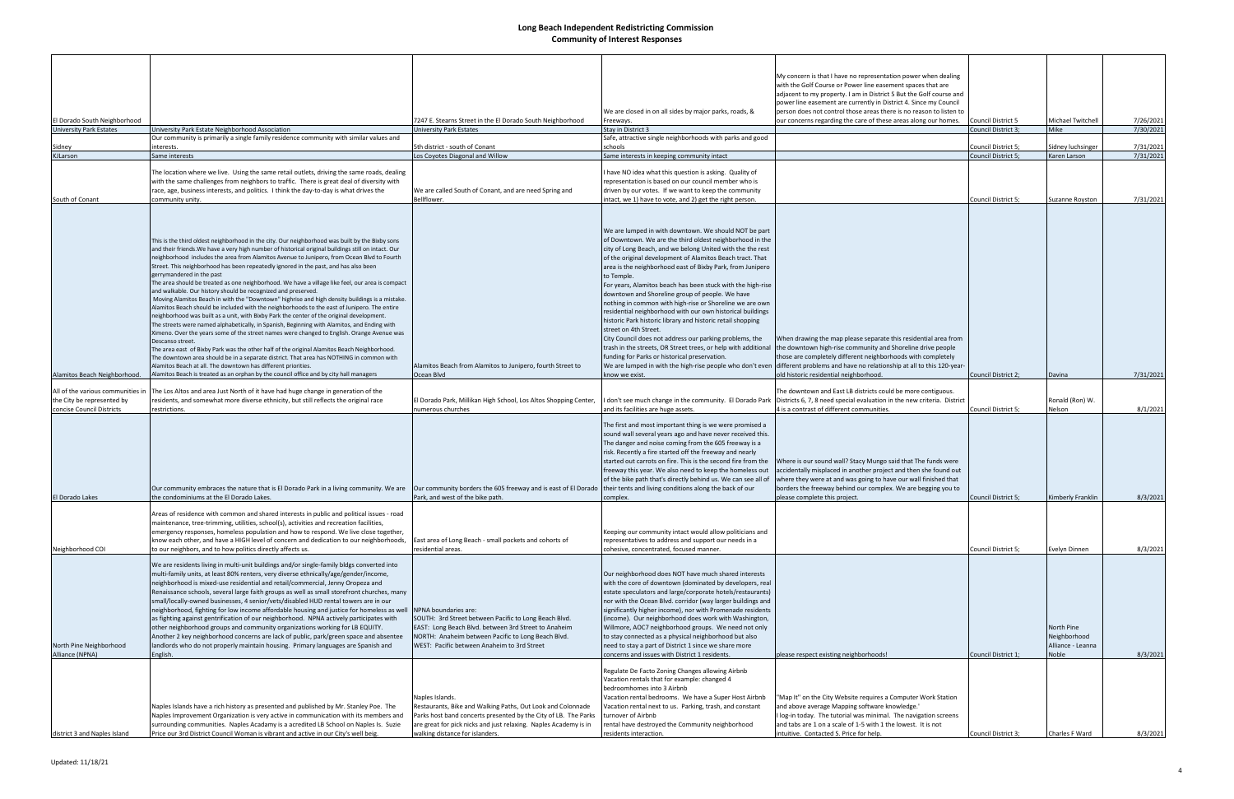| El Dorado South Neighborhood                                     |                                                                                                                                                                                                                                                                                                                                                                                                                                                                                                                                                                                                                                                                                                                                                                                                                                                                                                                                                                                                                                                                                                                                                                                                                                                                                                                                                                                                                                                                                                                                                           | 7247 E. Stearns Street in the El Dorado South Neighborhood                                                                                                                                                                                               | We are closed in on all sides by major parks, roads, &<br>Freeways.                                                                                                                                                                                                                                                                                                                                                                                                                                                                                                                                                                                                                                                                                                                                                                                     | My concern is that I have no representation power when dealing<br>with the Golf Course or Power line easement spaces that are<br>adjacent to my property. I am in District 5 But the Golf course and<br>power line easement are currently in District 4. Since my Council<br>person does not control those areas there is no reason to listen to<br>our concerns regarding the care of these areas along our homes.                             | Council District 5         | Michael Twitchell                                        | 7/26/2021 |
|------------------------------------------------------------------|-----------------------------------------------------------------------------------------------------------------------------------------------------------------------------------------------------------------------------------------------------------------------------------------------------------------------------------------------------------------------------------------------------------------------------------------------------------------------------------------------------------------------------------------------------------------------------------------------------------------------------------------------------------------------------------------------------------------------------------------------------------------------------------------------------------------------------------------------------------------------------------------------------------------------------------------------------------------------------------------------------------------------------------------------------------------------------------------------------------------------------------------------------------------------------------------------------------------------------------------------------------------------------------------------------------------------------------------------------------------------------------------------------------------------------------------------------------------------------------------------------------------------------------------------------------|----------------------------------------------------------------------------------------------------------------------------------------------------------------------------------------------------------------------------------------------------------|---------------------------------------------------------------------------------------------------------------------------------------------------------------------------------------------------------------------------------------------------------------------------------------------------------------------------------------------------------------------------------------------------------------------------------------------------------------------------------------------------------------------------------------------------------------------------------------------------------------------------------------------------------------------------------------------------------------------------------------------------------------------------------------------------------------------------------------------------------|-------------------------------------------------------------------------------------------------------------------------------------------------------------------------------------------------------------------------------------------------------------------------------------------------------------------------------------------------------------------------------------------------------------------------------------------------|----------------------------|----------------------------------------------------------|-----------|
| <b>University Park Estates</b>                                   | University Park Estate Neighborhood Association                                                                                                                                                                                                                                                                                                                                                                                                                                                                                                                                                                                                                                                                                                                                                                                                                                                                                                                                                                                                                                                                                                                                                                                                                                                                                                                                                                                                                                                                                                           | University Park Estates                                                                                                                                                                                                                                  | Stay in District 3                                                                                                                                                                                                                                                                                                                                                                                                                                                                                                                                                                                                                                                                                                                                                                                                                                      |                                                                                                                                                                                                                                                                                                                                                                                                                                                 | Council District 3         | Mike                                                     | 7/30/2021 |
| Sidney                                                           | Our community is primarily a single family residence community with similar values and<br>interests.                                                                                                                                                                                                                                                                                                                                                                                                                                                                                                                                                                                                                                                                                                                                                                                                                                                                                                                                                                                                                                                                                                                                                                                                                                                                                                                                                                                                                                                      | 5th district - south of Conant                                                                                                                                                                                                                           | Safe, attractive single neighborhoods with parks and good<br>schools                                                                                                                                                                                                                                                                                                                                                                                                                                                                                                                                                                                                                                                                                                                                                                                    |                                                                                                                                                                                                                                                                                                                                                                                                                                                 | Council District 5;        | Sidney luchsinger                                        | 7/31/2021 |
| KJLarson                                                         | Same interests                                                                                                                                                                                                                                                                                                                                                                                                                                                                                                                                                                                                                                                                                                                                                                                                                                                                                                                                                                                                                                                                                                                                                                                                                                                                                                                                                                                                                                                                                                                                            | Los Coyotes Diagonal and Willow                                                                                                                                                                                                                          | Same interests in keeping community intact                                                                                                                                                                                                                                                                                                                                                                                                                                                                                                                                                                                                                                                                                                                                                                                                              |                                                                                                                                                                                                                                                                                                                                                                                                                                                 | Council District 5;        | Karen Larson                                             | 7/31/2021 |
| South of Conant                                                  | The location where we live. Using the same retail outlets, driving the same roads, dealing<br>with the same challenges from neighbors to traffic. There is great deal of diversity with<br>race, age, business interests, and politics. I think the day-to-day is what drives the<br>community unity.                                                                                                                                                                                                                                                                                                                                                                                                                                                                                                                                                                                                                                                                                                                                                                                                                                                                                                                                                                                                                                                                                                                                                                                                                                                     | We are called South of Conant, and are need Spring and<br>Bellflower.                                                                                                                                                                                    | I have NO idea what this question is asking. Quality of<br>representation is based on our council member who is<br>driven by our votes. If we want to keep the community<br>intact, we 1) have to vote, and 2) get the right person.                                                                                                                                                                                                                                                                                                                                                                                                                                                                                                                                                                                                                    |                                                                                                                                                                                                                                                                                                                                                                                                                                                 | Council District 5;        | Suzanne Royston                                          | 7/31/2021 |
| Alamitos Beach Neighborhood.<br>All of the various communities i | This is the third oldest neighborhood in the city. Our neighborhood was built by the Bixby sons<br>and their friends. We have a very high number of historical original buildings still on intact. Our<br>neighborhood includes the area from Alamitos Avenue to Junipero, from Ocean Blvd to Fourth<br>Street. This neighborhood has been repeatedly ignored in the past, and has also been<br>gerrymandered in the past<br>The area should be treated as one neighborhood. We have a village like feel, our area is compact<br>and walkable. Our history should be recognized and preserved.<br>Moving Alamitos Beach in with the "Downtown" highrise and high density buildings is a mistake.<br>Alamitos Beach should be included with the neighborhoods to the east of Junipero. The entire<br>neighborhood was built as a unit, with Bixby Park the center of the original development.<br>The streets were named alphabetically, in Spanish, Beginning with Alamitos, and Ending with<br>Ximeno. Over the years some of the street names were changed to English. Orange Avenue was<br>Descanso street.<br>The area east of Bixby Park was the other half of the original Alamitos Beach Neighborhood.<br>The downtown area should be in a separate district. That area has NOTHING in common with<br>Alamitos Beach at all. The downtown has different priorities.<br>Alamitos Beach is treated as an orphan by the council office and by city hall managers<br>The Los Altos and area Just North of it have had huge change in generation of the | Alamitos Beach from Alamitos to Junipero, fourth Street to<br>Ocean Blvd                                                                                                                                                                                 | We are lumped in with downtown. We should NOT be part<br>of Downtown. We are the third oldest neighborhood in the<br>city of Long Beach, and we belong United with the the rest<br>of the original development of Alamitos Beach tract. That<br>area is the neighborhood east of Bixby Park, from Junipero<br>to Temple.<br>For years, Alamitos beach has been stuck with the high-rise<br>downtown and Shoreline group of people. We have<br>nothing in common with high-rise or Shoreline we are own<br>residential neighborhood with our own historical buildings<br>historic Park historic library and historic retail shopping<br>street on 4th Street.<br>City Council does not address our parking problems, the<br>funding for Parks or historical preservation.<br>We are lumped in with the high-rise people who don't even<br>know we exist. | When drawing the map please separate this residential area from<br>trash in the streets, OR Street trees, or help with additional the downtown high-rise community and Shoreline drive people<br>those are completely different neighborhoods with completely<br>different problems and have no relationship at all to this 120-year-<br>old historic residential neighborhood.<br>The downtown and East LB districts could be more contiguous. | Council District 2;        | Davina                                                   | 7/31/2021 |
| the City be represented by<br>concise Council Districts          | residents, and somewhat more diverse ethnicity, but still reflects the original race<br>restrictions.                                                                                                                                                                                                                                                                                                                                                                                                                                                                                                                                                                                                                                                                                                                                                                                                                                                                                                                                                                                                                                                                                                                                                                                                                                                                                                                                                                                                                                                     | El Dorado Park, Millikan High School, Los Altos Shopping Center,<br>numerous churches                                                                                                                                                                    | I don't see much change in the community. El Dorado Park<br>and its facilities are huge assets.                                                                                                                                                                                                                                                                                                                                                                                                                                                                                                                                                                                                                                                                                                                                                         | Districts 6, 7, 8 need special evaluation in the new criteria. District<br>4 is a contrast of different communities.                                                                                                                                                                                                                                                                                                                            | Council District 5;        | Ronald (Ron) W.<br>Nelson                                | 8/1/2021  |
| El Dorado Lakes                                                  | Our community embraces the nature that is El Dorado Park in a living community. We are<br>the condominiums at the El Dorado Lakes.                                                                                                                                                                                                                                                                                                                                                                                                                                                                                                                                                                                                                                                                                                                                                                                                                                                                                                                                                                                                                                                                                                                                                                                                                                                                                                                                                                                                                        | Our community borders the 605 freeway and is east of El Dorado   their tents and living conditions along the back of our<br>Park, and west of the bike path.                                                                                             | The first and most important thing is we were promised a<br>sound wall several years ago and have never received this.<br>The danger and noise coming from the 605 freeway is a<br>risk. Recently a fire started off the freeway and nearly<br>started out carrots on fire. This is the second fire from the<br>freeway this year. We also need to keep the homeless out<br>of the bike path that's directly behind us. We can see all of<br>complex.                                                                                                                                                                                                                                                                                                                                                                                                   | Where is our sound wall? Stacy Mungo said that The funds were<br>accidentally misplaced in another project and then she found out<br>where they were at and was going to have our wall finished that<br>borders the freeway behind our complex. We are begging you to<br>please complete this project.                                                                                                                                          | <b>Council District 5:</b> | Kimberly Franklin                                        | 8/3/2021  |
| Neighborhood COI                                                 | Areas of residence with common and shared interests in public and political issues - road<br>maintenance, tree-trimming, utilities, school(s), activities and recreation facilities,<br>emergency responses, homeless population and how to respond. We live close together,<br>know each other, and have a HIGH level of concern and dedication to our neighborhoods,<br>to our neighbors, and to how politics directly affects us.                                                                                                                                                                                                                                                                                                                                                                                                                                                                                                                                                                                                                                                                                                                                                                                                                                                                                                                                                                                                                                                                                                                      | East area of Long Beach - small pockets and cohorts of<br>residential areas.                                                                                                                                                                             | Keeping our community intact would allow politicians and<br>representatives to address and support our needs in a<br>cohesive, concentrated, focused manner.                                                                                                                                                                                                                                                                                                                                                                                                                                                                                                                                                                                                                                                                                            |                                                                                                                                                                                                                                                                                                                                                                                                                                                 | Council District 5;        | Evelyn Dinnen                                            | 8/3/2021  |
| North Pine Neighborhood<br>Alliance (NPNA)                       | We are residents living in multi-unit buildings and/or single-family bldgs converted into<br>multi-family units, at least 80% renters, very diverse ethnically/age/gender/income,<br>neighborhood is mixed-use residential and retail/commercial, Jenny Oropeza and<br>Renaissance schools, several large faith groups as well as small storefront churches, many<br>small/locally-owned businesses, 4 senior/vets/disabled HUD rental towers are in our<br>neighborhood, fighting for low income affordable housing and justice for homeless as well NPNA boundaries are:<br>as fighting against gentrification of our neighborhood. NPNA actively participates with<br>other neighborhood groups and community organizations working for LB EQUITY.<br>Another 2 key neighborhood concerns are lack of public, park/green space and absentee<br>landlords who do not properly maintain housing. Primary languages are Spanish and<br>English.                                                                                                                                                                                                                                                                                                                                                                                                                                                                                                                                                                                                           | SOUTH: 3rd Street between Pacific to Long Beach Blvd.<br>EAST: Long Beach Blvd. between 3rd Street to Anaheim<br>NORTH: Anaheim between Pacific to Long Beach Blvd.<br>WEST: Pacific between Anaheim to 3rd Street                                       | Our neighborhood does NOT have much shared interests<br>with the core of downtown (dominated by developers, real<br>estate speculators and large/corporate hotels/restaurants)<br>nor with the Ocean Blvd. corridor (way larger buildings and<br>significantly higher income), nor with Promenade residents<br>(income). Our neighborhood does work with Washington,<br>Willmore, AOC7 neighborhood groups. We need not only<br>to stay connected as a physical neighborhood but also<br>need to stay a part of District 1 since we share more<br>concerns and issues with District 1 residents.                                                                                                                                                                                                                                                        | please respect existing neighborhoods!                                                                                                                                                                                                                                                                                                                                                                                                          | Council District 1;        | North Pine<br>Neighborhood<br>Alliance - Leanna<br>Noble | 8/3/2021  |
| district 3 and Naples Island                                     | Naples Islands have a rich history as presented and published by Mr. Stanley Poe. The<br>Naples Improvement Organization is very active in communication with its members and<br>surrounding communities. Naples Acadamy is a acredited LB School on Naples Is. Suzie<br>Price our 3rd District Council Woman is vibrant and active in our City's well beig.                                                                                                                                                                                                                                                                                                                                                                                                                                                                                                                                                                                                                                                                                                                                                                                                                                                                                                                                                                                                                                                                                                                                                                                              | Naples Islands.<br>Restaurants, Bike and Walking Paths, Out Look and Colonnade<br>Parks host band concerts presented by the City of LB. The Parks<br>are great for pick nicks and just relaxing. Naples Academy is in<br>walking distance for islanders. | Regulate De Facto Zoning Changes allowing Airbnb<br>Vacation rentals that for example: changed 4<br>bedroomhomes into 3 Airbnb<br>Vacation rental bedrooms. We have a Super Host Airbnb<br>Vacation rental next to us. Parking, trash, and constant<br>turnover of Airbnb<br>rental have destroyed the Community neighborhood<br>residents interaction                                                                                                                                                                                                                                                                                                                                                                                                                                                                                                  | "Map It" on the City Website requires a Computer Work Station<br>and above average Mapping software knowledge.'<br>I log-in today. The tutorial was minimal. The navigation screens<br>and tabs are 1 on a scale of 1-5 with 1 the lowest. It is not<br>intuitive. Contacted S. Price for help.                                                                                                                                                 | Council District 3;        | Charles F Ward                                           | 8/3/2021  |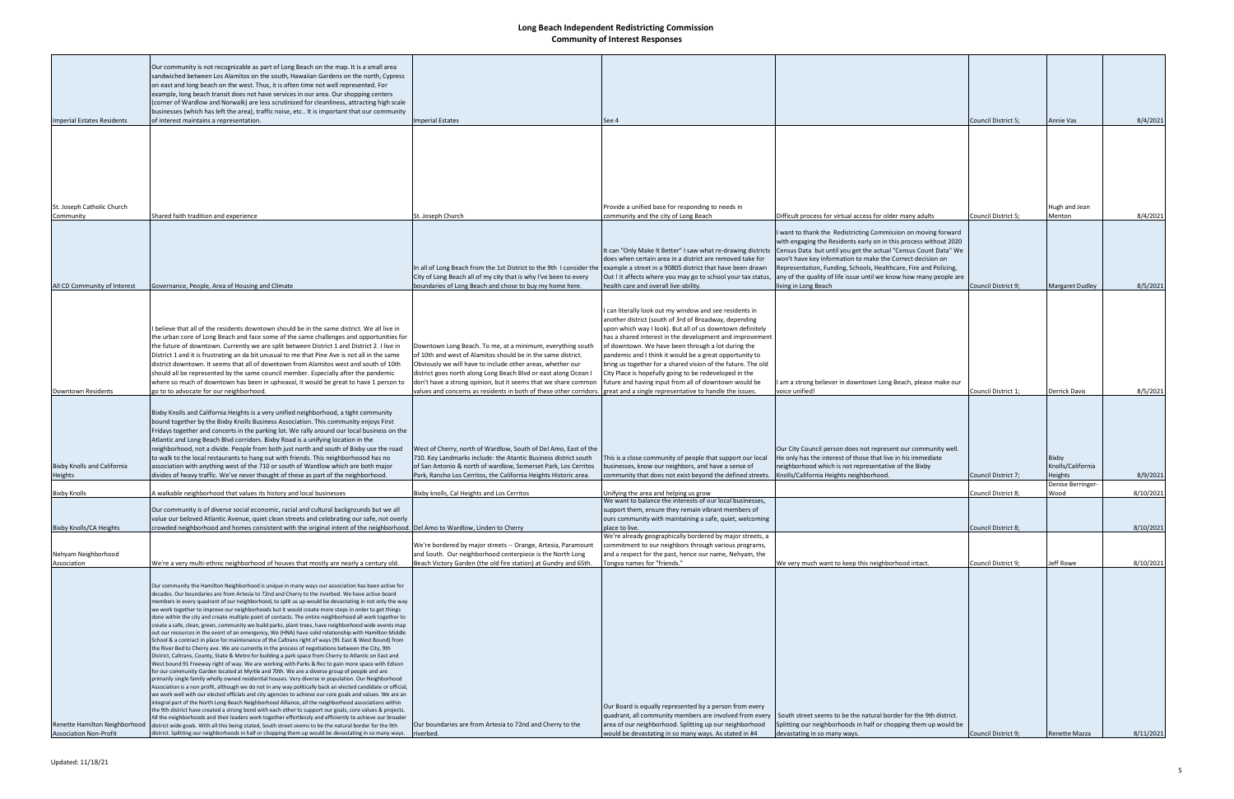|                                                                | Our community is not recognizable as part of Long Beach on the map. It is a small area<br>sandwiched between Los Alamitos on the south, Hawaiian Gardens on the north, Cypress<br>on east and long beach on the west. Thus, it is often time not well represented. For<br>example, long beach transit does not have services in our area. Our shopping centers<br>(corner of Wardlow and Norwalk) are less scrutinized for cleanliness, attracting high scale<br>businesses (which has left the area), traffic noise, etc It is important that our community                                                                                                                                                                                                                                                                                                                                                                                                                                                                                                                                                                                                                                                                                                                                                                                                                                                                                                                                                                                                                                                                                                                                                                                                                                                                                                                                                                                                                                                                                                                                                                                                                                        |                                                                                                                                                                                                                                                                                                                                                                                                     |                                                                                                                                                                                                                                                                                                                                                                                                                                                                                                                                                                                                        |                                                                                                                                                                                                                                                                                                                                                                                                                |                     |                                              |           |
|----------------------------------------------------------------|-----------------------------------------------------------------------------------------------------------------------------------------------------------------------------------------------------------------------------------------------------------------------------------------------------------------------------------------------------------------------------------------------------------------------------------------------------------------------------------------------------------------------------------------------------------------------------------------------------------------------------------------------------------------------------------------------------------------------------------------------------------------------------------------------------------------------------------------------------------------------------------------------------------------------------------------------------------------------------------------------------------------------------------------------------------------------------------------------------------------------------------------------------------------------------------------------------------------------------------------------------------------------------------------------------------------------------------------------------------------------------------------------------------------------------------------------------------------------------------------------------------------------------------------------------------------------------------------------------------------------------------------------------------------------------------------------------------------------------------------------------------------------------------------------------------------------------------------------------------------------------------------------------------------------------------------------------------------------------------------------------------------------------------------------------------------------------------------------------------------------------------------------------------------------------------------------------|-----------------------------------------------------------------------------------------------------------------------------------------------------------------------------------------------------------------------------------------------------------------------------------------------------------------------------------------------------------------------------------------------------|--------------------------------------------------------------------------------------------------------------------------------------------------------------------------------------------------------------------------------------------------------------------------------------------------------------------------------------------------------------------------------------------------------------------------------------------------------------------------------------------------------------------------------------------------------------------------------------------------------|----------------------------------------------------------------------------------------------------------------------------------------------------------------------------------------------------------------------------------------------------------------------------------------------------------------------------------------------------------------------------------------------------------------|---------------------|----------------------------------------------|-----------|
| <b>Imperial Estates Residents</b>                              | of interest maintains a representation.                                                                                                                                                                                                                                                                                                                                                                                                                                                                                                                                                                                                                                                                                                                                                                                                                                                                                                                                                                                                                                                                                                                                                                                                                                                                                                                                                                                                                                                                                                                                                                                                                                                                                                                                                                                                                                                                                                                                                                                                                                                                                                                                                             | <b>Imperial Estates</b>                                                                                                                                                                                                                                                                                                                                                                             | See 4                                                                                                                                                                                                                                                                                                                                                                                                                                                                                                                                                                                                  |                                                                                                                                                                                                                                                                                                                                                                                                                | Council District 5; | Annie Vas                                    | 8/4/2021  |
|                                                                |                                                                                                                                                                                                                                                                                                                                                                                                                                                                                                                                                                                                                                                                                                                                                                                                                                                                                                                                                                                                                                                                                                                                                                                                                                                                                                                                                                                                                                                                                                                                                                                                                                                                                                                                                                                                                                                                                                                                                                                                                                                                                                                                                                                                     |                                                                                                                                                                                                                                                                                                                                                                                                     |                                                                                                                                                                                                                                                                                                                                                                                                                                                                                                                                                                                                        |                                                                                                                                                                                                                                                                                                                                                                                                                |                     |                                              |           |
| St. Joseph Catholic Church                                     |                                                                                                                                                                                                                                                                                                                                                                                                                                                                                                                                                                                                                                                                                                                                                                                                                                                                                                                                                                                                                                                                                                                                                                                                                                                                                                                                                                                                                                                                                                                                                                                                                                                                                                                                                                                                                                                                                                                                                                                                                                                                                                                                                                                                     |                                                                                                                                                                                                                                                                                                                                                                                                     | Provide a unified base for responding to needs in                                                                                                                                                                                                                                                                                                                                                                                                                                                                                                                                                      |                                                                                                                                                                                                                                                                                                                                                                                                                |                     | Hugh and Jean                                |           |
| Community                                                      | Shared faith tradition and experience                                                                                                                                                                                                                                                                                                                                                                                                                                                                                                                                                                                                                                                                                                                                                                                                                                                                                                                                                                                                                                                                                                                                                                                                                                                                                                                                                                                                                                                                                                                                                                                                                                                                                                                                                                                                                                                                                                                                                                                                                                                                                                                                                               | St. Joseph Church                                                                                                                                                                                                                                                                                                                                                                                   | community and the city of Long Beach                                                                                                                                                                                                                                                                                                                                                                                                                                                                                                                                                                   | Difficult process for virtual access for older many adults                                                                                                                                                                                                                                                                                                                                                     | Council District 5; | Menton                                       | 8/4/2021  |
|                                                                |                                                                                                                                                                                                                                                                                                                                                                                                                                                                                                                                                                                                                                                                                                                                                                                                                                                                                                                                                                                                                                                                                                                                                                                                                                                                                                                                                                                                                                                                                                                                                                                                                                                                                                                                                                                                                                                                                                                                                                                                                                                                                                                                                                                                     | In all of Long Beach from the 1st District to the 9th I consider the lexample a street in a 90805 district that have been drawn<br>City of Long Beach all of my city that is why I've been to every                                                                                                                                                                                                 | It can "Only Make It Better" I saw what re-drawing districts<br>does when certain area in a district are removed take for<br>Out ! it affects where you may go to school your tax status,                                                                                                                                                                                                                                                                                                                                                                                                              | I want to thank the Redistricting Commission on moving forward<br>with engaging the Residents early on in this process without 2020<br>Census Data but until you get the actual "Census Count Data" We<br>won't have key information to make the Correct decision on<br>Representation, Funding, Schools, Healthcare, Fire and Policing,<br>any of the quality of life issue until we know how many people are |                     |                                              |           |
| All CD Community of Interest                                   | Governance, People, Area of Housing and Climate                                                                                                                                                                                                                                                                                                                                                                                                                                                                                                                                                                                                                                                                                                                                                                                                                                                                                                                                                                                                                                                                                                                                                                                                                                                                                                                                                                                                                                                                                                                                                                                                                                                                                                                                                                                                                                                                                                                                                                                                                                                                                                                                                     | boundaries of Long Beach and chose to buy my home here.                                                                                                                                                                                                                                                                                                                                             | health care and overall live-ability.                                                                                                                                                                                                                                                                                                                                                                                                                                                                                                                                                                  | living in Long Beach                                                                                                                                                                                                                                                                                                                                                                                           | Council District 9; | <b>Margaret Dudley</b>                       | 8/5/2021  |
| <b>Downtown Residents</b>                                      | believe that all of the residents downtown should be in the same district. We all live in<br>the urban core of Long Beach and face some of the same challenges and opportunities for<br>the future of downtown. Currently we are split between District 1 and District 2. I live in<br>District 1 and it is frustrating an da bit unusual to me that Pine Ave is not all in the same<br>district downtown. It seems that all of downtown from Alamitos west and south of 10th<br>should all be represented by the same council member. Especially after the pandemic<br>where so much of downtown has been in upheaval, it would be great to have 1 person to<br>go to to advocate for our neighborhood.                                                                                                                                                                                                                                                                                                                                                                                                                                                                                                                                                                                                                                                                                                                                                                                                                                                                                                                                                                                                                                                                                                                                                                                                                                                                                                                                                                                                                                                                                            | Downtown Long Beach. To me, at a minimum, everything south<br>of 10th and west of Alamitos should be in the same district.<br>Obviously we will have to include other areas, whether our<br>district goes north along Long Beach Blvd or east along Ocean I<br>don't have a strong opinion, but it seems that we share common<br>values and concerns as residents in both of these other corridors. | I can literally look out my window and see residents in<br>another district (south of 3rd of Broadway, depending<br>upon which way I look). But all of us downtown definitely<br>has a shared interest in the development and improvement<br>of downtown. We have been through a lot during the<br>pandemic and I think it would be a great opportunity to<br>bring us together for a shared vision of the future. The old<br>City Place is hopefully going to be redeveloped in the<br>future and having input from all of downtown would be<br>reat and a single representative to handle the issues | am a strong believer in downtown Long Beach, please make our<br>voice unified!                                                                                                                                                                                                                                                                                                                                 | Council District 1; | Derrick Davis                                | 8/5/2021  |
| <b>Bixby Knolls and California</b><br>Heights                  | Bixby Knolls and California Heights is a very unified neighborhood, a tight community<br>bound together by the Bixby Knolls Business Association. This community enjoys First<br>Fridays together and concerts in the parking lot. We rally around our local business on the<br>Atlantic and Long Beach Blvd corridors. Bixby Road is a unifying location in the<br>neighborhood, not a divide. People from both just north and south of Bixby use the road<br>to walk to the local restaurants to hang out with friends. This neighborhoood has no<br>association with anything west of the 710 or south of Wardlow which are both major<br>divides of heavy traffic. We've never thought of these as part of the neighborhood.                                                                                                                                                                                                                                                                                                                                                                                                                                                                                                                                                                                                                                                                                                                                                                                                                                                                                                                                                                                                                                                                                                                                                                                                                                                                                                                                                                                                                                                                    | West of Cherry, north of Wardlow, South of Del Amo, East of the<br>710. Key Landmarks include: the Atantic Business district south<br>of San Antonio & north of wardlow, Somerset Park, Los Cerritos<br>Park, Rancho Los Cerritos, the California Heights Historic area.                                                                                                                            | This is a close community of people that support our local<br>businesses, know our neighbors, and have a sense of<br>community that does not exist beyond the defined streets.                                                                                                                                                                                                                                                                                                                                                                                                                         | Our City Council person does not represent our community well.<br>He only has the interest of those that live in his immediate<br>neighborhood which is not representative of the Bixby<br>Knolls/California Heights neighborhood.                                                                                                                                                                             | Council District 7; | <b>Bixby</b><br>Knolls/California<br>Heights | 8/9/2021  |
|                                                                |                                                                                                                                                                                                                                                                                                                                                                                                                                                                                                                                                                                                                                                                                                                                                                                                                                                                                                                                                                                                                                                                                                                                                                                                                                                                                                                                                                                                                                                                                                                                                                                                                                                                                                                                                                                                                                                                                                                                                                                                                                                                                                                                                                                                     |                                                                                                                                                                                                                                                                                                                                                                                                     |                                                                                                                                                                                                                                                                                                                                                                                                                                                                                                                                                                                                        |                                                                                                                                                                                                                                                                                                                                                                                                                |                     | Denise Berringer-                            |           |
| <b>Bixby Knolls</b>                                            | A walkable neighborhood that values its history and local businesses                                                                                                                                                                                                                                                                                                                                                                                                                                                                                                                                                                                                                                                                                                                                                                                                                                                                                                                                                                                                                                                                                                                                                                                                                                                                                                                                                                                                                                                                                                                                                                                                                                                                                                                                                                                                                                                                                                                                                                                                                                                                                                                                | Bixby knolls, Cal Heights and Los Cerritos                                                                                                                                                                                                                                                                                                                                                          | Unifying the area and helping us grow<br>We want to balance the interests of our local businesses,                                                                                                                                                                                                                                                                                                                                                                                                                                                                                                     |                                                                                                                                                                                                                                                                                                                                                                                                                | Council District 8; | Wood                                         | 8/10/2021 |
|                                                                | Our community is of diverse social economic, racial and cultural backgrounds but we all                                                                                                                                                                                                                                                                                                                                                                                                                                                                                                                                                                                                                                                                                                                                                                                                                                                                                                                                                                                                                                                                                                                                                                                                                                                                                                                                                                                                                                                                                                                                                                                                                                                                                                                                                                                                                                                                                                                                                                                                                                                                                                             |                                                                                                                                                                                                                                                                                                                                                                                                     | support them, ensure they remain vibrant members of                                                                                                                                                                                                                                                                                                                                                                                                                                                                                                                                                    |                                                                                                                                                                                                                                                                                                                                                                                                                |                     |                                              |           |
|                                                                | value our beloved Atlantic Avenue, quiet clean streets and celebrating our safe, not overly                                                                                                                                                                                                                                                                                                                                                                                                                                                                                                                                                                                                                                                                                                                                                                                                                                                                                                                                                                                                                                                                                                                                                                                                                                                                                                                                                                                                                                                                                                                                                                                                                                                                                                                                                                                                                                                                                                                                                                                                                                                                                                         |                                                                                                                                                                                                                                                                                                                                                                                                     | ours community with maintaining a safe, quiet, welcoming                                                                                                                                                                                                                                                                                                                                                                                                                                                                                                                                               |                                                                                                                                                                                                                                                                                                                                                                                                                |                     |                                              |           |
| <b>Bixby Knolls/CA Heights</b>                                 | crowded neighborhood and homes consistent with the original intent of the neighborhood. Del Amo to Wardlow, Linden to Cherry                                                                                                                                                                                                                                                                                                                                                                                                                                                                                                                                                                                                                                                                                                                                                                                                                                                                                                                                                                                                                                                                                                                                                                                                                                                                                                                                                                                                                                                                                                                                                                                                                                                                                                                                                                                                                                                                                                                                                                                                                                                                        |                                                                                                                                                                                                                                                                                                                                                                                                     | place to live.                                                                                                                                                                                                                                                                                                                                                                                                                                                                                                                                                                                         |                                                                                                                                                                                                                                                                                                                                                                                                                | Council District 8; |                                              | 8/10/2021 |
| Nehyam Neighborhood<br>Association                             | We're a very multi-ethnic neighborhood of houses that mostly are nearly a century old.                                                                                                                                                                                                                                                                                                                                                                                                                                                                                                                                                                                                                                                                                                                                                                                                                                                                                                                                                                                                                                                                                                                                                                                                                                                                                                                                                                                                                                                                                                                                                                                                                                                                                                                                                                                                                                                                                                                                                                                                                                                                                                              | We're bordered by major streets -- Orange, Artesia, Paramount<br>and South. Our neighborhood centerpiece is the North Long<br>Beach Victory Garden (the old fire station) at Gundry and 65th.                                                                                                                                                                                                       | We're already geographically bordered by major streets, a<br>commitment to our neighbors through various programs,<br>and a respect for the past, hence our name, Nehyam, the<br>"ongva names for "friends."                                                                                                                                                                                                                                                                                                                                                                                           | We very much want to keep this neighborhood intact.                                                                                                                                                                                                                                                                                                                                                            | Council District 9; | Jeff Rowe                                    | 8/10/2021 |
| Renette Hamilton Neighborhood<br><b>Association Non-Profit</b> | Our community the Hamilton Neighborhood is unique in many ways our association has been active for<br>decades. Our boundaries are from Artesia to 72nd and Cherry to the riverbed. We have active board<br>members in every quadrant of our neighborhood, to split us up would be devastating in not only the way<br>we work together to improve our neighborhoods but it would create more steps in order to get things<br>done within the city and create multiple point of contacts. The entire neighborhood all work together to<br>create a safe, clean, green, community we build parks, plant trees, have neighborhood wide events map<br>out our resources in the event of an emergency, We (HNA) have solid relationship with Hamilton Middle<br>School & a contract in place for maintenance of the Caltrans right of ways (91 East & West Bound) from<br>the River Bed to Cherry ave. We are currently in the process of negotiations between the City, 9th<br>District, Caltrans, County, State & Metro for building a park space from Cherry to Atlantic on East and<br>West bound 91 Freeway right of way. We are working with Parks & Rec to gain more space with Edison<br>for our community Garden located at Myrtle and 70th. We are a diverse group of people and are<br>primarily single family wholly owned residential houses. Very diverse in population. Our Neighborhood<br>Association is a non profit, although we do not in any way politically back an elected candidate or official,<br>we work well with our elected officials and city agencies to achieve our core goals and values. We are an<br>integral part of the North Long Beach Neighborhood Alliance, all the neighborhood associations within<br>the 9th district have created a strong bond with each other to support our goals, core values & projects.<br>All the neighborhoods and their leaders work together effortlessly and efficiently to achieve our broader<br>district wide goals. With all this being stated, South street seems to be the natural border for the 9th<br>district. Splitting our neighborhoods in half or chopping them up would be devastating in so many ways. riverbed. | Our boundaries are from Artesia to 72nd and Cherry to the                                                                                                                                                                                                                                                                                                                                           | Our Board is equally represented by a person from every<br>quadrant, all community members are involved from every<br>area of our neighborhood. Splitting up our neighborhood<br>would be devastating in so many ways. As stated in #4                                                                                                                                                                                                                                                                                                                                                                 | South street seems to be the natural border for the 9th district.<br>Splitting our neighborhoods in half or chopping them up would be<br>devastating in so many ways.                                                                                                                                                                                                                                          | Council District 9; | Renette Mazza                                | 8/11/2021 |
|                                                                |                                                                                                                                                                                                                                                                                                                                                                                                                                                                                                                                                                                                                                                                                                                                                                                                                                                                                                                                                                                                                                                                                                                                                                                                                                                                                                                                                                                                                                                                                                                                                                                                                                                                                                                                                                                                                                                                                                                                                                                                                                                                                                                                                                                                     |                                                                                                                                                                                                                                                                                                                                                                                                     |                                                                                                                                                                                                                                                                                                                                                                                                                                                                                                                                                                                                        |                                                                                                                                                                                                                                                                                                                                                                                                                |                     |                                              |           |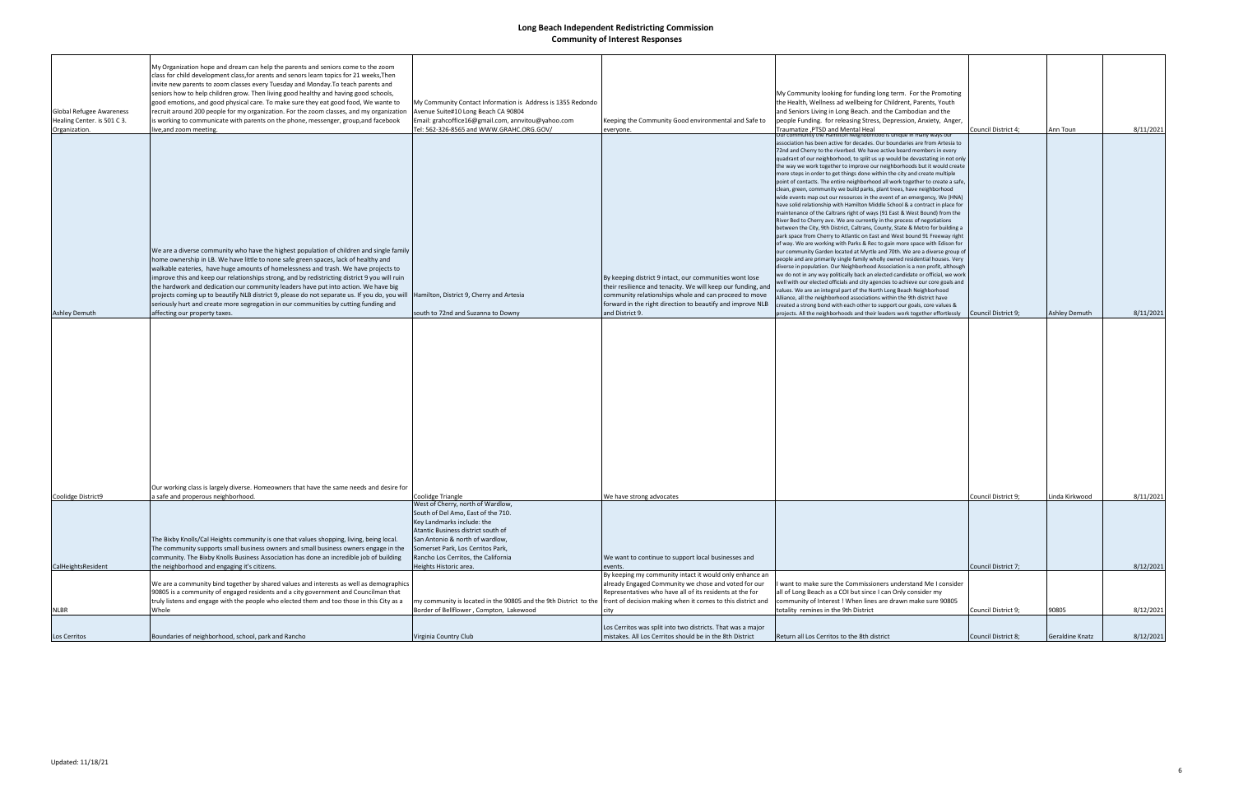| <b>Global Refugee Awareness</b><br>Healing Center. is 501 C 3.<br>Organization. | My Organization hope and dream can help the parents and seniors come to the zoom<br>class for child development class, for arents and senors learn topics for 21 weeks, Then<br>invite new parents to zoom classes every Tuesday and Monday. To teach parents and<br>seniors how to help children grow. Then living good healthy and having good schools,<br>good emotions, and good physical care. To make sure they eat good food, We wante to<br>recruit around 200 people for my organization. For the zoom classes, and my organization<br>is working to communicate with parents on the phone, messenger, group, and facebook<br>live, and zoom meeting.                                    | My Community Contact Information is Address is 1355 Redondo<br>Avenue Suite#10 Long Beach CA 90804<br>Email: grahcoffice16@gmail.com, annvitou@yahoo.com<br>Tel: 562-326-8565 and WWW.GRAHC.ORG.GOV/                                                       | Keeping the Community Good environmental and Safe to<br>everyone.                                                                                                                                                                              | My Community looking for funding long term. For the Promoting<br>the Health, Wellness ad wellbeing for Childrent, Parents, Youth<br>and Seniors Living in Long Beach. and the Cambodian and the<br>people Funding. for releasing Stress, Depression, Anxiety, Anger,<br>Traumatize ,PTSD and Mental Heal                                                                                                                                                                                                                                                                                                                                                                                                                                                                                                                                                                                                                                                                                                                                                                                                                                                                                                                                                                                                                                                                                                                                                                                                                                                                                                                                                                                                                                                                                                                                                     | Council District 4; | Ann Toun        | 8/11/2021 |
|---------------------------------------------------------------------------------|---------------------------------------------------------------------------------------------------------------------------------------------------------------------------------------------------------------------------------------------------------------------------------------------------------------------------------------------------------------------------------------------------------------------------------------------------------------------------------------------------------------------------------------------------------------------------------------------------------------------------------------------------------------------------------------------------|------------------------------------------------------------------------------------------------------------------------------------------------------------------------------------------------------------------------------------------------------------|------------------------------------------------------------------------------------------------------------------------------------------------------------------------------------------------------------------------------------------------|--------------------------------------------------------------------------------------------------------------------------------------------------------------------------------------------------------------------------------------------------------------------------------------------------------------------------------------------------------------------------------------------------------------------------------------------------------------------------------------------------------------------------------------------------------------------------------------------------------------------------------------------------------------------------------------------------------------------------------------------------------------------------------------------------------------------------------------------------------------------------------------------------------------------------------------------------------------------------------------------------------------------------------------------------------------------------------------------------------------------------------------------------------------------------------------------------------------------------------------------------------------------------------------------------------------------------------------------------------------------------------------------------------------------------------------------------------------------------------------------------------------------------------------------------------------------------------------------------------------------------------------------------------------------------------------------------------------------------------------------------------------------------------------------------------------------------------------------------------------|---------------------|-----------------|-----------|
|                                                                                 | We are a diverse community who have the highest population of children and single family<br>home ownership in LB. We have little to none safe green spaces, lack of healthy and<br>walkable eateries, have huge amounts of homelessness and trash. We have projects to<br>improve this and keep our relationships strong, and by redistricting district 9 you will ruin<br>the hardwork and dedication our community leaders have put into action. We have big<br>projects coming up to beautify NLB district 9, please do not separate us. If you do, you will  Hamilton, District 9, Cherry and Artesia<br>seriously hurt and create more segregation in our communities by cutting funding and |                                                                                                                                                                                                                                                            | By keeping district 9 intact, our communities wont lose<br>their resilience and tenacity. We will keep our funding, and<br>community relationships whole and can proceed to move<br>forward in the right direction to beautify and improve NLB | Jur community the Hamilton Neighborhood is unique in many ways ou<br>association has been active for decades. Our boundaries are from Artesia to<br>72nd and Cherry to the riverbed. We have active board members in every<br>quadrant of our neighborhood, to split us up would be devastating in not only<br>the way we work together to improve our neighborhoods but it would create<br>more steps in order to get things done within the city and create multiple<br>point of contacts. The entire neighborhood all work together to create a safe,<br>clean, green, community we build parks, plant trees, have neighborhood<br>wide events map out our resources in the event of an emergency, We (HNA)<br>have solid relationship with Hamilton Middle School & a contract in place for<br>maintenance of the Caltrans right of ways (91 East & West Bound) from the<br>River Bed to Cherry ave. We are currently in the process of negotiations<br>between the City, 9th District, Caltrans, County, State & Metro for building a<br>park space from Cherry to Atlantic on East and West bound 91 Freeway right<br>of way. We are working with Parks & Rec to gain more space with Edison for<br>our community Garden located at Myrtle and 70th. We are a diverse group of<br>people and are primarily single family wholly owned residential houses. Very<br>diverse in population. Our Neighborhood Association is a non profit, although<br>we do not in any way politically back an elected candidate or official, we work<br>well with our elected officials and city agencies to achieve our core goals and<br>values. We are an integral part of the North Long Beach Neighborhood<br>Alliance, all the neighborhood associations within the 9th district have<br>created a strong bond with each other to support our goals, core values & |                     |                 |           |
| Coolidge District9                                                              | Our working class is largely diverse. Homeowners that have the same needs and desire for<br>a safe and properous neighborhood.                                                                                                                                                                                                                                                                                                                                                                                                                                                                                                                                                                    | Coolidge Triangle                                                                                                                                                                                                                                          | We have strong advocates                                                                                                                                                                                                                       |                                                                                                                                                                                                                                                                                                                                                                                                                                                                                                                                                                                                                                                                                                                                                                                                                                                                                                                                                                                                                                                                                                                                                                                                                                                                                                                                                                                                                                                                                                                                                                                                                                                                                                                                                                                                                                                              | Council District 9; | Linda Kirkwood  | 8/11/2021 |
|                                                                                 | The Bixby Knolls/Cal Heights community is one that values shopping, living, being local.<br>The community supports small business owners and small business owners engage in the<br>community. The Bixby Knolls Business Association has done an incredible job of building                                                                                                                                                                                                                                                                                                                                                                                                                       | West of Cherry, north of Wardlow,<br>South of Del Amo, East of the 710.<br>Key Landmarks include: the<br>Atantic Business district south of<br>San Antonio & north of wardlow,<br>Somerset Park, Los Cerritos Park,<br>Rancho Los Cerritos, the California | We want to continue to support local businesses and                                                                                                                                                                                            |                                                                                                                                                                                                                                                                                                                                                                                                                                                                                                                                                                                                                                                                                                                                                                                                                                                                                                                                                                                                                                                                                                                                                                                                                                                                                                                                                                                                                                                                                                                                                                                                                                                                                                                                                                                                                                                              |                     |                 |           |
| CalHeightsResident                                                              | the neighborhood and engaging it's citizens.<br>We are a community bind together by shared values and interests as well as demographics<br>90805 is a community of engaged residents and a city government and Councilman that<br>truly listens and engage with the people who elected them and too those in this City as a                                                                                                                                                                                                                                                                                                                                                                       | Heights Historic area.<br>my community is located in the 90805 and the 9th District to the front of decision making when it comes to this district and                                                                                                     | By keeping my community intact it would only enhance an<br>already Engaged Community we chose and voted for our<br>Representatives who have all of its residents at the for                                                                    | want to make sure the Commissioners understand Me I consider<br>all of Long Beach as a COI but since I can Only consider my<br>community of Interest ! When lines are drawn make sure 90805                                                                                                                                                                                                                                                                                                                                                                                                                                                                                                                                                                                                                                                                                                                                                                                                                                                                                                                                                                                                                                                                                                                                                                                                                                                                                                                                                                                                                                                                                                                                                                                                                                                                  | Council District 7; |                 | 8/12/2021 |
| <b>NLBR</b>                                                                     | Whole                                                                                                                                                                                                                                                                                                                                                                                                                                                                                                                                                                                                                                                                                             | Border of Bellflower, Compton, Lakewood                                                                                                                                                                                                                    |                                                                                                                                                                                                                                                | totality remines in the 9th District                                                                                                                                                                                                                                                                                                                                                                                                                                                                                                                                                                                                                                                                                                                                                                                                                                                                                                                                                                                                                                                                                                                                                                                                                                                                                                                                                                                                                                                                                                                                                                                                                                                                                                                                                                                                                         | Council District 9; | 90805           | 8/12/2021 |
| Los Cerritos                                                                    | Boundaries of neighborhood, school, park and Rancho                                                                                                                                                                                                                                                                                                                                                                                                                                                                                                                                                                                                                                               | Virginia Country Club                                                                                                                                                                                                                                      | Los Cerritos was split into two districts. That was a major<br>mistakes. All Los Cerritos should be in the 8th District                                                                                                                        | Return all Los Cerritos to the 8th district                                                                                                                                                                                                                                                                                                                                                                                                                                                                                                                                                                                                                                                                                                                                                                                                                                                                                                                                                                                                                                                                                                                                                                                                                                                                                                                                                                                                                                                                                                                                                                                                                                                                                                                                                                                                                  | Council District 8; | Geraldine Knatz | 8/12/2021 |
|                                                                                 |                                                                                                                                                                                                                                                                                                                                                                                                                                                                                                                                                                                                                                                                                                   |                                                                                                                                                                                                                                                            |                                                                                                                                                                                                                                                |                                                                                                                                                                                                                                                                                                                                                                                                                                                                                                                                                                                                                                                                                                                                                                                                                                                                                                                                                                                                                                                                                                                                                                                                                                                                                                                                                                                                                                                                                                                                                                                                                                                                                                                                                                                                                                                              |                     |                 |           |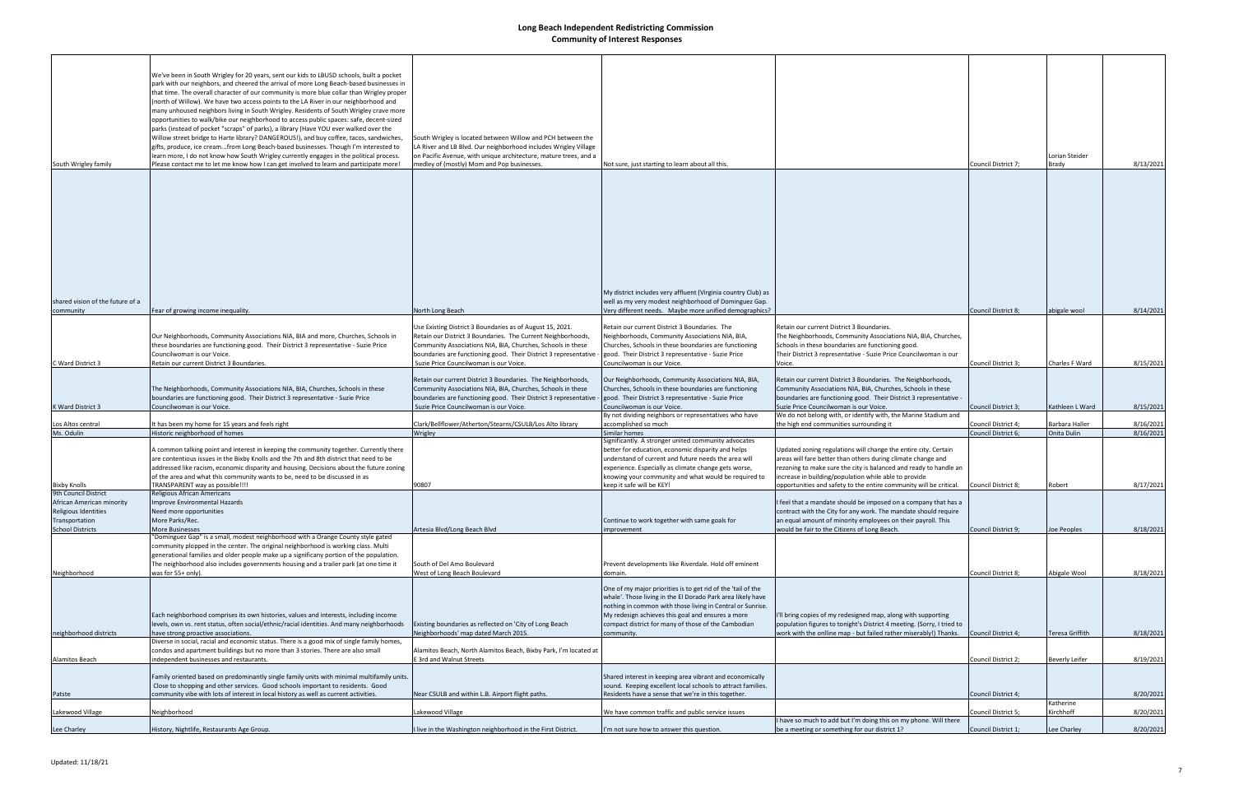| South Wrigley family                                                                           | We've been in South Wrigley for 20 years, sent our kids to LBUSD schools, built a pocket<br>park with our neighbors, and cheered the arrival of more Long Beach-based businesses in<br>that time. The overall character of our community is more blue collar than Wrigley proper<br>(north of Willow). We have two access points to the LA River in our neighborhood and<br>many unhoused neighbors living in South Wrigley. Residents of South Wrigley crave more<br>opportunities to walk/bike our neighborhood to access public spaces: safe, decent-sized<br>parks (instead of pocket "scraps" of parks), a library (Have YOU ever walked over the<br>Willow street bridge to Harte library? DANGEROUS!), and buy coffee, tacos, sandwiches,<br>gifts, produce, ice creamfrom Long Beach-based businesses. Though I'm interested to<br>learn more, I do not know how South Wrigley currently engages in the political process.<br>Please contact me to let me know how I can get involved to learn and participate more! | South Wrigley is located between Willow and PCH between the<br>LA River and LB Blvd. Our neighborhood includes Wrigley Village<br>on Pacific Avenue, with unique architecture, mature trees, and a<br>medley of (mostly) Mom and Pop businesses.                                                       | Not sure, just starting to learn about all this.                                                                                                                                                                                                                                                                              |                                                                                                                                                                                                                                                               | Council District 7;                        | Lorian Steider<br>Brady         | 8/13/2021              |
|------------------------------------------------------------------------------------------------|------------------------------------------------------------------------------------------------------------------------------------------------------------------------------------------------------------------------------------------------------------------------------------------------------------------------------------------------------------------------------------------------------------------------------------------------------------------------------------------------------------------------------------------------------------------------------------------------------------------------------------------------------------------------------------------------------------------------------------------------------------------------------------------------------------------------------------------------------------------------------------------------------------------------------------------------------------------------------------------------------------------------------|--------------------------------------------------------------------------------------------------------------------------------------------------------------------------------------------------------------------------------------------------------------------------------------------------------|-------------------------------------------------------------------------------------------------------------------------------------------------------------------------------------------------------------------------------------------------------------------------------------------------------------------------------|---------------------------------------------------------------------------------------------------------------------------------------------------------------------------------------------------------------------------------------------------------------|--------------------------------------------|---------------------------------|------------------------|
| shared vision of the future of a<br>community                                                  | Fear of growing income inequality.                                                                                                                                                                                                                                                                                                                                                                                                                                                                                                                                                                                                                                                                                                                                                                                                                                                                                                                                                                                           | North Long Beach                                                                                                                                                                                                                                                                                       | My district includes very affluent (Virginia country Club) as<br>well as my very modest neighborhood of Dominguez Gap.<br>Very different needs. Maybe more unified demographics?                                                                                                                                              |                                                                                                                                                                                                                                                               | Council District 8;                        | abigale wool                    | 8/14/2021              |
|                                                                                                |                                                                                                                                                                                                                                                                                                                                                                                                                                                                                                                                                                                                                                                                                                                                                                                                                                                                                                                                                                                                                              |                                                                                                                                                                                                                                                                                                        |                                                                                                                                                                                                                                                                                                                               |                                                                                                                                                                                                                                                               |                                            |                                 |                        |
| C Ward District 3                                                                              | Our Neighborhoods, Community Associations NIA, BIA and more, Churches, Schools in<br>these boundaries are functioning good. Their District 3 representative - Suzie Price<br>Councilwoman is our Voice.<br>Retain our current District 3 Boundaries.                                                                                                                                                                                                                                                                                                                                                                                                                                                                                                                                                                                                                                                                                                                                                                         | Use Existing District 3 Boundaries as of August 15, 2021.<br>Retain our District 3 Boundaries. The Current Neighborhoods,<br>Community Associations NIA, BIA, Churches, Schools in these<br>boundaries are functioning good. Their District 3 representative<br>Suzie Price Councilwoman is our Voice. | Retain our current District 3 Boundaries. The<br>Neighborhoods, Community Associations NIA, BIA,<br>Churches, Schools in these boundaries are functioning<br>good. Their District 3 representative - Suzie Price<br>Councilwoman is our Voice.                                                                                | Retain our current District 3 Boundaries.<br>The Neighborhoods, Community Associations NIA, BIA, Churches,<br>Schools in these boundaries are functioning good.<br>Their District 3 representative - Suzie Price Councilwoman is our<br>Voice.                | Council District 3;                        | Charles F Ward                  | 8/15/2021              |
|                                                                                                |                                                                                                                                                                                                                                                                                                                                                                                                                                                                                                                                                                                                                                                                                                                                                                                                                                                                                                                                                                                                                              |                                                                                                                                                                                                                                                                                                        |                                                                                                                                                                                                                                                                                                                               |                                                                                                                                                                                                                                                               |                                            |                                 |                        |
| K Ward District 3                                                                              | The Neighborhoods, Community Associations NIA, BIA, Churches, Schools in these<br>boundaries are functioning good. Their District 3 representative - Suzie Price<br>Councilwoman is our Voice.                                                                                                                                                                                                                                                                                                                                                                                                                                                                                                                                                                                                                                                                                                                                                                                                                               | Retain our current District 3 Boundaries. The Neighborhoods,<br>Community Associations NIA, BIA, Churches, Schools in these<br>boundaries are functioning good. Their District 3 representative - good. Their District 3 representative - Suzie Price<br>Suzie Price Councilwoman is our Voice.        | Our Neighborhoods, Community Associations NIA, BIA,<br>Churches, Schools in these boundaries are functioning<br>Councilwoman is our Voice.                                                                                                                                                                                    | Retain our current District 3 Boundaries. The Neighborhoods,<br>Community Associations NIA, BIA, Churches, Schools in these<br>boundaries are functioning good. Their District 3 representative -<br>Suzie Price Councilwoman is our Voice.                   | Council District 3;                        | Kathleen L Ward                 | 8/15/2021              |
|                                                                                                |                                                                                                                                                                                                                                                                                                                                                                                                                                                                                                                                                                                                                                                                                                                                                                                                                                                                                                                                                                                                                              |                                                                                                                                                                                                                                                                                                        | By not dividing neighbors or representatives who have                                                                                                                                                                                                                                                                         | We do not belong with, or identify with, the Marine Stadium and                                                                                                                                                                                               |                                            |                                 |                        |
| Los Altos central<br>Ms. Odulin                                                                | It has been my home for 15 years and feels right<br>Historic neighborhood of homes                                                                                                                                                                                                                                                                                                                                                                                                                                                                                                                                                                                                                                                                                                                                                                                                                                                                                                                                           | Clark/Bellflower/Atherton/Stearns/CSULB/Los Alto library<br>Wrigley                                                                                                                                                                                                                                    | accomplished so much<br>Similar homes                                                                                                                                                                                                                                                                                         | the high end communities surrounding it                                                                                                                                                                                                                       | Council District 4;<br>Council District 6; | Barbara Haller<br>Onita Dulin   | 8/16/2021<br>8/16/2021 |
|                                                                                                | A common talking point and interest in keeping the community together. Currently there<br>are contentious issues in the Bixby Knolls and the 7th and 8th district that need to be<br>addressed like racism, economic disparity and housing. Decisions about the future zoning<br>of the area and what this community wants to be, need to be discussed in as                                                                                                                                                                                                                                                                                                                                                                                                                                                                                                                                                                                                                                                                 |                                                                                                                                                                                                                                                                                                        | Significantly. A stronger united community advocates<br>better for education, economic disparity and helps<br>understand of current and future needs the area will<br>experience. Especially as climate change gets worse,<br>knowing your community and what would be required to                                            | Updated zoning regulations will change the entire city. Certain<br>areas will fare better than others during climate change and<br>rezoning to make sure the city is balanced and ready to handle an<br>increase in building/population while able to provide |                                            |                                 |                        |
| <b>Bixby Knolls<br/>9th Council District</b>                                                   | TRANSPARENT way as possible!!!!<br>Religious African Americans                                                                                                                                                                                                                                                                                                                                                                                                                                                                                                                                                                                                                                                                                                                                                                                                                                                                                                                                                               | 90807                                                                                                                                                                                                                                                                                                  | keep it safe will be KEY!                                                                                                                                                                                                                                                                                                     | opportunities and safety to the entire community will be critical.                                                                                                                                                                                            | <b>Council District 8:</b>                 | Robert                          | 8/17/2021              |
| African American minority<br>Religious Identities<br>Transportation<br><b>School Districts</b> | <b>Improve Environmental Hazards</b><br>Need more opportunities<br>More Parks/Rec.<br><b>More Businesses</b>                                                                                                                                                                                                                                                                                                                                                                                                                                                                                                                                                                                                                                                                                                                                                                                                                                                                                                                 | Artesia Blvd/Long Beach Blvd                                                                                                                                                                                                                                                                           | Continue to work together with same goals for<br>improvement                                                                                                                                                                                                                                                                  | I feel that a mandate should be imposed on a company that has a<br>contract with the City for any work. The mandate should require<br>an equal amount of minority employees on their payroll. This<br>would be fair to the Citizens of Long Beach.            | Council District 9;                        | Joe Peoples                     | 8/18/2021              |
|                                                                                                | "Dominguez Gap" is a small, modest neighborhood with a Orange County style gated<br>community plopped in the center. The original neighborhood is working class. Multi<br>generational families and older people make up a significany portion of the population.<br>The neighborhood also includes governments housing and a trailer park (at one time it                                                                                                                                                                                                                                                                                                                                                                                                                                                                                                                                                                                                                                                                   | South of Del Amo Boulevard                                                                                                                                                                                                                                                                             | Prevent developments like Riverdale. Hold off eminent                                                                                                                                                                                                                                                                         |                                                                                                                                                                                                                                                               |                                            |                                 |                        |
| Neighborhood<br>neighborhood districts                                                         | was for 55+ only).<br>Each neighborhood comprises its own histories, values and interests, including income<br>levels, own vs. rent status, often social/ethnic/racial identities. And many neighborhoods<br>have strong proactive associations.                                                                                                                                                                                                                                                                                                                                                                                                                                                                                                                                                                                                                                                                                                                                                                             | West of Long Beach Boulevard<br>Existing boundaries as reflected on 'City of Long Beach<br>Neighborhoods' map dated March 2015.                                                                                                                                                                        | domain<br>One of my major priorities is to get rid of the 'tail of the<br>whale'. Those living in the El Dorado Park area likely have<br>nothing in common with those living in Central or Sunrise.<br>My redesign achieves this goal and ensures a more<br>compact district for many of those of the Cambodian<br>community. | I'll bring copies of my redesigned map, along with supporting<br>population figures to tonight's District 4 meeting. (Sorry, I tried to<br>work with the onlline map - but failed rather miserably!) Thanks.                                                  | Council District 8;<br>Council District 4; | Abigale Wool<br>Teresa Griffith | 8/18/2021<br>8/18/2021 |
|                                                                                                | Diverse in social, racial and economic status. There is a good mix of single family homes,                                                                                                                                                                                                                                                                                                                                                                                                                                                                                                                                                                                                                                                                                                                                                                                                                                                                                                                                   |                                                                                                                                                                                                                                                                                                        |                                                                                                                                                                                                                                                                                                                               |                                                                                                                                                                                                                                                               |                                            |                                 |                        |
| Alamitos Beach                                                                                 | condos and apartment buildings but no more than 3 stories. There are also small<br>independent businesses and restaurants.                                                                                                                                                                                                                                                                                                                                                                                                                                                                                                                                                                                                                                                                                                                                                                                                                                                                                                   | Alamitos Beach, North Alamitos Beach, Bixby Park, I'm located at<br>E 3rd and Walnut Streets                                                                                                                                                                                                           |                                                                                                                                                                                                                                                                                                                               |                                                                                                                                                                                                                                                               | Council District 2;                        | <b>Beverly Leifer</b>           | 8/19/2021              |
| Patste                                                                                         | Family oriented based on predominantly single family units with minimal multifamily units.<br>Close to shopping and other services. Good schools important to residents. Good<br>community vibe with lots of interest in local history as well as current activities.                                                                                                                                                                                                                                                                                                                                                                                                                                                                                                                                                                                                                                                                                                                                                        | Near CSULB and within L.B. Airport flight paths.                                                                                                                                                                                                                                                       | Shared interest in keeping area vibrant and economically<br>sound. Keeping excellent local schools to attract families.<br>Residents have a sense that we're in this together.                                                                                                                                                |                                                                                                                                                                                                                                                               | Council District 4;                        |                                 | 8/20/2021              |
|                                                                                                |                                                                                                                                                                                                                                                                                                                                                                                                                                                                                                                                                                                                                                                                                                                                                                                                                                                                                                                                                                                                                              |                                                                                                                                                                                                                                                                                                        |                                                                                                                                                                                                                                                                                                                               |                                                                                                                                                                                                                                                               |                                            | Katherine                       |                        |
| Lakewood Village                                                                               | Neighborhood                                                                                                                                                                                                                                                                                                                                                                                                                                                                                                                                                                                                                                                                                                                                                                                                                                                                                                                                                                                                                 | Lakewood Village                                                                                                                                                                                                                                                                                       | We have common traffic and public service issues                                                                                                                                                                                                                                                                              | I have so much to add but I'm doing this on my phone. Will there                                                                                                                                                                                              | Council District 5;                        | Kirchhoff                       | 8/20/2021              |
| Lee Charley                                                                                    | History, Nightlife, Restaurants Age Group.                                                                                                                                                                                                                                                                                                                                                                                                                                                                                                                                                                                                                                                                                                                                                                                                                                                                                                                                                                                   | I live in the Washington neighborhood in the First District.                                                                                                                                                                                                                                           | I'm not sure how to answer this question.                                                                                                                                                                                                                                                                                     | be a meeting or something for our district 1?                                                                                                                                                                                                                 | Council District 1;                        | Lee Charley                     | 8/20/2021              |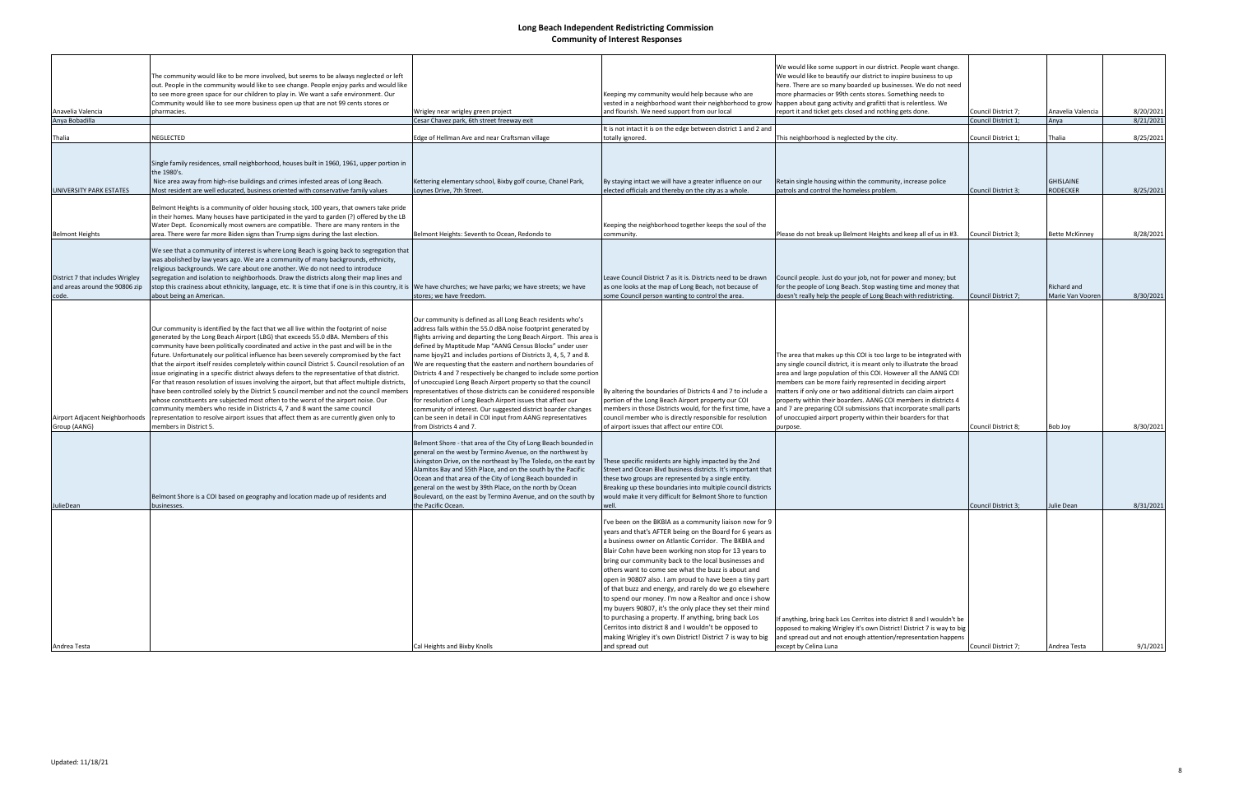|                                                                             | The community would like to be more involved, but seems to be always neglected or left<br>out. People in the community would like to see change. People enjoy parks and would like<br>to see more green space for our children to play in. We want a safe environment. Our                                                                                                                                                                                                                                                                                                                                                                                                                                                                                                                                                                                                                                                                                                                                                                                  |                                                                                                                                                                                                                                                                                                                                                                                                                                                                                                                                                                                                                                                                                                                                                                                                                                           | Keeping my community would help because who are                                                                                                                                                                                                                                                                                                                                                                                                                                                                                                                                                                                                                                                                                                                                                | We would like some support in our district. People want change.<br>We would like to beautify our district to inspire business to up<br>here. There are so many boarded up businesses. We do not need<br>more pharmacies or 99th cents stores. Something needs to                                                                                                                                                                                                                                                                                                      |                     |                                 |           |
|-----------------------------------------------------------------------------|-------------------------------------------------------------------------------------------------------------------------------------------------------------------------------------------------------------------------------------------------------------------------------------------------------------------------------------------------------------------------------------------------------------------------------------------------------------------------------------------------------------------------------------------------------------------------------------------------------------------------------------------------------------------------------------------------------------------------------------------------------------------------------------------------------------------------------------------------------------------------------------------------------------------------------------------------------------------------------------------------------------------------------------------------------------|-------------------------------------------------------------------------------------------------------------------------------------------------------------------------------------------------------------------------------------------------------------------------------------------------------------------------------------------------------------------------------------------------------------------------------------------------------------------------------------------------------------------------------------------------------------------------------------------------------------------------------------------------------------------------------------------------------------------------------------------------------------------------------------------------------------------------------------------|------------------------------------------------------------------------------------------------------------------------------------------------------------------------------------------------------------------------------------------------------------------------------------------------------------------------------------------------------------------------------------------------------------------------------------------------------------------------------------------------------------------------------------------------------------------------------------------------------------------------------------------------------------------------------------------------------------------------------------------------------------------------------------------------|-----------------------------------------------------------------------------------------------------------------------------------------------------------------------------------------------------------------------------------------------------------------------------------------------------------------------------------------------------------------------------------------------------------------------------------------------------------------------------------------------------------------------------------------------------------------------|---------------------|---------------------------------|-----------|
| Anavelia Valencia                                                           | Community would like to see more business open up that are not 99 cents stores or<br>pharmacies.                                                                                                                                                                                                                                                                                                                                                                                                                                                                                                                                                                                                                                                                                                                                                                                                                                                                                                                                                            | Wrigley near wrigley green project                                                                                                                                                                                                                                                                                                                                                                                                                                                                                                                                                                                                                                                                                                                                                                                                        | vested in a neighborhood want their neighborhood to grov<br>and flourish. We need support from our local                                                                                                                                                                                                                                                                                                                                                                                                                                                                                                                                                                                                                                                                                       | happen about gang activity and grafitti that is relentless. We<br>report it and ticket gets closed and nothing gets done.                                                                                                                                                                                                                                                                                                                                                                                                                                             | Council District 7; | Anavelia Valencia               | 8/20/2021 |
| Anya Bobadilla                                                              |                                                                                                                                                                                                                                                                                                                                                                                                                                                                                                                                                                                                                                                                                                                                                                                                                                                                                                                                                                                                                                                             | Cesar Chavez park, 6th street freeway exit                                                                                                                                                                                                                                                                                                                                                                                                                                                                                                                                                                                                                                                                                                                                                                                                |                                                                                                                                                                                                                                                                                                                                                                                                                                                                                                                                                                                                                                                                                                                                                                                                |                                                                                                                                                                                                                                                                                                                                                                                                                                                                                                                                                                       | Council District 1  | Anya                            | 8/21/2021 |
|                                                                             |                                                                                                                                                                                                                                                                                                                                                                                                                                                                                                                                                                                                                                                                                                                                                                                                                                                                                                                                                                                                                                                             |                                                                                                                                                                                                                                                                                                                                                                                                                                                                                                                                                                                                                                                                                                                                                                                                                                           | It is not intact it is on the edge between district 1 and 2 and                                                                                                                                                                                                                                                                                                                                                                                                                                                                                                                                                                                                                                                                                                                                |                                                                                                                                                                                                                                                                                                                                                                                                                                                                                                                                                                       |                     |                                 |           |
| Thalia                                                                      | NEGLECTED                                                                                                                                                                                                                                                                                                                                                                                                                                                                                                                                                                                                                                                                                                                                                                                                                                                                                                                                                                                                                                                   | Edge of Hellman Ave and near Craftsman village                                                                                                                                                                                                                                                                                                                                                                                                                                                                                                                                                                                                                                                                                                                                                                                            | totally ignored                                                                                                                                                                                                                                                                                                                                                                                                                                                                                                                                                                                                                                                                                                                                                                                | This neighborhood is neglected by the city                                                                                                                                                                                                                                                                                                                                                                                                                                                                                                                            | Council District 1  | <b>Thalia</b>                   | 8/25/2021 |
|                                                                             | Single family residences, small neighborhood, houses built in 1960, 1961, upper portion in<br>the 1980's.<br>Nice area away from high-rise buildings and crimes infested areas of Long Beach.                                                                                                                                                                                                                                                                                                                                                                                                                                                                                                                                                                                                                                                                                                                                                                                                                                                               | Kettering elementary school, Bixby golf course, Chanel Park,                                                                                                                                                                                                                                                                                                                                                                                                                                                                                                                                                                                                                                                                                                                                                                              | By staying intact we will have a greater influence on our                                                                                                                                                                                                                                                                                                                                                                                                                                                                                                                                                                                                                                                                                                                                      | Retain single housing within the community, increase police                                                                                                                                                                                                                                                                                                                                                                                                                                                                                                           |                     | <b>GHISLAINE</b>                |           |
| UNIVERSITY PARK ESTATES                                                     | Most resident are well educated, business oriented with conservative family values                                                                                                                                                                                                                                                                                                                                                                                                                                                                                                                                                                                                                                                                                                                                                                                                                                                                                                                                                                          | Loynes Drive, 7th Street.                                                                                                                                                                                                                                                                                                                                                                                                                                                                                                                                                                                                                                                                                                                                                                                                                 | elected officials and thereby on the city as a whole.                                                                                                                                                                                                                                                                                                                                                                                                                                                                                                                                                                                                                                                                                                                                          | patrols and control the homeless problem.                                                                                                                                                                                                                                                                                                                                                                                                                                                                                                                             | Council District 3; | <b>RODECKER</b>                 | 8/25/2021 |
|                                                                             | Belmont Heights is a community of older housing stock, 100 years, that owners take pride<br>in their homes. Many houses have participated in the yard to garden (?) offered by the LB<br>Water Dept. Economically most owners are compatible. There are many renters in the                                                                                                                                                                                                                                                                                                                                                                                                                                                                                                                                                                                                                                                                                                                                                                                 |                                                                                                                                                                                                                                                                                                                                                                                                                                                                                                                                                                                                                                                                                                                                                                                                                                           | Keeping the neighborhood together keeps the soul of the                                                                                                                                                                                                                                                                                                                                                                                                                                                                                                                                                                                                                                                                                                                                        |                                                                                                                                                                                                                                                                                                                                                                                                                                                                                                                                                                       | Council District 3; | <b>Bette McKinnev</b>           | 8/28/2021 |
| <b>Belmont Heights</b>                                                      | area. There were far more Biden signs than Trump signs during the last election.                                                                                                                                                                                                                                                                                                                                                                                                                                                                                                                                                                                                                                                                                                                                                                                                                                                                                                                                                                            | Belmont Heights: Seventh to Ocean, Redondo to                                                                                                                                                                                                                                                                                                                                                                                                                                                                                                                                                                                                                                                                                                                                                                                             | community.                                                                                                                                                                                                                                                                                                                                                                                                                                                                                                                                                                                                                                                                                                                                                                                     | Please do not break up Belmont Heights and keep all of us in #3.                                                                                                                                                                                                                                                                                                                                                                                                                                                                                                      |                     |                                 |           |
| District 7 that includes Wrigley<br>and areas around the 90806 zip<br>code. | We see that a community of interest is where Long Beach is going back to segregation that<br>was abolished by law years ago. We are a community of many backgrounds, ethnicity,<br>religious backgrounds. We care about one another. We do not need to introduce<br>segregation and isolation to neighborhoods. Draw the districts along their map lines and<br>stop this craziness about ethnicity, language, etc. It is time that if one is in this country, it is  We have churches; we have parks; we have streets; we have<br>about being an American.                                                                                                                                                                                                                                                                                                                                                                                                                                                                                                 | stores; we have freedom.                                                                                                                                                                                                                                                                                                                                                                                                                                                                                                                                                                                                                                                                                                                                                                                                                  | Leave Council District 7 as it is. Districts need to be drawn<br>as one looks at the map of Long Beach, not because of<br>some Council person wanting to control the area.                                                                                                                                                                                                                                                                                                                                                                                                                                                                                                                                                                                                                     | Council people. Just do your job, not for power and money; but<br>for the people of Long Beach. Stop wasting time and money that<br>doesn't really help the people of Long Beach with redistricting.                                                                                                                                                                                                                                                                                                                                                                  | Council District 7; | Richard and<br>Marie Van Vooren | 8/30/2021 |
| Airport Adjacent Neighborhoods<br>Group (AANG)                              | Our community is identified by the fact that we all live within the footprint of noise<br>generated by the Long Beach Airport (LBG) that exceeds 55.0 dBA. Members of this<br>community have been politically coordinated and active in the past and will be in the<br>future. Unfortunately our political influence has been severely compromised by the fact<br>that the airport itself resides completely within council District 5. Council resolution of an<br>issue originating in a specific district always defers to the representative of that district.<br>For that reason resolution of issues involving the airport, but that affect multiple districts,<br>have been controlled solely by the District 5 council member and not the council members<br>whose constituents are subjected most often to the worst of the airport noise. Our<br>community members who reside in Districts 4, 7 and 8 want the same council<br>representation to resolve airport issues that affect them as are currently given only to<br>members in District 5. | Our community is defined as all Long Beach residents who's<br>address falls within the 55.0 dBA noise footprint generated by<br>flights arriving and departing the Long Beach Airport. This area is<br>defined by Maptitude Map "AANG Census Blocks" under user<br>name bjoy21 and includes portions of Districts 3, 4, 5, 7 and 8.<br>We are requesting that the eastern and northern boundaries of<br>Districts 4 and 7 respectively be changed to include some portion<br>of unoccupied Long Beach Airport property so that the council<br>representatives of those districts can be considered responsible<br>for resolution of Long Beach Airport issues that affect our<br>community of interest. Our suggested district boarder changes<br>can be seen in detail in COI input from AANG representatives<br>from Districts 4 and 7. | By altering the boundaries of Districts 4 and 7 to include a<br>portion of the Long Beach Airport property our COI<br>members in those Districts would, for the first time, have a<br>council member who is directly responsible for resolution<br>of airport issues that affect our entire COI.                                                                                                                                                                                                                                                                                                                                                                                                                                                                                               | The area that makes up this COI is too large to be integrated with<br>any single council district, it is meant only to illustrate the broad<br>area and large population of this COI. However all the AANG COI<br>members can be more fairly represented in deciding airport<br>matters if only one or two additional districts can claim airport<br>property within their boarders. AANG COI members in districts 4<br>and 7 are preparing COI submissions that incorporate small parts<br>of unoccupied airport property within their boarders for that<br>purpose. | Council District 8; | Bob Joy                         | 8/30/2021 |
| JulieDean                                                                   | Belmont Shore is a COI based on geography and location made up of residents and<br>businesses.                                                                                                                                                                                                                                                                                                                                                                                                                                                                                                                                                                                                                                                                                                                                                                                                                                                                                                                                                              | Belmont Shore - that area of the City of Long Beach bounded in<br>general on the west by Termino Avenue, on the northwest by<br>Livingston Drive, on the northeast by The Toledo, on the east by<br>Alamitos Bay and 55th Place, and on the south by the Pacific<br>Ocean and that area of the City of Long Beach bounded in<br>general on the west by 39th Place, on the north by Ocean<br>Boulevard, on the east by Termino Avenue, and on the south by<br>the Pacific Ocean.                                                                                                                                                                                                                                                                                                                                                           | These specific residents are highly impacted by the 2nd<br>Street and Ocean Blvd business districts. It's important that<br>these two groups are represented by a single entity.<br>Breaking up these boundaries into multiple council districts<br>would make it very difficult for Belmont Shore to function<br>well.                                                                                                                                                                                                                                                                                                                                                                                                                                                                        |                                                                                                                                                                                                                                                                                                                                                                                                                                                                                                                                                                       | Council District 3; | Julie Dean                      | 8/31/2021 |
| Andrea Testa                                                                |                                                                                                                                                                                                                                                                                                                                                                                                                                                                                                                                                                                                                                                                                                                                                                                                                                                                                                                                                                                                                                                             | Cal Heights and Bixby Knolls                                                                                                                                                                                                                                                                                                                                                                                                                                                                                                                                                                                                                                                                                                                                                                                                              | I've been on the BKBIA as a community liaison now for 9<br>years and that's AFTER being on the Board for 6 years as<br>a business owner on Atlantic Corridor. The BKBIA and<br>Blair Cohn have been working non stop for 13 years to<br>bring our community back to the local businesses and<br>others want to come see what the buzz is about and<br>open in 90807 also. I am proud to have been a tiny part<br>of that buzz and energy, and rarely do we go elsewhere<br>to spend our money. I'm now a Realtor and once i show<br>my buyers 90807, it's the only place they set their mind<br>to purchasing a property. If anything, bring back Los<br>Cerritos into district 8 and I wouldn't be opposed to<br>making Wrigley it's own District! District 7 is way to big<br>and spread out | If anything, bring back Los Cerritos into district 8 and I wouldn't be<br>opposed to making Wrigley it's own District! District 7 is way to big<br>and spread out and not enough attention/representation happens<br>except by Celina Luna                                                                                                                                                                                                                                                                                                                            | Council District 7; | Andrea Testa                    | 9/1/2021  |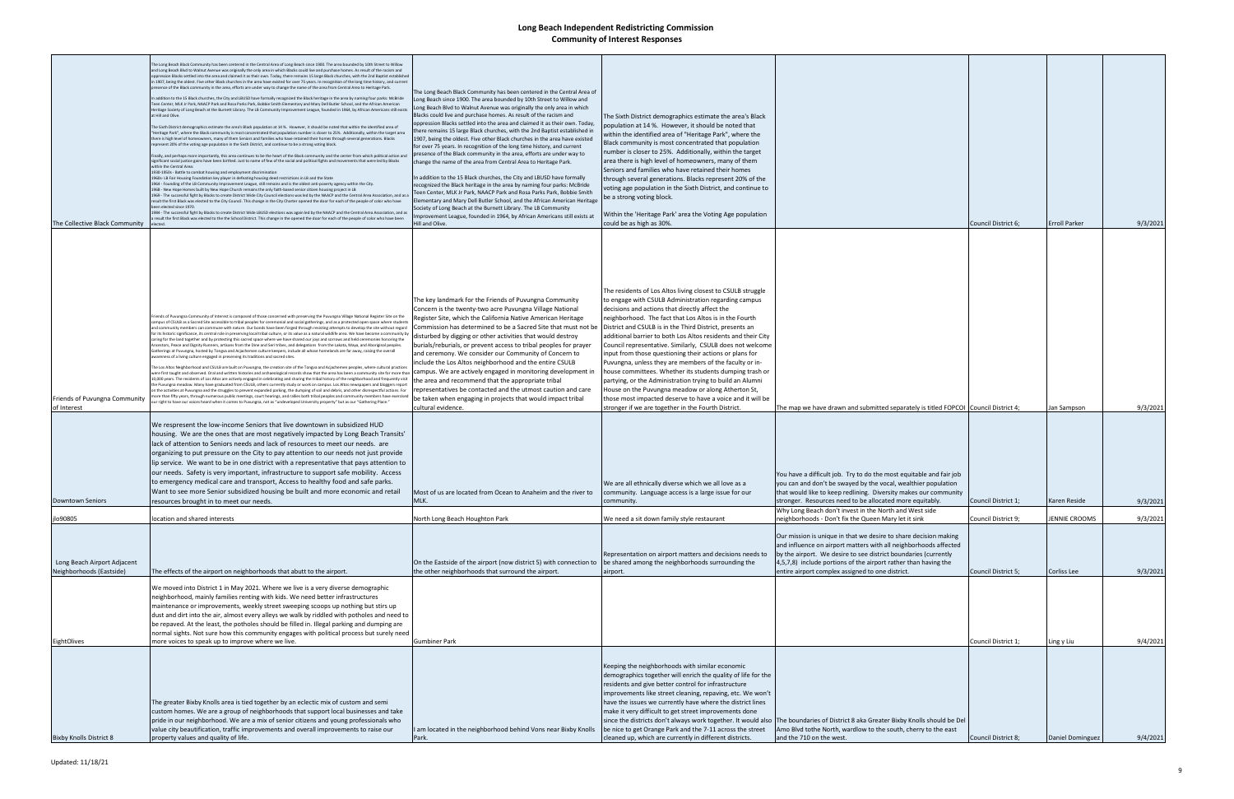| The Collective Black Community                                      | The Long Beach Black Community has been centered in the Central Area of Long Beach since 1900. The area bounded by 10th Street to Willow<br>and Long Beach Blvd to Walnut Avenue was originally the only area in which Blacks could live and purchase homes. As result of the racism and<br>oppression Blacks settled into the area and claimed it as their own. Today, there remains 15 large Black churches, with the 2nd Baptist established<br>n 1907, being the oldest. Five other Black churches in the area have existed for over 75 years. In recognition of the long time history, and current<br>presence of the Black community in the area, efforts are under way to change the name of the area from Central Area to Heritage Park.<br>In addition to the 15 Black churches, the City and LBUSD have formally recognized the Black heritage in the area by naming four parks: McBride<br>Teen Center, MLK Jr Park, NAACP Park and Rosa Parks Park, Bobbie Smith Elementary and Mary Dell Butler School, and the African American<br>Heritage Society of Long Beach at the Burnett Library. The LB Community Improvement League, founded in 1964, by African Americans still exists<br>at Hill and Olive.<br>The Sixth District demographics estimate the area's Black population at 14%. However, it should be noted that within the identified area of<br>Heritage Park", where the Black community is most concentrated that population number is closer to 25%. Additionally, within the target area<br>there is high level of homeowners, many of them Seniors and families who have retained their homes through several generations. Blacks<br>represent 20% of the voting age population in the Sixth District, and continue to be a strong voting block.<br>Finally, and perhaps more importantly, this area continues to be the heart of the Black community and the center from which political action and<br>significant social justice gains have been birthed. Just to name of few of the social and political fights and movements that were led by Blacks<br>within the Central Area<br>1930-1950s - Battle to combat housing and employment discrimination<br>1960s-LB Fair Housing Foundation key player in defeating housing deed restrictions in LB and the State<br>1964 - Founding of the LB Community Improvement League, still remains and is the oldest anti-poverty agency within the City.<br>1968 - New Hope Homes built by New Hope Church remains the only faith-based senior citizen housing project in LB<br>1969 - The successful fight by Blacks to create District Wide City Council elections was led by the NAACP and the Central Area Association, and as a<br>result the first Black was elected to the City Council. This change in the City Charter opened the door for each of the people of color who have<br>been elected since 1970.<br>1984 - The successful fight by Blacks to create District Wide LBUSD elections was again led by the NAACP and the Central Area Association, and as<br>result the first Black was elected to the the School District. This change in the opened the door for each of the people of color who have been | The Long Beach Black Community has been centered in the Central Area of<br>ong Beach since 1900. The area bounded by 10th Street to Willow and<br>Long Beach Blvd to Walnut Avenue was originally the only area in which<br>Blacks could live and purchase homes. As result of the racism and<br>oppression Blacks settled into the area and claimed it as their own. Today,<br>there remains 15 large Black churches, with the 2nd Baptist established ir<br>1907, being the oldest. Five other Black churches in the area have existed<br>for over 75 years. In recognition of the long time history, and current<br>presence of the Black community in the area, efforts are under way to<br>change the name of the area from Central Area to Heritage Park.<br>In addition to the 15 Black churches, the City and LBUSD have formally<br>recognized the Black heritage in the area by naming four parks: McBride<br>Teen Center, MLK Jr Park, NAACP Park and Rosa Parks Park, Bobbie Smith<br>Elementary and Mary Dell Butler School, and the African American Heritage<br>Society of Long Beach at the Burnett Library. The LB Community<br>mprovement League, founded in 1964, by African Americans still exists at<br>Hill and Olive. | The Sixth District demographics estimate the area's Black<br>opulation at 14 %. However, it should be noted that<br>within the identified area of "Heritage Park", where the<br>Black community is most concentrated that population<br>number is closer to 25%. Additionally, within the target<br>area there is high level of homeowners, many of them<br>Seniors and families who have retained their homes<br>through several generations. Blacks represent 20% of the<br>voting age population in the Sixth District, and continue to<br>be a strong voting block.<br>Within the 'Heritage Park' area the Voting Age population<br>could be as high as 30%.                                                                                                                                                                                   |                                                                                                                                                                                                                                                                                                                                                                                        | Council District 6;                        | <b>Erroll Parker</b>                | 9/3/2021             |
|---------------------------------------------------------------------|-------------------------------------------------------------------------------------------------------------------------------------------------------------------------------------------------------------------------------------------------------------------------------------------------------------------------------------------------------------------------------------------------------------------------------------------------------------------------------------------------------------------------------------------------------------------------------------------------------------------------------------------------------------------------------------------------------------------------------------------------------------------------------------------------------------------------------------------------------------------------------------------------------------------------------------------------------------------------------------------------------------------------------------------------------------------------------------------------------------------------------------------------------------------------------------------------------------------------------------------------------------------------------------------------------------------------------------------------------------------------------------------------------------------------------------------------------------------------------------------------------------------------------------------------------------------------------------------------------------------------------------------------------------------------------------------------------------------------------------------------------------------------------------------------------------------------------------------------------------------------------------------------------------------------------------------------------------------------------------------------------------------------------------------------------------------------------------------------------------------------------------------------------------------------------------------------------------------------------------------------------------------------------------------------------------------------------------------------------------------------------------------------------------------------------------------------------------------------------------------------------------------------------------------------------------------------------------------------------------------------------------------------------------------------------------------------------------------------------------------------------------------------------------------------------------------------------------------------------------------------------------------------------------------------------------------------------------------------------------------------------------------------------------------------------------------------------------------------------------------------------------------------------------------------------------------------------|----------------------------------------------------------------------------------------------------------------------------------------------------------------------------------------------------------------------------------------------------------------------------------------------------------------------------------------------------------------------------------------------------------------------------------------------------------------------------------------------------------------------------------------------------------------------------------------------------------------------------------------------------------------------------------------------------------------------------------------------------------------------------------------------------------------------------------------------------------------------------------------------------------------------------------------------------------------------------------------------------------------------------------------------------------------------------------------------------------------------------------------------------------------------------------------------------------------------------------------------|----------------------------------------------------------------------------------------------------------------------------------------------------------------------------------------------------------------------------------------------------------------------------------------------------------------------------------------------------------------------------------------------------------------------------------------------------------------------------------------------------------------------------------------------------------------------------------------------------------------------------------------------------------------------------------------------------------------------------------------------------------------------------------------------------------------------------------------------------|----------------------------------------------------------------------------------------------------------------------------------------------------------------------------------------------------------------------------------------------------------------------------------------------------------------------------------------------------------------------------------------|--------------------------------------------|-------------------------------------|----------------------|
| Friends of Puvungna Community<br>of Interest                        | Friends of Puvungna Community of Interest is composed of those concerned with preserving the Puvungna Village National Register Site on the<br>campus of CSULB as a Sacred Site accessible to tribal peoples for ceremonial and social gatherings, and as a protected open space where students<br>and community members can commune with nature. Our bonds have been forged through resisting attempts to develop the site without regard<br>for its historic significance, its central role in preserving local tribal culture, or its value as a natural wildlife area. We have become a community by<br>caring for the land together and by protecting this sacred space where we have shared our joys and sorrows and held ceremonies honoring the<br>Ancestors, Peace and Dignity Runners, artisans from the Dine and Seri tribes, and delegations from the Lakota, Maya, and Aboriginal peoples.<br>Gatherings at Puvungna, hosted by Tongva and Acjachemen culture keepers, include all whose homelands are far away, raising the overall<br>wareness of a living culture engaged in preserving its traditions and sacred sites.<br>The Los Altos Neighborhood and CSULB are built on Puvungna, the creation site of the Tongva and Acjachemen peoples, where cultural practices<br>were first taught and observed. Oral and written histories and archaeological records show that the area has been a community site for more than   campus. We are actively engaged in monitoring development in<br>10,000 years. The residents of Los Altos are actively engaged in celebrating and sharing the tribal history of the neighborhood and frequently visit<br>the Puvungna meadow. Many have graduated from CSULB, others currently study or work on campus. Los Altos newspapers and bloggers report<br>on the activities at Puvungna and the struggles to prevent expanded parking, the dumping of soil and debris, and other disrespectful actions. For<br>re than fifty years, through numerous public meetings, court hearings, and rallies both tribal peoples and community members have exercised<br>right to have our voices heard when it comes to Puvungna, not as "undeveloped University property" but as our "Gathering Place."                                                                                                                                                                                                                                                                                                                                                                                                                                                                                                                                                                                                                                                                                                                                                                                                                                                                                                                                                | The key landmark for the Friends of Puvungna Community<br>Concern is the twenty-two acre Puvungna Village National<br>Register Site, which the California Native American Heritage<br>Commission has determined to be a Sacred Site that must not be<br>disturbed by digging or other activities that would destroy<br>burials/reburials, or prevent access to tribal peoples for prayer<br>and ceremony. We consider our Community of Concern to<br>include the Los Altos neighborhood and the entire CSULB<br>the area and recommend that the appropriate tribal<br>representatives be contacted and the utmost caution and care<br>be taken when engaging in projects that would impact tribal<br>cultural evidence.                                                                                                                                                                                                                                                                                                                                                                                                                                                                                                                      | The residents of Los Altos living closest to CSULB struggle<br>to engage with CSULB Administration regarding campus<br>decisions and actions that directly affect the<br>neighborhood. The fact that Los Altos is in the Fourth<br>District and CSULB is in the Third District, presents an<br>additional barrier to both Los Altos residents and their City<br>Council representative. Similarly, CSULB does not welcome<br>input from those questioning their actions or plans for<br>Puvungna, unless they are members of the faculty or in-<br>house committees. Whether its students dumping trash or<br>partying, or the Administration trying to build an Alumni<br>House on the Puvungna meadow or along Atherton St,<br>those most impacted deserve to have a voice and it will be<br>stronger if we are together in the Fourth District. | The map we have drawn and submitted separately is titled FOPCOI Council District 4;                                                                                                                                                                                                                                                                                                    |                                            | Jan Sampson                         | 9/3/2021             |
| Downtown Seniors                                                    | We respresent the low-income Seniors that live downtown in subsidized HUD<br>housing. We are the ones that are most negatively impacted by Long Beach Transits'<br>lack of attention to Seniors needs and lack of resources to meet our needs. are<br>organizing to put pressure on the City to pay attention to our needs not just provide<br>lip service. We want to be in one district with a representative that pays attention to<br>our needs. Safety is very important, infrastructure to support safe mobility. Access<br>to emergency medical care and transport, Access to healthy food and safe parks.<br>Want to see more Senior subsidized housing be built and more economic and retail<br>resources brought in to meet our needs.                                                                                                                                                                                                                                                                                                                                                                                                                                                                                                                                                                                                                                                                                                                                                                                                                                                                                                                                                                                                                                                                                                                                                                                                                                                                                                                                                                                                                                                                                                                                                                                                                                                                                                                                                                                                                                                                                                                                                                                                                                                                                                                                                                                                                                                                                                                                                                                                                                                      | Most of us are located from Ocean to Anaheim and the river to                                                                                                                                                                                                                                                                                                                                                                                                                                                                                                                                                                                                                                                                                                                                                                                                                                                                                                                                                                                                                                                                                                                                                                                | We are all ethnically diverse which we all love as a<br>community. Language access is a large issue for our<br>ommunity.                                                                                                                                                                                                                                                                                                                                                                                                                                                                                                                                                                                                                                                                                                                           | You have a difficult job. Try to do the most equitable and fair job<br>you can and don't be swayed by the vocal, wealthier population<br>that would like to keep redlining. Diversity makes our community<br>stronger. Resources need to be allocated more equitably.                                                                                                                  | Council District 1;                        | Karen Reside                        | 9/3/2021             |
|                                                                     |                                                                                                                                                                                                                                                                                                                                                                                                                                                                                                                                                                                                                                                                                                                                                                                                                                                                                                                                                                                                                                                                                                                                                                                                                                                                                                                                                                                                                                                                                                                                                                                                                                                                                                                                                                                                                                                                                                                                                                                                                                                                                                                                                                                                                                                                                                                                                                                                                                                                                                                                                                                                                                                                                                                                                                                                                                                                                                                                                                                                                                                                                                                                                                                                       |                                                                                                                                                                                                                                                                                                                                                                                                                                                                                                                                                                                                                                                                                                                                                                                                                                                                                                                                                                                                                                                                                                                                                                                                                                              |                                                                                                                                                                                                                                                                                                                                                                                                                                                                                                                                                                                                                                                                                                                                                                                                                                                    | Why Long Beach don't invest in the North and West side                                                                                                                                                                                                                                                                                                                                 |                                            |                                     |                      |
| jlo90805<br>Long Beach Airport Adjacent<br>Neighborhoods (Eastside) | location and shared interests<br>The effects of the airport on neighborhoods that abutt to the airport.                                                                                                                                                                                                                                                                                                                                                                                                                                                                                                                                                                                                                                                                                                                                                                                                                                                                                                                                                                                                                                                                                                                                                                                                                                                                                                                                                                                                                                                                                                                                                                                                                                                                                                                                                                                                                                                                                                                                                                                                                                                                                                                                                                                                                                                                                                                                                                                                                                                                                                                                                                                                                                                                                                                                                                                                                                                                                                                                                                                                                                                                                               | North Long Beach Houghton Park<br>On the Eastside of the airport (now district 5) with connection to<br>the other neighborhoods that surround the airport.                                                                                                                                                                                                                                                                                                                                                                                                                                                                                                                                                                                                                                                                                                                                                                                                                                                                                                                                                                                                                                                                                   | We need a sit down family style restaurant<br>Representation on airport matters and decisions needs to<br>be shared among the neighborhoods surrounding the<br>airport.                                                                                                                                                                                                                                                                                                                                                                                                                                                                                                                                                                                                                                                                            | neighborhoods - Don't fix the Queen Mary let it sink<br>Our mission is unique in that we desire to share decision making<br>and influence on airport matters with all neighborhoods affected<br>by the airport. We desire to see district boundaries (currently<br>4,5,7,8) include portions of the airport rather than having the<br>entire airport complex assigned to one district. | Council District 9;<br>Council District 5; | <b>JENNIE CROOMS</b><br>Corliss Lee | 9/3/2021<br>9/3/2021 |
| EightOlives                                                         | We moved into District 1 in May 2021. Where we live is a very diverse demographic<br>neighborhood, mainly families renting with kids. We need better infrastructures<br>maintenance or improvements, weekly street sweeping scoops up nothing but stirs up<br>dust and dirt into the air, almost every alleys we walk by riddled with potholes and need to<br>be repaved. At the least, the potholes should be filled in. Illegal parking and dumping are<br>normal sights. Not sure how this community engages with political process but surely need<br>more voices to speak up to improve where we live.                                                                                                                                                                                                                                                                                                                                                                                                                                                                                                                                                                                                                                                                                                                                                                                                                                                                                                                                                                                                                                                                                                                                                                                                                                                                                                                                                                                                                                                                                                                                                                                                                                                                                                                                                                                                                                                                                                                                                                                                                                                                                                                                                                                                                                                                                                                                                                                                                                                                                                                                                                                           | <b>Gumbiner Park</b>                                                                                                                                                                                                                                                                                                                                                                                                                                                                                                                                                                                                                                                                                                                                                                                                                                                                                                                                                                                                                                                                                                                                                                                                                         |                                                                                                                                                                                                                                                                                                                                                                                                                                                                                                                                                                                                                                                                                                                                                                                                                                                    |                                                                                                                                                                                                                                                                                                                                                                                        | Council District 1;                        | Ling y Liu                          | 9/4/2021             |
| <b>Bixby Knolls District 8</b>                                      | The greater Bixby Knolls area is tied together by an eclectic mix of custom and semi<br>custom homes. We are a group of neighborhoods that support local businesses and take<br>pride in our neighborhood. We are a mix of senior citizens and young professionals who<br>value city beautification, traffic improvements and overall improvements to raise our<br>property values and quality of life.                                                                                                                                                                                                                                                                                                                                                                                                                                                                                                                                                                                                                                                                                                                                                                                                                                                                                                                                                                                                                                                                                                                                                                                                                                                                                                                                                                                                                                                                                                                                                                                                                                                                                                                                                                                                                                                                                                                                                                                                                                                                                                                                                                                                                                                                                                                                                                                                                                                                                                                                                                                                                                                                                                                                                                                               | I am located in the neighborhood behind Vons near Bixby Knolls<br>Park.                                                                                                                                                                                                                                                                                                                                                                                                                                                                                                                                                                                                                                                                                                                                                                                                                                                                                                                                                                                                                                                                                                                                                                      | Keeping the neighborhoods with similar economic<br>demographics together will enrich the quality of life for the<br>residents and give better control for infrastructure<br>improvements like street cleaning, repaving, etc. We won't<br>have the issues we currently have where the district lines<br>make it very difficult to get street improvements done<br>be nice to get Orange Park and the 7-11 across the street<br>cleaned up, which are currently in different districts.                                                                                                                                                                                                                                                                                                                                                             | since the districts don't always work together. It would also   The boundaries of District 8 aka Greater Bixby Knolls should be Del<br>Amo Blvd tothe North, wardlow to the south, cherry to the east<br>and the 710 on the west.                                                                                                                                                      | Council District 8;                        | Daniel Dominguez                    | 9/4/2021             |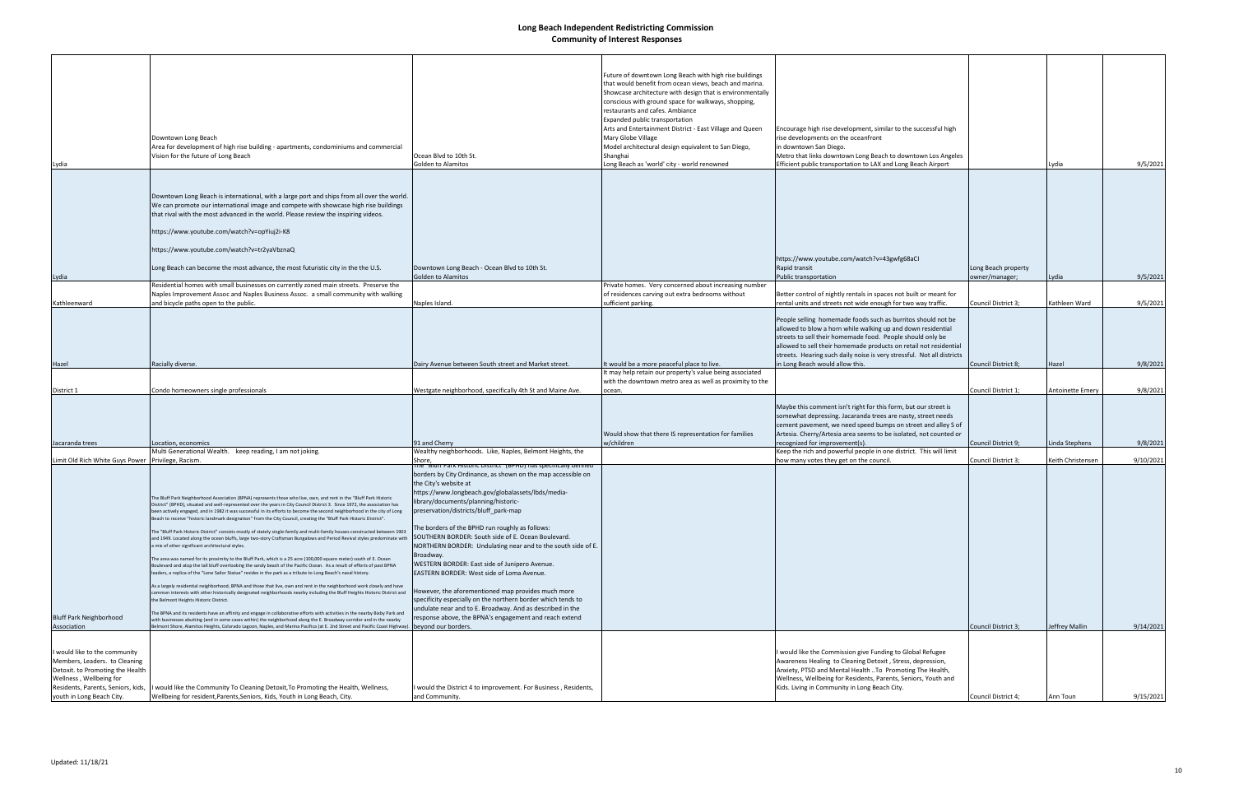| Lydia                                                                                                                                                                                            | Downtown Long Beach<br>Area for development of high rise building - apartments, condominiums and commercial<br>Vision for the future of Long Beach                                                                                                                                                                                                                                                                                                                                                                                                                                                                                                                                                                                                                                                                                                                                                                                                                                                                                                                                                                                                                                                                                                                                                                                                                                                                                                                                                                                                                                                                                                                                                                                                                                                                                                                                  | Ocean Blvd to 10th St.<br>Golden to Alamitos                                                                                                                                                                                                                                                                                                                                                                                                                                                                                                                                                                                                                                                                                                                                         | Future of downtown Long Beach with high rise buildings<br>that would benefit from ocean views, beach and marina.<br>Showcase architecture with design that is environmentally<br>conscious with ground space for walkways, shopping,<br>restaurants and cafes. Ambiance<br>Expanded public transportation<br>Arts and Entertainment District - East Village and Queen<br>Mary Globe Village<br>Model architectural design equivalent to San Diego,<br>Shanghai<br>Long Beach as 'world' city - world renowned | Encourage high rise development, similar to the successful high<br>rise developments on the oceanfront<br>in downtown San Diego.<br>Metro that links downtown Long Beach to downtown Los Angeles<br>Efficient public transportation to LAX and Long Beach Airport                                                                                                            |                                       | Lydia             | 9/5/2021  |
|--------------------------------------------------------------------------------------------------------------------------------------------------------------------------------------------------|-------------------------------------------------------------------------------------------------------------------------------------------------------------------------------------------------------------------------------------------------------------------------------------------------------------------------------------------------------------------------------------------------------------------------------------------------------------------------------------------------------------------------------------------------------------------------------------------------------------------------------------------------------------------------------------------------------------------------------------------------------------------------------------------------------------------------------------------------------------------------------------------------------------------------------------------------------------------------------------------------------------------------------------------------------------------------------------------------------------------------------------------------------------------------------------------------------------------------------------------------------------------------------------------------------------------------------------------------------------------------------------------------------------------------------------------------------------------------------------------------------------------------------------------------------------------------------------------------------------------------------------------------------------------------------------------------------------------------------------------------------------------------------------------------------------------------------------------------------------------------------------|--------------------------------------------------------------------------------------------------------------------------------------------------------------------------------------------------------------------------------------------------------------------------------------------------------------------------------------------------------------------------------------------------------------------------------------------------------------------------------------------------------------------------------------------------------------------------------------------------------------------------------------------------------------------------------------------------------------------------------------------------------------------------------------|---------------------------------------------------------------------------------------------------------------------------------------------------------------------------------------------------------------------------------------------------------------------------------------------------------------------------------------------------------------------------------------------------------------------------------------------------------------------------------------------------------------|------------------------------------------------------------------------------------------------------------------------------------------------------------------------------------------------------------------------------------------------------------------------------------------------------------------------------------------------------------------------------|---------------------------------------|-------------------|-----------|
|                                                                                                                                                                                                  |                                                                                                                                                                                                                                                                                                                                                                                                                                                                                                                                                                                                                                                                                                                                                                                                                                                                                                                                                                                                                                                                                                                                                                                                                                                                                                                                                                                                                                                                                                                                                                                                                                                                                                                                                                                                                                                                                     |                                                                                                                                                                                                                                                                                                                                                                                                                                                                                                                                                                                                                                                                                                                                                                                      |                                                                                                                                                                                                                                                                                                                                                                                                                                                                                                               |                                                                                                                                                                                                                                                                                                                                                                              |                                       |                   |           |
|                                                                                                                                                                                                  | Downtown Long Beach is international, with a large port and ships from all over the world.<br>We can promote our international image and compete with showcase high rise buildings<br>that rival with the most advanced in the world. Please review the inspiring videos.<br>https://www.youtube.com/watch?v=opYiuj2i-K8                                                                                                                                                                                                                                                                                                                                                                                                                                                                                                                                                                                                                                                                                                                                                                                                                                                                                                                                                                                                                                                                                                                                                                                                                                                                                                                                                                                                                                                                                                                                                            |                                                                                                                                                                                                                                                                                                                                                                                                                                                                                                                                                                                                                                                                                                                                                                                      |                                                                                                                                                                                                                                                                                                                                                                                                                                                                                                               |                                                                                                                                                                                                                                                                                                                                                                              |                                       |                   |           |
|                                                                                                                                                                                                  |                                                                                                                                                                                                                                                                                                                                                                                                                                                                                                                                                                                                                                                                                                                                                                                                                                                                                                                                                                                                                                                                                                                                                                                                                                                                                                                                                                                                                                                                                                                                                                                                                                                                                                                                                                                                                                                                                     |                                                                                                                                                                                                                                                                                                                                                                                                                                                                                                                                                                                                                                                                                                                                                                                      |                                                                                                                                                                                                                                                                                                                                                                                                                                                                                                               |                                                                                                                                                                                                                                                                                                                                                                              |                                       |                   |           |
|                                                                                                                                                                                                  | https://www.youtube.com/watch?v=tr2yaVbznaQ                                                                                                                                                                                                                                                                                                                                                                                                                                                                                                                                                                                                                                                                                                                                                                                                                                                                                                                                                                                                                                                                                                                                                                                                                                                                                                                                                                                                                                                                                                                                                                                                                                                                                                                                                                                                                                         |                                                                                                                                                                                                                                                                                                                                                                                                                                                                                                                                                                                                                                                                                                                                                                                      |                                                                                                                                                                                                                                                                                                                                                                                                                                                                                                               | https://www.youtube.com/watch?v=43gwfg68aCI                                                                                                                                                                                                                                                                                                                                  |                                       |                   |           |
|                                                                                                                                                                                                  | Long Beach can become the most advance, the most futuristic city in the the U.S.                                                                                                                                                                                                                                                                                                                                                                                                                                                                                                                                                                                                                                                                                                                                                                                                                                                                                                                                                                                                                                                                                                                                                                                                                                                                                                                                                                                                                                                                                                                                                                                                                                                                                                                                                                                                    | Downtown Long Beach - Ocean Blvd to 10th St.<br><b>Golden to Alamitos</b>                                                                                                                                                                                                                                                                                                                                                                                                                                                                                                                                                                                                                                                                                                            |                                                                                                                                                                                                                                                                                                                                                                                                                                                                                                               | Rapid transit<br>Public transportation                                                                                                                                                                                                                                                                                                                                       | Long Beach property<br>owner/manager; | Lydia             | 9/5/2021  |
| Lydia                                                                                                                                                                                            | Residential homes with small businesses on currently zoned main streets. Preserve the                                                                                                                                                                                                                                                                                                                                                                                                                                                                                                                                                                                                                                                                                                                                                                                                                                                                                                                                                                                                                                                                                                                                                                                                                                                                                                                                                                                                                                                                                                                                                                                                                                                                                                                                                                                               |                                                                                                                                                                                                                                                                                                                                                                                                                                                                                                                                                                                                                                                                                                                                                                                      | Private homes. Very concerned about increasing number                                                                                                                                                                                                                                                                                                                                                                                                                                                         |                                                                                                                                                                                                                                                                                                                                                                              |                                       |                   |           |
|                                                                                                                                                                                                  | Naples Improvement Assoc and Naples Business Assoc. a small community with walking                                                                                                                                                                                                                                                                                                                                                                                                                                                                                                                                                                                                                                                                                                                                                                                                                                                                                                                                                                                                                                                                                                                                                                                                                                                                                                                                                                                                                                                                                                                                                                                                                                                                                                                                                                                                  |                                                                                                                                                                                                                                                                                                                                                                                                                                                                                                                                                                                                                                                                                                                                                                                      | of residences carving out extra bedrooms without                                                                                                                                                                                                                                                                                                                                                                                                                                                              | Better control of nightly rentals in spaces not built or meant for                                                                                                                                                                                                                                                                                                           |                                       |                   |           |
| Kathleenward                                                                                                                                                                                     | and bicycle paths open to the public.                                                                                                                                                                                                                                                                                                                                                                                                                                                                                                                                                                                                                                                                                                                                                                                                                                                                                                                                                                                                                                                                                                                                                                                                                                                                                                                                                                                                                                                                                                                                                                                                                                                                                                                                                                                                                                               | Naples Island.                                                                                                                                                                                                                                                                                                                                                                                                                                                                                                                                                                                                                                                                                                                                                                       | sufficient parking.                                                                                                                                                                                                                                                                                                                                                                                                                                                                                           | rental units and streets not wide enough for two way traffic.                                                                                                                                                                                                                                                                                                                | Council District 3;                   | Kathleen Ward     | 9/5/2021  |
| Hazel                                                                                                                                                                                            | Racially diverse.                                                                                                                                                                                                                                                                                                                                                                                                                                                                                                                                                                                                                                                                                                                                                                                                                                                                                                                                                                                                                                                                                                                                                                                                                                                                                                                                                                                                                                                                                                                                                                                                                                                                                                                                                                                                                                                                   | Dairy Avenue between South street and Market street.                                                                                                                                                                                                                                                                                                                                                                                                                                                                                                                                                                                                                                                                                                                                 | It would be a more peaceful place to live.                                                                                                                                                                                                                                                                                                                                                                                                                                                                    | People selling homemade foods such as burritos should not be<br>allowed to blow a horn while walking up and down residential<br>streets to sell their homemade food. People should only be<br>allowed to sell their homemade products on retail not residential<br>streets. Hearing such daily noise is very stressful. Not all districts<br>in Long Beach would allow this. | Council District 8;                   | Hazel             | 9/8/2021  |
|                                                                                                                                                                                                  |                                                                                                                                                                                                                                                                                                                                                                                                                                                                                                                                                                                                                                                                                                                                                                                                                                                                                                                                                                                                                                                                                                                                                                                                                                                                                                                                                                                                                                                                                                                                                                                                                                                                                                                                                                                                                                                                                     |                                                                                                                                                                                                                                                                                                                                                                                                                                                                                                                                                                                                                                                                                                                                                                                      | It may help retain our property's value being associated                                                                                                                                                                                                                                                                                                                                                                                                                                                      |                                                                                                                                                                                                                                                                                                                                                                              |                                       |                   |           |
|                                                                                                                                                                                                  |                                                                                                                                                                                                                                                                                                                                                                                                                                                                                                                                                                                                                                                                                                                                                                                                                                                                                                                                                                                                                                                                                                                                                                                                                                                                                                                                                                                                                                                                                                                                                                                                                                                                                                                                                                                                                                                                                     |                                                                                                                                                                                                                                                                                                                                                                                                                                                                                                                                                                                                                                                                                                                                                                                      | with the downtown metro area as well as proximity to the                                                                                                                                                                                                                                                                                                                                                                                                                                                      |                                                                                                                                                                                                                                                                                                                                                                              |                                       |                   |           |
| District 1                                                                                                                                                                                       | Condo homeowners single professionals                                                                                                                                                                                                                                                                                                                                                                                                                                                                                                                                                                                                                                                                                                                                                                                                                                                                                                                                                                                                                                                                                                                                                                                                                                                                                                                                                                                                                                                                                                                                                                                                                                                                                                                                                                                                                                               | Westgate neighborhood, specifically 4th St and Maine Ave.                                                                                                                                                                                                                                                                                                                                                                                                                                                                                                                                                                                                                                                                                                                            | ocean.                                                                                                                                                                                                                                                                                                                                                                                                                                                                                                        |                                                                                                                                                                                                                                                                                                                                                                              | Council District 1;                   | Antoinette Emery  | 9/8/2021  |
| Jacaranda trees                                                                                                                                                                                  | Location, economics                                                                                                                                                                                                                                                                                                                                                                                                                                                                                                                                                                                                                                                                                                                                                                                                                                                                                                                                                                                                                                                                                                                                                                                                                                                                                                                                                                                                                                                                                                                                                                                                                                                                                                                                                                                                                                                                 | 91 and Cherry                                                                                                                                                                                                                                                                                                                                                                                                                                                                                                                                                                                                                                                                                                                                                                        | Would show that there IS representation for families<br>w/children                                                                                                                                                                                                                                                                                                                                                                                                                                            | Maybe this comment isn't right for this form, but our street is<br>somewhat depressing. Jacaranda trees are nasty, street needs<br>cement pavement, we need speed bumps on street and alley S of<br>Artesia. Cherry/Artesia area seems to be isolated, not counted or<br>recognized for improvement(s).                                                                      | Council District 9;                   | Linda Stephens    | 9/8/2021  |
|                                                                                                                                                                                                  | Multi Generational Wealth. keep reading, I am not joking.                                                                                                                                                                                                                                                                                                                                                                                                                                                                                                                                                                                                                                                                                                                                                                                                                                                                                                                                                                                                                                                                                                                                                                                                                                                                                                                                                                                                                                                                                                                                                                                                                                                                                                                                                                                                                           | Wealthy neighborhoods. Like, Naples, Belmont Heights, the                                                                                                                                                                                                                                                                                                                                                                                                                                                                                                                                                                                                                                                                                                                            |                                                                                                                                                                                                                                                                                                                                                                                                                                                                                                               | Keep the rich and powerful people in one district. This will limit                                                                                                                                                                                                                                                                                                           |                                       |                   |           |
| Limit Old Rich White Guys Power Privilege, Racism.                                                                                                                                               |                                                                                                                                                                                                                                                                                                                                                                                                                                                                                                                                                                                                                                                                                                                                                                                                                                                                                                                                                                                                                                                                                                                                                                                                                                                                                                                                                                                                                                                                                                                                                                                                                                                                                                                                                                                                                                                                                     | Shore,<br>ine "Bium Park Historic District" (BPHD) has specifically defined                                                                                                                                                                                                                                                                                                                                                                                                                                                                                                                                                                                                                                                                                                          |                                                                                                                                                                                                                                                                                                                                                                                                                                                                                                               | how many votes they get on the council                                                                                                                                                                                                                                                                                                                                       | Council District 3;                   | Keith Christensen | 9/10/2021 |
| <b>Bluff Park Neighborhood</b><br>Association                                                                                                                                                    | The Bluff Park Neighborhood Association (BPNA) represents those who live, own, and rent in the "Bluff Park Historic<br>District" (BPHD), situated and well-represented over the years in City Council District 3. Since 1972, the association has<br>been actively engaged, and in 1982 it was successful in its efforts to become the second neighborhood in the city of Long<br>Beach to receive "historic landmark designation" from the City Council, creating the "Bluff Park Historic District".<br>The "Bluff Park Historic District" consists mostly of stately single-family and multi-family houses constructed between 1903<br>and 1949. Located along the ocean bluffs, large two-story Craftsman Bungalows and Period Revival styles predominate with<br>mix of other significant architectural styles.<br>The area was named for its proximity to the Bluff Park, which is a 25 acre (100,000 square meter) south of E. Ocean<br>Boulevard and atop the tall bluff overlooking the sandy beach of the Pacific Ocean. As a result of efforts of past BPNA<br>leaders, a replica of the "Lone Sailor Statue" resides in the park as a tribute to Long Beach's naval history.<br>As a largely residential neighborhood, BPNA and those that live, own and rent in the neighborhood work closely and have<br>common interests with other historically designated neighborhoods nearby including the Bluff Heights Historic District and<br>the Belmont Heights Historic District.<br>The BPNA and its residents have an affinity and engage in collaborative efforts with activities in the nearby Bixby Park and<br>with businesses abutting (and in some cases within) the neighborhood along the E. Broadway corridor and in the nearby<br>Belmont Shore, Alamitos Heights, Colorado Lagoon, Naples, and Marina Pacifica (at E. 2nd Street and Pacific Coast Highway). | borders by City Ordinance, as shown on the map accessible on<br>the City's website at<br>https://www.longbeach.gov/globalassets/lbds/media-<br>library/documents/planning/historic-<br>preservation/districts/bluff_park-map<br>The borders of the BPHD run roughly as follows:<br>SOUTHERN BORDER: South side of E. Ocean Boulevard.<br>NORTHERN BORDER: Undulating near and to the south side of E.<br>Broadway.<br>WESTERN BORDER: East side of Junipero Avenue.<br>EASTERN BORDER: West side of Loma Avenue.<br>However, the aforementioned map provides much more<br>specificity especially on the northern border which tends to<br>undulate near and to E. Broadway. And as described in the<br>response above, the BPNA's engagement and reach extend<br>beyond our borders. |                                                                                                                                                                                                                                                                                                                                                                                                                                                                                                               |                                                                                                                                                                                                                                                                                                                                                                              | Council District 3;                   | Jeffrey Mallin    | 9/14/2021 |
| I would like to the community<br>Members, Leaders. to Cleaning<br>Detoxit. to Promoting the Health<br>Wellness, Wellbeing for<br>Residents, Parents, Seniors, kids,<br>youth in Long Beach City. | would like the Community To Cleaning Detoxit, To Promoting the Health, Wellness,<br>Wellbeing for resident, Parents, Seniors, Kids, Youth in Long Beach, City.                                                                                                                                                                                                                                                                                                                                                                                                                                                                                                                                                                                                                                                                                                                                                                                                                                                                                                                                                                                                                                                                                                                                                                                                                                                                                                                                                                                                                                                                                                                                                                                                                                                                                                                      | I would the District 4 to improvement. For Business , Residents,<br>and Community.                                                                                                                                                                                                                                                                                                                                                                                                                                                                                                                                                                                                                                                                                                   |                                                                                                                                                                                                                                                                                                                                                                                                                                                                                                               | would like the Commission give Funding to Global Refugee<br>Awareness Healing to Cleaning Detoxit, Stress, depression,<br>Anxiety, PTSD and Mental Health To Promoting The Health,<br>Wellness, Wellbeing for Residents, Parents, Seniors, Youth and<br>Kids. Living in Community in Long Beach City.                                                                        | Council District 4;                   | Ann Toun          |           |
|                                                                                                                                                                                                  |                                                                                                                                                                                                                                                                                                                                                                                                                                                                                                                                                                                                                                                                                                                                                                                                                                                                                                                                                                                                                                                                                                                                                                                                                                                                                                                                                                                                                                                                                                                                                                                                                                                                                                                                                                                                                                                                                     |                                                                                                                                                                                                                                                                                                                                                                                                                                                                                                                                                                                                                                                                                                                                                                                      |                                                                                                                                                                                                                                                                                                                                                                                                                                                                                                               |                                                                                                                                                                                                                                                                                                                                                                              |                                       |                   | 9/15/2021 |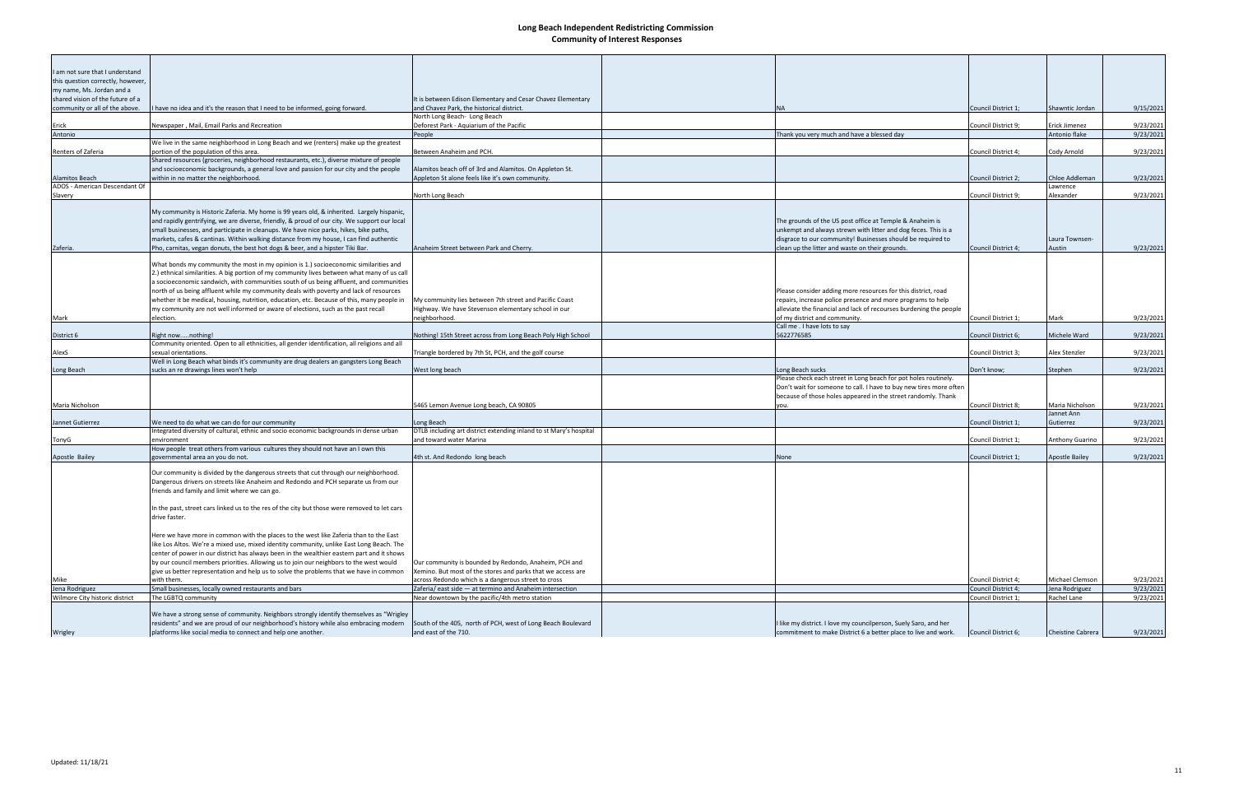| I am not sure that I understand   |                                                                                                                                 |                                                                    |                                                                    |                     |                                |           |
|-----------------------------------|---------------------------------------------------------------------------------------------------------------------------------|--------------------------------------------------------------------|--------------------------------------------------------------------|---------------------|--------------------------------|-----------|
| this question correctly, however, |                                                                                                                                 |                                                                    |                                                                    |                     |                                |           |
| my name, Ms. Jordan and a         |                                                                                                                                 |                                                                    |                                                                    |                     |                                |           |
| shared vision of the future of a  |                                                                                                                                 |                                                                    |                                                                    |                     |                                |           |
|                                   |                                                                                                                                 | It is between Edison Elementary and Cesar Chavez Elementary        |                                                                    |                     |                                |           |
| community or all of the above.    | have no idea and it's the reason that I need to be informed, going forward.                                                     | and Chavez Park, the historical district.                          | <b>NA</b>                                                          | Council District 1; | Shawntic Jordan                | 9/15/2021 |
|                                   |                                                                                                                                 | North Long Beach- Long Beach                                       |                                                                    |                     |                                |           |
| Erick                             | Newspaper, Mail, Email Parks and Recreation                                                                                     | Deforest Park - Aquiarium of the Pacific                           |                                                                    | Council District 9; | Erick Jimenez<br>Antonio flake | 9/23/2021 |
| Antonio                           |                                                                                                                                 | People                                                             | Thank you very much and have a blessed day                         |                     |                                | 9/23/2021 |
| Renters of Zaferia                | We live in the same neighborhood in Long Beach and we (renters) make up the greatest<br>portion of the population of this area. | Between Anaheim and PCH.                                           |                                                                    |                     |                                |           |
|                                   | Shared resources (groceries, neighborhood restaurants, etc.), diverse mixture of people                                         |                                                                    |                                                                    | Council District 4; | Cody Arnold                    | 9/23/2021 |
|                                   |                                                                                                                                 | Alamitos beach off of 3rd and Alamitos. On Appleton St.            |                                                                    |                     |                                |           |
| <b>Alamitos Beach</b>             | and socioeconomic backgrounds, a general love and passion for our city and the people<br>within in no matter the neighborhood.  | Appleton St alone feels like it's own community.                   |                                                                    | Council District 2; | Chloe Addleman                 | 9/23/2021 |
| ADOS - American Descendant Of     |                                                                                                                                 |                                                                    |                                                                    |                     | Lawrence                       |           |
|                                   |                                                                                                                                 |                                                                    |                                                                    | Council District 9; | Alexander                      | 9/23/2021 |
| Slavery                           |                                                                                                                                 | North Long Beach                                                   |                                                                    |                     |                                |           |
|                                   | My community is Historic Zaferia. My home is 99 years old, & inherited. Largely hispanic,                                       |                                                                    |                                                                    |                     |                                |           |
|                                   | and rapidly gentrifying, we are diverse, friendly, & proud of our city. We support our local                                    |                                                                    | The grounds of the US post office at Temple & Anaheim is           |                     |                                |           |
|                                   | small businesses, and participate in cleanups. We have nice parks, hikes, bike paths,                                           |                                                                    | unkempt and always strewn with litter and dog feces. This is a     |                     |                                |           |
|                                   | markets, cafes & cantinas. Within walking distance from my house, I can find authentic                                          |                                                                    | disgrace to our community! Businesses should be required to        |                     | Laura Townsen-                 |           |
|                                   |                                                                                                                                 |                                                                    |                                                                    | Council District 4; | Austin                         |           |
| Zaferia.                          | Pho, carnitas, vegan donuts, the best hot dogs & beer, and a hipster Tiki Bar.                                                  | Anaheim Street between Park and Cherry.                            | clean up the litter and waste on their grounds.                    |                     |                                | 9/23/2021 |
|                                   | What bonds my community the most in my opinion is 1.) socioeconomic similarities and                                            |                                                                    |                                                                    |                     |                                |           |
|                                   | 2.) ethnical similarities. A big portion of my community lives between what many of us call                                     |                                                                    |                                                                    |                     |                                |           |
|                                   |                                                                                                                                 |                                                                    |                                                                    |                     |                                |           |
|                                   | a socioeconomic sandwich, with communities south of us being affluent, and communities                                          |                                                                    |                                                                    |                     |                                |           |
|                                   | north of us being affluent while my community deals with poverty and lack of resources                                          |                                                                    | Please consider adding more resources for this district, road      |                     |                                |           |
|                                   | whether it be medical, housing, nutrition, education, etc. Because of this, many people in                                      | My community lies between 7th street and Pacific Coast             | repairs, increase police presence and more programs to help        |                     |                                |           |
|                                   | my community are not well informed or aware of elections, such as the past recall                                               | Highway. We have Stevenson elementary school in our                | alleviate the financial and lack of recourses burdening the people |                     |                                |           |
| Mark                              | election.                                                                                                                       | neighborhood.                                                      | of my district and community.                                      | Council District 1; | Mark                           | 9/23/2021 |
|                                   |                                                                                                                                 |                                                                    | Call me . I have lots to say                                       |                     |                                |           |
| District 6                        | Right nownothing!                                                                                                               | Nothing! 15th Street across from Long Beach Poly High School       | 5622776585                                                         | Council District 6; | Michele Ward                   | 9/23/2021 |
|                                   | Community oriented. Open to all ethnicities, all gender identification, all religions and all                                   |                                                                    |                                                                    |                     |                                |           |
| AlexS                             | sexual orientations.                                                                                                            | Triangle bordered by 7th St, PCH, and the golf course              |                                                                    | Council District 3; | Alex Stenzler                  | 9/23/2021 |
|                                   | Well in Long Beach what binds it's community are drug dealers an gangsters Long Beach                                           |                                                                    |                                                                    |                     |                                |           |
| Long Beach                        | sucks an re drawings lines won't help                                                                                           | West long beach                                                    | Long Beach sucks                                                   | Don't know;         | Stephen                        | 9/23/2021 |
|                                   |                                                                                                                                 |                                                                    | Please check each street in Long beach for pot holes routinely.    |                     |                                |           |
|                                   |                                                                                                                                 |                                                                    | Don't wait for someone to call. I have to buy new tires more often |                     |                                |           |
|                                   |                                                                                                                                 |                                                                    | because of those holes appeared in the street randomly. Thank      |                     |                                |           |
| Maria Nicholson                   |                                                                                                                                 | 5465 Lemon Avenue Long beach, CA 90805                             | you.                                                               | Council District 8; | Maria Nicholson                | 9/23/2021 |
|                                   |                                                                                                                                 |                                                                    |                                                                    |                     | Jannet Ann                     |           |
| Jannet Gutierrez                  | We need to do what we can do for our community                                                                                  | Long Beach                                                         |                                                                    | Council District 1; | Gutierrez                      | 9/23/2021 |
|                                   | Integrated diversity of cultural, ethnic and socio economic backgrounds in dense urban                                          | DTLB including art district extending inland to st Mary's hospital |                                                                    |                     |                                |           |
| TonyG                             | environment                                                                                                                     | and toward water Marina                                            |                                                                    | Council District 1; | <b>Anthony Guarino</b>         | 9/23/2021 |
|                                   | How people treat others from various cultures they should not have an I own this                                                |                                                                    |                                                                    |                     |                                |           |
| Apostle Bailey                    | governmental area an you do not.                                                                                                | 4th st. And Redondo long beach                                     | None                                                               | Council District 1; | Apostle Bailey                 | 9/23/2021 |
|                                   |                                                                                                                                 |                                                                    |                                                                    |                     |                                |           |
|                                   | Our community is divided by the dangerous streets that cut through our neighborhood.                                            |                                                                    |                                                                    |                     |                                |           |
|                                   | Dangerous drivers on streets like Anaheim and Redondo and PCH separate us from our                                              |                                                                    |                                                                    |                     |                                |           |
|                                   | friends and family and limit where we can go.                                                                                   |                                                                    |                                                                    |                     |                                |           |
|                                   |                                                                                                                                 |                                                                    |                                                                    |                     |                                |           |
|                                   | In the past, street cars linked us to the res of the city but those were removed to let cars                                    |                                                                    |                                                                    |                     |                                |           |
|                                   | drive faster.                                                                                                                   |                                                                    |                                                                    |                     |                                |           |
|                                   |                                                                                                                                 |                                                                    |                                                                    |                     |                                |           |
|                                   | Here we have more in common with the places to the west like Zaferia than to the East                                           |                                                                    |                                                                    |                     |                                |           |
|                                   | like Los Altos. We're a mixed use, mixed identity community, unlike East Long Beach. The                                        |                                                                    |                                                                    |                     |                                |           |
|                                   | center of power in our district has always been in the wealthier eastern part and it shows                                      |                                                                    |                                                                    |                     |                                |           |
|                                   | by our council members priorities. Allowing us to join our neighbors to the west would                                          | Our community is bounded by Redondo, Anaheim, PCH and              |                                                                    |                     |                                |           |
|                                   | give us better representation and help us to solve the problems that we have in common                                          | Xemino. But most of the stores and parks that we access are        |                                                                    |                     |                                |           |
| Mike                              | with them.                                                                                                                      | across Redondo which is a dangerous street to cross                |                                                                    | Council District 4; | Michael Clemson                | 9/23/2021 |
| Jena Rodriguez                    | Small businesses, locally owned restaurants and bars                                                                            | Zaferia/east side - at termino and Anaheim intersection            |                                                                    | Council District 4; | Jena Rodriguez                 | 9/23/2021 |
| Wilmore City historic district    | The LGBTQ community                                                                                                             | Near downtown by the pacific/4th metro station                     |                                                                    | Council District 1; | Rachel Lane                    | 9/23/2021 |
|                                   |                                                                                                                                 |                                                                    |                                                                    |                     |                                |           |
|                                   | We have a strong sense of community. Neighbors strongly identify themselves as "Wrigley"                                        |                                                                    |                                                                    |                     |                                |           |
|                                   | residents" and we are proud of our neighborhood's history while also embracing modern                                           | South of the 405, north of PCH, west of Long Beach Boulevard       | I like my district. I love my councilperson, Suely Saro, and her   |                     |                                |           |
| Wrigley                           | platforms like social media to connect and help one another.                                                                    | and east of the 710.                                               | commitment to make District 6 a better place to live and work.     | Council District 6; | <b>Cheistine Cabrera</b>       | 9/23/2021 |
|                                   |                                                                                                                                 |                                                                    |                                                                    |                     |                                |           |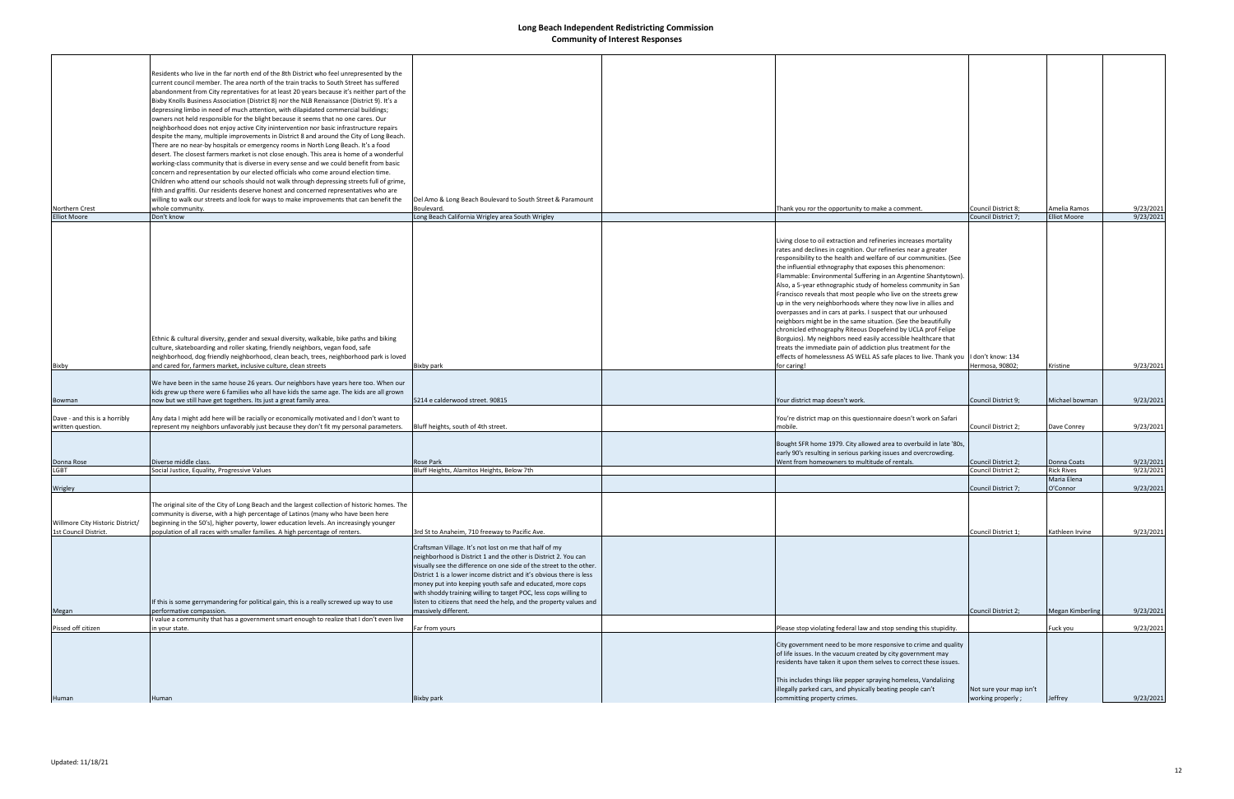|                                  | Residents who live in the far north end of the 8th District who feel unrepresented by the                                                                                          |                                                                                            |                                                                                                                                |                                            |                         |                        |
|----------------------------------|------------------------------------------------------------------------------------------------------------------------------------------------------------------------------------|--------------------------------------------------------------------------------------------|--------------------------------------------------------------------------------------------------------------------------------|--------------------------------------------|-------------------------|------------------------|
|                                  | current council member. The area north of the train tracks to South Street has suffered                                                                                            |                                                                                            |                                                                                                                                |                                            |                         |                        |
|                                  | abandonment from City reprentatives for at least 20 years because it's neither part of the                                                                                         |                                                                                            |                                                                                                                                |                                            |                         |                        |
|                                  | Bixby Knolls Business Association (District 8) nor the NLB Renaissance (District 9). It's a                                                                                        |                                                                                            |                                                                                                                                |                                            |                         |                        |
|                                  | depressing limbo in need of much attention, with dilapidated commercial buildings;                                                                                                 |                                                                                            |                                                                                                                                |                                            |                         |                        |
|                                  | owners not held responsible for the blight because it seems that no one cares. Our                                                                                                 |                                                                                            |                                                                                                                                |                                            |                         |                        |
|                                  | neighborhood does not enjoy active City inintervention nor basic infrastructure repairs                                                                                            |                                                                                            |                                                                                                                                |                                            |                         |                        |
|                                  | despite the many, multiple improvements in District 8 and around the City of Long Beach.                                                                                           |                                                                                            |                                                                                                                                |                                            |                         |                        |
|                                  | There are no near-by hospitals or emergency rooms in North Long Beach. It's a food                                                                                                 |                                                                                            |                                                                                                                                |                                            |                         |                        |
|                                  | desert. The closest farmers market is not close enough. This area is home of a wonderful<br>working-class community that is diverse in every sense and we could benefit from basic |                                                                                            |                                                                                                                                |                                            |                         |                        |
|                                  | concern and representation by our elected officials who come around election time.                                                                                                 |                                                                                            |                                                                                                                                |                                            |                         |                        |
|                                  | Children who attend our schools should not walk through depressing streets full of grime,                                                                                          |                                                                                            |                                                                                                                                |                                            |                         |                        |
|                                  | filth and graffiti. Our residents deserve honest and concerned representatives who are                                                                                             |                                                                                            |                                                                                                                                |                                            |                         |                        |
|                                  | willing to walk our streets and look for ways to make improvements that can benefit the                                                                                            | Del Amo & Long Beach Boulevard to South Street & Paramount                                 |                                                                                                                                |                                            |                         |                        |
| Northern Crest                   | whole community.                                                                                                                                                                   | Boulevard.                                                                                 | Thank you ror the opportunity to make a comment.                                                                               | Council District 8;                        | Amelia Ramos            | 9/23/2021              |
| <b>Elliot Moore</b>              | Don't know                                                                                                                                                                         | Long Beach California Wrigley area South Wrigley                                           |                                                                                                                                | Council District 7;                        | <b>Elliot Moore</b>     | 9/23/2021              |
|                                  |                                                                                                                                                                                    |                                                                                            |                                                                                                                                |                                            |                         |                        |
|                                  |                                                                                                                                                                                    |                                                                                            | Living close to oil extraction and refineries increases mortality                                                              |                                            |                         |                        |
|                                  |                                                                                                                                                                                    |                                                                                            | rates and declines in cognition. Our refineries near a greater                                                                 |                                            |                         |                        |
|                                  |                                                                                                                                                                                    |                                                                                            | responsibility to the health and welfare of our communities. (See                                                              |                                            |                         |                        |
|                                  |                                                                                                                                                                                    |                                                                                            | the influential ethnography that exposes this phenomenon:                                                                      |                                            |                         |                        |
|                                  |                                                                                                                                                                                    |                                                                                            | Flammable: Environmental Suffering in an Argentine Shantytown).                                                                |                                            |                         |                        |
|                                  |                                                                                                                                                                                    |                                                                                            | Also, a 5-year ethnographic study of homeless community in San                                                                 |                                            |                         |                        |
|                                  |                                                                                                                                                                                    |                                                                                            | Francisco reveals that most people who live on the streets grew                                                                |                                            |                         |                        |
|                                  |                                                                                                                                                                                    |                                                                                            | up in the very neighborhoods where they now live in allies and                                                                 |                                            |                         |                        |
|                                  |                                                                                                                                                                                    |                                                                                            | overpasses and in cars at parks. I suspect that our unhoused<br>neighbors might be in the same situation. (See the beautifully |                                            |                         |                        |
|                                  |                                                                                                                                                                                    |                                                                                            | chronicled ethnography Riteous Dopefeind by UCLA prof Felipe                                                                   |                                            |                         |                        |
|                                  | Ethnic & cultural diversity, gender and sexual diversity, walkable, bike paths and biking                                                                                          |                                                                                            | Borguios). My neighbors need easily accessible healthcare that                                                                 |                                            |                         |                        |
|                                  | culture, skateboarding and roller skating, friendly neighbors, vegan food, safe                                                                                                    |                                                                                            | treats the immediate pain of addiction plus treatment for the                                                                  |                                            |                         |                        |
|                                  | neighborhood, dog friendly neighborhood, clean beach, trees, neighborhood park is loved                                                                                            |                                                                                            | effects of homelessness AS WELL AS safe places to live. Thank you I don't know: 134                                            |                                            |                         |                        |
| Bixby                            | and cared for, farmers market, inclusive culture, clean streets                                                                                                                    | Bixby park                                                                                 | for caring!                                                                                                                    | Hermosa, 90802;                            | Kristine                | 9/23/2021              |
|                                  |                                                                                                                                                                                    |                                                                                            |                                                                                                                                |                                            |                         |                        |
|                                  | We have been in the same house 26 years. Our neighbors have years here too. When our                                                                                               |                                                                                            |                                                                                                                                |                                            |                         |                        |
| Bowman                           | kids grew up there were 6 families who all have kids the same age. The kids are all grown<br>now but we still have get togethers. Its just a great family area.                    | 5214 e calderwood street. 90815                                                            | Your district map doesn't work.                                                                                                | Council District 9;                        | Michael bowman          | 9/23/2021              |
|                                  |                                                                                                                                                                                    |                                                                                            |                                                                                                                                |                                            |                         |                        |
| Dave - and this is a horribly    | Any data I might add here will be racially or economically motivated and I don't want to                                                                                           |                                                                                            | You're district map on this questionnaire doesn't work on Safari                                                               |                                            |                         |                        |
| written question.                | represent my neighbors unfavorably just because they don't fit my personal parameters.                                                                                             | Bluff heights, south of 4th street.                                                        | mobile.                                                                                                                        | Council District 2;                        | Dave Conrey             | 9/23/2021              |
|                                  |                                                                                                                                                                                    |                                                                                            |                                                                                                                                |                                            |                         |                        |
|                                  |                                                                                                                                                                                    |                                                                                            | Bought SFR home 1979. City allowed area to overbuild in late '80s,                                                             |                                            |                         |                        |
|                                  | Diverse middle class.                                                                                                                                                              |                                                                                            | early 90's resulting in serious parking issues and overcrowding.<br>Went from homeowners to multitude of rentals.              |                                            | Donna Coats             |                        |
| Donna Rose<br><b>LGBT</b>        | Social Justice, Equality, Progressive Values                                                                                                                                       | <b>Rose Park</b><br>Bluff Heights, Alamitos Heights, Below 7th                             |                                                                                                                                | Council District 2;<br>Council District 2; | <b>Rick Rives</b>       | 9/23/2021<br>9/23/2021 |
|                                  |                                                                                                                                                                                    |                                                                                            |                                                                                                                                |                                            | Maria Elena             |                        |
| Wrigley                          |                                                                                                                                                                                    |                                                                                            |                                                                                                                                | Council District 7;                        | O'Connor                | 9/23/2021              |
|                                  |                                                                                                                                                                                    |                                                                                            |                                                                                                                                |                                            |                         |                        |
|                                  | The original site of the City of Long Beach and the largest collection of historic homes. The                                                                                      |                                                                                            |                                                                                                                                |                                            |                         |                        |
|                                  | community is diverse, with a high percentage of Latinos (many who have been here                                                                                                   |                                                                                            |                                                                                                                                |                                            |                         |                        |
| Willmore City Historic District/ | beginning in the 50's), higher poverty, lower education levels. An increasingly younger<br>population of all races with smaller families. A high percentage of renters.            |                                                                                            |                                                                                                                                |                                            | Kathleen Irvine         |                        |
| 1st Council District.            |                                                                                                                                                                                    | 3rd St to Anaheim, 710 freeway to Pacific Ave.                                             |                                                                                                                                | Council District 1;                        |                         | 9/23/2021              |
|                                  |                                                                                                                                                                                    | Craftsman Village. It's not lost on me that half of my                                     |                                                                                                                                |                                            |                         |                        |
|                                  |                                                                                                                                                                                    | neighborhood is District 1 and the other is District 2. You can                            |                                                                                                                                |                                            |                         |                        |
|                                  |                                                                                                                                                                                    | visually see the difference on one side of the street to the other.                        |                                                                                                                                |                                            |                         |                        |
|                                  |                                                                                                                                                                                    | District 1 is a lower income district and it's obvious there is less                       |                                                                                                                                |                                            |                         |                        |
|                                  |                                                                                                                                                                                    | money put into keeping youth safe and educated, more cops                                  |                                                                                                                                |                                            |                         |                        |
|                                  |                                                                                                                                                                                    | with shoddy training willing to target POC, less cops willing to                           |                                                                                                                                |                                            |                         |                        |
|                                  | If this is some gerrymandering for political gain, this is a really screwed up way to use<br>performative compassion.                                                              | listen to citizens that need the help, and the property values and<br>massively different. |                                                                                                                                | Council District 2;                        | <b>Megan Kimberling</b> | 9/23/2021              |
| Megan                            | value a community that has a government smart enough to realize that I don't even live                                                                                             |                                                                                            |                                                                                                                                |                                            |                         |                        |
| Pissed off citizen               | in your state.                                                                                                                                                                     | Far from yours                                                                             | Please stop violating federal law and stop sending this stupidity.                                                             |                                            | Fuck you                | 9/23/2021              |
|                                  |                                                                                                                                                                                    |                                                                                            |                                                                                                                                |                                            |                         |                        |
|                                  |                                                                                                                                                                                    |                                                                                            | City government need to be more responsive to crime and quality                                                                |                                            |                         |                        |
|                                  |                                                                                                                                                                                    |                                                                                            | of life issues. In the vacuum created by city government may                                                                   |                                            |                         |                        |
|                                  |                                                                                                                                                                                    |                                                                                            | residents have taken it upon them selves to correct these issues.                                                              |                                            |                         |                        |
|                                  |                                                                                                                                                                                    |                                                                                            | This includes things like pepper spraying homeless, Vandalizing                                                                |                                            |                         |                        |
|                                  |                                                                                                                                                                                    |                                                                                            | illegally parked cars, and physically beating people can't                                                                     | Not sure your map isn't                    |                         |                        |
| Human                            | Human                                                                                                                                                                              | Bixby park                                                                                 | committing property crimes.                                                                                                    | working properly;                          | Jeffrey                 | 9/23/2021              |
|                                  |                                                                                                                                                                                    |                                                                                            |                                                                                                                                |                                            |                         |                        |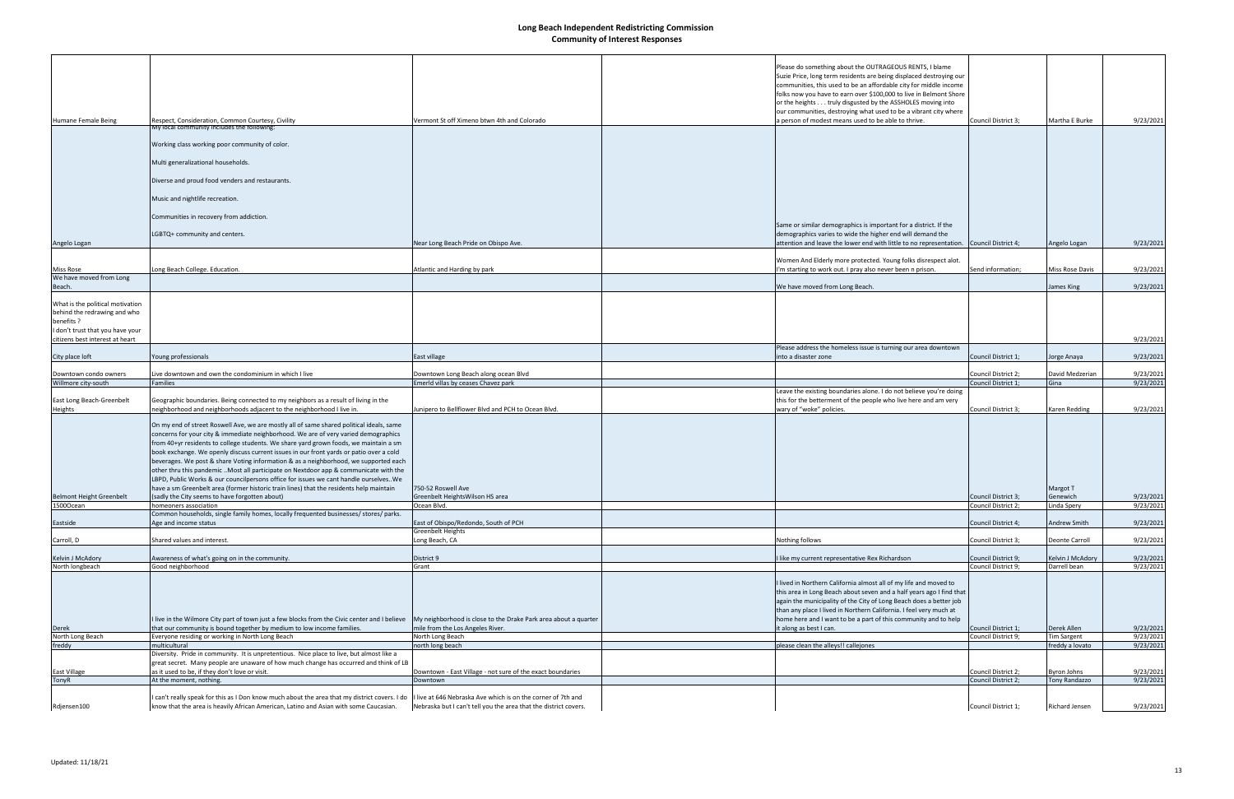| Humane Female Being                                                                                                                                   | Respect, Consideration, Common Courtesy, Civility<br>My local community includes the following:                                                                                                                                                                                                                                                                                                                                                                                                                                                                                                                                                                                                                                          | Vermont St off Ximeno btwn 4th and Colorado                                                         | Please do something about the OUTRAGEOUS RENTS, I blame<br>Suzie Price, long term residents are being displaced destroying our<br>communities, this used to be an affordable city for middle income<br>folks now you have to earn over \$100,000 to live in Belmont Shore<br>or the heights truly disgusted by the ASSHOLES moving into<br>our communities, destroying what used to be a vibrant city where<br>a person of modest means used to be able to thrive. | Council District 3:                        | Martha E Burke                      | 9/23/2021              |
|-------------------------------------------------------------------------------------------------------------------------------------------------------|------------------------------------------------------------------------------------------------------------------------------------------------------------------------------------------------------------------------------------------------------------------------------------------------------------------------------------------------------------------------------------------------------------------------------------------------------------------------------------------------------------------------------------------------------------------------------------------------------------------------------------------------------------------------------------------------------------------------------------------|-----------------------------------------------------------------------------------------------------|--------------------------------------------------------------------------------------------------------------------------------------------------------------------------------------------------------------------------------------------------------------------------------------------------------------------------------------------------------------------------------------------------------------------------------------------------------------------|--------------------------------------------|-------------------------------------|------------------------|
|                                                                                                                                                       |                                                                                                                                                                                                                                                                                                                                                                                                                                                                                                                                                                                                                                                                                                                                          |                                                                                                     |                                                                                                                                                                                                                                                                                                                                                                                                                                                                    |                                            |                                     |                        |
|                                                                                                                                                       | Working class working poor community of color.                                                                                                                                                                                                                                                                                                                                                                                                                                                                                                                                                                                                                                                                                           |                                                                                                     |                                                                                                                                                                                                                                                                                                                                                                                                                                                                    |                                            |                                     |                        |
|                                                                                                                                                       | Multi generalizational households.                                                                                                                                                                                                                                                                                                                                                                                                                                                                                                                                                                                                                                                                                                       |                                                                                                     |                                                                                                                                                                                                                                                                                                                                                                                                                                                                    |                                            |                                     |                        |
|                                                                                                                                                       | Diverse and proud food venders and restaurants.                                                                                                                                                                                                                                                                                                                                                                                                                                                                                                                                                                                                                                                                                          |                                                                                                     |                                                                                                                                                                                                                                                                                                                                                                                                                                                                    |                                            |                                     |                        |
|                                                                                                                                                       | Music and nightlife recreation.                                                                                                                                                                                                                                                                                                                                                                                                                                                                                                                                                                                                                                                                                                          |                                                                                                     |                                                                                                                                                                                                                                                                                                                                                                                                                                                                    |                                            |                                     |                        |
|                                                                                                                                                       | Communities in recovery from addiction.                                                                                                                                                                                                                                                                                                                                                                                                                                                                                                                                                                                                                                                                                                  |                                                                                                     |                                                                                                                                                                                                                                                                                                                                                                                                                                                                    |                                            |                                     |                        |
|                                                                                                                                                       |                                                                                                                                                                                                                                                                                                                                                                                                                                                                                                                                                                                                                                                                                                                                          |                                                                                                     | Same or similar demographics is important for a district. If the                                                                                                                                                                                                                                                                                                                                                                                                   |                                            |                                     |                        |
| Angelo Logan                                                                                                                                          | LGBTQ+ community and centers.                                                                                                                                                                                                                                                                                                                                                                                                                                                                                                                                                                                                                                                                                                            | Near Long Beach Pride on Obispo Ave.                                                                | demographics varies to wide the higher end will demand the<br>attention and leave the lower end with little to no representation. Council District 4;                                                                                                                                                                                                                                                                                                              |                                            | Angelo Logan                        | 9/23/2021              |
| Miss Rose                                                                                                                                             | Long Beach College. Education.                                                                                                                                                                                                                                                                                                                                                                                                                                                                                                                                                                                                                                                                                                           | Atlantic and Harding by park                                                                        | Women And Elderly more protected. Young folks disrespect alot.<br>'m starting to work out. I pray also never been n prison.                                                                                                                                                                                                                                                                                                                                        | Send information;                          | Miss Rose Davis                     | 9/23/2021              |
| We have moved from Long<br>Beach.                                                                                                                     |                                                                                                                                                                                                                                                                                                                                                                                                                                                                                                                                                                                                                                                                                                                                          |                                                                                                     | We have moved from Long Beach.                                                                                                                                                                                                                                                                                                                                                                                                                                     |                                            | James King                          | 9/23/2021              |
| What is the political motivation<br>behind the redrawing and who<br>benefits ?<br>I don't trust that you have your<br>citizens best interest at heart |                                                                                                                                                                                                                                                                                                                                                                                                                                                                                                                                                                                                                                                                                                                                          |                                                                                                     |                                                                                                                                                                                                                                                                                                                                                                                                                                                                    |                                            |                                     | 9/23/2021              |
| City place loft                                                                                                                                       | Young professionals                                                                                                                                                                                                                                                                                                                                                                                                                                                                                                                                                                                                                                                                                                                      | East village                                                                                        | Please address the homeless issue is turning our area downtown<br>into a disaster zone                                                                                                                                                                                                                                                                                                                                                                             | Council District 1;                        | Jorge Anaya                         | 9/23/2021              |
| Downtown condo owners                                                                                                                                 | Live downtown and own the condominium in which I live                                                                                                                                                                                                                                                                                                                                                                                                                                                                                                                                                                                                                                                                                    | Downtown Long Beach along ocean Blvd                                                                |                                                                                                                                                                                                                                                                                                                                                                                                                                                                    | Council District 2;                        | David Medzerian                     | 9/23/2021              |
| Willmore city-south                                                                                                                                   | <b>Families</b>                                                                                                                                                                                                                                                                                                                                                                                                                                                                                                                                                                                                                                                                                                                          | Emerld villas by ceases Chavez park                                                                 |                                                                                                                                                                                                                                                                                                                                                                                                                                                                    | Council District 1;                        | Gina                                | 9/23/2021              |
| East Long Beach-Greenbelt<br>Heights                                                                                                                  | Geographic boundaries. Being connected to my neighbors as a result of living in the<br>neighborhood and neighborhoods adjacent to the neighborhood I live in.                                                                                                                                                                                                                                                                                                                                                                                                                                                                                                                                                                            | lunipero to Bellflower Blvd and PCH to Ocean Blvd.                                                  | Leave the existing boundaries alone. I do not believe you're doing<br>this for the betterment of the people who live here and am very<br>wary of "woke" policies.                                                                                                                                                                                                                                                                                                  | Council District 3;                        | Karen Redding                       | 9/23/2021              |
|                                                                                                                                                       | On my end of street Roswell Ave, we are mostly all of same shared political ideals, same<br>concerns for your city & immediate neighborhood. We are of very varied demographics<br>from 40+yr residents to college students. We share yard grown foods, we maintain a sm<br>book exchange. We openly discuss current issues in our front yards or patio over a cold<br>beverages. We post & share Voting information & as a neighborhood, we supported each<br>other thru this pandemic Most all participate on Nextdoor app & communicate with the<br>LBPD, Public Works & our councilpersons office for issues we cant handle ourselves. We<br>have a sm Greenbelt area (former historic train lines) that the residents help maintain | 750-52 Roswell Ave                                                                                  |                                                                                                                                                                                                                                                                                                                                                                                                                                                                    |                                            | Margot T                            |                        |
| <b>Belmont Height Greenbelt</b><br>15000cean                                                                                                          | (sadly the City seems to have forgotten about)<br>Inomeoners association                                                                                                                                                                                                                                                                                                                                                                                                                                                                                                                                                                                                                                                                 | Greenbelt HeightsWilson HS area<br>ocean Bivd.                                                      |                                                                                                                                                                                                                                                                                                                                                                                                                                                                    | Council District 3;<br>Council District 2  | Genewich<br>Linda Spery             | 9/23/2021<br>9/23/2021 |
| Eastside                                                                                                                                              | Common households, single family homes, locally frequented businesses/ stores/ parks.<br>Age and income status                                                                                                                                                                                                                                                                                                                                                                                                                                                                                                                                                                                                                           | East of Obispo/Redondo, South of PCH                                                                |                                                                                                                                                                                                                                                                                                                                                                                                                                                                    | Council District 4;                        | Andrew Smith                        | 9/23/2021              |
|                                                                                                                                                       | Shared values and interest.                                                                                                                                                                                                                                                                                                                                                                                                                                                                                                                                                                                                                                                                                                              | Greenbelt Heights<br>Long Beach, CA                                                                 | Nothing follows                                                                                                                                                                                                                                                                                                                                                                                                                                                    | Council District 3;                        | Deonte Carroll                      | 9/23/2021              |
| Carroll, D                                                                                                                                            |                                                                                                                                                                                                                                                                                                                                                                                                                                                                                                                                                                                                                                                                                                                                          |                                                                                                     |                                                                                                                                                                                                                                                                                                                                                                                                                                                                    |                                            |                                     |                        |
| Kelvin J McAdory<br>North longbeach                                                                                                                   | Awareness of what's going on in the community.<br>Good neighborhood                                                                                                                                                                                                                                                                                                                                                                                                                                                                                                                                                                                                                                                                      | District 9<br>Grant                                                                                 | I like my current representative Rex Richardson                                                                                                                                                                                                                                                                                                                                                                                                                    | Council District 9;<br>Council District 9; | Kelvin J McAdory<br>Darrell bean    | 9/23/2021<br>9/23/2021 |
| Derek                                                                                                                                                 | I live in the Wilmore City part of town just a few blocks from the Civic center and I believe<br>that our community is bound together by medium to low income families.                                                                                                                                                                                                                                                                                                                                                                                                                                                                                                                                                                  | My neighborhood is close to the Drake Park area about a quarter<br>mile from the Los Angeles River. | I lived in Northern California almost all of my life and moved to<br>this area in Long Beach about seven and a half years ago I find that<br>again the municipality of the City of Long Beach does a better job<br>than any place I lived in Northern California. I feel very much at<br>home here and I want to be a part of this community and to help<br>it along as best I can.                                                                                | Council District 1;                        | Derek Allen                         | 9/23/2021              |
| North Long Beach                                                                                                                                      | Everyone residing or working in North Long Beach                                                                                                                                                                                                                                                                                                                                                                                                                                                                                                                                                                                                                                                                                         | North Long Beach                                                                                    |                                                                                                                                                                                                                                                                                                                                                                                                                                                                    | Council District 9;                        | <b>Tim Sargent</b>                  | 9/23/2021              |
| freddy                                                                                                                                                | multicultural<br>Diversity. Pride in community. It is unpretentious. Nice place to live, but almost like a                                                                                                                                                                                                                                                                                                                                                                                                                                                                                                                                                                                                                               | north long beach                                                                                    | please clean the alleys!! callejones                                                                                                                                                                                                                                                                                                                                                                                                                               |                                            | freddy a lovato                     | 9/23/2021              |
|                                                                                                                                                       | great secret. Many people are unaware of how much change has occurred and think of LB                                                                                                                                                                                                                                                                                                                                                                                                                                                                                                                                                                                                                                                    |                                                                                                     |                                                                                                                                                                                                                                                                                                                                                                                                                                                                    |                                            |                                     |                        |
| East Village<br>TonyR                                                                                                                                 | as it used to be, if they don't love or visit.<br>At the moment, nothing.                                                                                                                                                                                                                                                                                                                                                                                                                                                                                                                                                                                                                                                                | Downtown - East Village - not sure of the exact boundaries<br>Downtown                              |                                                                                                                                                                                                                                                                                                                                                                                                                                                                    | Council District 2;<br>Council District 2; | Byron Johns<br><b>Tony Randazzo</b> | 9/23/2021<br>9/23/2021 |
|                                                                                                                                                       |                                                                                                                                                                                                                                                                                                                                                                                                                                                                                                                                                                                                                                                                                                                                          |                                                                                                     |                                                                                                                                                                                                                                                                                                                                                                                                                                                                    |                                            |                                     |                        |
| Rdjensen100                                                                                                                                           | I can't really speak for this as I Don know much about the area that my district covers. I do  I live at 646 Nebraska Ave which is on the corner of 7th and<br>know that the area is heavily African American, Latino and Asian with some Caucasian.                                                                                                                                                                                                                                                                                                                                                                                                                                                                                     | Nebraska but I can't tell you the area that the district covers.                                    |                                                                                                                                                                                                                                                                                                                                                                                                                                                                    | Council District 1;                        | Richard Jensen                      | 9/23/2021              |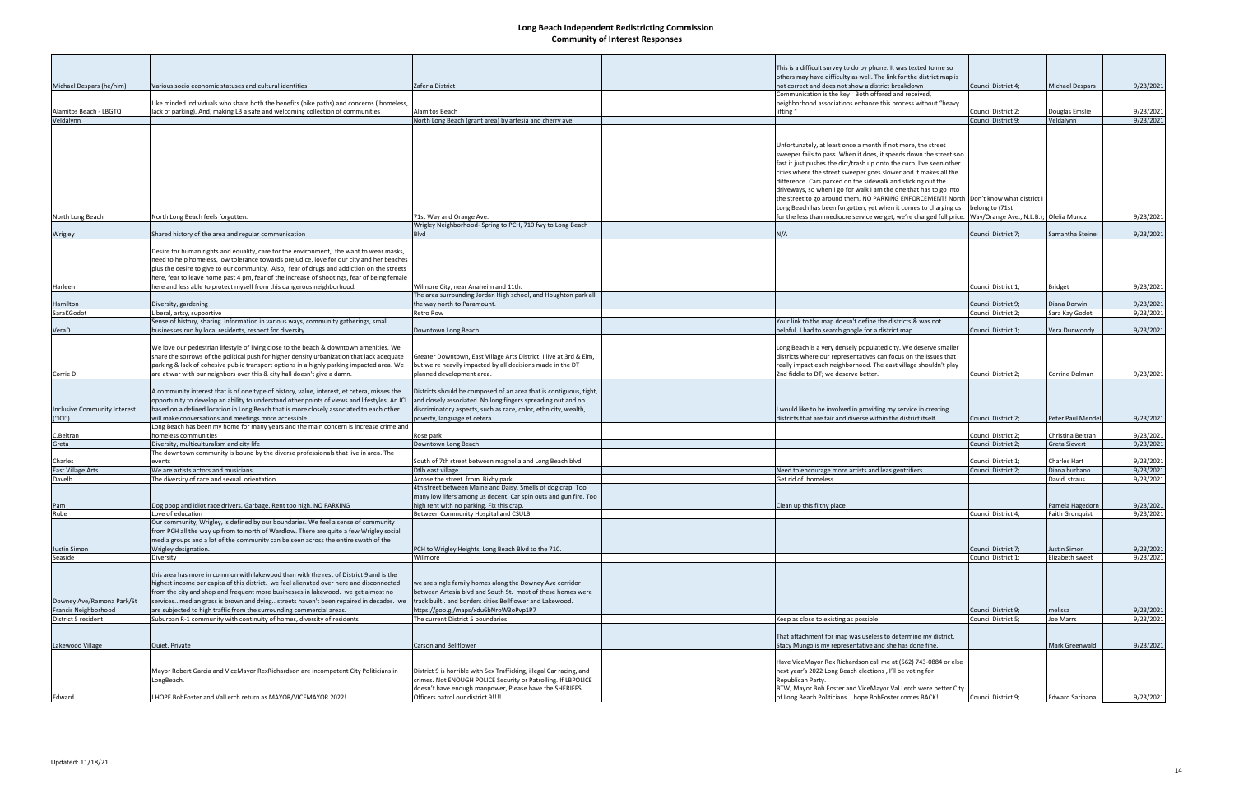|                                     |                                                                                                                                                                                      |                                                                                   | This is a difficult survey to do by phone. It was texted to me so                                                                                            |                                            |                                           |                        |
|-------------------------------------|--------------------------------------------------------------------------------------------------------------------------------------------------------------------------------------|-----------------------------------------------------------------------------------|--------------------------------------------------------------------------------------------------------------------------------------------------------------|--------------------------------------------|-------------------------------------------|------------------------|
|                                     |                                                                                                                                                                                      |                                                                                   | others may have difficulty as well. The link for the district map is                                                                                         |                                            |                                           |                        |
| Michael Despars (he/him)            | Various socio economic statuses and cultural identities.                                                                                                                             | Zaferia District                                                                  | not correct and does not show a district breakdown                                                                                                           | Council District 4;                        | <b>Michael Despars</b>                    | 9/23/2021              |
|                                     |                                                                                                                                                                                      |                                                                                   | Communication is the key! Both offered and received,                                                                                                         |                                            |                                           |                        |
|                                     | Like minded individuals who share both the benefits (bike paths) and concerns (homeless,                                                                                             |                                                                                   | neighborhood associations enhance this process without "heavy                                                                                                |                                            |                                           |                        |
| Alamitos Beach - LBGTQ<br>Veldalynn | lack of parking). And, making LB a safe and welcoming collection of communities                                                                                                      | Alamitos Beach                                                                    | lifting "                                                                                                                                                    | Council District 2;<br>Council District 9; | Douglas Emslie                            | 9/23/2021              |
|                                     |                                                                                                                                                                                      | North Long Beach (grant area) by artesia and cherry ave                           |                                                                                                                                                              |                                            | Veldalynn                                 | 9/23/2021              |
|                                     |                                                                                                                                                                                      |                                                                                   |                                                                                                                                                              |                                            |                                           |                        |
|                                     |                                                                                                                                                                                      |                                                                                   | Unfortunately, at least once a month if not more, the street                                                                                                 |                                            |                                           |                        |
|                                     |                                                                                                                                                                                      |                                                                                   | sweeper fails to pass. When it does, it speeds down the street soo                                                                                           |                                            |                                           |                        |
|                                     |                                                                                                                                                                                      |                                                                                   | fast it just pushes the dirt/trash up onto the curb. I've seen other                                                                                         |                                            |                                           |                        |
|                                     |                                                                                                                                                                                      |                                                                                   | cities where the street sweeper goes slower and it makes all the                                                                                             |                                            |                                           |                        |
|                                     |                                                                                                                                                                                      |                                                                                   | difference. Cars parked on the sidewalk and sticking out the                                                                                                 |                                            |                                           |                        |
|                                     |                                                                                                                                                                                      |                                                                                   | driveways, so when I go for walk I am the one that has to go into<br>the street to go around them. NO PARKING ENFORCEMENT! North  Don't know what district I |                                            |                                           |                        |
|                                     |                                                                                                                                                                                      |                                                                                   | Long Beach has been forgotten, yet when it comes to charging us                                                                                              | belong to (71st                            |                                           |                        |
| North Long Beach                    | North Long Beach feels forgotten.                                                                                                                                                    | 71st Way and Orange Ave.                                                          | for the less than mediocre service we get, we're charged full price.  Way/Orange Ave., N.L.B.);  Ofelia Munoz                                                |                                            |                                           | 9/23/2021              |
|                                     |                                                                                                                                                                                      | Wrigley Neighborhood- Spring to PCH, 710 fwy to Long Beach                        |                                                                                                                                                              |                                            |                                           |                        |
| Wrigley                             | Shared history of the area and regular communication                                                                                                                                 | <b>Blvd</b>                                                                       | N/A                                                                                                                                                          | Council District 7;                        | Samantha Steinel                          | 9/23/2021              |
|                                     |                                                                                                                                                                                      |                                                                                   |                                                                                                                                                              |                                            |                                           |                        |
|                                     | Desire for human rights and equality, care for the environment, the want to wear masks,<br>need to help homeless, low tolerance towards prejudice, love for our city and her beaches |                                                                                   |                                                                                                                                                              |                                            |                                           |                        |
|                                     | plus the desire to give to our community. Also, fear of drugs and addiction on the streets                                                                                           |                                                                                   |                                                                                                                                                              |                                            |                                           |                        |
|                                     | here, fear to leave home past 4 pm, fear of the increase of shootings, fear of being female                                                                                          |                                                                                   |                                                                                                                                                              |                                            |                                           |                        |
| Harleen                             | here and less able to protect myself from this dangerous neighborhood.                                                                                                               | Wilmore City, near Anaheim and 11th.                                              |                                                                                                                                                              | Council District 1;                        | <b>Bridget</b>                            | 9/23/2021              |
|                                     |                                                                                                                                                                                      | The area surrounding Jordan High school, and Houghton park all                    |                                                                                                                                                              |                                            |                                           |                        |
| Hamilton                            | Diversity, gardening                                                                                                                                                                 | the way north to Paramount.                                                       |                                                                                                                                                              | Council District 9;                        | Diana Dorwin                              | 9/23/2021              |
| SaraKGodot                          | Liberal, artsy, supportive                                                                                                                                                           | Retro Row                                                                         |                                                                                                                                                              | Council District 2;                        | Sara Kay Godot                            | 9/23/2021              |
| VeraD                               | Sense of history, sharing information in various ways, community gatherings, small<br>businesses run by local residents, respect for diversity.                                      | Downtown Long Beach                                                               | Your link to the map doesn't define the districts & was not<br>helpfulI had to search google for a district map                                              | Council District 1;                        | Vera Dunwoody                             | 9/23/2021              |
|                                     |                                                                                                                                                                                      |                                                                                   |                                                                                                                                                              |                                            |                                           |                        |
|                                     | We love our pedestrian lifestyle of living close to the beach & downtown amenities. We                                                                                               |                                                                                   | Long Beach is a very densely populated city. We deserve smaller                                                                                              |                                            |                                           |                        |
|                                     | share the sorrows of the political push for higher density urbanization that lack adequate                                                                                           | Greater Downtown, East Village Arts District. I live at 3rd & Elm,                | districts where our representatives can focus on the issues that                                                                                             |                                            |                                           |                        |
|                                     | parking & lack of cohesive public transport options in a highly parking impacted area. We                                                                                            | but we're heavily impacted by all decisions made in the DT                        | really impact each neighborhood. The east village shouldn't play                                                                                             |                                            |                                           |                        |
| Corrie D                            | are at war with our neighbors over this & city hall doesn't give a damn.                                                                                                             | planned development area.                                                         | 2nd fiddle to DT; we deserve better.                                                                                                                         | Council District 2;                        | Corrine Dolman                            | 9/23/2021              |
|                                     | A community interest that is of one type of history, value, interest, et cetera, misses the                                                                                          | Districts should be composed of an area that is contiguous, tight,                |                                                                                                                                                              |                                            |                                           |                        |
|                                     | opportunity to develop an ability to understand other points of views and lifestyles. An ICI                                                                                         | and closely associated. No long fingers spreading out and no                      |                                                                                                                                                              |                                            |                                           |                        |
| Inclusive Community Interest        | based on a defined location in Long Beach that is more closely associated to each other                                                                                              | discriminatory aspects, such as race, color, ethnicity, wealth,                   | I would like to be involved in providing my service in creating                                                                                              |                                            |                                           |                        |
| ("ICI")                             | will make conversations and meetings more accessible.                                                                                                                                | poverty, language et cetera.                                                      | districts that are fair and diverse within the district itself.                                                                                              | Council District 2;                        | Peter Paul Mendel                         | 9/23/2021              |
|                                     | Long Beach has been my home for many years and the main concern is increase crime and                                                                                                |                                                                                   |                                                                                                                                                              |                                            |                                           |                        |
| .Beltran                            | homeless communities                                                                                                                                                                 | Rose park                                                                         |                                                                                                                                                              | Council District 2;                        | Christina Beltran                         | 9/23/2021              |
| Greta                               | Diversity, multiculturalism and city life<br>The downtown community is bound by the diverse professionals that live in area. The                                                     | Downtown Long Beach                                                               |                                                                                                                                                              | Council District 2;                        | Greta Sievert                             | 9/23/2021              |
| Charles                             | events                                                                                                                                                                               | South of 7th street between magnolia and Long Beach blvd                          |                                                                                                                                                              | Council District 1;                        | Charles Hart                              | 9/23/2021              |
| <b>East Village Arts</b>            | We are artists actors and musicians                                                                                                                                                  | Dtlb east village                                                                 | Need to encourage more artists and leas gentrifiers                                                                                                          | Council District 2;                        | Diana burbano                             | 9/23/2021              |
| Davelb                              | The diversity of race and sexual orientation.                                                                                                                                        | Acrose the street from Bixby park.                                                | Get rid of homeless.                                                                                                                                         |                                            | David straus                              | 9/23/2021              |
|                                     |                                                                                                                                                                                      | 4th street between Maine and Daisy. Smells of dog crap. Too                       |                                                                                                                                                              |                                            |                                           |                        |
|                                     |                                                                                                                                                                                      | many low lifers among us decent. Car spin outs and gun fire. Too                  |                                                                                                                                                              |                                            |                                           |                        |
| Pam<br>Rube                         | Dog poop and idiot race drivers. Garbage. Rent too high. NO PARKING<br>Love of education                                                                                             | high rent with no parking. Fix this crap.<br>Between Community Hospital and CSULB | Clean up this filthy place                                                                                                                                   | Council District 4;                        | Pamela Hagedorn<br><b>Faith Gronquist</b> | 9/23/2021<br>9/23/2021 |
|                                     | Our community, Wrigley, is defined by our boundaries. We feel a sense of community                                                                                                   |                                                                                   |                                                                                                                                                              |                                            |                                           |                        |
|                                     | from PCH all the way up from to north of Wardlow. There are quite a few Wrigley social                                                                                               |                                                                                   |                                                                                                                                                              |                                            |                                           |                        |
|                                     | media groups and a lot of the community can be seen across the entire swath of the                                                                                                   |                                                                                   |                                                                                                                                                              |                                            |                                           |                        |
| Justin Simon                        | Wrigley designation.                                                                                                                                                                 | PCH to Wrigley Heights, Long Beach Blvd to the 710.                               |                                                                                                                                                              | Council District 7;                        | Justin Simon                              | 9/23/2021              |
| Seaside                             | Diversity                                                                                                                                                                            | Willmore                                                                          |                                                                                                                                                              | Council District 1;                        | Elizabeth sweet                           | 9/23/2021              |
|                                     | this area has more in common with lakewood than with the rest of District 9 and is the                                                                                               |                                                                                   |                                                                                                                                                              |                                            |                                           |                        |
|                                     | highest income per capita of this district. we feel alienated over here and disconnected                                                                                             | we are single family homes along the Downey Ave corridor                          |                                                                                                                                                              |                                            |                                           |                        |
|                                     | from the city and shop and frequent more businesses in lakewood. we get almost no                                                                                                    | between Artesia blvd and South St. most of these homes were                       |                                                                                                                                                              |                                            |                                           |                        |
| Downey Ave/Ramona Park/St           | services median grass is brown and dying streets haven't been repaired in decades. we                                                                                                | track built and borders cities Bellflower and Lakewood.                           |                                                                                                                                                              |                                            |                                           |                        |
| Francis Neighborhood                | are subjected to high traffic from the surrounding commercial areas.                                                                                                                 | https://goo.gl/maps/xdu6bNroW3oPvp1P7                                             |                                                                                                                                                              | Council District 9;                        | melissa                                   | 9/23/2021              |
| District 5 resident                 | Suburban R-1 community with continuity of homes, diversity of residents                                                                                                              | The current District 5 boundaries                                                 | Keep as close to existing as possible                                                                                                                        | Council District 5;                        | Joe Marrs                                 | 9/23/2021              |
|                                     |                                                                                                                                                                                      |                                                                                   |                                                                                                                                                              |                                            |                                           |                        |
| Lakewood Village                    | Quiet. Private                                                                                                                                                                       | <b>Carson and Bellflower</b>                                                      | That attachment for map was useless to determine my district.<br>Stacy Mungo is my representative and she has done fine.                                     |                                            | Mark Greenwald                            | 9/23/2021              |
|                                     |                                                                                                                                                                                      |                                                                                   |                                                                                                                                                              |                                            |                                           |                        |
|                                     |                                                                                                                                                                                      |                                                                                   | Have ViceMayor Rex Richardson call me at (562) 743-0884 or else                                                                                              |                                            |                                           |                        |
|                                     | Mayor Robert Garcia and ViceMayor RexRichardson are incompetent City Politicians in                                                                                                  | District 9 is horrible with Sex Trafficking, illegal Car racing, and              | next year's 2022 Long Beach elections, I'll be voting for                                                                                                    |                                            |                                           |                        |
|                                     | LongBeach.                                                                                                                                                                           | crimes. Not ENOUGH POLICE Security or Patrolling. If LBPOLICE                     | Republican Party.                                                                                                                                            |                                            |                                           |                        |
|                                     |                                                                                                                                                                                      | doesn't have enough manpower, Please have the SHERIFFS                            | BTW, Mayor Bob Foster and ViceMayor Val Lerch were better City                                                                                               |                                            |                                           |                        |
| Edward                              | I HOPE BobFoster and ValLerch return as MAYOR/VICEMAYOR 2022!                                                                                                                        | Officers patrol our district 9!!!!                                                | of Long Beach Politicians. I hope BobFoster comes BACK!                                                                                                      | Council District 9;                        | <b>Edward Sarinana</b>                    | 9/23/2021              |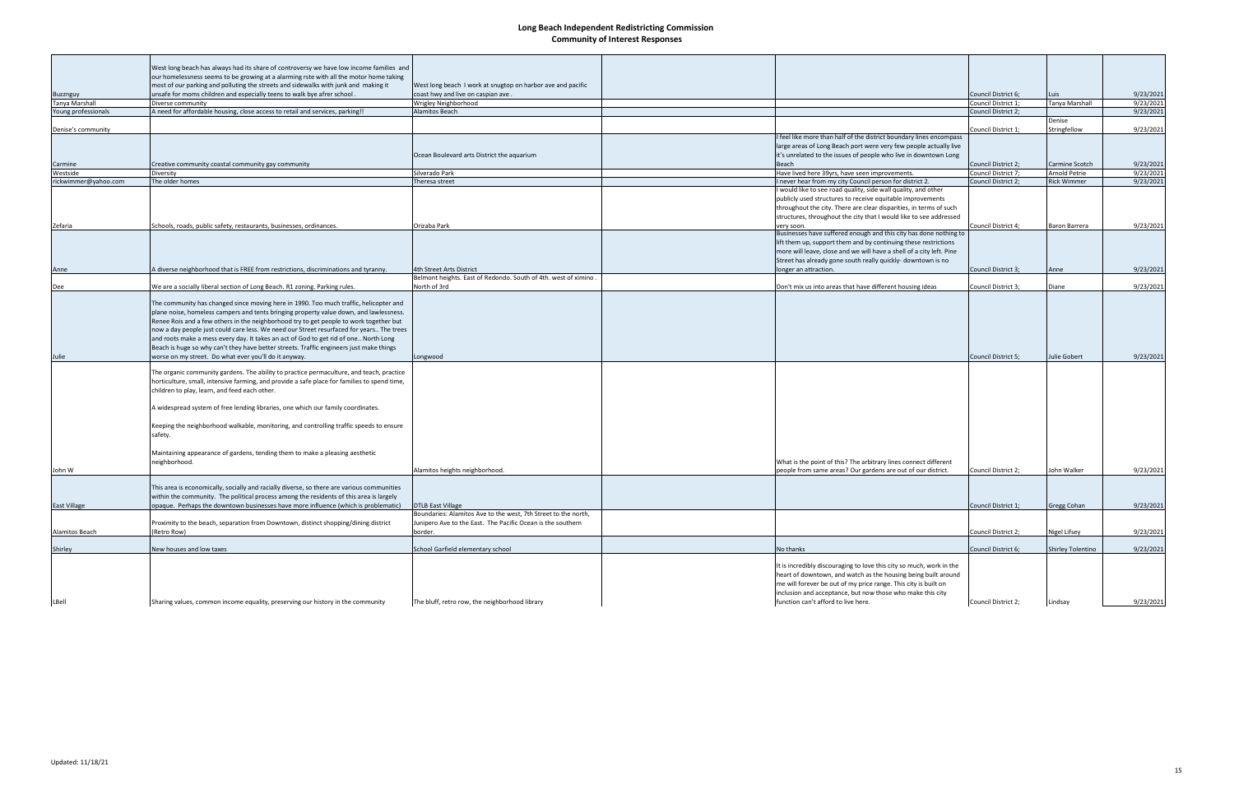|                      | West long beach has always had its share of controversy we have low income families and                                                                                                                                                                                                                                                                                                                                                                                                                                                                                                                           |                                                                 |                                                                                                                                                                                                                                                                                                                |                            |                          |           |
|----------------------|-------------------------------------------------------------------------------------------------------------------------------------------------------------------------------------------------------------------------------------------------------------------------------------------------------------------------------------------------------------------------------------------------------------------------------------------------------------------------------------------------------------------------------------------------------------------------------------------------------------------|-----------------------------------------------------------------|----------------------------------------------------------------------------------------------------------------------------------------------------------------------------------------------------------------------------------------------------------------------------------------------------------------|----------------------------|--------------------------|-----------|
|                      | our homelessness seems to be growing at a alarming rste with all the motor home taking                                                                                                                                                                                                                                                                                                                                                                                                                                                                                                                            |                                                                 |                                                                                                                                                                                                                                                                                                                |                            |                          |           |
|                      | most of our parking and polluting the streets and sidewalks with junk and making it                                                                                                                                                                                                                                                                                                                                                                                                                                                                                                                               | West long beach I work at snugtop on harbor ave and pacific     |                                                                                                                                                                                                                                                                                                                |                            |                          |           |
| Buzznguy             | unsafe for moms children and especially teens to walk bye afrer school.                                                                                                                                                                                                                                                                                                                                                                                                                                                                                                                                           | coast hwy and live on caspian ave.                              |                                                                                                                                                                                                                                                                                                                | Council District 6;        | Luis                     | 9/23/2021 |
| Tanya Marshall       | Diverse community                                                                                                                                                                                                                                                                                                                                                                                                                                                                                                                                                                                                 | Wrigley Neighborhood                                            |                                                                                                                                                                                                                                                                                                                | Council District 1;        | Tanya Marshall           | 9/23/2021 |
| Young professionals  | A need for affordable housing, close access to retail and services, parking!!                                                                                                                                                                                                                                                                                                                                                                                                                                                                                                                                     | Alamitos Beach                                                  |                                                                                                                                                                                                                                                                                                                | Council District 2;        | Denise                   | 9/23/2021 |
| Denise's community   |                                                                                                                                                                                                                                                                                                                                                                                                                                                                                                                                                                                                                   |                                                                 |                                                                                                                                                                                                                                                                                                                | Council District 1;        | Stringfellow             | 9/23/2021 |
|                      |                                                                                                                                                                                                                                                                                                                                                                                                                                                                                                                                                                                                                   |                                                                 | feel like more than half of the district boundary lines encompass                                                                                                                                                                                                                                              |                            |                          |           |
|                      |                                                                                                                                                                                                                                                                                                                                                                                                                                                                                                                                                                                                                   |                                                                 | large areas of Long Beach port were very few people actually live                                                                                                                                                                                                                                              |                            |                          |           |
|                      |                                                                                                                                                                                                                                                                                                                                                                                                                                                                                                                                                                                                                   | Ocean Boulevard arts District the aquarium                      | it's unrelated to the issues of people who live in downtown Long                                                                                                                                                                                                                                               |                            |                          |           |
| Carmine              | Creative community coastal community gay community                                                                                                                                                                                                                                                                                                                                                                                                                                                                                                                                                                |                                                                 | Beach                                                                                                                                                                                                                                                                                                          | <b>Council District 2:</b> | Carmine Scotch           | 9/23/2021 |
| Westside             | Diversity                                                                                                                                                                                                                                                                                                                                                                                                                                                                                                                                                                                                         | Silverado Park                                                  | Have lived here 39yrs, have seen improvements.                                                                                                                                                                                                                                                                 | Council District 7;        | Arnold Petrie            | 9/23/2021 |
| rickwimmer@yahoo.com | The older homes                                                                                                                                                                                                                                                                                                                                                                                                                                                                                                                                                                                                   | Theresa street                                                  | never hear from my city Council person for district 2.                                                                                                                                                                                                                                                         | Council District 2;        | <b>Rick Wimmer</b>       | 9/23/2021 |
|                      |                                                                                                                                                                                                                                                                                                                                                                                                                                                                                                                                                                                                                   |                                                                 | would like to see road quality, side wall quality, and other                                                                                                                                                                                                                                                   |                            |                          |           |
|                      |                                                                                                                                                                                                                                                                                                                                                                                                                                                                                                                                                                                                                   |                                                                 | publicly used structures to receive equitable improvements                                                                                                                                                                                                                                                     |                            |                          |           |
|                      |                                                                                                                                                                                                                                                                                                                                                                                                                                                                                                                                                                                                                   |                                                                 | throughout the city. There are clear disparities, in terms of such                                                                                                                                                                                                                                             |                            |                          |           |
|                      |                                                                                                                                                                                                                                                                                                                                                                                                                                                                                                                                                                                                                   |                                                                 | structures, throughout the city that I would like to see addressed                                                                                                                                                                                                                                             |                            |                          |           |
| Zefaria              | Schools, roads, public safety, restaurants, businesses, ordinances.                                                                                                                                                                                                                                                                                                                                                                                                                                                                                                                                               | Orizaba Park                                                    | very soon.<br>Businesses have suffered enough and this city has done nothing to                                                                                                                                                                                                                                | Council District 4;        | Baron Barrera            | 9/23/2021 |
|                      |                                                                                                                                                                                                                                                                                                                                                                                                                                                                                                                                                                                                                   |                                                                 | lift them up, support them and by continuing these restrictions                                                                                                                                                                                                                                                |                            |                          |           |
|                      |                                                                                                                                                                                                                                                                                                                                                                                                                                                                                                                                                                                                                   |                                                                 | more will leave, close and we will have a shell of a city left. Pine                                                                                                                                                                                                                                           |                            |                          |           |
|                      |                                                                                                                                                                                                                                                                                                                                                                                                                                                                                                                                                                                                                   |                                                                 | Street has already gone south really quickly- downtown is no                                                                                                                                                                                                                                                   |                            |                          |           |
| Anne                 | A diverse neighborhood that is FREE from restrictions, discriminations and tyranny.                                                                                                                                                                                                                                                                                                                                                                                                                                                                                                                               | 4th Street Arts District                                        | longer an attraction.                                                                                                                                                                                                                                                                                          | Council District 3;        | Anne                     | 9/23/2021 |
|                      |                                                                                                                                                                                                                                                                                                                                                                                                                                                                                                                                                                                                                   | Belmont heights. East of Redondo. South of 4th. west of ximino. |                                                                                                                                                                                                                                                                                                                |                            |                          |           |
| Dee                  | We are a socially liberal section of Long Beach. R1 zoning. Parking rules.                                                                                                                                                                                                                                                                                                                                                                                                                                                                                                                                        | North of 3rd                                                    | Don't mix us into areas that have different housing ideas                                                                                                                                                                                                                                                      | Council District 3;        | Diane                    | 9/23/2021 |
| Julie                | The community has changed since moving here in 1990. Too much traffic, helicopter and<br>plane noise, homeless campers and tents bringing property value down, and lawlessness.<br>Renee Rois and a few others in the neighborhood try to get people to work together but<br>now a day people just could care less. We need our Street resurfaced for years The trees<br>and roots make a mess every day. It takes an act of God to get rid of one North Long<br>Beach is huge so why can't they have better streets. Traffic engineers just make things<br>worse on my street. Do what ever you'll do it anyway. | Longwood                                                        |                                                                                                                                                                                                                                                                                                                | Council District 5;        | Julie Gobert             | 9/23/2021 |
|                      | The organic community gardens. The ability to practice permaculture, and teach, practice<br>horticulture, small, intensive farming, and provide a safe place for families to spend time,<br>children to play, learn, and feed each other.                                                                                                                                                                                                                                                                                                                                                                         |                                                                 |                                                                                                                                                                                                                                                                                                                |                            |                          |           |
|                      | A widespread system of free lending libraries, one which our family coordinates.<br>Keeping the neighborhood walkable, monitoring, and controlling traffic speeds to ensure<br>safety.                                                                                                                                                                                                                                                                                                                                                                                                                            |                                                                 |                                                                                                                                                                                                                                                                                                                |                            |                          |           |
| John W               | Maintaining appearance of gardens, tending them to make a pleasing aesthetic<br>neighborhood.                                                                                                                                                                                                                                                                                                                                                                                                                                                                                                                     | Alamitos heights neighborhood.                                  | What is the point of this? The arbitrary lines connect different<br>people from same areas? Our gardens are out of our district.                                                                                                                                                                               | Council District 2;        | John Walker              | 9/23/2021 |
|                      | This area is economically, socially and racially diverse, so there are various communities<br>within the community. The political process among the residents of this area is largely<br>opaque.  Perhaps the downtown businesses have more influence (which is problematic)                                                                                                                                                                                                                                                                                                                                      | <b>DTLB East Village</b>                                        |                                                                                                                                                                                                                                                                                                                | Council District 1;        |                          | 9/23/2021 |
| <b>East Village</b>  |                                                                                                                                                                                                                                                                                                                                                                                                                                                                                                                                                                                                                   | Boundaries: Alamitos Ave to the west, 7th Street to the north,  |                                                                                                                                                                                                                                                                                                                |                            | Gregg Cohan              |           |
|                      | Proximity to the beach, separation from Downtown, distinct shopping/dining district                                                                                                                                                                                                                                                                                                                                                                                                                                                                                                                               | Junipero Ave to the East. The Pacific Ocean is the southern     |                                                                                                                                                                                                                                                                                                                |                            |                          |           |
| Alamitos Beach       | (Retro Row)                                                                                                                                                                                                                                                                                                                                                                                                                                                                                                                                                                                                       | border.                                                         |                                                                                                                                                                                                                                                                                                                | Council District 2;        | Nigel Lifsey             | 9/23/2021 |
|                      |                                                                                                                                                                                                                                                                                                                                                                                                                                                                                                                                                                                                                   |                                                                 |                                                                                                                                                                                                                                                                                                                |                            |                          |           |
| Shirley              | New houses and low taxes                                                                                                                                                                                                                                                                                                                                                                                                                                                                                                                                                                                          | School Garfield elementary school                               | No thanks                                                                                                                                                                                                                                                                                                      | Council District 6;        | <b>Shirley Tolentino</b> | 9/23/2021 |
| LBell                | Sharing values, common income equality, preserving our history in the community                                                                                                                                                                                                                                                                                                                                                                                                                                                                                                                                   | The bluff, retro row, the neighborhood library                  | It is incredibly discouraging to love this city so much, work in the<br>heart of downtown, and watch as the housing being built around<br>me will forever be out of my price range. This city is built on<br>inclusion and acceptance, but now those who make this city<br>function can't afford to live here. | Council District 2;        | Lindsay                  | 9/23/2021 |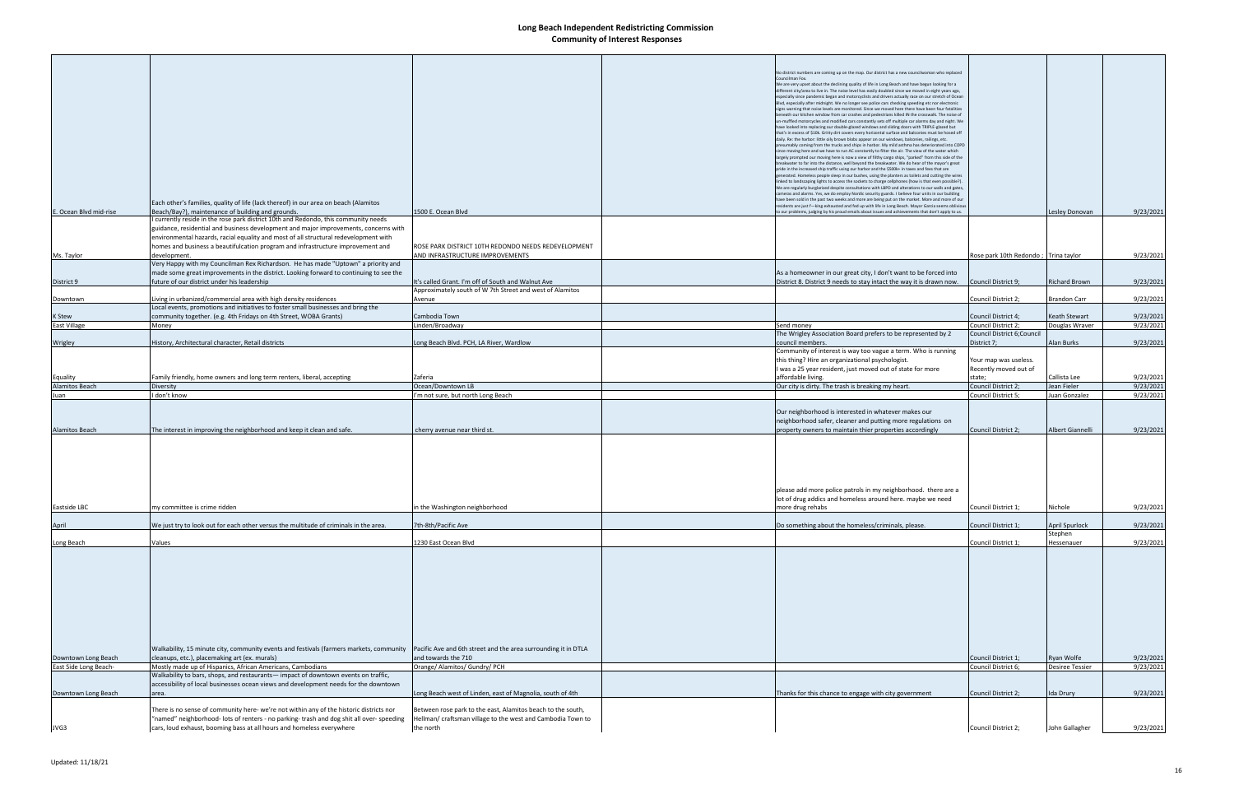|                                              |                                                                                                                                                         |                                                                    | No district numbers are coming up on the map. Our district has a new councilwoman who replaced                                                                                                              |                                                |                                      |                        |
|----------------------------------------------|---------------------------------------------------------------------------------------------------------------------------------------------------------|--------------------------------------------------------------------|-------------------------------------------------------------------------------------------------------------------------------------------------------------------------------------------------------------|------------------------------------------------|--------------------------------------|------------------------|
|                                              |                                                                                                                                                         |                                                                    | Councilman Fox.<br>We are very upset about the declining quality of life in Long Beach and have begun looking for a                                                                                         |                                                |                                      |                        |
|                                              |                                                                                                                                                         |                                                                    | different city/area to live in. The noise level has easily doubled since we moved in eight years ago,                                                                                                       |                                                |                                      |                        |
|                                              |                                                                                                                                                         |                                                                    | especially since pandemic began and motorcyclists and drivers actually race on our stretch of Ocean<br>Blvd, especially after midnight. We no longer see police cars checking speeding etc nor electronic   |                                                |                                      |                        |
|                                              |                                                                                                                                                         |                                                                    | signs warning that noise levels are monitored. Since we moved here there have been four fatalities                                                                                                          |                                                |                                      |                        |
|                                              |                                                                                                                                                         |                                                                    | beneath our kitchen window from car crashes and pedestrians killed IN the crosswalk. The noise of<br>un-muffled motorcycles and modified cars constantly sets off multiple car alarms day and night. We     |                                                |                                      |                        |
|                                              |                                                                                                                                                         |                                                                    | have looked into replacing our double-glazed windows and sliding doors with TRIPLE-glazed but<br>that's in excess of \$10k. Gritty dirt covers every horizontal surface and balconies must be hosed off     |                                                |                                      |                        |
|                                              |                                                                                                                                                         |                                                                    | daily. Re: the harbor: little oily brown blobs appear on our windows, balconies, railings, etc.                                                                                                             |                                                |                                      |                        |
|                                              |                                                                                                                                                         |                                                                    | presumably coming from the trucks and ships in harbor. My mild asthma has deteriorated into COPD<br>since moving here and we have to run AC constantly to filter the air. The view of the water which       |                                                |                                      |                        |
|                                              |                                                                                                                                                         |                                                                    | largely prompted our moving here is now a view of filthy cargo ships, "parked" from this side of the                                                                                                        |                                                |                                      |                        |
|                                              |                                                                                                                                                         |                                                                    | breakwater to far into the distance, well beyond the breakwater. We do hear of the mayor's great<br>pride in the increased ship traffic using our harbor and the \$500k+ in taxes and fees that are         |                                                |                                      |                        |
|                                              |                                                                                                                                                         |                                                                    | enerated. Homeless people sleep in our bushes, using the planters as toilets and cutting the wires<br>linked to landscaping lights to access the sockets to charge cellphones (how is that even possible?). |                                                |                                      |                        |
|                                              |                                                                                                                                                         |                                                                    | We are regularly burglarized despite consultations with LBPD and alterations to our walls and gates,                                                                                                        |                                                |                                      |                        |
|                                              | Each other's families, quality of life (lack thereof) in our area on beach (Alamitos                                                                    |                                                                    | ameras and alarms. Yes, we do employ Nordic security guards. I believe four units in our building<br>have been sold in the past two weeks and more are being put on the market. More and more of our        |                                                |                                      |                        |
| E. Ocean Blyd mid-rise                       | Beach/Bay?), maintenance of building and grounds.                                                                                                       | 1500 E. Ocean Blvd                                                 | residents are just f-king exhausted and fed up with life in Long Beach. Mayor Garcia seems oblivious<br>o our problems, judging by his proud emails about issues and achievements that don't apply to us.   |                                                | Lesley Donovan                       | 9/23/2021              |
|                                              | currently reside in the rose park district 10th and Redondo, this community needs                                                                       |                                                                    |                                                                                                                                                                                                             |                                                |                                      |                        |
|                                              | guidance, residential and business development and major improvements, concerns with                                                                    |                                                                    |                                                                                                                                                                                                             |                                                |                                      |                        |
|                                              | environmental hazards, racial equality and most of all structural redevelopment with                                                                    |                                                                    |                                                                                                                                                                                                             |                                                |                                      |                        |
|                                              | homes and business a beautifulcation program and infrastructure improvement and                                                                         | ROSE PARK DISTRICT 10TH REDONDO NEEDS REDEVELOPMENT                |                                                                                                                                                                                                             |                                                |                                      |                        |
| Ms. Taylor                                   | development.                                                                                                                                            | AND INFRASTRUCTURE IMPROVEMENTS                                    |                                                                                                                                                                                                             | Rose park 10th Redondo; Trina taylor           |                                      | 9/23/2021              |
|                                              | Very Happy with my Councilman Rex Richardson. He has made "Uptown" a priority and                                                                       |                                                                    |                                                                                                                                                                                                             |                                                |                                      |                        |
|                                              | made some great improvements in the district. Looking forward to continuing to see the                                                                  |                                                                    | As a homeowner in our great city, I don't want to be forced into                                                                                                                                            |                                                |                                      |                        |
| District 9                                   | future of our district under his leadership                                                                                                             | It's called Grant. I'm off of South and Walnut Ave                 | District 8. District 9 needs to stay intact the way it is drawn now.                                                                                                                                        | Council District 9;                            | Richard Brown                        | 9/23/2021              |
| Downtown                                     | Living in urbanized/commercial area with high density residences                                                                                        | Approximately south of W 7th Street and west of Alamitos<br>Avenue |                                                                                                                                                                                                             | Council District 2;                            | Brandon Carr                         | 9/23/2021              |
|                                              | Local events, promotions and initiatives to foster small businesses and bring the                                                                       |                                                                    |                                                                                                                                                                                                             |                                                |                                      |                        |
| K Stew                                       | community together. (e.g. 4th Fridays on 4th Street, WOBA Grants)                                                                                       | Cambodia Town                                                      |                                                                                                                                                                                                             | Council District 4;                            | <b>Keath Stewart</b>                 | 9/23/2021              |
| East Village                                 | Money                                                                                                                                                   | Linden/Broadway                                                    | Send money                                                                                                                                                                                                  | Council District 2;                            | Douglas Wraver                       | 9/23/2021              |
|                                              |                                                                                                                                                         |                                                                    | The Wrigley Association Board prefers to be represented by 2                                                                                                                                                | Council District 6; Council                    |                                      |                        |
| Wrigley                                      | History, Architectural character, Retail districts                                                                                                      | Long Beach Blvd. PCH, LA River, Wardlow                            | council members.                                                                                                                                                                                            | District 7;                                    | Alan Burks                           | 9/23/2021              |
|                                              |                                                                                                                                                         |                                                                    | Community of interest is way too vague a term. Who is running                                                                                                                                               |                                                |                                      |                        |
|                                              |                                                                                                                                                         |                                                                    | this thing? Hire an organizational psychologist.<br>I was a 25 year resident, just moved out of state for more                                                                                              | Your map was useless.<br>Recently moved out of |                                      |                        |
| Equality                                     | Family friendly, home owners and long term renters, liberal, accepting                                                                                  | Zaferia                                                            | affordable living.                                                                                                                                                                                          | state;                                         | Callista Lee                         | 9/23/2021              |
| <b>Alamitos Beach</b>                        | Diversity                                                                                                                                               | Ocean/Downtown LB                                                  | Our city is dirty. The trash is breaking my heart.                                                                                                                                                          | Council District 2;                            | Jean Fieler                          | 9/23/2021              |
| Juan                                         | I don't know                                                                                                                                            | I'm not sure, but north Long Beach                                 |                                                                                                                                                                                                             | Council District 5;                            | Juan Gonzalez                        | 9/23/2021              |
|                                              |                                                                                                                                                         |                                                                    |                                                                                                                                                                                                             |                                                |                                      |                        |
|                                              |                                                                                                                                                         |                                                                    | Our neighborhood is interested in whatever makes our                                                                                                                                                        |                                                |                                      |                        |
|                                              |                                                                                                                                                         |                                                                    | neighborhood safer, cleaner and putting more regulations on                                                                                                                                                 |                                                |                                      |                        |
| <b>Alamitos Beach</b>                        | The interest in improving the neighborhood and keep it clean and safe.                                                                                  | cherry avenue near third st.                                       | property owners to maintain thier properties accordingly                                                                                                                                                    | Council District 2;                            | Albert Giannelli                     | 9/23/2021              |
|                                              |                                                                                                                                                         |                                                                    |                                                                                                                                                                                                             |                                                |                                      |                        |
|                                              |                                                                                                                                                         |                                                                    |                                                                                                                                                                                                             |                                                |                                      |                        |
|                                              |                                                                                                                                                         |                                                                    |                                                                                                                                                                                                             |                                                |                                      |                        |
|                                              |                                                                                                                                                         |                                                                    |                                                                                                                                                                                                             |                                                |                                      |                        |
|                                              |                                                                                                                                                         |                                                                    |                                                                                                                                                                                                             |                                                |                                      |                        |
|                                              |                                                                                                                                                         |                                                                    | please add more police patrols in my neighborhood. there are a                                                                                                                                              |                                                |                                      |                        |
|                                              | my committee is crime ridden                                                                                                                            |                                                                    | lot of drug addics and homeless around here. maybe we need                                                                                                                                                  | Council District 1;                            | Nichole                              | 9/23/2021              |
| Eastside LBC                                 |                                                                                                                                                         | in the Washington neighborhood                                     | more drug rehabs                                                                                                                                                                                            |                                                |                                      |                        |
| April                                        | We just try to look out for each other versus the multitude of criminals in the area.                                                                   | 7th-8th/Pacific Ave                                                | Do something about the homeless/criminals, please.                                                                                                                                                          | Council District 1;                            | April Spurlock                       | 9/23/2021              |
|                                              |                                                                                                                                                         |                                                                    |                                                                                                                                                                                                             |                                                | Stephen                              |                        |
| Long Beach                                   | Values                                                                                                                                                  | 1230 East Ocean Blvd                                               |                                                                                                                                                                                                             | Council District 1;                            | Hessenauer                           | 9/23/2021              |
|                                              |                                                                                                                                                         |                                                                    |                                                                                                                                                                                                             |                                                |                                      |                        |
|                                              |                                                                                                                                                         |                                                                    |                                                                                                                                                                                                             |                                                |                                      |                        |
|                                              |                                                                                                                                                         |                                                                    |                                                                                                                                                                                                             |                                                |                                      |                        |
|                                              |                                                                                                                                                         |                                                                    |                                                                                                                                                                                                             |                                                |                                      |                        |
|                                              |                                                                                                                                                         |                                                                    |                                                                                                                                                                                                             |                                                |                                      |                        |
|                                              |                                                                                                                                                         |                                                                    |                                                                                                                                                                                                             |                                                |                                      |                        |
|                                              |                                                                                                                                                         |                                                                    |                                                                                                                                                                                                             |                                                |                                      |                        |
|                                              |                                                                                                                                                         |                                                                    |                                                                                                                                                                                                             |                                                |                                      |                        |
|                                              |                                                                                                                                                         |                                                                    |                                                                                                                                                                                                             |                                                |                                      |                        |
|                                              |                                                                                                                                                         |                                                                    |                                                                                                                                                                                                             |                                                |                                      |                        |
|                                              | Walkability, 15 minute city, community events and festivals (farmers markets, community  Pacific Ave and 6th street and the area surrounding it in DTLA |                                                                    |                                                                                                                                                                                                             |                                                |                                      |                        |
| Downtown Long Beach<br>East Side Long Beach- | cleanups, etc.), placemaking art (ex. murals)<br>Mostly made up of Hispanics, African Americans, Cambodians                                             | and towards the 710<br>Orange/ Alamitos/ Gundry/ PCH               |                                                                                                                                                                                                             | Council District 1;<br>Council District 6;     | Ryan Wolfe<br><b>Desiree Tessier</b> | 9/23/2021<br>9/23/2021 |
|                                              | Walkability to bars, shops, and restaurants— impact of downtown events on traffic,                                                                      |                                                                    |                                                                                                                                                                                                             |                                                |                                      |                        |
|                                              | accessibility of local businesses ocean views and development needs for the downtown                                                                    |                                                                    |                                                                                                                                                                                                             |                                                |                                      |                        |
| Downtown Long Beach                          | area.                                                                                                                                                   | Long Beach west of Linden, east of Magnolia, south of 4th          | Thanks for this chance to engage with city government                                                                                                                                                       | Council District 2;                            | Ida Drury                            | 9/23/2021              |
|                                              |                                                                                                                                                         |                                                                    |                                                                                                                                                                                                             |                                                |                                      |                        |
|                                              | There is no sense of community here- we're not within any of the historic districts nor                                                                 | Between rose park to the east, Alamitos beach to the south,        |                                                                                                                                                                                                             |                                                |                                      |                        |
|                                              | "named" neighborhood- lots of renters - no parking- trash and dog shit all over- speeding                                                               | Hellman/ craftsman village to the west and Cambodia Town to        |                                                                                                                                                                                                             |                                                |                                      |                        |
| JVG3                                         | cars, loud exhaust, booming bass at all hours and homeless everywhere                                                                                   | the north                                                          |                                                                                                                                                                                                             | Council District 2;                            | John Gallagher                       | 9/23/2021              |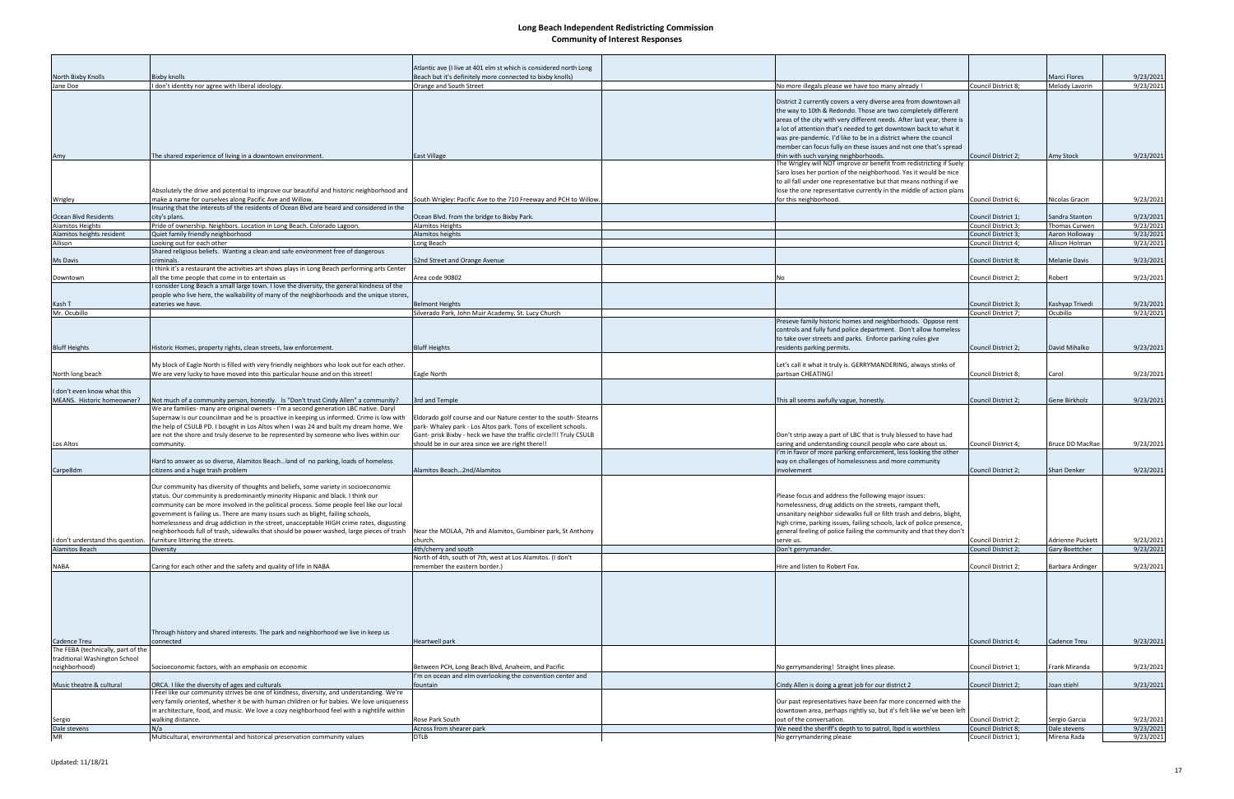|                                    |                                                                                             | Atlantic ave (I live at 401 elm st which is considered north Long  |                                                                        |                     |                         |           |
|------------------------------------|---------------------------------------------------------------------------------------------|--------------------------------------------------------------------|------------------------------------------------------------------------|---------------------|-------------------------|-----------|
| North Bixby Knolls                 | <b>Bixby knolls</b>                                                                         | Beach but it's definitely more connected to bixby knolls)          |                                                                        |                     | <b>Marci Flores</b>     | 9/23/2021 |
| Jane Doe                           | I don't identity nor agree with liberal ideology.                                           | Orange and South Street                                            | No more illegals please we have too many already !                     | Council District 8; | Melody Lavorin          | 9/23/2021 |
|                                    |                                                                                             |                                                                    |                                                                        |                     |                         |           |
|                                    |                                                                                             |                                                                    | District 2 currently covers a very diverse area from downtown all      |                     |                         |           |
|                                    |                                                                                             |                                                                    | the way to 10th & Redondo. Those are two completely different          |                     |                         |           |
|                                    |                                                                                             |                                                                    | areas of the city with very different needs. After last year, there is |                     |                         |           |
|                                    |                                                                                             |                                                                    |                                                                        |                     |                         |           |
|                                    |                                                                                             |                                                                    | a lot of attention that's needed to get downtown back to what it       |                     |                         |           |
|                                    |                                                                                             |                                                                    | was pre-pandemic. I'd like to be in a district where the council       |                     |                         |           |
|                                    |                                                                                             |                                                                    | member can focus fully on these issues and not one that's spread       |                     |                         |           |
| Amy                                | The shared experience of living in a downtown environment.                                  | <b>East Village</b>                                                | thin with such varying neighborhoods.                                  | Council District 2: | <b>Amy Stock</b>        | 9/23/2021 |
|                                    |                                                                                             |                                                                    | The Wrigley will NOT improve or benefit from redistricting if Suely    |                     |                         |           |
|                                    |                                                                                             |                                                                    | Saro loses her portion of the neighborhood. Yes it would be nice       |                     |                         |           |
|                                    |                                                                                             |                                                                    | to all fall under one representative but that means nothing if we      |                     |                         |           |
|                                    | Absolutely the drive and potential to improve our beautiful and historic neighborhood and   |                                                                    | lose the one representative currently in the middle of action plans    |                     |                         |           |
| Wrigley                            | make a name for ourselves along Pacific Ave and Willow.                                     | South Wrigley: Pacific Ave to the 710 Freeway and PCH to Willow.   | for this neighborhood.                                                 | Council District 6; | Nicolas Gracin          | 9/23/2021 |
|                                    | Insuring that the interests of the residents of Ocean Blvd are heard and considered in the  |                                                                    |                                                                        |                     |                         |           |
| Ocean Blvd Residents               | city's plans.                                                                               | Ocean Blvd. from the bridge to Bixby Park.                         |                                                                        | Council District 1; | Sandra Stanton          | 9/23/2021 |
| Alamitos Heights                   | Pride of ownership. Neighbors. Location in Long Beach. Colorado Lagoon.                     | <b>Alamitos Heights</b>                                            |                                                                        | Council District 3; | Thomas Curwen           | 9/23/2021 |
| Alamitos heights resident          | Quiet family friendly neighborhood                                                          | Alamitos heights                                                   |                                                                        | Council District 3; | Aaron Holloway          | 9/23/2021 |
|                                    | Looking out for each other                                                                  | Long Beach                                                         |                                                                        |                     | Allison Holman          | 9/23/2021 |
| Allison                            | Shared religious beliefs. Wanting a clean and safe environment free of dangerous            |                                                                    |                                                                        | Council District 4; |                         |           |
|                                    |                                                                                             |                                                                    |                                                                        |                     |                         |           |
| Ms Davis                           | criminals.                                                                                  | 52nd Street and Orange Avenue                                      |                                                                        | Council District 8; | <b>Melanie Davis</b>    | 9/23/2021 |
|                                    | think it's a restaurant the activities art shows plays in Long Beach performing arts Center |                                                                    |                                                                        |                     |                         |           |
| Downtown                           | all the time people that come in to entertain us                                            | Area code 90802                                                    |                                                                        | Council District 2; | Robert                  | 9/23/2021 |
|                                    | I consider Long Beach a small large town. I love the diversity, the general kindness of the |                                                                    |                                                                        |                     |                         |           |
|                                    | people who live here, the walkability of many of the neighborhoods and the unique stores,   |                                                                    |                                                                        |                     |                         |           |
| Kash T                             | eateries we have.                                                                           | <b>Belmont Heights</b>                                             |                                                                        | Council District 3; | Kashyap Trivedi         | 9/23/2021 |
| Mr. Ocubillo                       |                                                                                             | Silverado Park, John Muir Academy, St. Lucy Church                 |                                                                        | Council District 7; | Ocubillo                | 9/23/2021 |
|                                    |                                                                                             |                                                                    | Preseve family historic homes and neighborhoods. Oppose rent           |                     |                         |           |
|                                    |                                                                                             |                                                                    | controls and fully fund police department. Don't allow homeless        |                     |                         |           |
|                                    |                                                                                             |                                                                    | to take over streets and parks. Enforce parking rules give             |                     |                         |           |
| <b>Bluff Heights</b>               | Historic Homes, property rights, clean streets, law enforcement.                            | <b>Bluff Heights</b>                                               | residents parking permits.                                             | Council District 2; | David Mihalko           | 9/23/2021 |
|                                    |                                                                                             |                                                                    |                                                                        |                     |                         |           |
|                                    | My block of Eagle North is filled with very friendly neighbors who look out for each other. |                                                                    | Let's call it what it truly is. GERRYMANDERING, always stinks of       |                     |                         |           |
| North long beach                   | We are very lucky to have moved into this particular house and on this street!              | Eagle North                                                        | partisan CHEATING!                                                     | Council District 8; | Carol                   | 9/23/2021 |
|                                    |                                                                                             |                                                                    |                                                                        |                     |                         |           |
| I don't even know what this        |                                                                                             |                                                                    |                                                                        |                     |                         |           |
|                                    |                                                                                             |                                                                    |                                                                        |                     |                         |           |
| MEANS. Historic homeowner?         | Not much of a community person, honestly. Is "Don't trust Cindy Allen" a community?         | 3rd and Temple                                                     | This all seems awfully vague, honestly.                                | Council District 2; | Gene Birkholz           | 9/23/2021 |
|                                    | We are families- many are original owners - I'm a second generation LBC native. Daryl       |                                                                    |                                                                        |                     |                         |           |
|                                    | Supernaw is our councilman and he is proactive in keeping us informed. Crime is low with    | Eldorado golf course and our Nature center to the south-Stearns    |                                                                        |                     |                         |           |
|                                    | the help of CSULB PD. I bought in Los Altos when I was 24 and built my dream home. We       | park- Whaley park - Los Altos park. Tons of excellent schools.     |                                                                        |                     |                         |           |
|                                    | are not the shore and truly deserve to be represented by someone who lives within our       | Gant- prisk Bixby - heck we have the traffic circle!!! Truly CSULB | Don't strip away a part of LBC that is truly blessed to have had       |                     |                         |           |
| Los Altos                          | community.                                                                                  | should be in our area since we are right there!!                   | caring and understanding council people who care about us.             | Council District 4; | <b>Bruce DD MacRae</b>  | 9/23/2021 |
|                                    |                                                                                             |                                                                    | I'm in favor of more parking enforcement, less looking the other       |                     |                         |           |
|                                    | Hard to answer as so diverse, Alamitos Beachland of no parking, loads of homeless           |                                                                    | way on challenges of homelessness and more community                   |                     |                         |           |
| Carpe8dm                           | citizens and a huge trash problem                                                           | Alamitos Beach2nd/Alamitos                                         | involvement                                                            | Council District 2; | Shari Denker            | 9/23/2021 |
|                                    |                                                                                             |                                                                    |                                                                        |                     |                         |           |
|                                    | Our community has diversity of thoughts and beliefs, some variety in socioeconomic          |                                                                    |                                                                        |                     |                         |           |
|                                    | status. Our community is predominantly minority Hispanic and black. I think our             |                                                                    | Please focus and address the following major issues:                   |                     |                         |           |
|                                    | community can be more involved in the political process. Some people feel like our local    |                                                                    | homelessness, drug addicts on the streets, rampant theft,              |                     |                         |           |
|                                    | government is failing us. There are many issues such as blight, failing schools,            |                                                                    | unsanitary neighbor sidewalks full or filth trash and debris, blight,  |                     |                         |           |
|                                    |                                                                                             |                                                                    |                                                                        |                     |                         |           |
|                                    | homelessness and drug addiction in the street, unacceptable HIGH crime rates, disgusting    |                                                                    | high crime, parking issues, failing schools, lack of police presence,  |                     |                         |           |
|                                    | neighborhoods full of trash, sidewalks that should be power washed, large pieces of trash   | Near the MOLAA, 7th and Alamitos, Gumbiner park, St Anthony        | general feeling of police failing the community and that they don't    |                     |                         |           |
| I don't understand this question.  | furniture littering the streets.                                                            | church.                                                            | serve us.                                                              | Council District 2; | <b>Adrienne Puckett</b> | 9/23/2021 |
| Alamitos Beach                     | <b>Diversity</b>                                                                            | 4th/cherry and south                                               | Don't gerrymander.                                                     | Council District 2; | <b>Gary Boettcher</b>   | 9/23/2021 |
|                                    |                                                                                             | North of 4th, south of 7th, west at Los Alamitos. (I don't         |                                                                        |                     |                         |           |
| NABA                               | Caring for each other and the safety and quality of life in NABA                            | remember the eastern border.)                                      | Hire and listen to Robert Fox.                                         | Council District 2; | Barbara Ardinger        | 9/23/2021 |
|                                    |                                                                                             |                                                                    |                                                                        |                     |                         |           |
|                                    |                                                                                             |                                                                    |                                                                        |                     |                         |           |
|                                    |                                                                                             |                                                                    |                                                                        |                     |                         |           |
|                                    |                                                                                             |                                                                    |                                                                        |                     |                         |           |
|                                    |                                                                                             |                                                                    |                                                                        |                     |                         |           |
|                                    |                                                                                             |                                                                    |                                                                        |                     |                         |           |
|                                    |                                                                                             |                                                                    |                                                                        |                     |                         |           |
|                                    | Through history and shared interests. The park and neighborhood we live in keep us          |                                                                    |                                                                        |                     |                         |           |
| Cadence Treu                       | connected                                                                                   | Heartwell park                                                     |                                                                        | Council District 4; | <b>Cadence Treu</b>     | 9/23/2021 |
| The FEBA (technically, part of the |                                                                                             |                                                                    |                                                                        |                     |                         |           |
| traditional Washington School      |                                                                                             |                                                                    |                                                                        |                     |                         |           |
| neighborhood)                      | Socioeconomic factors, with an emphasis on economic                                         | Between PCH, Long Beach Blvd, Anaheim, and Pacific                 | No gerrymandering! Straight lines please.                              | Council District 1; | Frank Miranda           | 9/23/2021 |
|                                    |                                                                                             | I'm on ocean and elm overlooking the convention center and         |                                                                        |                     |                         |           |
|                                    |                                                                                             | fountain                                                           |                                                                        |                     |                         |           |
| Music theatre & cultural           | ORCA. I like the diversity of ages and culturals                                            |                                                                    | Cindy Allen is doing a great job for our district 2                    | Council District 2; | Joan stiehl             | 9/23/2021 |
|                                    | Feel like our community strives be one of kindness, diversity, and understanding. We're     |                                                                    |                                                                        |                     |                         |           |
|                                    | very family oriented, whether it be with human children or fur babies. We love uniqueness   |                                                                    | Our past representatives have been far more concerned with the         |                     |                         |           |
|                                    | in architecture, food, and music. We love a cozy neighborhood feel with a nightlife within  |                                                                    | downtown area, perhaps rightly so, but it's felt like we've been left  |                     |                         |           |
| Sergio                             | walking distance.                                                                           | Rose Park South                                                    | out of the conversation.                                               | Council District 2; | Sergio Garcia           | 9/23/2021 |
| Dale stevens                       | N/a                                                                                         | Across from shearer park                                           | We need the sheriff's depth to to patrol, lbpd is worthless            | Council District 8; | Dale stevens            | 9/23/2021 |
| MR                                 | Multicultural, environmental and historical preservation community values                   | <b>DTLB</b>                                                        | No gerrymandering please                                               | Council District 1; | Mirena Rada             | 9/23/2021 |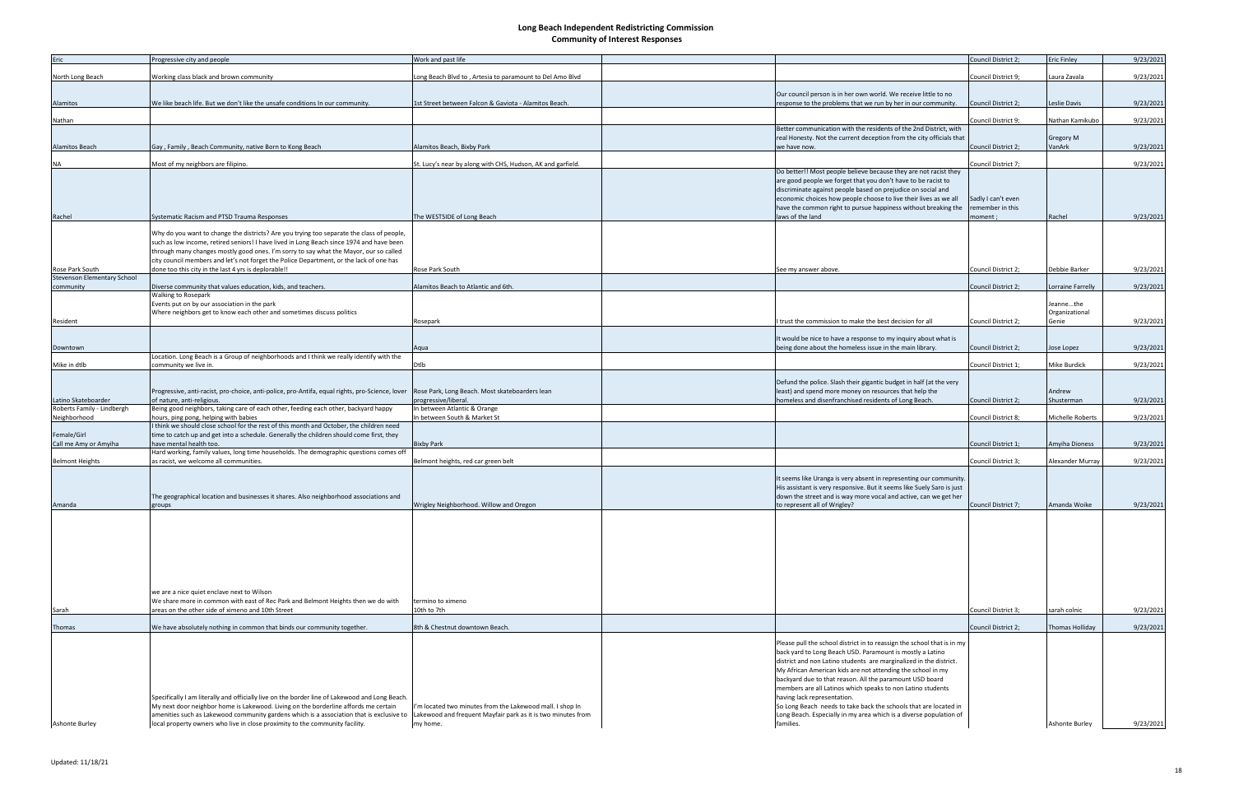| Eric                               | Progressive city and people                                                                     | Work and past life                                           |                                                                         | Council District 2  | <b>Eric Finley</b>      | 9/23/2021 |
|------------------------------------|-------------------------------------------------------------------------------------------------|--------------------------------------------------------------|-------------------------------------------------------------------------|---------------------|-------------------------|-----------|
| North Long Beach                   | Working class black and brown community                                                         | Long Beach Blvd to, Artesia to paramount to Del Amo Blvd     |                                                                         | Council District 9; | Laura Zavala            | 9/23/2021 |
|                                    |                                                                                                 |                                                              |                                                                         |                     |                         |           |
|                                    |                                                                                                 |                                                              | Our council person is in her own world. We receive little to no         |                     |                         |           |
| Alamitos                           | We like beach life. But we don't like the unsafe conditions In our community.                   | 1st Street between Falcon & Gaviota - Alamitos Beach.        | response to the problems that we run by her in our community.           | Council District 2; | Leslie Davis            | 9/23/2021 |
|                                    |                                                                                                 |                                                              |                                                                         |                     |                         |           |
| Nathan                             |                                                                                                 |                                                              |                                                                         | Council District 9; | Nathan Kamikubo         | 9/23/2021 |
|                                    |                                                                                                 |                                                              | Better communication with the residents of the 2nd District, with       |                     |                         |           |
|                                    |                                                                                                 |                                                              | real Honesty. Not the current deception from the city officials that    |                     | Gregory M               |           |
| <b>Alamitos Beach</b>              | Gay, Family, Beach Community, native Born to Kong Beach                                         | Alamitos Beach, Bixby Park                                   | we have now.                                                            | Council District 2; | VanArk                  | 9/23/2021 |
|                                    |                                                                                                 |                                                              |                                                                         |                     |                         |           |
| <b>NA</b>                          | Most of my neighbors are filipino.                                                              | St. Lucy's near by along with CHS, Hudson, AK and garfield.  | Do better!! Most people believe because they are not racist they        | Council District 7; |                         | 9/23/2021 |
|                                    |                                                                                                 |                                                              | are good people we forget that you don't have to be racist to           |                     |                         |           |
|                                    |                                                                                                 |                                                              | discriminate against people based on prejudice on social and            |                     |                         |           |
|                                    |                                                                                                 |                                                              | economic choices how people choose to live their lives as we all        | Sadly I can't even  |                         |           |
|                                    |                                                                                                 |                                                              | have the common right to pursue happiness without breaking the          | remember in this    |                         |           |
| Rachel                             | Systematic Racism and PTSD Trauma Responses                                                     | The WESTSIDE of Long Beach                                   | laws of the land                                                        | moment;             | Rachel                  | 9/23/2021 |
|                                    |                                                                                                 |                                                              |                                                                         |                     |                         |           |
|                                    | Why do you want to change the districts? Are you trying too separate the class of people,       |                                                              |                                                                         |                     |                         |           |
|                                    | such as low income, retired seniors! I have lived in Long Beach since 1974 and have been        |                                                              |                                                                         |                     |                         |           |
|                                    | through many changes mostly good ones. I'm sorry to say what the Mayor, our so called           |                                                              |                                                                         |                     |                         |           |
|                                    | city council members and let's not forget the Police Department, or the lack of one has         |                                                              |                                                                         |                     |                         |           |
| Rose Park South                    | done too this city in the last 4 yrs is deplorable!!                                            | Rose Park South                                              | See my answer above.                                                    | Council District 2; | Debbie Barker           | 9/23/2021 |
| <b>Stevenson Elementary School</b> |                                                                                                 |                                                              |                                                                         |                     |                         |           |
| community                          | Diverse community that values education, kids, and teachers.                                    | Alamitos Beach to Atlantic and 6th.                          |                                                                         | Council District 2; | Lorraine Farrelly       | 9/23/2021 |
|                                    | Walking to Rosepark                                                                             |                                                              |                                                                         |                     |                         |           |
|                                    | Events put on by our association in the park                                                    |                                                              |                                                                         |                     | Jeannethe               |           |
|                                    | Where neighbors get to know each other and sometimes discuss politics                           |                                                              |                                                                         |                     | Organizational          |           |
| Resident                           |                                                                                                 | Rosepark                                                     | trust the commission to make the best decision for all                  | Council District 2; | Genie                   | 9/23/2021 |
|                                    |                                                                                                 |                                                              | It would be nice to have a response to my inquiry about what is         |                     |                         |           |
| Downtown                           |                                                                                                 | Aqua                                                         | being done about the homeless issue in the main library.                | Council District 2; | Jose Lopez              | 9/23/2021 |
|                                    | Location. Long Beach is a Group of neighborhoods and I think we really identify with the        |                                                              |                                                                         |                     |                         |           |
| Mike in dtlb                       | community we live in.                                                                           | Dtlb                                                         |                                                                         | Council District 1; | Mike Burdick            | 9/23/2021 |
|                                    |                                                                                                 |                                                              |                                                                         |                     |                         |           |
|                                    |                                                                                                 |                                                              | Defund the police. Slash their gigantic budget in half (at the very     |                     |                         |           |
|                                    | Progressive, anti-racist, pro-choice, anti-police, pro-Antifa, equal rights, pro-Science, lover | Rose Park, Long Beach. Most skateboarders lean               | least) and spend more money on resources that help the                  |                     | Andrew                  |           |
| Latino Skateboarder                | of nature, anti-religious.                                                                      | progressive/liberal.                                         | homeless and disenfranchised residents of Long Beach.                   | Council District 2; | Shusterman              | 9/23/2021 |
| Roberts Family - Lindbergh         | Being good neighbors, taking care of each other, feeding each other, backyard happy             | In between Atlantic & Orange                                 |                                                                         |                     |                         |           |
| Neighborhood                       | hours, ping pong, helping with babies                                                           | In between South & Market St                                 |                                                                         | Council District 8; | <b>Michelle Roberts</b> | 9/23/2021 |
|                                    | I think we should close school for the rest of this month and October, the children need        |                                                              |                                                                         |                     |                         |           |
| Female/Girl                        | time to catch up and get into a schedule. Generally the children should come first, they        |                                                              |                                                                         |                     |                         |           |
| Call me Amy or Amyiha              | have mental health too.                                                                         | <b>Bixby Park</b>                                            |                                                                         | Council District 1; | Amyiha Dioness          | 9/23/2021 |
|                                    | Hard working, family values, long time households. The demographic questions comes off          |                                                              |                                                                         |                     |                         |           |
| <b>Belmont Heights</b>             | as racist, we welcome all communities.                                                          | Belmont heights, red car green belt                          |                                                                         | Council District 3; | Alexander Murray        | 9/23/2021 |
|                                    |                                                                                                 |                                                              | It seems like Uranga is very absent in representing our community.      |                     |                         |           |
|                                    |                                                                                                 |                                                              | His assistant is very responsive. But it seems like Suely Saro is just  |                     |                         |           |
|                                    | The geographical location and businesses it shares. Also neighborhood associations and          |                                                              | down the street and is way more vocal and active, can we get her        |                     |                         |           |
| Amanda                             | groups                                                                                          | Wrigley Neighborhood. Willow and Oregon                      | to represent all of Wrigley?                                            | Council District 7  | Amanda Woike            | 9/23/2021 |
|                                    |                                                                                                 |                                                              |                                                                         |                     |                         |           |
|                                    |                                                                                                 |                                                              |                                                                         |                     |                         |           |
|                                    |                                                                                                 |                                                              |                                                                         |                     |                         |           |
|                                    |                                                                                                 |                                                              |                                                                         |                     |                         |           |
|                                    |                                                                                                 |                                                              |                                                                         |                     |                         |           |
|                                    |                                                                                                 |                                                              |                                                                         |                     |                         |           |
|                                    |                                                                                                 |                                                              |                                                                         |                     |                         |           |
|                                    |                                                                                                 |                                                              |                                                                         |                     |                         |           |
|                                    |                                                                                                 |                                                              |                                                                         |                     |                         |           |
|                                    | we are a nice quiet enclave next to Wilson                                                      |                                                              |                                                                         |                     |                         |           |
|                                    | We share more in common with east of Rec Park and Belmont Heights then we do with               | termino to ximeno                                            |                                                                         |                     |                         |           |
| Sarah                              | areas on the other side of ximeno and 10th Street                                               | 10th to 7th                                                  |                                                                         | Council District 3; | sarah colnic            | 9/23/2021 |
|                                    |                                                                                                 |                                                              |                                                                         |                     |                         |           |
| Thomas                             | We have absolutely nothing in common that binds our community together.                         | 8th & Chestnut downtown Beach.                               |                                                                         | Council District 2; | Thomas Holliday         | 9/23/2021 |
|                                    |                                                                                                 |                                                              | Please pull the school district in to reassign the school that is in my |                     |                         |           |
|                                    |                                                                                                 |                                                              | back yard to Long Beach USD. Paramount is mostly a Latino               |                     |                         |           |
|                                    |                                                                                                 |                                                              | district and non Latino students are marginalized in the district.      |                     |                         |           |
|                                    |                                                                                                 |                                                              | My African American kids are not attending the school in my             |                     |                         |           |
|                                    |                                                                                                 |                                                              | backyard due to that reason. All the paramount USD board                |                     |                         |           |
|                                    |                                                                                                 |                                                              | members are all Latinos which speaks to non Latino students             |                     |                         |           |
|                                    | Specifically I am literally and officially live on the border line of Lakewood and Long Beach.  |                                                              | having lack representation.                                             |                     |                         |           |
|                                    | My next door neighbor home is Lakewood. Living on the borderline affords me certain             | I'm located two minutes from the Lakewood mall. I shop In    | So Long Beach needs to take back the schools that are located in        |                     |                         |           |
|                                    | amenities such as Lakewood community gardens which is a association that is exclusive to        | Lakewood and frequent Mayfair park as it is two minutes from | Long Beach. Especially in my area which is a diverse population of      |                     |                         |           |
| <b>Ashonte Burley</b>              | local property owners who live in close proximity to the community facility.                    | my home.                                                     | families.                                                               |                     | Ashonte Burley          | 9/23/2021 |
|                                    |                                                                                                 |                                                              |                                                                         |                     |                         |           |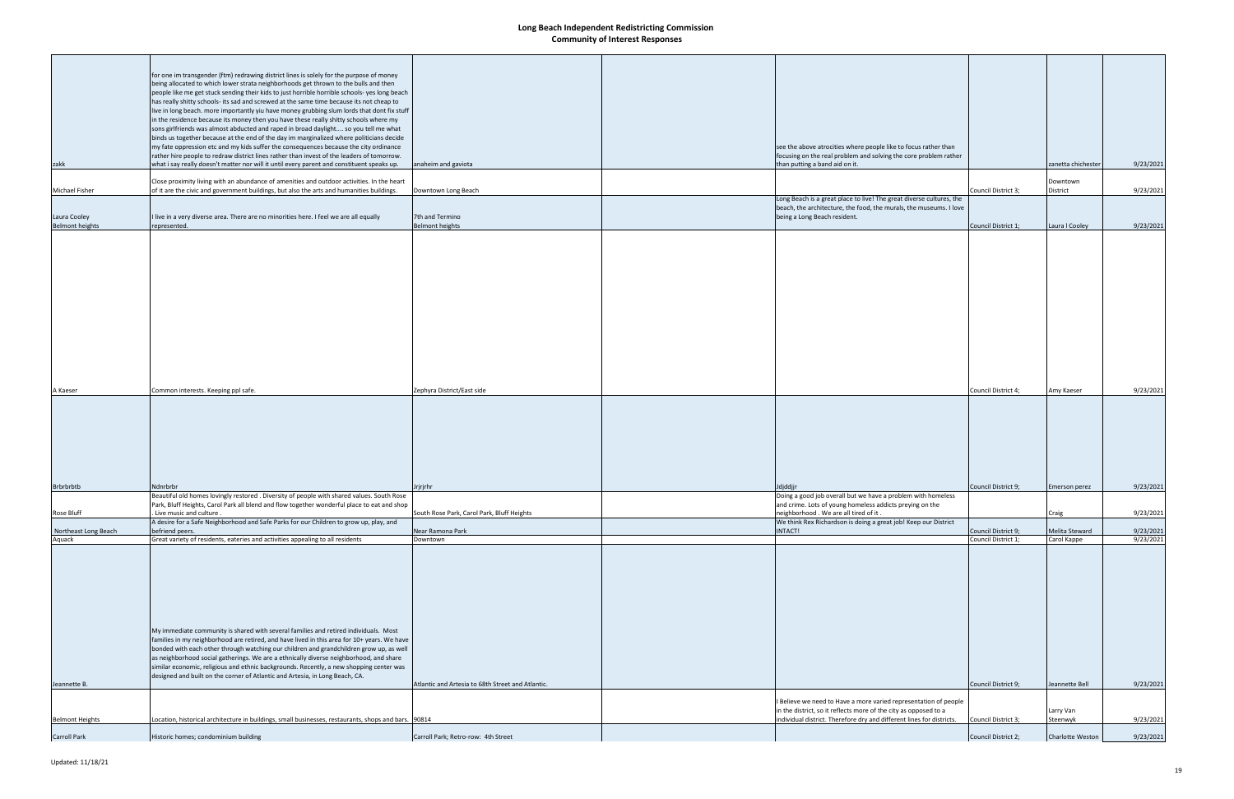|                                | for one im transgender (ftm) redrawing district lines is solely for the purpose of money             |                                                   |                                                                       |                     |                    |           |
|--------------------------------|------------------------------------------------------------------------------------------------------|---------------------------------------------------|-----------------------------------------------------------------------|---------------------|--------------------|-----------|
|                                | being allocated to which lower strata neighborhoods get thrown to the bulls and then                 |                                                   |                                                                       |                     |                    |           |
|                                | people like me get stuck sending their kids to just horrible horrible schools- yes long beach        |                                                   |                                                                       |                     |                    |           |
|                                | has really shitty schools- its sad and screwed at the same time because its not cheap to             |                                                   |                                                                       |                     |                    |           |
|                                | live in long beach. more importantly yiu have money grubbing slum lords that dont fix stuff          |                                                   |                                                                       |                     |                    |           |
|                                | in the residence because its money then you have these really shitty schools where my                |                                                   |                                                                       |                     |                    |           |
|                                | sons girlfriends was almost abducted and raped in broad daylight so you tell me what                 |                                                   |                                                                       |                     |                    |           |
|                                | binds us together because at the end of the day im marginalized where politicians decide             |                                                   |                                                                       |                     |                    |           |
|                                | my fate oppression etc and my kids suffer the consequences because the city ordinance                |                                                   | see the above atrocities where people like to focus rather than       |                     |                    |           |
|                                |                                                                                                      |                                                   |                                                                       |                     |                    |           |
|                                | rather hire people to redraw district lines rather than invest of the leaders of tomorrow.           |                                                   | focusing on the real problem and solving the core problem rather      |                     |                    |           |
| zakk                           | what i say really doesn't matter nor will it until every parent and constituent speaks up.           | anaheim and gaviota                               | than putting a band aid on it.                                        |                     | zanetta chichester | 9/23/2021 |
|                                | Close proximity living with an abundance of amenities and outdoor activities. In the heart           |                                                   |                                                                       |                     | Downtown           |           |
| Michael Fisher                 | of it are the civic and government buildings, but also the arts and humanities buildings.            | Downtown Long Beach                               |                                                                       | Council District 3; | District           | 9/23/2021 |
|                                |                                                                                                      |                                                   | Long Beach is a great place to live! The great diverse cultures, the  |                     |                    |           |
|                                |                                                                                                      |                                                   | beach, the architecture, the food, the murals, the museums. I love    |                     |                    |           |
|                                |                                                                                                      | 7th and Termino                                   |                                                                       |                     |                    |           |
| Laura Cooley                   | I live in a very diverse area. There are no minorities here. I feel we are all equally               |                                                   | being a Long Beach resident.                                          |                     |                    |           |
| <b>Belmont heights</b>         | represented.                                                                                         | <b>Belmont heights</b>                            |                                                                       | Council District 1; | Laura I Cooley     | 9/23/2021 |
|                                |                                                                                                      |                                                   |                                                                       |                     |                    |           |
|                                |                                                                                                      |                                                   |                                                                       |                     |                    |           |
|                                |                                                                                                      |                                                   |                                                                       |                     |                    |           |
|                                |                                                                                                      |                                                   |                                                                       |                     |                    |           |
|                                |                                                                                                      |                                                   |                                                                       |                     |                    |           |
|                                |                                                                                                      |                                                   |                                                                       |                     |                    |           |
|                                |                                                                                                      |                                                   |                                                                       |                     |                    |           |
|                                |                                                                                                      |                                                   |                                                                       |                     |                    |           |
|                                |                                                                                                      |                                                   |                                                                       |                     |                    |           |
|                                |                                                                                                      |                                                   |                                                                       |                     |                    |           |
|                                |                                                                                                      |                                                   |                                                                       |                     |                    |           |
|                                |                                                                                                      |                                                   |                                                                       |                     |                    |           |
|                                |                                                                                                      |                                                   |                                                                       |                     |                    |           |
|                                |                                                                                                      |                                                   |                                                                       |                     |                    |           |
|                                |                                                                                                      |                                                   |                                                                       |                     |                    |           |
|                                |                                                                                                      |                                                   |                                                                       |                     |                    |           |
|                                |                                                                                                      |                                                   |                                                                       |                     |                    |           |
|                                |                                                                                                      |                                                   |                                                                       |                     |                    |           |
|                                |                                                                                                      |                                                   |                                                                       |                     |                    |           |
| A Kaeser                       | Common interests. Keeping ppl safe.                                                                  | Zephyra District/East side                        |                                                                       | Council District 4; | Amy Kaeser         | 9/23/2021 |
|                                |                                                                                                      |                                                   |                                                                       |                     |                    |           |
|                                |                                                                                                      |                                                   |                                                                       |                     |                    |           |
|                                |                                                                                                      |                                                   |                                                                       |                     |                    |           |
|                                |                                                                                                      |                                                   |                                                                       |                     |                    |           |
|                                |                                                                                                      |                                                   |                                                                       |                     |                    |           |
|                                |                                                                                                      |                                                   |                                                                       |                     |                    |           |
|                                |                                                                                                      |                                                   |                                                                       |                     |                    |           |
|                                |                                                                                                      |                                                   |                                                                       |                     |                    |           |
|                                |                                                                                                      |                                                   |                                                                       |                     |                    |           |
|                                |                                                                                                      |                                                   |                                                                       |                     |                    |           |
| <b>Brbrbrbtb</b>               | Ndnrbrbr                                                                                             | Jrjrjrhr                                          | Idjddjjı                                                              | Council District 9; | Emerson perez      | 9/23/2021 |
|                                | Beautiful old homes lovingly restored . Diversity of people with shared values. South Rose           |                                                   | Doing a good job overall but we have a problem with homeless          |                     |                    |           |
|                                | Park, Bluff Heights, Carol Park all blend and flow together wonderful place to eat and shop          |                                                   | and crime. Lots of young homeless addicts preying on the              |                     |                    |           |
| Rose Bluff                     | Live music and culture.                                                                              | South Rose Park, Carol Park, Bluff Heights        | neighborhood. We are all tired of it.                                 |                     | Craig              | 9/23/2021 |
|                                | A desire for a Safe Neighborhood and Safe Parks for our Children to grow up, play, and               |                                                   | We think Rex Richardson is doing a great job! Keep our District       |                     |                    |           |
|                                | befriend peers.                                                                                      | Near Ramona Park                                  | INTACT!                                                               | Council District 9; | Melita Steward     | 9/23/2021 |
| Northeast Long Beach<br>Aquack | Great variety of residents, eateries and activities appealing to all residents                       | Downtown                                          |                                                                       | Council District 1; | Carol Kappe        | 9/23/2021 |
|                                |                                                                                                      |                                                   |                                                                       |                     |                    |           |
|                                |                                                                                                      |                                                   |                                                                       |                     |                    |           |
|                                |                                                                                                      |                                                   |                                                                       |                     |                    |           |
|                                |                                                                                                      |                                                   |                                                                       |                     |                    |           |
|                                |                                                                                                      |                                                   |                                                                       |                     |                    |           |
|                                |                                                                                                      |                                                   |                                                                       |                     |                    |           |
|                                |                                                                                                      |                                                   |                                                                       |                     |                    |           |
|                                |                                                                                                      |                                                   |                                                                       |                     |                    |           |
|                                |                                                                                                      |                                                   |                                                                       |                     |                    |           |
|                                |                                                                                                      |                                                   |                                                                       |                     |                    |           |
|                                |                                                                                                      |                                                   |                                                                       |                     |                    |           |
|                                | My immediate community is shared with several families and retired individuals. Most                 |                                                   |                                                                       |                     |                    |           |
|                                | families in my neighborhood are retired, and have lived in this area for 10+ years. We have          |                                                   |                                                                       |                     |                    |           |
|                                | bonded with each other through watching our children and grandchildren grow up, as well              |                                                   |                                                                       |                     |                    |           |
|                                | as neighborhood social gatherings. We are a ethnically diverse neighborhood, and share               |                                                   |                                                                       |                     |                    |           |
|                                | similar economic, religious and ethnic backgrounds. Recently, a new shopping center was              |                                                   |                                                                       |                     |                    |           |
|                                | designed and built on the corner of Atlantic and Artesia, in Long Beach, CA.                         |                                                   |                                                                       |                     |                    |           |
| Jeannette B.                   |                                                                                                      | Atlantic and Artesia to 68th Street and Atlantic. |                                                                       | Council District 9; | Jeannette Bell     | 9/23/2021 |
|                                |                                                                                                      |                                                   |                                                                       |                     |                    |           |
|                                |                                                                                                      |                                                   | I Believe we need to Have a more varied representation of people      |                     |                    |           |
|                                |                                                                                                      |                                                   | in the district, so it reflects more of the city as opposed to a      |                     | Larry Van          |           |
| <b>Belmont Heights</b>         | Location, historical architecture in buildings, small businesses, restaurants, shops and bars. 90814 |                                                   | individual district. Therefore dry and different lines for districts. | Council District 3; | Steenwyk           | 9/23/2021 |
|                                |                                                                                                      |                                                   |                                                                       |                     |                    |           |
| <b>Carroll Park</b>            | Historic homes; condominium building                                                                 | Carroll Park; Retro-row: 4th Street               |                                                                       | Council District 2; | Charlotte Weston   | 9/23/2021 |
|                                |                                                                                                      |                                                   |                                                                       |                     |                    |           |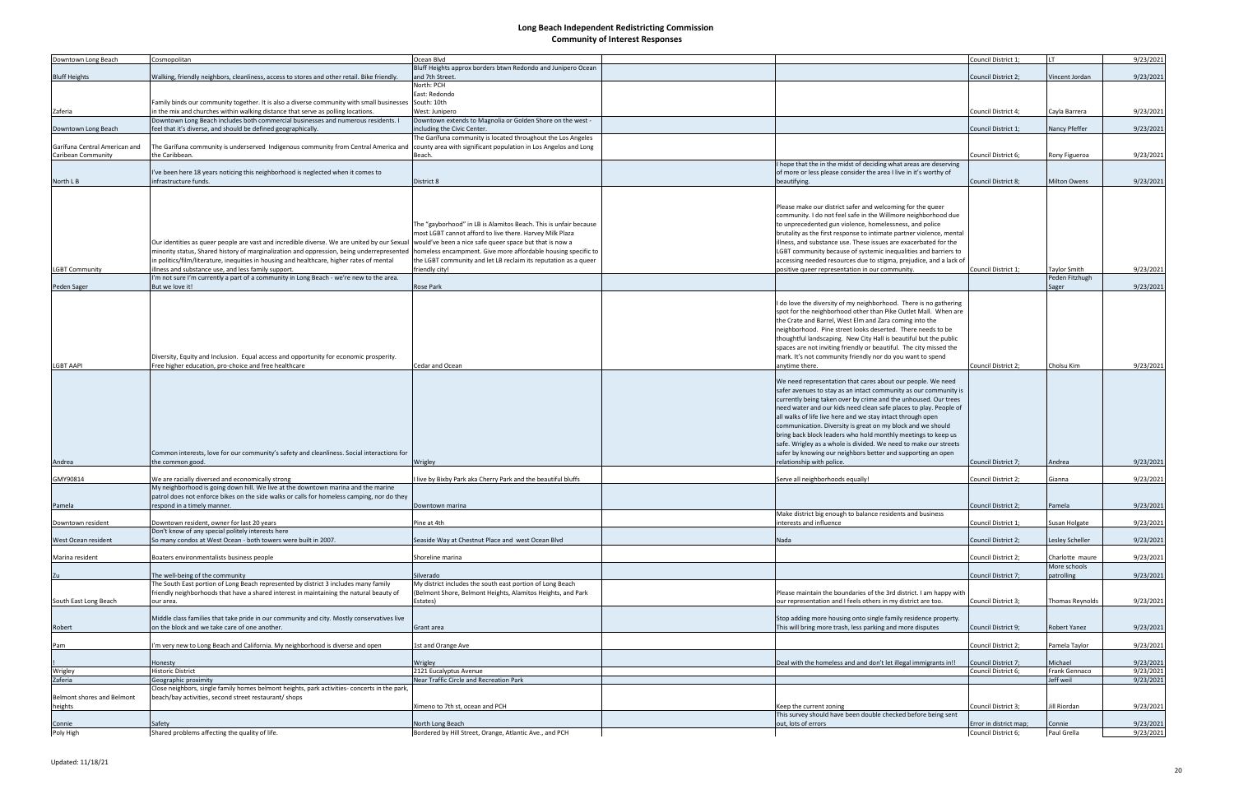| Downtown Long Beach           | Cosmopolitan                                                                                              | Ocean Blvd                                                       |                                                                                                                                 | Council District 1;    |                        | 9/23/2021 |
|-------------------------------|-----------------------------------------------------------------------------------------------------------|------------------------------------------------------------------|---------------------------------------------------------------------------------------------------------------------------------|------------------------|------------------------|-----------|
|                               |                                                                                                           | Bluff Heights approx borders btwn Redondo and Junipero Ocean     |                                                                                                                                 |                        |                        |           |
| <b>Bluff Heights</b>          | Walking, friendly neighbors, cleanliness, access to stores and other retail. Bike friendly.               | and 7th Street                                                   |                                                                                                                                 | Council District 2;    | Vincent Jordan         | 9/23/2021 |
|                               |                                                                                                           | North: PCH<br>East: Redondo                                      |                                                                                                                                 |                        |                        |           |
|                               | Family binds our community together. It is also a diverse community with small businesses South: 10th     |                                                                  |                                                                                                                                 |                        |                        |           |
| Zaferia                       | in the mix and churches within walking distance that serve as polling locations.                          | West: Junipero                                                   |                                                                                                                                 | Council District 4;    | Cayla Barrera          | 9/23/2021 |
|                               | Downtown Long Beach includes both commercial businesses and numerous residents. I                         | Downtown extends to Magnolia or Golden Shore on the west -       |                                                                                                                                 |                        |                        |           |
| Downtown Long Beach           | feel that it's diverse, and should be defined geographically.                                             | including the Civic Center.                                      |                                                                                                                                 | Council District 1;    | Nancy Pfeffer          | 9/23/2021 |
|                               |                                                                                                           | The Garífuna community is located throughout the Los Angeles     |                                                                                                                                 |                        |                        |           |
| Garífuna Central American and | The Garifuna community is underserved Indigenous community from Central America and                       | county area with significant population in Los Angelos and Long  |                                                                                                                                 |                        |                        |           |
| Caribean Community            | the Caribbean.                                                                                            | Beach.                                                           |                                                                                                                                 | Council District 6;    | Rony Figueroa          | 9/23/2021 |
|                               |                                                                                                           |                                                                  | I hope that the in the midst of deciding what areas are deserving                                                               |                        |                        |           |
|                               | I've been here 18 years noticing this neighborhood is neglected when it comes to<br>infrastructure funds. | District 8                                                       | of more or less please consider the area I live in it's worthy of                                                               | Council District 8;    | <b>Milton Owens</b>    |           |
| North L B                     |                                                                                                           |                                                                  | beautifying.                                                                                                                    |                        |                        | 9/23/2021 |
|                               |                                                                                                           |                                                                  |                                                                                                                                 |                        |                        |           |
|                               |                                                                                                           |                                                                  | Please make our district safer and welcoming for the queer                                                                      |                        |                        |           |
|                               |                                                                                                           |                                                                  | community. I do not feel safe in the Willmore neighborhood due                                                                  |                        |                        |           |
|                               |                                                                                                           | The "gayborhood" in LB is Alamitos Beach. This is unfair because | to unprecedented gun violence, homelessness, and police                                                                         |                        |                        |           |
|                               |                                                                                                           | most LGBT cannot afford to live there. Harvey Milk Plaza         | brutality as the first response to intimate partner violence, mental                                                            |                        |                        |           |
|                               | Our identities as queer people are vast and incredible diverse. We are united by our Sexual               | would've been a nice safe queer space but that is now a          | illness, and substance use. These issues are exacerbated for the                                                                |                        |                        |           |
|                               | minority status, Shared history of marginalization and oppression, being underrepresented                 | homeless encampment. Give more affordable housing specific to    | LGBT community because of systemic inequalities and barriers to                                                                 |                        |                        |           |
|                               | in politics/film/literature, inequities in housing and healthcare, higher rates of mental                 | the LGBT community and let LB reclaim its reputation as a queer  | accessing needed resources due to stigma, prejudice, and a lack of                                                              |                        |                        |           |
| <b>LGBT Community</b>         | illness and substance use, and less family support.                                                       | friendly city!                                                   | positive queer representation in our community.                                                                                 | Council District 1;    | <b>Taylor Smith</b>    | 9/23/2021 |
|                               | I'm not sure I'm currently a part of a community in Long Beach - we're new to the area.                   |                                                                  |                                                                                                                                 |                        | Peden Fitzhugh         |           |
| Peden Sager                   | But we love it!                                                                                           | <b>Rose Park</b>                                                 |                                                                                                                                 |                        | Sager                  | 9/23/2021 |
|                               |                                                                                                           |                                                                  | I do love the diversity of my neighborhood. There is no gathering                                                               |                        |                        |           |
|                               |                                                                                                           |                                                                  | spot for the neighborhood other than Pike Outlet Mall. When are                                                                 |                        |                        |           |
|                               |                                                                                                           |                                                                  | the Crate and Barrel, West Elm and Zara coming into the                                                                         |                        |                        |           |
|                               |                                                                                                           |                                                                  | neighborhood. Pine street looks deserted. There needs to be                                                                     |                        |                        |           |
|                               |                                                                                                           |                                                                  | thoughtful landscaping. New City Hall is beautiful but the public                                                               |                        |                        |           |
|                               |                                                                                                           |                                                                  | spaces are not inviting friendly or beautiful. The city missed the                                                              |                        |                        |           |
|                               | Diversity, Equity and Inclusion. Equal access and opportunity for economic prosperity.                    |                                                                  | mark. It's not community friendly nor do you want to spend                                                                      |                        |                        |           |
| LGBT AAPI                     | Free higher education, pro-choice and free healthcare                                                     | Cedar and Ocean                                                  | anytime there.                                                                                                                  | Council District 2;    | Cholsu Kim             | 9/23/2021 |
|                               |                                                                                                           |                                                                  |                                                                                                                                 |                        |                        |           |
|                               |                                                                                                           |                                                                  | We need representation that cares about our people. We need<br>safer avenues to stay as an intact community as our community is |                        |                        |           |
|                               |                                                                                                           |                                                                  | currently being taken over by crime and the unhoused. Our trees                                                                 |                        |                        |           |
|                               |                                                                                                           |                                                                  | need water and our kids need clean safe places to play. People of                                                               |                        |                        |           |
|                               |                                                                                                           |                                                                  | all walks of life live here and we stay intact through open                                                                     |                        |                        |           |
|                               |                                                                                                           |                                                                  | communication. Diversity is great on my block and we should                                                                     |                        |                        |           |
|                               |                                                                                                           |                                                                  | bring back block leaders who hold monthly meetings to keep us                                                                   |                        |                        |           |
|                               |                                                                                                           |                                                                  | safe. Wrigley as a whole is divided. We need to make our streets                                                                |                        |                        |           |
|                               | Common interests, love for our community's safety and cleanliness. Social interactions for                |                                                                  | safer by knowing our neighbors better and supporting an open                                                                    |                        |                        |           |
| Andrea                        | the common good.                                                                                          | Wrigley                                                          | relationship with police.                                                                                                       | Council District 7;    | Andrea                 | 9/23/2021 |
|                               |                                                                                                           |                                                                  |                                                                                                                                 |                        |                        |           |
| GMY90814                      | We are racially diversed and economically strong                                                          | live by Bixby Park aka Cherry Park and the beautiful bluffs      | Serve all neighborhoods equally!                                                                                                | Council District 2;    | Gianna                 | 9/23/2021 |
|                               | My neighborhood is going down hill. We live at the downtown marina and the marine                         |                                                                  |                                                                                                                                 |                        |                        |           |
|                               | patrol does not enforce bikes on the side walks or calls for homeless camping, nor do they                |                                                                  |                                                                                                                                 |                        |                        |           |
| Pamela                        | respond in a timely manner.                                                                               | Downtown marina                                                  |                                                                                                                                 | Council District 2;    | Pamela                 | 9/23/2021 |
| Downtown resident             | Downtown resident, owner for last 20 years                                                                | Pine at 4th                                                      | Make district big enough to balance residents and business<br>interests and influence                                           | Council District 1;    | Susan Holgate          | 9/23/2021 |
|                               | Don't know of any special politely interests here                                                         |                                                                  |                                                                                                                                 |                        |                        |           |
| West Ocean resident           | So many condos at West Ocean - both towers were built in 2007.                                            | Seaside Way at Chestnut Place and west Ocean Blvd                | Nada                                                                                                                            | Council District 2;    | Lesley Scheller        | 9/23/2021 |
|                               |                                                                                                           |                                                                  |                                                                                                                                 |                        |                        |           |
| Marina resident               | Boaters environmentalists business people                                                                 | Shoreline marina                                                 |                                                                                                                                 | Council District 2;    | Charlotte maure        | 9/23/2021 |
|                               |                                                                                                           |                                                                  |                                                                                                                                 |                        | More schools           |           |
|                               | The well-being of the community                                                                           | Silverado                                                        |                                                                                                                                 | Council District 7;    | patrolling             | 9/23/2021 |
|                               | The South East portion of Long Beach represented by district 3 includes many family                       | My district includes the south east portion of Long Beach        |                                                                                                                                 |                        |                        |           |
|                               | friendly neighborhoods that have a shared interest in maintaining the natural beauty of                   | (Belmont Shore, Belmont Heights, Alamitos Heights, and Park      | Please maintain the boundaries of the 3rd district. I am happy with                                                             |                        | <b>Thomas Reynolds</b> |           |
| South East Long Beach         | our area.                                                                                                 | Estates)                                                         | our representation and I feels others in my district are too.                                                                   | Council District 3;    |                        | 9/23/2021 |
|                               | Middle class families that take pride in our community and city. Mostly conservatives live                |                                                                  | Stop adding more housing onto single family residence property.                                                                 |                        |                        |           |
| Robert                        | on the block and we take care of one another.                                                             | Grant area                                                       | This will bring more trash, less parking and more disputes                                                                      | Council District 9;    | Robert Yanez           | 9/23/2021 |
|                               |                                                                                                           |                                                                  |                                                                                                                                 |                        |                        |           |
| Pam                           | I'm very new to Long Beach and California. My neighborhood is diverse and open                            | 1st and Orange Ave                                               |                                                                                                                                 | Council District 2;    | Pamela Taylor          | 9/23/2021 |
|                               |                                                                                                           |                                                                  |                                                                                                                                 |                        |                        |           |
|                               | Honesty                                                                                                   | Wrigley                                                          | Deal with the homeless and and don't let illegal immigrants in!!                                                                | Council District 7;    | Michael                | 9/23/2021 |
| Wrigley                       | <b>Historic District</b>                                                                                  | 2121 Eucalyptus Avenue                                           |                                                                                                                                 | Council District 6;    | Frank Gennaco          | 9/23/2021 |
| Zaferia                       | Geographic proximity                                                                                      | Near Traffic Circle and Recreation Park                          |                                                                                                                                 |                        | Jeff weil              | 9/23/2021 |
|                               | Close neighbors, single family homes belmont heights, park activities- concerts in the park,              |                                                                  |                                                                                                                                 |                        |                        |           |
| Belmont shores and Belmont    | beach/bay activities, second street restaurant/ shops                                                     | Ximeno to 7th st, ocean and PCH                                  |                                                                                                                                 | Council District 3;    | Jill Riordan           |           |
| heights                       |                                                                                                           |                                                                  | Keep the current zoning<br>This survey should have been double checked before being sent                                        |                        |                        | 9/23/2021 |
| Connie                        | Safety                                                                                                    | North Long Beach                                                 | out, lots of errors                                                                                                             | Error in district map; | Connie                 | 9/23/2021 |
| Poly High                     | Shared problems affecting the quality of life.                                                            | Bordered by Hill Street, Orange, Atlantic Ave., and PCH          |                                                                                                                                 | Council District 6;    | Paul Grella            | 9/23/2021 |
|                               |                                                                                                           |                                                                  |                                                                                                                                 |                        |                        |           |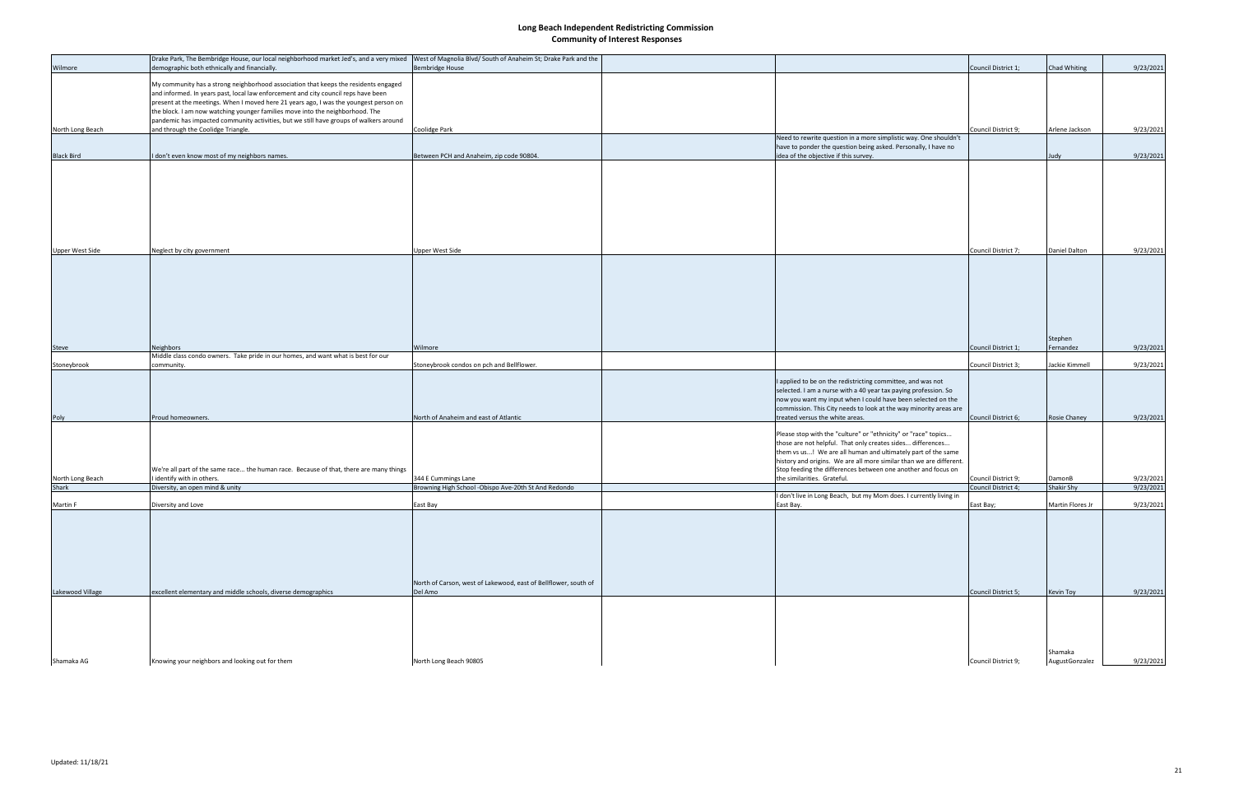|                                  | Drake Park, The Bembridge House, our local neighborhood market Jed's, and a very mixed West of Magnolia Blvd/ South of Anaheim St; Drake Park and the                                                                                                                                                                                                                                                                                         |                                                                             |                                                                                                                                                                                                                                                                                                                                      |                                            |                             |                        |
|----------------------------------|-----------------------------------------------------------------------------------------------------------------------------------------------------------------------------------------------------------------------------------------------------------------------------------------------------------------------------------------------------------------------------------------------------------------------------------------------|-----------------------------------------------------------------------------|--------------------------------------------------------------------------------------------------------------------------------------------------------------------------------------------------------------------------------------------------------------------------------------------------------------------------------------|--------------------------------------------|-----------------------------|------------------------|
| Wilmore                          | demographic both ethnically and financially                                                                                                                                                                                                                                                                                                                                                                                                   | <b>Bembridge House</b>                                                      |                                                                                                                                                                                                                                                                                                                                      | Council District 1;                        | Chad Whiting                | 9/23/2021              |
|                                  | My community has a strong neighborhood association that keeps the residents engaged<br>and informed. In years past, local law enforcement and city council reps have been<br>present at the meetings. When I moved here 21 years ago, I was the youngest person on<br>the block. I am now watching younger families move into the neighborhood. The<br>pandemic has impacted community activities, but we still have groups of walkers around |                                                                             |                                                                                                                                                                                                                                                                                                                                      |                                            |                             |                        |
| North Long Beach                 | and through the Coolidge Triangle.                                                                                                                                                                                                                                                                                                                                                                                                            | Coolidge Park                                                               |                                                                                                                                                                                                                                                                                                                                      | Council District 9;                        | Arlene Jackson              | 9/23/2021              |
|                                  |                                                                                                                                                                                                                                                                                                                                                                                                                                               |                                                                             | Need to rewrite question in a more simplistic way. One shouldn't<br>have to ponder the question being asked. Personally, I have no                                                                                                                                                                                                   |                                            |                             |                        |
| <b>Black Bird</b>                | I don't even know most of my neighbors names.                                                                                                                                                                                                                                                                                                                                                                                                 | Between PCH and Anaheim, zip code 90804.                                    | idea of the objective if this survey.                                                                                                                                                                                                                                                                                                |                                            | Judy                        | 9/23/2021              |
|                                  |                                                                                                                                                                                                                                                                                                                                                                                                                                               |                                                                             |                                                                                                                                                                                                                                                                                                                                      |                                            |                             |                        |
| Upper West Side                  | Neglect by city government                                                                                                                                                                                                                                                                                                                                                                                                                    | Upper West Side                                                             |                                                                                                                                                                                                                                                                                                                                      | Council District 7;                        | Daniel Dalton               | 9/23/2021              |
|                                  |                                                                                                                                                                                                                                                                                                                                                                                                                                               |                                                                             |                                                                                                                                                                                                                                                                                                                                      |                                            |                             |                        |
|                                  |                                                                                                                                                                                                                                                                                                                                                                                                                                               |                                                                             |                                                                                                                                                                                                                                                                                                                                      |                                            | Stephen                     |                        |
| Steve                            | Neighbors                                                                                                                                                                                                                                                                                                                                                                                                                                     | Wilmore                                                                     |                                                                                                                                                                                                                                                                                                                                      | Council District 1;                        | Fernandez                   | 9/23/2021              |
| Stoneybrook                      | Middle class condo owners. Take pride in our homes, and want what is best for our<br>community.                                                                                                                                                                                                                                                                                                                                               | Stoneybrook condos on pch and Bellflower.                                   |                                                                                                                                                                                                                                                                                                                                      | Council District 3;                        | Jackie Kimmell              | 9/23/2021              |
|                                  |                                                                                                                                                                                                                                                                                                                                                                                                                                               |                                                                             | I applied to be on the redistricting committee, and was not<br>selected. I am a nurse with a 40 year tax paying profession. So<br>now you want my input when I could have been selected on the<br>commission. This City needs to look at the way minority areas are                                                                  |                                            |                             |                        |
| Poly                             | Proud homeowners.                                                                                                                                                                                                                                                                                                                                                                                                                             | North of Anaheim and east of Atlantic                                       | treated versus the white areas.                                                                                                                                                                                                                                                                                                      | Council District 6;                        | Rosie Chaney                | 9/23/2021              |
|                                  | We're all part of the same race the human race. Because of that, there are many things                                                                                                                                                                                                                                                                                                                                                        |                                                                             | Please stop with the "culture" or "ethnicity" or "race" topics<br>those are not helpful. That only creates sides differences<br>them vs us! We are all human and ultimately part of the same<br>history and origins. We are all more similar than we are different.<br>Stop feeding the differences between one another and focus on |                                            |                             |                        |
| North Long Beach<br><b>Shark</b> | I identify with in others.<br>Diversity, an open mind & unity                                                                                                                                                                                                                                                                                                                                                                                 | 344 E Cummings Lane<br>Browning High School -Obispo Ave-20th St And Redondo | the similarities. Grateful.                                                                                                                                                                                                                                                                                                          | Council District 9;<br>Council District 4; | DamonB<br><b>Shakir Shy</b> | 9/23/2021<br>9/23/2021 |
|                                  |                                                                                                                                                                                                                                                                                                                                                                                                                                               |                                                                             | I don't live in Long Beach, but my Mom does. I currently living in                                                                                                                                                                                                                                                                   |                                            |                             |                        |
| Martin F                         | Diversity and Love                                                                                                                                                                                                                                                                                                                                                                                                                            | East Bay                                                                    | East Bay.                                                                                                                                                                                                                                                                                                                            | East Bay;                                  | Martin Flores Jr            | 9/23/2021              |
| Lakewood Village                 | excellent elementary and middle schools, diverse demographics                                                                                                                                                                                                                                                                                                                                                                                 | North of Carson, west of Lakewood, east of Bellflower, south of<br>Del Amo  |                                                                                                                                                                                                                                                                                                                                      | Council District 5;                        | Kevin Toy                   | 9/23/2021              |
|                                  |                                                                                                                                                                                                                                                                                                                                                                                                                                               |                                                                             |                                                                                                                                                                                                                                                                                                                                      |                                            |                             |                        |
|                                  |                                                                                                                                                                                                                                                                                                                                                                                                                                               |                                                                             |                                                                                                                                                                                                                                                                                                                                      |                                            | Shamaka                     |                        |
| Shamaka AG                       | Knowing your neighbors and looking out for them                                                                                                                                                                                                                                                                                                                                                                                               | North Long Beach 90805                                                      |                                                                                                                                                                                                                                                                                                                                      | Council District 9;                        | AugustGonzalez              | 9/23/2021              |
|                                  |                                                                                                                                                                                                                                                                                                                                                                                                                                               |                                                                             |                                                                                                                                                                                                                                                                                                                                      |                                            |                             |                        |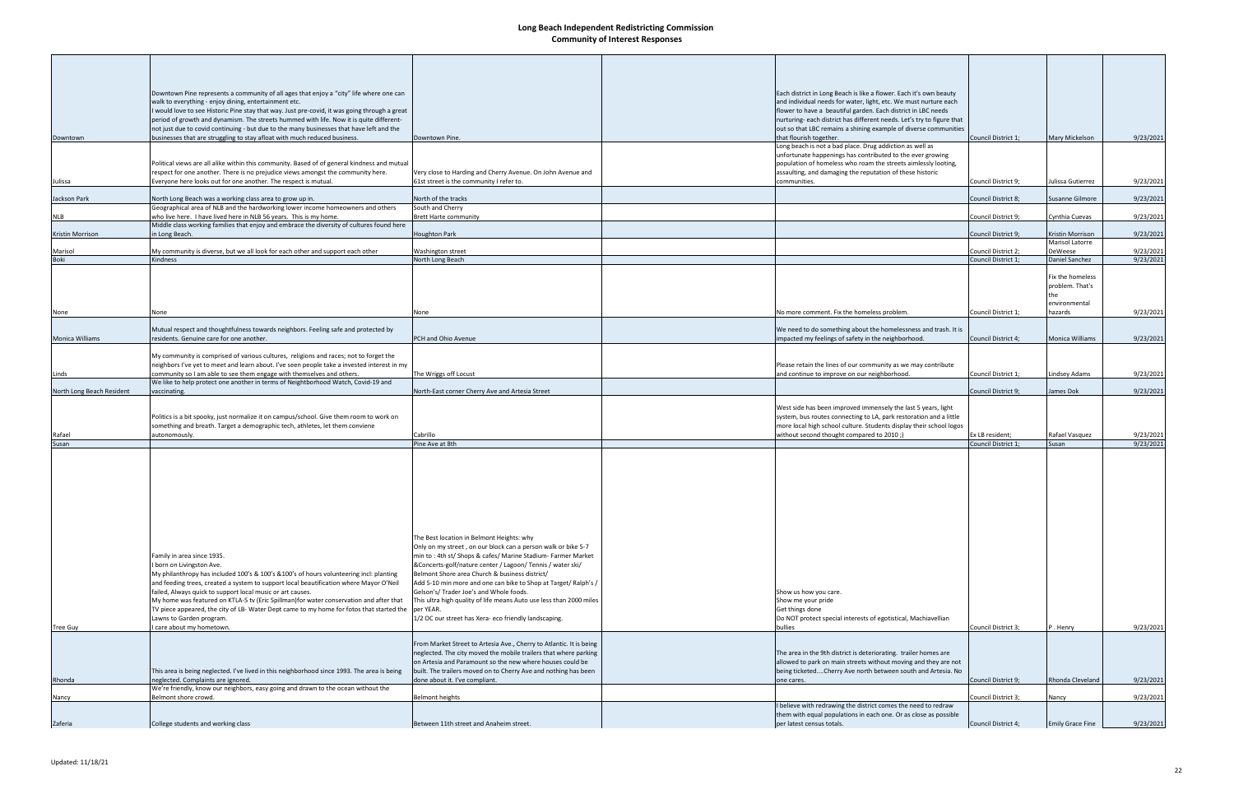|                           | Downtown Pine represents a community of all ages that enjoy a "city" life where one can                                                                                              |                                                                                                                               | Each district in Long Beach is like a flower. Each it's own beauty                                                                         |                     |                                     |           |
|---------------------------|--------------------------------------------------------------------------------------------------------------------------------------------------------------------------------------|-------------------------------------------------------------------------------------------------------------------------------|--------------------------------------------------------------------------------------------------------------------------------------------|---------------------|-------------------------------------|-----------|
|                           | walk to everything - enjoy dining, entertainment etc.                                                                                                                                |                                                                                                                               | and individual needs for water, light, etc. We must nurture each                                                                           |                     |                                     |           |
|                           | would love to see Historic Pine stay that way. Just pre-covid, it was going through a great                                                                                          |                                                                                                                               | flower to have a beautiful garden. Each district in LBC needs                                                                              |                     |                                     |           |
|                           | period of growth and dynamism. The streets hummed with life. Now it is quite different-<br>not just due to covid continuing - but due to the many businesses that have left and the  |                                                                                                                               | nurturing- each district has different needs. Let's try to figure that<br>out so that LBC remains a shining example of diverse communities |                     |                                     |           |
| Downtown                  | businesses that are struggling to stay afloat with much reduced business.                                                                                                            | Downtown Pine.                                                                                                                | that flourish together.                                                                                                                    | Council District 1; | Mary Mickelson                      | 9/23/2021 |
|                           |                                                                                                                                                                                      |                                                                                                                               | Long beach is not a bad place. Drug addiction as well as<br>unfortunate happenings has contributed to the ever growing                     |                     |                                     |           |
|                           | Political views are all alike within this community. Based of of general kindness and mutual                                                                                         |                                                                                                                               | population of homeless who roam the streets aimlessly looting,                                                                             |                     |                                     |           |
|                           | respect for one another. There is no prejudice views amongst the community here.<br>Everyone here looks out for one another. The respect is mutual.                                  | Very close to Harding and Cherry Avenue. On John Avenue and<br>61st street is the community I refer to.                       | assaulting, and damaging the reputation of these historic<br>communities.                                                                  |                     |                                     |           |
| Julissa                   |                                                                                                                                                                                      |                                                                                                                               |                                                                                                                                            | Council District 9; | Julissa Gutierrez                   | 9/23/2021 |
| Jackson Park              | North Long Beach was a working class area to grow up in.                                                                                                                             | North of the tracks                                                                                                           |                                                                                                                                            | Council District 8; | Susanne Gilmore                     | 9/23/2021 |
| <b>NLB</b>                | Geographical area of NLB and the hardworking lower income homeowners and others<br>who live here. I have lived here in NLB 56 years. This is my home.                                | South and Cherry<br><b>Brett Harte community</b>                                                                              |                                                                                                                                            | Council District 9; | Cynthia Cuevas                      | 9/23/2021 |
|                           | Middle class working families that enjoy and embrace the diversity of cultures found here                                                                                            |                                                                                                                               |                                                                                                                                            |                     |                                     |           |
| Kristin Morrison          | in Long Beach.                                                                                                                                                                       | <b>Houghton Park</b>                                                                                                          |                                                                                                                                            | Council District 9; | Kristin Morrison<br>Marisol Latorre | 9/23/2021 |
| Marisol                   | My community is diverse, but we all look for each other and support each other                                                                                                       | <b>Washington street</b>                                                                                                      |                                                                                                                                            | Council District 2; | DeWeese                             | 9/23/2021 |
| <b>Boki</b>               | Kindness                                                                                                                                                                             | North Long Beach                                                                                                              |                                                                                                                                            | Council District 1: | Daniel Sanchez                      | 9/23/2021 |
|                           |                                                                                                                                                                                      |                                                                                                                               |                                                                                                                                            |                     | Fix the homeless                    |           |
|                           |                                                                                                                                                                                      |                                                                                                                               |                                                                                                                                            |                     | problem. That's                     |           |
|                           |                                                                                                                                                                                      |                                                                                                                               |                                                                                                                                            |                     | the<br>environmental                |           |
| None                      | None                                                                                                                                                                                 | None                                                                                                                          | No more comment. Fix the homeless problem.                                                                                                 | Council District 1; | hazards                             | 9/23/2021 |
|                           | Mutual respect and thoughtfulness towards neighbors. Feeling safe and protected by                                                                                                   |                                                                                                                               | We need to do something about the homelessness and trash. It is                                                                            |                     |                                     |           |
| Monica Williams           | residents. Genuine care for one another.                                                                                                                                             | PCH and Ohio Avenue                                                                                                           | mpacted my feelings of safety in the neighborhood.                                                                                         | Council District 4; | <b>Monica Williams</b>              | 9/23/2021 |
|                           |                                                                                                                                                                                      |                                                                                                                               |                                                                                                                                            |                     |                                     |           |
|                           | My community is comprised of various cultures, religions and races; not to forget the<br>neighbors I've yet to meet and learn about. I've seen people take a invested interest in my |                                                                                                                               | Please retain the lines of our community as we may contribute                                                                              |                     |                                     |           |
| Linds                     | community so I am able to see them engage with themselves and others.                                                                                                                | The Wriggs off Locust                                                                                                         | and continue to improve on our neighborhood.                                                                                               | Council District 1; | Lindsey Adams                       | 9/23/2021 |
| North Long Beach Resident | We like to help protect one another in terms of Neightborhood Watch, Covid-19 and<br>vaccinating.                                                                                    | North-East corner Cherry Ave and Artesia Street                                                                               |                                                                                                                                            | Council District 9; | James Dok                           | 9/23/2021 |
|                           |                                                                                                                                                                                      |                                                                                                                               |                                                                                                                                            |                     |                                     |           |
|                           |                                                                                                                                                                                      |                                                                                                                               | West side has been improved immensely the last 5 years, light                                                                              |                     |                                     |           |
|                           | Politics is a bit spooky, just normalize it on campus/school. Give them room to work on<br>something and breath. Target a demographic tech, athletes, let them conviene              |                                                                                                                               | system, bus routes connecting to LA, park restoration and a little<br>more local high school culture. Students display their school logos  |                     |                                     |           |
| Rafael                    | autonomously.                                                                                                                                                                        | Cabrillo                                                                                                                      | without second thought compared to 2010;)                                                                                                  | Ex LB resident;     | Rafael Vasquez                      | 9/23/2021 |
| Susan                     |                                                                                                                                                                                      | Pine Ave at 8th                                                                                                               |                                                                                                                                            | Council District 1; | Susan                               | 9/23/2021 |
|                           |                                                                                                                                                                                      |                                                                                                                               |                                                                                                                                            |                     |                                     |           |
|                           |                                                                                                                                                                                      |                                                                                                                               |                                                                                                                                            |                     |                                     |           |
|                           |                                                                                                                                                                                      |                                                                                                                               |                                                                                                                                            |                     |                                     |           |
|                           |                                                                                                                                                                                      |                                                                                                                               |                                                                                                                                            |                     |                                     |           |
|                           |                                                                                                                                                                                      |                                                                                                                               |                                                                                                                                            |                     |                                     |           |
|                           |                                                                                                                                                                                      |                                                                                                                               |                                                                                                                                            |                     |                                     |           |
|                           |                                                                                                                                                                                      | The Best location in Belmont Heights: why                                                                                     |                                                                                                                                            |                     |                                     |           |
|                           |                                                                                                                                                                                      | Only on my street, on our block can a person walk or bike 5-7                                                                 |                                                                                                                                            |                     |                                     |           |
|                           | Family in area since 1935.                                                                                                                                                           | min to: 4th st/ Shops & cafes/ Marine Stadium- Farmer Market                                                                  |                                                                                                                                            |                     |                                     |           |
|                           | I born on Livingston Ave.<br>My philanthropy has included 100's & 100's & 100's of hours volunteering incl: planting                                                                 | &Concerts-golf/nature center / Lagoon/ Tennis / water ski/<br>Belmont Shore area Church & business district/                  |                                                                                                                                            |                     |                                     |           |
|                           | and feeding trees, created a system to support local beautification where Mayor O'Neil                                                                                               | Add 5-10 min more and one can bike to Shop at Target/Ralph's /                                                                |                                                                                                                                            |                     |                                     |           |
|                           | failed, Always quick to support local music or art causes.                                                                                                                           | Gelson's/ Trader Joe's and Whole foods.                                                                                       | Show us how you care.                                                                                                                      |                     |                                     |           |
|                           | My home was featured on KTLA-5 tv (Eric Spillman)for water conservation and after that<br>TV piece appeared, the city of LB- Water Dept came to my home for fotos that started the   | This ultra high quality of life means Auto use less than 2000 miles<br>per YEAR.                                              | Show me your pride<br>Get things done                                                                                                      |                     |                                     |           |
|                           | Lawns to Garden program.                                                                                                                                                             | 1/2 OC our street has Xera- eco friendly landscaping.                                                                         | Do NOT protect special interests of egotistical, Machiavellian                                                                             |                     |                                     |           |
| Tree Guy                  | I care about my hometown.                                                                                                                                                            |                                                                                                                               | bullies                                                                                                                                    | Council District 3; | P.Henry                             | 9/23/2021 |
|                           |                                                                                                                                                                                      | From Market Street to Artesia Ave., Cherry to Atlantic. It is being                                                           |                                                                                                                                            |                     |                                     |           |
|                           |                                                                                                                                                                                      | neglected. The city moved the mobile trailers that where parking<br>on Artesia and Paramount so the new where houses could be | The area in the 9th district is deteriorating. trailer homes are<br>allowed to park on main streets without moving and they are not        |                     |                                     |           |
|                           | This area is being neglected. I've lived in this neighborhood since 1993. The area is being                                                                                          | built. The trailers moved on to Cherry Ave and nothing has been                                                               | being ticketedCherry Ave north between south and Artesia. No                                                                               |                     |                                     |           |
| Rhonda                    | neglected. Complaints are ignored.                                                                                                                                                   | done about it. I've compliant.                                                                                                | one cares.                                                                                                                                 | Council District 9; | Rhonda Cleveland                    | 9/23/2021 |
| Nancy                     | We're friendly, know our neighbors, easy going and drawn to the ocean without the<br>Belmont shore crowd.                                                                            | <b>Belmont heights</b>                                                                                                        |                                                                                                                                            | Council District 3; | Nancy                               | 9/23/2021 |
|                           |                                                                                                                                                                                      |                                                                                                                               | believe with redrawing the district comes the need to redraw                                                                               |                     |                                     |           |
| Zaferia                   | College students and working class                                                                                                                                                   | Between 11th street and Anaheim street.                                                                                       | them with equal populations in each one. Or as close as possible<br>per latest census totals.                                              | Council District 4; | <b>Emily Grace Fine</b>             | 9/23/2021 |
|                           |                                                                                                                                                                                      |                                                                                                                               |                                                                                                                                            |                     |                                     |           |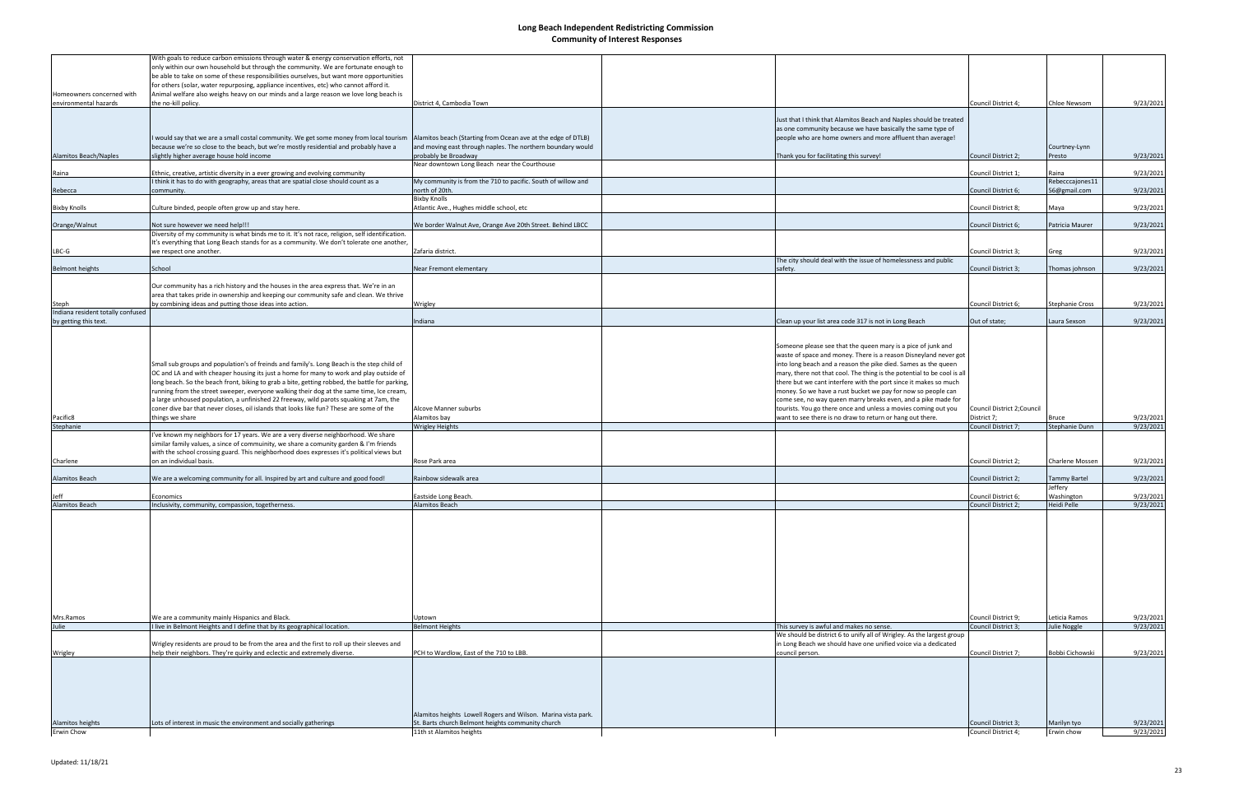|                                                    | With goals to reduce carbon emissions through water & energy conservation efforts, not<br>only within our own household but through the community. We are fortunate enough to<br>be able to take on some of these responsibilities ourselves, but want more opportunities |                                                                                     |                                                                                                                                                                                                    |                                            |                           |           |
|----------------------------------------------------|---------------------------------------------------------------------------------------------------------------------------------------------------------------------------------------------------------------------------------------------------------------------------|-------------------------------------------------------------------------------------|----------------------------------------------------------------------------------------------------------------------------------------------------------------------------------------------------|--------------------------------------------|---------------------------|-----------|
| Homeowners concerned with<br>environmental hazards | for others (solar, water repurposing, appliance incentives, etc) who cannot afford it.<br>Animal welfare also weighs heavy on our minds and a large reason we love long beach is<br>the no-kill policy.                                                                   | District 4, Cambodia Town                                                           |                                                                                                                                                                                                    | Council District 4;                        | Chloe Newsom              | 9/23/2021 |
|                                                    |                                                                                                                                                                                                                                                                           |                                                                                     | Just that I think that Alamitos Beach and Naples should be treated<br>as one community because we have basically the same type of                                                                  |                                            |                           |           |
|                                                    | I would say that we are a small costal community. We get some money from local tourism                                                                                                                                                                                    | Alamitos beach (Starting from Ocean ave at the edge of DTLB)                        | people who are home owners and more affluent than average!                                                                                                                                         |                                            |                           |           |
| <b>Alamitos Beach/Naples</b>                       | because we're so close to the beach, but we're mostly residential and probably have a<br>slightly higher average house hold income                                                                                                                                        | and moving east through naples. The northern boundary would<br>probably be Broadway | Thank you for facilitating this survey!                                                                                                                                                            | Council District 2;                        | Courtney-Lynn<br>Presto   | 9/23/2021 |
|                                                    |                                                                                                                                                                                                                                                                           | Near downtown Long Beach near the Courthouse                                        |                                                                                                                                                                                                    |                                            |                           |           |
| Raina                                              | Ethnic, creative, artistic diversity in a ever growing and evolving community<br>I think it has to do with geography, areas that are spatial close should count as a                                                                                                      | My community is from the 710 to pacific. South of willow and                        |                                                                                                                                                                                                    | Council District 1;                        | Raina<br>Rebecccajones11  | 9/23/2021 |
| Rebecca                                            | community.                                                                                                                                                                                                                                                                | north of 20th.                                                                      |                                                                                                                                                                                                    | Council District 6;                        | 56@gmail.com              | 9/23/2021 |
| <b>Bixby Knolls</b>                                | Culture binded, people often grow up and stay here.                                                                                                                                                                                                                       | <b>Bixby Knolls</b><br>Atlantic Ave., Hughes middle school, etc                     |                                                                                                                                                                                                    | Council District 8;                        | Maya                      | 9/23/2021 |
| Orange/Walnut                                      | Not sure however we need help!!!                                                                                                                                                                                                                                          | We border Walnut Ave, Orange Ave 20th Street. Behind LBCC                           |                                                                                                                                                                                                    | Council District 6;                        | Patricia Maurer           | 9/23/2021 |
|                                                    | Diversity of my community is what binds me to it. It's not race, religion, self identification.                                                                                                                                                                           |                                                                                     |                                                                                                                                                                                                    |                                            |                           |           |
|                                                    | It's everything that Long Beach stands for as a community. We don't tolerate one another,                                                                                                                                                                                 |                                                                                     |                                                                                                                                                                                                    |                                            |                           |           |
| $LBC-G$                                            | we respect one another.                                                                                                                                                                                                                                                   | Zafaria district.                                                                   | The city should deal with the issue of homelessness and public                                                                                                                                     | Council District 3;                        | Greg                      | 9/23/2021 |
| <b>Belmont heights</b>                             | School                                                                                                                                                                                                                                                                    | Near Fremont elementary                                                             | safety.                                                                                                                                                                                            | Council District 3;                        | Thomas johnson            | 9/23/2021 |
|                                                    | Our community has a rich history and the houses in the area express that. We're in an                                                                                                                                                                                     |                                                                                     |                                                                                                                                                                                                    |                                            |                           |           |
|                                                    | area that takes pride in ownership and keeping our community safe and clean. We thrive                                                                                                                                                                                    |                                                                                     |                                                                                                                                                                                                    |                                            |                           |           |
| Steph<br>Indiana resident totally confused         | by combining ideas and putting those ideas into action.                                                                                                                                                                                                                   | Wrigley                                                                             |                                                                                                                                                                                                    | Council District 6;                        | <b>Stephanie Cross</b>    | 9/23/2021 |
| by getting this text.                              |                                                                                                                                                                                                                                                                           | Indiana                                                                             | Clean up your list area code 317 is not in Long Beach                                                                                                                                              | Out of state;                              | Laura Sexson              | 9/23/2021 |
|                                                    |                                                                                                                                                                                                                                                                           |                                                                                     |                                                                                                                                                                                                    |                                            |                           |           |
|                                                    | Small sub groups and population's of freinds and family's. Long Beach is the step child of                                                                                                                                                                                |                                                                                     | Someone please see that the queen mary is a pice of junk and<br>waste of space and money. There is a reason Disneyland never got<br>into long beach and a reason the pike died. Sames as the queen |                                            |                           |           |
|                                                    | OC and LA and with cheaper housing its just a home for many to work and play outside of<br>long beach. So the beach front, biking to grab a bite, getting robbed, the battle for parking,                                                                                 |                                                                                     | mary, there not that cool. The thing is the potential to be cool is all<br>there but we cant interfere with the port since it makes so much                                                        |                                            |                           |           |
|                                                    | running from the street sweeper, everyone walking their dog at the same time, Ice cream,                                                                                                                                                                                  |                                                                                     | money. So we have a rust bucket we pay for now so people can                                                                                                                                       |                                            |                           |           |
|                                                    | a large unhoused population, a unfinished 22 freeway, wild parots squaking at 7am, the                                                                                                                                                                                    |                                                                                     | come see, no way queen marry breaks even, and a pike made for                                                                                                                                      |                                            |                           |           |
| Pacific8                                           | coner dive bar that never closes, oil islands that looks like fun? These are some of the<br>things we share                                                                                                                                                               | Alcove Manner suburbs<br>Alamitos bay                                               | tourists. You go there once and unless a movies coming out you<br>want to see there is no draw to return or hang out there.                                                                        | Council District 2; Council<br>District 7; | Bruce                     | 9/23/2021 |
| Stephanie                                          |                                                                                                                                                                                                                                                                           | <b>Wrigley Heights</b>                                                              |                                                                                                                                                                                                    | Council District 7;                        | Stephanie Dunn            | 9/23/2021 |
|                                                    | 've known my neighbors for 17 years. We are a very diverse neighborhood. We share<br>similar family values, a since of commuinity, we share a comunity garden & I'm friends<br>with the school crossing guard. This neighborhood does expresses it's political views but  |                                                                                     |                                                                                                                                                                                                    |                                            |                           |           |
| Charlene                                           | on an individual basis.                                                                                                                                                                                                                                                   | Rose Park area                                                                      |                                                                                                                                                                                                    | Council District 2;                        | Charlene Mossen           | 9/23/2021 |
| <b>Alamitos Beach</b>                              | We are a welcoming community for all. Inspired by art and culture and good food!                                                                                                                                                                                          | Rainbow sidewalk area                                                               |                                                                                                                                                                                                    | Council District 2;                        | Fammy Bartel              | 9/23/2021 |
|                                                    |                                                                                                                                                                                                                                                                           |                                                                                     |                                                                                                                                                                                                    |                                            | Jeffery                   |           |
| Jeff<br>Alamitos Beach                             | Economics<br>Inclusivity, community, compassion, togetherness.                                                                                                                                                                                                            | Eastside Long Beach.<br>Alamitos Beach                                              |                                                                                                                                                                                                    | Council District 6;<br>Council District 2; | Washington<br>Heidi Pelle | 9/23/2021 |
|                                                    |                                                                                                                                                                                                                                                                           |                                                                                     |                                                                                                                                                                                                    |                                            |                           | 9/23/2021 |
|                                                    |                                                                                                                                                                                                                                                                           |                                                                                     |                                                                                                                                                                                                    |                                            |                           |           |
| Mrs.Ramos                                          | We are a community mainly Hispanics and Black.                                                                                                                                                                                                                            | Jptown                                                                              |                                                                                                                                                                                                    | Council District 9;                        | Leticia Ramos             | 9/23/2021 |
| Julie                                              | I live in Belmont Heights and I define that by its geographical location.                                                                                                                                                                                                 | <b>Belmont Heights</b>                                                              | This survey is awful and makes no sense.<br>We should be district 6 to unify all of Wrigley. As the largest group                                                                                  | Council District 3;                        | Julie Noggle              | 9/23/2021 |
| Wrigley                                            | Wrigley residents are proud to be from the area and the first to roll up their sleeves and<br>help their neighbors. They're quirky and eclectic and extremely diverse.                                                                                                    | PCH to Wardlow, East of the 710 to LBB.                                             | in Long Beach we should have one unified voice via a dedicated<br>council person.                                                                                                                  | Council District 7;                        | Bobbi Cichowski           | 9/23/2021 |
|                                                    |                                                                                                                                                                                                                                                                           | Alamitos heights Lowell Rogers and Wilson. Marina vista park.                       |                                                                                                                                                                                                    |                                            |                           |           |
| Alamitos heights                                   | Lots of interest in music the environment and socially gatherings                                                                                                                                                                                                         | St. Barts church Belmont heights community church                                   |                                                                                                                                                                                                    | Council District 3;                        | Marilyn tyo               | 9/23/2021 |
| Erwin Chow                                         |                                                                                                                                                                                                                                                                           | 11th st Alamitos heights                                                            |                                                                                                                                                                                                    | Council District 4;                        | Erwin chow                | 9/23/2021 |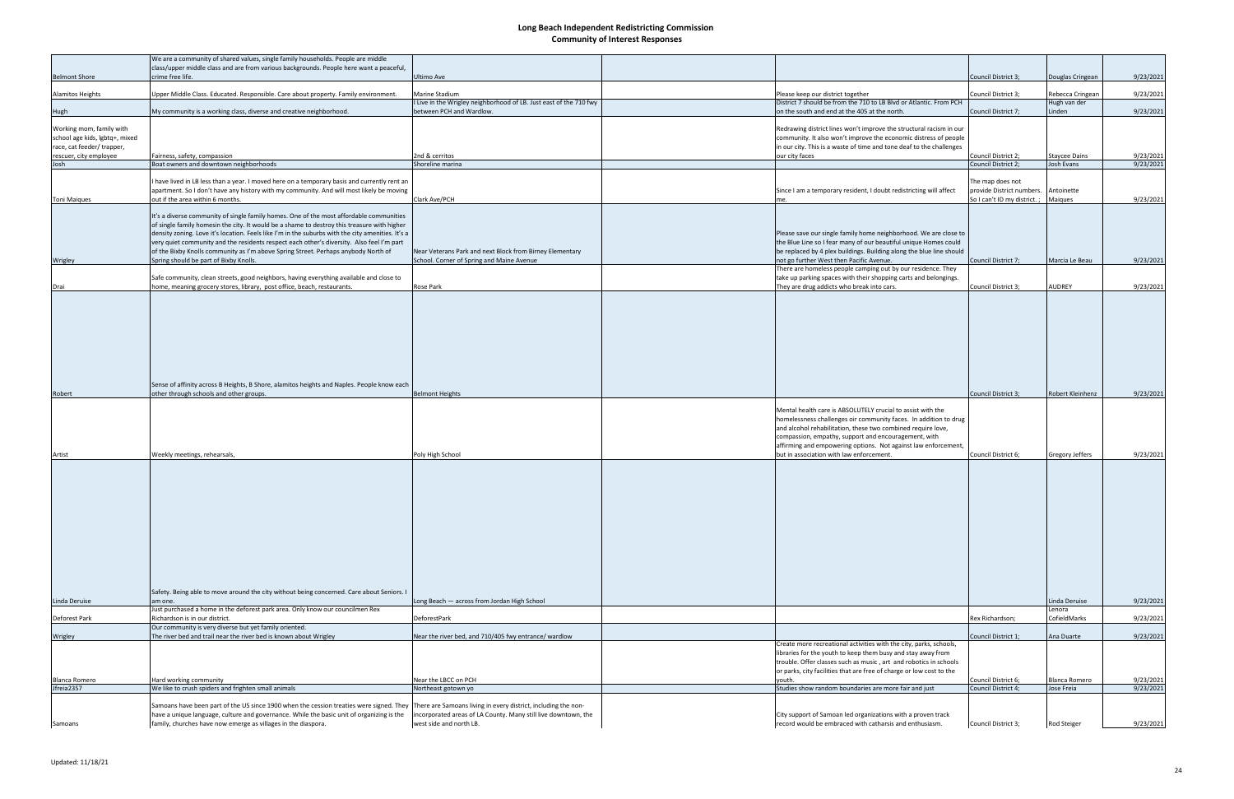| <b>Belmont Shore</b>                                                                     | We are a community of shared values, single family households. People are middle<br>class/upper middle class and are from various backgrounds. People here want a peaceful,<br>crime free life.                                                                                                                                                                                                                                                                                                                          | Ultimo Ave                                                                                                                                                  |                                                                                                                                                                                                                                                                                                                           | Council District 3;                           | Douglas Cringean       | 9/23/2021 |
|------------------------------------------------------------------------------------------|--------------------------------------------------------------------------------------------------------------------------------------------------------------------------------------------------------------------------------------------------------------------------------------------------------------------------------------------------------------------------------------------------------------------------------------------------------------------------------------------------------------------------|-------------------------------------------------------------------------------------------------------------------------------------------------------------|---------------------------------------------------------------------------------------------------------------------------------------------------------------------------------------------------------------------------------------------------------------------------------------------------------------------------|-----------------------------------------------|------------------------|-----------|
| Alamitos Heights                                                                         | Upper Middle Class. Educated. Responsible. Care about property. Family environment                                                                                                                                                                                                                                                                                                                                                                                                                                       | <b>Marine Stadium</b>                                                                                                                                       | Please keep our district together                                                                                                                                                                                                                                                                                         | Council District 3;                           | Rebecca Cringean       | 9/23/2021 |
|                                                                                          |                                                                                                                                                                                                                                                                                                                                                                                                                                                                                                                          | I Live in the Wrigley neighborhood of LB. Just east of the 710 fwy                                                                                          | District 7 should be from the 710 to LB Blvd or Atlantic. From PCH                                                                                                                                                                                                                                                        |                                               | Hugh van der           |           |
| Hugh                                                                                     | My community is a working class, diverse and creative neighborhood.                                                                                                                                                                                                                                                                                                                                                                                                                                                      | between PCH and Wardlow.                                                                                                                                    | on the south and end at the 405 at the north.                                                                                                                                                                                                                                                                             | Council District 7:                           | Linden                 | 9/23/2021 |
| Working mom, family with<br>school age kids, lgbtq+, mixed<br>race, cat feeder/ trapper, |                                                                                                                                                                                                                                                                                                                                                                                                                                                                                                                          |                                                                                                                                                             | Redrawing district lines won't improve the structural racism in our<br>community. It also won't improve the economic distress of people<br>in our city. This is a waste of time and tone deaf to the challenges                                                                                                           |                                               |                        |           |
| rescuer, city employee                                                                   | Fairness, safety, compassion                                                                                                                                                                                                                                                                                                                                                                                                                                                                                             | 2nd & cerritos                                                                                                                                              | our city faces                                                                                                                                                                                                                                                                                                            | Council District 2;                           | Staycee Dains          | 9/23/2021 |
| Josh                                                                                     | Boat owners and downtown neighborhoods                                                                                                                                                                                                                                                                                                                                                                                                                                                                                   | Shoreline marina                                                                                                                                            |                                                                                                                                                                                                                                                                                                                           | Council District 2;                           | Josh Evans             | 9/23/2021 |
|                                                                                          | have lived in LB less than a year. I moved here on a temporary basis and currently rent an<br>apartment. So I don't have any history with my community. And will most likely be moving                                                                                                                                                                                                                                                                                                                                   |                                                                                                                                                             | Since I am a temporary resident, I doubt redistricting will affect                                                                                                                                                                                                                                                        | The map does not<br>provide District numbers. | Antoinette             |           |
| <b>Toni Maiques</b>                                                                      | out if the area within 6 months.                                                                                                                                                                                                                                                                                                                                                                                                                                                                                         | Clark Ave/PCH                                                                                                                                               |                                                                                                                                                                                                                                                                                                                           | So I can't ID my district.;                   | Maiques                | 9/23/2021 |
| Wrigley                                                                                  | It's a diverse community of single family homes. One of the most affordable communities<br>of single family homesin the city. It would be a shame to destroy this treasure with higher<br>density zoning. Love it's location. Feels like I'm in the suburbs with the city amenities. It's a<br>very quiet community and the residents respect each other's diversity. Also feel I'm part<br>of the Bixby Knolls community as I'm above Spring Street. Perhaps anybody North of<br>Spring should be part of Bixby Knolls. | Near Veterans Park and next Block from Birney Elementary<br>School. Corner of Spring and Maine Avenue                                                       | Please save our single family home neighborhood. We are close to<br>the Blue Line so I fear many of our beautiful unique Homes could<br>be replaced by 4 plex buildings. Building along the blue line should<br>not go further West then Pacific Avenue.<br>There are homeless people camping out by our residence. They  | Council District 7;                           | Marcia Le Beau         | 9/23/2021 |
|                                                                                          | Safe community, clean streets, good neighbors, having everything available and close to                                                                                                                                                                                                                                                                                                                                                                                                                                  |                                                                                                                                                             | take up parking spaces with their shopping carts and belongings.                                                                                                                                                                                                                                                          |                                               |                        |           |
| Drai                                                                                     | home, meaning grocery stores, library, post office, beach, restaurants.                                                                                                                                                                                                                                                                                                                                                                                                                                                  | Rose Park                                                                                                                                                   | They are drug addicts who break into cars.                                                                                                                                                                                                                                                                                | Council District 3;                           | AUDREY                 | 9/23/2021 |
| Robert                                                                                   | Sense of affinity across B Heights, B Shore, alamitos heights and Naples. People know each<br>other through schools and other groups.                                                                                                                                                                                                                                                                                                                                                                                    | <b>Belmont Heights</b>                                                                                                                                      |                                                                                                                                                                                                                                                                                                                           | Council District 3;                           | Robert Kleinhenz       | 9/23/2021 |
|                                                                                          |                                                                                                                                                                                                                                                                                                                                                                                                                                                                                                                          |                                                                                                                                                             |                                                                                                                                                                                                                                                                                                                           |                                               |                        |           |
|                                                                                          |                                                                                                                                                                                                                                                                                                                                                                                                                                                                                                                          |                                                                                                                                                             | Mental health care is ABSOLUTELY crucial to assist with the<br>homelessness challenges oir community faces. In addition to drug<br>and alcohol rehabilitation, these two combined require love,<br>compassion, empathy, support and encouragement, with<br>affirming and empowering options. Not against law enforcement, |                                               |                        |           |
| Artist                                                                                   | Weekly meetings, rehearsals,                                                                                                                                                                                                                                                                                                                                                                                                                                                                                             | Poly High School                                                                                                                                            | but in association with law enforcement.                                                                                                                                                                                                                                                                                  | Council District 6;                           | Gregory Jeffers        | 9/23/2021 |
|                                                                                          | Safety. Being able to move around the city without being concerned. Care about Seniors. I                                                                                                                                                                                                                                                                                                                                                                                                                                |                                                                                                                                                             |                                                                                                                                                                                                                                                                                                                           |                                               |                        |           |
| Linda Deruise                                                                            | am one.                                                                                                                                                                                                                                                                                                                                                                                                                                                                                                                  | Long Beach - across from Jordan High School                                                                                                                 |                                                                                                                                                                                                                                                                                                                           |                                               | Linda Deruise          | 9/23/2021 |
| Deforest Park                                                                            | Just purchased a home in the deforest park area. Only know our councilmen Rex<br>Richardson is in our district.<br>Our community is very diverse but yet family oriented.                                                                                                                                                                                                                                                                                                                                                | DeforestPark                                                                                                                                                |                                                                                                                                                                                                                                                                                                                           | Rex Richardson;                               | Lenora<br>CofieldMarks | 9/23/2021 |
| Wrigley                                                                                  | The river bed and trail near the river bed is known about Wrigley                                                                                                                                                                                                                                                                                                                                                                                                                                                        | Near the river bed, and 710/405 fwy entrance/ wardlow                                                                                                       |                                                                                                                                                                                                                                                                                                                           | Council District 1;                           | Ana Duarte             | 9/23/2021 |
|                                                                                          | Hard working community                                                                                                                                                                                                                                                                                                                                                                                                                                                                                                   | Near the LBCC on PCH                                                                                                                                        | Create more recreational activities with the city, parks, schools,<br>libraries for the youth to keep them busy and stay away from<br>trouble. Offer classes such as music, art and robotics in schools<br>or parks, city facilities that are free of charge or low cost to the<br>vouth.                                 | Council District 6;                           | Blanca Romero          | 9/23/2021 |
| Blanca Romero<br>Jfreia2357                                                              | We like to crush spiders and frighten small animals                                                                                                                                                                                                                                                                                                                                                                                                                                                                      | Northeast gotown yo                                                                                                                                         | Studies show random boundaries are more fair and just                                                                                                                                                                                                                                                                     | Council District 4;                           | Jose Freia             | 9/23/2021 |
| Samoans                                                                                  | Samoans have been part of the US since 1900 when the cession treaties were signed. They<br>have a unique language, culture and governance. While the basic unit of organizing is the<br>family, churches have now emerge as villages in the diaspora.                                                                                                                                                                                                                                                                    | There are Samoans living in every district, including the non-<br>incorporated areas of LA County. Many still live downtown, the<br>west side and north LB. | City support of Samoan led organizations with a proven track<br>record would be embraced with catharsis and enthusiasm.                                                                                                                                                                                                   | Council District 3;                           | Rod Steiger            | 9/23/2021 |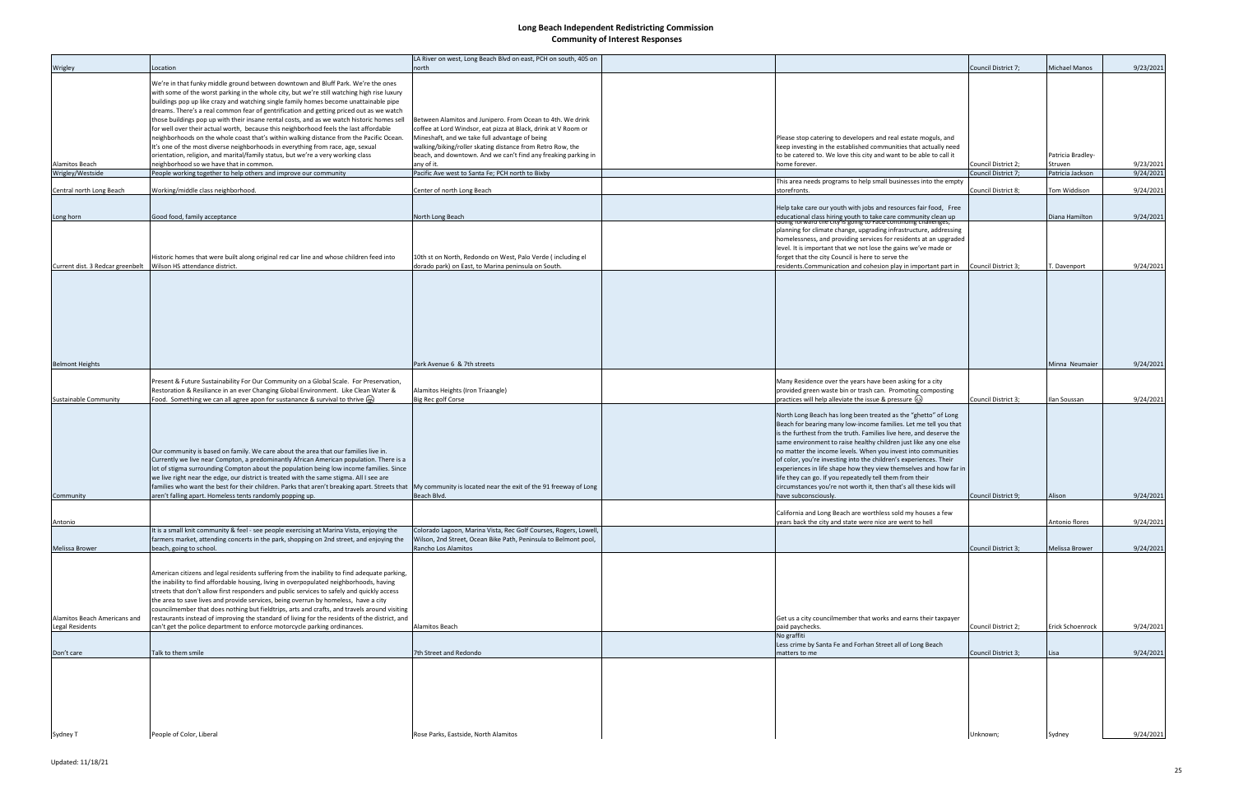| Wrigley                                        | Location                                                                                                                                                                                                                                                                                                                                                                                                                                                                                                                                                                                                  | LA River on west, Long Beach Blvd on east, PCH on south, 405 on<br>north                                                                                                       |                                                                                                                                                                                                                                                                                                                                                                                                                                                                                                                                                                                                                                                     | Council District 7: | <b>Michael Manos</b>         | 9/23/2021 |
|------------------------------------------------|-----------------------------------------------------------------------------------------------------------------------------------------------------------------------------------------------------------------------------------------------------------------------------------------------------------------------------------------------------------------------------------------------------------------------------------------------------------------------------------------------------------------------------------------------------------------------------------------------------------|--------------------------------------------------------------------------------------------------------------------------------------------------------------------------------|-----------------------------------------------------------------------------------------------------------------------------------------------------------------------------------------------------------------------------------------------------------------------------------------------------------------------------------------------------------------------------------------------------------------------------------------------------------------------------------------------------------------------------------------------------------------------------------------------------------------------------------------------------|---------------------|------------------------------|-----------|
|                                                | We're in that funky middle ground between downtown and Bluff Park. We're the ones<br>with some of the worst parking in the whole city, but we're still watching high rise luxury<br>buildings pop up like crazy and watching single family homes become unattainable pipe<br>dreams. There's a real common fear of gentrification and getting priced out as we watch<br>those buildings pop up with their insane rental costs, and as we watch historic homes sell                                                                                                                                        | Between Alamitos and Junipero. From Ocean to 4th. We drink                                                                                                                     |                                                                                                                                                                                                                                                                                                                                                                                                                                                                                                                                                                                                                                                     |                     |                              |           |
|                                                | for well over their actual worth, because this neighborhood feels the last affordable<br>neighborhoods on the whole coast that's within walking distance from the Pacific Ocean.<br>It's one of the most diverse neighborhoods in everything from race, age, sexual                                                                                                                                                                                                                                                                                                                                       | coffee at Lord Windsor, eat pizza at Black, drink at V Room or<br>Mineshaft, and we take full advantage of being<br>walking/biking/roller skating distance from Retro Row, the | Please stop catering to developers and real estate moguls, and<br>keep investing in the established communities that actually need                                                                                                                                                                                                                                                                                                                                                                                                                                                                                                                  |                     |                              |           |
| Alamitos Beach                                 | orientation, religion, and marital/family status, but we're a very working class<br>neighborhood so we have that in common.                                                                                                                                                                                                                                                                                                                                                                                                                                                                               | beach, and downtown. And we can't find any freaking parking in<br>any of it.                                                                                                   | to be catered to. We love this city and want to be able to call it<br>home forever.                                                                                                                                                                                                                                                                                                                                                                                                                                                                                                                                                                 | Council District 2; | Patricia Bradley-<br>Struven | 9/23/2021 |
| Wrigley/Westside                               | People working together to help others and improve our community                                                                                                                                                                                                                                                                                                                                                                                                                                                                                                                                          | Pacific Ave west to Santa Fe; PCH north to Bixby                                                                                                                               |                                                                                                                                                                                                                                                                                                                                                                                                                                                                                                                                                                                                                                                     | Council District 7; | Patricia Jackson             | 9/24/2021 |
| Central north Long Beach                       | Working/middle class neighborhood.                                                                                                                                                                                                                                                                                                                                                                                                                                                                                                                                                                        | Center of north Long Beach                                                                                                                                                     | This area needs programs to help small businesses into the empty<br>storefronts                                                                                                                                                                                                                                                                                                                                                                                                                                                                                                                                                                     | Council District 8: | Tom Widdison                 | 9/24/2021 |
|                                                |                                                                                                                                                                                                                                                                                                                                                                                                                                                                                                                                                                                                           |                                                                                                                                                                                | Help take care our youth with jobs and resources fair food, Free                                                                                                                                                                                                                                                                                                                                                                                                                                                                                                                                                                                    |                     |                              |           |
| Long horn                                      | Good food, family acceptance                                                                                                                                                                                                                                                                                                                                                                                                                                                                                                                                                                              | North Long Beach                                                                                                                                                               | educational class hiring youth to take care community clean up<br>comig forward the city is going to race communig chanenges,                                                                                                                                                                                                                                                                                                                                                                                                                                                                                                                       |                     | Diana Hamilton               | 9/24/2021 |
|                                                | Historic homes that were built along original red car line and whose children feed into                                                                                                                                                                                                                                                                                                                                                                                                                                                                                                                   | 10th st on North, Redondo on West, Palo Verde (including el                                                                                                                    | planning for climate change, upgrading infrastructure, addressing<br>homelessness, and providing services for residents at an upgraded<br>level. It is important that we not lose the gains we've made or<br>forget that the city Council is here to serve the                                                                                                                                                                                                                                                                                                                                                                                      |                     |                              |           |
| Current dist. 3 Redcar greenbelt               | Wilson HS attendance district.                                                                                                                                                                                                                                                                                                                                                                                                                                                                                                                                                                            | dorado park) on East, to Marina peninsula on South.                                                                                                                            | residents.Communication and cohesion play in important part in                                                                                                                                                                                                                                                                                                                                                                                                                                                                                                                                                                                      | Council District 3; | T. Davenport                 | 9/24/2021 |
| <b>Belmont Heights</b>                         |                                                                                                                                                                                                                                                                                                                                                                                                                                                                                                                                                                                                           | Park Avenue 6 & 7th streets                                                                                                                                                    |                                                                                                                                                                                                                                                                                                                                                                                                                                                                                                                                                                                                                                                     |                     | Minna Neumaier               | 9/24/2021 |
|                                                |                                                                                                                                                                                                                                                                                                                                                                                                                                                                                                                                                                                                           |                                                                                                                                                                                |                                                                                                                                                                                                                                                                                                                                                                                                                                                                                                                                                                                                                                                     |                     |                              |           |
| Sustainable Community                          | Present & Future Sustainability For Our Community on a Global Scale. For Preservation,<br>Restoration & Resiliance in an ever Changing Global Environment. Like Clean Water &<br>Food. Something we can all agree apon for sustanance & survival to thrive $\bigoplus$                                                                                                                                                                                                                                                                                                                                    | Alamitos Heights (Iron Triaangle)<br><b>Big Rec golf Corse</b>                                                                                                                 | Many Residence over the years have been asking for a city<br>provided green waste bin or trash can. Promoting composting<br>practices will help alleviate the issue & pressure (3)                                                                                                                                                                                                                                                                                                                                                                                                                                                                  | Council District 3; | llan Soussan                 | 9/24/2021 |
| Community                                      | Our community is based on family. We care about the area that our families live in.<br>Currently we live near Compton, a predominantly African American population. There is a<br>lot of stigma surrounding Compton about the population being low income families. Since<br>we live right near the edge, our district is treated with the same stigma. All I see are<br>families who want the best for their children. Parks that aren't breaking apart. Streets that My community is located near the exit of the 91 freeway of Long<br>aren't falling apart. Homeless tents randomly popping up.       | Beach Blvd.                                                                                                                                                                    | North Long Beach has long been treated as the "ghetto" of Long<br>Beach for bearing many low-income families. Let me tell you that<br>is the furthest from the truth. Families live here, and deserve the<br>same environment to raise healthy children just like any one else<br>no matter the income levels. When you invest into communities<br>of color, you're investing into the children's experiences. Their<br>experiences in life shape how they view themselves and how far in<br>life they can go. If you repeatedly tell them from their<br>circumstances you're not worth it, then that's all these kids will<br>have subconsciously. | Council District 9; | Alison                       | 9/24/2021 |
|                                                |                                                                                                                                                                                                                                                                                                                                                                                                                                                                                                                                                                                                           |                                                                                                                                                                                | California and Long Beach are worthless sold my houses a few                                                                                                                                                                                                                                                                                                                                                                                                                                                                                                                                                                                        |                     |                              |           |
| Antonio                                        | It is a small knit community & feel - see people exercising at Marina Vista, enjoying the                                                                                                                                                                                                                                                                                                                                                                                                                                                                                                                 | Colorado Lagoon, Marina Vista, Rec Golf Courses, Rogers, Lowell,                                                                                                               | years back the city and state were nice are went to hell                                                                                                                                                                                                                                                                                                                                                                                                                                                                                                                                                                                            |                     | Antonio flores               | 9/24/2021 |
|                                                | farmers market, attending concerts in the park, shopping on 2nd street, and enjoying the                                                                                                                                                                                                                                                                                                                                                                                                                                                                                                                  | Wilson, 2nd Street, Ocean Bike Path, Peninsula to Belmont pool,                                                                                                                |                                                                                                                                                                                                                                                                                                                                                                                                                                                                                                                                                                                                                                                     |                     |                              |           |
| Melissa Brower<br>Alamitos Beach Americans and | beach, going to school.<br>American citizens and legal residents suffering from the inability to find adequate parking,<br>the inability to find affordable housing, living in overpopulated neighborhoods, having<br>streets that don't allow first responders and public services to safely and quickly access<br>the area to save lives and provide services, being overrun by homeless, have a city<br>councilmember that does nothing but fieldtrips, arts and crafts, and travels around visiting<br>restaurants instead of improving the standard of living for the residents of the district, and | Rancho Los Alamitos                                                                                                                                                            | Get us a city councilmember that works and earns their taxpayer                                                                                                                                                                                                                                                                                                                                                                                                                                                                                                                                                                                     | Council District 3; | Melissa Brower               | 9/24/2021 |
| Legal Residents                                | can't get the police department to enforce motorcycle parking ordinances.                                                                                                                                                                                                                                                                                                                                                                                                                                                                                                                                 | Alamitos Beach                                                                                                                                                                 | paid paychecks.                                                                                                                                                                                                                                                                                                                                                                                                                                                                                                                                                                                                                                     | Council District 2; | Erick Schoenrock             | 9/24/2021 |
|                                                |                                                                                                                                                                                                                                                                                                                                                                                                                                                                                                                                                                                                           |                                                                                                                                                                                | No graffiti<br>Less crime by Santa Fe and Forhan Street all of Long Beach                                                                                                                                                                                                                                                                                                                                                                                                                                                                                                                                                                           |                     |                              |           |
| Don't care                                     | Talk to them smile                                                                                                                                                                                                                                                                                                                                                                                                                                                                                                                                                                                        | 7th Street and Redondo                                                                                                                                                         | matters to me                                                                                                                                                                                                                                                                                                                                                                                                                                                                                                                                                                                                                                       | Council District 3; | Lisa                         | 9/24/2021 |
| Sydney T                                       | People of Color, Liberal                                                                                                                                                                                                                                                                                                                                                                                                                                                                                                                                                                                  | Rose Parks, Eastside, North Alamitos                                                                                                                                           |                                                                                                                                                                                                                                                                                                                                                                                                                                                                                                                                                                                                                                                     | Unknown;            | Sydney                       | 9/24/2021 |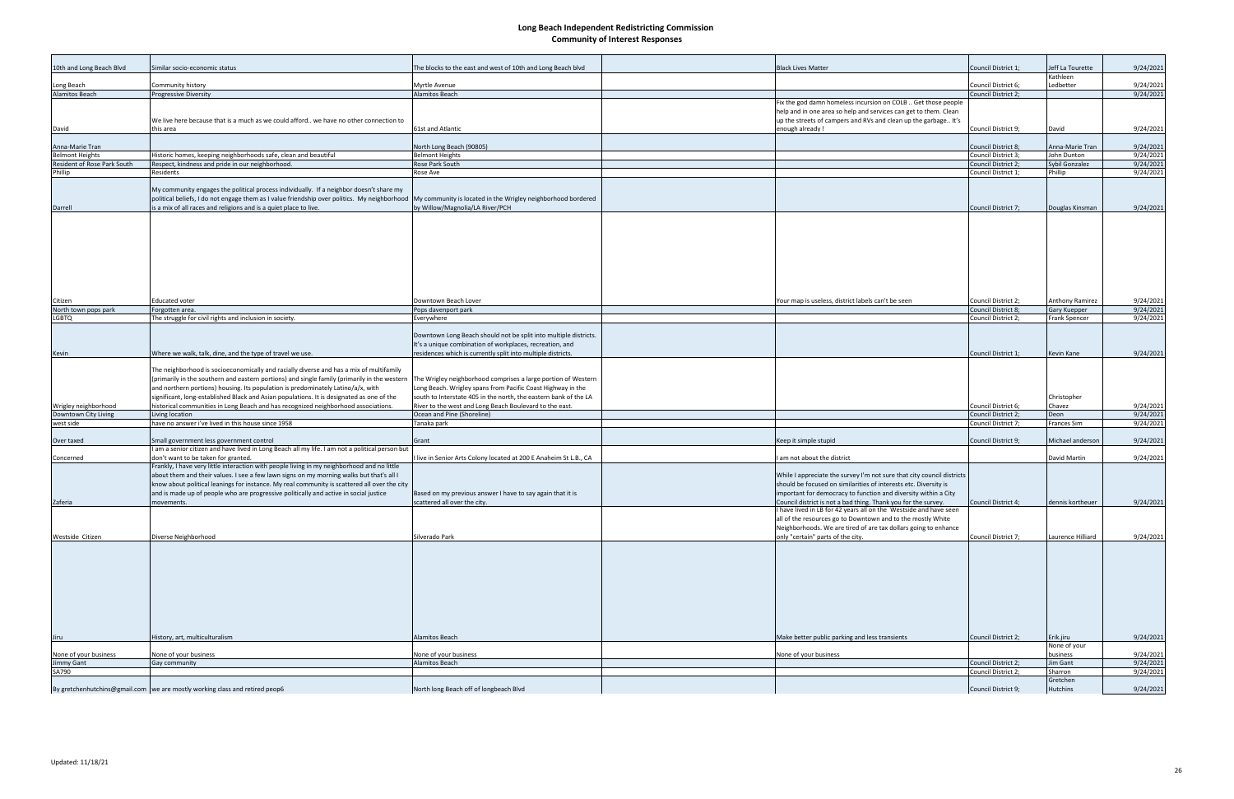| 10th and Long Beach Blvd           | Similar socio-economic status                                                                                                                                                                                                                                                                                                                                            | The blocks to the east and west of 10th and Long Beach blvd                                                                                                                                      | <b>Black Lives Matter</b>                                                                                                                                                                                               | Council District 1; | eff La Tourette<br>Kathleen | 9/24/2021 |
|------------------------------------|--------------------------------------------------------------------------------------------------------------------------------------------------------------------------------------------------------------------------------------------------------------------------------------------------------------------------------------------------------------------------|--------------------------------------------------------------------------------------------------------------------------------------------------------------------------------------------------|-------------------------------------------------------------------------------------------------------------------------------------------------------------------------------------------------------------------------|---------------------|-----------------------------|-----------|
| Long Beach                         | Community history                                                                                                                                                                                                                                                                                                                                                        | Myrtle Avenue                                                                                                                                                                                    |                                                                                                                                                                                                                         | Council District 6; | Ledbetter                   | 9/24/2021 |
| <b>Alamitos Beach</b>              | <b>Progressive Diversity</b>                                                                                                                                                                                                                                                                                                                                             | <b>Alamitos Beach</b>                                                                                                                                                                            |                                                                                                                                                                                                                         | Council District 2; |                             | 9/24/2021 |
| David                              | We live here because that is a much as we could afford we have no other connection to<br>this area                                                                                                                                                                                                                                                                       | 61st and Atlantic                                                                                                                                                                                | Fix the god damn homeless incursion on COLB  Get those people<br>help and in one area so help and services can get to them. Clean<br>up the streets of campers and RVs and clean up the garbage It's<br>enough already! | Council District 9; | David                       | 9/24/2021 |
| Anna-Marie Tran                    |                                                                                                                                                                                                                                                                                                                                                                          | North Long Beach (90805)                                                                                                                                                                         |                                                                                                                                                                                                                         | Council District 8; | Anna-Marie Tran             | 9/24/2021 |
| <b>Belmont Heights</b>             | Historic homes, keeping neighborhoods safe, clean and beautiful                                                                                                                                                                                                                                                                                                          | <b>Belmont Heights</b>                                                                                                                                                                           |                                                                                                                                                                                                                         | Council District 3: | John Dunton                 | 9/24/2021 |
| <b>Resident of Rose Park South</b> | Respect, kindness and pride in our neighborhood.                                                                                                                                                                                                                                                                                                                         | Rose Park South                                                                                                                                                                                  |                                                                                                                                                                                                                         | Council District 2; | Sybil Gonzalez              | 9/24/2021 |
| Phillip                            | Residents                                                                                                                                                                                                                                                                                                                                                                | Rose Ave                                                                                                                                                                                         |                                                                                                                                                                                                                         | Council District 1; | Phillip                     | 9/24/2021 |
| Darrell                            | My community engages the political process individually. If a neighbor doesn't share my<br>political beliefs, I do not engage them as I value friendship over politics. My neighborhood My community is located in the Wrigley neighborhood bordered<br>is a mix of all races and religions and is a quiet place to live.                                                | by Willow/Magnolia/LA River/PCH                                                                                                                                                                  |                                                                                                                                                                                                                         | Council District 7; | Douglas Kinsman             | 9/24/2021 |
|                                    |                                                                                                                                                                                                                                                                                                                                                                          |                                                                                                                                                                                                  |                                                                                                                                                                                                                         |                     |                             |           |
| Citizen                            | <b>Educated voter</b>                                                                                                                                                                                                                                                                                                                                                    | Downtown Beach Lover                                                                                                                                                                             | Your map is useless, district labels can't be seen                                                                                                                                                                      | Council District 2; | Anthony Ramirez             | 9/24/2021 |
| North town pops park               | Forgotten area.                                                                                                                                                                                                                                                                                                                                                          | Pops davenport park                                                                                                                                                                              |                                                                                                                                                                                                                         | Council District 8; | Gary Kuepper                | 9/24/2021 |
| <b>LGBTQ</b>                       | The struggle for civil rights and inclusion in society.                                                                                                                                                                                                                                                                                                                  | Everywhere                                                                                                                                                                                       |                                                                                                                                                                                                                         | Council District 2; | Frank Spencer               | 9/24/2021 |
|                                    |                                                                                                                                                                                                                                                                                                                                                                          | Downtown Long Beach should not be split into multiple districts.<br>It's a unique combination of workplaces, recreation, and                                                                     |                                                                                                                                                                                                                         |                     |                             |           |
| Kevin                              | Where we walk, talk, dine, and the type of travel we use.                                                                                                                                                                                                                                                                                                                | residences which is currently split into multiple districts.                                                                                                                                     |                                                                                                                                                                                                                         | Council District 1; | <b>Kevin Kane</b>           | 9/24/2021 |
|                                    | The neighborhood is socioeconomically and racially diverse and has a mix of multifamily<br>(primarily in the southern and eastern portions) and single family (primarily in the western<br>and northern portions) housing. Its population is predominately Latino/a/x, with<br>significant, long-established Black and Asian populations. It is designated as one of the | The Wrigley neighborhood comprises a large portion of Western<br>Long Beach. Wrigley spans from Pacific Coast Highway in the<br>south to Interstate 405 in the north, the eastern bank of the LA |                                                                                                                                                                                                                         |                     | Christopher                 |           |
| Wrigley neighborhood               | historical communities in Long Beach and has recognized neighborhood associations.                                                                                                                                                                                                                                                                                       | River to the west and Long Beach Boulevard to the east.                                                                                                                                          |                                                                                                                                                                                                                         | Council District 6; | Chavez                      | 9/24/2021 |
| Downtown City Living               | Living location                                                                                                                                                                                                                                                                                                                                                          | Ocean and Pine (Shoreline)                                                                                                                                                                       |                                                                                                                                                                                                                         | Council District 2; | Deon                        | 9/24/2021 |
| west side                          | have no answer i've lived in this house since 1958                                                                                                                                                                                                                                                                                                                       | Tanaka park                                                                                                                                                                                      |                                                                                                                                                                                                                         | Council District 7; | Frances Sim                 | 9/24/2021 |
| Over taxed                         | Small government less government control                                                                                                                                                                                                                                                                                                                                 | Grant                                                                                                                                                                                            | Keep it simple stupid                                                                                                                                                                                                   | Council District 9; | Michael anderson            | 9/24/2021 |
|                                    | I am a senior citizen and have lived in Long Beach all my life. I am not a political person but                                                                                                                                                                                                                                                                          |                                                                                                                                                                                                  |                                                                                                                                                                                                                         |                     |                             |           |
| Concerned                          | don't want to be taken for granted.                                                                                                                                                                                                                                                                                                                                      | I live in Senior Arts Colony located at 200 E Anaheim St L.B., CA                                                                                                                                | am not about the district                                                                                                                                                                                               |                     | David Martin                | 9/24/2021 |
|                                    | Frankly, I have very little interaction with people living in my neighborhood and no little<br>about them and their values. I see a few lawn signs on my morning walks but that's all I<br>know about political leanings for instance. My real community is scattered all over the city                                                                                  |                                                                                                                                                                                                  | While I appreciate the survey I'm not sure that city council districts<br>should be focused on similarities of interests etc. Diversity is                                                                              |                     |                             |           |
|                                    | and is made up of people who are progressive politically and active in social justice                                                                                                                                                                                                                                                                                    | Based on my previous answer I have to say again that it is                                                                                                                                       | important for democracy to function and diversity within a City                                                                                                                                                         |                     |                             |           |
| Zaferia                            | movements.                                                                                                                                                                                                                                                                                                                                                               | scattered all over the city.                                                                                                                                                                     | Council district is not a bad thing. Thank you for the survey.                                                                                                                                                          | Council District 4; | dennis kortheuer            | 9/24/2021 |
|                                    |                                                                                                                                                                                                                                                                                                                                                                          |                                                                                                                                                                                                  | I have lived in LB for 42 years all on the Westside and have seen<br>all of the resources go to Downtown and to the mostly White<br>Neighborhoods. We are tired of are tax dollars going to enhance                     |                     |                             |           |
| Westside Citizen                   | Diverse Neighborhood                                                                                                                                                                                                                                                                                                                                                     | Silverado Park                                                                                                                                                                                   | only "certain" parts of the city.                                                                                                                                                                                       | Council District 7; | Laurence Hilliard           | 9/24/2021 |
|                                    |                                                                                                                                                                                                                                                                                                                                                                          |                                                                                                                                                                                                  |                                                                                                                                                                                                                         |                     |                             |           |
| Jiru                               | History, art, multiculturalism                                                                                                                                                                                                                                                                                                                                           | Alamitos Beach                                                                                                                                                                                   | Make better public parking and less transients                                                                                                                                                                          | Council District 2; | Erik.jiru                   | 9/24/2021 |
|                                    |                                                                                                                                                                                                                                                                                                                                                                          |                                                                                                                                                                                                  |                                                                                                                                                                                                                         |                     | None of your                |           |
| None of your business              | None of your business                                                                                                                                                                                                                                                                                                                                                    | None of your business                                                                                                                                                                            | None of your business                                                                                                                                                                                                   |                     | business                    | 9/24/2021 |
| <b>Jimmy Gant</b>                  | Gay community                                                                                                                                                                                                                                                                                                                                                            | Alamitos Beach                                                                                                                                                                                   |                                                                                                                                                                                                                         | Council District 2; | Jim Gant                    | 9/24/2021 |
| SA790                              |                                                                                                                                                                                                                                                                                                                                                                          |                                                                                                                                                                                                  |                                                                                                                                                                                                                         | Council District 2; | Sharron                     | 9/24/2021 |
|                                    |                                                                                                                                                                                                                                                                                                                                                                          |                                                                                                                                                                                                  |                                                                                                                                                                                                                         |                     | Gretchen                    |           |
|                                    | By gretchenhutchins@gmail.com we are mostly working class and retired peop6                                                                                                                                                                                                                                                                                              | North long Beach off of longbeach Blvd                                                                                                                                                           |                                                                                                                                                                                                                         | Council District 9; | <b>Hutchins</b>             | 9/24/2021 |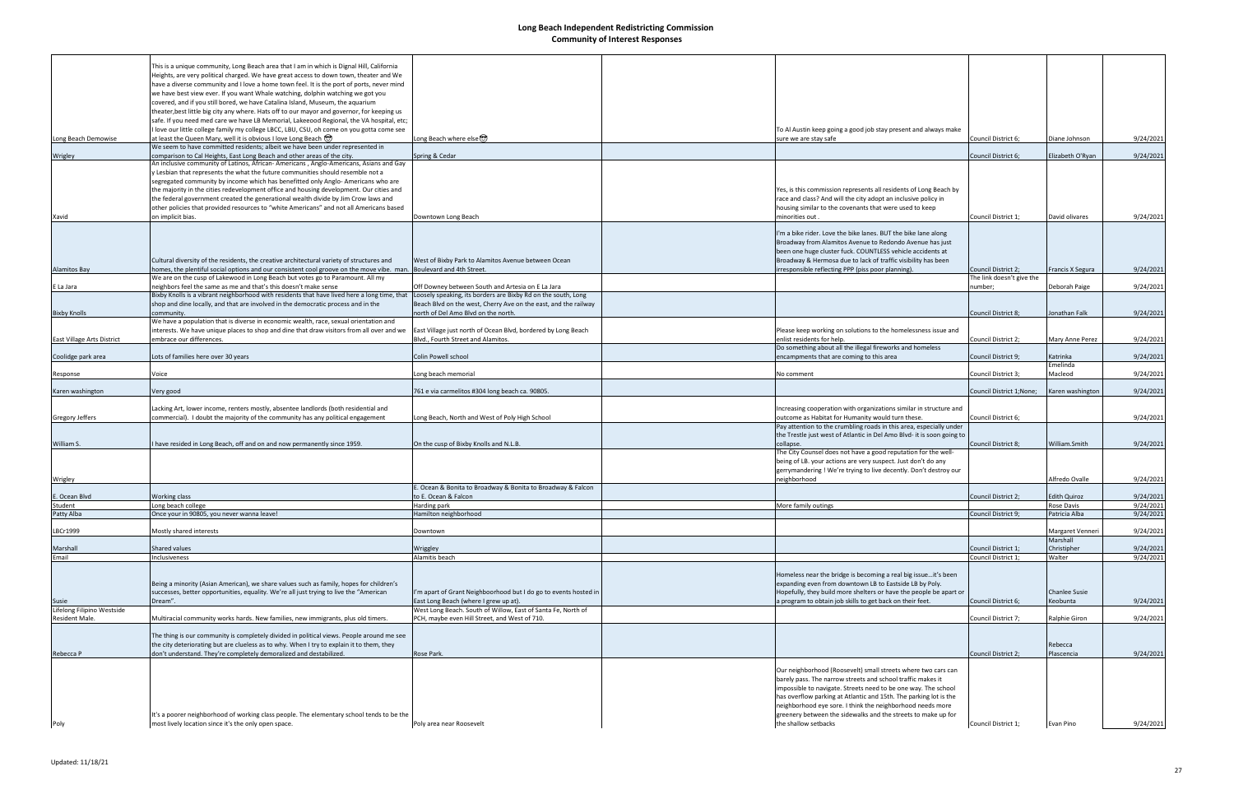|                                              | This is a unique community, Long Beach area that I am in which is Dignal Hill, California                                                                                             |                                                                                                               |                                                                                                                          |                                                         |                      |           |
|----------------------------------------------|---------------------------------------------------------------------------------------------------------------------------------------------------------------------------------------|---------------------------------------------------------------------------------------------------------------|--------------------------------------------------------------------------------------------------------------------------|---------------------------------------------------------|----------------------|-----------|
|                                              | Heights, are very political charged. We have great access to down town, theater and We                                                                                                |                                                                                                               |                                                                                                                          |                                                         |                      |           |
|                                              | have a diverse community and I love a home town feel. It is the port of ports, never mind                                                                                             |                                                                                                               |                                                                                                                          |                                                         |                      |           |
|                                              | we have best view ever. If you want Whale watching, dolphin watching we got you                                                                                                       |                                                                                                               |                                                                                                                          |                                                         |                      |           |
|                                              | covered, and if you still bored, we have Catalina Island, Museum, the aquarium                                                                                                        |                                                                                                               |                                                                                                                          |                                                         |                      |           |
|                                              | theater, best little big city any where. Hats off to our mayor and governor, for keeping us                                                                                           |                                                                                                               |                                                                                                                          |                                                         |                      |           |
|                                              | safe. If you need med care we have LB Memorial, Lakeeood Regional, the VA hospital, etc;<br>I love our little college family my college LBCC, LBU, CSU, oh come on you gotta come see |                                                                                                               | To Al Austin keep going a good job stay present and always make                                                          |                                                         |                      |           |
| Long Beach Demowise                          | at least the Queen Mary, well it is obvious I love Long Beach (C)                                                                                                                     | Long Beach where else                                                                                         | sure we are stay safe                                                                                                    | Council District 6;                                     | Diane Johnson        | 9/24/2021 |
|                                              | We seem to have committed residents; albeit we have been under represented in                                                                                                         |                                                                                                               |                                                                                                                          |                                                         |                      |           |
| Wrigley                                      | comparison to Cal Heights, East Long Beach and other areas of the city.                                                                                                               | Spring & Cedar                                                                                                |                                                                                                                          | Council District 6;                                     | Elizabeth O'Ryan     | 9/24/2021 |
|                                              | An inclusive community of Latinos, African- Americans, Anglo-Americans, Asians and Gay<br>y Lesbian that represents the what the future communities should resemble not a             |                                                                                                               |                                                                                                                          |                                                         |                      |           |
|                                              | segregated community by income which has benefitted only Anglo-Americans who are                                                                                                      |                                                                                                               |                                                                                                                          |                                                         |                      |           |
|                                              | the majority in the cities redevelopment office and housing development. Our cities and                                                                                               |                                                                                                               | Yes, is this commission represents all residents of Long Beach by                                                        |                                                         |                      |           |
|                                              | the federal government created the generational wealth divide by Jim Crow laws and                                                                                                    |                                                                                                               | race and class? And will the city adopt an inclusive policy in                                                           |                                                         |                      |           |
|                                              | other policies that provided resources to "white Americans" and not all Americans based                                                                                               |                                                                                                               | housing similar to the covenants that were used to keep                                                                  |                                                         |                      |           |
| Xavid                                        | on implicit bias.                                                                                                                                                                     | Downtown Long Beach                                                                                           | minorities out.                                                                                                          | Council District 1;                                     | David olivares       | 9/24/2021 |
|                                              |                                                                                                                                                                                       |                                                                                                               | 'm a bike rider. Love the bike lanes. BUT the bike lane along                                                            |                                                         |                      |           |
|                                              |                                                                                                                                                                                       |                                                                                                               | Broadway from Alamitos Avenue to Redondo Avenue has just                                                                 |                                                         |                      |           |
|                                              |                                                                                                                                                                                       |                                                                                                               | been one huge cluster fuck. COUNTLESS vehicle accidents at                                                               |                                                         |                      |           |
|                                              | Cultural diversity of the residents, the creative architectural variety of structures and                                                                                             | West of Bixby Park to Alamitos Avenue between Ocean                                                           | Broadway & Hermosa due to lack of traffic visibility has been                                                            |                                                         |                      |           |
| <b>Alamitos Bay</b>                          | homes, the plentiful social options and our consistent cool groove on the move vibe. man.<br>We are on the cusp of Lakewood in Long Beach but votes go to Paramount. All my           | Boulevard and 4th Street.                                                                                     | rresponsible reflecting PPP (piss poor planning)                                                                         | <b>Council District 2:</b><br>The link doesn't give the | Francis X Segura     | 9/24/2021 |
| E La Jara                                    | neighbors feel the same as me and that's this doesn't make sense                                                                                                                      | Off Downey between South and Artesia on E La Jara                                                             |                                                                                                                          | number;                                                 | Deborah Paige        | 9/24/2021 |
|                                              | Bixby Knolls is a vibrant neighborhood with residents that have lived here a long time, that                                                                                          | Loosely speaking, its borders are Bixby Rd on the south, Long                                                 |                                                                                                                          |                                                         |                      |           |
|                                              | shop and dine locally, and that are involved in the democratic process and in the                                                                                                     | Beach Blvd on the west, Cherry Ave on the east, and the railway                                               |                                                                                                                          |                                                         |                      |           |
| <b>Bixby Knolls</b>                          | community.                                                                                                                                                                            | north of Del Amo Blvd on the north.                                                                           |                                                                                                                          | Council District 8;                                     | Jonathan Falk        | 9/24/2021 |
|                                              | We have a population that is diverse in economic wealth, race, sexual orientation and                                                                                                 |                                                                                                               |                                                                                                                          |                                                         |                      |           |
| East Village Arts District                   | interests. We have unique places to shop and dine that draw visitors from all over and we<br>embrace our differences.                                                                 | East Village just north of Ocean Blvd, bordered by Long Beach<br>Blvd., Fourth Street and Alamitos.           | Please keep working on solutions to the homelessness issue and<br>enlist residents for help.                             | Council District 2;                                     | Mary Anne Perez      | 9/24/2021 |
|                                              |                                                                                                                                                                                       |                                                                                                               | Do something about all the illegal fireworks and homeless                                                                |                                                         |                      |           |
| Coolidge park area                           | Lots of families here over 30 years                                                                                                                                                   | Colin Powell school                                                                                           | encampments that are coming to this area                                                                                 | Council District 9;                                     | Katrinka             | 9/24/2021 |
|                                              |                                                                                                                                                                                       |                                                                                                               |                                                                                                                          |                                                         | Emelinda             |           |
| Response                                     | Voice                                                                                                                                                                                 | Long beach memorial                                                                                           | No comment                                                                                                               | Council District 3;                                     | Macleod              | 9/24/2021 |
| Karen washington                             | Very good                                                                                                                                                                             | 761 e via carmelitos #304 long beach ca. 90805.                                                               |                                                                                                                          | Council District 1;None;                                | Karen washington     | 9/24/2021 |
|                                              |                                                                                                                                                                                       |                                                                                                               |                                                                                                                          |                                                         |                      |           |
|                                              | Lacking Art, lower income, renters mostly, absentee landlords (both residential and                                                                                                   |                                                                                                               | Increasing cooperation with organizations similar in structure and                                                       |                                                         |                      |           |
| <b>Gregory Jeffers</b>                       | commercial). I doubt the majority of the community has any political engagement                                                                                                       | Long Beach, North and West of Poly High School                                                                | outcome as Habitat for Humanity would turn these.<br>Pay attention to the crumbling roads in this area, especially under | Council District 6;                                     |                      | 9/24/2021 |
|                                              |                                                                                                                                                                                       |                                                                                                               | the Trestle just west of Atlantic in Del Amo Blvd- it is soon going to                                                   |                                                         |                      |           |
| William S.                                   | I have resided in Long Beach, off and on and now permanently since 1959.                                                                                                              | On the cusp of Bixby Knolls and N.L.B.                                                                        | collapse                                                                                                                 | Council District 8;                                     | William.Smith        | 9/24/2021 |
|                                              |                                                                                                                                                                                       |                                                                                                               | The City Counsel does not have a good reputation for the well-                                                           |                                                         |                      |           |
|                                              |                                                                                                                                                                                       |                                                                                                               | being of LB. your actions are very suspect. Just don't do any                                                            |                                                         |                      |           |
| Wrigley                                      |                                                                                                                                                                                       |                                                                                                               | gerrymandering ! We're trying to live decently. Don't destroy our<br>neighborhood                                        |                                                         | Alfredo Ovalle       | 9/24/2021 |
|                                              |                                                                                                                                                                                       | E. Ocean & Bonita to Broadway & Bonita to Broadway & Falcon                                                   |                                                                                                                          |                                                         |                      |           |
| E. Ocean Blvd                                | Working class                                                                                                                                                                         | to E. Ocean & Falcon                                                                                          |                                                                                                                          | Council District 2;                                     | <b>Edith Quiroz</b>  | 9/24/2021 |
| Student                                      | Long beach college                                                                                                                                                                    | Harding park<br>Hamilton neighborhood                                                                         | More family outings                                                                                                      |                                                         | <b>Rose Davis</b>    | 9/24/2021 |
| Patty Alba                                   | Once your in 90805, you never wanna leave!                                                                                                                                            |                                                                                                               |                                                                                                                          | Council District 9;                                     | Patricia Alba        | 9/24/2021 |
| LBCr1999                                     | Mostly shared interests                                                                                                                                                               | Downtown                                                                                                      |                                                                                                                          |                                                         | Margaret Venneri     | 9/24/2021 |
|                                              |                                                                                                                                                                                       |                                                                                                               |                                                                                                                          |                                                         | Marshall             |           |
| Marshall                                     | Shared values                                                                                                                                                                         | Wriggley                                                                                                      |                                                                                                                          | Council District 1;                                     | Christipher          | 9/24/2021 |
| Email                                        | Inclusiveness                                                                                                                                                                         | Alamitis beach                                                                                                |                                                                                                                          | Council District 1;                                     | Walter               | 9/24/2021 |
|                                              |                                                                                                                                                                                       |                                                                                                               | Homeless near the bridge is becoming a real big issueit's been                                                           |                                                         |                      |           |
|                                              | Being a minority (Asian American), we share values such as family, hopes for children's                                                                                               |                                                                                                               | expanding even from downtown LB to Eastside LB by Poly.                                                                  |                                                         |                      |           |
|                                              | successes, better opportunities, equality. We're all just trying to live the "American                                                                                                | I'm apart of Grant Neighboorhood but I do go to events hosted in                                              | Hopefully, they build more shelters or have the people be apart or                                                       |                                                         | <b>Chanlee Susie</b> |           |
| <b>Susie</b>                                 | Dream".                                                                                                                                                                               | East Long Beach (where I grew up at).                                                                         | a program to obtain job skills to get back on their feet.                                                                | Council District 6;                                     | Keobunta             | 9/24/2021 |
| Lifelong Filipino Westside<br>Resident Male. | Multiracial community works hards. New families, new immigrants, plus old timers.                                                                                                     | West Long Beach. South of Willow, East of Santa Fe, North of<br>PCH, maybe even Hill Street, and West of 710. |                                                                                                                          | Council District 7;                                     | Ralphie Giron        | 9/24/2021 |
|                                              |                                                                                                                                                                                       |                                                                                                               |                                                                                                                          |                                                         |                      |           |
|                                              | The thing is our community is completely divided in political views. People around me see                                                                                             |                                                                                                               |                                                                                                                          |                                                         |                      |           |
|                                              | the city deteriorating but are clueless as to why. When I try to explain it to them, they                                                                                             |                                                                                                               |                                                                                                                          |                                                         | Rebecca              |           |
| Rebecca P                                    | don't understand. They're completely demoralized and destabilized.                                                                                                                    | Rose Park.                                                                                                    |                                                                                                                          | Council District 2;                                     | Plascencia           | 9/24/2021 |
|                                              |                                                                                                                                                                                       |                                                                                                               | Our neighborhood (Roosevelt) small streets where two cars can                                                            |                                                         |                      |           |
|                                              |                                                                                                                                                                                       |                                                                                                               | barely pass. The narrow streets and school traffic makes it                                                              |                                                         |                      |           |
|                                              |                                                                                                                                                                                       |                                                                                                               | impossible to navigate. Streets need to be one way. The school                                                           |                                                         |                      |           |
|                                              |                                                                                                                                                                                       |                                                                                                               | has overflow parking at Atlantic and 15th. The parking lot is the                                                        |                                                         |                      |           |
|                                              |                                                                                                                                                                                       |                                                                                                               | neighborhood eye sore. I think the neighborhood needs more                                                               |                                                         |                      |           |
|                                              | It's a poorer neighborhood of working class people. The elementary school tends to be the                                                                                             |                                                                                                               | greenery between the sidewalks and the streets to make up for                                                            |                                                         |                      |           |
| Poly                                         | most lively location since it's the only open space.                                                                                                                                  | Poly area near Roosevelt                                                                                      | the shallow setbacks                                                                                                     | Council District 1;                                     | Evan Pino            | 9/24/2021 |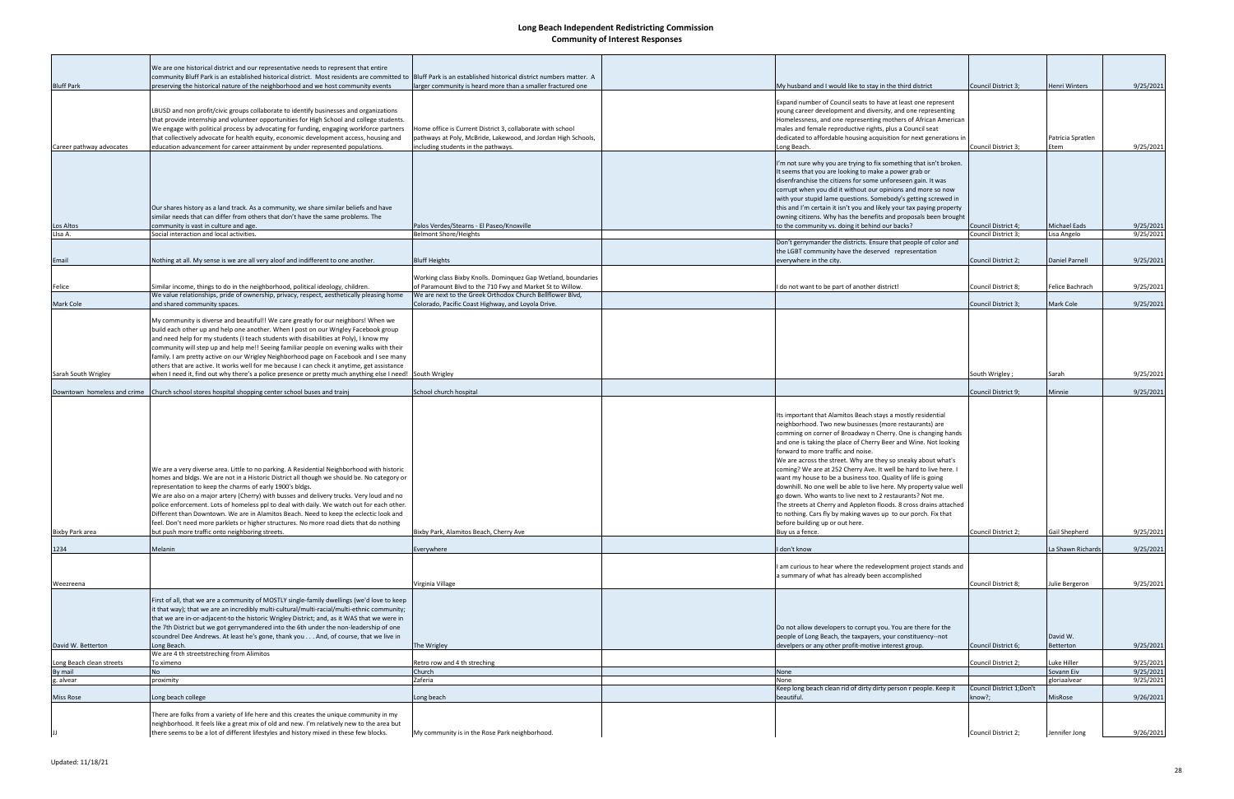|                             | We are one historical district and our representative needs to represent that entire<br>community Bluff Park is an established historical district. Most residents are committed to Bluff Park is an established historical district numbers matter. A                                                                                                                                                                                                                                                                                                                                                                                                                               |                                                                                                                                                                    |                                                                                          |                                                                                                                                                                                                                                                                                                                                                                                                                                                                                                                                                                                                                                                                                                                                               |                                            |                                   |                        |
|-----------------------------|--------------------------------------------------------------------------------------------------------------------------------------------------------------------------------------------------------------------------------------------------------------------------------------------------------------------------------------------------------------------------------------------------------------------------------------------------------------------------------------------------------------------------------------------------------------------------------------------------------------------------------------------------------------------------------------|--------------------------------------------------------------------------------------------------------------------------------------------------------------------|------------------------------------------------------------------------------------------|-----------------------------------------------------------------------------------------------------------------------------------------------------------------------------------------------------------------------------------------------------------------------------------------------------------------------------------------------------------------------------------------------------------------------------------------------------------------------------------------------------------------------------------------------------------------------------------------------------------------------------------------------------------------------------------------------------------------------------------------------|--------------------------------------------|-----------------------------------|------------------------|
| <b>Bluff Park</b>           | preserving the historical nature of the neighborhood and we host community events                                                                                                                                                                                                                                                                                                                                                                                                                                                                                                                                                                                                    | larger community is heard more than a smaller fractured one                                                                                                        |                                                                                          | My husband and I would like to stay in the third district                                                                                                                                                                                                                                                                                                                                                                                                                                                                                                                                                                                                                                                                                     | Council District 3;                        | <b>Henri Winters</b>              | 9/25/2021              |
| Career pathway advocates    | LBUSD and non profit/civic groups collaborate to identify businesses and organizations<br>that provide internship and volunteer opportunities for High School and college students.<br>We engage with political process by advocating for funding, engaging workforce partners<br>that collectively advocate for health equity, economic development access, housing and<br>education advancement for career attainment by under represented populations.                                                                                                                                                                                                                            | Home office is Current District 3, collaborate with school<br>pathways at Poly, McBride, Lakewood, and Jordan High Schools,<br>including students in the pathways. | Long Beach.                                                                              | Expand number of Council seats to have at least one represent<br>young career development and diversity, and one representing<br>Homelessness, and one representing mothers of African American<br>males and female reproductive rights, plus a Council seat<br>dedicated to affordable housing acquisition for next generations in                                                                                                                                                                                                                                                                                                                                                                                                           | Council District 3;                        | Patricia Spratlen<br>Etem         | 9/25/2021              |
| Los Altos<br>LIsa A.        | Our shares history as a land track. As a community, we share similar beliefs and have<br>similar needs that can differ from others that don't have the same problems. The<br>community is vast in culture and age.<br>Social interaction and local activities.                                                                                                                                                                                                                                                                                                                                                                                                                       | Palos Verdes/Stearns - El Paseo/Knoxville<br><b>Belmont Shore/Heights</b>                                                                                          |                                                                                          | I'm not sure why you are trying to fix something that isn't broken.<br>It seems that you are looking to make a power grab or<br>disenfranchise the citizens for some unforeseen gain. It was<br>corrupt when you did it without our opinions and more so now<br>with your stupid lame questions. Somebody's getting screwed in<br>this and I'm certain it isn't you and likely your tax paying property<br>owning citizens. Why has the benefits and proposals been brought<br>to the community vs. doing it behind our backs?                                                                                                                                                                                                                | Council District 4;<br>Council District 3; | <b>Michael Eads</b><br>isa Angelo | 9/25/2021<br>9/25/2021 |
|                             |                                                                                                                                                                                                                                                                                                                                                                                                                                                                                                                                                                                                                                                                                      |                                                                                                                                                                    |                                                                                          | Don't gerrymander the districts. Ensure that people of color and                                                                                                                                                                                                                                                                                                                                                                                                                                                                                                                                                                                                                                                                              |                                            |                                   |                        |
|                             |                                                                                                                                                                                                                                                                                                                                                                                                                                                                                                                                                                                                                                                                                      |                                                                                                                                                                    |                                                                                          | the LGBT community have the deserved representation                                                                                                                                                                                                                                                                                                                                                                                                                                                                                                                                                                                                                                                                                           |                                            |                                   |                        |
| Email                       | Nothing at all. My sense is we are all very aloof and indifferent to one another.                                                                                                                                                                                                                                                                                                                                                                                                                                                                                                                                                                                                    | <b>Bluff Heights</b>                                                                                                                                               | everywhere in the city.                                                                  |                                                                                                                                                                                                                                                                                                                                                                                                                                                                                                                                                                                                                                                                                                                                               | Council District 2;                        | <b>Daniel Parnell</b>             | 9/25/2021              |
|                             |                                                                                                                                                                                                                                                                                                                                                                                                                                                                                                                                                                                                                                                                                      | Working class Bixby Knolls. Dominquez Gap Wetland, boundaries                                                                                                      |                                                                                          |                                                                                                                                                                                                                                                                                                                                                                                                                                                                                                                                                                                                                                                                                                                                               |                                            |                                   |                        |
| Felice                      | Similar income, things to do in the neighborhood, political ideology, children.                                                                                                                                                                                                                                                                                                                                                                                                                                                                                                                                                                                                      | of Paramount Blvd to the 710 Fwy and Market St to Willow.                                                                                                          |                                                                                          | do not want to be part of another district!                                                                                                                                                                                                                                                                                                                                                                                                                                                                                                                                                                                                                                                                                                   | Council District 8;                        | Felice Bachrach                   | 9/25/2021              |
| Mark Cole                   | We value relationships, pride of ownership, privacy, respect, aesthetically pleasing home<br>and shared community spaces.                                                                                                                                                                                                                                                                                                                                                                                                                                                                                                                                                            | We are next to the Greek Orthodox Church Bellflower Blvd,<br>Colorado, Pacific Coast Highway, and Loyola Drive.                                                    |                                                                                          |                                                                                                                                                                                                                                                                                                                                                                                                                                                                                                                                                                                                                                                                                                                                               | Council District 3;                        | Mark Cole                         | 9/25/2021              |
|                             | My community is diverse and beautiful!! We care greatly for our neighbors! When we<br>build each other up and help one another. When I post on our Wrigley Facebook group<br>and need help for my students (I teach students with disabilities at Poly), I know my<br>community will step up and help me!! Seeing familiar people on evening walks with their<br>family. I am pretty active on our Wrigley Neighborhood page on Facebook and I see many<br>others that are active. It works well for me because I can check it anytime, get assistance                                                                                                                               |                                                                                                                                                                    |                                                                                          |                                                                                                                                                                                                                                                                                                                                                                                                                                                                                                                                                                                                                                                                                                                                               |                                            |                                   |                        |
| Sarah South Wrigley         | when I need it, find out why there's a police presence or pretty much anything else I need! South Wrigley                                                                                                                                                                                                                                                                                                                                                                                                                                                                                                                                                                            |                                                                                                                                                                    |                                                                                          |                                                                                                                                                                                                                                                                                                                                                                                                                                                                                                                                                                                                                                                                                                                                               | South Wrigley;                             | Sarah                             | 9/25/2021              |
| Downtown homeless and crime | Church school stores hospital shopping center school buses and trainj                                                                                                                                                                                                                                                                                                                                                                                                                                                                                                                                                                                                                | School church hospital                                                                                                                                             |                                                                                          |                                                                                                                                                                                                                                                                                                                                                                                                                                                                                                                                                                                                                                                                                                                                               | Council District 9;                        | Minnie                            | 9/25/2021              |
| Bixby Park area             | We are a very diverse area. Little to no parking. A Residential Neighborhood with historic<br>homes and bldgs. We are not in a Historic District all though we should be. No category or<br>representation to keep the charms of early 1900's bldgs.<br>We are also on a major artery (Cherry) with busses and delivery trucks. Very loud and no<br>oolice enforcement. Lots of homeless ppl to deal with daily. We watch out for each other.<br>Different than Downtown. We are in Alamitos Beach. Need to keep the eclectic look and<br>feel. Don't need more parklets or higher structures. No more road diets that do nothing<br>but push more traffic onto neighboring streets. | Bixby Park, Alamitos Beach, Cherry Ave                                                                                                                             | forward to more traffic and noise.<br>before building up or out here.<br>Buy us a fence. | Its important that Alamitos Beach stays a mostly residential<br>neighborhood. Two new businesses (more restaurants) are<br>comming on corner of Broadway n Cherry. One is changing hands<br>and one is taking the place of Cherry Beer and Wine. Not looking<br>We are across the street. Why are they so sneaky about what's<br>coming? We are at 252 Cherry Ave. It well be hard to live here. I<br>want my house to be a business too. Quality of life is going<br>downhill. No one well be able to live here. My property value well<br>go down. Who wants to live next to 2 restaurants? Not me.<br>The streets at Cherry and Appleton floods. 8 cross drains attached<br>to nothing. Cars fly by making waves up to our porch. Fix that | Council District 2;                        | Gail Shepherd                     | 9/25/2021              |
|                             |                                                                                                                                                                                                                                                                                                                                                                                                                                                                                                                                                                                                                                                                                      |                                                                                                                                                                    |                                                                                          |                                                                                                                                                                                                                                                                                                                                                                                                                                                                                                                                                                                                                                                                                                                                               |                                            |                                   |                        |
| 1234                        | Melanin                                                                                                                                                                                                                                                                                                                                                                                                                                                                                                                                                                                                                                                                              | Everywhere                                                                                                                                                         | I don't know                                                                             | am curious to hear where the redevelopment project stands and<br>a summary of what has already been accomplished                                                                                                                                                                                                                                                                                                                                                                                                                                                                                                                                                                                                                              |                                            | La Shawn Richards                 | 9/25/2021              |
| Weezreena                   |                                                                                                                                                                                                                                                                                                                                                                                                                                                                                                                                                                                                                                                                                      | Virginia Village                                                                                                                                                   |                                                                                          |                                                                                                                                                                                                                                                                                                                                                                                                                                                                                                                                                                                                                                                                                                                                               | Council District 8;                        | Julie Bergeron                    | 9/25/2021              |
|                             | First of all, that we are a community of MOSTLY single-family dwellings (we'd love to keep<br>it that way); that we are an incredibly multi-cultural/multi-racial/multi-ethnic community;<br>that we are in-or-adjacent-to the historic Wrigley District; and, as it WAS that we were in<br>the 7th District but we got gerrymandered into the 6th under the non-leadership of one<br>scoundrel Dee Andrews. At least he's gone, thank you And, of course, that we live in                                                                                                                                                                                                           |                                                                                                                                                                    |                                                                                          | Do not allow developers to corrupt you. You are there for the<br>people of Long Beach, the taxpayers, your constituency--not                                                                                                                                                                                                                                                                                                                                                                                                                                                                                                                                                                                                                  |                                            | David W.                          |                        |
| David W. Betterton          | Long Beach.<br>We are 4 th streetstreching from Alimitos                                                                                                                                                                                                                                                                                                                                                                                                                                                                                                                                                                                                                             | The Wrigley                                                                                                                                                        |                                                                                          | develpers or any other profit-motive interest group.                                                                                                                                                                                                                                                                                                                                                                                                                                                                                                                                                                                                                                                                                          | Council District 6;                        | Betterton                         | 9/25/2021              |
| Long Beach clean streets    | To ximeno                                                                                                                                                                                                                                                                                                                                                                                                                                                                                                                                                                                                                                                                            | Retro row and 4 th streching                                                                                                                                       |                                                                                          |                                                                                                                                                                                                                                                                                                                                                                                                                                                                                                                                                                                                                                                                                                                                               | Council District 2;                        | Luke Hiller                       | 9/25/2021              |
| By mail                     | <b>No</b>                                                                                                                                                                                                                                                                                                                                                                                                                                                                                                                                                                                                                                                                            | Church                                                                                                                                                             | <b>None</b>                                                                              |                                                                                                                                                                                                                                                                                                                                                                                                                                                                                                                                                                                                                                                                                                                                               |                                            | Sovann Eiv                        | 9/25/2021              |
| g. alvear                   | proximity                                                                                                                                                                                                                                                                                                                                                                                                                                                                                                                                                                                                                                                                            | Zaferia                                                                                                                                                            | None                                                                                     |                                                                                                                                                                                                                                                                                                                                                                                                                                                                                                                                                                                                                                                                                                                                               |                                            | gloriaalvear                      | 9/25/2021              |
| Miss Rose                   | Long beach college                                                                                                                                                                                                                                                                                                                                                                                                                                                                                                                                                                                                                                                                   | Long beach                                                                                                                                                         | beautiful.                                                                               | Keep long beach clean rid of dirty dirty person r people. Keep it<br>know?;                                                                                                                                                                                                                                                                                                                                                                                                                                                                                                                                                                                                                                                                   | Council District 1; Don't                  | MisRose                           | 9/26/2021              |
|                             | There are folks from a variety of life here and this creates the unique community in my<br>neighborhood. It feels like a great mix of old and new. I'm relatively new to the area but<br>there seems to be a lot of different lifestyles and history mixed in these few blocks.                                                                                                                                                                                                                                                                                                                                                                                                      | My community is in the Rose Park neighborhood.                                                                                                                     |                                                                                          |                                                                                                                                                                                                                                                                                                                                                                                                                                                                                                                                                                                                                                                                                                                                               | Council District 2;                        | Jennifer Jong                     | 9/26/2021              |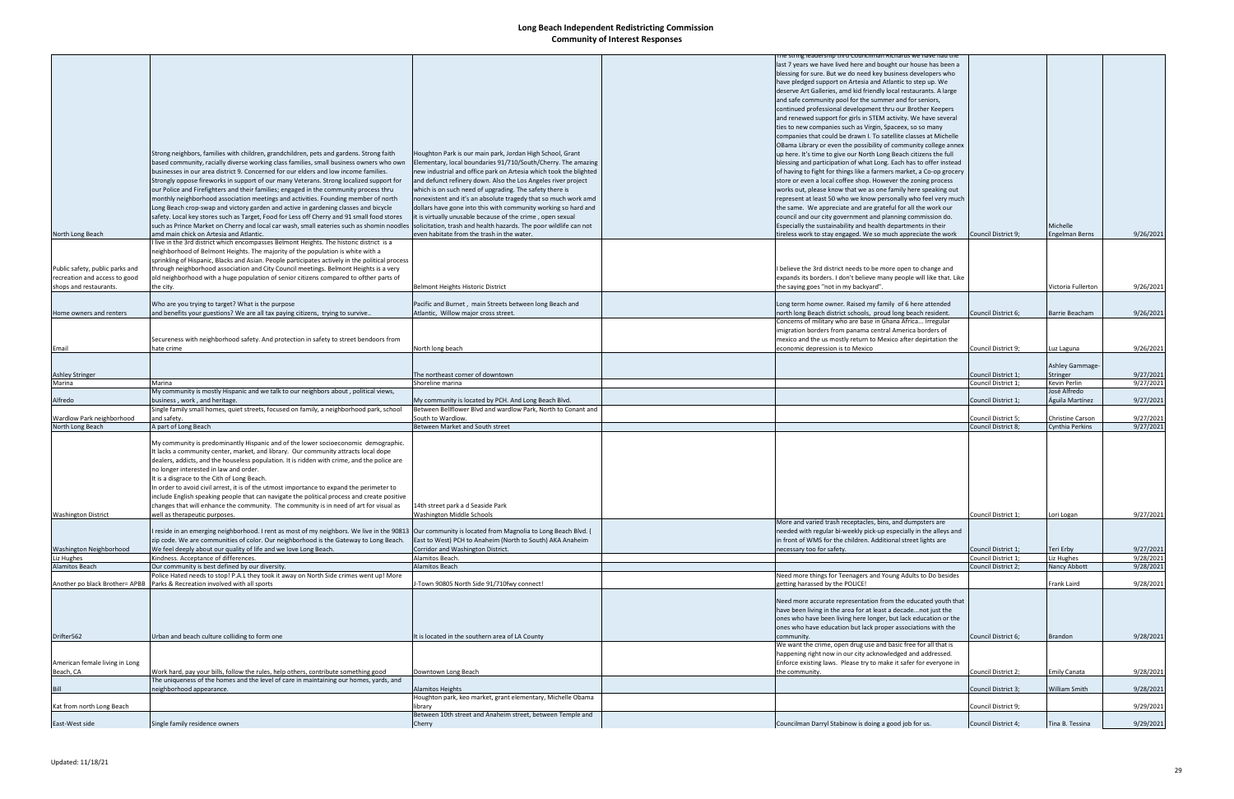|                                 |                                                                                                 |                                                                   | ne string leadership thru Councilman Kichards we have had the         |                     |                         |           |
|---------------------------------|-------------------------------------------------------------------------------------------------|-------------------------------------------------------------------|-----------------------------------------------------------------------|---------------------|-------------------------|-----------|
|                                 |                                                                                                 |                                                                   | last 7 years we have lived here and bought our house has been a       |                     |                         |           |
|                                 |                                                                                                 |                                                                   | blessing for sure. But we do need key business developers who         |                     |                         |           |
|                                 |                                                                                                 |                                                                   | have pledged support on Artesia and Atlantic to step up. We           |                     |                         |           |
|                                 |                                                                                                 |                                                                   | deserve Art Galleries, amd kid friendly local restaurants. A large    |                     |                         |           |
|                                 |                                                                                                 |                                                                   | and safe community pool for the summer and for seniors,               |                     |                         |           |
|                                 |                                                                                                 |                                                                   |                                                                       |                     |                         |           |
|                                 |                                                                                                 |                                                                   | continued professional development thru our Brother Keepers           |                     |                         |           |
|                                 |                                                                                                 |                                                                   | and renewed support for girls in STEM activity. We have several       |                     |                         |           |
|                                 |                                                                                                 |                                                                   | ties to new companies such as Virgin, Spaceex, so so many             |                     |                         |           |
|                                 |                                                                                                 |                                                                   | companies that could be drawn I. To satellite classes at Michelle     |                     |                         |           |
|                                 |                                                                                                 |                                                                   |                                                                       |                     |                         |           |
|                                 |                                                                                                 |                                                                   | OBama Library or even the possibility of community college annex      |                     |                         |           |
|                                 | Strong neighbors, families with children, grandchildren, pets and gardens. Strong faith         | Houghton Park is our main park, Jordan High School, Grant         | up here. It's time to give our North Long Beach citizens the full     |                     |                         |           |
|                                 | based community, racially diverse working class families, small business owners who own         | Elementary, local boundaries 91/710/South/Cherry. The amazing     | blessing and participation of what Long. Each has to offer instead    |                     |                         |           |
|                                 | businesses in our area district 9. Concerned for our elders and low income families.            | new industrial and office park on Artesia which took the blighted | of having to fight for things like a farmers market, a Co-op grocery  |                     |                         |           |
|                                 | Strongly oppose fireworks in support of our many Veterans. Strong localized support for         | and defunct refinery down. Also the Los Angeles river project     | store or even a local coffee shop. However the zoning process         |                     |                         |           |
|                                 |                                                                                                 |                                                                   |                                                                       |                     |                         |           |
|                                 | our Police and Firefighters and their families; engaged in the community process thru           | which is on such need of upgrading. The safety there is           | works out, please know that we as one family here speaking out        |                     |                         |           |
|                                 | monthly neighborhood association meetings and activities. Founding member of north              | nonexistent and it's an absolute tragedy that so much work amd    | represent at least 50 who we know personally who feel very much       |                     |                         |           |
|                                 | Long Beach crop-swap and victory garden and active in gardening classes and bicycle             | dollars have gone into this with community working so hard and    | the same. We appreciate and are grateful for all the work our         |                     |                         |           |
|                                 | safety. Local key stores such as Target, Food for Less off Cherry and 91 small food stores      | it is virtually unusable because of the crime, open sexual        | council and our city government and planning commission do.           |                     |                         |           |
|                                 |                                                                                                 |                                                                   |                                                                       |                     | Michelle                |           |
|                                 | such as Prince Market on Cherry and local car wash, small eateries such as shomin noodles       | solicitation, trash and health hazards. The poor wildlife can not | Especially the sustainability and health departments in their         |                     |                         |           |
| North Long Beach                | lamd main chick on Artesia and Atlantic.                                                        | even habitate from the trash in the water.                        | tireless work to stay engaged. We so much appreciate the work         | Council District 9; | <b>Engelman Berns</b>   | 9/26/2021 |
|                                 | I live in the 3rd district which encompasses Belmont Heights. The historic district is a        |                                                                   |                                                                       |                     |                         |           |
|                                 | neighborhood of Belmont Heights. The majority of the population is white with a                 |                                                                   |                                                                       |                     |                         |           |
|                                 | sprinkling of Hispanic, Blacks and Asian. People participates actively in the political process |                                                                   |                                                                       |                     |                         |           |
|                                 |                                                                                                 |                                                                   |                                                                       |                     |                         |           |
| Public safety, public parks and | through neighborhood association and City Council meetings. Belmont Heights is a very           |                                                                   | I believe the 3rd district needs to be more open to change and        |                     |                         |           |
| recreation and access to good   | old neighborhood with a huge population of senior citizens compared to ofther parts of          |                                                                   | expands its borders. I don't believe many people will like that. Like |                     |                         |           |
| shops and restaurants.          | the city.                                                                                       | Belmont Heights Historic District                                 | the saying goes "not in my backyard".                                 |                     | Victoria Fullerton      | 9/26/2021 |
|                                 |                                                                                                 |                                                                   |                                                                       |                     |                         |           |
|                                 | Who are you trying to target? What is the purpose                                               | Pacific and Burnet, main Streets between long Beach and           | Long term home owner. Raised my family of 6 here attended             |                     |                         |           |
|                                 |                                                                                                 |                                                                   |                                                                       |                     |                         |           |
| Home owners and renters         | and benefits your guestions? We are all tax paying citizens, trying to survive                  | Atlantic, Willow major cross street.                              | north long Beach district schools, proud long beach resident.         | Council District 6; | <b>Barrie Beacham</b>   | 9/26/2021 |
|                                 |                                                                                                 |                                                                   | Concerns of military who are base in Ghana Africa Irregular           |                     |                         |           |
|                                 |                                                                                                 |                                                                   | imigration borders from panama central America borders of             |                     |                         |           |
|                                 | Secureness with neighborhood safety. And protection in safety to street bendoors from           |                                                                   | mexico and the us mostly return to Mexico after depirtation the       |                     |                         |           |
| Email                           | hate crime                                                                                      | North long beach                                                  | economic depression is to Mexico                                      | Council District 9; | Luz Laguna              | 9/26/2021 |
|                                 |                                                                                                 |                                                                   |                                                                       |                     |                         |           |
|                                 |                                                                                                 |                                                                   |                                                                       |                     |                         |           |
|                                 |                                                                                                 |                                                                   |                                                                       |                     | Ashley Gammage-         |           |
| <b>Ashley Stringer</b>          |                                                                                                 | The northeast corner of downtown                                  |                                                                       | Council District 1; | Stringer                | 9/27/2021 |
| Marina                          | Marina                                                                                          | Shoreline marina                                                  |                                                                       | Council District 1; | Kevin Perlin            | 9/27/2021 |
|                                 | My community is mostly Hispanic and we talk to our neighbors about, political views,            |                                                                   |                                                                       |                     | José Alfredo            |           |
| Alfredo                         | business, work, and heritage.                                                                   | My community is located by PCH. And Long Beach Blvd.              |                                                                       | Council District 1; | Águila Martínez         | 9/27/2021 |
|                                 |                                                                                                 |                                                                   |                                                                       |                     |                         |           |
|                                 | Single family small homes, quiet streets, focused on family, a neighborhood park, school        | Between Bellflower Blvd and wardlow Park, North to Conant and     |                                                                       |                     |                         |           |
| Wardlow Park neighborhood       | and safety.                                                                                     | South to Wardlow.                                                 |                                                                       | Council District 5; | <b>Christine Carson</b> | 9/27/2021 |
| North Long Beach                | A part of Long Beach                                                                            | Between Market and South street                                   |                                                                       | Council District 8; | Cynthia Perkins         | 9/27/2021 |
|                                 |                                                                                                 |                                                                   |                                                                       |                     |                         |           |
|                                 | My community is predominantly Hispanic and of the lower socioeconomic demographic.              |                                                                   |                                                                       |                     |                         |           |
|                                 | It lacks a community center, market, and library. Our community attracts local dope             |                                                                   |                                                                       |                     |                         |           |
|                                 |                                                                                                 |                                                                   |                                                                       |                     |                         |           |
|                                 | dealers, addicts, and the houseless population. It is ridden with crime, and the police are     |                                                                   |                                                                       |                     |                         |           |
|                                 | no longer interested in law and order.                                                          |                                                                   |                                                                       |                     |                         |           |
|                                 | It is a disgrace to the Cith of Long Beach.                                                     |                                                                   |                                                                       |                     |                         |           |
|                                 | In order to avoid civil arrest, it is of the utmost importance to expand the perimeter to       |                                                                   |                                                                       |                     |                         |           |
|                                 |                                                                                                 |                                                                   |                                                                       |                     |                         |           |
|                                 | include English speaking people that can navigate the political process and create positive     |                                                                   |                                                                       |                     |                         |           |
|                                 | changes that will enhance the community. The community is in need of art for visual as          | 14th street park a d Seaside Park                                 |                                                                       |                     |                         |           |
| <b>Washington District</b>      | well as therapeutic purposes.                                                                   | Washington Middle Schools                                         |                                                                       | Council District 1; | Lori Logan              | 9/27/2021 |
|                                 |                                                                                                 |                                                                   | More and varied trash receptacles, bins, and dumpsters are            |                     |                         |           |
|                                 | I reside in an emerging neighborhood. I rent as most of my neighbors. We live in the 90813      | Our community is located from Magnolia to Long Beach Blvd. (      | needed with regular bi-weekly pick-up especially in the alleys and    |                     |                         |           |
|                                 |                                                                                                 |                                                                   |                                                                       |                     |                         |           |
|                                 | zip code. We are communities of color. Our neighborhood is the Gateway to Long Beach.           | East to West) PCH to Anaheim (North to South) AKA Anaheim         | in front of WMS for the children. Additional street lights are        |                     |                         |           |
| Washington Neighborhood         | We feel deeply about our quality of life and we love Long Beach.                                | Corridor and Washington District.                                 | necessary too for safety.                                             | Council District 1; | Teri Erby               | 9/27/2021 |
| Liz Hughes                      | Kindness. Acceptance of differences.                                                            | Alamitos Beach.                                                   |                                                                       | Council District 1; | iz Hughes               | 9/28/2021 |
| <b>Alamitos Beach</b>           | Our community is best defined by our diversity.                                                 | Alamitos Beach                                                    |                                                                       | Council District 2; | Nancy Abbott            | 9/28/2021 |
|                                 | Police Hated needs to stop! P.A.L they took it away on North Side crimes went up! More          |                                                                   | Need more things for Teenagers and Young Adults to Do besides         |                     |                         |           |
| Another po black Brother= APBB  | Parks & Recreation involved with all sports                                                     | -Town 90805 North Side 91/710fwy connect!                         | getting harassed by the POLICE!                                       |                     | Frank Laird             | 9/28/2021 |
|                                 |                                                                                                 |                                                                   |                                                                       |                     |                         |           |
|                                 |                                                                                                 |                                                                   |                                                                       |                     |                         |           |
|                                 |                                                                                                 |                                                                   | Need more accurate representation from the educated youth that        |                     |                         |           |
|                                 |                                                                                                 |                                                                   | have been living in the area for at least a decadenot just the        |                     |                         |           |
|                                 |                                                                                                 |                                                                   | ones who have been living here longer, but lack education or the      |                     |                         |           |
|                                 |                                                                                                 |                                                                   | ones who have education but lack proper associations with the         |                     |                         |           |
|                                 |                                                                                                 |                                                                   |                                                                       |                     |                         |           |
| Drifter562                      | Urban and beach culture colliding to form one                                                   | It is located in the southern area of LA County                   | community.                                                            | Council District 6; | Brandon                 | 9/28/2021 |
|                                 |                                                                                                 |                                                                   | We want the crime, open drug use and basic free for all that is       |                     |                         |           |
|                                 |                                                                                                 |                                                                   | happening right now in our city acknowledged and addressed.           |                     |                         |           |
| American female living in Long  |                                                                                                 |                                                                   | Enforce existing laws. Please try to make it safer for everyone in    |                     |                         |           |
| Beach, CA                       | Work hard, pay your bills, follow the rules, help others, contribute something good             | Downtown Long Beach                                               | the community.                                                        | Council District 2; | Emily Canata            | 9/28/2021 |
|                                 | The uniqueness of the homes and the level of care in maintaining our homes, yards, and          |                                                                   |                                                                       |                     |                         |           |
|                                 |                                                                                                 |                                                                   |                                                                       |                     |                         |           |
| Bill                            | neighborhood appearance.                                                                        | <b>Alamitos Heights</b>                                           |                                                                       | Council District 3; | William Smith           | 9/28/2021 |
|                                 |                                                                                                 | Houghton park, keo market, grant elementary, Michelle Obama       |                                                                       |                     |                         |           |
| Kat from north Long Beach       |                                                                                                 | library                                                           |                                                                       | Council District 9; |                         | 9/29/2021 |
|                                 |                                                                                                 | Between 10th street and Anaheim street, between Temple and        |                                                                       |                     |                         |           |
| East-West side                  | Single family residence owners                                                                  | Cherry                                                            | Councilman Darryl Stabinow is doing a good job for us.                | Council District 4; | Tina B. Tessina         | 9/29/2021 |
|                                 |                                                                                                 |                                                                   |                                                                       |                     |                         |           |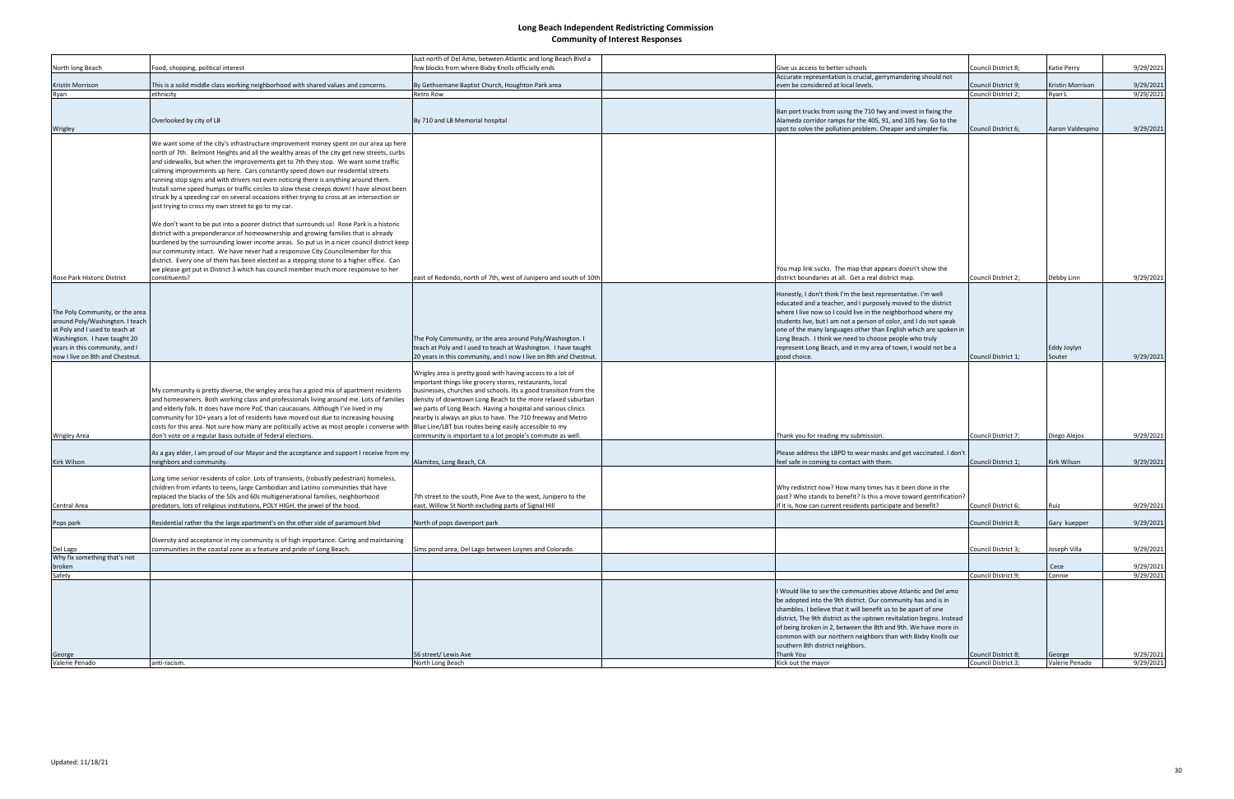|                                                                                                                                                                                                          |                                                                                                                                                                                                                                                                                                                                                                                                                                                                                                                                                                                                                                                                                                                                                                                                                                                                                                                                                                                                                                                                                                                                                                                                                                                                                     | Just north of Del Amo, between Atlantic and long Beach Blvd a                                                                                                                                                                                                                                                                                                                                                                                                                                                    |                                                                        |                                                                                                                                                                                                                                                                                                                                                                                                                                                             |                          |                        |
|----------------------------------------------------------------------------------------------------------------------------------------------------------------------------------------------------------|-------------------------------------------------------------------------------------------------------------------------------------------------------------------------------------------------------------------------------------------------------------------------------------------------------------------------------------------------------------------------------------------------------------------------------------------------------------------------------------------------------------------------------------------------------------------------------------------------------------------------------------------------------------------------------------------------------------------------------------------------------------------------------------------------------------------------------------------------------------------------------------------------------------------------------------------------------------------------------------------------------------------------------------------------------------------------------------------------------------------------------------------------------------------------------------------------------------------------------------------------------------------------------------|------------------------------------------------------------------------------------------------------------------------------------------------------------------------------------------------------------------------------------------------------------------------------------------------------------------------------------------------------------------------------------------------------------------------------------------------------------------------------------------------------------------|------------------------------------------------------------------------|-------------------------------------------------------------------------------------------------------------------------------------------------------------------------------------------------------------------------------------------------------------------------------------------------------------------------------------------------------------------------------------------------------------------------------------------------------------|--------------------------|------------------------|
| North long Beach                                                                                                                                                                                         | Food, shopping, political interest                                                                                                                                                                                                                                                                                                                                                                                                                                                                                                                                                                                                                                                                                                                                                                                                                                                                                                                                                                                                                                                                                                                                                                                                                                                  | few blocks from where Bixby Knolls officially ends                                                                                                                                                                                                                                                                                                                                                                                                                                                               | Give us access to better schools                                       | Council District 8;                                                                                                                                                                                                                                                                                                                                                                                                                                         | Katie Perry              | 9/29/2021              |
|                                                                                                                                                                                                          |                                                                                                                                                                                                                                                                                                                                                                                                                                                                                                                                                                                                                                                                                                                                                                                                                                                                                                                                                                                                                                                                                                                                                                                                                                                                                     |                                                                                                                                                                                                                                                                                                                                                                                                                                                                                                                  |                                                                        | Accurate representation is crucial, gerrymandering should not                                                                                                                                                                                                                                                                                                                                                                                               |                          |                        |
| Kristin Morrison                                                                                                                                                                                         | This is a solid middle class working neighborhood with shared values and concerns.                                                                                                                                                                                                                                                                                                                                                                                                                                                                                                                                                                                                                                                                                                                                                                                                                                                                                                                                                                                                                                                                                                                                                                                                  | By Gethsemane Baptist Church, Houghton Park area                                                                                                                                                                                                                                                                                                                                                                                                                                                                 | even be considered at local levels.                                    | Council District 9;                                                                                                                                                                                                                                                                                                                                                                                                                                         | Kristin Morrison         | 9/29/2021              |
| Ryan                                                                                                                                                                                                     | ethnicity                                                                                                                                                                                                                                                                                                                                                                                                                                                                                                                                                                                                                                                                                                                                                                                                                                                                                                                                                                                                                                                                                                                                                                                                                                                                           | <b>Retro Row</b>                                                                                                                                                                                                                                                                                                                                                                                                                                                                                                 |                                                                        | Council District 2;                                                                                                                                                                                                                                                                                                                                                                                                                                         | Ryan L                   | 9/29/2021              |
| Wrigley                                                                                                                                                                                                  | Overlooked by city of LB                                                                                                                                                                                                                                                                                                                                                                                                                                                                                                                                                                                                                                                                                                                                                                                                                                                                                                                                                                                                                                                                                                                                                                                                                                                            | By 710 and LB Memorial hospital                                                                                                                                                                                                                                                                                                                                                                                                                                                                                  |                                                                        | Ban port trucks from using the 710 fwy and invest in fixing the<br>Alameda corridor ramps for the 405, 91, and 105 fwy. Go to the<br>spot to solve the pollution problem. Cheaper and simpler fix.<br>Council District 6;                                                                                                                                                                                                                                   | Aaron Valdespino         | 9/29/2021              |
| <b>Rose Park Historic District</b>                                                                                                                                                                       | We want some of the city's infrastructure improvement money spent on our area up here<br>north of 7th. Belmont Heights and all the wealthy areas of the city get new streets, curbs<br>and sidewalks, but when the improvements get to 7th they stop. We want some traffic<br>calming improvements up here. Cars constantly speed down our residential streets<br>running stop signs and with drivers not even noticing there is anything around them.<br>Install some speed humps or traffic circles to slow these creeps down! I have almost been<br>struck by a speeding car on several occasions either trying to cross at an intersection or<br>just trying to cross my own street to go to my car.<br>We don't want to be put into a poorer district that surrounds us! Rose Park is a historic<br>district with a preponderance of homeownership and growing families that is already<br>burdened by the surrounding lower income areas. So put us in a nicer council district keep<br>our community intact. We have never had a responsive City Councilmember for this<br>district. Every one of them has been elected as a stepping stone to a higher office. Can<br>we please get put in District 3 which has council member much more responsive to her<br>constituents? | east of Redondo, north of 7th, west of Junipero and south of 10th                                                                                                                                                                                                                                                                                                                                                                                                                                                | district boundaries at all. Get a real district map.                   | You map link sucks. The map that appears doesn't show the<br>Council District 2;                                                                                                                                                                                                                                                                                                                                                                            | Debby Linn               | 9/29/2021              |
| The Poly Community, or the area<br>around Poly/Washington. I teach<br>at Poly and I used to teach at<br>Washington. I have taught 20<br>years in this community, and I<br>now I live on 8th and Chestnut |                                                                                                                                                                                                                                                                                                                                                                                                                                                                                                                                                                                                                                                                                                                                                                                                                                                                                                                                                                                                                                                                                                                                                                                                                                                                                     | The Poly Community, or the area around Poly/Washington. I<br>teach at Poly and I used to teach at Washington. I have taught<br>20 years in this community, and I now I live on 8th and Chestnut.                                                                                                                                                                                                                                                                                                                 | Long Beach. I think we need to choose people who truly<br>good choice. | Honestly, I don't think I'm the best representative. I'm well<br>educated and a teacher, and I purposely moved to the district<br>where I live now so I could live in the neighborhood where my<br>students live, but I am not a person of color, and I do not speak<br>one of the many languages other than English which are spoken in<br>represent Long Beach, and in my area of town, I would not be a<br>Council District 1;                           | Eddy Joylyn<br>Souter    | 9/29/2021              |
| <b>Wrigley Area</b>                                                                                                                                                                                      | My community is pretty diverse, the wrigley area has a good mix of apartment residents<br>and homeowners. Both working class and professionals living around me. Lots of families<br>and elderly folk. It does have more PoC than caucasians. Although I've lived in my<br>community for 10+ years a lot of residents have moved out due to increasing housing<br>costs for this area. Not sure how many are politically active as most people i converse with<br>don't vote on a regular basis outside of federal elections.                                                                                                                                                                                                                                                                                                                                                                                                                                                                                                                                                                                                                                                                                                                                                       | Wrigley area is pretty good with having access to a lot of<br>important things like grocery stores, restaurants, local<br>businesses, churches and schools. Its a good transition from the<br>density of downtown Long Beach to the more relaxed suburban<br>we parts of Long Beach. Having a hospital and various clinics<br>nearby is always an plus to have. The 710 freeway and Metro<br>Blue Line/LBT bus routes being easily accessible to my<br>community is important to a lot people's commute as well. | Thank you for reading my submission.                                   | Council District 7;                                                                                                                                                                                                                                                                                                                                                                                                                                         | Diego Alejos             | 9/29/2021              |
| Kirk Wilson                                                                                                                                                                                              | As a gay elder, I am proud of our Mayor and the acceptance and support I receive from my<br>neighbors and community.                                                                                                                                                                                                                                                                                                                                                                                                                                                                                                                                                                                                                                                                                                                                                                                                                                                                                                                                                                                                                                                                                                                                                                | Alamitos, Long Beach, CA                                                                                                                                                                                                                                                                                                                                                                                                                                                                                         | feel safe in coming to contact with them.                              | Please address the LBPD to wear masks and get vaccinated. I don't<br>Council District 1;                                                                                                                                                                                                                                                                                                                                                                    | Kirk Wilson              | 9/29/2021              |
| Central Area                                                                                                                                                                                             | Long time senior residents of color. Lots of transients, (robustly pedestrian) homeless,<br>children from infants to teens, large Cambodian and Latiino communities that have<br>replaced the blacks of the 50s and 60s multigenerational families, neighborhood<br>predators, lots of religious institutions, POLY HIGH, the jewel of the hood.                                                                                                                                                                                                                                                                                                                                                                                                                                                                                                                                                                                                                                                                                                                                                                                                                                                                                                                                    | 7th street to the south, Pine Ave to the west, Junipero to the<br>ast, Willow St North excluding parts of Signal Hill                                                                                                                                                                                                                                                                                                                                                                                            |                                                                        | Why redistrict now? How many times has it been done in the<br>past? Who stands to benefit? Is this a move toward gentrification?<br>If it is, how can current residents participate and benefit?<br>Council District 6;                                                                                                                                                                                                                                     | Ruiz                     | 9/29/2021              |
| Pops park                                                                                                                                                                                                | Residential rather tha the large apartment's on the other side of paramount blvd                                                                                                                                                                                                                                                                                                                                                                                                                                                                                                                                                                                                                                                                                                                                                                                                                                                                                                                                                                                                                                                                                                                                                                                                    | North of pops davenport park                                                                                                                                                                                                                                                                                                                                                                                                                                                                                     |                                                                        | <b>Council District 8:</b>                                                                                                                                                                                                                                                                                                                                                                                                                                  | Gary kuepper             | 9/29/2021              |
| Del Lago<br>Why fix something that's not                                                                                                                                                                 | Diversity and acceptance in my community is of high importance. Caring and maintaining<br>communities in the coastal zone as a feature and pride of Long Beach.                                                                                                                                                                                                                                                                                                                                                                                                                                                                                                                                                                                                                                                                                                                                                                                                                                                                                                                                                                                                                                                                                                                     | Sims pond area, Del Lago between Loynes and Colorado.                                                                                                                                                                                                                                                                                                                                                                                                                                                            |                                                                        | Council District 3;                                                                                                                                                                                                                                                                                                                                                                                                                                         | Joseph Villa             | 9/29/2021              |
| broken                                                                                                                                                                                                   |                                                                                                                                                                                                                                                                                                                                                                                                                                                                                                                                                                                                                                                                                                                                                                                                                                                                                                                                                                                                                                                                                                                                                                                                                                                                                     |                                                                                                                                                                                                                                                                                                                                                                                                                                                                                                                  |                                                                        |                                                                                                                                                                                                                                                                                                                                                                                                                                                             | Cece                     | 9/29/2021              |
| Safety                                                                                                                                                                                                   |                                                                                                                                                                                                                                                                                                                                                                                                                                                                                                                                                                                                                                                                                                                                                                                                                                                                                                                                                                                                                                                                                                                                                                                                                                                                                     |                                                                                                                                                                                                                                                                                                                                                                                                                                                                                                                  |                                                                        | Council District 9;                                                                                                                                                                                                                                                                                                                                                                                                                                         | Connie                   | 9/29/2021              |
| George<br>Valerie Penado                                                                                                                                                                                 | anti-racism.                                                                                                                                                                                                                                                                                                                                                                                                                                                                                                                                                                                                                                                                                                                                                                                                                                                                                                                                                                                                                                                                                                                                                                                                                                                                        | 56 street/ Lewis Ave<br>North Long Beach                                                                                                                                                                                                                                                                                                                                                                                                                                                                         | southern 8th district neighbors.<br>Thank You<br>Kick out the mayor    | I Would like to see the communities above Atlantic and Del amo<br>be adopted into the 9th district. Our community has and is in<br>shambles. I believe that it will benefit us to be apart of one<br>district, The 9th district as the uptown revitalation begins. Instead<br>of being broken in 2, between the 8th and 9th. We have more in<br>common with our northern neighbors than with Bixby Knolls our<br>Council District 8;<br>Council District 3; | George<br>Valerie Penado | 9/29/2021<br>9/29/2021 |
|                                                                                                                                                                                                          |                                                                                                                                                                                                                                                                                                                                                                                                                                                                                                                                                                                                                                                                                                                                                                                                                                                                                                                                                                                                                                                                                                                                                                                                                                                                                     |                                                                                                                                                                                                                                                                                                                                                                                                                                                                                                                  |                                                                        |                                                                                                                                                                                                                                                                                                                                                                                                                                                             |                          |                        |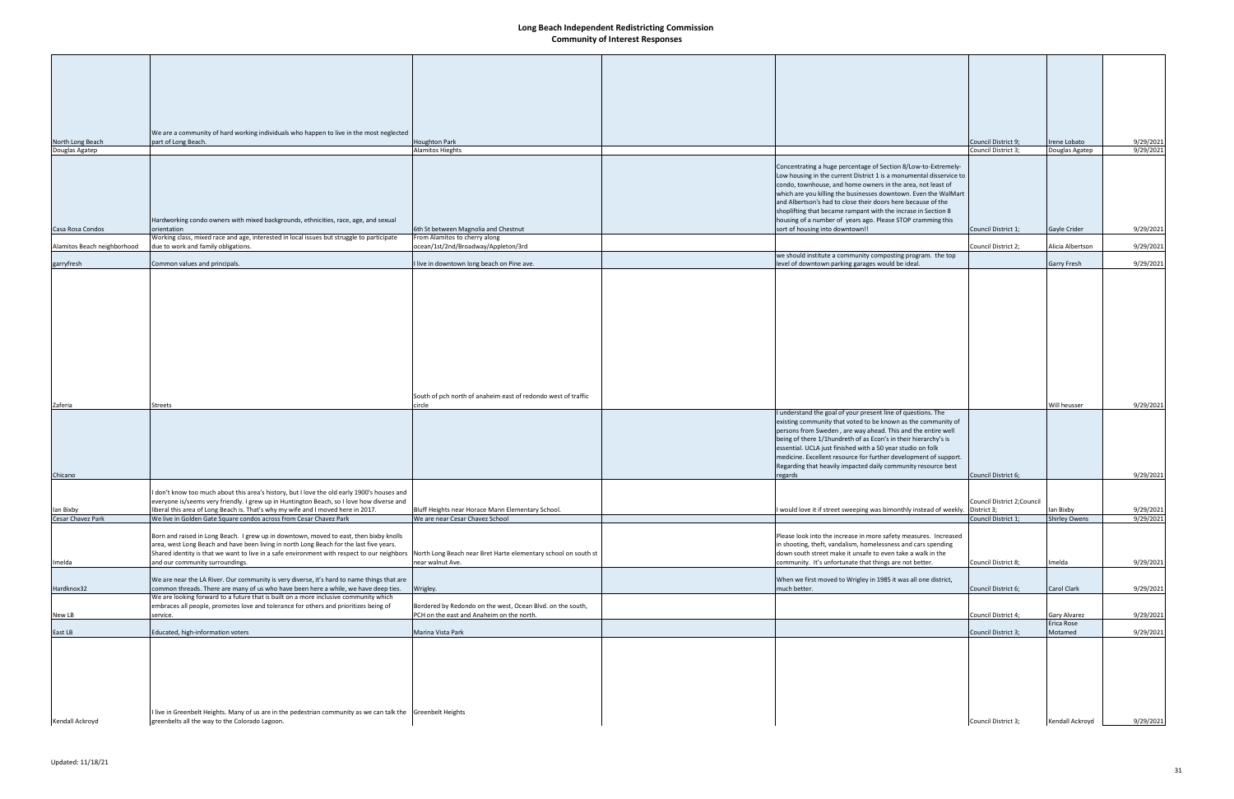|                             | We are a community of hard working individuals who happen to live in the most neglected                                                                                                  |                                                                       |                                                                                                                                   |                             |                                   |           |
|-----------------------------|------------------------------------------------------------------------------------------------------------------------------------------------------------------------------------------|-----------------------------------------------------------------------|-----------------------------------------------------------------------------------------------------------------------------------|-----------------------------|-----------------------------------|-----------|
| North Long Beach            | part of Long Beach.                                                                                                                                                                      | <b>Houghton Park</b>                                                  |                                                                                                                                   | Council District 9;         | Irene Lobato                      | 9/29/2021 |
| Douglas Agatep              |                                                                                                                                                                                          | Alamitos Hieghts                                                      |                                                                                                                                   | Council District 3;         | Douglas Agatep                    | 9/29/2021 |
|                             |                                                                                                                                                                                          |                                                                       | Concentrating a huge percentage of Section 8/Low-to-Extremely-                                                                    |                             |                                   |           |
|                             |                                                                                                                                                                                          |                                                                       | Low housing in the current District 1 is a monumental disservice to                                                               |                             |                                   |           |
|                             |                                                                                                                                                                                          |                                                                       | condo, townhouse, and home owners in the area, not least of                                                                       |                             |                                   |           |
|                             |                                                                                                                                                                                          |                                                                       | which are you killing the businesses downtown. Even the WalMart<br>and Albertson's had to close their doors here because of the   |                             |                                   |           |
|                             |                                                                                                                                                                                          |                                                                       | shoplifting that became rampant with the incrase in Section 8                                                                     |                             |                                   |           |
|                             | Hardworking condo owners with mixed backgrounds, ethnicities, race, age, and sexual                                                                                                      |                                                                       | housing of a number of years ago. Please STOP cramming this                                                                       |                             |                                   |           |
| Casa Rosa Condos            | orientation                                                                                                                                                                              | 6th St between Magnolia and Chestnut<br>From Alamitos to cherry along | sort of housing into downtown!!                                                                                                   | Council District 1;         | Gayle Crider                      | 9/29/2021 |
| Alamitos Beach neighborhood | Working class, mixed race and age, interested in local issues but struggle to participate<br>due to work and family obligations.                                                         | ocean/1st/2nd/Broadway/Appleton/3rd                                   |                                                                                                                                   | Council District 2;         | Alicia Albertson                  | 9/29/2021 |
|                             |                                                                                                                                                                                          |                                                                       | we should institute a community composting program. the top                                                                       |                             |                                   |           |
| garryfresh                  | Common values and principals.                                                                                                                                                            | I live in downtown long beach on Pine ave.                            | level of downtown parking garages would be ideal.                                                                                 |                             | Garry Fresh                       | 9/29/2021 |
|                             |                                                                                                                                                                                          |                                                                       |                                                                                                                                   |                             |                                   |           |
|                             |                                                                                                                                                                                          |                                                                       |                                                                                                                                   |                             |                                   |           |
|                             |                                                                                                                                                                                          |                                                                       |                                                                                                                                   |                             |                                   |           |
|                             |                                                                                                                                                                                          |                                                                       |                                                                                                                                   |                             |                                   |           |
|                             |                                                                                                                                                                                          |                                                                       |                                                                                                                                   |                             |                                   |           |
|                             |                                                                                                                                                                                          |                                                                       |                                                                                                                                   |                             |                                   |           |
|                             |                                                                                                                                                                                          |                                                                       |                                                                                                                                   |                             |                                   |           |
|                             |                                                                                                                                                                                          |                                                                       |                                                                                                                                   |                             |                                   |           |
|                             |                                                                                                                                                                                          |                                                                       |                                                                                                                                   |                             |                                   |           |
|                             |                                                                                                                                                                                          |                                                                       |                                                                                                                                   |                             |                                   |           |
|                             |                                                                                                                                                                                          |                                                                       |                                                                                                                                   |                             |                                   |           |
|                             |                                                                                                                                                                                          | South of pch north of anaheim east of redondo west of traffic         |                                                                                                                                   |                             |                                   |           |
| Zaferia                     | <b>Streets</b>                                                                                                                                                                           | circle                                                                | I understand the goal of your present line of questions. The                                                                      |                             | Will heusser                      | 9/29/2021 |
|                             |                                                                                                                                                                                          |                                                                       | existing community that voted to be known as the community of                                                                     |                             |                                   |           |
|                             |                                                                                                                                                                                          |                                                                       | persons from Sweden, are way ahead. This and the entire well                                                                      |                             |                                   |           |
|                             |                                                                                                                                                                                          |                                                                       | being of there 1/1hundreth of as Econ's in their hierarchy's is                                                                   |                             |                                   |           |
|                             |                                                                                                                                                                                          |                                                                       | essential. UCLA just finished with a 50 year studio on folk<br>medicine. Excellent resource for further development of support.   |                             |                                   |           |
|                             |                                                                                                                                                                                          |                                                                       | Regarding that heavily impacted daily community resource best                                                                     |                             |                                   |           |
| Chicano                     |                                                                                                                                                                                          |                                                                       | regards                                                                                                                           | Council District 6;         |                                   | 9/29/2021 |
|                             |                                                                                                                                                                                          |                                                                       |                                                                                                                                   |                             |                                   |           |
|                             | I don't know too much about this area's history, but I love the old early 1900's houses and<br>everyone is/seems very friendly. I grew up in Huntington Beach, so I love how diverse and |                                                                       |                                                                                                                                   | Council District 2; Council |                                   |           |
| lan Bixby                   | liberal this area of Long Beach is. That's why my wife and I moved here in 2017.                                                                                                         | Bluff Heights near Horace Mann Elementary School.                     | would love it if street sweeping was bimonthly instead of weekly. District 3;                                                     |                             | lan Bixby                         | 9/29/2021 |
| Cesar Chavez Park           | We live in Golden Gate Square condos across from Cesar Chavez Park                                                                                                                       | We are near Cesar Chavez School                                       |                                                                                                                                   | Council District 1;         | <b>Shirley Owens</b>              | 9/29/2021 |
|                             |                                                                                                                                                                                          |                                                                       |                                                                                                                                   |                             |                                   |           |
|                             | Born and raised in Long Beach. I grew up in downtown, moved to east, then bixby knolls<br>area, west Long Beach and have been living in north Long Beach for the last five years.        |                                                                       | Please look into the increase in more safety measures. Increased<br>in shooting, theft, vandalism, homelessness and cars spending |                             |                                   |           |
|                             | Shared identity is that we want to live in a safe environment with respect to our neighbors North Long Beach near Bret Harte elementary school on south st                               |                                                                       | down south street make it unsafe to even take a walk in the                                                                       |                             |                                   |           |
| Imelda                      | and our community surroundings.                                                                                                                                                          | near walnut Ave.                                                      | community. It's unfortunate that things are not better.                                                                           | Council District 8;         | Imelda                            | 9/29/2021 |
|                             |                                                                                                                                                                                          |                                                                       |                                                                                                                                   |                             |                                   |           |
| Hardknox32                  | We are near the LA River. Our community is very diverse, it's hard to name things that are<br>common threads. There are many of us who have been here a while, we have deep ties.        | Wrigley.                                                              | When we first moved to Wrigley in 1985 it was all one district,<br>much better.                                                   | Council District 6;         | Carol Clark                       | 9/29/2021 |
|                             | We are looking forward to a future that is built on a more inclusive community which                                                                                                     |                                                                       |                                                                                                                                   |                             |                                   |           |
|                             | embraces all people, promotes love and tolerance for others and prioritizes being of                                                                                                     | Bordered by Redondo on the west, Ocean Blvd. on the south,            |                                                                                                                                   |                             |                                   |           |
| New LB                      | service.                                                                                                                                                                                 | PCH on the east and Anaheim on the north.                             |                                                                                                                                   | Council District 4;         | <b>Gary Alvarez</b><br>Erica Rose | 9/29/2021 |
| East LB                     | Educated, high-information voters                                                                                                                                                        | Marina Vista Park                                                     |                                                                                                                                   | Council District 3;         | Motamed                           | 9/29/2021 |
|                             |                                                                                                                                                                                          |                                                                       |                                                                                                                                   |                             |                                   |           |
|                             |                                                                                                                                                                                          |                                                                       |                                                                                                                                   |                             |                                   |           |
|                             |                                                                                                                                                                                          |                                                                       |                                                                                                                                   |                             |                                   |           |
|                             |                                                                                                                                                                                          |                                                                       |                                                                                                                                   |                             |                                   |           |
|                             |                                                                                                                                                                                          |                                                                       |                                                                                                                                   |                             |                                   |           |
|                             |                                                                                                                                                                                          |                                                                       |                                                                                                                                   |                             |                                   |           |
|                             |                                                                                                                                                                                          |                                                                       |                                                                                                                                   |                             |                                   |           |
| Kendall Ackroyd             | I live in Greenbelt Heights. Many of us are in the pedestrian community as we can talk the Greenbelt Heights<br>greenbelts all the way to the Colorado Lagoon.                           |                                                                       |                                                                                                                                   | Council District 3;         | Kendall Ackroyd                   | 9/29/2021 |
|                             |                                                                                                                                                                                          |                                                                       |                                                                                                                                   |                             |                                   |           |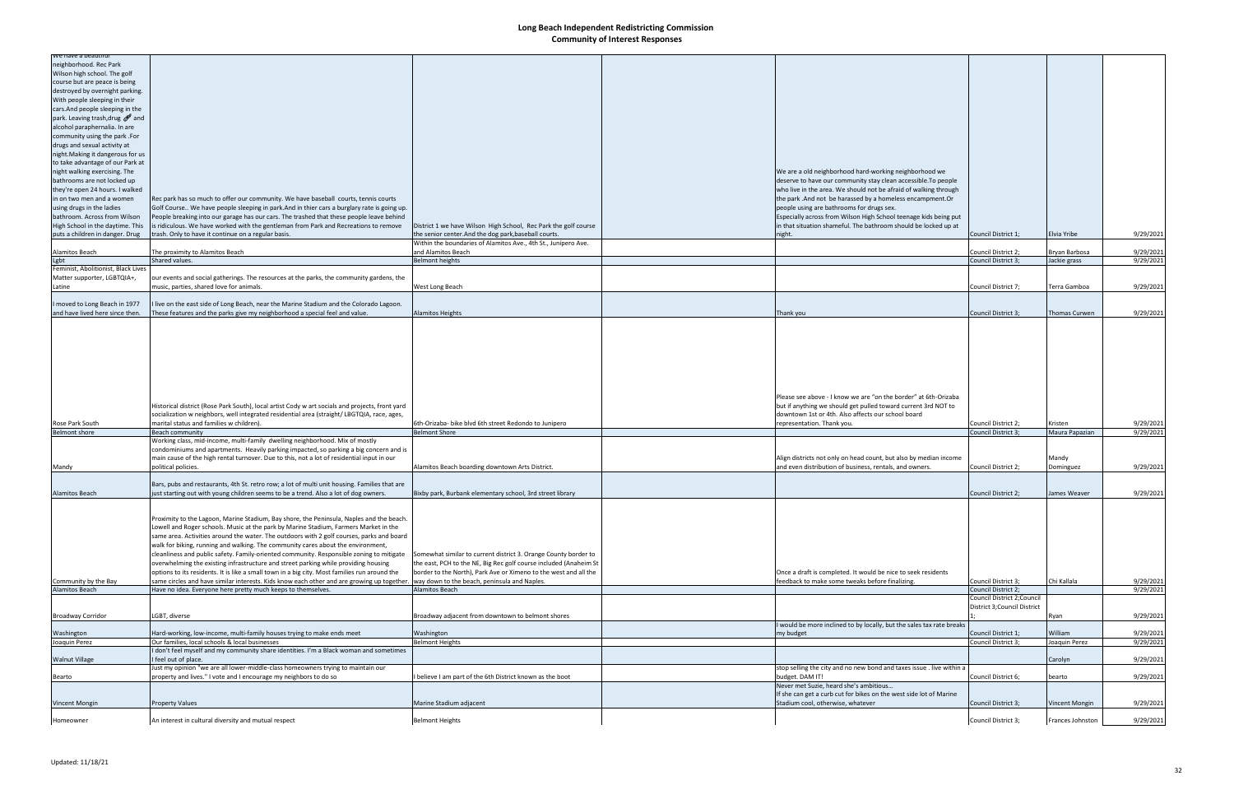| we nave a beauthu                   |                                                                                                 |                                                                   |                                                                       |                              |                |           |
|-------------------------------------|-------------------------------------------------------------------------------------------------|-------------------------------------------------------------------|-----------------------------------------------------------------------|------------------------------|----------------|-----------|
| neighborhood. Rec Park              |                                                                                                 |                                                                   |                                                                       |                              |                |           |
| Wilson high school. The golf        |                                                                                                 |                                                                   |                                                                       |                              |                |           |
| course but are peace is being       |                                                                                                 |                                                                   |                                                                       |                              |                |           |
| destroyed by overnight parking.     |                                                                                                 |                                                                   |                                                                       |                              |                |           |
| With people sleeping in their       |                                                                                                 |                                                                   |                                                                       |                              |                |           |
| cars. And people sleeping in the    |                                                                                                 |                                                                   |                                                                       |                              |                |           |
| park. Leaving trash, drug and       |                                                                                                 |                                                                   |                                                                       |                              |                |           |
|                                     |                                                                                                 |                                                                   |                                                                       |                              |                |           |
| alcohol paraphernalia. In are       |                                                                                                 |                                                                   |                                                                       |                              |                |           |
| community using the park .For       |                                                                                                 |                                                                   |                                                                       |                              |                |           |
| drugs and sexual activity at        |                                                                                                 |                                                                   |                                                                       |                              |                |           |
| night. Making it dangerous for us   |                                                                                                 |                                                                   |                                                                       |                              |                |           |
| to take advantage of our Park at    |                                                                                                 |                                                                   |                                                                       |                              |                |           |
| night walking exercising. The       |                                                                                                 |                                                                   | We are a old neighborhood hard-working neighborhood we                |                              |                |           |
| bathrooms are not locked up         |                                                                                                 |                                                                   | deserve to have our community stay clean accessible. To people        |                              |                |           |
| they're open 24 hours. I walked     |                                                                                                 |                                                                   | who live in the area. We should not be afraid of walking through      |                              |                |           |
|                                     |                                                                                                 |                                                                   |                                                                       |                              |                |           |
| in on two men and a women           | Rec park has so much to offer our community. We have baseball courts, tennis courts             |                                                                   | the park. And not be harassed by a homeless encampment. Or            |                              |                |           |
| using drugs in the ladies           | Golf Course We have people sleeping in park.And in thier cars a burglary rate is going up.      |                                                                   | people using are bathrooms for drugs sex.                             |                              |                |           |
| bathroom. Across from Wilson        | People breaking into our garage has our cars. The trashed that these people leave behind        |                                                                   | Especially across from Wilson High School teenage kids being put      |                              |                |           |
| High School in the daytime. This    | is ridiculous. We have worked with the gentleman from Park and Recreations to remove            | District 1 we have Wilson High School, Rec Park the golf course   | in that situation shameful. The bathroom should be locked up at       |                              |                |           |
| puts a children in danger. Drug     | trash. Only to have it continue on a regular basis.                                             | the senior center. And the dog park, baseball courts.             | night.                                                                | Council District 1;          | Elvia Yribe    | 9/29/2021 |
|                                     |                                                                                                 | Within the boundaries of Alamitos Ave., 4th St., Junípero Ave.    |                                                                       |                              |                |           |
| Alamitos Beach                      | The proximity to Alamitos Beach                                                                 | and Alamitos Beach                                                |                                                                       | Council District 2;          | Bryan Barbosa  | 9/29/2021 |
| Lgbt                                | Shared values.                                                                                  | <b>Belmont heights</b>                                            |                                                                       | Council District 3;          | Jackie grass   | 9/29/2021 |
| Feminist, Abolitionist, Black Lives |                                                                                                 |                                                                   |                                                                       |                              |                |           |
| Matter supporter, LGBTQIA+,         | our events and social gatherings. The resources at the parks, the community gardens, the        |                                                                   |                                                                       |                              |                |           |
|                                     |                                                                                                 |                                                                   |                                                                       |                              |                |           |
| Latine                              | music, parties, shared love for animals                                                         | West Long Beach                                                   |                                                                       | Council District 7;          | Terra Gamboa   | 9/29/2021 |
|                                     |                                                                                                 |                                                                   |                                                                       |                              |                |           |
| I moved to Long Beach in 1977       | live on the east side of Long Beach, near the Marine Stadium and the Colorado Lagoon.           |                                                                   |                                                                       |                              |                |           |
| and have lived here since then.     | These features and the parks give my neighborhood a special feel and value.                     | <b>Alamitos Heights</b>                                           | Thank you                                                             | Council District 3;          | Thomas Curwen  | 9/29/2021 |
|                                     |                                                                                                 |                                                                   |                                                                       |                              |                |           |
|                                     |                                                                                                 |                                                                   |                                                                       |                              |                |           |
|                                     |                                                                                                 |                                                                   |                                                                       |                              |                |           |
|                                     |                                                                                                 |                                                                   |                                                                       |                              |                |           |
|                                     |                                                                                                 |                                                                   |                                                                       |                              |                |           |
|                                     |                                                                                                 |                                                                   |                                                                       |                              |                |           |
|                                     |                                                                                                 |                                                                   |                                                                       |                              |                |           |
|                                     |                                                                                                 |                                                                   |                                                                       |                              |                |           |
|                                     |                                                                                                 |                                                                   |                                                                       |                              |                |           |
|                                     |                                                                                                 |                                                                   |                                                                       |                              |                |           |
|                                     |                                                                                                 |                                                                   | Please see above - I know we are "on the border" at 6th-Orizaba       |                              |                |           |
|                                     | Historical district (Rose Park South), local artist Cody w art socials and projects, front yard |                                                                   | but if anything we should get pulled toward current 3rd NOT to        |                              |                |           |
|                                     | socialization w neighbors, well integrated residential area (straight/LBGTQIA, race, ages,      |                                                                   | downtown 1st or 4th. Also affects our school board                    |                              |                |           |
| Rose Park South                     | marital status and families w children).                                                        | 6th-Orizaba- bike blvd 6th street Redondo to Junipero             | representation. Thank you.                                            | Council District 2;          | Kristen        | 9/29/2021 |
| <b>Belmont</b> shore                | <b>Beach community</b>                                                                          | <b>Belmont Shore</b>                                              |                                                                       | Council District 3;          | Maura Papazian | 9/29/2021 |
|                                     | Working class, mid-income, multi-family dwelling neighborhood. Mix of mostly                    |                                                                   |                                                                       |                              |                |           |
|                                     |                                                                                                 |                                                                   |                                                                       |                              |                |           |
|                                     | condominiums and apartments. Heavily parking impacted, so parking a big concern and is          |                                                                   |                                                                       |                              |                |           |
|                                     | main cause of the high rental turnover. Due to this, not a lot of residential input in our      |                                                                   | Align districts not only on head count, but also by median income     |                              | Mandy          |           |
| Mandy                               | political policies.                                                                             | Alamitos Beach boarding downtown Arts District.                   | and even distribution of business, rentals, and owners.               | Council District 2;          | Dominguez      | 9/29/2021 |
|                                     |                                                                                                 |                                                                   |                                                                       |                              |                |           |
|                                     | Bars, pubs and restaurants, 4th St. retro row; a lot of multi unit housing. Families that are   |                                                                   |                                                                       |                              |                |           |
| Alamitos Beach                      | just starting out with young children seems to be a trend. Also a lot of dog owners.            | Bixby park, Burbank elementary school, 3rd street library         |                                                                       | Council District 2;          | James Weaver   | 9/29/2021 |
|                                     |                                                                                                 |                                                                   |                                                                       |                              |                |           |
|                                     |                                                                                                 |                                                                   |                                                                       |                              |                |           |
|                                     |                                                                                                 |                                                                   |                                                                       |                              |                |           |
|                                     |                                                                                                 |                                                                   |                                                                       |                              |                |           |
|                                     | Proximity to the Lagoon, Marine Stadium, Bay shore, the Peninsula, Naples and the beach         |                                                                   |                                                                       |                              |                |           |
|                                     | Lowell and Roger schools. Music at the park by Marine Stadium, Farmers Market in the            |                                                                   |                                                                       |                              |                |           |
|                                     | same area. Activities around the water. The outdoors with 2 golf courses, parks and board       |                                                                   |                                                                       |                              |                |           |
|                                     | walk for biking, running and walking. The community cares about the environment,                |                                                                   |                                                                       |                              |                |           |
|                                     | cleanliness and public safety. Family-oriented community. Responsible zoning to mitigate        | Somewhat similar to current district 3. Orange County border to   |                                                                       |                              |                |           |
|                                     |                                                                                                 |                                                                   |                                                                       |                              |                |           |
|                                     | overwhelming the existing infrastructure and street parking while providing housing             | the east, PCH to the NE, Big Rec golf course included (Anaheim St |                                                                       |                              |                |           |
|                                     | options to its residents. It is like a small town in a big city. Most families run around the   | border to the North), Park Ave or Ximeno to the west and all the  | Once a draft is completed. It would be nice to seek residents         |                              |                |           |
| Community by the Bay                | same circles and have similar interests. Kids know each other and are growing up together.      | way down to the beach, peninsula and Naples.                      | feedback to make some tweaks before finalizing.                       | Council District 3;          | Chi Kallala    | 9/29/2021 |
| <b>Alamitos Beach</b>               | Have no idea. Everyone here pretty much keeps to themselves.                                    | Alamitos Beach                                                    |                                                                       | Council District 2;          |                | 9/29/2021 |
|                                     |                                                                                                 |                                                                   |                                                                       | Council District 2; Council  |                |           |
|                                     |                                                                                                 |                                                                   |                                                                       | District 3; Council District |                |           |
| <b>Broadway Corridor</b>            | LGBT, diverse                                                                                   | Broadway adjacent from downtown to belmont shores                 |                                                                       |                              | Ryan           | 9/29/2021 |
|                                     |                                                                                                 |                                                                   | would be more inclined to by locally, but the sales tax rate breaks   |                              |                |           |
| Washington                          | Hard-working, low-income, multi-family houses trying to make ends meet                          | Washington                                                        | my budget                                                             | Council District 1;          | William        | 9/29/2021 |
|                                     | Our families, local schools & local businesses                                                  |                                                                   |                                                                       |                              |                |           |
| Joaquin Perez                       |                                                                                                 | <b>Belmont Heights</b>                                            |                                                                       | Council District 3;          | Joaquin Perez  | 9/29/2021 |
|                                     | I don't feel myself and my community share identities. I'm a Black woman and sometimes          |                                                                   |                                                                       |                              |                |           |
| <b>Walnut Village</b>               | I feel out of place.                                                                            |                                                                   |                                                                       |                              | Carolyn        | 9/29/2021 |
|                                     | Just my opinion "we are all lower-middle-class homeowners trying to maintain our                |                                                                   | stop selling the city and no new bond and taxes issue . live within a |                              |                |           |
| Bearto                              | property and lives." I vote and I encourage my neighbors to do so                               | I believe I am part of the 6th District known as the boot         | budget. DAM IT!                                                       | Council District 6;          | bearto         | 9/29/2021 |
|                                     |                                                                                                 |                                                                   | Never met Suzie, heard she's ambitious                                |                              |                |           |
|                                     |                                                                                                 |                                                                   | If she can get a curb cut for bikes on the west side lot of Marine    |                              |                |           |
| Vincent Mongin                      | <b>Property Values</b>                                                                          | Marine Stadium adjacent                                           | Stadium cool, otherwise, whatever                                     | Council District 3;          | Vincent Mongin | 9/29/2021 |
|                                     |                                                                                                 |                                                                   |                                                                       |                              |                |           |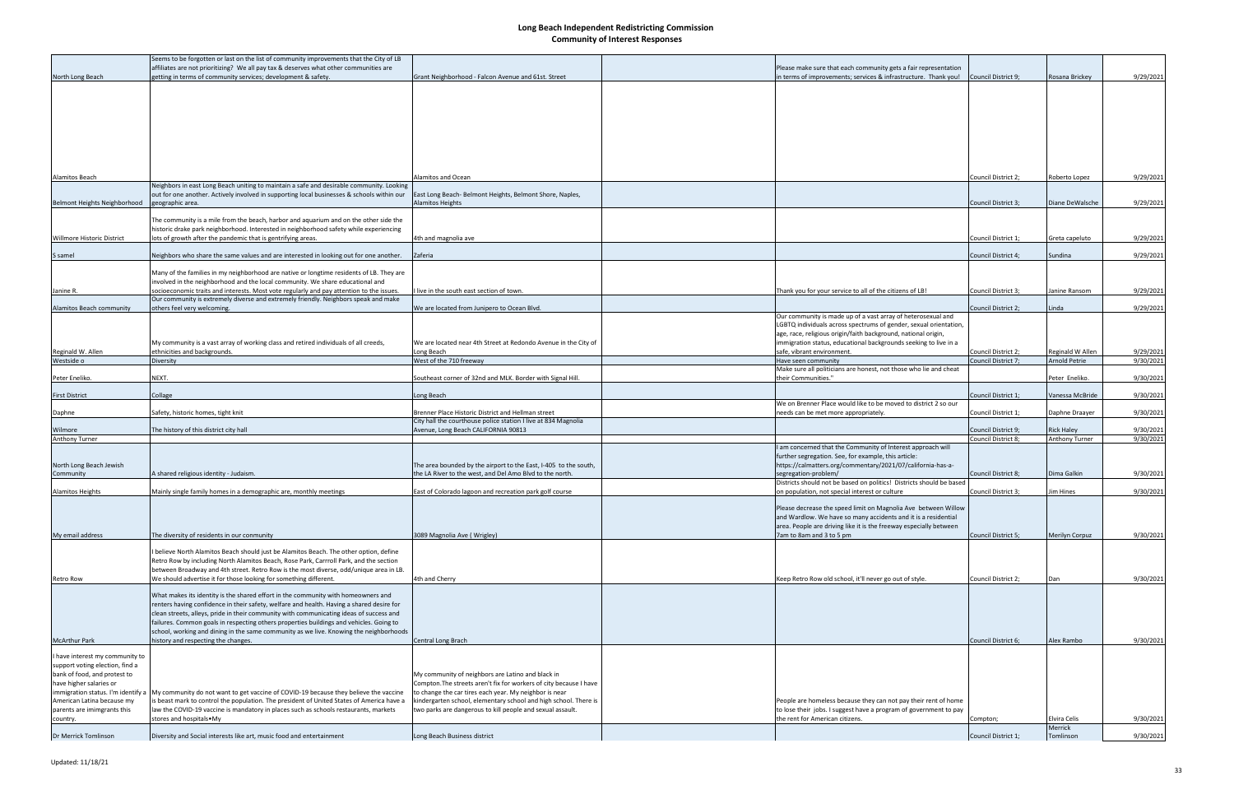|                                     | Seems to be forgotten or last on the list of community improvements that the City of LB                                 |                                                                    |                                                                      |                            |                      |           |
|-------------------------------------|-------------------------------------------------------------------------------------------------------------------------|--------------------------------------------------------------------|----------------------------------------------------------------------|----------------------------|----------------------|-----------|
|                                     | affiliates are not prioritizing? We all pay tax & deserves what other communities are                                   |                                                                    | Please make sure that each community gets a fair representation      |                            |                      |           |
| North Long Beach                    | getting in terms of community services; development & safety.                                                           | Grant Neighborhood - Falcon Avenue and 61st. Street                | in terms of improvements; services & infrastructure. Thank you!      | Council District 9;        | Rosana Brickey       | 9/29/2021 |
|                                     |                                                                                                                         |                                                                    |                                                                      |                            |                      |           |
|                                     |                                                                                                                         |                                                                    |                                                                      |                            |                      |           |
|                                     |                                                                                                                         |                                                                    |                                                                      |                            |                      |           |
|                                     |                                                                                                                         |                                                                    |                                                                      |                            |                      |           |
|                                     |                                                                                                                         |                                                                    |                                                                      |                            |                      |           |
|                                     |                                                                                                                         |                                                                    |                                                                      |                            |                      |           |
|                                     |                                                                                                                         |                                                                    |                                                                      |                            |                      |           |
|                                     |                                                                                                                         |                                                                    |                                                                      |                            |                      |           |
|                                     |                                                                                                                         |                                                                    |                                                                      |                            |                      |           |
|                                     |                                                                                                                         |                                                                    |                                                                      |                            |                      |           |
|                                     |                                                                                                                         |                                                                    |                                                                      |                            |                      |           |
| Alamitos Beach                      |                                                                                                                         | Alamitos and Ocean                                                 |                                                                      | <b>Council District 2:</b> | Roberto Lopez        | 9/29/2021 |
|                                     | Neighbors in east Long Beach uniting to maintain a safe and desirable community. Looking                                |                                                                    |                                                                      |                            |                      |           |
|                                     | out for one another. Actively involved in supporting local businesses & schools within our                              | East Long Beach-Belmont Heights, Belmont Shore, Naples,            |                                                                      |                            |                      |           |
| <b>Belmont Heights Neighborhood</b> | geographic area.                                                                                                        | <b>Alamitos Heights</b>                                            |                                                                      | Council District 3;        | Diane DeWalsche      | 9/29/2021 |
|                                     |                                                                                                                         |                                                                    |                                                                      |                            |                      |           |
|                                     | The community is a mile from the beach, harbor and aquarium and on the other side the                                   |                                                                    |                                                                      |                            |                      |           |
|                                     | historic drake park neighborhood. Interested in neighborhood safety while experiencing                                  |                                                                    |                                                                      |                            |                      |           |
|                                     |                                                                                                                         |                                                                    |                                                                      |                            |                      |           |
| Willmore Historic District          | lots of growth after the pandemic that is gentrifying areas.                                                            | 4th and magnolia ave                                               |                                                                      | Council District 1;        | Greta capeluto       | 9/29/2021 |
|                                     |                                                                                                                         |                                                                    |                                                                      |                            |                      |           |
| S samel                             | Neighbors who share the same values and are interested in looking out for one another.                                  | Zaferia                                                            |                                                                      | Council District 4;        | Sundina              | 9/29/2021 |
|                                     |                                                                                                                         |                                                                    |                                                                      |                            |                      |           |
|                                     | Many of the families in my neighborhood are native or longtime residents of LB. They are                                |                                                                    |                                                                      |                            |                      |           |
|                                     | involved in the neighborhood and the local community. We share educational and                                          |                                                                    |                                                                      |                            |                      |           |
| Janine R.                           | socioeconomic traits and interests. Most vote regularly and pay attention to the issues.                                | I live in the south east section of town.                          | Thank you for your service to all of the citizens of LB!             | Council District 3         | Janine Ransom        | 9/29/2021 |
|                                     | Our community is extremely diverse and extremely friendly. Neighbors speak and make                                     |                                                                    |                                                                      |                            |                      |           |
| Alamitos Beach community            | others feel very welcoming.                                                                                             | We are located from Junipero to Ocean Blvd.                        |                                                                      | Council District 2;        | Linda                | 9/29/2021 |
|                                     |                                                                                                                         |                                                                    | Our community is made up of a vast array of heterosexual and         |                            |                      |           |
|                                     |                                                                                                                         |                                                                    | LGBTQ individuals across spectrums of gender, sexual orientation,    |                            |                      |           |
|                                     |                                                                                                                         |                                                                    | age, race, religious origin/faith background, national origin,       |                            |                      |           |
|                                     |                                                                                                                         |                                                                    |                                                                      |                            |                      |           |
|                                     | My community is a vast array of working class and retired individuals of all creeds,                                    | We are located near 4th Street at Redondo Avenue in the City of    | immigration status, educational backgrounds seeking to live in a     |                            |                      |           |
| Reginald W. Allen                   | ethnicities and backgrounds.                                                                                            | Long Beach                                                         | safe, vibrant environment.                                           | Council District 2;        | Reginald W Allen     | 9/29/2021 |
| Westside o                          | Diversity                                                                                                               | West of the 710 freeway                                            | Have seen community                                                  | Council District 7;        | <b>Arnold Petrie</b> | 9/30/2021 |
|                                     |                                                                                                                         |                                                                    | Make sure all politicians are honest, not those who lie and cheat    |                            |                      |           |
| Peter Eneliko.                      | NEXT.                                                                                                                   | Southeast corner of 32nd and MLK. Border with Signal Hill.         | their Communities."                                                  |                            | Peter Eneliko.       | 9/30/2021 |
|                                     |                                                                                                                         |                                                                    |                                                                      |                            |                      |           |
| <b>First District</b>               | Collage                                                                                                                 | Long Beach                                                         |                                                                      | Council District 1;        | Vanessa McBride      | 9/30/2021 |
|                                     |                                                                                                                         |                                                                    | We on Brenner Place would like to be moved to district 2 so our      |                            |                      |           |
| Daphne                              | Safety, historic homes, tight knit                                                                                      | Irenner Place Historic District and Hellman street                 | needs can be met more appropriately.                                 | Council District 1;        | Daphne Draayer       | 9/30/2021 |
|                                     |                                                                                                                         | City hall the courthouse police station I live at 834 Magnolia     |                                                                      |                            |                      |           |
| Wilmore                             | The history of this district city hall                                                                                  | Avenue, Long Beach CALIFORNIA 90813                                |                                                                      | Council District 9;        | <b>Rick Haley</b>    | 9/30/2021 |
| Anthony Turner                      |                                                                                                                         |                                                                    |                                                                      | Council District 8;        | Anthony Turner       | 9/30/2021 |
|                                     |                                                                                                                         |                                                                    | am concerned that the Community of Interest approach will            |                            |                      |           |
|                                     |                                                                                                                         |                                                                    | further segregation. See, for example, this article:                 |                            |                      |           |
| North Long Beach Jewish             |                                                                                                                         | The area bounded by the airport to the East, I-405 to the south,   | https://calmatters.org/commentary/2021/07/california-has-a-          |                            |                      |           |
| Community                           | A shared religious identity - Judaism.                                                                                  | the LA River to the west, and Del Amo Blvd to the north.           | segregation-problem/                                                 | Council District 8;        | Dima Galkin          | 9/30/2021 |
|                                     |                                                                                                                         |                                                                    |                                                                      |                            |                      |           |
|                                     |                                                                                                                         |                                                                    | Districts should not be based on politics! Districts should be based |                            |                      |           |
| <b>Alamitos Heights</b>             | Mainly single family homes in a demographic are, monthly meetings                                                       | East of Colorado lagoon and recreation park golf course            | on population, not special interest or culture                       | Council District 3;        | im Hines             | 9/30/2021 |
|                                     |                                                                                                                         |                                                                    |                                                                      |                            |                      |           |
|                                     |                                                                                                                         |                                                                    | Please decrease the speed limit on Magnolia Ave between Willow       |                            |                      |           |
|                                     |                                                                                                                         |                                                                    | and Wardlow. We have so many accidents and it is a residential       |                            |                      |           |
|                                     |                                                                                                                         |                                                                    | area. People are driving like it is the freeway especially between   |                            |                      |           |
| My email address                    | The diversity of residents in our conmunity                                                                             | 3089 Magnolia Ave (Wrigley)                                        | 7am to 8am and 3 to 5 pm                                             | Council District 5;        | Merilyn Corpuz       | 9/30/2021 |
|                                     |                                                                                                                         |                                                                    |                                                                      |                            |                      |           |
|                                     | I believe North Alamitos Beach should just be Alamitos Beach. The other option, define                                  |                                                                    |                                                                      |                            |                      |           |
|                                     | Retro Row by including North Alamitos Beach, Rose Park, Carrroll Park, and the section                                  |                                                                    |                                                                      |                            |                      |           |
|                                     | between Broadway and 4th street. Retro Row is the most diverse, odd/unique area in LB.                                  |                                                                    |                                                                      |                            |                      |           |
| Retro Row                           | We should advertise it for those looking for something different.                                                       | 4th and Cherry                                                     | Keep Retro Row old school, it'll never go out of style.              | Council District 2;        | Dan                  | 9/30/2021 |
|                                     |                                                                                                                         |                                                                    |                                                                      |                            |                      |           |
|                                     | What makes its identity is the shared effort in the community with homeowners and                                       |                                                                    |                                                                      |                            |                      |           |
|                                     |                                                                                                                         |                                                                    |                                                                      |                            |                      |           |
|                                     | renters having confidence in their safety, welfare and health. Having a shared desire for                               |                                                                    |                                                                      |                            |                      |           |
|                                     | clean streets, alleys, pride in their community with communicating ideas of success and                                 |                                                                    |                                                                      |                            |                      |           |
|                                     | failures. Common goals in respecting others properties buildings and vehicles. Going to                                 |                                                                    |                                                                      |                            |                      |           |
|                                     | school, working and dining in the same community as we live. Knowing the neighborhoods                                  |                                                                    |                                                                      |                            |                      |           |
| <b>McArthur Park</b>                | history and respecting the changes.                                                                                     | Central Long Brach                                                 |                                                                      | Council District 6;        | Alex Rambo           | 9/30/2021 |
|                                     |                                                                                                                         |                                                                    |                                                                      |                            |                      |           |
| have interest my community to       |                                                                                                                         |                                                                    |                                                                      |                            |                      |           |
| support voting election, find a     |                                                                                                                         |                                                                    |                                                                      |                            |                      |           |
| bank of food, and protest to        |                                                                                                                         | My community of neighbors are Latino and black in                  |                                                                      |                            |                      |           |
| have higher salaries or             |                                                                                                                         | Compton. The streets aren't fix for workers of city because I have |                                                                      |                            |                      |           |
|                                     | immigration status. I'm identify a My community do not want to get vaccine of COVID-19 because they believe the vaccine | to change the car tires each year. My neighbor is near             |                                                                      |                            |                      |           |
| American Latina because my          | is beast mark to control the population. The president of United States of America have a                               | kindergarten school, elementary school and high school. There is   | People are homeless because they can not pay their rent of home      |                            |                      |           |
|                                     |                                                                                                                         |                                                                    |                                                                      |                            |                      |           |
| parents are imimgrants this         | law the COVID-19 vaccine is mandatory in places such as schools restaurants, markets                                    | two parks are dangerous to kill people and sexual assault.         | to lose their jobs. I suggest have a program of government to pay    |                            |                      |           |
| country.                            | stores and hospitals • My                                                                                               |                                                                    | the rent for American citizens.                                      | Compton;                   | Elvira Celis         | 9/30/2021 |
|                                     |                                                                                                                         |                                                                    |                                                                      |                            | Merrick              |           |
| Dr Merrick Tomlinson                | Diversity and Social interests like art, music food and entertainment                                                   | Long Beach Business district                                       |                                                                      | Council District 1;        | Tomlinson            | 9/30/2021 |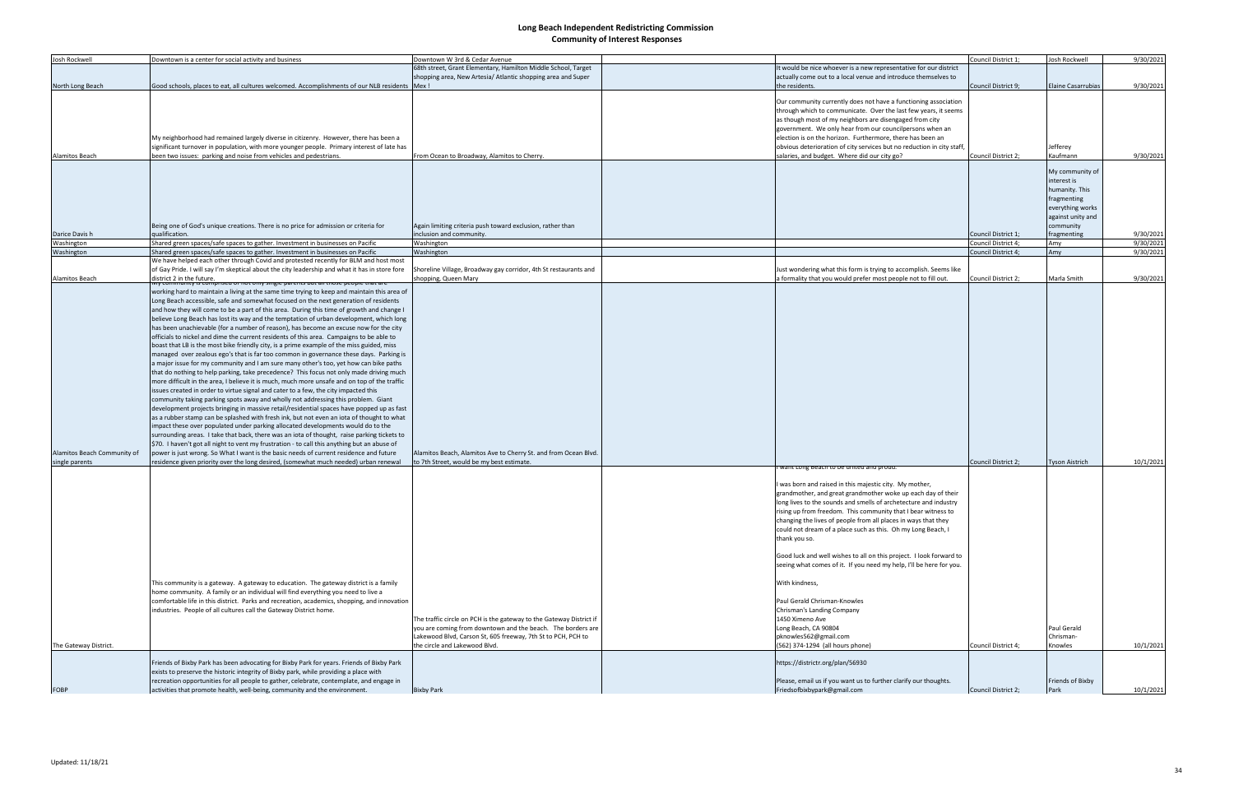| Josh Rockwell                                 | Downtown is a center for social activity and business                                                                                                                                                                                                                                                                                                                                                                                                                                                                                                                                                                                                                                                                                                                                                                                                                                                                                                                                                                                                                                                                                                                                                                                                                                                                                                                                                                                                                                                                                                                                                                                                                                                                                                                                                                                                                                  | Downtown W 3rd & Cedar Avenue                                                                                                                                                                                                       |                                                                                                                                                                                                                                                                                                                                                                                                                                                                                                                                                                                                                                                                                                                                                     | Council District 1:        | Josh Rockwell                                                                                                                        | 9/30/2021 |
|-----------------------------------------------|----------------------------------------------------------------------------------------------------------------------------------------------------------------------------------------------------------------------------------------------------------------------------------------------------------------------------------------------------------------------------------------------------------------------------------------------------------------------------------------------------------------------------------------------------------------------------------------------------------------------------------------------------------------------------------------------------------------------------------------------------------------------------------------------------------------------------------------------------------------------------------------------------------------------------------------------------------------------------------------------------------------------------------------------------------------------------------------------------------------------------------------------------------------------------------------------------------------------------------------------------------------------------------------------------------------------------------------------------------------------------------------------------------------------------------------------------------------------------------------------------------------------------------------------------------------------------------------------------------------------------------------------------------------------------------------------------------------------------------------------------------------------------------------------------------------------------------------------------------------------------------------|-------------------------------------------------------------------------------------------------------------------------------------------------------------------------------------------------------------------------------------|-----------------------------------------------------------------------------------------------------------------------------------------------------------------------------------------------------------------------------------------------------------------------------------------------------------------------------------------------------------------------------------------------------------------------------------------------------------------------------------------------------------------------------------------------------------------------------------------------------------------------------------------------------------------------------------------------------------------------------------------------------|----------------------------|--------------------------------------------------------------------------------------------------------------------------------------|-----------|
|                                               |                                                                                                                                                                                                                                                                                                                                                                                                                                                                                                                                                                                                                                                                                                                                                                                                                                                                                                                                                                                                                                                                                                                                                                                                                                                                                                                                                                                                                                                                                                                                                                                                                                                                                                                                                                                                                                                                                        | 68th street, Grant Elementary, Hamilton Middle School, Target                                                                                                                                                                       | It would be nice whoever is a new representative for our district                                                                                                                                                                                                                                                                                                                                                                                                                                                                                                                                                                                                                                                                                   |                            |                                                                                                                                      |           |
|                                               |                                                                                                                                                                                                                                                                                                                                                                                                                                                                                                                                                                                                                                                                                                                                                                                                                                                                                                                                                                                                                                                                                                                                                                                                                                                                                                                                                                                                                                                                                                                                                                                                                                                                                                                                                                                                                                                                                        | shopping area, New Artesia/ Atlantic shopping area and Super                                                                                                                                                                        | actually come out to a local venue and introduce themselves to                                                                                                                                                                                                                                                                                                                                                                                                                                                                                                                                                                                                                                                                                      |                            |                                                                                                                                      |           |
| North Long Beach                              | Good schools, places to eat, all cultures welcomed. Accomplishments of our NLB residents   Mex !                                                                                                                                                                                                                                                                                                                                                                                                                                                                                                                                                                                                                                                                                                                                                                                                                                                                                                                                                                                                                                                                                                                                                                                                                                                                                                                                                                                                                                                                                                                                                                                                                                                                                                                                                                                       |                                                                                                                                                                                                                                     | the residents.                                                                                                                                                                                                                                                                                                                                                                                                                                                                                                                                                                                                                                                                                                                                      | Council District 9:        | <b>Elaine Casarrubias</b>                                                                                                            | 9/30/2021 |
| <b>Alamitos Beach</b>                         | My neighborhood had remained largely diverse in citizenry. However, there has been a<br>significant turnover in population, with more younger people. Primary interest of late has<br>been two issues: parking and noise from vehicles and pedestrians.                                                                                                                                                                                                                                                                                                                                                                                                                                                                                                                                                                                                                                                                                                                                                                                                                                                                                                                                                                                                                                                                                                                                                                                                                                                                                                                                                                                                                                                                                                                                                                                                                                | From Ocean to Broadway, Alamitos to Cherry.                                                                                                                                                                                         | Our community currently does not have a functioning association<br>through which to communicate. Over the last few years, it seems<br>as though most of my neighbors are disengaged from city<br>government. We only hear from our councilpersons when an<br>election is on the horizon. Furthermore, there has been an<br>obvious deterioration of city services but no reduction in city staff,<br>salaries, and budget. Where did our city go?                                                                                                                                                                                                                                                                                                   | Council District 2;        | Jefferey<br>Kaufmann                                                                                                                 | 9/30/2021 |
| Darice Davis h                                | Being one of God's unique creations. There is no price for admission or criteria for<br>qualification.                                                                                                                                                                                                                                                                                                                                                                                                                                                                                                                                                                                                                                                                                                                                                                                                                                                                                                                                                                                                                                                                                                                                                                                                                                                                                                                                                                                                                                                                                                                                                                                                                                                                                                                                                                                 | Again limiting criteria push toward exclusion, rather than<br>inclusion and community.                                                                                                                                              |                                                                                                                                                                                                                                                                                                                                                                                                                                                                                                                                                                                                                                                                                                                                                     | <b>Council District 1:</b> | My community of<br>interest is<br>humanity. This<br>fragmenting<br>everything works<br>against unity and<br>community<br>fragmenting | 9/30/2021 |
| Washington                                    | Shared green spaces/safe spaces to gather. Investment in businesses on Pacific                                                                                                                                                                                                                                                                                                                                                                                                                                                                                                                                                                                                                                                                                                                                                                                                                                                                                                                                                                                                                                                                                                                                                                                                                                                                                                                                                                                                                                                                                                                                                                                                                                                                                                                                                                                                         | Washington                                                                                                                                                                                                                          |                                                                                                                                                                                                                                                                                                                                                                                                                                                                                                                                                                                                                                                                                                                                                     | Council District 4;        | Amy                                                                                                                                  | 9/30/2021 |
| Washington                                    | Shared green spaces/safe spaces to gather. Investment in businesses on Pacific                                                                                                                                                                                                                                                                                                                                                                                                                                                                                                                                                                                                                                                                                                                                                                                                                                                                                                                                                                                                                                                                                                                                                                                                                                                                                                                                                                                                                                                                                                                                                                                                                                                                                                                                                                                                         | Washington                                                                                                                                                                                                                          |                                                                                                                                                                                                                                                                                                                                                                                                                                                                                                                                                                                                                                                                                                                                                     | Council District 4;        | Amy                                                                                                                                  | 9/30/2021 |
| <b>Alamitos Beach</b>                         | We have helped each other through Covid and protested recently for BLM and host most<br>of Gay Pride. I will say I'm skeptical about the city leadership and what it has in store fore<br>district 2 in the future.<br>iviy community is comprised of not only single parents but all those people that are                                                                                                                                                                                                                                                                                                                                                                                                                                                                                                                                                                                                                                                                                                                                                                                                                                                                                                                                                                                                                                                                                                                                                                                                                                                                                                                                                                                                                                                                                                                                                                            | Shoreline Village, Broadway gay corridor, 4th St restaurants and<br>shopping, Queen Mary                                                                                                                                            | Just wondering what this form is trying to accomplish. Seems like<br>a formality that you would prefer most people not to fill out.                                                                                                                                                                                                                                                                                                                                                                                                                                                                                                                                                                                                                 | Council District 2;        | Marla Smith                                                                                                                          | 9/30/2021 |
| Alamitos Beach Community of<br>single parents | working hard to maintain a living at the same time trying to keep and maintain this area of<br>Long Beach accessible, safe and somewhat focused on the next generation of residents<br>and how they will come to be a part of this area. During this time of growth and change I<br>believe Long Beach has lost its way and the temptation of urban development, which long<br>has been unachievable (for a number of reason), has become an excuse now for the city<br>officials to nickel and dime the current residents of this area. Campaigns to be able to<br>boast that LB is the most bike friendly city, is a prime example of the miss guided, miss<br>managed over zealous ego's that is far too common in governance these days. Parking is<br>a major issue for my community and I am sure many other's too, yet how can bike paths<br>that do nothing to help parking, take precedence? This focus not only made driving much<br>more difficult in the area, I believe it is much, much more unsafe and on top of the traffic<br>issues created in order to virtue signal and cater to a few, the city impacted this<br>community taking parking spots away and wholly not addressing this problem. Giant<br>development projects bringing in massive retail/residential spaces have popped up as fast<br>as a rubber stamp can be splashed with fresh ink, but not even an iota of thought to what<br>impact these over populated under parking allocated developments would do to the<br>surrounding areas. I take that back, there was an iota of thought, raise parking tickets to<br>\$70. I haven't got all night to vent my frustration - to call this anything but an abuse of<br>power is just wrong. So What I want is the basic needs of current residence and future<br>residence given priority over the long desired, (somewhat much needed) urban renewal | Alamitos Beach, Alamitos Ave to Cherry St. and from Ocean Blvd.<br>to 7th Street, would be my best estimate.                                                                                                                        | want cong beach to be united and proud                                                                                                                                                                                                                                                                                                                                                                                                                                                                                                                                                                                                                                                                                                              | Council District 2;        | <b>Tyson Aistrich</b>                                                                                                                | 10/1/2021 |
| The Gateway District.                         | This community is a gateway. A gateway to education. The gateway district is a family<br>home community. A family or an individual will find everything you need to live a<br>comfortable life in this district. Parks and recreation, academics, shopping, and innovation<br>industries. People of all cultures call the Gateway District home.                                                                                                                                                                                                                                                                                                                                                                                                                                                                                                                                                                                                                                                                                                                                                                                                                                                                                                                                                                                                                                                                                                                                                                                                                                                                                                                                                                                                                                                                                                                                       | The traffic circle on PCH is the gateway to the Gateway District if<br>you are coming from downtown and the beach. The borders are<br>Lakewood Blvd, Carson St, 605 freeway, 7th St to PCH, PCH to<br>the circle and Lakewood Blvd. | was born and raised in this majestic city. My mother,<br>grandmother, and great grandmother woke up each day of their<br>long lives to the sounds and smells of archetecture and industry<br>rising up from freedom. This community that I bear witness to<br>changing the lives of people from all places in ways that they<br>could not dream of a place such as this. Oh my Long Beach, I<br>thank you so.<br>Good luck and well wishes to all on this project. I look forward to<br>seeing what comes of it. If you need my help, I'll be here for you.<br>With kindness,<br>Paul Gerald Chrisman-Knowles<br>Chrisman's Landing Company<br>1450 Ximeno Ave<br>Long Beach, CA 90804<br>pknowles562@gmail.com<br>(562) 374-1294 (all hours phone) | Council District 4;        | Paul Gerald<br>Chrisman-<br>Knowles                                                                                                  | 10/1/2021 |
|                                               | Friends of Bixby Park has been advocating for Bixby Park for years. Friends of Bixby Park<br>exists to preserve the historic integrity of Bixby park, while providing a place with<br>recreation opportunities for all people to gather, celebrate, contemplate, and engage in                                                                                                                                                                                                                                                                                                                                                                                                                                                                                                                                                                                                                                                                                                                                                                                                                                                                                                                                                                                                                                                                                                                                                                                                                                                                                                                                                                                                                                                                                                                                                                                                         |                                                                                                                                                                                                                                     | https://districtr.org/plan/56930<br>Please, email us if you want us to further clarify our thoughts.                                                                                                                                                                                                                                                                                                                                                                                                                                                                                                                                                                                                                                                |                            | Friends of Bixby                                                                                                                     |           |
| FOBP                                          | activities that promote health, well-being, community and the environment.                                                                                                                                                                                                                                                                                                                                                                                                                                                                                                                                                                                                                                                                                                                                                                                                                                                                                                                                                                                                                                                                                                                                                                                                                                                                                                                                                                                                                                                                                                                                                                                                                                                                                                                                                                                                             | <b>Bixby Park</b>                                                                                                                                                                                                                   | Friedsofbixbypark@gmail.com                                                                                                                                                                                                                                                                                                                                                                                                                                                                                                                                                                                                                                                                                                                         | Council District 2;        | Park                                                                                                                                 |           |
|                                               |                                                                                                                                                                                                                                                                                                                                                                                                                                                                                                                                                                                                                                                                                                                                                                                                                                                                                                                                                                                                                                                                                                                                                                                                                                                                                                                                                                                                                                                                                                                                                                                                                                                                                                                                                                                                                                                                                        |                                                                                                                                                                                                                                     |                                                                                                                                                                                                                                                                                                                                                                                                                                                                                                                                                                                                                                                                                                                                                     |                            |                                                                                                                                      | 10/1/2021 |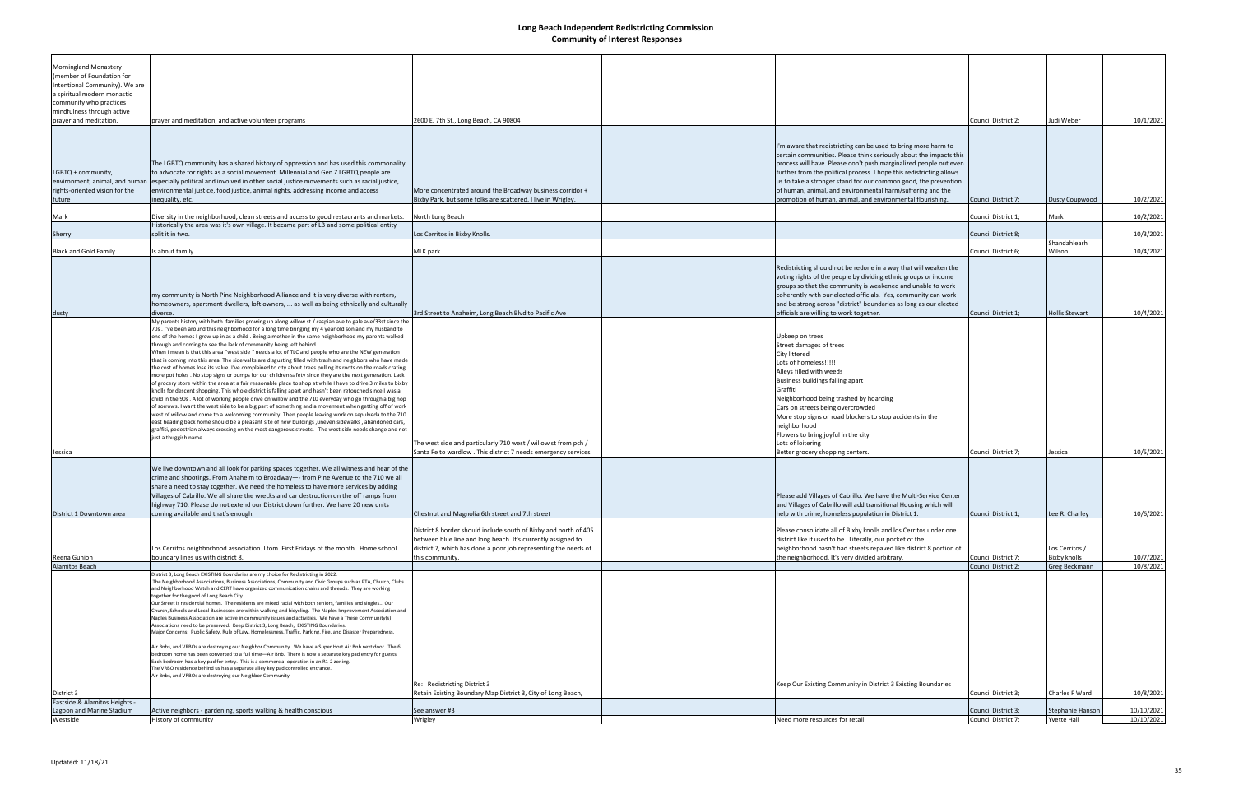| <b>Morningland Monastery</b><br>(member of Foundation for<br>Intentional Community). We are<br>a spiritual modern monastic<br>community who practices<br>mindfulness through active<br>prayer and meditation. | prayer and meditation, and active volunteer programs                                                                                                                                                                                                                                                                                                                                                                                                                                                                                                                                                                                                                                                                                                                                                                                                                                                                                                                                                                                                                                                                                                                                                                                                                                                                                                                                                                                                                                                                                                                                                                                                 | 2600 E. 7th St., Long Beach, CA 90804                                                                                                                                                               |                                                                                                                                                                                                                                                                                                                                                                                                                                                                                 | Council District 2;                        | Judi Weber                             | 10/1/2021                |
|---------------------------------------------------------------------------------------------------------------------------------------------------------------------------------------------------------------|------------------------------------------------------------------------------------------------------------------------------------------------------------------------------------------------------------------------------------------------------------------------------------------------------------------------------------------------------------------------------------------------------------------------------------------------------------------------------------------------------------------------------------------------------------------------------------------------------------------------------------------------------------------------------------------------------------------------------------------------------------------------------------------------------------------------------------------------------------------------------------------------------------------------------------------------------------------------------------------------------------------------------------------------------------------------------------------------------------------------------------------------------------------------------------------------------------------------------------------------------------------------------------------------------------------------------------------------------------------------------------------------------------------------------------------------------------------------------------------------------------------------------------------------------------------------------------------------------------------------------------------------------|-----------------------------------------------------------------------------------------------------------------------------------------------------------------------------------------------------|---------------------------------------------------------------------------------------------------------------------------------------------------------------------------------------------------------------------------------------------------------------------------------------------------------------------------------------------------------------------------------------------------------------------------------------------------------------------------------|--------------------------------------------|----------------------------------------|--------------------------|
| LGBTQ + community,<br>environment, animal, and humar<br>rights-oriented vision for the<br>future                                                                                                              | The LGBTQ community has a shared history of oppression and has used this commonality<br>to advocate for rights as a social movement. Millennial and Gen Z LGBTQ people are<br>especially political and involved in other social justice movements such as racial justice,<br>environmental justice, food justice, animal rights, addressing income and access<br>inequality, etc.                                                                                                                                                                                                                                                                                                                                                                                                                                                                                                                                                                                                                                                                                                                                                                                                                                                                                                                                                                                                                                                                                                                                                                                                                                                                    | More concentrated around the Broadway business corridor +<br>Bixby Park, but some folks are scattered. I live in Wrigley.                                                                           | 'm aware that redistricting can be used to bring more harm to<br>certain communities. Please think seriously about the impacts this<br>process will have. Please don't push marginalized people out even<br>further from the political process. I hope this redistricting allows<br>us to take a stronger stand for our common good, the prevention<br>of human, animal, and environmental harm/suffering and the<br>promotion of human, animal, and environmental flourishing. | Council District 7;                        | <b>Dusty Coupwood</b>                  | 10/2/2021                |
| Mark                                                                                                                                                                                                          | Diversity in the neighborhood, clean streets and access to good restaurants and markets.<br>Historically the area was it's own village. It became part of LB and some political entity                                                                                                                                                                                                                                                                                                                                                                                                                                                                                                                                                                                                                                                                                                                                                                                                                                                                                                                                                                                                                                                                                                                                                                                                                                                                                                                                                                                                                                                               | North Long Beach                                                                                                                                                                                    |                                                                                                                                                                                                                                                                                                                                                                                                                                                                                 | Council District 1;                        | Mark                                   | 10/2/2021                |
| Sherry                                                                                                                                                                                                        | split it in two.                                                                                                                                                                                                                                                                                                                                                                                                                                                                                                                                                                                                                                                                                                                                                                                                                                                                                                                                                                                                                                                                                                                                                                                                                                                                                                                                                                                                                                                                                                                                                                                                                                     | Los Cerritos in Bixby Knolls.                                                                                                                                                                       |                                                                                                                                                                                                                                                                                                                                                                                                                                                                                 | Council District 8;                        |                                        | 10/3/2021                |
| <b>Black and Gold Family</b>                                                                                                                                                                                  | Is about family                                                                                                                                                                                                                                                                                                                                                                                                                                                                                                                                                                                                                                                                                                                                                                                                                                                                                                                                                                                                                                                                                                                                                                                                                                                                                                                                                                                                                                                                                                                                                                                                                                      | MLK park                                                                                                                                                                                            |                                                                                                                                                                                                                                                                                                                                                                                                                                                                                 | Council District 6:                        | Shandahlearh<br>Wilson                 | 10/4/2021                |
|                                                                                                                                                                                                               | my community is North Pine Neighborhood Alliance and it is very diverse with renters,<br>homeowners, apartment dwellers, loft owners,  as well as being ethnically and culturally                                                                                                                                                                                                                                                                                                                                                                                                                                                                                                                                                                                                                                                                                                                                                                                                                                                                                                                                                                                                                                                                                                                                                                                                                                                                                                                                                                                                                                                                    |                                                                                                                                                                                                     | Redistricting should not be redone in a way that will weaken the<br>voting rights of the people by dividing ethnic groups or income<br>groups so that the community is weakened and unable to work<br>coherently with our elected officials. Yes, community can work<br>and be strong across "district" boundaries as long as our elected                                                                                                                                       |                                            |                                        |                          |
| dusty                                                                                                                                                                                                         | diverse.                                                                                                                                                                                                                                                                                                                                                                                                                                                                                                                                                                                                                                                                                                                                                                                                                                                                                                                                                                                                                                                                                                                                                                                                                                                                                                                                                                                                                                                                                                                                                                                                                                             | 3rd Street to Anaheim, Long Beach Blvd to Pacific Ave                                                                                                                                               | officials are willing to work together.                                                                                                                                                                                                                                                                                                                                                                                                                                         | Council District 1:                        | <b>Hollis Stewart</b>                  | 10/4/2021                |
| Jessica                                                                                                                                                                                                       | My parents history with both families growing up along willow st./ caspian ave to gale ave/33st since the<br>70s. I've been around this neighborhood for a long time bringing my 4 year old son and my husband to<br>one of the homes I grew up in as a child . Being a mother in the same neighborhood my parents walked<br>through and coming to see the lack of community being left behind<br>When I mean is that this area "west side " needs a lot of TLC and people who are the NEW generation<br>that is coming into this area. The sidewalks are disgusting filled with trash and neighbors who have made<br>the cost of homes lose its value. I've complained to city about trees pulling its roots on the roads crating<br>more pot holes. No stop signs or bumps for our children safety since they are the next generation. Lack<br>of grocery store within the area at a fair reasonable place to shop at while I have to drive 3 miles to bixby<br>knolls for descent shopping. This whole district is falling apart and hasn't been retouched since I was a<br>child in the 90s . A lot of working people drive on willow and the 710 everyday who go through a big hop<br>of sorrows. I want the west side to be a big part of something and a movement when getting off of work<br>west of willow and come to a welcoming community. Then people leaving work on sepulveda to the 710<br>east heading back home should be a pleasant site of new buildings , uneven sidewalks , abandoned cars,<br>graffiti, pedestrian always crossing on the most dangerous streets. The west side needs change and not<br>just a thuggish name. | The west side and particularly 710 west / willow st from pch /<br>Santa Fe to wardlow. This district 7 needs emergency services                                                                     | Upkeep on trees<br>Street damages of trees<br>City littered<br>Lots of homeless!!!!!<br>Alleys filled with weeds<br>Business buildings falling apart<br>Graffiti<br>Neighborhood being trashed by hoarding<br>Cars on streets being overcrowded<br>More stop signs or road blockers to stop accidents in the<br>neighborhood<br>Flowers to bring joyful in the city<br>Lots of loitering<br>Better grocery shopping centers.                                                    | Council District 7;                        | Jessica                                | 10/5/2021                |
|                                                                                                                                                                                                               |                                                                                                                                                                                                                                                                                                                                                                                                                                                                                                                                                                                                                                                                                                                                                                                                                                                                                                                                                                                                                                                                                                                                                                                                                                                                                                                                                                                                                                                                                                                                                                                                                                                      |                                                                                                                                                                                                     |                                                                                                                                                                                                                                                                                                                                                                                                                                                                                 |                                            |                                        |                          |
| District 1 Downtown area                                                                                                                                                                                      | We live downtown and all look for parking spaces together. We all witness and hear of the<br>crime and shootings. From Anaheim to Broadway-- from Pine Avenue to the 710 we all<br>share a need to stay together. We need the homeless to have more services by adding<br>Villages of Cabrillo. We all share the wrecks and car destruction on the off ramps from<br>highway 710. Please do not extend our District down further. We have 20 new units<br>coming available and that's enough.                                                                                                                                                                                                                                                                                                                                                                                                                                                                                                                                                                                                                                                                                                                                                                                                                                                                                                                                                                                                                                                                                                                                                        | Chestnut and Magnolia 6th street and 7th street                                                                                                                                                     | Please add Villages of Cabrillo. We have the Multi-Service Center<br>and Villages of Cabrillo will add transitional Housing which will<br>help with crime, homeless population in District 1.                                                                                                                                                                                                                                                                                   | Council District 1;                        | Lee R. Charley                         | 10/6/2021                |
|                                                                                                                                                                                                               | Los Cerritos neighborhood association. Lfom. First Fridays of the month. Home school                                                                                                                                                                                                                                                                                                                                                                                                                                                                                                                                                                                                                                                                                                                                                                                                                                                                                                                                                                                                                                                                                                                                                                                                                                                                                                                                                                                                                                                                                                                                                                 | District 8 border should include south of Bixby and north of 405<br>between blue line and long beach. It's currently assigned to<br>district 7, which has done a poor job representing the needs of | Please consolidate all of Bixby knolls and los Cerritos under one<br>district like it used to be. Literally, our pocket of the<br>neighborhood hasn't had streets repaved like district 8 portion of                                                                                                                                                                                                                                                                            |                                            | Los Cerritos /                         |                          |
| Reena Gunion                                                                                                                                                                                                  | boundary lines us with district 8.                                                                                                                                                                                                                                                                                                                                                                                                                                                                                                                                                                                                                                                                                                                                                                                                                                                                                                                                                                                                                                                                                                                                                                                                                                                                                                                                                                                                                                                                                                                                                                                                                   | this community.                                                                                                                                                                                     | the neighborhood. It's very divided arbitrary.                                                                                                                                                                                                                                                                                                                                                                                                                                  | Council District 7;                        | <b>Bixby knolls</b>                    | 10/7/2021                |
| Alamitos Beach                                                                                                                                                                                                | District 3, Long Beach EXISTING Boundaries are my choice for Redistricting in 2022.<br>The Neighborhood Associations, Business Associations, Community and Civic Groups such as PTA, Church, Clubs<br>and Neighborhood Watch and CERT have organized communication chains and threads. They are working<br>together for the good of Long Beach City.<br>Our Street is residential homes. The residents are mixed racial with both seniors, families and singles Our<br>Church, Schools and Local Businesses are within walking and bicycling. The Naples Improvement Association and<br>Naples Business Association are active in community issues and activities. We have a These Community(s)<br>Associations need to be preserved. Keep District 3, Long Beach, EXISTING Boundaries.<br>Major Concerns: Public Safety, Rule of Law, Homelessness, Traffic, Parking, Fire, and Disaster Preparedness.<br>Air Bnbs, and VRBOs are destroying our Neighbor Community. We have a Super Host Air Bnb next door. The 6<br>bedroom home has been converted to a full time-Air Bnb. There is now a separate key pad entry for guests.                                                                                                                                                                                                                                                                                                                                                                                                                                                                                                                     |                                                                                                                                                                                                     |                                                                                                                                                                                                                                                                                                                                                                                                                                                                                 | Council District 2;                        | Greg Beckmann                          | 10/8/2021                |
|                                                                                                                                                                                                               | Each bedroom has a key pad for entry. This is a commercial operation in an R1-2 zoning.<br>The VRBO residence behind us has a separate alley key pad controlled entrance.<br>Air Bnbs, and VRBOs are destroying our Neighbor Community.                                                                                                                                                                                                                                                                                                                                                                                                                                                                                                                                                                                                                                                                                                                                                                                                                                                                                                                                                                                                                                                                                                                                                                                                                                                                                                                                                                                                              |                                                                                                                                                                                                     |                                                                                                                                                                                                                                                                                                                                                                                                                                                                                 |                                            |                                        |                          |
| District 3                                                                                                                                                                                                    |                                                                                                                                                                                                                                                                                                                                                                                                                                                                                                                                                                                                                                                                                                                                                                                                                                                                                                                                                                                                                                                                                                                                                                                                                                                                                                                                                                                                                                                                                                                                                                                                                                                      | Re: Redistricting District 3<br>Retain Existing Boundary Map District 3, City of Long Beach,                                                                                                        | Keep Our Existing Community in District 3 Existing Boundaries                                                                                                                                                                                                                                                                                                                                                                                                                   | Council District 3;                        | Charles F Ward                         | 10/8/2021                |
| Eastside & Alamitos Heights -                                                                                                                                                                                 |                                                                                                                                                                                                                                                                                                                                                                                                                                                                                                                                                                                                                                                                                                                                                                                                                                                                                                                                                                                                                                                                                                                                                                                                                                                                                                                                                                                                                                                                                                                                                                                                                                                      |                                                                                                                                                                                                     |                                                                                                                                                                                                                                                                                                                                                                                                                                                                                 |                                            |                                        |                          |
| Lagoon and Marine Stadium<br>Westside                                                                                                                                                                         | Active neighbors - gardening, sports walking & health conscious<br>History of community                                                                                                                                                                                                                                                                                                                                                                                                                                                                                                                                                                                                                                                                                                                                                                                                                                                                                                                                                                                                                                                                                                                                                                                                                                                                                                                                                                                                                                                                                                                                                              | See answer #3<br>Wrigley                                                                                                                                                                            | Need more resources for retail                                                                                                                                                                                                                                                                                                                                                                                                                                                  | Council District 3;<br>Council District 7; | Stephanie Hanson<br><b>Yvette Hall</b> | 10/10/2021<br>10/10/2021 |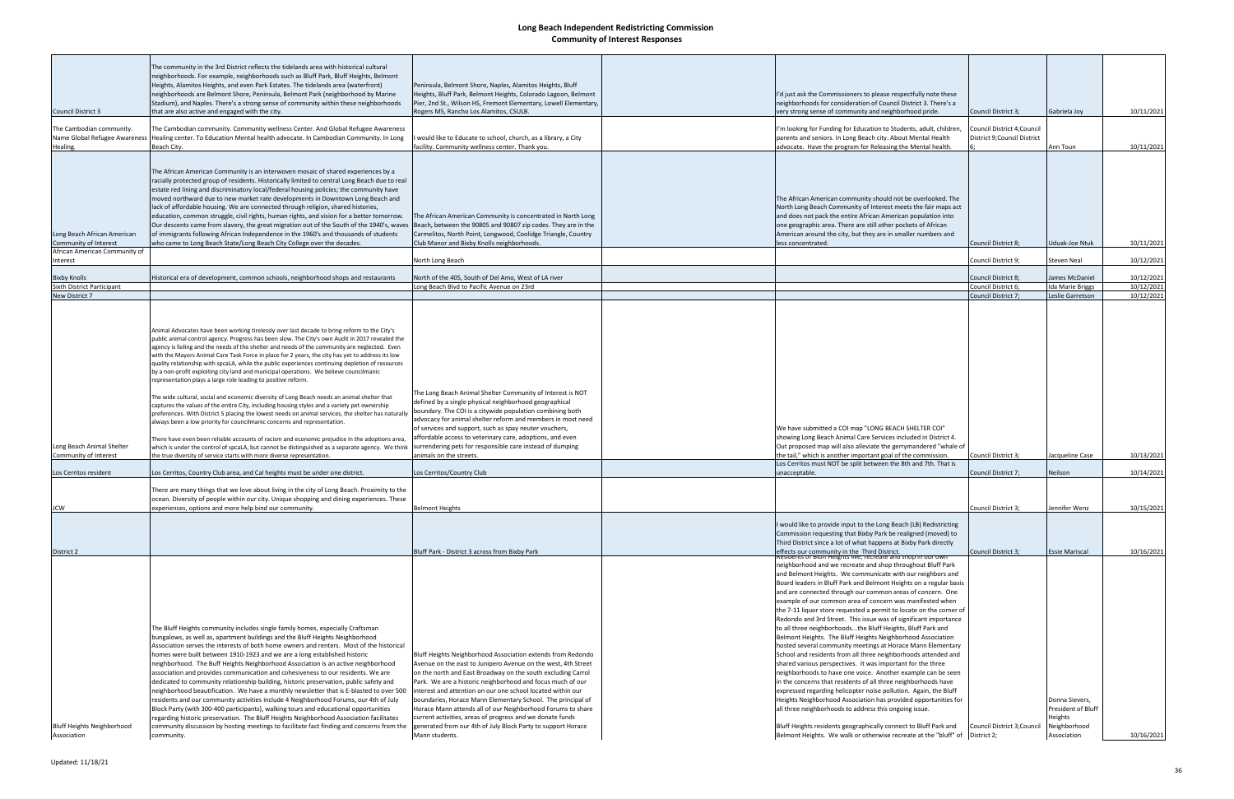| <b>Council District 3</b>                                                             | The community in the 3rd District reflects the tidelands area with historical cultural<br>neighborhoods. For example, neighborhoods such as Bluff Park, Bluff Heights, Belmont<br>Heights, Alamitos Heights, and even Park Estates. The tidelands area (waterfront)<br>neighborhoods are Belmont Shore, Peninsula, Belmont Park (neighborhood by Marine<br>Stadium), and Naples. There's a strong sense of community within these neighborhoods<br>that are also active and engaged with the city.                                                                                                                                                                                                                                                                                                                                                                                                                                                                                                                                                                                                                                                                                                                                                                                                                                                                                                                                                                                                                | Peninsula, Belmont Shore, Naples, Alamitos Heights, Bluff<br>Heights, Bluff Park, Belmont Heights, Colorado Lagoon, Belmont<br>Pier, 2nd St., Wilson HS, Fremont Elementary, Lowell Elementary,<br>Rogers MS, Rancho Los Alamitos, CSULB.                                                                                                                                                                                                                                                                                                                                                              | I'd just ask the Commissioners to please respectfully note these<br>neighborhoods for consideration of Council District 3. There's a<br>very strong sense of community and neighborhood pride.                                                                                                                                                                                                                                                                                                                                                                                                                                                                                                                                                                                                                                                                                                                                                                                                                                                                                                                                                                                                                                                                                               | Council District 3;                                               | Gabriela Joy                                                                   | 10/11/2021                             |
|---------------------------------------------------------------------------------------|-------------------------------------------------------------------------------------------------------------------------------------------------------------------------------------------------------------------------------------------------------------------------------------------------------------------------------------------------------------------------------------------------------------------------------------------------------------------------------------------------------------------------------------------------------------------------------------------------------------------------------------------------------------------------------------------------------------------------------------------------------------------------------------------------------------------------------------------------------------------------------------------------------------------------------------------------------------------------------------------------------------------------------------------------------------------------------------------------------------------------------------------------------------------------------------------------------------------------------------------------------------------------------------------------------------------------------------------------------------------------------------------------------------------------------------------------------------------------------------------------------------------|--------------------------------------------------------------------------------------------------------------------------------------------------------------------------------------------------------------------------------------------------------------------------------------------------------------------------------------------------------------------------------------------------------------------------------------------------------------------------------------------------------------------------------------------------------------------------------------------------------|----------------------------------------------------------------------------------------------------------------------------------------------------------------------------------------------------------------------------------------------------------------------------------------------------------------------------------------------------------------------------------------------------------------------------------------------------------------------------------------------------------------------------------------------------------------------------------------------------------------------------------------------------------------------------------------------------------------------------------------------------------------------------------------------------------------------------------------------------------------------------------------------------------------------------------------------------------------------------------------------------------------------------------------------------------------------------------------------------------------------------------------------------------------------------------------------------------------------------------------------------------------------------------------------|-------------------------------------------------------------------|--------------------------------------------------------------------------------|----------------------------------------|
| The Cambodian community.<br>Name Global Refugee Awareness                             | The Cambodian community. Community wellness Center. And Global Refugee Awareness<br>Healing center. To Education Mental health advocate. In Cambodian Community. In Long                                                                                                                                                                                                                                                                                                                                                                                                                                                                                                                                                                                                                                                                                                                                                                                                                                                                                                                                                                                                                                                                                                                                                                                                                                                                                                                                          | would like to Educate to school, church, as a library, a City                                                                                                                                                                                                                                                                                                                                                                                                                                                                                                                                          | 'm looking for Funding for Education to Students, adult, children,<br>parents and seniors. In Long Beach city. About Mental Health                                                                                                                                                                                                                                                                                                                                                                                                                                                                                                                                                                                                                                                                                                                                                                                                                                                                                                                                                                                                                                                                                                                                                           | Council District 4; Council<br>District 9; Council District       |                                                                                |                                        |
| Healing.                                                                              | Beach City.                                                                                                                                                                                                                                                                                                                                                                                                                                                                                                                                                                                                                                                                                                                                                                                                                                                                                                                                                                                                                                                                                                                                                                                                                                                                                                                                                                                                                                                                                                       | facility. Community wellness center. Thank you.                                                                                                                                                                                                                                                                                                                                                                                                                                                                                                                                                        | advocate. Have the program for Releasing the Mental health                                                                                                                                                                                                                                                                                                                                                                                                                                                                                                                                                                                                                                                                                                                                                                                                                                                                                                                                                                                                                                                                                                                                                                                                                                   |                                                                   | Ann Toun                                                                       | 10/11/2021                             |
| Long Beach African American<br>Community of Interest<br>African American Community of | The African American Community is an interwoven mosaic of shared experiences by a<br>racially protected group of residents. Historically limited to central Long Beach due to real<br>estate red lining and discriminatory local/federal housing policies; the community have<br>moved northward due to new market rate developments in Downtown Long Beach and<br>lack of affordable housing. We are connected through religion, shared histories,<br>education, common struggle, civil rights, human rights, and vision for a better tomorrow.<br>Our descents came from slavery, the great migration out of the South of the 1940's, waves<br>of immigrants following African Independence in the 1960's and thousands of students<br>who came to Long Beach State/Long Beach City College over the decades.                                                                                                                                                                                                                                                                                                                                                                                                                                                                                                                                                                                                                                                                                                   | The African American Community is concentrated in North Long<br>Beach, between the 90805 and 90807 zip codes. They are in the<br>Carmelitos, North Point, Longwood, Coolidge Triangle, Country<br>Club Manor and Bixby Knolls neighborhoods.                                                                                                                                                                                                                                                                                                                                                           | The African American community should not be overlooked. The<br>North Long Beach Community of Interest meets the fair maps act<br>and does not pack the entire African American population into<br>one geographic area. There are still other pockets of African<br>American around the city, but they are in smaller numbers and<br>less concentrated.                                                                                                                                                                                                                                                                                                                                                                                                                                                                                                                                                                                                                                                                                                                                                                                                                                                                                                                                      | <b>Council District 8:</b>                                        | Uduak-Joe Ntuk                                                                 | 10/11/2021                             |
| Interest                                                                              |                                                                                                                                                                                                                                                                                                                                                                                                                                                                                                                                                                                                                                                                                                                                                                                                                                                                                                                                                                                                                                                                                                                                                                                                                                                                                                                                                                                                                                                                                                                   | North Long Beach                                                                                                                                                                                                                                                                                                                                                                                                                                                                                                                                                                                       |                                                                                                                                                                                                                                                                                                                                                                                                                                                                                                                                                                                                                                                                                                                                                                                                                                                                                                                                                                                                                                                                                                                                                                                                                                                                                              | Council District 9;                                               | Steven Neal                                                                    | 10/12/2021                             |
| <b>Bixby Knolls</b>                                                                   | Historical era of development, common schools, neighborhood shops and restaurants                                                                                                                                                                                                                                                                                                                                                                                                                                                                                                                                                                                                                                                                                                                                                                                                                                                                                                                                                                                                                                                                                                                                                                                                                                                                                                                                                                                                                                 | North of the 405, South of Del Amo, West of LA river                                                                                                                                                                                                                                                                                                                                                                                                                                                                                                                                                   |                                                                                                                                                                                                                                                                                                                                                                                                                                                                                                                                                                                                                                                                                                                                                                                                                                                                                                                                                                                                                                                                                                                                                                                                                                                                                              | Council District 8;                                               | James McDaniel                                                                 | 10/12/2021                             |
| Sixth District Participant<br>New District 7                                          |                                                                                                                                                                                                                                                                                                                                                                                                                                                                                                                                                                                                                                                                                                                                                                                                                                                                                                                                                                                                                                                                                                                                                                                                                                                                                                                                                                                                                                                                                                                   | Long Beach Blvd to Pacific Avenue on 23rd                                                                                                                                                                                                                                                                                                                                                                                                                                                                                                                                                              |                                                                                                                                                                                                                                                                                                                                                                                                                                                                                                                                                                                                                                                                                                                                                                                                                                                                                                                                                                                                                                                                                                                                                                                                                                                                                              | Council District 6;<br>Council District 7;                        | <b>Ida Marie Briggs</b><br>Leslie Garretson                                    | 10/12/2021<br>10/12/2021               |
| Long Beach Animal Shelter<br>Community of Interest<br>Los Cerritos resident           | public animal control agency. Progress has been slow. The City's own Audit in 2017 revealed the<br>agency is failing and the needs of the shelter and needs of the community are neglected. Even<br>with the Mayors Animal Care Task Force in place for 2 years, the city has yet to address its low<br>quality relationship with spcaLA, while the public experiences continuing depletion of resources<br>by a non-profit exploiting city land and municipal operations. We believe councilmanic<br>representation plays a large role leading to positive reform.<br>The wide cultural, social and economic diversity of Long Beach needs an animal shelter that<br>captures the values of the entire City, including housing styles and a variety pet ownership<br>preferences. With District 5 placing the lowest needs on animal services, the shelter has naturally<br>always been a low priority for councilmanic concerns and representation.<br>There have even been reliable accounts of racism and economic prejudice in the adoptions area,<br>which is under the control of spcaLA, but cannot be distinguished as a separate agency. We think<br>the true diversity of service starts with more diverse representation.<br>Los Cerritos, Country Club area, and Cal heights must be under one district.<br>There are many things that we love about living in the city of Long Beach. Proximity to the<br>ocean. Diversity of people within our city. Unique shopping and dining experiences. These | The Long Beach Animal Shelter Community of Interest is NOT<br>defined by a single physical neighborhood geographical<br>boundary. The COI is a citywide population combining both<br>advocacy for animal shelter reform and members in most need<br>of services and support, such as spay neuter vouchers,<br>affordable access to veterinary care, adoptions, and even<br>surrendering pets for responsible care instead of dumping<br>animals on the streets.<br>Los Cerritos/Country Club                                                                                                           | We have submitted a COI map "LONG BEACH SHELTER COI"<br>showing Long Beach Animal Care Services included in District 4.<br>Out proposed map will also alleviate the gerrymandered "whale of<br>the tail," which is another important goal of the commission.<br>Los Cerritos must NOT be split between the 8th and 7th. That is<br>unacceptable.                                                                                                                                                                                                                                                                                                                                                                                                                                                                                                                                                                                                                                                                                                                                                                                                                                                                                                                                             | Council District 3;<br>Council District 7;<br>Council District 3: | Jacqueline Case<br>Neilson<br>Jennifer Wenz                                    | 10/13/2021<br>10/14/2021<br>10/15/2021 |
| <b>JCW</b>                                                                            | experiences, options and more help bind our community.                                                                                                                                                                                                                                                                                                                                                                                                                                                                                                                                                                                                                                                                                                                                                                                                                                                                                                                                                                                                                                                                                                                                                                                                                                                                                                                                                                                                                                                            | <b>Belmont Heights</b>                                                                                                                                                                                                                                                                                                                                                                                                                                                                                                                                                                                 |                                                                                                                                                                                                                                                                                                                                                                                                                                                                                                                                                                                                                                                                                                                                                                                                                                                                                                                                                                                                                                                                                                                                                                                                                                                                                              |                                                                   |                                                                                |                                        |
| District 2                                                                            |                                                                                                                                                                                                                                                                                                                                                                                                                                                                                                                                                                                                                                                                                                                                                                                                                                                                                                                                                                                                                                                                                                                                                                                                                                                                                                                                                                                                                                                                                                                   | Bluff Park - District 3 across from Bixby Park                                                                                                                                                                                                                                                                                                                                                                                                                                                                                                                                                         | would like to provide input to the Long Beach (LB) Redistricting<br>Commission requesting that Bixby Park be realigned (moved) to<br>Third District since a lot of what happens at Bixby Park directly<br>effects our community in the Third District.                                                                                                                                                                                                                                                                                                                                                                                                                                                                                                                                                                                                                                                                                                                                                                                                                                                                                                                                                                                                                                       | Council District 3:                                               | <b>Essie Mariscal</b>                                                          | 10/16/2021                             |
| <b>Bluff Heights Neighborhood</b><br>Association                                      | The Bluff Heights community includes single family homes, especially Craftsman<br>bungalows, as well as, apartment buildings and the Bluff Heights Neighborhood<br>Association serves the interests of both home owners and renters. Most of the historical<br>homes were built between 1910-1923 and we are a long established historic<br>neighborhood. The Buff Heights Neighborhood Association is an active neighborhood<br>association and provides communication and cohesiveness to our residents. We are<br>dedicated to community relationship building, historic preservation, public safety and<br>neighborhood beautification. We have a monthly newsletter that is E-blasted to over 500<br>residents and our community activities include 4 Neighborhood Forums, our 4th of July<br>Block Party (with 300-400 participants), walking tours and educational opportunities<br>regarding historic preservation. The Bluff Heights Neighborhood Association facilitates<br>community discussion by hosting meetings to facilitate fact finding and concerns from the<br>community.                                                                                                                                                                                                                                                                                                                                                                                                                     | Bluff Heights Neighborhood Association extends from Redondo<br>Avenue on the east to Junipero Avenue on the west, 4th Street<br>on the north and East Broadway on the south excluding Carrol<br>Park. We are a historic neighborhood and focus much of our<br>interest and attention on our one school located within our<br>boundaries, Horace Mann Elementary School. The principal of<br>Horace Mann attends all of our Neighborhood Forums to share<br>current activities, areas of progress and we donate funds<br>generated from our 4th of July Block Party to support Horace<br>Mann students. | neighborhood and we recreate and shop throughout Bluff Park<br>and Belmont Heights. We communicate with our neighbors and<br>Board leaders in Bluff Park and Belmont Heights on a regular basis<br>and are connected through our common areas of concern. One<br>example of our common area of concern was manifested when<br>the 7-11 liquor store requested a permit to locate on the corner of<br>Redondo and 3rd Street. This issue was of significant importance<br>to all three neighborhoodsthe Bluff Heights, Bluff Park and<br>Belmont Heights. The Bluff Heights Neighborhood Association<br>hosted several community meetings at Horace Mann Elementary<br>School and residents from all three neighborhoods attended and<br>shared various perspectives. It was important for the three<br>neighborhoods to have one voice. Another example can be seen<br>in the concerns that residents of all three neighborhoods have<br>expressed regarding helicopter noise pollution. Again, the Bluff<br>Heights Neighborhood Association has provided opportunities for<br>all three neighborhoods to address this ongoing issue.<br>Bluff Heights residents geographically connect to Bluff Park and<br>Belmont Heights. We walk or otherwise recreate at the "bluff" of   District 2; | Council District 3; Council                                       | Donna Sievers,<br>President of Bluff<br>Heights<br>Neighborhood<br>Association | 10/16/2021                             |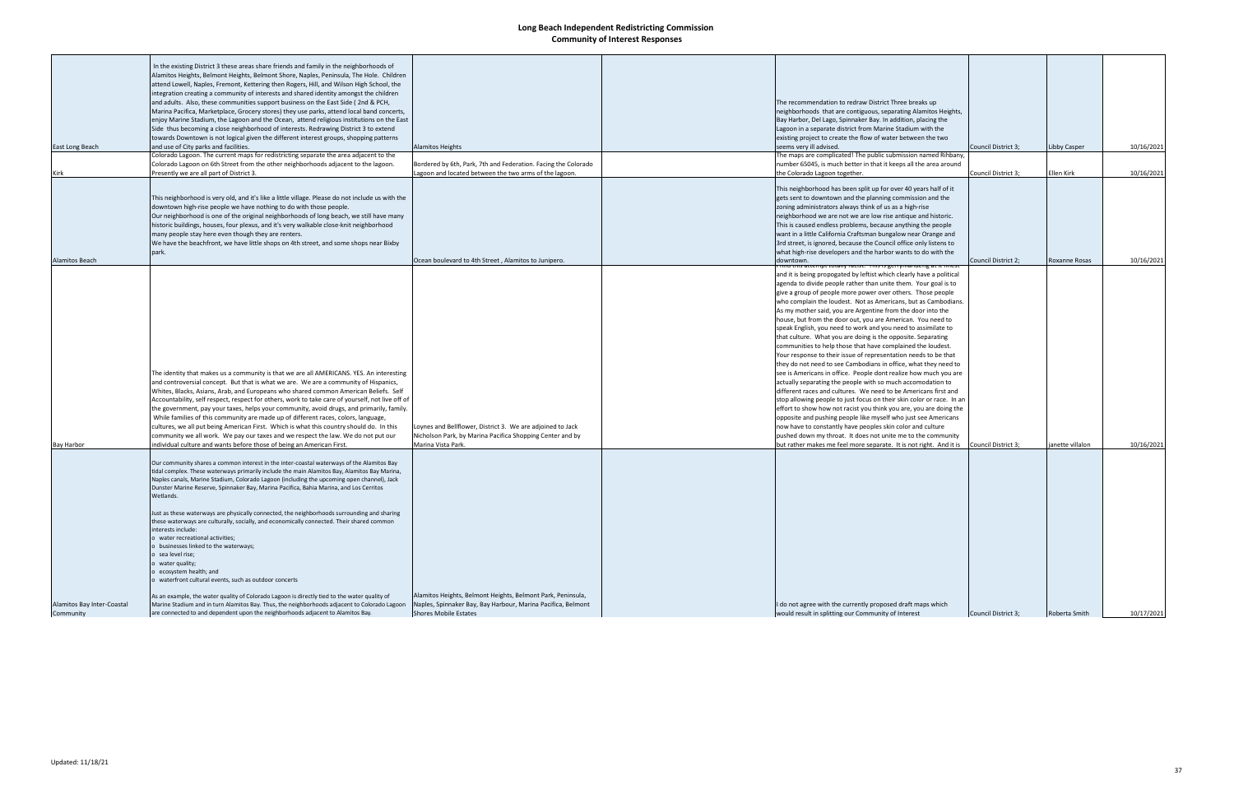|                            | In the existing District 3 these areas share friends and family in the neighborhoods of          |                                                                |                                                                             |                     |                  |            |
|----------------------------|--------------------------------------------------------------------------------------------------|----------------------------------------------------------------|-----------------------------------------------------------------------------|---------------------|------------------|------------|
|                            | Alamitos Heights, Belmont Heights, Belmont Shore, Naples, Peninsula, The Hole. Children          |                                                                |                                                                             |                     |                  |            |
|                            | attend Lowell, Naples, Fremont, Kettering then Rogers, Hill, and Wilson High School, the         |                                                                |                                                                             |                     |                  |            |
|                            | integration creating a community of interests and shared identity amongst the children           |                                                                |                                                                             |                     |                  |            |
|                            | and adults. Also, these communities support business on the East Side (2nd & PCH,                |                                                                | The recommendation to redraw District Three breaks up                       |                     |                  |            |
|                            | Marina Pacifica, Marketplace, Grocery stores) they use parks, attend local band concerts,        |                                                                | neighborhoods that are contiguous, separating Alamitos Heights,             |                     |                  |            |
|                            | enjoy Marine Stadium, the Lagoon and the Ocean, attend religious institutions on the East        |                                                                | Bay Harbor, Del Lago, Spinnaker Bay. In addition, placing the               |                     |                  |            |
|                            | Side thus becoming a close neighborhood of interests. Redrawing District 3 to extend             |                                                                | Lagoon in a separate district from Marine Stadium with the                  |                     |                  |            |
|                            | towards Downtown is not logical given the different interest groups, shopping patterns           |                                                                | existing project to create the flow of water between the two                |                     |                  |            |
| East Long Beach            | and use of City parks and facilities.                                                            | <b>Alamitos Heights</b>                                        | seems very ill advised.                                                     | Council District 3; | Libby Casper     | 10/16/2021 |
|                            | Colorado Lagoon. The current maps for redistricting separate the area adjacent to the            |                                                                | The maps are complicated! The public submission named Rihbany,              |                     |                  |            |
|                            | Colorado Lagoon on 6th Street from the other neighborhoods adjacent to the lagoon.               | Bordered by 6th, Park, 7th and Federation. Facing the Colorado | number 65045, is much better in that it keeps all the area around           |                     |                  |            |
| Kirk                       | Presently we are all part of District 3.                                                         | Lagoon and located between the two arms of the lagoon.         | the Colorado Lagoon together.                                               | Council District 3; | Ellen Kirk       | 10/16/2021 |
|                            |                                                                                                  |                                                                |                                                                             |                     |                  |            |
|                            |                                                                                                  |                                                                | This neighborhood has been split up for over 40 years half of it            |                     |                  |            |
|                            | This neighborhood is very old, and it's like a little village. Please do not include us with the |                                                                | gets sent to downtown and the planning commission and the                   |                     |                  |            |
|                            | downtown high-rise people we have nothing to do with those people.                               |                                                                | zoning administrators always think of us as a high-rise                     |                     |                  |            |
|                            | Our neighborhood is one of the original neighborhoods of long beach, we still have many          |                                                                | neighborhood we are not we are low rise antique and historic.               |                     |                  |            |
|                            |                                                                                                  |                                                                |                                                                             |                     |                  |            |
|                            | historic buildings, houses, four plexus, and it's very walkable close-knit neighborhood          |                                                                | This is caused endless problems, because anything the people                |                     |                  |            |
|                            | many people stay here even though they are renters.                                              |                                                                | want in a little California Craftsman bungalow near Orange and              |                     |                  |            |
|                            | We have the beachfront, we have little shops on 4th street, and some shops near Bixby            |                                                                | 3rd street, is ignored, because the Council office only listens to          |                     |                  |            |
|                            | park.                                                                                            |                                                                | what high-rise developers and the harbor wants to do with the               |                     |                  |            |
| Alamitos Beach             |                                                                                                  | Ocean boulevard to 4th Street, Alamitos to Junipero.           | downtown.<br>iis attempt totally racist. This is gerrymanderig at it linest | Council District 2; | Roxanne Rosas    | 10/16/2021 |
|                            |                                                                                                  |                                                                | and it is being propogated by leftist which clearly have a political        |                     |                  |            |
|                            |                                                                                                  |                                                                | agenda to divide people rather than unite them. Your goal is to             |                     |                  |            |
|                            |                                                                                                  |                                                                | give a group of people more power over others. Those people                 |                     |                  |            |
|                            |                                                                                                  |                                                                |                                                                             |                     |                  |            |
|                            |                                                                                                  |                                                                | who complain the loudest. Not as Americans, but as Cambodians.              |                     |                  |            |
|                            |                                                                                                  |                                                                | As my mother said, you are Argentine from the door into the                 |                     |                  |            |
|                            |                                                                                                  |                                                                | house, but from the door out, you are American. You need to                 |                     |                  |            |
|                            |                                                                                                  |                                                                | speak English, you need to work and you need to assimilate to               |                     |                  |            |
|                            |                                                                                                  |                                                                | that culture. What you are doing is the opposite. Separating                |                     |                  |            |
|                            |                                                                                                  |                                                                | communities to help those that have complained the loudest.                 |                     |                  |            |
|                            |                                                                                                  |                                                                | Your response to their issue of representation needs to be that             |                     |                  |            |
|                            |                                                                                                  |                                                                | they do not need to see Cambodians in office, what they need to             |                     |                  |            |
|                            | The identity that makes us a community is that we are all AMERICANS. YES. An interesting         |                                                                | see is Americans in office. People dont realize how much you are            |                     |                  |            |
|                            | and controversial concept. But that is what we are. We are a community of Hispanics,             |                                                                | actually separating the people with so much accomodation to                 |                     |                  |            |
|                            | Whites, Blacks, Asians, Arab, and Europeans who shared common American Beliefs. Self             |                                                                | different races and cultures. We need to be Americans first and             |                     |                  |            |
|                            | Accountability, self respect, respect for others, work to take care of yourself, not live off of |                                                                | stop allowing people to just focus on their skin color or race. In an       |                     |                  |            |
|                            | the government, pay your taxes, helps your community, avoid drugs, and primarily, family.        |                                                                | effort to show how not racist you think you are, you are doing the          |                     |                  |            |
|                            | While families of this community are made up of different races, colors, language,               |                                                                | opposite and pushing people like myself who just see Americans              |                     |                  |            |
|                            |                                                                                                  |                                                                |                                                                             |                     |                  |            |
|                            | cultures, we all put being American First. Which is what this country should do. In this         | oynes and Bellflower, District 3. We are adjoined to Jack      | now have to constantly have peoples skin color and culture                  |                     |                  |            |
|                            | community we all work. We pay our taxes and we respect the law. We do not put our                | Nicholson Park, by Marina Pacifica Shopping Center and by      | pushed down my throat. It does not unite me to the community                |                     |                  |            |
| Bay Harbor                 | individual culture and wants before those of being an American First.                            | Marina Vista Park.                                             | but rather makes me feel more separate. It is not right. And it is          | Council District 3; | janette villalon | 10/16/2021 |
|                            |                                                                                                  |                                                                |                                                                             |                     |                  |            |
|                            | Our community shares a common interest in the inter-coastal waterways of the Alamitos Bay        |                                                                |                                                                             |                     |                  |            |
|                            | tidal complex. These waterways primarily include the main Alamitos Bay, Alamitos Bay Marina,     |                                                                |                                                                             |                     |                  |            |
|                            | Naples canals, Marine Stadium, Colorado Lagoon (including the upcoming open channel), Jack       |                                                                |                                                                             |                     |                  |            |
|                            | Dunster Marine Reserve, Spinnaker Bay, Marina Pacifica, Bahia Marina, and Los Cerritos           |                                                                |                                                                             |                     |                  |            |
|                            | Wetlands.                                                                                        |                                                                |                                                                             |                     |                  |            |
|                            |                                                                                                  |                                                                |                                                                             |                     |                  |            |
|                            | Just as these waterways are physically connected, the neighborhoods surrounding and sharing      |                                                                |                                                                             |                     |                  |            |
|                            | these waterways are culturally, socially, and economically connected. Their shared common        |                                                                |                                                                             |                     |                  |            |
|                            | interests include:                                                                               |                                                                |                                                                             |                     |                  |            |
|                            | water recreational activities;                                                                   |                                                                |                                                                             |                     |                  |            |
|                            | businesses linked to the waterways;                                                              |                                                                |                                                                             |                     |                  |            |
|                            | sea level rise;                                                                                  |                                                                |                                                                             |                     |                  |            |
|                            | water quality;                                                                                   |                                                                |                                                                             |                     |                  |            |
|                            | ecosystem health; and                                                                            |                                                                |                                                                             |                     |                  |            |
|                            | v waterfront cultural events, such as outdoor concerts                                           |                                                                |                                                                             |                     |                  |            |
|                            |                                                                                                  |                                                                |                                                                             |                     |                  |            |
|                            | As an example, the water quality of Colorado Lagoon is directly tied to the water quality of     | Alamitos Heights, Belmont Heights, Belmont Park, Peninsula,    |                                                                             |                     |                  |            |
| Alamitos Bay Inter-Coastal | Marine Stadium and in turn Alamitos Bay. Thus, the neighborhoods adjacent to Colorado Lagoon     | Naples, Spinnaker Bay, Bay Harbour, Marina Pacifica, Belmont   | I do not agree with the currently proposed draft maps which                 |                     |                  |            |
| Community                  | are connected to and dependent upon the neighborhoods adjacent to Alamitos Bay.                  | <b>Shores Mobile Estates</b>                                   | would result in splitting our Community of Interest                         | Council District 3; | Roberta Smith    | 10/17/2021 |
|                            |                                                                                                  |                                                                |                                                                             |                     |                  |            |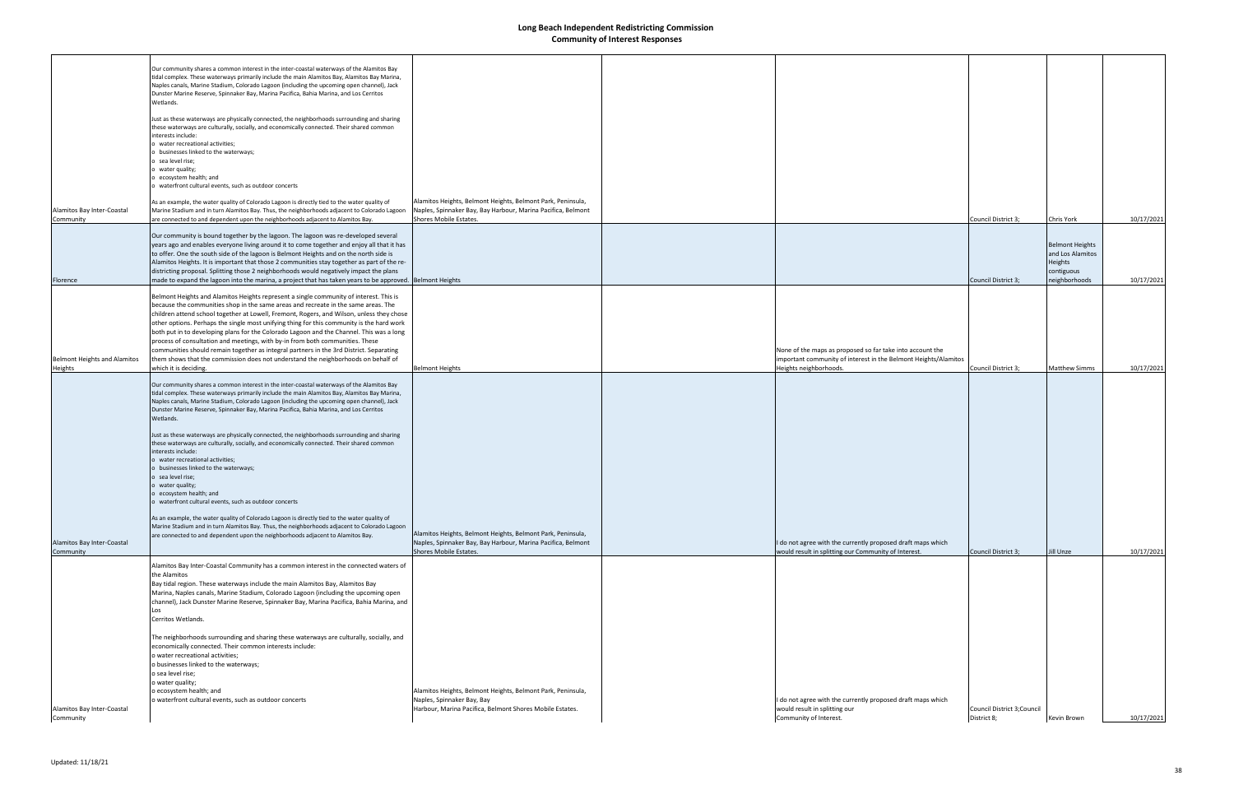|                                                | Our community shares a common interest in the inter-coastal waterways of the Alamitos Bay<br>tidal complex. These waterways primarily include the main Alamitos Bay, Alamitos Bay Marina,<br>Naples canals, Marine Stadium, Colorado Lagoon (including the upcoming open channel), Jack<br>Dunster Marine Reserve, Spinnaker Bay, Marina Pacifica, Bahia Marina, and Los Cerritos<br>Wetlands.                                                                                                                                                                                                                   |                                                                                                                                                       |                                                                                                                                                        |                                            |                                                       |            |
|------------------------------------------------|------------------------------------------------------------------------------------------------------------------------------------------------------------------------------------------------------------------------------------------------------------------------------------------------------------------------------------------------------------------------------------------------------------------------------------------------------------------------------------------------------------------------------------------------------------------------------------------------------------------|-------------------------------------------------------------------------------------------------------------------------------------------------------|--------------------------------------------------------------------------------------------------------------------------------------------------------|--------------------------------------------|-------------------------------------------------------|------------|
|                                                | Just as these waterways are physically connected, the neighborhoods surrounding and sharing<br>these waterways are culturally, socially, and economically connected. Their shared common                                                                                                                                                                                                                                                                                                                                                                                                                         |                                                                                                                                                       |                                                                                                                                                        |                                            |                                                       |            |
|                                                | interests include:<br>o water recreational activities;<br>o businesses linked to the waterways;                                                                                                                                                                                                                                                                                                                                                                                                                                                                                                                  |                                                                                                                                                       |                                                                                                                                                        |                                            |                                                       |            |
|                                                | o sea level rise;<br>o water quality;<br>o ecosystem health; and<br>o waterfront cultural events, such as outdoor concerts                                                                                                                                                                                                                                                                                                                                                                                                                                                                                       |                                                                                                                                                       |                                                                                                                                                        |                                            |                                                       |            |
| Alamitos Bay Inter-Coastal<br>Community        | As an example, the water quality of Colorado Lagoon is directly tied to the water quality of<br>Marine Stadium and in turn Alamitos Bay. Thus, the neighborhoods adjacent to Colorado Lagoon<br>are connected to and dependent upon the neighborhoods adjacent to Alamitos Bay.                                                                                                                                                                                                                                                                                                                                  | Alamitos Heights, Belmont Heights, Belmont Park, Peninsula,<br>Naples, Spinnaker Bay, Bay Harbour, Marina Pacifica, Belmont<br>Shores Mobile Estates. |                                                                                                                                                        | Council District 3;                        | Chris York                                            | 10/17/2021 |
|                                                | Our community is bound together by the lagoon. The lagoon was re-developed several<br>years ago and enables everyone living around it to come together and enjoy all that it has<br>to offer. One the south side of the lagoon is Belmont Heights and on the north side is<br>Alamitos Heights. It is important that those 2 communities stay together as part of the re-                                                                                                                                                                                                                                        |                                                                                                                                                       |                                                                                                                                                        |                                            | <b>Belmont Heights</b><br>and Los Alamitos<br>Heights |            |
| Florence                                       | districting proposal. Splitting those 2 neighborhoods would negatively impact the plans<br>made to expand the lagoon into the marina, a project that has taken years to be approved. Belmont Heights                                                                                                                                                                                                                                                                                                                                                                                                             |                                                                                                                                                       |                                                                                                                                                        | Council District 3;                        | contiguous<br>neighborhoods                           | 10/17/2021 |
|                                                | Belmont Heights and Alamitos Heights represent a single community of interest. This is<br>because the communities shop in the same areas and recreate in the same areas. The<br>children attend school together at Lowell, Fremont, Rogers, and Wilson, unless they chose<br>other options. Perhaps the single most unifying thing for this community is the hard work                                                                                                                                                                                                                                           |                                                                                                                                                       |                                                                                                                                                        |                                            |                                                       |            |
| <b>Belmont Heights and Alamitos</b><br>Heights | both put in to developing plans for the Colorado Lagoon and the Channel. This was a long<br>process of consultation and meetings, with by-in from both communities. These<br>communities should remain together as integral partners in the 3rd District. Separating<br>them shows that the commission does not understand the neighborhoods on behalf of<br>which it is deciding.                                                                                                                                                                                                                               | <b>Belmont Heights</b>                                                                                                                                | None of the maps as proposed so far take into account the<br>important community of interest in the Belmont Heights/Alamitos<br>Heights neighborhoods. | Council District 3;                        | <b>Matthew Simms</b>                                  | 10/17/2021 |
|                                                | Our community shares a common interest in the inter-coastal waterways of the Alamitos Bay<br>tidal complex. These waterways primarily include the main Alamitos Bay, Alamitos Bay Marina,<br>Naples canals, Marine Stadium, Colorado Lagoon (including the upcoming open channel), Jack<br>Dunster Marine Reserve, Spinnaker Bay, Marina Pacifica, Bahia Marina, and Los Cerritos<br>Wetlands.<br>Just as these waterways are physically connected, the neighborhoods surrounding and sharing<br>these waterways are culturally, socially, and economically connected. Their shared common<br>interests include: |                                                                                                                                                       |                                                                                                                                                        |                                            |                                                       |            |
|                                                | o water recreational activities;<br>o businesses linked to the waterways;<br>o sea level rise;<br>o water quality;<br>o ecosystem health; and<br>o waterfront cultural events, such as outdoor concerts                                                                                                                                                                                                                                                                                                                                                                                                          |                                                                                                                                                       |                                                                                                                                                        |                                            |                                                       |            |
| Alamitos Bay Inter-Coastal<br>Community        | As an example, the water quality of Colorado Lagoon is directly tied to the water quality of<br>Marine Stadium and in turn Alamitos Bay. Thus, the neighborhoods adjacent to Colorado Lagoon<br>are connected to and dependent upon the neighborhoods adjacent to Alamitos Bay.                                                                                                                                                                                                                                                                                                                                  | Alamitos Heights, Belmont Heights, Belmont Park, Peninsula,<br>Naples, Spinnaker Bay, Bay Harbour, Marina Pacifica, Belmont<br>Shores Mobile Estates. | I do not agree with the currently proposed draft maps which<br>would result in splitting our Community of Interest.                                    | Council District 3;                        | Jill Unze                                             | 10/17/2021 |
|                                                | Alamitos Bay Inter-Coastal Community has a common interest in the connected waters of<br>the Alamitos<br>Bay tidal region. These waterways include the main Alamitos Bay, Alamitos Bay<br>Marina, Naples canals, Marine Stadium, Colorado Lagoon (including the upcoming open<br>channel), Jack Dunster Marine Reserve, Spinnaker Bay, Marina Pacifica, Bahia Marina, and                                                                                                                                                                                                                                        |                                                                                                                                                       |                                                                                                                                                        |                                            |                                                       |            |
|                                                | Los<br>Cerritos Wetlands.                                                                                                                                                                                                                                                                                                                                                                                                                                                                                                                                                                                        |                                                                                                                                                       |                                                                                                                                                        |                                            |                                                       |            |
|                                                | The neighborhoods surrounding and sharing these waterways are culturally, socially, and<br>economically connected. Their common interests include:<br>o water recreational activities;<br>o businesses linked to the waterways;                                                                                                                                                                                                                                                                                                                                                                                  |                                                                                                                                                       |                                                                                                                                                        |                                            |                                                       |            |
|                                                | o sea level rise;<br>o water quality;<br>o ecosystem health; and                                                                                                                                                                                                                                                                                                                                                                                                                                                                                                                                                 | Alamitos Heights, Belmont Heights, Belmont Park, Peninsula,                                                                                           |                                                                                                                                                        |                                            |                                                       |            |
| Alamitos Bay Inter-Coastal<br>Community        | o waterfront cultural events, such as outdoor concerts                                                                                                                                                                                                                                                                                                                                                                                                                                                                                                                                                           | Naples, Spinnaker Bay, Bay<br>Harbour, Marina Pacifica, Belmont Shores Mobile Estates.                                                                | I do not agree with the currently proposed draft maps which<br>would result in splitting our<br>Community of Interest.                                 | Council District 3; Council<br>District 8; | Kevin Brown                                           | 10/17/2021 |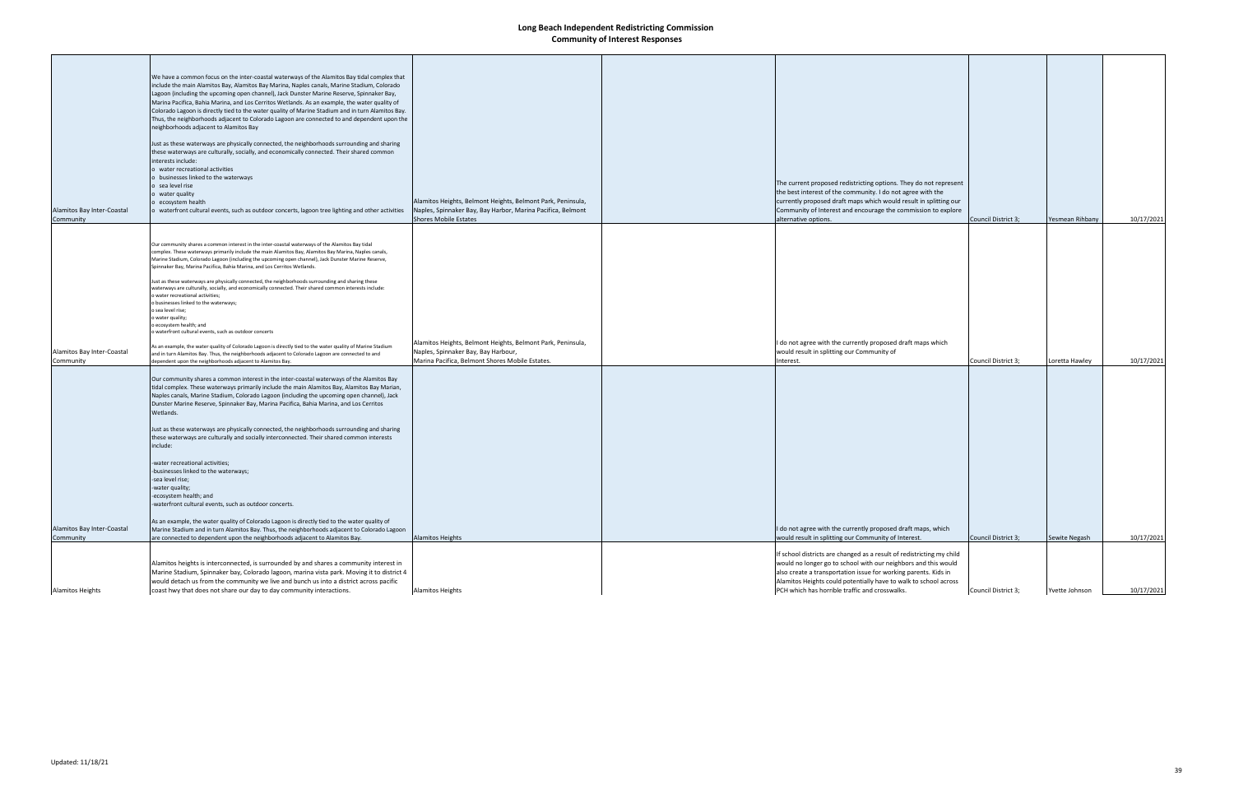| Alamitos Bay Inter-Coastal<br>Community | We have a common focus on the inter-coastal waterways of the Alamitos Bay tidal complex that<br>include the main Alamitos Bay, Alamitos Bay Marina, Naples canals, Marine Stadium, Colorado<br>Lagoon (including the upcoming open channel), Jack Dunster Marine Reserve, Spinnaker Bay,<br>Marina Pacifica, Bahia Marina, and Los Cerritos Wetlands. As an example, the water quality of<br>Colorado Lagoon is directly tied to the water quality of Marine Stadium and in turn Alamitos Bay.<br>Thus, the neighborhoods adjacent to Colorado Lagoon are connected to and dependent upon the<br>neighborhoods adjacent to Alamitos Bay<br>Just as these waterways are physically connected, the neighborhoods surrounding and sharing<br>these waterways are culturally, socially, and economically connected. Their shared common<br>interests include:<br>o water recreational activities<br>o businesses linked to the waterways<br>o sea level rise<br>o water quality<br>o ecosystem health<br>o waterfront cultural events, such as outdoor concerts, lagoon tree lighting and other activities | Alamitos Heights, Belmont Heights, Belmont Park, Peninsula,<br>Naples, Spinnaker Bay, Bay Harbor, Marina Pacifica, Belmont<br><b>Shores Mobile Estates</b> | The current proposed redistricting options. They do not represent<br>the best interest of the community. I do not agree with the<br>currently proposed draft maps which would result in splitting our<br>Community of Interest and encourage the commission to explore<br>alternative options.                                   | Council District 3; | Yesmean Rihbany | 10/17/2021 |
|-----------------------------------------|--------------------------------------------------------------------------------------------------------------------------------------------------------------------------------------------------------------------------------------------------------------------------------------------------------------------------------------------------------------------------------------------------------------------------------------------------------------------------------------------------------------------------------------------------------------------------------------------------------------------------------------------------------------------------------------------------------------------------------------------------------------------------------------------------------------------------------------------------------------------------------------------------------------------------------------------------------------------------------------------------------------------------------------------------------------------------------------------------------|------------------------------------------------------------------------------------------------------------------------------------------------------------|----------------------------------------------------------------------------------------------------------------------------------------------------------------------------------------------------------------------------------------------------------------------------------------------------------------------------------|---------------------|-----------------|------------|
| Alamitos Bay Inter-Coastal              | Our community shares a common interest in the inter-coastal waterways of the Alamitos Bay tidal<br>complex. These waterways primarily include the main Alamitos Bay, Alamitos Bay Marina, Naples canals,<br>Marine Stadium, Colorado Lagoon (including the upcoming open channel), Jack Dunster Marine Reserve,<br>Spinnaker Bay, Marina Pacifica, Bahia Marina, and Los Cerritos Wetlands.<br>Just as these waterways are physically connected, the neighborhoods surrounding and sharing these<br>waterways are culturally, socially, and economically connected. Their shared common interests include:<br>o water recreational activities;<br>o businesses linked to the waterways;<br>o sea level rise;<br>o water quality;<br>o ecosystem health; and<br>o waterfront cultural events, such as outdoor concerts<br>As an example, the water quality of Colorado Lagoon is directly tied to the water quality of Marine Stadium<br>and in turn Alamitos Bay. Thus, the neighborhoods adjacent to Colorado Lagoon are connected to and                                                             | Alamitos Heights, Belmont Heights, Belmont Park, Peninsula,<br>Naples, Spinnaker Bay, Bay Harbour,                                                         | I do not agree with the currently proposed draft maps which<br>would result in splitting our Community of                                                                                                                                                                                                                        |                     |                 |            |
| Community                               | dependent upon the neighborhoods adjacent to Alamitos Bay.<br>Our community shares a common interest in the inter-coastal waterways of the Alamitos Bay<br>tidal complex. These waterways primarily include the main Alamitos Bay, Alamitos Bay Marian,<br>Naples canals, Marine Stadium, Colorado Lagoon (including the upcoming open channel), Jack<br>Dunster Marine Reserve, Spinnaker Bay, Marina Pacifica, Bahia Marina, and Los Cerritos<br>Wetlands.<br>Just as these waterways are physically connected, the neighborhoods surrounding and sharing<br>these waterways are culturally and socially interconnected. Their shared common interests<br>include:<br>-water recreational activities;<br>-businesses linked to the waterways;<br>-sea level rise;<br>-water quality;<br>-ecosystem health; and<br>waterfront cultural events, such as outdoor concerts.                                                                                                                                                                                                                              | Marina Pacifica, Belmont Shores Mobile Estates.                                                                                                            | nterest.                                                                                                                                                                                                                                                                                                                         | Council District 3; | Loretta Hawley  | 10/17/2021 |
| Alamitos Bay Inter-Coastal<br>Community | As an example, the water quality of Colorado Lagoon is directly tied to the water quality of<br>Marine Stadium and in turn Alamitos Bay. Thus, the neighborhoods adjacent to Colorado Lagoon<br>are connected to dependent upon the neighborhoods adjacent to Alamitos Bay.                                                                                                                                                                                                                                                                                                                                                                                                                                                                                                                                                                                                                                                                                                                                                                                                                            | <b>Alamitos Heights</b>                                                                                                                                    | I do not agree with the currently proposed draft maps, which<br>would result in splitting our Community of Interest.                                                                                                                                                                                                             | Council District 3; | Sewite Negash   | 10/17/2021 |
| <b>Alamitos Heights</b>                 | Alamitos heights is interconnected, is surrounded by and shares a community interest in<br>Marine Stadium, Spinnaker bay, Colorado lagoon, marina vista park. Moving it to district 4<br>would detach us from the community we live and bunch us into a district across pacific<br>coast hwy that does not share our day to day community interactions.                                                                                                                                                                                                                                                                                                                                                                                                                                                                                                                                                                                                                                                                                                                                                | <b>Alamitos Heights</b>                                                                                                                                    | If school districts are changed as a result of redistricting my child<br>would no longer go to school with our neighbors and this would<br>also create a transportation issue for working parents. Kids in<br>Alamitos Heights could potentially have to walk to school across<br>PCH which has horrible traffic and crosswalks. | Council District 3; | Yvette Johnson  | 10/17/2021 |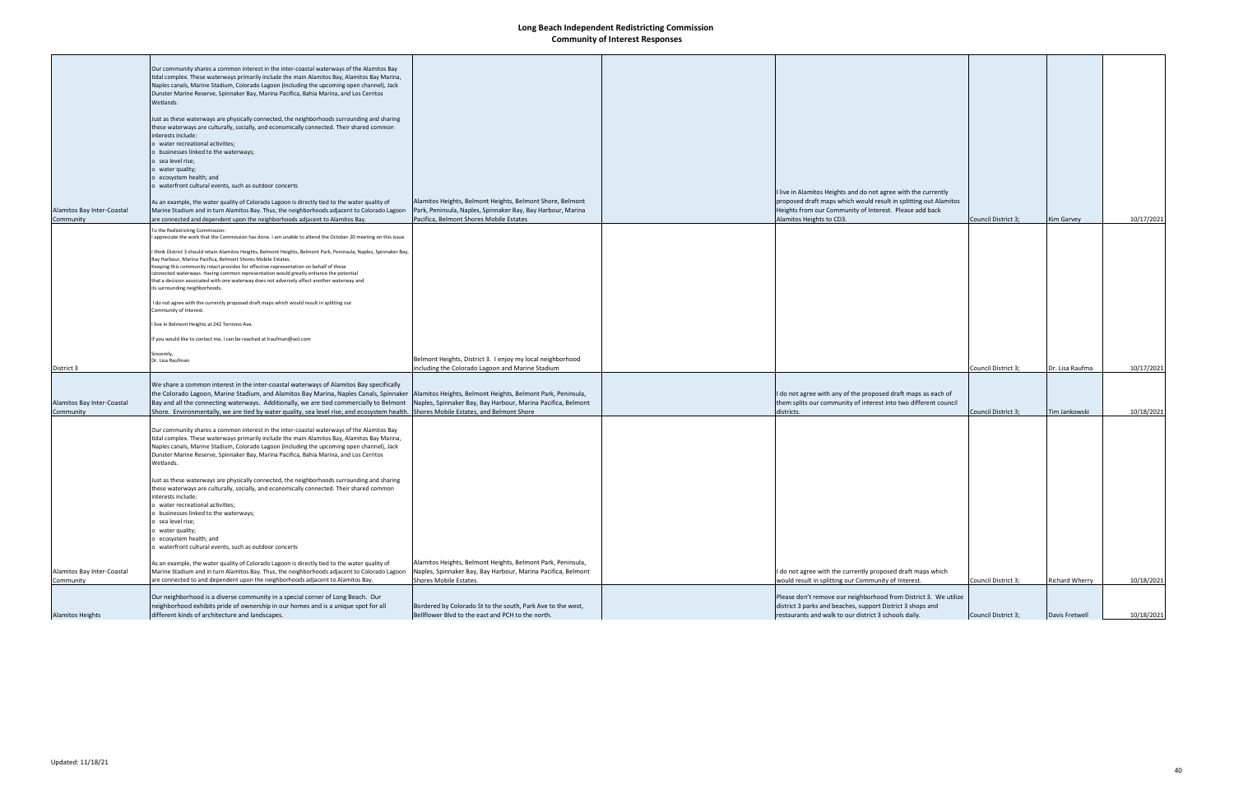| <b>Alamitos Heights</b>                 | neighborhood exhibits pride of ownership in our homes and is a unique spot for all<br>different kinds of architecture and landscapes.                                                                                                                                                                                                                                                                                                                                                                                                                                                                                                                                                                                                                                                                                                                                                                                                                                                                                                                                                                       | Bordered by Colorado St to the south, Park Ave to the west,<br>Bellflower Blvd to the east and PCH to the north.                                                    | district 3 parks and beaches, support District 3 shops and<br>restaurants and walk to our district 3 schools daily.                                                                                                       | Council District 3; | Davis Fretwell        | 10/18/2021 |
|-----------------------------------------|-------------------------------------------------------------------------------------------------------------------------------------------------------------------------------------------------------------------------------------------------------------------------------------------------------------------------------------------------------------------------------------------------------------------------------------------------------------------------------------------------------------------------------------------------------------------------------------------------------------------------------------------------------------------------------------------------------------------------------------------------------------------------------------------------------------------------------------------------------------------------------------------------------------------------------------------------------------------------------------------------------------------------------------------------------------------------------------------------------------|---------------------------------------------------------------------------------------------------------------------------------------------------------------------|---------------------------------------------------------------------------------------------------------------------------------------------------------------------------------------------------------------------------|---------------------|-----------------------|------------|
|                                         | Our neighborhood is a diverse community in a special corner of Long Beach. Our                                                                                                                                                                                                                                                                                                                                                                                                                                                                                                                                                                                                                                                                                                                                                                                                                                                                                                                                                                                                                              |                                                                                                                                                                     | Please don't remove our neighborhood from District 3. We utilize                                                                                                                                                          |                     |                       |            |
| Alamitos Bay Inter-Coastal<br>Community | As an example, the water quality of Colorado Lagoon is directly tied to the water quality of<br>Marine Stadium and in turn Alamitos Bay. Thus, the neighborhoods adjacent to Colorado Lagoon<br>are connected to and dependent upon the neighborhoods adjacent to Alamitos Bay.                                                                                                                                                                                                                                                                                                                                                                                                                                                                                                                                                                                                                                                                                                                                                                                                                             | Alamitos Heights, Belmont Heights, Belmont Park, Peninsula,<br>Naples, Spinnaker Bay, Bay Harbour, Marina Pacifica, Belmont<br>Shores Mobile Estates.               | I do not agree with the currently proposed draft maps which<br>would result in splitting our Community of Interest.                                                                                                       | Council District 3; | <b>Richard Wherry</b> | 10/18/2021 |
|                                         | Just as these waterways are physically connected, the neighborhoods surrounding and sharing<br>these waterways are culturally, socially, and economically connected. Their shared common<br>interests include:<br>water recreational activities;<br>b businesses linked to the waterways;<br>sea level rise;<br>o water quality;<br>o ecosystem health; and<br>o waterfront cultural events, such as outdoor concerts                                                                                                                                                                                                                                                                                                                                                                                                                                                                                                                                                                                                                                                                                       |                                                                                                                                                                     |                                                                                                                                                                                                                           |                     |                       |            |
|                                         | Our community shares a common interest in the inter-coastal waterways of the Alamitos Bay<br>tidal complex. These waterways primarily include the main Alamitos Bay, Alamitos Bay Marina,<br>Naples canals, Marine Stadium, Colorado Lagoon (including the upcoming open channel), Jack<br>Dunster Marine Reserve, Spinnaker Bay, Marina Pacifica, Bahia Marina, and Los Cerritos<br>Wetlands.                                                                                                                                                                                                                                                                                                                                                                                                                                                                                                                                                                                                                                                                                                              |                                                                                                                                                                     |                                                                                                                                                                                                                           |                     |                       |            |
| Alamitos Bay Inter-Coastal<br>Community | We share a common interest in the inter-coastal waterways of Alamitos Bay specifically<br>the Colorado Lagoon, Marine Stadium, and Alamitos Bay Marina, Naples Canals, Spinnaker   Alamitos Heights, Belmont Heights, Belmont Park, Peninsula,<br>Bay and all the connecting waterways. Additionally, we are tied commercially to Belmont<br>Shore. Environmentally, we are tied by water quality, sea level rise, and ecosystem health.                                                                                                                                                                                                                                                                                                                                                                                                                                                                                                                                                                                                                                                                    | Naples, Spinnaker Bay, Bay Harbour, Marina Pacifica, Belmont<br>Shores Mobile Estates, and Belmont Shore                                                            | I do not agree with any of the proposed draft maps as each of<br>them splits our community of interest into two different council<br>districts.                                                                           | Council District 3; | Tim Jankowski         | 10/18/2021 |
| District 3                              | I live in Belmont Heights at 242 Termino Ave.<br>If you would like to contact me, I can be reached at Iraufman@aol.com<br>Sincerely,<br>Dr. Lisa Raufman                                                                                                                                                                                                                                                                                                                                                                                                                                                                                                                                                                                                                                                                                                                                                                                                                                                                                                                                                    | Belmont Heights, District 3. I enjoy my local neighborhood<br>including the Colorado Lagoon and Marine Stadium                                                      |                                                                                                                                                                                                                           | Council District 3; | Dr. Lisa Raufma       | 10/17/2021 |
|                                         | To the Redistricting Commission:<br>appreciate the work that the Commission has done. I am unable to attend the October 20 meeting on this issue.<br>I think District 3 should retain Alamitos Heights, Belmont Heights, Belmont Park, Peninsula, Naples, Spinnaker Bay,<br>Bay Harbour, Marina Pacifica, Belmont Shores Mobile Estates.<br>Keeping this community intact provides for effective representation on behalf of these<br>connected waterways. Having common representation would greatly enhance the potential<br>that a decision associated with one waterway does not adversely affect another waterway and<br>its surrounding neighborhoods.<br>I do not agree with the currently proposed draft maps which would result in splitting our<br>Community of Interest.                                                                                                                                                                                                                                                                                                                         |                                                                                                                                                                     |                                                                                                                                                                                                                           |                     |                       |            |
| Alamitos Bay Inter-Coastal<br>Community | Our community shares a common interest in the inter-coastal waterways of the Alamitos Bay<br>tidal complex. These waterways primarily include the main Alamitos Bay, Alamitos Bay Marina,<br>Naples canals, Marine Stadium, Colorado Lagoon (including the upcoming open channel), Jack<br>Dunster Marine Reserve, Spinnaker Bay, Marina Pacifica, Bahia Marina, and Los Cerritos<br>Wetlands.<br>Just as these waterways are physically connected, the neighborhoods surrounding and sharing<br>these waterways are culturally, socially, and economically connected. Their shared common<br>interests include:<br>o water recreational activities;<br>o businesses linked to the waterways;<br>o sea level rise;<br>o water quality;<br>o ecosystem health; and<br>o waterfront cultural events, such as outdoor concerts<br>As an example, the water quality of Colorado Lagoon is directly tied to the water quality of<br>Marine Stadium and in turn Alamitos Bay. Thus, the neighborhoods adjacent to Colorado Lagoon<br>are connected and dependent upon the neighborhoods adjacent to Alamitos Bay. | Alamitos Heights, Belmont Heights, Belmont Shore, Belmont<br>Park, Peninsula, Naples, Spinnaker Bay, Bay Harbour, Marina<br>Pacifica, Belmont Shores Mobile Estates | I live in Alamitos Heights and do not agree with the currently<br>proposed draft maps which would result in splitting out Alamitos<br>Heights from our Community of Interest. Please add back<br>Alamitos Heights to CD3. | Council District 3; | Kim Garvey            | 10/17/2021 |
|                                         |                                                                                                                                                                                                                                                                                                                                                                                                                                                                                                                                                                                                                                                                                                                                                                                                                                                                                                                                                                                                                                                                                                             |                                                                                                                                                                     |                                                                                                                                                                                                                           |                     |                       |            |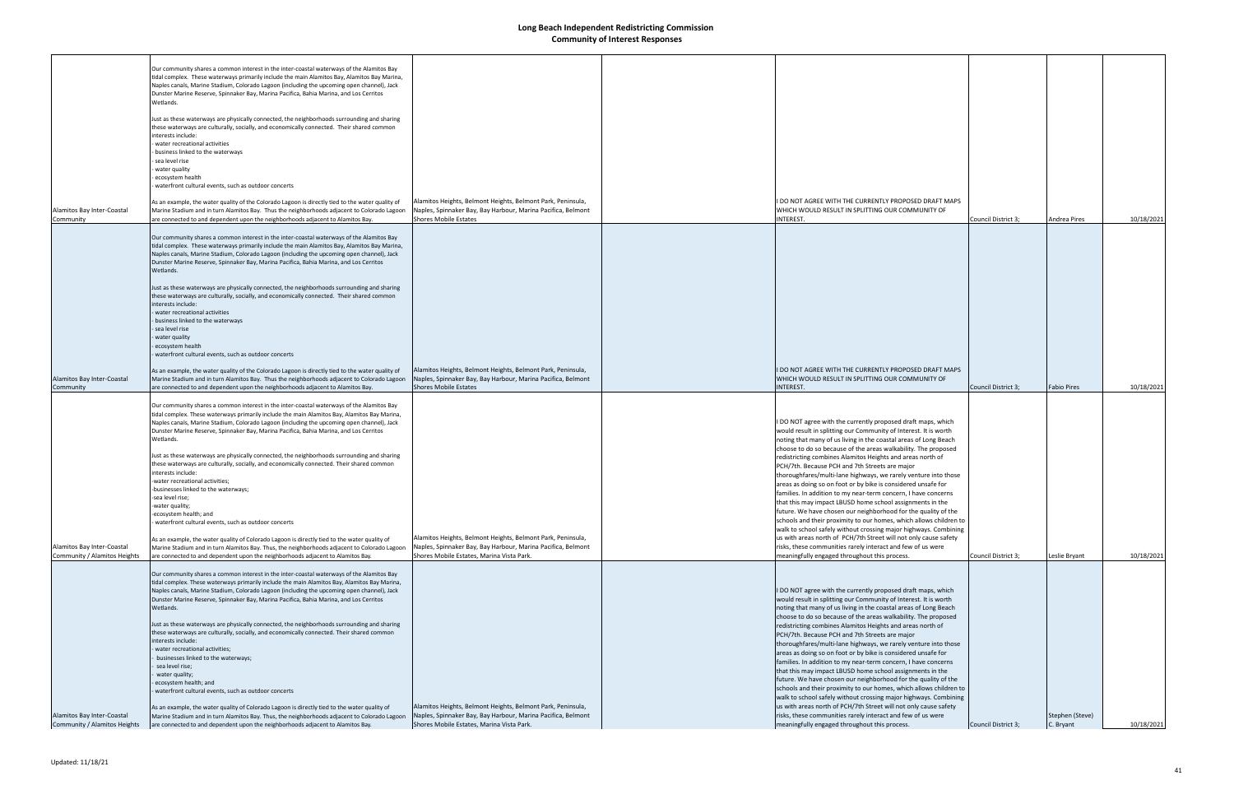|                                                            | Our community shares a common interest in the inter-coastal waterways of the Alamitos Bay                                                                                                 |                                                                                                           |                                                                                                              |                     |                     |            |
|------------------------------------------------------------|-------------------------------------------------------------------------------------------------------------------------------------------------------------------------------------------|-----------------------------------------------------------------------------------------------------------|--------------------------------------------------------------------------------------------------------------|---------------------|---------------------|------------|
|                                                            | tidal complex. These waterways primarily include the main Alamitos Bay, Alamitos Bay Marina,                                                                                              |                                                                                                           |                                                                                                              |                     |                     |            |
|                                                            | Naples canals, Marine Stadium, Colorado Lagoon (including the upcoming open channel), Jack                                                                                                |                                                                                                           |                                                                                                              |                     |                     |            |
|                                                            | Dunster Marine Reserve, Spinnaker Bay, Marina Pacifica, Bahia Marina, and Los Cerritos                                                                                                    |                                                                                                           |                                                                                                              |                     |                     |            |
|                                                            | Wetlands.                                                                                                                                                                                 |                                                                                                           |                                                                                                              |                     |                     |            |
|                                                            | Just as these waterways are physically connected, the neighborhoods surrounding and sharing                                                                                               |                                                                                                           |                                                                                                              |                     |                     |            |
|                                                            | these waterways are culturally, socially, and economically connected. Their shared common                                                                                                 |                                                                                                           |                                                                                                              |                     |                     |            |
|                                                            | interests include:                                                                                                                                                                        |                                                                                                           |                                                                                                              |                     |                     |            |
|                                                            | water recreational activities                                                                                                                                                             |                                                                                                           |                                                                                                              |                     |                     |            |
|                                                            | business linked to the waterways                                                                                                                                                          |                                                                                                           |                                                                                                              |                     |                     |            |
|                                                            | sea level rise                                                                                                                                                                            |                                                                                                           |                                                                                                              |                     |                     |            |
|                                                            | - water quality                                                                                                                                                                           |                                                                                                           |                                                                                                              |                     |                     |            |
|                                                            | ecosystem health                                                                                                                                                                          |                                                                                                           |                                                                                                              |                     |                     |            |
|                                                            | waterfront cultural events, such as outdoor concerts                                                                                                                                      |                                                                                                           |                                                                                                              |                     |                     |            |
|                                                            |                                                                                                                                                                                           |                                                                                                           |                                                                                                              |                     |                     |            |
|                                                            | As an example, the water quality of the Colorado Lagoon is directly tied to the water quality of                                                                                          | Alamitos Heights, Belmont Heights, Belmont Park, Peninsula,                                               | I DO NOT AGREE WITH THE CURRENTLY PROPOSED DRAFT MAPS                                                        |                     |                     |            |
| Alamitos Bay Inter-Coastal                                 | Marine Stadium and in turn Alamitos Bay. Thus the neighborhoods adjacent to Colorado Lagoon                                                                                               | Naples, Spinnaker Bay, Bay Harbour, Marina Pacifica, Belmont                                              | WHICH WOULD RESULT IN SPLITTING OUR COMMUNITY OF                                                             |                     |                     |            |
| Community                                                  | are connected to and dependent upon the neighborhoods adjacent to Alamitos Bay.                                                                                                           | <b>Shores Mobile Estates</b>                                                                              | INTEREST.                                                                                                    | Council District 3; | <b>Andrea Pires</b> | 10/18/2021 |
|                                                            |                                                                                                                                                                                           |                                                                                                           |                                                                                                              |                     |                     |            |
|                                                            | Our community shares a common interest in the inter-coastal waterways of the Alamitos Bay                                                                                                 |                                                                                                           |                                                                                                              |                     |                     |            |
|                                                            | tidal complex. These waterways primarily include the main Alamitos Bay, Alamitos Bay Marina,                                                                                              |                                                                                                           |                                                                                                              |                     |                     |            |
|                                                            | Naples canals, Marine Stadium, Colorado Lagoon (including the upcoming open channel), Jack                                                                                                |                                                                                                           |                                                                                                              |                     |                     |            |
|                                                            | Dunster Marine Reserve, Spinnaker Bay, Marina Pacifica, Bahia Marina, and Los Cerritos                                                                                                    |                                                                                                           |                                                                                                              |                     |                     |            |
|                                                            | Wetlands.                                                                                                                                                                                 |                                                                                                           |                                                                                                              |                     |                     |            |
|                                                            | Just as these waterways are physically connected, the neighborhoods surrounding and sharing                                                                                               |                                                                                                           |                                                                                                              |                     |                     |            |
|                                                            | these waterways are culturally, socially, and economically connected. Their shared common                                                                                                 |                                                                                                           |                                                                                                              |                     |                     |            |
|                                                            | interests include:                                                                                                                                                                        |                                                                                                           |                                                                                                              |                     |                     |            |
|                                                            | - water recreational activities                                                                                                                                                           |                                                                                                           |                                                                                                              |                     |                     |            |
|                                                            | - business linked to the waterways                                                                                                                                                        |                                                                                                           |                                                                                                              |                     |                     |            |
|                                                            | - sea level rise                                                                                                                                                                          |                                                                                                           |                                                                                                              |                     |                     |            |
|                                                            | water quality                                                                                                                                                                             |                                                                                                           |                                                                                                              |                     |                     |            |
|                                                            | ecosystem health                                                                                                                                                                          |                                                                                                           |                                                                                                              |                     |                     |            |
|                                                            | - waterfront cultural events, such as outdoor concerts                                                                                                                                    |                                                                                                           |                                                                                                              |                     |                     |            |
|                                                            |                                                                                                                                                                                           |                                                                                                           |                                                                                                              |                     |                     |            |
|                                                            | As an example, the water quality of the Colorado Lagoon is directly tied to the water quality of                                                                                          | Alamitos Heights, Belmont Heights, Belmont Park, Peninsula,                                               | I DO NOT AGREE WITH THE CURRENTLY PROPOSED DRAFT MAPS                                                        |                     |                     |            |
| Alamitos Bay Inter-Coastal                                 | Marine Stadium and in turn Alamitos Bay. Thus the neighborhoods adjacent to Colorado Lagoon                                                                                               | Naples, Spinnaker Bay, Bay Harbour, Marina Pacifica, Belmont                                              | WHICH WOULD RESULT IN SPLITTING OUR COMMUNITY OF                                                             |                     |                     |            |
| Community                                                  | are connected to and dependent upon the neighborhoods adjacent to Alamitos Bay.                                                                                                           | Shores Mobile Estates                                                                                     | <b>INTEREST.</b>                                                                                             | Council District 3; | <b>Fabio Pires</b>  | 10/18/2021 |
|                                                            |                                                                                                                                                                                           |                                                                                                           |                                                                                                              |                     |                     |            |
|                                                            | Our community shares a common interest in the inter-coastal waterways of the Alamitos Bay                                                                                                 |                                                                                                           |                                                                                                              |                     |                     |            |
|                                                            | tidal complex. These waterways primarily include the main Alamitos Bay, Alamitos Bay Marina,                                                                                              |                                                                                                           |                                                                                                              |                     |                     |            |
|                                                            | Naples canals, Marine Stadium, Colorado Lagoon (including the upcoming open channel), Jack                                                                                                |                                                                                                           | I DO NOT agree with the currently proposed draft maps, which                                                 |                     |                     |            |
|                                                            | Dunster Marine Reserve, Spinnaker Bay, Marina Pacifica, Bahia Marina, and Los Cerritos                                                                                                    |                                                                                                           | would result in splitting our Community of Interest. It is worth                                             |                     |                     |            |
|                                                            | Wetlands.                                                                                                                                                                                 |                                                                                                           | noting that many of us living in the coastal areas of Long Beach                                             |                     |                     |            |
|                                                            | Just as these waterways are physically connected, the neighborhoods surrounding and sharing                                                                                               |                                                                                                           | choose to do so because of the areas walkability. The proposed                                               |                     |                     |            |
|                                                            | these waterways are culturally, socially, and economically connected. Their shared common                                                                                                 |                                                                                                           | redistricting combines Alamitos Heights and areas north of                                                   |                     |                     |            |
|                                                            | interests include:                                                                                                                                                                        |                                                                                                           | PCH/7th. Because PCH and 7th Streets are major                                                               |                     |                     |            |
|                                                            | -water recreational activities;                                                                                                                                                           |                                                                                                           | thoroughfares/multi-lane highways, we rarely venture into those                                              |                     |                     |            |
|                                                            | -businesses linked to the waterways;                                                                                                                                                      |                                                                                                           | areas as doing so on foot or by bike is considered unsafe for                                                |                     |                     |            |
|                                                            | -sea level rise;                                                                                                                                                                          |                                                                                                           | families. In addition to my near-term concern, I have concerns                                               |                     |                     |            |
|                                                            | -water quality;                                                                                                                                                                           |                                                                                                           | that this may impact LBUSD home school assignments in the                                                    |                     |                     |            |
|                                                            | -ecosystem health; and                                                                                                                                                                    |                                                                                                           | future. We have chosen our neighborhood for the quality of the                                               |                     |                     |            |
|                                                            | waterfront cultural events, such as outdoor concerts                                                                                                                                      |                                                                                                           | schools and their proximity to our homes, which allows children to                                           |                     |                     |            |
|                                                            |                                                                                                                                                                                           |                                                                                                           | walk to school safely without crossing major highways. Combining                                             |                     |                     |            |
|                                                            | As an example, the water quality of Colorado Lagoon is directly tied to the water quality of                                                                                              | Alamitos Heights, Belmont Heights, Belmont Park, Peninsula,                                               | us with areas north of PCH/7th Street will not only cause safety                                             |                     |                     |            |
| Alamitos Bay Inter-Coastal<br>Community / Alamitos Heights | Marine Stadium and in turn Alamitos Bay. Thus, the neighborhoods adjacent to Colorado Lagoon<br>are connected to and dependent upon the neighborhoods adjacent to Alamitos Bay.           | Naples, Spinnaker Bay, Bay Harbour, Marina Pacifica, Belmont<br>Shores Mobile Estates. Marina Vista Park. | risks, these communities rarely interact and few of us were<br>meaningfully engaged throughout this process. | Council District 3; | Leslie Bryant       | 10/18/2021 |
|                                                            |                                                                                                                                                                                           |                                                                                                           |                                                                                                              |                     |                     |            |
|                                                            |                                                                                                                                                                                           |                                                                                                           |                                                                                                              |                     |                     |            |
|                                                            | Our community shares a common interest in the inter-coastal waterways of the Alamitos Bay<br>tidal complex. These waterways primarily include the main Alamitos Bay, Alamitos Bay Marina, |                                                                                                           |                                                                                                              |                     |                     |            |
|                                                            | Naples canals, Marine Stadium, Colorado Lagoon (including the upcoming open channel), Jack                                                                                                |                                                                                                           | I DO NOT agree with the currently proposed draft maps, which                                                 |                     |                     |            |
|                                                            | Dunster Marine Reserve, Spinnaker Bay, Marina Pacifica, Bahia Marina, and Los Cerritos                                                                                                    |                                                                                                           | would result in splitting our Community of Interest. It is worth                                             |                     |                     |            |
|                                                            | Wetlands.                                                                                                                                                                                 |                                                                                                           | noting that many of us living in the coastal areas of Long Beach                                             |                     |                     |            |
|                                                            |                                                                                                                                                                                           |                                                                                                           | choose to do so because of the areas walkability. The proposed                                               |                     |                     |            |
|                                                            | Just as these waterways are physically connected, the neighborhoods surrounding and sharing                                                                                               |                                                                                                           | redistricting combines Alamitos Heights and areas north of                                                   |                     |                     |            |
|                                                            | these waterways are culturally, socially, and economically connected. Their shared common                                                                                                 |                                                                                                           | PCH/7th. Because PCH and 7th Streets are major                                                               |                     |                     |            |
|                                                            | interests include:                                                                                                                                                                        |                                                                                                           | thoroughfares/multi-lane highways, we rarely venture into those                                              |                     |                     |            |
|                                                            | water recreational activities;                                                                                                                                                            |                                                                                                           | areas as doing so on foot or by bike is considered unsafe for                                                |                     |                     |            |
|                                                            | businesses linked to the waterways;                                                                                                                                                       |                                                                                                           | families. In addition to my near-term concern, I have concerns                                               |                     |                     |            |
|                                                            | sea level rise;                                                                                                                                                                           |                                                                                                           | that this may impact LBUSD home school assignments in the                                                    |                     |                     |            |
|                                                            | water quality;                                                                                                                                                                            |                                                                                                           | future. We have chosen our neighborhood for the quality of the                                               |                     |                     |            |
|                                                            | ecosystem health; and                                                                                                                                                                     |                                                                                                           | schools and their proximity to our homes, which allows children to                                           |                     |                     |            |
|                                                            | waterfront cultural events, such as outdoor concerts                                                                                                                                      |                                                                                                           | walk to school safely without crossing major highways. Combining                                             |                     |                     |            |
|                                                            | As an example, the water quality of Colorado Lagoon is directly tied to the water quality of                                                                                              | Alamitos Heights, Belmont Heights, Belmont Park, Peninsula,                                               | us with areas north of PCH/7th Street will not only cause safety                                             |                     |                     |            |
| Alamitos Bay Inter-Coastal                                 | Marine Stadium and in turn Alamitos Bay. Thus, the neighborhoods adjacent to Colorado Lagoon                                                                                              | Naples, Spinnaker Bay, Bay Harbour, Marina Pacifica, Belmont                                              | risks, these communities rarely interact and few of us were                                                  |                     | Stephen (Steve)     |            |
| Community / Alamitos Heights                               | are connected to and dependent upon the neighborhoods adjacent to Alamitos Bay.                                                                                                           | Shores Mobile Estates, Marina Vista Park.                                                                 | meaningfully engaged throughout this process.                                                                | Council District 3; | C. Bryant           | 10/18/2021 |
|                                                            |                                                                                                                                                                                           |                                                                                                           |                                                                                                              |                     |                     |            |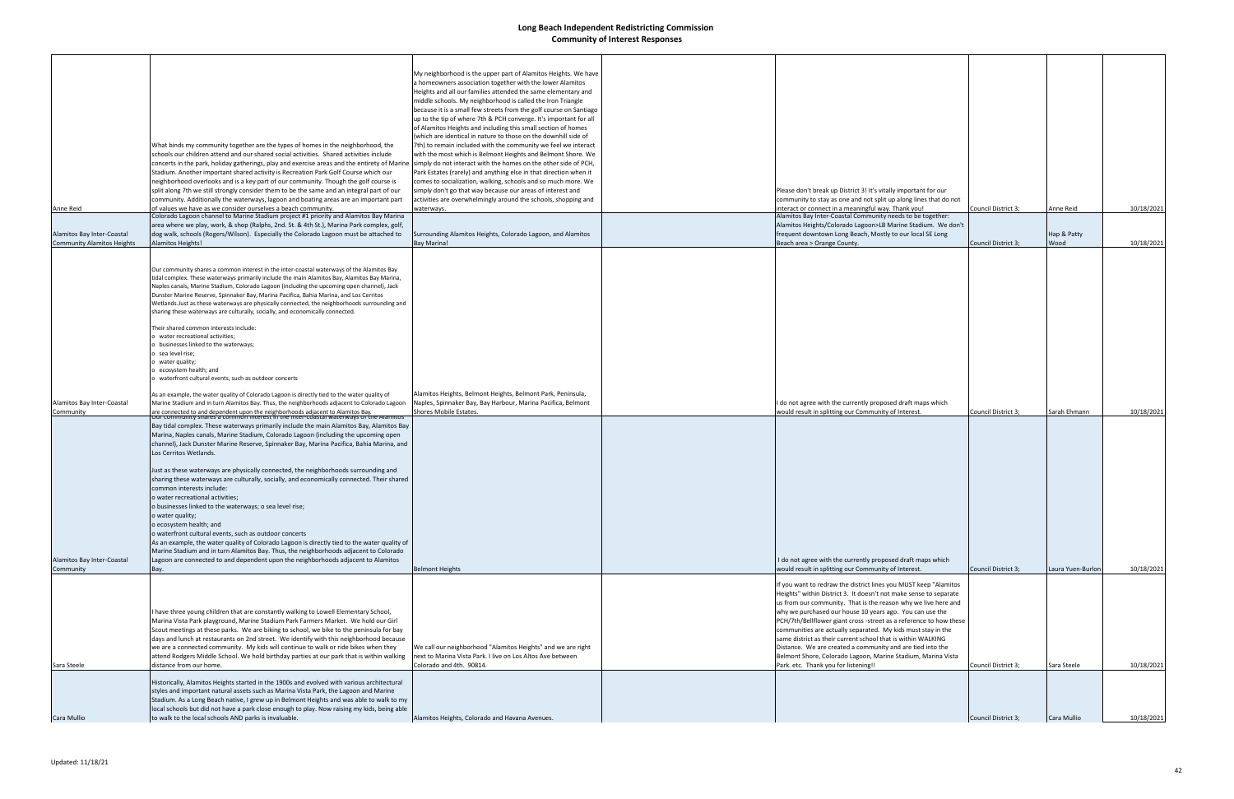| Anne Reid                                                       | What binds my community together are the types of homes in the neighborhood, the<br>schools our children attend and our shared social activities. Shared activities include<br>concerts in the park, holiday gatherings, play and exercise areas and the entirety of Marine<br>Stadium. Another important shared activity is Recreation Park Golf Course which our<br>neighborhood overlooks and is a key part of our community. Though the golf course is<br>split along 7th we still strongly consider them to be the same and an integral part of our<br>community. Additionally the waterways, lagoon and boating areas are an important part<br>of values we have as we consider ourselves a beach community.<br>Colorado Lagoon channel to Marine Stadium project #1 priority and Alamitos Bay Marina                                                                                                                                                                                                                                                                                                                                                                                       | My neighborhood is the upper part of Alamitos Heights. We have<br>a homeowners association together with the lower Alamitos<br>Heights and all our families attended the same elementary and<br>middle schools. My neighborhood is called the Iron Triangle<br>because it is a small few streets from the golf course on Santiago<br>up to the tip of where 7th & PCH converge. It's important for all<br>of Alamitos Heights and including this small section of homes<br>(which are identical in nature to those on the downhill side of<br>7th) to remain included with the community we feel we interact<br>with the most which is Belmont Heights and Belmont Shore. We<br>simply do not interact with the homes on the other side of PCH,<br>Park Estates (rarely) and anything else in that direction when it<br>comes to socialization, walking, schools and so much more. We<br>simply don't go that way because our areas of interest and<br>activities are overwhelmingly around the schools, shopping and<br>waterways. | Please don't break up District 3! It's vitally important for our<br>community to stay as one and not split up along lines that do not<br>interact or connect in a meaningful way. Thank you!<br>Alamitos Bay Inter-Coastal Community needs to be together:                                                                                                                                                                                                                                                                                                                  | Council District 3;                        | Anne Reid                         | 10/18/2021               |
|-----------------------------------------------------------------|---------------------------------------------------------------------------------------------------------------------------------------------------------------------------------------------------------------------------------------------------------------------------------------------------------------------------------------------------------------------------------------------------------------------------------------------------------------------------------------------------------------------------------------------------------------------------------------------------------------------------------------------------------------------------------------------------------------------------------------------------------------------------------------------------------------------------------------------------------------------------------------------------------------------------------------------------------------------------------------------------------------------------------------------------------------------------------------------------------------------------------------------------------------------------------------------------|-------------------------------------------------------------------------------------------------------------------------------------------------------------------------------------------------------------------------------------------------------------------------------------------------------------------------------------------------------------------------------------------------------------------------------------------------------------------------------------------------------------------------------------------------------------------------------------------------------------------------------------------------------------------------------------------------------------------------------------------------------------------------------------------------------------------------------------------------------------------------------------------------------------------------------------------------------------------------------------------------------------------------------------|-----------------------------------------------------------------------------------------------------------------------------------------------------------------------------------------------------------------------------------------------------------------------------------------------------------------------------------------------------------------------------------------------------------------------------------------------------------------------------------------------------------------------------------------------------------------------------|--------------------------------------------|-----------------------------------|--------------------------|
|                                                                 | area where we play, work, & shop (Ralphs, 2nd. St. & 4th St.), Marina Park complex, golf,                                                                                                                                                                                                                                                                                                                                                                                                                                                                                                                                                                                                                                                                                                                                                                                                                                                                                                                                                                                                                                                                                                         |                                                                                                                                                                                                                                                                                                                                                                                                                                                                                                                                                                                                                                                                                                                                                                                                                                                                                                                                                                                                                                     | Alamitos Heights/Colorado Lagoon>LB Marine Stadium. We don't                                                                                                                                                                                                                                                                                                                                                                                                                                                                                                                |                                            |                                   |                          |
| Alamitos Bay Inter-Coastal<br><b>Community Alamitos Heights</b> | dog walk, schools (Rogers/Wilson). Especially the Colorado Lagoon must be attached to<br>Alamitos Heights!                                                                                                                                                                                                                                                                                                                                                                                                                                                                                                                                                                                                                                                                                                                                                                                                                                                                                                                                                                                                                                                                                        | Surrounding Alamitos Heights, Colorado Lagoon, and Alamitos<br><b>Bay Marina!</b>                                                                                                                                                                                                                                                                                                                                                                                                                                                                                                                                                                                                                                                                                                                                                                                                                                                                                                                                                   | frequent downtown Long Beach, Mostly to our local SE Long<br>Beach area > Orange County.                                                                                                                                                                                                                                                                                                                                                                                                                                                                                    | Council District 3;                        | Hap & Patty<br>Wood               | 10/18/2021               |
|                                                                 | Our community shares a common interest in the inter-coastal waterways of the Alamitos Bay<br>tidal complex. These waterways primarily include the main Alamitos Bay, Alamitos Bay Marina,<br>Naples canals, Marine Stadium, Colorado Lagoon (including the upcoming open channel), Jack<br>Dunster Marine Reserve, Spinnaker Bay, Marina Pacifica, Bahia Marina, and Los Cerritos<br>Wetlands. Just as these waterways are physically connected, the neighborhoods surrounding and<br>sharing these waterways are culturally, socially, and economically connected<br>Their shared common interests include:<br>o water recreational activities;<br>b businesses linked to the waterways;<br>o sea level rise;<br>water quality;<br>o ecosystem health; and<br>o waterfront cultural events, such as outdoor concerts                                                                                                                                                                                                                                                                                                                                                                             |                                                                                                                                                                                                                                                                                                                                                                                                                                                                                                                                                                                                                                                                                                                                                                                                                                                                                                                                                                                                                                     |                                                                                                                                                                                                                                                                                                                                                                                                                                                                                                                                                                             |                                            |                                   |                          |
| Alamitos Bay Inter-Coastal                                      | As an example, the water quality of Colorado Lagoon is directly tied to the water quality of<br>Marine Stadium and in turn Alamitos Bay. Thus, the neighborhoods adjacent to Colorado Lagoon                                                                                                                                                                                                                                                                                                                                                                                                                                                                                                                                                                                                                                                                                                                                                                                                                                                                                                                                                                                                      | Alamitos Heights, Belmont Heights, Belmont Park, Peninsula,<br>Naples, Spinnaker Bay, Bay Harbour, Marina Pacifica, Belmont                                                                                                                                                                                                                                                                                                                                                                                                                                                                                                                                                                                                                                                                                                                                                                                                                                                                                                         | I do not agree with the currently proposed draft maps which                                                                                                                                                                                                                                                                                                                                                                                                                                                                                                                 |                                            |                                   |                          |
| Community<br>Alamitos Bay Inter-Coastal<br>Community            | are connected to and dependent upon the neighborhoods adjacent to Alamitos Bay.<br>Our community shares a common interest in the inter-coastal waterways of the Alamitos<br>Bay tidal complex. These waterways primarily include the main Alamitos Bay, Alamitos Bay<br>Marina, Naples canals, Marine Stadium, Colorado Lagoon (including the upcoming open<br>channel), Jack Dunster Marine Reserve, Spinnaker Bay, Marina Pacifica, Bahia Marina, and<br>Los Cerritos Wetlands.<br>Just as these waterways are physically connected, the neighborhoods surrounding and<br>sharing these waterways are culturally, socially, and economically connected. Their shared<br>common interests include:<br>o water recreational activities;<br>o businesses linked to the waterways; o sea level rise;<br>o water quality;<br>o ecosystem health; and<br>o waterfront cultural events, such as outdoor concerts<br>As an example, the water quality of Colorado Lagoon is directly tied to the water quality of<br>Marine Stadium and in turn Alamitos Bay. Thus, the neighborhoods adjacent to Colorado<br>Lagoon are connected to and dependent upon the neighborhoods adjacent to Alamitos<br>Bay. | Shores Mobile Estates.<br><b>Belmont Heights</b>                                                                                                                                                                                                                                                                                                                                                                                                                                                                                                                                                                                                                                                                                                                                                                                                                                                                                                                                                                                    | would result in splitting our Community of Interest.<br>I do not agree with the currently proposed draft maps which<br>would result in splitting our Community of Interest.                                                                                                                                                                                                                                                                                                                                                                                                 | Council District 3;<br>Council District 3; | Sarah Ehmann<br>Laura Yuen-Burlon | 10/18/2021<br>10/18/2021 |
|                                                                 |                                                                                                                                                                                                                                                                                                                                                                                                                                                                                                                                                                                                                                                                                                                                                                                                                                                                                                                                                                                                                                                                                                                                                                                                   |                                                                                                                                                                                                                                                                                                                                                                                                                                                                                                                                                                                                                                                                                                                                                                                                                                                                                                                                                                                                                                     | If you want to redraw the district lines you MUST keep "Alamitos"                                                                                                                                                                                                                                                                                                                                                                                                                                                                                                           |                                            |                                   |                          |
| Sara Steele                                                     | I have three young children that are constantly walking to Lowell Elementary School,<br>Marina Vista Park playground, Marine Stadium Park Farmers Market. We hold our Girl<br>Scout meetings at these parks. We are biking to school, we bike to the peninsula for bay<br>days and lunch at restaurants on 2nd street. We identify with this neighborhood because<br>we are a connected community. My kids will continue to walk or ride bikes when they<br>attend Rodgers Middle School. We hold birthday parties at our park that is within walking<br>distance from our home.                                                                                                                                                                                                                                                                                                                                                                                                                                                                                                                                                                                                                  | We call our neighborhood "Alamitos Heights" and we are right<br>next to Marina Vista Park. I live on Los Altos Ave between<br>Colorado and 4th. 90814.                                                                                                                                                                                                                                                                                                                                                                                                                                                                                                                                                                                                                                                                                                                                                                                                                                                                              | Heights" within District 3. It doesn't not make sense to separate<br>us from our community. That is the reason why we live here and<br>why we purchased our house 10 years ago. You can use the<br>PCH/7th/Bellflower giant cross -street as a reference to how these<br>communities are actually separated. My kids must stay in the<br>same district as their current school that is within WALKING<br>Distance. We are created a community and are tied into the<br>Belmont Shore, Colorado Lagoon, Marine Stadium, Marina Vista<br>Park. etc. Thank you for listening!! | Council District 3;                        | Sara Steele                       | 10/18/2021               |
|                                                                 | Historically, Alamitos Heights started in the 1900s and evolved with various architectural<br>styles and important natural assets such as Marina Vista Park, the Lagoon and Marine<br>Stadium. As a Long Beach native, I grew up in Belmont Heights and was able to walk to my<br>local schools but did not have a park close enough to play. Now raising my kids, being able                                                                                                                                                                                                                                                                                                                                                                                                                                                                                                                                                                                                                                                                                                                                                                                                                     |                                                                                                                                                                                                                                                                                                                                                                                                                                                                                                                                                                                                                                                                                                                                                                                                                                                                                                                                                                                                                                     |                                                                                                                                                                                                                                                                                                                                                                                                                                                                                                                                                                             |                                            |                                   |                          |
| Cara Mullio                                                     | to walk to the local schools AND parks is invaluable.                                                                                                                                                                                                                                                                                                                                                                                                                                                                                                                                                                                                                                                                                                                                                                                                                                                                                                                                                                                                                                                                                                                                             | Alamitos Heights, Colorado and Havana Avenues.                                                                                                                                                                                                                                                                                                                                                                                                                                                                                                                                                                                                                                                                                                                                                                                                                                                                                                                                                                                      |                                                                                                                                                                                                                                                                                                                                                                                                                                                                                                                                                                             | Council District 3;                        | Cara Mullio                       | 10/18/2021               |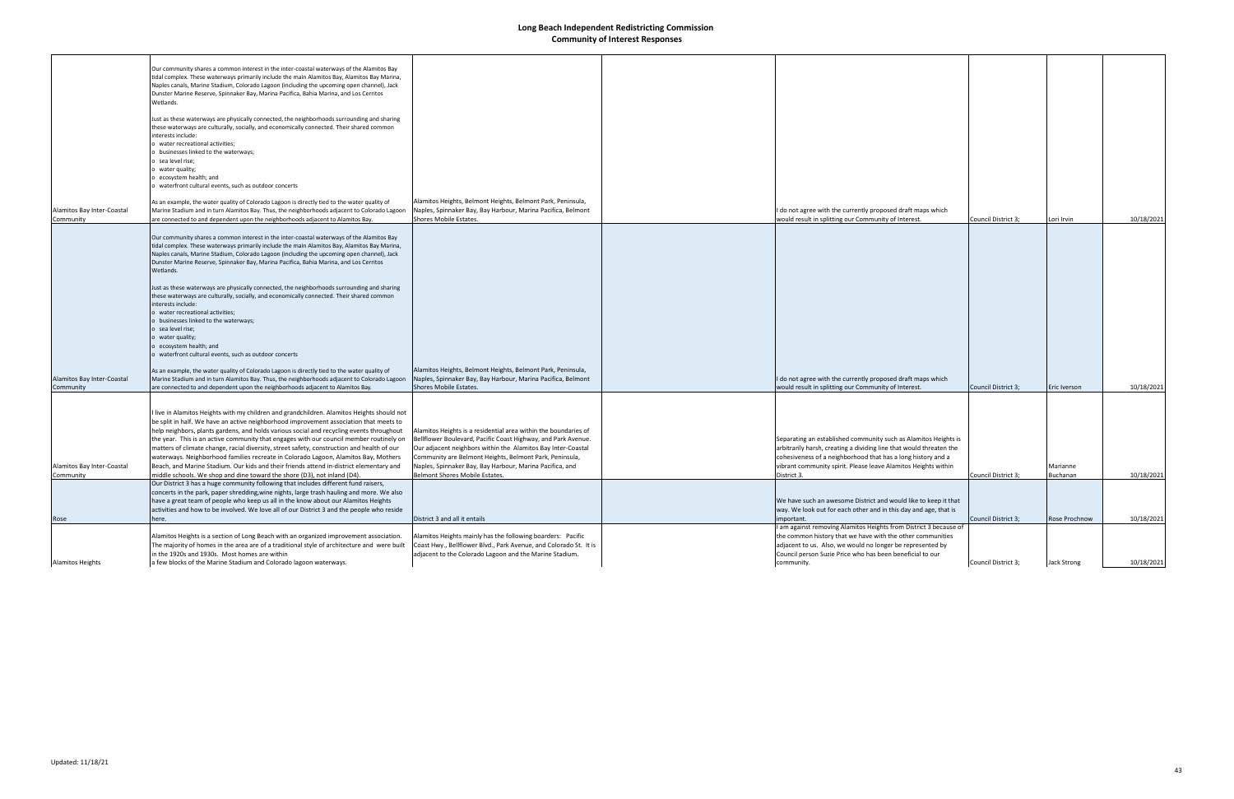|                            | Our community shares a common interest in the inter-coastal waterways of the Alamitos Bay<br>tidal complex. These waterways primarily include the main Alamitos Bay, Alamitos Bay Marina,    |                                                                                                                                  |                                                                                                                          |                     |               |            |
|----------------------------|----------------------------------------------------------------------------------------------------------------------------------------------------------------------------------------------|----------------------------------------------------------------------------------------------------------------------------------|--------------------------------------------------------------------------------------------------------------------------|---------------------|---------------|------------|
|                            | Naples canals, Marine Stadium, Colorado Lagoon (including the upcoming open channel), Jack                                                                                                   |                                                                                                                                  |                                                                                                                          |                     |               |            |
|                            | Dunster Marine Reserve, Spinnaker Bay, Marina Pacifica, Bahia Marina, and Los Cerritos                                                                                                       |                                                                                                                                  |                                                                                                                          |                     |               |            |
|                            | Wetlands.                                                                                                                                                                                    |                                                                                                                                  |                                                                                                                          |                     |               |            |
|                            | Just as these waterways are physically connected, the neighborhoods surrounding and sharing                                                                                                  |                                                                                                                                  |                                                                                                                          |                     |               |            |
|                            | these waterways are culturally, socially, and economically connected. Their shared common                                                                                                    |                                                                                                                                  |                                                                                                                          |                     |               |            |
|                            | interests include:                                                                                                                                                                           |                                                                                                                                  |                                                                                                                          |                     |               |            |
|                            | o water recreational activities;                                                                                                                                                             |                                                                                                                                  |                                                                                                                          |                     |               |            |
|                            | businesses linked to the waterways;<br>o sea level rise;                                                                                                                                     |                                                                                                                                  |                                                                                                                          |                     |               |            |
|                            | o water quality;                                                                                                                                                                             |                                                                                                                                  |                                                                                                                          |                     |               |            |
|                            | o ecosystem health; and                                                                                                                                                                      |                                                                                                                                  |                                                                                                                          |                     |               |            |
|                            | o waterfront cultural events, such as outdoor concerts                                                                                                                                       |                                                                                                                                  |                                                                                                                          |                     |               |            |
|                            | As an example, the water quality of Colorado Lagoon is directly tied to the water quality of                                                                                                 | Alamitos Heights, Belmont Heights, Belmont Park, Peninsula,                                                                      |                                                                                                                          |                     |               |            |
| Alamitos Bay Inter-Coastal | Marine Stadium and in turn Alamitos Bay. Thus, the neighborhoods adjacent to Colorado Lagoon                                                                                                 | Naples, Spinnaker Bay, Bay Harbour, Marina Pacifica, Belmont                                                                     | I do not agree with the currently proposed draft maps which                                                              |                     |               |            |
| Community                  | are connected to and dependent upon the neighborhoods adjacent to Alamitos Bay.                                                                                                              | Shores Mobile Estates.                                                                                                           | would result in splitting our Community of Interest.                                                                     | Council District 3; | Lori Irvin    | 10/18/2021 |
|                            |                                                                                                                                                                                              |                                                                                                                                  |                                                                                                                          |                     |               |            |
|                            | Our community shares a common interest in the inter-coastal waterways of the Alamitos Bay                                                                                                    |                                                                                                                                  |                                                                                                                          |                     |               |            |
|                            | tidal complex. These waterways primarily include the main Alamitos Bay, Alamitos Bay Marina,                                                                                                 |                                                                                                                                  |                                                                                                                          |                     |               |            |
|                            | Naples canals, Marine Stadium, Colorado Lagoon (including the upcoming open channel), Jack                                                                                                   |                                                                                                                                  |                                                                                                                          |                     |               |            |
|                            | Dunster Marine Reserve, Spinnaker Bay, Marina Pacifica, Bahia Marina, and Los Cerritos<br>Wetlands.                                                                                          |                                                                                                                                  |                                                                                                                          |                     |               |            |
|                            |                                                                                                                                                                                              |                                                                                                                                  |                                                                                                                          |                     |               |            |
|                            | Just as these waterways are physically connected, the neighborhoods surrounding and sharing                                                                                                  |                                                                                                                                  |                                                                                                                          |                     |               |            |
|                            | these waterways are culturally, socially, and economically connected. Their shared common                                                                                                    |                                                                                                                                  |                                                                                                                          |                     |               |            |
|                            | interests include:                                                                                                                                                                           |                                                                                                                                  |                                                                                                                          |                     |               |            |
|                            | o water recreational activities;                                                                                                                                                             |                                                                                                                                  |                                                                                                                          |                     |               |            |
|                            | o businesses linked to the waterways;                                                                                                                                                        |                                                                                                                                  |                                                                                                                          |                     |               |            |
|                            | o sea level rise;<br>o water quality;                                                                                                                                                        |                                                                                                                                  |                                                                                                                          |                     |               |            |
|                            | o ecosystem health; and                                                                                                                                                                      |                                                                                                                                  |                                                                                                                          |                     |               |            |
|                            | o waterfront cultural events, such as outdoor concerts                                                                                                                                       |                                                                                                                                  |                                                                                                                          |                     |               |            |
|                            |                                                                                                                                                                                              | Alamitos Heights, Belmont Heights, Belmont Park, Peninsula,                                                                      |                                                                                                                          |                     |               |            |
| Alamitos Bay Inter-Coastal | As an example, the water quality of Colorado Lagoon is directly tied to the water quality of<br>Marine Stadium and in turn Alamitos Bay. Thus, the neighborhoods adjacent to Colorado Lagoon | Naples, Spinnaker Bay, Bay Harbour, Marina Pacifica, Belmont                                                                     | I do not agree with the currently proposed draft maps which                                                              |                     |               |            |
| Community                  | are connected to and dependent upon the neighborhoods adjacent to Alamitos Bay.                                                                                                              | Shores Mobile Estates.                                                                                                           | would result in splitting our Community of Interest.                                                                     | Council District 3; | Eric Iverson  | 10/18/2021 |
|                            |                                                                                                                                                                                              |                                                                                                                                  |                                                                                                                          |                     |               |            |
|                            |                                                                                                                                                                                              |                                                                                                                                  |                                                                                                                          |                     |               |            |
|                            | I live in Alamitos Heights with my children and grandchildren. Alamitos Heights should not<br>be split in half. We have an active neighborhood improvement association that meets to         |                                                                                                                                  |                                                                                                                          |                     |               |            |
|                            | help neighbors, plants gardens, and holds various social and recycling events throughout                                                                                                     | Alamitos Heights is a residential area within the boundaries of                                                                  |                                                                                                                          |                     |               |            |
|                            | the year. This is an active community that engages with our council member routinely on                                                                                                      | Bellflower Boulevard, Pacific Coast Highway, and Park Avenue.                                                                    | Separating an established community such as Alamitos Heights is                                                          |                     |               |            |
|                            | matters of climate change, racial diversity, street safety, construction and health of our                                                                                                   | Our adjacent neighbors within the Alamitos Bay Inter-Coastal                                                                     | arbitrarily harsh, creating a dividing line that would threaten the                                                      |                     |               |            |
|                            | waterways. Neighborhood families recreate in Colorado Lagoon, Alamitos Bay, Mothers                                                                                                          | Community are Belmont Heights, Belmont Park, Peninsula,                                                                          | cohesiveness of a neighborhood that has a long history and a                                                             |                     |               |            |
| Alamitos Bay Inter-Coastal | Beach, and Marine Stadium. Our kids and their friends attend in-district elementary and                                                                                                      | Naples, Spinnaker Bay, Bay Harbour, Marina Pacifica, and                                                                         | vibrant community spirit. Please leave Alamitos Heights within                                                           |                     | Marianne      |            |
| Community                  | middle schools. We shop and dine toward the shore (D3), not inland (D4).                                                                                                                     | Belmont Shores Mobile Estates.                                                                                                   | District 3.                                                                                                              | Council District 3; | Buchanan      | 10/18/2021 |
|                            | Our District 3 has a huge community following that includes different fund raisers,                                                                                                          |                                                                                                                                  |                                                                                                                          |                     |               |            |
|                            | concerts in the park, paper shredding, wine nights, large trash hauling and more. We also                                                                                                    |                                                                                                                                  |                                                                                                                          |                     |               |            |
|                            | have a great team of people who keep us all in the know about our Alamitos Heights                                                                                                           |                                                                                                                                  | We have such an awesome District and would like to keep it that                                                          |                     |               |            |
|                            | activities and how to be involved. We love all of our District 3 and the people who reside                                                                                                   |                                                                                                                                  | way. We look out for each other and in this day and age, that is                                                         |                     |               |            |
| Rose                       | here.                                                                                                                                                                                        | District 3 and all it entails                                                                                                    | important.                                                                                                               | Council District 3; | Rose Prochnow | 10/18/2021 |
|                            |                                                                                                                                                                                              |                                                                                                                                  | am against removing Alamitos Heights from District 3 because of                                                          |                     |               |            |
|                            | Alamitos Heights is a section of Long Beach with an organized improvement association.<br>The majority of homes in the area are of a traditional style of architecture and were built        | Alamitos Heights mainly has the following boarders: Pacific<br>Coast Hwy., Bellflower Blvd., Park Avenue, and Colorado St. It is | the common history that we have with the other communities<br>adjacent to us. Also, we would no longer be represented by |                     |               |            |
|                            | in the 1920s and 1930s. Most homes are within                                                                                                                                                | adjacent to the Colorado Lagoon and the Marine Stadium.                                                                          | Council person Suzie Price who has been beneficial to our                                                                |                     |               |            |
| <b>Alamitos Heights</b>    | a few blocks of the Marine Stadium and Colorado lagoon waterways.                                                                                                                            |                                                                                                                                  | community.                                                                                                               | Council District 3; | Jack Strong   | 10/18/2021 |
|                            |                                                                                                                                                                                              |                                                                                                                                  |                                                                                                                          |                     |               |            |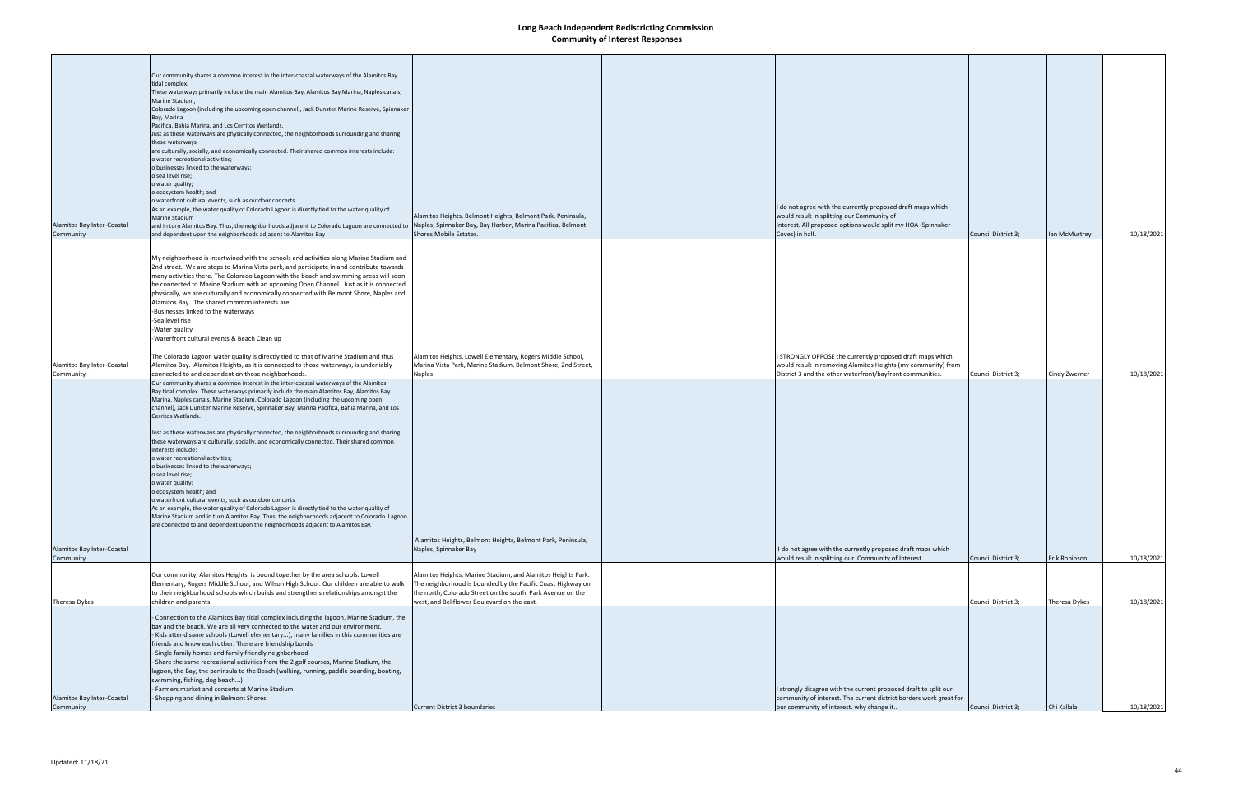| Alamitos Bay Inter-Coastal              | Our community shares a common interest in the inter-coastal waterways of the Alamitos Bay<br>tidal complex.<br>These waterways primarily include the main Alamitos Bay, Alamitos Bay Marina, Naples canals,<br>Marine Stadium,<br>Colorado Lagoon (including the upcoming open channel), Jack Dunster Marine Reserve, Spinnaker<br>Bay, Marina<br>Pacifica. Bahia Marina, and Los Cerritos Wetlands.<br>Just as these waterways are physically connected, the neighborhoods surrounding and sharing<br>these waterways<br>are culturally, socially, and economically connected. Their shared common interests include:<br>o water recreational activities;<br>o businesses linked to the waterways;<br>o sea level rise;<br>o water quality;<br>o ecosystem health; and<br>o waterfront cultural events, such as outdoor concerts<br>As an example, the water quality of Colorado Lagoon is directly tied to the water quality of<br>Marine Stadium<br>and in turn Alamitos Bay. Thus, the neighborhoods adjacent to Colorado Lagoon are connected to Naples, Spinnaker Bay, Bay Harbor, Marina Pacifica, Belmont | Alamitos Heights, Belmont Heights, Belmont Park, Peninsula,                                                                                                                                                                               | I do not agree with the currently proposed draft maps which<br>would result in splitting our Community of<br>Interest. All proposed options would split my HOA (Spinnaker          |                     |               |            |
|-----------------------------------------|-------------------------------------------------------------------------------------------------------------------------------------------------------------------------------------------------------------------------------------------------------------------------------------------------------------------------------------------------------------------------------------------------------------------------------------------------------------------------------------------------------------------------------------------------------------------------------------------------------------------------------------------------------------------------------------------------------------------------------------------------------------------------------------------------------------------------------------------------------------------------------------------------------------------------------------------------------------------------------------------------------------------------------------------------------------------------------------------------------------------|-------------------------------------------------------------------------------------------------------------------------------------------------------------------------------------------------------------------------------------------|------------------------------------------------------------------------------------------------------------------------------------------------------------------------------------|---------------------|---------------|------------|
| Community                               | and dependent upon the neighborhoods adjacent to Alamitos Bay                                                                                                                                                                                                                                                                                                                                                                                                                                                                                                                                                                                                                                                                                                                                                                                                                                                                                                                                                                                                                                                     | Shores Mobile Estates.                                                                                                                                                                                                                    | Coves) in half.                                                                                                                                                                    | Council District 3; | Ian McMurtrey | 10/18/2021 |
|                                         | My neighborhood is intertwined with the schools and activities along Marine Stadium and<br>2nd street. We are steps to Marina Vista park, and participate in and contribute towards<br>many activities there. The Colorado Lagoon with the beach and swimming areas will soon<br>be connected to Marine Stadium with an upcoming Open Channel. Just as it is connected<br>physically, we are culturally and economically connected with Belmont Shore, Naples and<br>Alamitos Bay. The shared common interests are:<br>Businesses linked to the waterways<br>-Sea level rise<br>Water quality<br>-Waterfront cultural events & Beach Clean up                                                                                                                                                                                                                                                                                                                                                                                                                                                                     |                                                                                                                                                                                                                                           |                                                                                                                                                                                    |                     |               |            |
| Alamitos Bay Inter-Coastal              | The Colorado Lagoon water quality is directly tied to that of Marine Stadium and thus<br>Alamitos Bay. Alamitos Heights, as it is connected to those waterways, is undeniably                                                                                                                                                                                                                                                                                                                                                                                                                                                                                                                                                                                                                                                                                                                                                                                                                                                                                                                                     | Alamitos Heights, Lowell Elementary, Rogers Middle School,<br>Marina Vista Park, Marine Stadium, Belmont Shore, 2nd Street,                                                                                                               | STRONGLY OPPOSE the currently proposed draft maps which<br>would result in removing Alamitos Heights (my community) from                                                           |                     |               |            |
| Community                               | connected to and dependent on those neighborhoods.                                                                                                                                                                                                                                                                                                                                                                                                                                                                                                                                                                                                                                                                                                                                                                                                                                                                                                                                                                                                                                                                | Naples                                                                                                                                                                                                                                    | District 3 and the other waterfront/bayfront communities.                                                                                                                          | Council District 3; | Cindy Zwerner | 10/18/2021 |
| Alamitos Bay Inter-Coastal              | Our community shares a common interest in the inter-coastal waterways of the Alamitos<br>Bay tidal complex. These waterways primarily include the main Alamitos Bay, Alamitos Bay<br>Marina, Naples canals, Marine Stadium, Colorado Lagoon (including the upcoming open<br>channel), Jack Dunster Marine Reserve, Spinnaker Bay, Marina Pacifica, Bahia Marina, and Los<br>Cerritos Wetlands.<br>Just as these waterways are physically connected, the neighborhoods surrounding and sharing<br>these waterways are culturally, socially, and economically connected. Their shared common<br>interests include:<br>o water recreational activities;<br>o businesses linked to the waterways;<br>o sea level rise;<br>o water quality;<br>o ecosystem health; and<br>o waterfront cultural events, such as outdoor concerts<br>As an example, the water quality of Colorado Lagoon is directly tied to the water quality of<br>Marine Stadium and in turn Alamitos Bay. Thus, the neighborhoods adjacent to Colorado Lagoon<br>are connected to and dependent upon the neighborhoods adjacent to Alamitos Bay.    | Alamitos Heights, Belmont Heights, Belmont Park, Peninsula,<br>Naples, Spinnaker Bay                                                                                                                                                      | I do not agree with the currently proposed draft maps which                                                                                                                        |                     |               |            |
| Community                               |                                                                                                                                                                                                                                                                                                                                                                                                                                                                                                                                                                                                                                                                                                                                                                                                                                                                                                                                                                                                                                                                                                                   |                                                                                                                                                                                                                                           | would result in splitting our Community of Interest                                                                                                                                | Council District 3; | Erik Robinson | 10/18/2021 |
| Theresa Dykes                           | Our community, Alamitos Heights, is bound together by the area schools: Lowell<br>Elementary, Rogers Middle School, and Wilson High School. Our children are able to walk<br>to their neighborhood schools which builds and strengthens relationships amongst the<br>children and parents.                                                                                                                                                                                                                                                                                                                                                                                                                                                                                                                                                                                                                                                                                                                                                                                                                        | Alamitos Heights, Marine Stadium, and Alamitos Heights Park.<br>The neighborhood is bounded by the Pacific Coast Highway on<br>the north, Colorado Street on the south, Park Avenue on the<br>west, and Bellflower Boulevard on the east. |                                                                                                                                                                                    | Council District 3; | Theresa Dykes | 10/18/2021 |
| Alamitos Bay Inter-Coastal<br>Community | - Connection to the Alamitos Bay tidal complex including the lagoon, Marine Stadium, the<br>bay and the beach. We are all very connected to the water and our environment.<br>- Kids attend same schools (Lowell elementary), many families in this communities are<br>friends and know each other. There are friendship bonds<br>- Single family homes and family friendly neighborhood<br>- Share the same recreational activities from the 2 golf courses, Marine Stadium, the<br>lagoon, the Bay, the peninsula to the Beach (walking, running, paddle boarding, boating,<br>swimming, fishing, dog beach)<br>- Farmers market and concerts at Marine Stadium<br>- Shopping and dining in Belmont Shores                                                                                                                                                                                                                                                                                                                                                                                                      | Current District 3 boundaries                                                                                                                                                                                                             | I strongly disagree with the current proposed draft to split our<br>community of interest. The current district borders work great for<br>our community of interest. why change it | Council District 3; | Chi Kallala   | 10/18/2021 |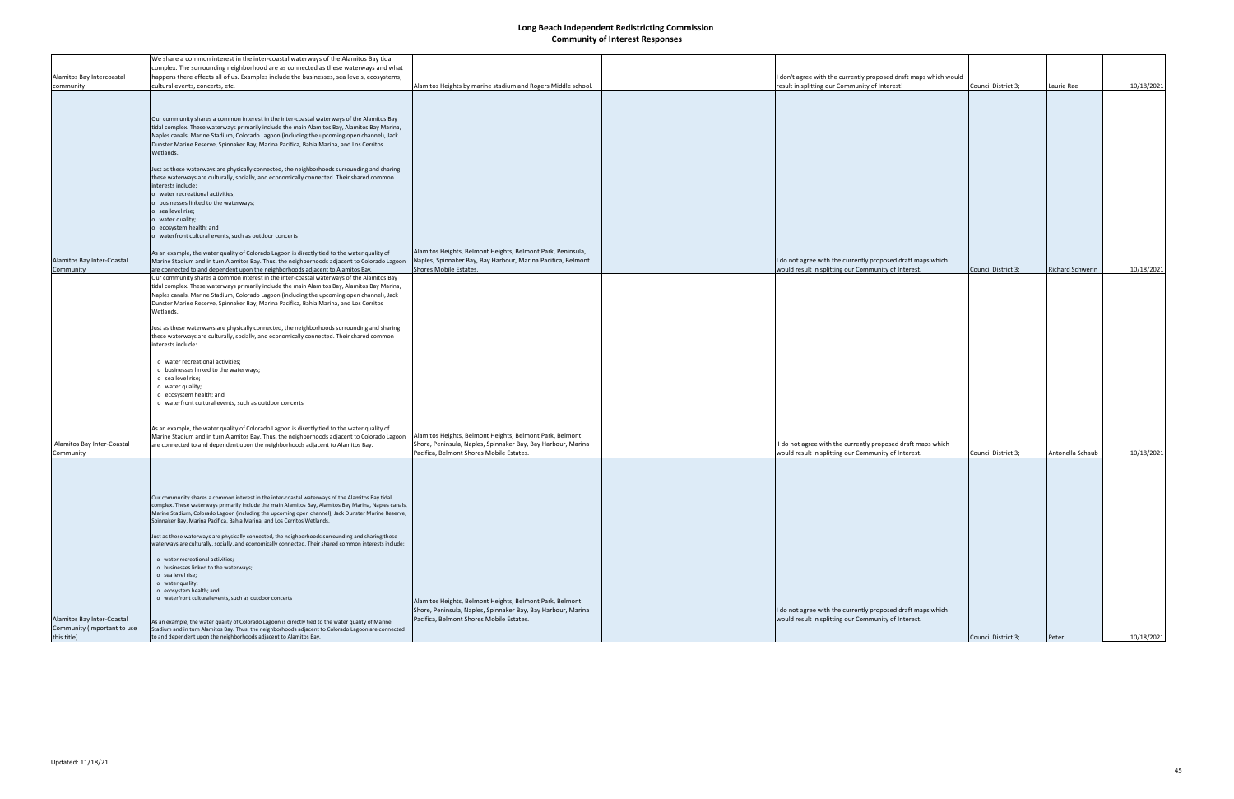|                                                                          | We share a common interest in the inter-coastal waterways of the Alamitos Bay tidal                                                                                                                                                                                                                                                                                                                                                                                                                                                                                                                                                                                                                                                                                                                                                                                                                                                                                                                                                                                                                                                                                                                                                                                                                                                                                                                                                                                                                 |                                                                                                                                                                      |                                                                                                                     |                     |                         |            |
|--------------------------------------------------------------------------|-----------------------------------------------------------------------------------------------------------------------------------------------------------------------------------------------------------------------------------------------------------------------------------------------------------------------------------------------------------------------------------------------------------------------------------------------------------------------------------------------------------------------------------------------------------------------------------------------------------------------------------------------------------------------------------------------------------------------------------------------------------------------------------------------------------------------------------------------------------------------------------------------------------------------------------------------------------------------------------------------------------------------------------------------------------------------------------------------------------------------------------------------------------------------------------------------------------------------------------------------------------------------------------------------------------------------------------------------------------------------------------------------------------------------------------------------------------------------------------------------------|----------------------------------------------------------------------------------------------------------------------------------------------------------------------|---------------------------------------------------------------------------------------------------------------------|---------------------|-------------------------|------------|
|                                                                          | complex. The surrounding neighborhood are as connected as these waterways and what                                                                                                                                                                                                                                                                                                                                                                                                                                                                                                                                                                                                                                                                                                                                                                                                                                                                                                                                                                                                                                                                                                                                                                                                                                                                                                                                                                                                                  |                                                                                                                                                                      |                                                                                                                     |                     |                         |            |
| Alamitos Bay Intercoastal                                                | happens there effects all of us. Examples include the businesses, sea levels, ecosystems,                                                                                                                                                                                                                                                                                                                                                                                                                                                                                                                                                                                                                                                                                                                                                                                                                                                                                                                                                                                                                                                                                                                                                                                                                                                                                                                                                                                                           |                                                                                                                                                                      | I don't agree with the currently proposed draft maps which would                                                    |                     |                         |            |
| community                                                                | cultural events, concerts, etc.                                                                                                                                                                                                                                                                                                                                                                                                                                                                                                                                                                                                                                                                                                                                                                                                                                                                                                                                                                                                                                                                                                                                                                                                                                                                                                                                                                                                                                                                     | Alamitos Heights by marine stadium and Rogers Middle school.                                                                                                         | result in splitting our Community of Interest!                                                                      | Council District 3: | Laurie Rael             | 10/18/2021 |
|                                                                          |                                                                                                                                                                                                                                                                                                                                                                                                                                                                                                                                                                                                                                                                                                                                                                                                                                                                                                                                                                                                                                                                                                                                                                                                                                                                                                                                                                                                                                                                                                     |                                                                                                                                                                      |                                                                                                                     |                     |                         |            |
| Alamitos Bay Inter-Coastal<br>Community                                  | Our community shares a common interest in the inter-coastal waterways of the Alamitos Bay<br>tidal complex. These waterways primarily include the main Alamitos Bay, Alamitos Bay Marina,<br>Naples canals, Marine Stadium, Colorado Lagoon (including the upcoming open channel), Jack<br>Dunster Marine Reserve, Spinnaker Bay, Marina Pacifica, Bahia Marina, and Los Cerritos<br>Wetlands.<br>Just as these waterways are physically connected, the neighborhoods surrounding and sharing<br>these waterways are culturally, socially, and economically connected. Their shared common<br>interests include:<br>o water recreational activities;<br>o businesses linked to the waterways;<br>o sea level rise;<br>o water quality;<br>o ecosystem health; and<br>o waterfront cultural events, such as outdoor concerts<br>As an example, the water quality of Colorado Lagoon is directly tied to the water quality of<br>Marine Stadium and in turn Alamitos Bay. Thus, the neighborhoods adjacent to Colorado Lagoon<br>are connected to and dependent upon the neighborhoods adjacent to Alamitos Bay.<br>Our community shares a common interest in the inter-coastal waterways of the Alamitos Bay<br>tidal complex. These waterways primarily include the main Alamitos Bay, Alamitos Bay Marina,<br>Naples canals, Marine Stadium, Colorado Lagoon (including the upcoming open channel), Jack<br>Dunster Marine Reserve, Spinnaker Bay, Marina Pacifica, Bahia Marina, and Los Cerritos | Alamitos Heights, Belmont Heights, Belmont Park, Peninsula,<br>Naples, Spinnaker Bay, Bay Harbour, Marina Pacifica, Belmont<br>Shores Mobile Estates.                | I do not agree with the currently proposed draft maps which<br>would result in splitting our Community of Interest. | Council District 3; | <b>Richard Schwerin</b> | 10/18/2021 |
| Alamitos Bay Inter-Coastal                                               | Just as these waterways are physically connected, the neighborhoods surrounding and sharing<br>these waterways are culturally, socially, and economically connected. Their shared common<br>interests include:<br>o water recreational activities;<br>o businesses linked to the waterways;<br>o sea level rise;<br>o water quality;<br>o ecosystem health; and<br>o waterfront cultural events, such as outdoor concerts<br>As an example, the water quality of Colorado Lagoon is directly tied to the water quality of<br>Marine Stadium and in turn Alamitos Bay. Thus, the neighborhoods adjacent to Colorado Lagoon<br>are connected to and dependent upon the neighborhoods adjacent to Alamitos Bay.                                                                                                                                                                                                                                                                                                                                                                                                                                                                                                                                                                                                                                                                                                                                                                                        | Alamitos Heights, Belmont Heights, Belmont Park, Belmont<br>Shore, Peninsula, Naples, Spinnaker Bay, Bay Harbour, Marina                                             | I do not agree with the currently proposed draft maps which                                                         |                     |                         |            |
| Community                                                                |                                                                                                                                                                                                                                                                                                                                                                                                                                                                                                                                                                                                                                                                                                                                                                                                                                                                                                                                                                                                                                                                                                                                                                                                                                                                                                                                                                                                                                                                                                     | Pacifica, Belmont Shores Mobile Estates.                                                                                                                             | would result in splitting our Community of Interest.                                                                | Council District 3; | Antonella Schaub        | 10/18/2021 |
| Alamitos Bay Inter-Coastal<br>Community (important to use<br>this title) | Our community shares a common interest in the inter-coastal waterways of the Alamitos Bay tidal<br>complex. These waterways primarily include the main Alamitos Bay, Alamitos Bay Marina, Naples canais,<br>Marine Stadium, Colorado Lagoon (including the upcoming open channel), Jack Dunster Marine Reserve,<br>Spinnaker Bay, Marina Pacifica, Bahia Marina, and Los Cerritos Wetlands.<br>Just as these waterways are physically connected, the neighborhoods surrounding and sharing these<br>waterways are culturally, socially, and economically connected. Their shared common interests include:<br>o water recreational activities;<br>o businesses linked to the waterways;<br>o sea level rise;<br>o water quality;<br>o ecosystem health; and<br>o waterfront cultural events, such as outdoor concerts<br>As an example, the water quality of Colorado Lagoon is directly tied to the water quality of Marine<br>Stadium and in turn Alamitos Bay. Thus, the neighborhoods adjacent to Colorado Lagoon are connected<br>to and dependent upon the neighborhoods adjacent to Alamitos Bay.                                                                                                                                                                                                                                                                                                                                                                                            | Alamitos Heights, Belmont Heights, Belmont Park, Belmont<br>Shore, Peninsula, Naples, Spinnaker Bay, Bay Harbour, Marina<br>Pacifica, Belmont Shores Mobile Estates. | I do not agree with the currently proposed draft maps which<br>would result in splitting our Community of Interest. | Council District 3; | Peter                   | 10/18/2021 |
|                                                                          |                                                                                                                                                                                                                                                                                                                                                                                                                                                                                                                                                                                                                                                                                                                                                                                                                                                                                                                                                                                                                                                                                                                                                                                                                                                                                                                                                                                                                                                                                                     |                                                                                                                                                                      |                                                                                                                     |                     |                         |            |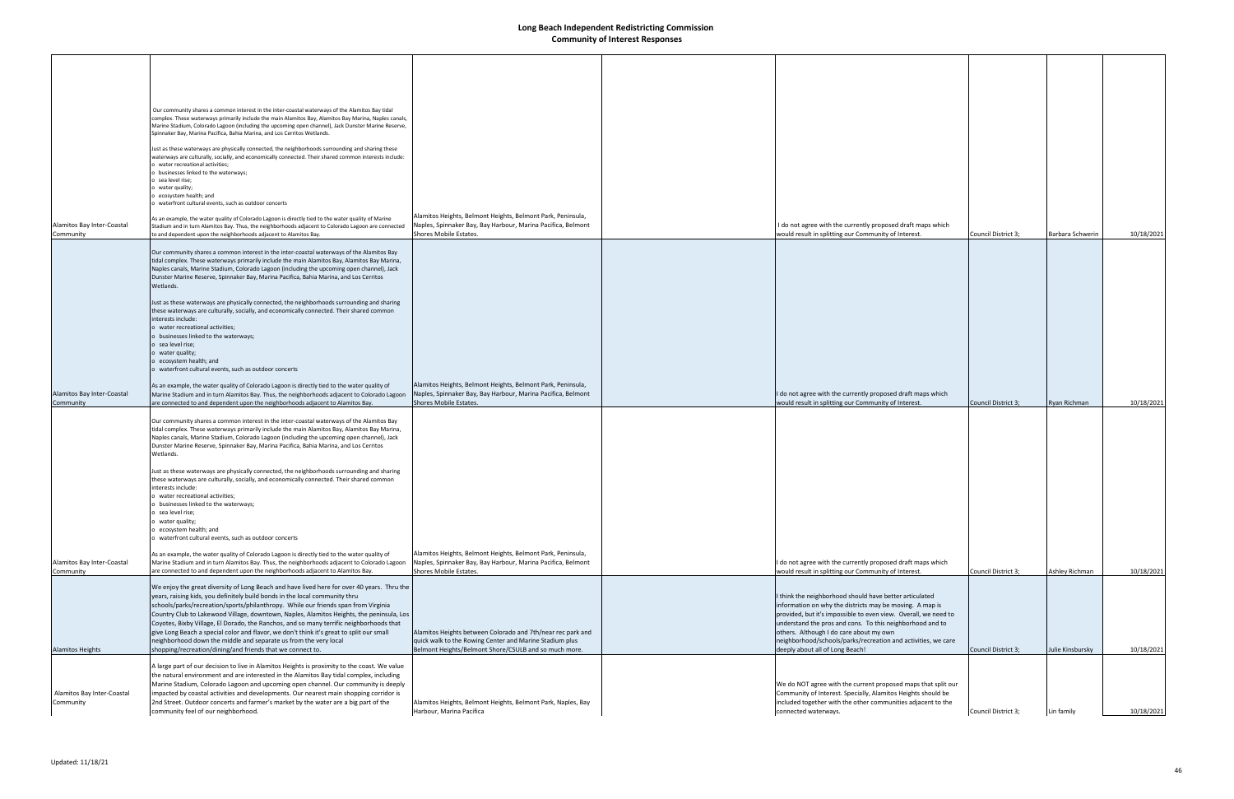|                                         | Our community shares a common interest in the inter-coastal waterways of the Alamitos Bay tidal<br>complex. These waterways primarily include the main Alamitos Bay, Alamitos Bay Marina, Naples canals,<br>Marine Stadium, Colorado Lagoon (including the upcoming open channel), Jack Dunster Marine Reserve,<br>Spinnaker Bay, Marina Pacifica, Bahia Marina, and Los Cerritos Wetlands.                                                                                                                                                                                                                                                                                          |                                                                                                                                                                                 |                                                                                                                                                                                                                                                                                                                                                                                                    |                     |                  |            |
|-----------------------------------------|--------------------------------------------------------------------------------------------------------------------------------------------------------------------------------------------------------------------------------------------------------------------------------------------------------------------------------------------------------------------------------------------------------------------------------------------------------------------------------------------------------------------------------------------------------------------------------------------------------------------------------------------------------------------------------------|---------------------------------------------------------------------------------------------------------------------------------------------------------------------------------|----------------------------------------------------------------------------------------------------------------------------------------------------------------------------------------------------------------------------------------------------------------------------------------------------------------------------------------------------------------------------------------------------|---------------------|------------------|------------|
|                                         | Just as these waterways are physically connected, the neighborhoods surrounding and sharing these<br>waterways are culturally, socially, and economically connected. Their shared common interests include:<br>o water recreational activities;                                                                                                                                                                                                                                                                                                                                                                                                                                      |                                                                                                                                                                                 |                                                                                                                                                                                                                                                                                                                                                                                                    |                     |                  |            |
|                                         | o businesses linked to the waterways;<br>o sea level rise;<br>o water quality;<br>o ecosystem health; and                                                                                                                                                                                                                                                                                                                                                                                                                                                                                                                                                                            |                                                                                                                                                                                 |                                                                                                                                                                                                                                                                                                                                                                                                    |                     |                  |            |
| Alamitos Bay Inter-Coastal<br>Community | o waterfront cultural events, such as outdoor concerts<br>As an example, the water quality of Colorado Lagoon is directly tied to the water quality of Marine<br>Stadium and in turn Alamitos Bay. Thus, the neighborhoods adjacent to Colorado Lagoon are connected<br>to and dependent upon the neighborhoods adjacent to Alamitos Bay.                                                                                                                                                                                                                                                                                                                                            | Alamitos Heights, Belmont Heights, Belmont Park, Peninsula,<br>Naples, Spinnaker Bay, Bay Harbour, Marina Pacifica, Belmont<br>Shores Mobile Estates.                           | I do not agree with the currently proposed draft maps which<br>would result in splitting our Community of Interest.                                                                                                                                                                                                                                                                                | Council District 3; | Barbara Schwerin | 10/18/2021 |
|                                         | Our community shares a common interest in the inter-coastal waterways of the Alamitos Bay<br>tidal complex. These waterways primarily include the main Alamitos Bay, Alamitos Bay Marina,<br>Naples canals, Marine Stadium, Colorado Lagoon (including the upcoming open channel), Jack<br>Dunster Marine Reserve, Spinnaker Bay, Marina Pacifica, Bahia Marina, and Los Cerritos<br>Wetlands.                                                                                                                                                                                                                                                                                       |                                                                                                                                                                                 |                                                                                                                                                                                                                                                                                                                                                                                                    |                     |                  |            |
|                                         | Just as these waterways are physically connected, the neighborhoods surrounding and sharing<br>these waterways are culturally, socially, and economically connected. Their shared common<br>interests include:<br>o water recreational activities;<br>o businesses linked to the waterways;<br>o sea level rise;                                                                                                                                                                                                                                                                                                                                                                     |                                                                                                                                                                                 |                                                                                                                                                                                                                                                                                                                                                                                                    |                     |                  |            |
|                                         | o water quality;<br>o ecosystem health; and<br>o waterfront cultural events, such as outdoor concerts                                                                                                                                                                                                                                                                                                                                                                                                                                                                                                                                                                                |                                                                                                                                                                                 |                                                                                                                                                                                                                                                                                                                                                                                                    |                     |                  |            |
| Alamitos Bay Inter-Coastal<br>Community | As an example, the water quality of Colorado Lagoon is directly tied to the water quality of<br>Marine Stadium and in turn Alamitos Bay. Thus, the neighborhoods adjacent to Colorado Lagoon<br>are connected to and dependent upon the neighborhoods adjacent to Alamitos Bay.                                                                                                                                                                                                                                                                                                                                                                                                      | Alamitos Heights, Belmont Heights, Belmont Park, Peninsula,<br>Naples, Spinnaker Bay, Bay Harbour, Marina Pacifica, Belmont<br>Shores Mobile Estates.                           | I do not agree with the currently proposed draft maps which<br>would result in splitting our Community of Interest.                                                                                                                                                                                                                                                                                | Council District 3; | Ryan Richman     | 10/18/2021 |
|                                         | Our community shares a common interest in the inter-coastal waterways of the Alamitos Bay<br>tidal complex. These waterways primarily include the main Alamitos Bay, Alamitos Bay Marina,<br>Naples canals, Marine Stadium, Colorado Lagoon (including the upcoming open channel), Jack<br>Dunster Marine Reserve, Spinnaker Bay, Marina Pacifica, Bahia Marina, and Los Cerritos<br>Wetlands.                                                                                                                                                                                                                                                                                       |                                                                                                                                                                                 |                                                                                                                                                                                                                                                                                                                                                                                                    |                     |                  |            |
|                                         | Just as these waterways are physically connected, the neighborhoods surrounding and sharing<br>these waterways are culturally, socially, and economically connected. Their shared common<br>interests include:<br>o water recreational activities;                                                                                                                                                                                                                                                                                                                                                                                                                                   |                                                                                                                                                                                 |                                                                                                                                                                                                                                                                                                                                                                                                    |                     |                  |            |
|                                         | businesses linked to the waterways;<br>o sea level rise;<br>o water quality;<br>o ecosystem health; and<br>o waterfront cultural events, such as outdoor concerts                                                                                                                                                                                                                                                                                                                                                                                                                                                                                                                    |                                                                                                                                                                                 |                                                                                                                                                                                                                                                                                                                                                                                                    |                     |                  |            |
| Alamitos Bay Inter-Coastal<br>Community | As an example, the water quality of Colorado Lagoon is directly tied to the water quality of<br>Marine Stadium and in turn Alamitos Bay. Thus, the neighborhoods adjacent to Colorado Lagoon<br>are connected to and dependent upon the neighborhoods adjacent to Alamitos Bay.                                                                                                                                                                                                                                                                                                                                                                                                      | Alamitos Heights, Belmont Heights, Belmont Park, Peninsula,<br>Naples, Spinnaker Bay, Bay Harbour, Marina Pacifica, Belmont<br>Shores Mobile Estates.                           | I do not agree with the currently proposed draft maps which<br>would result in splitting our Community of Interest.                                                                                                                                                                                                                                                                                | Council District 3; | Ashley Richman   | 10/18/2021 |
| <b>Alamitos Heights</b>                 | We enjoy the great diversity of Long Beach and have lived here for over 40 years. Thru the<br>years, raising kids, you definitely build bonds in the local community thru<br>schools/parks/recreation/sports/philanthropy. While our friends span from Virginia<br>Country Club to Lakewood Village, downtown, Naples, Alamitos Heights, the peninsula, Los<br>Coyotes, Bixby Village, El Dorado, the Ranchos, and so many terrific neighborhoods that<br>give Long Beach a special color and flavor, we don't think it's great to split our small<br>neighborhood down the middle and separate us from the very local<br>shopping/recreation/dining/and friends that we connect to. | Alamitos Heights between Colorado and 7th/near rec park and<br>quick walk to the Rowing Center and Marine Stadium plus<br>Belmont Heights/Belmont Shore/CSULB and so much more. | I think the neighborhood should have better articulated<br>information on why the districts may be moving. A map is<br>provided, but it's impossible to even view. Overall, we need to<br>understand the pros and cons. To this neighborhood and to<br>others. Although I do care about my own<br>neighborhood/schools/parks/recreation and activities, we care<br>deeply about all of Long Beach! | Council District 3; | Julie Kinsbursky | 10/18/2021 |
|                                         | A large part of our decision to live in Alamitos Heights is proximity to the coast. We value<br>the natural environment and are interested in the Alamitos Bay tidal complex, including<br>Marine Stadium, Colorado Lagoon and upcoming open channel. Our community is deeply                                                                                                                                                                                                                                                                                                                                                                                                        |                                                                                                                                                                                 | We do NOT agree with the current proposed maps that split our                                                                                                                                                                                                                                                                                                                                      |                     |                  |            |
| Alamitos Bay Inter-Coastal<br>Community | impacted by coastal activities and developments. Our nearest main shopping corridor is<br>2nd Street. Outdoor concerts and farmer's market by the water are a big part of the<br>community feel of our neighborhood.                                                                                                                                                                                                                                                                                                                                                                                                                                                                 | Alamitos Heights, Belmont Heights, Belmont Park, Naples, Bay<br>Harbour, Marina Pacifica                                                                                        | Community of Interest. Specially, Alamitos Heights should be<br>included together with the other communities adjacent to the<br>connected waterways.                                                                                                                                                                                                                                               | Council District 3; | Lin family       | 10/18/2021 |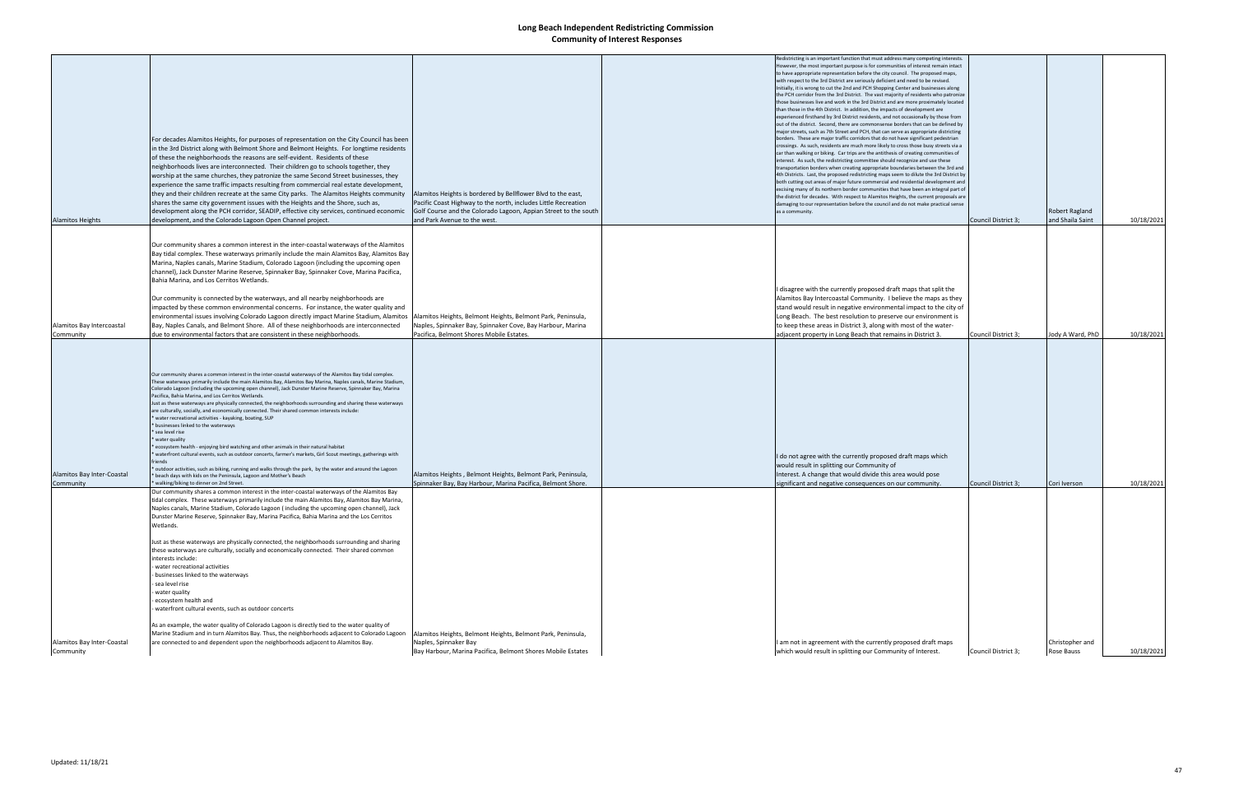|                                         |                                                                                                                                                                                                                                                                                                                                                                                                                                                                                                                                                                                                                                                                                                                                                                                                                                                                                                                                                                                                                                                                                                                                                                                                               |                                                                                                                            | Redistricting is an important function that must address many competing interests.                                                                                                                                                |                     |                  |            |
|-----------------------------------------|---------------------------------------------------------------------------------------------------------------------------------------------------------------------------------------------------------------------------------------------------------------------------------------------------------------------------------------------------------------------------------------------------------------------------------------------------------------------------------------------------------------------------------------------------------------------------------------------------------------------------------------------------------------------------------------------------------------------------------------------------------------------------------------------------------------------------------------------------------------------------------------------------------------------------------------------------------------------------------------------------------------------------------------------------------------------------------------------------------------------------------------------------------------------------------------------------------------|----------------------------------------------------------------------------------------------------------------------------|-----------------------------------------------------------------------------------------------------------------------------------------------------------------------------------------------------------------------------------|---------------------|------------------|------------|
|                                         |                                                                                                                                                                                                                                                                                                                                                                                                                                                                                                                                                                                                                                                                                                                                                                                                                                                                                                                                                                                                                                                                                                                                                                                                               |                                                                                                                            | However, the most important purpose is for communities of interest remain intact                                                                                                                                                  |                     |                  |            |
|                                         |                                                                                                                                                                                                                                                                                                                                                                                                                                                                                                                                                                                                                                                                                                                                                                                                                                                                                                                                                                                                                                                                                                                                                                                                               |                                                                                                                            | to have appropriate representation before the city council. The proposed maps,                                                                                                                                                    |                     |                  |            |
|                                         |                                                                                                                                                                                                                                                                                                                                                                                                                                                                                                                                                                                                                                                                                                                                                                                                                                                                                                                                                                                                                                                                                                                                                                                                               |                                                                                                                            | with respect to the 3rd District are seriously deficient and need to be revised.                                                                                                                                                  |                     |                  |            |
|                                         |                                                                                                                                                                                                                                                                                                                                                                                                                                                                                                                                                                                                                                                                                                                                                                                                                                                                                                                                                                                                                                                                                                                                                                                                               |                                                                                                                            | Initially, it is wrong to cut the 2nd and PCH Shopping Center and businesses along                                                                                                                                                |                     |                  |            |
|                                         |                                                                                                                                                                                                                                                                                                                                                                                                                                                                                                                                                                                                                                                                                                                                                                                                                                                                                                                                                                                                                                                                                                                                                                                                               |                                                                                                                            | the PCH corridor from the 3rd District. The vast majority of residents who patronize                                                                                                                                              |                     |                  |            |
|                                         |                                                                                                                                                                                                                                                                                                                                                                                                                                                                                                                                                                                                                                                                                                                                                                                                                                                                                                                                                                                                                                                                                                                                                                                                               |                                                                                                                            | those businesses live and work in the 3rd District and are more proximately located                                                                                                                                               |                     |                  |            |
|                                         |                                                                                                                                                                                                                                                                                                                                                                                                                                                                                                                                                                                                                                                                                                                                                                                                                                                                                                                                                                                                                                                                                                                                                                                                               |                                                                                                                            | than those in the 4th District. In addition, the impacts of development are                                                                                                                                                       |                     |                  |            |
|                                         |                                                                                                                                                                                                                                                                                                                                                                                                                                                                                                                                                                                                                                                                                                                                                                                                                                                                                                                                                                                                                                                                                                                                                                                                               |                                                                                                                            | experienced firsthand by 3rd District residents, and not occasionally by those from                                                                                                                                               |                     |                  |            |
|                                         |                                                                                                                                                                                                                                                                                                                                                                                                                                                                                                                                                                                                                                                                                                                                                                                                                                                                                                                                                                                                                                                                                                                                                                                                               |                                                                                                                            | out of the district. Second, there are commonsense borders that can be defined by                                                                                                                                                 |                     |                  |            |
|                                         |                                                                                                                                                                                                                                                                                                                                                                                                                                                                                                                                                                                                                                                                                                                                                                                                                                                                                                                                                                                                                                                                                                                                                                                                               |                                                                                                                            | major streets, such as 7th Street and PCH, that can serve as appropriate districting                                                                                                                                              |                     |                  |            |
|                                         | For decades Alamitos Heights, for purposes of representation on the City Council has been                                                                                                                                                                                                                                                                                                                                                                                                                                                                                                                                                                                                                                                                                                                                                                                                                                                                                                                                                                                                                                                                                                                     |                                                                                                                            | borders. These are major traffic corridors that do not have significant pedestrian                                                                                                                                                |                     |                  |            |
|                                         |                                                                                                                                                                                                                                                                                                                                                                                                                                                                                                                                                                                                                                                                                                                                                                                                                                                                                                                                                                                                                                                                                                                                                                                                               |                                                                                                                            | crossings. As such, residents are much more likely to cross those busy streets via a                                                                                                                                              |                     |                  |            |
|                                         | in the 3rd District along with Belmont Shore and Belmont Heights. For longtime residents                                                                                                                                                                                                                                                                                                                                                                                                                                                                                                                                                                                                                                                                                                                                                                                                                                                                                                                                                                                                                                                                                                                      |                                                                                                                            | car than walking or biking. Car trips are the antithesis of creating communities of                                                                                                                                               |                     |                  |            |
|                                         | of these the neighborhoods the reasons are self-evident. Residents of these                                                                                                                                                                                                                                                                                                                                                                                                                                                                                                                                                                                                                                                                                                                                                                                                                                                                                                                                                                                                                                                                                                                                   |                                                                                                                            | interest. As such, the redistricting committee should recognize and use these                                                                                                                                                     |                     |                  |            |
|                                         | neighborhoods lives are interconnected. Their children go to schools together, they                                                                                                                                                                                                                                                                                                                                                                                                                                                                                                                                                                                                                                                                                                                                                                                                                                                                                                                                                                                                                                                                                                                           |                                                                                                                            | transportation borders when creating appropriate boundaries between the 3rd and                                                                                                                                                   |                     |                  |            |
|                                         |                                                                                                                                                                                                                                                                                                                                                                                                                                                                                                                                                                                                                                                                                                                                                                                                                                                                                                                                                                                                                                                                                                                                                                                                               |                                                                                                                            |                                                                                                                                                                                                                                   |                     |                  |            |
|                                         | worship at the same churches, they patronize the same Second Street businesses, they                                                                                                                                                                                                                                                                                                                                                                                                                                                                                                                                                                                                                                                                                                                                                                                                                                                                                                                                                                                                                                                                                                                          |                                                                                                                            | 4th Districts. Last, the proposed redistricting maps seem to dilute the 3rd District by                                                                                                                                           |                     |                  |            |
|                                         | experience the same traffic impacts resulting from commercial real estate development,                                                                                                                                                                                                                                                                                                                                                                                                                                                                                                                                                                                                                                                                                                                                                                                                                                                                                                                                                                                                                                                                                                                        |                                                                                                                            | both cutting out areas of major future commercial and residential development and                                                                                                                                                 |                     |                  |            |
|                                         | they and their children recreate at the same City parks. The Alamitos Heights community                                                                                                                                                                                                                                                                                                                                                                                                                                                                                                                                                                                                                                                                                                                                                                                                                                                                                                                                                                                                                                                                                                                       | Alamitos Heights is bordered by Bellflower Blvd to the east,                                                               | excising many of its northern border communities that have been an integral part of                                                                                                                                               |                     |                  |            |
|                                         |                                                                                                                                                                                                                                                                                                                                                                                                                                                                                                                                                                                                                                                                                                                                                                                                                                                                                                                                                                                                                                                                                                                                                                                                               |                                                                                                                            | the district for decades. With respect to Alamitos Heights, the current proposals are                                                                                                                                             |                     |                  |            |
|                                         | shares the same city government issues with the Heights and the Shore, such as,                                                                                                                                                                                                                                                                                                                                                                                                                                                                                                                                                                                                                                                                                                                                                                                                                                                                                                                                                                                                                                                                                                                               | Pacific Coast Highway to the north, includes Little Recreation                                                             | damaging to our representation before the council and do not make practical sense                                                                                                                                                 |                     |                  |            |
|                                         | development along the PCH corridor, SEADIP, effective city services, continued economic                                                                                                                                                                                                                                                                                                                                                                                                                                                                                                                                                                                                                                                                                                                                                                                                                                                                                                                                                                                                                                                                                                                       | Golf Course and the Colorado Lagoon, Appian Street to the south                                                            | as a community.                                                                                                                                                                                                                   |                     | Robert Ragland   |            |
| Alamitos Heights                        | development, and the Colorado Lagoon Open Channel project.                                                                                                                                                                                                                                                                                                                                                                                                                                                                                                                                                                                                                                                                                                                                                                                                                                                                                                                                                                                                                                                                                                                                                    | and Park Avenue to the west.                                                                                               |                                                                                                                                                                                                                                   | Council District 3; | and Shaila Saint | 10/18/2021 |
|                                         |                                                                                                                                                                                                                                                                                                                                                                                                                                                                                                                                                                                                                                                                                                                                                                                                                                                                                                                                                                                                                                                                                                                                                                                                               |                                                                                                                            |                                                                                                                                                                                                                                   |                     |                  |            |
|                                         |                                                                                                                                                                                                                                                                                                                                                                                                                                                                                                                                                                                                                                                                                                                                                                                                                                                                                                                                                                                                                                                                                                                                                                                                               |                                                                                                                            |                                                                                                                                                                                                                                   |                     |                  |            |
|                                         | Our community shares a common interest in the inter-coastal waterways of the Alamitos                                                                                                                                                                                                                                                                                                                                                                                                                                                                                                                                                                                                                                                                                                                                                                                                                                                                                                                                                                                                                                                                                                                         |                                                                                                                            |                                                                                                                                                                                                                                   |                     |                  |            |
|                                         |                                                                                                                                                                                                                                                                                                                                                                                                                                                                                                                                                                                                                                                                                                                                                                                                                                                                                                                                                                                                                                                                                                                                                                                                               |                                                                                                                            |                                                                                                                                                                                                                                   |                     |                  |            |
|                                         | Bay tidal complex. These waterways primarily include the main Alamitos Bay, Alamitos Bay                                                                                                                                                                                                                                                                                                                                                                                                                                                                                                                                                                                                                                                                                                                                                                                                                                                                                                                                                                                                                                                                                                                      |                                                                                                                            |                                                                                                                                                                                                                                   |                     |                  |            |
|                                         | Marina, Naples canals, Marine Stadium, Colorado Lagoon (including the upcoming open                                                                                                                                                                                                                                                                                                                                                                                                                                                                                                                                                                                                                                                                                                                                                                                                                                                                                                                                                                                                                                                                                                                           |                                                                                                                            |                                                                                                                                                                                                                                   |                     |                  |            |
|                                         | channel), Jack Dunster Marine Reserve, Spinnaker Bay, Spinnaker Cove, Marina Pacifica,                                                                                                                                                                                                                                                                                                                                                                                                                                                                                                                                                                                                                                                                                                                                                                                                                                                                                                                                                                                                                                                                                                                        |                                                                                                                            |                                                                                                                                                                                                                                   |                     |                  |            |
|                                         | Bahia Marina, and Los Cerritos Wetlands.                                                                                                                                                                                                                                                                                                                                                                                                                                                                                                                                                                                                                                                                                                                                                                                                                                                                                                                                                                                                                                                                                                                                                                      |                                                                                                                            |                                                                                                                                                                                                                                   |                     |                  |            |
|                                         |                                                                                                                                                                                                                                                                                                                                                                                                                                                                                                                                                                                                                                                                                                                                                                                                                                                                                                                                                                                                                                                                                                                                                                                                               |                                                                                                                            |                                                                                                                                                                                                                                   |                     |                  |            |
|                                         |                                                                                                                                                                                                                                                                                                                                                                                                                                                                                                                                                                                                                                                                                                                                                                                                                                                                                                                                                                                                                                                                                                                                                                                                               |                                                                                                                            | disagree with the currently proposed draft maps that split the                                                                                                                                                                    |                     |                  |            |
|                                         | Our community is connected by the waterways, and all nearby neighborhoods are                                                                                                                                                                                                                                                                                                                                                                                                                                                                                                                                                                                                                                                                                                                                                                                                                                                                                                                                                                                                                                                                                                                                 |                                                                                                                            | Alamitos Bay Intercoastal Community. I believe the maps as they                                                                                                                                                                   |                     |                  |            |
|                                         |                                                                                                                                                                                                                                                                                                                                                                                                                                                                                                                                                                                                                                                                                                                                                                                                                                                                                                                                                                                                                                                                                                                                                                                                               |                                                                                                                            |                                                                                                                                                                                                                                   |                     |                  |            |
|                                         | impacted by these common environmental concerns. For instance, the water quality and                                                                                                                                                                                                                                                                                                                                                                                                                                                                                                                                                                                                                                                                                                                                                                                                                                                                                                                                                                                                                                                                                                                          |                                                                                                                            | stand would result in negative environmental impact to the city of                                                                                                                                                                |                     |                  |            |
|                                         | environmental issues involving Colorado Lagoon directly impact Marine Stadium, Alamitos                                                                                                                                                                                                                                                                                                                                                                                                                                                                                                                                                                                                                                                                                                                                                                                                                                                                                                                                                                                                                                                                                                                       | Alamitos Heights, Belmont Heights, Belmont Park, Peninsula,                                                                | Long Beach. The best resolution to preserve our environment is                                                                                                                                                                    |                     |                  |            |
| Alamitos Bay Intercoastal               | Bay, Naples Canals, and Belmont Shore. All of these neighborhoods are interconnected                                                                                                                                                                                                                                                                                                                                                                                                                                                                                                                                                                                                                                                                                                                                                                                                                                                                                                                                                                                                                                                                                                                          | Naples, Spinnaker Bay, Spinnaker Cove, Bay Harbour, Marina                                                                 | to keep these areas in District 3, along with most of the water-                                                                                                                                                                  |                     |                  |            |
| Community                               | due to environmental factors that are consistent in these neighborhoods.                                                                                                                                                                                                                                                                                                                                                                                                                                                                                                                                                                                                                                                                                                                                                                                                                                                                                                                                                                                                                                                                                                                                      | Pacifica, Belmont Shores Mobile Estates.                                                                                   | adjacent property in Long Beach that remains in District 3.                                                                                                                                                                       | Council District 3; | Jody A Ward, PhD | 10/18/2021 |
|                                         |                                                                                                                                                                                                                                                                                                                                                                                                                                                                                                                                                                                                                                                                                                                                                                                                                                                                                                                                                                                                                                                                                                                                                                                                               |                                                                                                                            |                                                                                                                                                                                                                                   |                     |                  |            |
| Alamitos Bay Inter-Coastal<br>Community | Our community shares a common interest in the inter-coastal waterways of the Alamitos Bay tidal complex.<br>These waterways primarily include the main Alamitos Bay, Alamitos Bay Marina, Naples canals, Marine Stadium,<br>Colorado Lagoon (including the upcoming open channel), Jack Dunster Marine Reserve, Spinnaker Bay, Marina<br>Pacifica, Bahia Marina, and Los Cerritos Wetlands.<br>Just as these waterways are physically connected, the neighborhoods surrounding and sharing these waterways<br>are culturally, socially, and economically connected. Their shared common interests include:<br>water recreational activities - kayaking, boating, SUP<br>* businesses linked to the waterways<br>* sea level rise<br>* water quality<br>* ecosystem health - enjoying bird watching and other animals in their natural habitat<br>* waterfront cultural events, such as outdoor concerts, farmer's markets, Girl Scout meetings, gatherings with<br>friends<br>* outdoor activities, such as biking, running and walks through the park, by the water and around the Lagoon<br>* beach days with kids on the Peninsula, Lagoon and Mother's Beach<br>* walking/biking to dinner on 2nd Street. | Alamitos Heights, Belmont Heights, Belmont Park, Peninsula,<br>Spinnaker Bay, Bay Harbour, Marina Pacifica, Belmont Shore. | I do not agree with the currently proposed draft maps which<br>would result in splitting our Community of<br>Interest. A change that would divide this area would pose<br>significant and negative consequences on our community. | Council District 3; | Cori Iverson     | 10/18/2021 |
|                                         | Our community shares a common interest in the inter-coastal waterways of the Alamitos Bay                                                                                                                                                                                                                                                                                                                                                                                                                                                                                                                                                                                                                                                                                                                                                                                                                                                                                                                                                                                                                                                                                                                     |                                                                                                                            |                                                                                                                                                                                                                                   |                     |                  |            |
|                                         | tidal complex. These waterways primarily include the main Alamitos Bay, Alamitos Bay Marina,<br>Naples canals, Marine Stadium, Colorado Lagoon (including the upcoming open channel), Jack<br>Dunster Marine Reserve, Spinnaker Bay, Marina Pacifica, Bahia Marina and the Los Cerritos<br>Wetlands.                                                                                                                                                                                                                                                                                                                                                                                                                                                                                                                                                                                                                                                                                                                                                                                                                                                                                                          |                                                                                                                            |                                                                                                                                                                                                                                   |                     |                  |            |
|                                         | Just as these waterways are physically connected, the neighborhoods surrounding and sharing<br>these waterways are culturally, socially and economically connected. Their shared common                                                                                                                                                                                                                                                                                                                                                                                                                                                                                                                                                                                                                                                                                                                                                                                                                                                                                                                                                                                                                       |                                                                                                                            |                                                                                                                                                                                                                                   |                     |                  |            |
|                                         | interests include:                                                                                                                                                                                                                                                                                                                                                                                                                                                                                                                                                                                                                                                                                                                                                                                                                                                                                                                                                                                                                                                                                                                                                                                            |                                                                                                                            |                                                                                                                                                                                                                                   |                     |                  |            |
|                                         | water recreational activities                                                                                                                                                                                                                                                                                                                                                                                                                                                                                                                                                                                                                                                                                                                                                                                                                                                                                                                                                                                                                                                                                                                                                                                 |                                                                                                                            |                                                                                                                                                                                                                                   |                     |                  |            |
|                                         | businesses linked to the waterways                                                                                                                                                                                                                                                                                                                                                                                                                                                                                                                                                                                                                                                                                                                                                                                                                                                                                                                                                                                                                                                                                                                                                                            |                                                                                                                            |                                                                                                                                                                                                                                   |                     |                  |            |
|                                         | sea level rise                                                                                                                                                                                                                                                                                                                                                                                                                                                                                                                                                                                                                                                                                                                                                                                                                                                                                                                                                                                                                                                                                                                                                                                                |                                                                                                                            |                                                                                                                                                                                                                                   |                     |                  |            |
|                                         |                                                                                                                                                                                                                                                                                                                                                                                                                                                                                                                                                                                                                                                                                                                                                                                                                                                                                                                                                                                                                                                                                                                                                                                                               |                                                                                                                            |                                                                                                                                                                                                                                   |                     |                  |            |
|                                         | water quality                                                                                                                                                                                                                                                                                                                                                                                                                                                                                                                                                                                                                                                                                                                                                                                                                                                                                                                                                                                                                                                                                                                                                                                                 |                                                                                                                            |                                                                                                                                                                                                                                   |                     |                  |            |
|                                         | ecosystem health and                                                                                                                                                                                                                                                                                                                                                                                                                                                                                                                                                                                                                                                                                                                                                                                                                                                                                                                                                                                                                                                                                                                                                                                          |                                                                                                                            |                                                                                                                                                                                                                                   |                     |                  |            |
|                                         | waterfront cultural events, such as outdoor concerts                                                                                                                                                                                                                                                                                                                                                                                                                                                                                                                                                                                                                                                                                                                                                                                                                                                                                                                                                                                                                                                                                                                                                          |                                                                                                                            |                                                                                                                                                                                                                                   |                     |                  |            |
|                                         |                                                                                                                                                                                                                                                                                                                                                                                                                                                                                                                                                                                                                                                                                                                                                                                                                                                                                                                                                                                                                                                                                                                                                                                                               |                                                                                                                            |                                                                                                                                                                                                                                   |                     |                  |            |
|                                         | As an example, the water quality of Colorado Lagoon is directly tied to the water quality of                                                                                                                                                                                                                                                                                                                                                                                                                                                                                                                                                                                                                                                                                                                                                                                                                                                                                                                                                                                                                                                                                                                  |                                                                                                                            |                                                                                                                                                                                                                                   |                     |                  |            |
|                                         | Marine Stadium and in turn Alamitos Bay. Thus, the neighborhoods adjacent to Colorado Lagoon                                                                                                                                                                                                                                                                                                                                                                                                                                                                                                                                                                                                                                                                                                                                                                                                                                                                                                                                                                                                                                                                                                                  | Alamitos Heights, Belmont Heights, Belmont Park, Peninsula,                                                                |                                                                                                                                                                                                                                   |                     |                  |            |
|                                         | are connected to and dependent upon the neighborhoods adjacent to Alamitos Bay.                                                                                                                                                                                                                                                                                                                                                                                                                                                                                                                                                                                                                                                                                                                                                                                                                                                                                                                                                                                                                                                                                                                               |                                                                                                                            |                                                                                                                                                                                                                                   |                     |                  |            |
| Alamitos Bay Inter-Coastal              |                                                                                                                                                                                                                                                                                                                                                                                                                                                                                                                                                                                                                                                                                                                                                                                                                                                                                                                                                                                                                                                                                                                                                                                                               | Naples, Spinnaker Bay                                                                                                      | I am not in agreement with the currently proposed draft maps                                                                                                                                                                      |                     | Christopher and  |            |
| Community                               |                                                                                                                                                                                                                                                                                                                                                                                                                                                                                                                                                                                                                                                                                                                                                                                                                                                                                                                                                                                                                                                                                                                                                                                                               | Bay Harbour, Marina Pacifica, Belmont Shores Mobile Estates                                                                | which would result in splitting our Community of Interest.                                                                                                                                                                        | Council District 3; | Rose Bauss       | 10/18/2021 |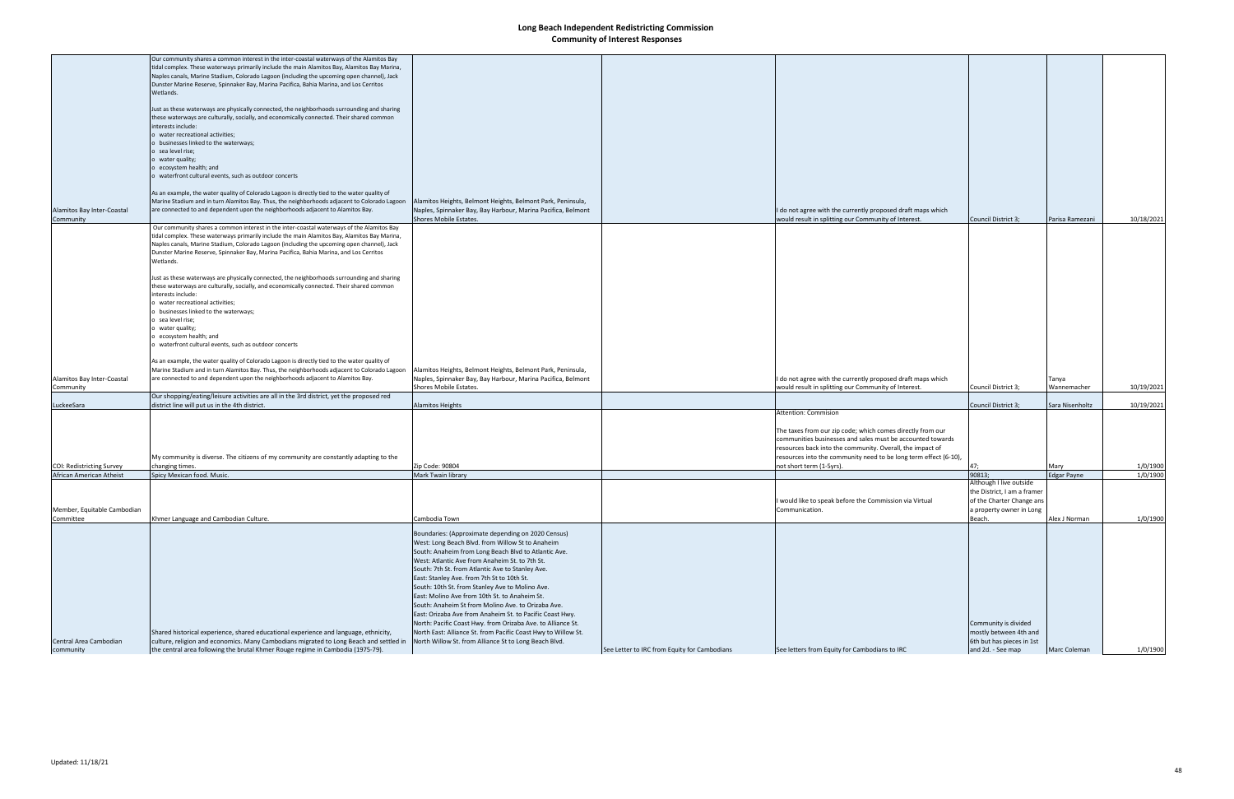|                                  | Our community shares a common interest in the inter-coastal waterways of the Alamitos Bay    |                                                               |                                              |                                                                  |                             |                    |            |
|----------------------------------|----------------------------------------------------------------------------------------------|---------------------------------------------------------------|----------------------------------------------|------------------------------------------------------------------|-----------------------------|--------------------|------------|
|                                  | tidal complex. These waterways primarily include the main Alamitos Bay, Alamitos Bay Marina, |                                                               |                                              |                                                                  |                             |                    |            |
|                                  | Naples canals, Marine Stadium, Colorado Lagoon (including the upcoming open channel), Jack   |                                                               |                                              |                                                                  |                             |                    |            |
|                                  | Dunster Marine Reserve, Spinnaker Bay, Marina Pacifica, Bahia Marina, and Los Cerritos       |                                                               |                                              |                                                                  |                             |                    |            |
|                                  | Wetlands.                                                                                    |                                                               |                                              |                                                                  |                             |                    |            |
|                                  |                                                                                              |                                                               |                                              |                                                                  |                             |                    |            |
|                                  | Just as these waterways are physically connected, the neighborhoods surrounding and sharing  |                                                               |                                              |                                                                  |                             |                    |            |
|                                  | these waterways are culturally, socially, and economically connected. Their shared common    |                                                               |                                              |                                                                  |                             |                    |            |
|                                  | interests include:                                                                           |                                                               |                                              |                                                                  |                             |                    |            |
|                                  | o water recreational activities;                                                             |                                                               |                                              |                                                                  |                             |                    |            |
|                                  | o businesses linked to the waterways;                                                        |                                                               |                                              |                                                                  |                             |                    |            |
|                                  | o sea level rise;                                                                            |                                                               |                                              |                                                                  |                             |                    |            |
|                                  | o water quality;                                                                             |                                                               |                                              |                                                                  |                             |                    |            |
|                                  | o ecosystem health; and                                                                      |                                                               |                                              |                                                                  |                             |                    |            |
|                                  | o waterfront cultural events, such as outdoor concerts                                       |                                                               |                                              |                                                                  |                             |                    |            |
|                                  |                                                                                              |                                                               |                                              |                                                                  |                             |                    |            |
|                                  | As an example, the water quality of Colorado Lagoon is directly tied to the water quality of |                                                               |                                              |                                                                  |                             |                    |            |
|                                  | Marine Stadium and in turn Alamitos Bay. Thus, the neighborhoods adjacent to Colorado Lagoon | Alamitos Heights, Belmont Heights, Belmont Park, Peninsula,   |                                              |                                                                  |                             |                    |            |
| Alamitos Bay Inter-Coastal       | are connected to and dependent upon the neighborhoods adjacent to Alamitos Bay.              | Naples, Spinnaker Bay, Bay Harbour, Marina Pacifica, Belmont  |                                              | I do not agree with the currently proposed draft maps which      |                             |                    |            |
|                                  |                                                                                              | Shores Mobile Estates.                                        |                                              |                                                                  |                             |                    | 10/18/2021 |
| Community                        |                                                                                              |                                                               |                                              | would result in splitting our Community of Interest.             | Council District 3;         | Parisa Ramezani    |            |
|                                  | Our community shares a common interest in the inter-coastal waterways of the Alamitos Bay    |                                                               |                                              |                                                                  |                             |                    |            |
|                                  | tidal complex. These waterways primarily include the main Alamitos Bay, Alamitos Bay Marina, |                                                               |                                              |                                                                  |                             |                    |            |
|                                  | Naples canals, Marine Stadium, Colorado Lagoon (including the upcoming open channel), Jack   |                                                               |                                              |                                                                  |                             |                    |            |
|                                  | Dunster Marine Reserve, Spinnaker Bay, Marina Pacifica, Bahia Marina, and Los Cerritos       |                                                               |                                              |                                                                  |                             |                    |            |
|                                  | Wetlands.                                                                                    |                                                               |                                              |                                                                  |                             |                    |            |
|                                  |                                                                                              |                                                               |                                              |                                                                  |                             |                    |            |
|                                  | Just as these waterways are physically connected, the neighborhoods surrounding and sharing  |                                                               |                                              |                                                                  |                             |                    |            |
|                                  | these waterways are culturally, socially, and economically connected. Their shared common    |                                                               |                                              |                                                                  |                             |                    |            |
|                                  | interests include:                                                                           |                                                               |                                              |                                                                  |                             |                    |            |
|                                  | o water recreational activities;                                                             |                                                               |                                              |                                                                  |                             |                    |            |
|                                  | o businesses linked to the waterways;                                                        |                                                               |                                              |                                                                  |                             |                    |            |
|                                  | o sea level rise;                                                                            |                                                               |                                              |                                                                  |                             |                    |            |
|                                  | o water quality;                                                                             |                                                               |                                              |                                                                  |                             |                    |            |
|                                  | o ecosystem health; and                                                                      |                                                               |                                              |                                                                  |                             |                    |            |
|                                  | o waterfront cultural events, such as outdoor concerts                                       |                                                               |                                              |                                                                  |                             |                    |            |
|                                  |                                                                                              |                                                               |                                              |                                                                  |                             |                    |            |
|                                  | As an example, the water quality of Colorado Lagoon is directly tied to the water quality of |                                                               |                                              |                                                                  |                             |                    |            |
|                                  | Marine Stadium and in turn Alamitos Bay. Thus, the neighborhoods adjacent to Colorado Lagoon | Alamitos Heights, Belmont Heights, Belmont Park, Peninsula,   |                                              |                                                                  |                             |                    |            |
| Alamitos Bay Inter-Coastal       | are connected to and dependent upon the neighborhoods adjacent to Alamitos Bay.              | Naples, Spinnaker Bay, Bay Harbour, Marina Pacifica, Belmont  |                                              | I do not agree with the currently proposed draft maps which      |                             | Tanya              |            |
| Community                        |                                                                                              | Shores Mobile Estates.                                        |                                              | would result in splitting our Community of Interest.             | Council District 3;         | Wannemacher        | 10/19/2021 |
|                                  | Our shopping/eating/leisure activities are all in the 3rd district, yet the proposed red     |                                                               |                                              |                                                                  |                             |                    |            |
| LuckeeSara                       | district line will put us in the 4th district.                                               | Alamitos Heights                                              |                                              |                                                                  | Council District 3;         | Sara Nisenholtz    | 10/19/2021 |
|                                  |                                                                                              |                                                               |                                              | Attention: Commision                                             |                             |                    |            |
|                                  |                                                                                              |                                                               |                                              |                                                                  |                             |                    |            |
|                                  |                                                                                              |                                                               |                                              | The taxes from our zip code; which comes directly from our       |                             |                    |            |
|                                  |                                                                                              |                                                               |                                              | communities businesses and sales must be accounted towards       |                             |                    |            |
|                                  |                                                                                              |                                                               |                                              | resources back into the community. Overall, the impact of        |                             |                    |            |
|                                  | My community is diverse. The citizens of my community are constantly adapting to the         |                                                               |                                              | resources into the community need to be long term effect (6-10), |                             |                    |            |
| <b>COI: Redistricting Survey</b> | changing times.                                                                              | Zip Code: 90804                                               |                                              | not short term (1-5yrs).                                         |                             | Mary               | 1/0/1900   |
| African American Atheist         | Spicy Mexican food. Music.                                                                   | Mark Twain library                                            |                                              |                                                                  | 90813;                      | <b>Edgar Payne</b> | 1/0/1900   |
|                                  |                                                                                              |                                                               |                                              |                                                                  | Although I live outside     |                    |            |
|                                  |                                                                                              |                                                               |                                              |                                                                  | the District, I am a framer |                    |            |
|                                  |                                                                                              |                                                               |                                              | I would like to speak before the Commission via Virtual          |                             |                    |            |
|                                  |                                                                                              |                                                               |                                              |                                                                  | of the Charter Change ans   |                    |            |
| Member, Equitable Cambodian      |                                                                                              |                                                               |                                              | Communication.                                                   | a property owner in Long    |                    |            |
| Committee                        | Khmer Language and Cambodian Culture.                                                        | Cambodia Town                                                 |                                              |                                                                  | Beach.                      | Alex J Norman      | 1/0/1900   |
|                                  |                                                                                              |                                                               |                                              |                                                                  |                             |                    |            |
|                                  |                                                                                              | Boundaries: (Approximate depending on 2020 Census)            |                                              |                                                                  |                             |                    |            |
|                                  |                                                                                              | West: Long Beach Blvd. from Willow St to Anaheim              |                                              |                                                                  |                             |                    |            |
|                                  |                                                                                              | South: Anaheim from Long Beach Blvd to Atlantic Ave.          |                                              |                                                                  |                             |                    |            |
|                                  |                                                                                              | West: Atlantic Ave from Anaheim St. to 7th St.                |                                              |                                                                  |                             |                    |            |
|                                  |                                                                                              | South: 7th St. from Atlantic Ave to Stanley Ave.              |                                              |                                                                  |                             |                    |            |
|                                  |                                                                                              | East: Stanley Ave. from 7th St to 10th St.                    |                                              |                                                                  |                             |                    |            |
|                                  |                                                                                              | South: 10th St. from Stanley Ave to Molino Ave.               |                                              |                                                                  |                             |                    |            |
|                                  |                                                                                              | East: Molino Ave from 10th St. to Anaheim St.                 |                                              |                                                                  |                             |                    |            |
|                                  |                                                                                              | South: Anaheim St from Molino Ave. to Orizaba Ave.            |                                              |                                                                  |                             |                    |            |
|                                  |                                                                                              | East: Orizaba Ave from Anaheim St. to Pacific Coast Hwy.      |                                              |                                                                  |                             |                    |            |
|                                  |                                                                                              |                                                               |                                              |                                                                  |                             |                    |            |
|                                  |                                                                                              | North: Pacific Coast Hwy. from Orizaba Ave. to Alliance St.   |                                              |                                                                  | Community is divided        |                    |            |
|                                  | Shared historical experience, shared educational experience and language, ethnicity,         | North East: Alliance St. from Pacific Coast Hwy to Willow St. |                                              |                                                                  | mostly between 4th and      |                    |            |
| Central Area Cambodian           | culture, religion and economics. Many Cambodians migrated to Long Beach and settled in       | North Willow St. from Alliance St to Long Beach Blvd.         |                                              |                                                                  | 6th but has pieces in 1st   |                    |            |
| community                        | the central area following the brutal Khmer Rouge regime in Cambodia (1975-79).              |                                                               | See Letter to IRC from Equity for Cambodians | See letters from Equity for Cambodians to IRC                    | and 2d. - See map           | Marc Coleman       | 1/0/1900   |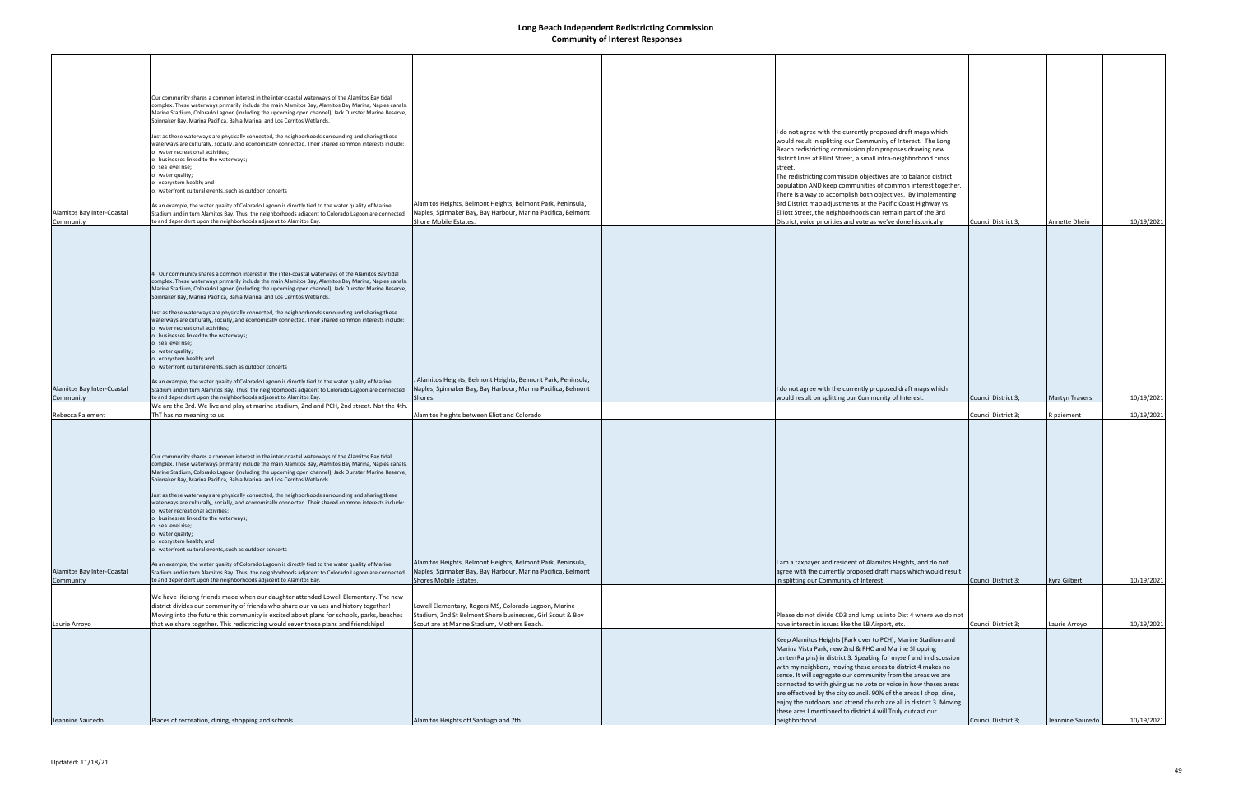| Alamitos Bay Inter-Coastal<br>Community | Our community shares a common interest in the inter-coastal waterways of the Alamitos Bay tidal<br>complex. These waterways primarily include the main Alamitos Bay, Alamitos Bay Marina, Naples canals,<br>Marine Stadium, Colorado Lagoon (including the upcoming open channel), Jack Dunster Marine Reserve,<br>Spinnaker Bay, Marina Pacifica, Bahia Marina, and Los Cerritos Wetlands.<br>Just as these waterways are physically connected, the neighborhoods surrounding and sharing these<br>waterways are culturally, socially, and economically connected. Their shared common interests include:<br>o water recreational activities;<br>businesses linked to the waterways;<br>o sea level rise;<br>o water quality;<br>o ecosystem health; and<br>o waterfront cultural events, such as outdoor concerts<br>As an example, the water quality of Colorado Lagoon is directly tied to the water quality of Marine<br>Stadium and in turn Alamitos Bay. Thus, the neighborhoods adjacent to Colorado Lagoon are connected<br>to and dependent upon the neighborhoods adjacent to Alamitos Bay.                                                                                                   | Alamitos Heights, Belmont Heights, Belmont Park, Peninsula,<br>Naples, Spinnaker Bay, Bay Harbour, Marina Pacifica, Belmont<br>Shore Mobile Estates.               | I do not agree with the currently proposed draft maps which<br>would result in splitting our Community of Interest. The Long<br>Beach redistricting commission plan proposes drawing new<br>district lines at Elliot Street, a small intra-neighborhood cross<br>street.<br>The redistricting commission objectives are to balance district<br>population AND keep communities of common interest together.<br>There is a way to accomplish both objectives. By implementing<br>3rd District map adjustments at the Pacific Coast Highway vs.<br>Elliott Street, the neighborhoods can remain part of the 3rd<br>District, voice priorities and vote as we've done historically. | Council District 3; | Annette Dhein         | 10/19/2021 |
|-----------------------------------------|----------------------------------------------------------------------------------------------------------------------------------------------------------------------------------------------------------------------------------------------------------------------------------------------------------------------------------------------------------------------------------------------------------------------------------------------------------------------------------------------------------------------------------------------------------------------------------------------------------------------------------------------------------------------------------------------------------------------------------------------------------------------------------------------------------------------------------------------------------------------------------------------------------------------------------------------------------------------------------------------------------------------------------------------------------------------------------------------------------------------------------------------------------------------------------------------------------|--------------------------------------------------------------------------------------------------------------------------------------------------------------------|----------------------------------------------------------------------------------------------------------------------------------------------------------------------------------------------------------------------------------------------------------------------------------------------------------------------------------------------------------------------------------------------------------------------------------------------------------------------------------------------------------------------------------------------------------------------------------------------------------------------------------------------------------------------------------|---------------------|-----------------------|------------|
| Alamitos Bay Inter-Coastal<br>Community | 4. Our community shares a common interest in the inter-coastal waterways of the Alamitos Bay tidal<br>complex. These waterways primarily include the main Alamitos Bay, Alamitos Bay Marina, Naples canals,<br>Marine Stadium, Colorado Lagoon (including the upcoming open channel), Jack Dunster Marine Reserve,<br>Spinnaker Bay, Marina Pacifica, Bahia Marina, and Los Cerritos Wetlands.<br>Just as these waterways are physically connected, the neighborhoods surrounding and sharing these<br>waterways are culturally, socially, and economically connected. Their shared common interests include:<br>o water recreational activities;<br>o businesses linked to the waterways;<br>o sea level rise;<br>o water quality;<br>o ecosystem health; and<br>o waterfront cultural events, such as outdoor concerts<br>As an example, the water quality of Colorado Lagoon is directly tied to the water quality of Marine<br>Stadium and in turn Alamitos Bay. Thus, the neighborhoods adjacent to Colorado Lagoon are connected<br>to and dependent upon the neighborhoods adjacent to Alamitos Bay.<br>We are the 3rd. We live and play at marine stadium, 2nd and PCH, 2nd street. Not the 4th. | Alamitos Heights, Belmont Heights, Belmont Park, Peninsula,<br>Naples, Spinnaker Bay, Bay Harbour, Marina Pacifica, Belmont<br>Shores.                             | I do not agree with the currently proposed draft maps which<br>would result on splitting our Community of Interest.                                                                                                                                                                                                                                                                                                                                                                                                                                                                                                                                                              | Council District 3; | <b>Martyn Travers</b> | 10/19/2021 |
| Rebecca Paiement                        | ThT has no meaning to us.                                                                                                                                                                                                                                                                                                                                                                                                                                                                                                                                                                                                                                                                                                                                                                                                                                                                                                                                                                                                                                                                                                                                                                                | Alamitos heights between Eliot and Colorado                                                                                                                        |                                                                                                                                                                                                                                                                                                                                                                                                                                                                                                                                                                                                                                                                                  | Council District 3; | R paiement            | 10/19/2021 |
| Alamitos Bay Inter-Coastal<br>Community | Our community shares a common interest in the inter-coastal waterways of the Alamitos Bay tidal<br>complex. These waterways primarily include the main Alamitos Bay, Alamitos Bay Marina, Naples canals,<br>Marine Stadium, Colorado Lagoon (including the upcoming open channel), Jack Dunster Marine Reserve,<br>Spinnaker Bay, Marina Pacifica, Bahia Marina, and Los Cerritos Wetlands.<br>Just as these waterways are physically connected, the neighborhoods surrounding and sharing these<br>waterways are culturally, socially, and economically connected. Their shared common interests include:<br>o water recreational activities;<br>o businesses linked to the waterways;<br>o sea level rise;<br>o water quality;<br>o ecosystem health; and<br>o waterfront cultural events, such as outdoor concerts<br>As an example, the water quality of Colorado Lagoon is directly tied to the water quality of Marine<br>Stadium and in turn Alamitos Bay. Thus, the neighborhoods adjacent to Colorado Lagoon are connected<br>to and dependent upon the neighborhoods adjacent to Alamitos Bay.                                                                                                 | Alamitos Heights, Belmont Heights, Belmont Park, Peninsula,<br>Naples, Spinnaker Bay, Bay Harbour, Marina Pacifica, Belmont<br>Shores Mobile Estates.              | I am a taxpayer and resident of Alamitos Heights, and do not<br>agree with the currently proposed draft maps which would result<br>in splitting our Community of Interest.                                                                                                                                                                                                                                                                                                                                                                                                                                                                                                       | Council District 3; | Kyra Gilbert          | 10/19/2021 |
|                                         | We have lifelong friends made when our daughter attended Lowell Elementary. The new                                                                                                                                                                                                                                                                                                                                                                                                                                                                                                                                                                                                                                                                                                                                                                                                                                                                                                                                                                                                                                                                                                                      |                                                                                                                                                                    |                                                                                                                                                                                                                                                                                                                                                                                                                                                                                                                                                                                                                                                                                  |                     |                       |            |
| Laurie Arroyo                           | district divides our community of friends who share our values and history together!<br>Moving into the future this community is excited about plans for schools, parks, beaches<br>that we share together. This redistricting would sever those plans and friendships!                                                                                                                                                                                                                                                                                                                                                                                                                                                                                                                                                                                                                                                                                                                                                                                                                                                                                                                                  | Lowell Elementary, Rogers MS, Colorado Lagoon, Marine<br>Stadium, 2nd St Belmont Shore businesses, Girl Scout & Boy<br>Scout are at Marine Stadium, Mothers Beach. | Please do not divide CD3 and lump us into Dist 4 where we do not<br>have interest in issues like the LB Airport, etc.                                                                                                                                                                                                                                                                                                                                                                                                                                                                                                                                                            | Council District 3; | Laurie Arroyo         | 10/19/2021 |
| Jeannine Saucedo                        | Places of recreation, dining, shopping and schools                                                                                                                                                                                                                                                                                                                                                                                                                                                                                                                                                                                                                                                                                                                                                                                                                                                                                                                                                                                                                                                                                                                                                       | Alamitos Heights off Santiago and 7th                                                                                                                              | Keep Alamitos Heights (Park over to PCH), Marine Stadium and<br>Marina Vista Park, new 2nd & PHC and Marine Shopping<br>center(Ralphs) in district 3. Speaking for myself and in discussion<br>with my neighbors, moving these areas to district 4 makes no<br>sense. It will segregate our community from the areas we are<br>connected to with giving us no vote or voice in how theses areas<br>are effectived by the city council. 90% of the areas I shop, dine,<br>enjoy the outdoors and attend church are all in district 3. Moving<br>these ares I mentioned to district 4 will Truly outcast our<br>neighborhood.                                                      | Council District 3; | Jeannine Saucedo      | 10/19/2021 |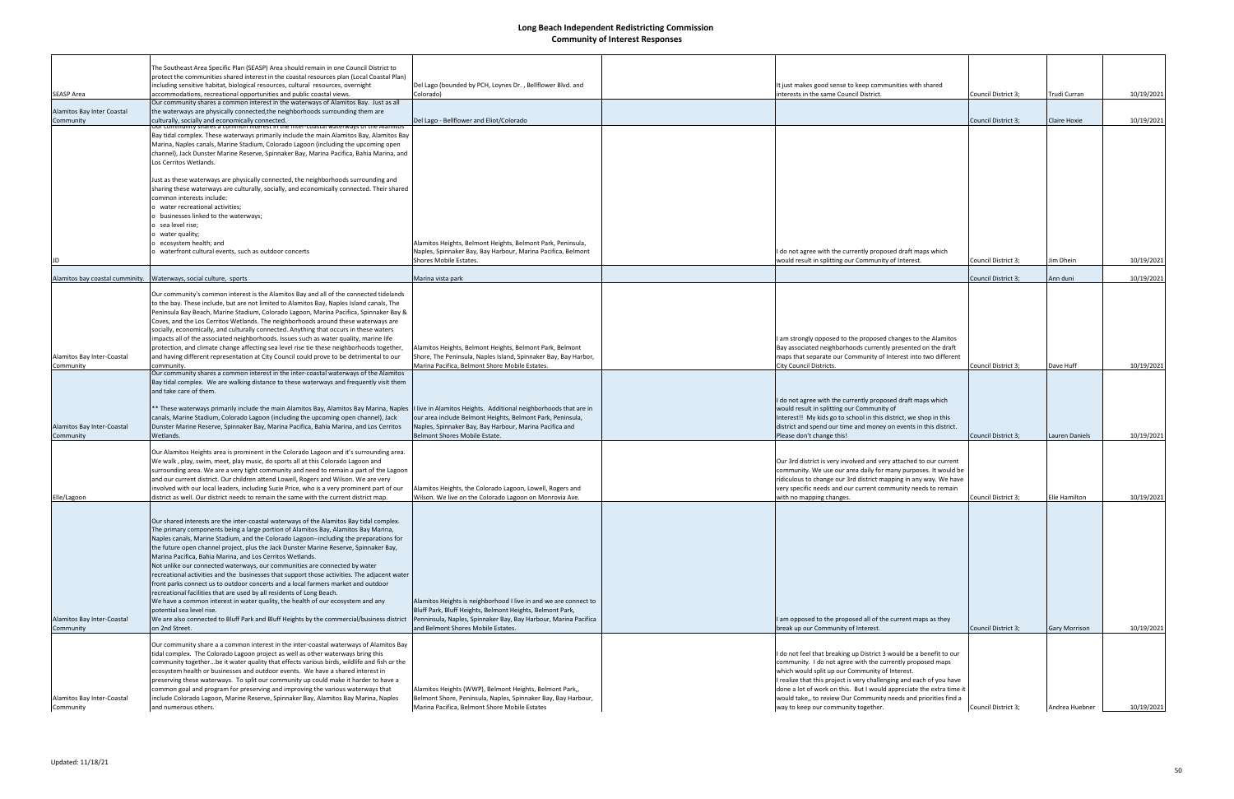|                                 | The Southeast Area Specific Plan (SEASP) Area should remain in one Council District to                                                                                          |                                                                  |                                                                                                                                       |                     |                      |            |
|---------------------------------|---------------------------------------------------------------------------------------------------------------------------------------------------------------------------------|------------------------------------------------------------------|---------------------------------------------------------------------------------------------------------------------------------------|---------------------|----------------------|------------|
|                                 | protect the communities shared interest in the coastal resources plan (Local Coastal Plan)<br>including sensitive habitat, biological resources, cultural resources, overnight  | Del Lago (bounded by PCH, Loynes Dr., Bellflower Blvd. and       | It just makes good sense to keep communities with shared                                                                              |                     |                      |            |
| <b>SEASP Area</b>               | accommodations, recreational opportunities and public coastal views.                                                                                                            | Colorado)                                                        | interests in the same Council District.                                                                                               | Council District 3; | Trudi Curran         | 10/19/2021 |
|                                 | Our community shares a common interest in the waterways of Alamitos Bay. Just as all                                                                                            |                                                                  |                                                                                                                                       |                     |                      |            |
| Alamitos Bay Inter Coastal      | the waterways are physically connected, the neighborhoods surrounding them are                                                                                                  |                                                                  |                                                                                                                                       |                     |                      |            |
| Community                       | culturally, socially and economically connected.                                                                                                                                | Del Lago - Bellflower and Eliot/Colorado                         |                                                                                                                                       | Council District 3; | Claire Hoxie         | 10/19/2021 |
|                                 | Our community shares a common interest in the inter-coastal waterways of the Alamitos                                                                                           |                                                                  |                                                                                                                                       |                     |                      |            |
|                                 | Bay tidal complex. These waterways primarily include the main Alamitos Bay, Alamitos Bay<br>Marina, Naples canals, Marine Stadium, Colorado Lagoon (including the upcoming open |                                                                  |                                                                                                                                       |                     |                      |            |
|                                 | channel), Jack Dunster Marine Reserve, Spinnaker Bay, Marina Pacifica, Bahia Marina, and                                                                                        |                                                                  |                                                                                                                                       |                     |                      |            |
|                                 | Los Cerritos Wetlands.                                                                                                                                                          |                                                                  |                                                                                                                                       |                     |                      |            |
|                                 |                                                                                                                                                                                 |                                                                  |                                                                                                                                       |                     |                      |            |
|                                 | Just as these waterways are physically connected, the neighborhoods surrounding and                                                                                             |                                                                  |                                                                                                                                       |                     |                      |            |
|                                 | sharing these waterways are culturally, socially, and economically connected. Their shared                                                                                      |                                                                  |                                                                                                                                       |                     |                      |            |
|                                 | common interests include:                                                                                                                                                       |                                                                  |                                                                                                                                       |                     |                      |            |
|                                 | water recreational activities;                                                                                                                                                  |                                                                  |                                                                                                                                       |                     |                      |            |
|                                 | businesses linked to the waterways;                                                                                                                                             |                                                                  |                                                                                                                                       |                     |                      |            |
|                                 | sea level rise;                                                                                                                                                                 |                                                                  |                                                                                                                                       |                     |                      |            |
|                                 | water quality;                                                                                                                                                                  |                                                                  |                                                                                                                                       |                     |                      |            |
|                                 | ecosystem health; and                                                                                                                                                           | Alamitos Heights, Belmont Heights, Belmont Park, Peninsula,      |                                                                                                                                       |                     |                      |            |
|                                 | waterfront cultural events, such as outdoor concerts                                                                                                                            | Naples, Spinnaker Bay, Bay Harbour, Marina Pacifica, Belmont     | I do not agree with the currently proposed draft maps which                                                                           |                     |                      |            |
|                                 |                                                                                                                                                                                 | Shores Mobile Estates.                                           | would result in splitting our Community of Interest.                                                                                  | Council District 3; | Jim Dhein            | 10/19/2021 |
|                                 |                                                                                                                                                                                 |                                                                  |                                                                                                                                       |                     |                      |            |
| Alamitos bay coastal cumminity. | Waterways, social culture, sports                                                                                                                                               | Marina vista park                                                |                                                                                                                                       | Council District 3; | Ann duni             | 10/19/2021 |
|                                 | Our community's common interest is the Alamitos Bay and all of the connected tidelands                                                                                          |                                                                  |                                                                                                                                       |                     |                      |            |
|                                 | to the bay. These include, but are not limited to Alamitos Bay, Naples Island canals, The                                                                                       |                                                                  |                                                                                                                                       |                     |                      |            |
|                                 | Peninsula Bay Beach, Marine Stadium, Colorado Lagoon, Marina Pacifica, Spinnaker Bay &                                                                                          |                                                                  |                                                                                                                                       |                     |                      |            |
|                                 | Coves, and the Los Cerritos Wetlands. The neighborhoods around these waterways are                                                                                              |                                                                  |                                                                                                                                       |                     |                      |            |
|                                 | socially, economically, and culturally connected. Anything that occurs in these waters                                                                                          |                                                                  |                                                                                                                                       |                     |                      |            |
|                                 | impacts all of the associated neighborhoods. Issues such as water quality, marine life                                                                                          |                                                                  | am strongly opposed to the proposed changes to the Alamitos                                                                           |                     |                      |            |
|                                 | protection, and climate change affecting sea level rise tie these neighborhoods together,                                                                                       | Alamitos Heights, Belmont Heights, Belmont Park, Belmont         | Bay associated neighborhoods currently presented on the draft                                                                         |                     |                      |            |
| Alamitos Bay Inter-Coastal      | and having different representation at City Council could prove to be detrimental to our                                                                                        | Shore, The Peninsula, Naples Island, Spinnaker Bay, Bay Harbor,  | maps that separate our Community of Interest into two different                                                                       |                     |                      |            |
| Community                       | community.<br>Our community shares a common interest in the inter-coastal waterways of the Alamitos                                                                             | Marina Pacifica, Belmont Shore Mobile Estates.                   | City Council Districts.                                                                                                               | Council District 3; | Dave Huff            | 10/19/2021 |
|                                 | Bay tidal complex. We are walking distance to these waterways and frequently visit them                                                                                         |                                                                  |                                                                                                                                       |                     |                      |            |
|                                 | and take care of them.                                                                                                                                                          |                                                                  |                                                                                                                                       |                     |                      |            |
|                                 |                                                                                                                                                                                 |                                                                  | I do not agree with the currently proposed draft maps which                                                                           |                     |                      |            |
|                                 | ** These waterways primarily include the main Alamitos Bay, Alamitos Bay Marina, Naples  I live in Alamitos Heights. Additional neighborhoods that are in                       |                                                                  | would result in splitting our Community of                                                                                            |                     |                      |            |
|                                 | canals, Marine Stadium, Colorado Lagoon (including the upcoming open channel), Jack                                                                                             | our area include Belmont Heights, Belmont Park, Peninsula,       | Interest!! My kids go to school in this district, we shop in this                                                                     |                     |                      |            |
| Alamitos Bay Inter-Coastal      | Dunster Marine Reserve, Spinnaker Bay, Marina Pacifica, Bahia Marina, and Los Cerritos                                                                                          | Naples, Spinnaker Bay, Bay Harbour, Marina Pacifica and          | district and spend our time and money on events in this district.                                                                     |                     |                      |            |
| Community                       | Wetlands.                                                                                                                                                                       | Belmont Shores Mobile Estate.                                    | Please don't change this!                                                                                                             | Council District 3; | Lauren Daniels       | 10/19/2021 |
|                                 |                                                                                                                                                                                 |                                                                  |                                                                                                                                       |                     |                      |            |
|                                 | Our Alamitos Heights area is prominent in the Colorado Lagoon and it's surrounding area.                                                                                        |                                                                  |                                                                                                                                       |                     |                      |            |
|                                 | We walk, play, swim, meet, play music, do sports all at this Colorado Lagoon and<br>surrounding area. We are a very tight community and need to remain a part of the Lagoon     |                                                                  | Our 3rd district is very involved and very attached to our current<br>community. We use our area daily for many purposes. It would be |                     |                      |            |
|                                 | and our current district. Our children attend Lowell, Rogers and Wilson. We are very                                                                                            |                                                                  | ridiculous to change our 3rd district mapping in any way. We have                                                                     |                     |                      |            |
|                                 | involved with our local leaders, including Suzie Price, who is a very prominent part of our                                                                                     | Alamitos Heights, the Colorado Lagoon, Lowell, Rogers and        | very specific needs and our current community needs to remain                                                                         |                     |                      |            |
| Elle/Lagoon                     | district as well. Our district needs to remain the same with the current district map.                                                                                          | Wilson. We live on the Colorado Lagoon on Monrovia Ave.          | with no mapping changes.                                                                                                              | Council District 3; | Elle Hamilton        | 10/19/2021 |
|                                 |                                                                                                                                                                                 |                                                                  |                                                                                                                                       |                     |                      |            |
|                                 |                                                                                                                                                                                 |                                                                  |                                                                                                                                       |                     |                      |            |
|                                 | Our shared interests are the inter-coastal waterways of the Alamitos Bay tidal complex.                                                                                         |                                                                  |                                                                                                                                       |                     |                      |            |
|                                 | The primary components being a large portion of Alamitos Bay, Alamitos Bay Marina,                                                                                              |                                                                  |                                                                                                                                       |                     |                      |            |
|                                 | Naples canals, Marine Stadium, and the Colorado Lagoon--including the preparations for                                                                                          |                                                                  |                                                                                                                                       |                     |                      |            |
|                                 | the future open channel project, plus the Jack Dunster Marine Reserve, Spinnaker Bay,<br>Marina Pacifica, Bahia Marina, and Los Cerritos Wetlands.                              |                                                                  |                                                                                                                                       |                     |                      |            |
|                                 | Not unlike our connected waterways, our communities are connected by water                                                                                                      |                                                                  |                                                                                                                                       |                     |                      |            |
|                                 | recreational activities and the businesses that support those activities. The adjacent water                                                                                    |                                                                  |                                                                                                                                       |                     |                      |            |
|                                 | front parks connect us to outdoor concerts and a local farmers market and outdoor                                                                                               |                                                                  |                                                                                                                                       |                     |                      |            |
|                                 | recreational facilities that are used by all residents of Long Beach.                                                                                                           |                                                                  |                                                                                                                                       |                     |                      |            |
|                                 | We have a common interest in water quality, the health of our ecosystem and any                                                                                                 | Alamitos Heights is neighborhood I live in and we are connect to |                                                                                                                                       |                     |                      |            |
|                                 | potential sea level rise.                                                                                                                                                       | Bluff Park, Bluff Heights, Belmont Heights, Belmont Park,        |                                                                                                                                       |                     |                      |            |
| Alamitos Bay Inter-Coastal      | We are also connected to Bluff Park and Bluff Heights by the commercial/business district                                                                                       | Penninsula, Naples, Spinnaker Bay, Bay Harbour, Marina Pacifica  | I am opposed to the proposed all of the current maps as they                                                                          |                     |                      |            |
| Community                       | on 2nd Street.                                                                                                                                                                  | and Belmont Shores Mobile Estates.                               | break up our Community of Interest.                                                                                                   | Council District 3; | <b>Gary Morrison</b> | 10/19/2021 |
|                                 |                                                                                                                                                                                 |                                                                  |                                                                                                                                       |                     |                      |            |
|                                 | Our community share a a common interest in the inter-coastal waterways of Alamitos Bay                                                                                          |                                                                  |                                                                                                                                       |                     |                      |            |
|                                 | tidal complex. The Colorado Lagoon project as well as other waterways bring this<br>community togetherbe it water quality that effects various birds, wildlife and fish or the  |                                                                  | I do not feel that breaking up District 3 would be a benefit to our<br>community. I do not agree with the currently proposed maps     |                     |                      |            |
|                                 | ecosystem health or businesses and outdoor events. We have a shared interest in                                                                                                 |                                                                  | which would split up our Community of Interest.                                                                                       |                     |                      |            |
|                                 | preserving these waterways. To split our community up could make it harder to have a                                                                                            |                                                                  | I realize that this project is very challenging and each of you have                                                                  |                     |                      |            |
|                                 | common goal and program for preserving and improving the various waterways that                                                                                                 | Alamitos Heights (WWP), Belmont Heights, Belmont Park,,          | done a lot of work on this. But I would appreciate the extra time it                                                                  |                     |                      |            |
| Alamitos Bay Inter-Coastal      | include Colorado Lagoon, Marine Reserve, Spinnaker Bay, Alamitos Bay Marina, Naples                                                                                             | Belmont Shore, Peninsula, Naples, Spinnaker Bay, Bay Harbour,    | would take,, to review Our Community needs and priorities find a                                                                      |                     |                      |            |
| Community                       | and numerous others.                                                                                                                                                            | Marina Pacifica, Belmont Shore Mobile Estates                    | way to keep our community together.                                                                                                   | Council District 3; | Andrea Huebner       | 10/19/2021 |
|                                 |                                                                                                                                                                                 |                                                                  |                                                                                                                                       |                     |                      |            |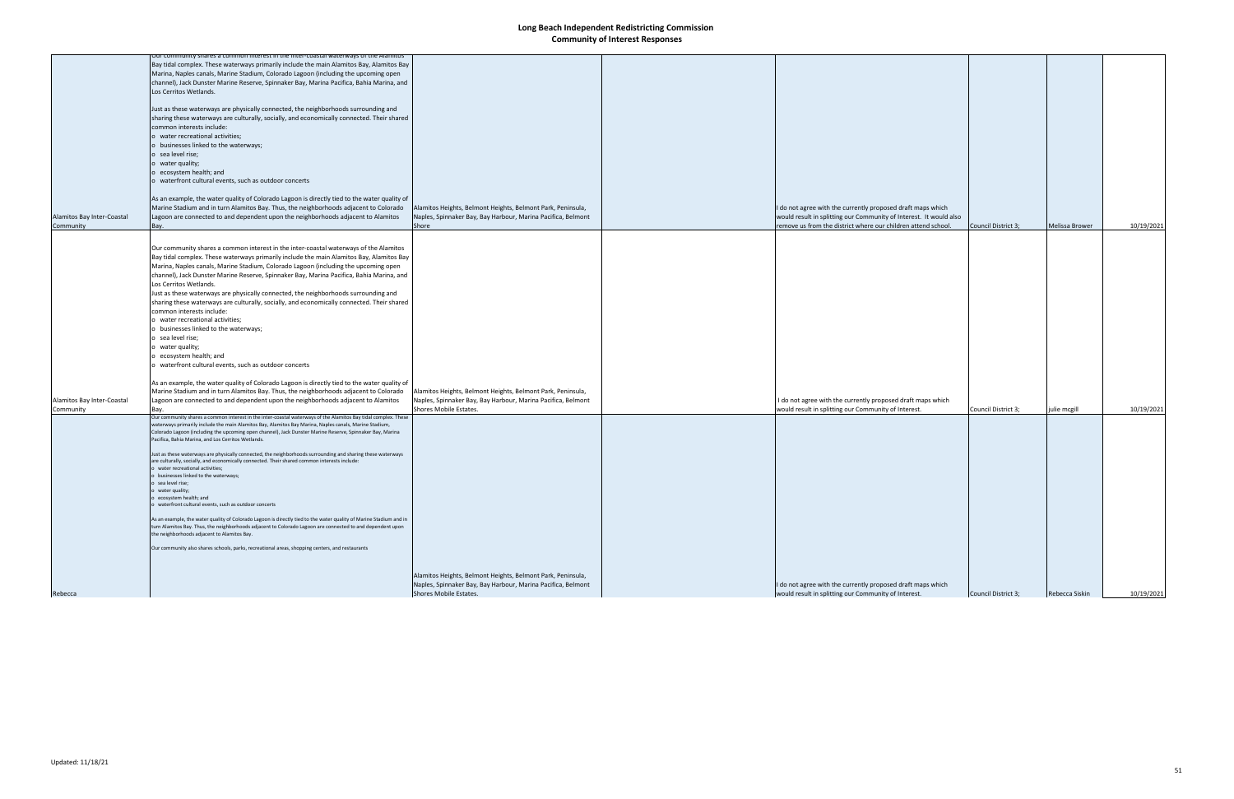|                            | for community shares a common interest in the inter-coastal waterways of the Alamitos<br>Bay tidal complex. These waterways primarily include the main Alamitos Bay, Alamitos Bay     |                                                                                        |                                                                                                                                   |                     |                |            |
|----------------------------|---------------------------------------------------------------------------------------------------------------------------------------------------------------------------------------|----------------------------------------------------------------------------------------|-----------------------------------------------------------------------------------------------------------------------------------|---------------------|----------------|------------|
|                            | Marina, Naples canals, Marine Stadium, Colorado Lagoon (including the upcoming open                                                                                                   |                                                                                        |                                                                                                                                   |                     |                |            |
|                            |                                                                                                                                                                                       |                                                                                        |                                                                                                                                   |                     |                |            |
|                            | channel), Jack Dunster Marine Reserve, Spinnaker Bay, Marina Pacifica, Bahia Marina, and<br>Los Cerritos Wetlands.                                                                    |                                                                                        |                                                                                                                                   |                     |                |            |
|                            |                                                                                                                                                                                       |                                                                                        |                                                                                                                                   |                     |                |            |
|                            | Just as these waterways are physically connected, the neighborhoods surrounding and                                                                                                   |                                                                                        |                                                                                                                                   |                     |                |            |
|                            |                                                                                                                                                                                       |                                                                                        |                                                                                                                                   |                     |                |            |
|                            | sharing these waterways are culturally, socially, and economically connected. Their shared<br>common interests include:                                                               |                                                                                        |                                                                                                                                   |                     |                |            |
|                            |                                                                                                                                                                                       |                                                                                        |                                                                                                                                   |                     |                |            |
|                            | o water recreational activities;                                                                                                                                                      |                                                                                        |                                                                                                                                   |                     |                |            |
|                            | o businesses linked to the waterways;                                                                                                                                                 |                                                                                        |                                                                                                                                   |                     |                |            |
|                            | o sea level rise;                                                                                                                                                                     |                                                                                        |                                                                                                                                   |                     |                |            |
|                            | o water quality;<br>o ecosystem health; and                                                                                                                                           |                                                                                        |                                                                                                                                   |                     |                |            |
|                            | o waterfront cultural events, such as outdoor concerts                                                                                                                                |                                                                                        |                                                                                                                                   |                     |                |            |
|                            |                                                                                                                                                                                       |                                                                                        |                                                                                                                                   |                     |                |            |
|                            |                                                                                                                                                                                       |                                                                                        |                                                                                                                                   |                     |                |            |
|                            | As an example, the water quality of Colorado Lagoon is directly tied to the water quality of<br>Marine Stadium and in turn Alamitos Bay. Thus, the neighborhoods adjacent to Colorado |                                                                                        |                                                                                                                                   |                     |                |            |
| Alamitos Bay Inter-Coastal | Lagoon are connected to and dependent upon the neighborhoods adjacent to Alamitos                                                                                                     | Alamitos Heights, Belmont Heights, Belmont Park, Peninsula,                            | I do not agree with the currently proposed draft maps which<br>would result in splitting our Community of Interest. It would also |                     |                |            |
| Community                  | Bay.                                                                                                                                                                                  | Naples, Spinnaker Bay, Bay Harbour, Marina Pacifica, Belmont<br>Shore                  | remove us from the district where our children attend school.                                                                     | Council District 3; | Melissa Brower | 10/19/2021 |
|                            |                                                                                                                                                                                       |                                                                                        |                                                                                                                                   |                     |                |            |
|                            |                                                                                                                                                                                       |                                                                                        |                                                                                                                                   |                     |                |            |
|                            | Our community shares a common interest in the inter-coastal waterways of the Alamitos                                                                                                 |                                                                                        |                                                                                                                                   |                     |                |            |
|                            | Bay tidal complex. These waterways primarily include the main Alamitos Bay, Alamitos Bay                                                                                              |                                                                                        |                                                                                                                                   |                     |                |            |
|                            | Marina, Naples canals, Marine Stadium, Colorado Lagoon (including the upcoming open                                                                                                   |                                                                                        |                                                                                                                                   |                     |                |            |
|                            | channel), Jack Dunster Marine Reserve, Spinnaker Bay, Marina Pacifica, Bahia Marina, and                                                                                              |                                                                                        |                                                                                                                                   |                     |                |            |
|                            | Los Cerritos Wetlands.                                                                                                                                                                |                                                                                        |                                                                                                                                   |                     |                |            |
|                            | Just as these waterways are physically connected, the neighborhoods surrounding and                                                                                                   |                                                                                        |                                                                                                                                   |                     |                |            |
|                            | sharing these waterways are culturally, socially, and economically connected. Their shared                                                                                            |                                                                                        |                                                                                                                                   |                     |                |            |
|                            | common interests include:                                                                                                                                                             |                                                                                        |                                                                                                                                   |                     |                |            |
|                            | o water recreational activities;                                                                                                                                                      |                                                                                        |                                                                                                                                   |                     |                |            |
|                            | o businesses linked to the waterways;                                                                                                                                                 |                                                                                        |                                                                                                                                   |                     |                |            |
|                            | o sea level rise;                                                                                                                                                                     |                                                                                        |                                                                                                                                   |                     |                |            |
|                            | o water quality;                                                                                                                                                                      |                                                                                        |                                                                                                                                   |                     |                |            |
|                            | o ecosystem health; and                                                                                                                                                               |                                                                                        |                                                                                                                                   |                     |                |            |
|                            | o waterfront cultural events, such as outdoor concerts                                                                                                                                |                                                                                        |                                                                                                                                   |                     |                |            |
|                            |                                                                                                                                                                                       |                                                                                        |                                                                                                                                   |                     |                |            |
|                            | As an example, the water quality of Colorado Lagoon is directly tied to the water quality of                                                                                          |                                                                                        |                                                                                                                                   |                     |                |            |
|                            | Marine Stadium and in turn Alamitos Bay. Thus, the neighborhoods adjacent to Colorado                                                                                                 | Alamitos Heights, Belmont Heights, Belmont Park, Peninsula,                            |                                                                                                                                   |                     |                |            |
| Alamitos Bay Inter-Coastal | Lagoon are connected to and dependent upon the neighborhoods adjacent to Alamitos                                                                                                     | Naples, Spinnaker Bay, Bay Harbour, Marina Pacifica, Belmont                           | I do not agree with the currently proposed draft maps which                                                                       |                     |                |            |
| Community                  | Bav.                                                                                                                                                                                  | Shores Mobile Estates.                                                                 | would result in splitting our Community of Interest.                                                                              | Council District 3; | julie mcgill   | 10/19/2021 |
|                            | Our community shares a common interest in the inter-coastal waterways of the Alamitos Bay tidal complex. These                                                                        |                                                                                        |                                                                                                                                   |                     |                |            |
|                            | waterways primarily include the main Alamitos Bay, Alamitos Bay Marina, Naples canals, Marine Stadium,                                                                                |                                                                                        |                                                                                                                                   |                     |                |            |
|                            | Colorado Lagoon (including the upcoming open channel), Jack Dunster Marine Reserve, Spinnaker Bay, Marina<br>Pacifica, Bahia Marina, and Los Cerritos Wetlands.                       |                                                                                        |                                                                                                                                   |                     |                |            |
|                            |                                                                                                                                                                                       |                                                                                        |                                                                                                                                   |                     |                |            |
|                            | Just as these waterways are physically connected, the neighborhoods surrounding and sharing these waterways                                                                           |                                                                                        |                                                                                                                                   |                     |                |            |
|                            | are culturally, socially, and economically connected. Their shared common interests include:                                                                                          |                                                                                        |                                                                                                                                   |                     |                |            |
|                            | water recreational activities;<br>o businesses linked to the waterways;                                                                                                               |                                                                                        |                                                                                                                                   |                     |                |            |
|                            | o sea level rise;                                                                                                                                                                     |                                                                                        |                                                                                                                                   |                     |                |            |
|                            | o water quality;                                                                                                                                                                      |                                                                                        |                                                                                                                                   |                     |                |            |
|                            | o ecosystem health; and                                                                                                                                                               |                                                                                        |                                                                                                                                   |                     |                |            |
|                            | o waterfront cultural events, such as outdoor concerts                                                                                                                                |                                                                                        |                                                                                                                                   |                     |                |            |
|                            | As an example, the water quality of Colorado Lagoon is directly tied to the water quality of Marine Stadium and in                                                                    |                                                                                        |                                                                                                                                   |                     |                |            |
|                            | turn Alamitos Bay. Thus, the neighborhoods adjacent to Colorado Lagoon are connected to and dependent upon                                                                            |                                                                                        |                                                                                                                                   |                     |                |            |
|                            | the neighborhoods adjacent to Alamitos Bay.                                                                                                                                           |                                                                                        |                                                                                                                                   |                     |                |            |
|                            |                                                                                                                                                                                       |                                                                                        |                                                                                                                                   |                     |                |            |
|                            | Our community also shares schools, parks, recreational areas, shopping centers, and restaurants                                                                                       |                                                                                        |                                                                                                                                   |                     |                |            |
|                            |                                                                                                                                                                                       |                                                                                        |                                                                                                                                   |                     |                |            |
|                            |                                                                                                                                                                                       |                                                                                        |                                                                                                                                   |                     |                |            |
|                            |                                                                                                                                                                                       | Alamitos Heights, Belmont Heights, Belmont Park, Peninsula,                            |                                                                                                                                   |                     |                |            |
|                            |                                                                                                                                                                                       | Naples, Spinnaker Bay, Bay Harbour, Marina Pacifica, Belmont<br>Shores Mobile Estates. | I do not agree with the currently proposed draft maps which                                                                       |                     |                |            |
| Rebecca                    |                                                                                                                                                                                       |                                                                                        | would result in splitting our Community of Interest.                                                                              | Council District 3; | Rebecca Siskin | 10/19/2021 |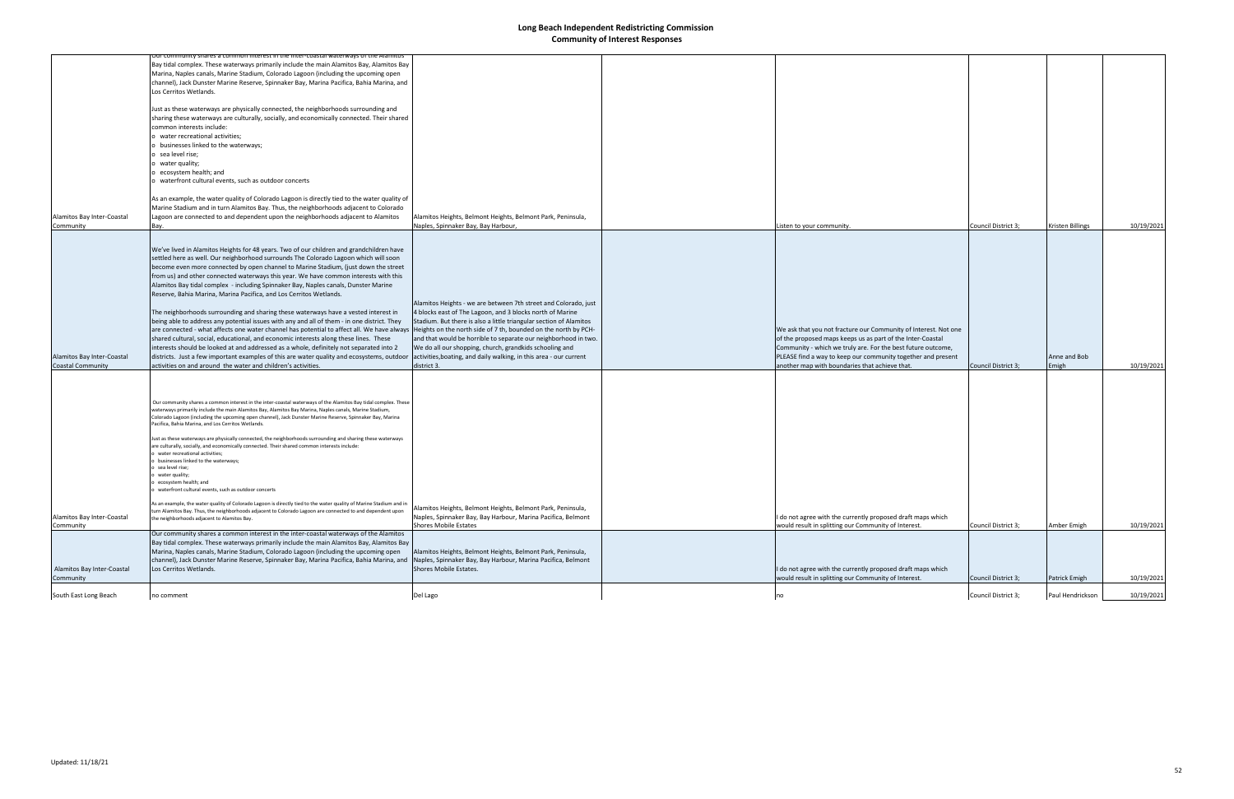|                            | <u>ur community shares a common interest in the inter-coastal waterways of the Alamitos</u>                                                                                                                                      |                                                                    |                                                                 |                     |                  |            |
|----------------------------|----------------------------------------------------------------------------------------------------------------------------------------------------------------------------------------------------------------------------------|--------------------------------------------------------------------|-----------------------------------------------------------------|---------------------|------------------|------------|
|                            | Bay tidal complex. These waterways primarily include the main Alamitos Bay, Alamitos Bay                                                                                                                                         |                                                                    |                                                                 |                     |                  |            |
|                            | Marina, Naples canals, Marine Stadium, Colorado Lagoon (including the upcoming open                                                                                                                                              |                                                                    |                                                                 |                     |                  |            |
|                            | channel), Jack Dunster Marine Reserve, Spinnaker Bay, Marina Pacifica, Bahia Marina, and                                                                                                                                         |                                                                    |                                                                 |                     |                  |            |
|                            | Los Cerritos Wetlands.                                                                                                                                                                                                           |                                                                    |                                                                 |                     |                  |            |
|                            |                                                                                                                                                                                                                                  |                                                                    |                                                                 |                     |                  |            |
|                            | Just as these waterways are physically connected, the neighborhoods surrounding and                                                                                                                                              |                                                                    |                                                                 |                     |                  |            |
|                            | sharing these waterways are culturally, socially, and economically connected. Their shared                                                                                                                                       |                                                                    |                                                                 |                     |                  |            |
|                            | common interests include:                                                                                                                                                                                                        |                                                                    |                                                                 |                     |                  |            |
|                            | o water recreational activities;                                                                                                                                                                                                 |                                                                    |                                                                 |                     |                  |            |
|                            | o businesses linked to the waterways;                                                                                                                                                                                            |                                                                    |                                                                 |                     |                  |            |
|                            | o sea level rise;                                                                                                                                                                                                                |                                                                    |                                                                 |                     |                  |            |
|                            | o water quality;                                                                                                                                                                                                                 |                                                                    |                                                                 |                     |                  |            |
|                            | o ecosystem health; and                                                                                                                                                                                                          |                                                                    |                                                                 |                     |                  |            |
|                            | o waterfront cultural events, such as outdoor concerts                                                                                                                                                                           |                                                                    |                                                                 |                     |                  |            |
|                            |                                                                                                                                                                                                                                  |                                                                    |                                                                 |                     |                  |            |
|                            | As an example, the water quality of Colorado Lagoon is directly tied to the water quality of                                                                                                                                     |                                                                    |                                                                 |                     |                  |            |
|                            | Marine Stadium and in turn Alamitos Bay. Thus, the neighborhoods adjacent to Colorado                                                                                                                                            |                                                                    |                                                                 |                     |                  |            |
| Alamitos Bay Inter-Coastal | Lagoon are connected to and dependent upon the neighborhoods adjacent to Alamitos                                                                                                                                                | Alamitos Heights, Belmont Heights, Belmont Park, Peninsula,        |                                                                 |                     |                  |            |
| Community                  | Bay.                                                                                                                                                                                                                             | Naples, Spinnaker Bay, Bay Harbour,                                | Listen to your community.                                       | Council District 3; | Kristen Billings | 10/19/2021 |
|                            |                                                                                                                                                                                                                                  |                                                                    |                                                                 |                     |                  |            |
|                            |                                                                                                                                                                                                                                  |                                                                    |                                                                 |                     |                  |            |
|                            | We've lived in Alamitos Heights for 48 years. Two of our children and grandchildren have                                                                                                                                         |                                                                    |                                                                 |                     |                  |            |
|                            | settled here as well. Our neighborhood surrounds The Colorado Lagoon which will soon                                                                                                                                             |                                                                    |                                                                 |                     |                  |            |
|                            | become even more connected by open channel to Marine Stadium, (just down the street                                                                                                                                              |                                                                    |                                                                 |                     |                  |            |
|                            | from us) and other connected waterways this year. We have common interests with this                                                                                                                                             |                                                                    |                                                                 |                     |                  |            |
|                            | Alamitos Bay tidal complex - including Spinnaker Bay, Naples canals, Dunster Marine                                                                                                                                              |                                                                    |                                                                 |                     |                  |            |
|                            | Reserve, Bahia Marina, Marina Pacifica, and Los Cerritos Wetlands.                                                                                                                                                               |                                                                    |                                                                 |                     |                  |            |
|                            |                                                                                                                                                                                                                                  | Alamitos Heights - we are between 7th street and Colorado, just    |                                                                 |                     |                  |            |
|                            | The neighborhoods surrounding and sharing these waterways have a vested interest in                                                                                                                                              | 4 blocks east of The Lagoon, and 3 blocks north of Marine          |                                                                 |                     |                  |            |
|                            |                                                                                                                                                                                                                                  | Stadium. But there is also a little triangular section of Alamitos |                                                                 |                     |                  |            |
|                            | being able to address any potential issues with any and all of them - in one district. They                                                                                                                                      |                                                                    |                                                                 |                     |                  |            |
|                            | are connected - what affects one water channel has potential to affect all. We have always  Heights on the north side of 7 th, bounded on the north by PCH-                                                                      |                                                                    | We ask that you not fracture our Community of Interest. Not one |                     |                  |            |
|                            | shared cultural, social, educational, and economic interests along these lines. These                                                                                                                                            | and that would be horrible to separate our neighborhood in two.    | of the proposed maps keeps us as part of the Inter-Coastal      |                     |                  |            |
|                            | interests should be looked at and addressed as a whole, definitely not separated into 2                                                                                                                                          | We do all our shopping, church, grandkids schooling and            | Community - which we truly are. For the best future outcome,    |                     |                  |            |
| Alamitos Bay Inter-Coastal | districts. Just a few important examples of this are water quality and ecosystems, outdoor                                                                                                                                       | activities, boating, and daily walking, in this area - our current | PLEASE find a way to keep our community together and present    |                     | Anne and Bob     |            |
| <b>Coastal Community</b>   | activities on and around the water and children's activities.                                                                                                                                                                    | district 3.                                                        | another map with boundaries that achieve that.                  | Council District 3; | Emigh            | 10/19/2021 |
|                            |                                                                                                                                                                                                                                  |                                                                    |                                                                 |                     |                  |            |
|                            |                                                                                                                                                                                                                                  |                                                                    |                                                                 |                     |                  |            |
|                            |                                                                                                                                                                                                                                  |                                                                    |                                                                 |                     |                  |            |
|                            | Our community shares a common interest in the inter-coastal waterways of the Alamitos Bay tidal complex. These                                                                                                                   |                                                                    |                                                                 |                     |                  |            |
|                            | waterways primarily include the main Alamitos Bay, Alamitos Bay Marina, Naples canals, Marine Stadium,                                                                                                                           |                                                                    |                                                                 |                     |                  |            |
|                            | Colorado Lagoon (including the upcoming open channel), Jack Dunster Marine Reserve, Spinnaker Bay, Marina<br>Pacifica, Bahia Marina, and Los Cerritos Wetlands.                                                                  |                                                                    |                                                                 |                     |                  |            |
|                            |                                                                                                                                                                                                                                  |                                                                    |                                                                 |                     |                  |            |
|                            | Just as these waterways are physically connected, the neighborhoods surrounding and sharing these waterways                                                                                                                      |                                                                    |                                                                 |                     |                  |            |
|                            | are culturally, socially, and economically connected. Their shared common interests include:                                                                                                                                     |                                                                    |                                                                 |                     |                  |            |
|                            | water recreational activities;                                                                                                                                                                                                   |                                                                    |                                                                 |                     |                  |            |
|                            | businesses linked to the waterways;<br>sea level rise;                                                                                                                                                                           |                                                                    |                                                                 |                     |                  |            |
|                            | water quality;                                                                                                                                                                                                                   |                                                                    |                                                                 |                     |                  |            |
|                            | ecosystem health: and                                                                                                                                                                                                            |                                                                    |                                                                 |                     |                  |            |
|                            | waterfront cultural events, such as outdoor concerts                                                                                                                                                                             |                                                                    |                                                                 |                     |                  |            |
|                            |                                                                                                                                                                                                                                  |                                                                    |                                                                 |                     |                  |            |
|                            | As an example, the water quality of Colorado Lagoon is directly tied to the water quality of Marine Stadium and in<br>turn Alamitos Bay. Thus, the neighborhoods adjacent to Colorado Lagoon are connected to and dependent upon | Alamitos Heights, Belmont Heights, Belmont Park, Peninsula,        |                                                                 |                     |                  |            |
| Alamitos Bay Inter-Coastal | the neighborhoods adjacent to Alamitos Bay.                                                                                                                                                                                      | Naples, Spinnaker Bay, Bay Harbour, Marina Pacifica, Belmont       | I do not agree with the currently proposed draft maps which     |                     |                  |            |
| Community                  |                                                                                                                                                                                                                                  | <b>Shores Mobile Estates</b>                                       | would result in splitting our Community of Interest.            | Council District 3; | Amber Emigh      | 10/19/2021 |
|                            | Our community shares a common interest in the inter-coastal waterways of the Alamitos                                                                                                                                            |                                                                    |                                                                 |                     |                  |            |
|                            | Bay tidal complex. These waterways primarily include the main Alamitos Bay, Alamitos Bay                                                                                                                                         |                                                                    |                                                                 |                     |                  |            |
|                            | Marina, Naples canals, Marine Stadium, Colorado Lagoon (including the upcoming open                                                                                                                                              | Alamitos Heights, Belmont Heights, Belmont Park, Peninsula,        |                                                                 |                     |                  |            |
|                            | channel), Jack Dunster Marine Reserve, Spinnaker Bay, Marina Pacifica, Bahia Marina, and                                                                                                                                         | Naples, Spinnaker Bay, Bay Harbour, Marina Pacifica, Belmont       |                                                                 |                     |                  |            |
| Alamitos Bay Inter-Coastal | Los Cerritos Wetlands.                                                                                                                                                                                                           | Shores Mobile Estates.                                             | I do not agree with the currently proposed draft maps which     |                     |                  |            |
| Community                  |                                                                                                                                                                                                                                  |                                                                    | would result in splitting our Community of Interest.            | Council District 3; | Patrick Emigh    | 10/19/2021 |
|                            |                                                                                                                                                                                                                                  |                                                                    |                                                                 |                     |                  |            |
| South East Long Beach      | no comment                                                                                                                                                                                                                       | Del Lago                                                           |                                                                 | Council District 3; | Paul Hendrickson | 10/19/2021 |
|                            |                                                                                                                                                                                                                                  |                                                                    |                                                                 |                     |                  |            |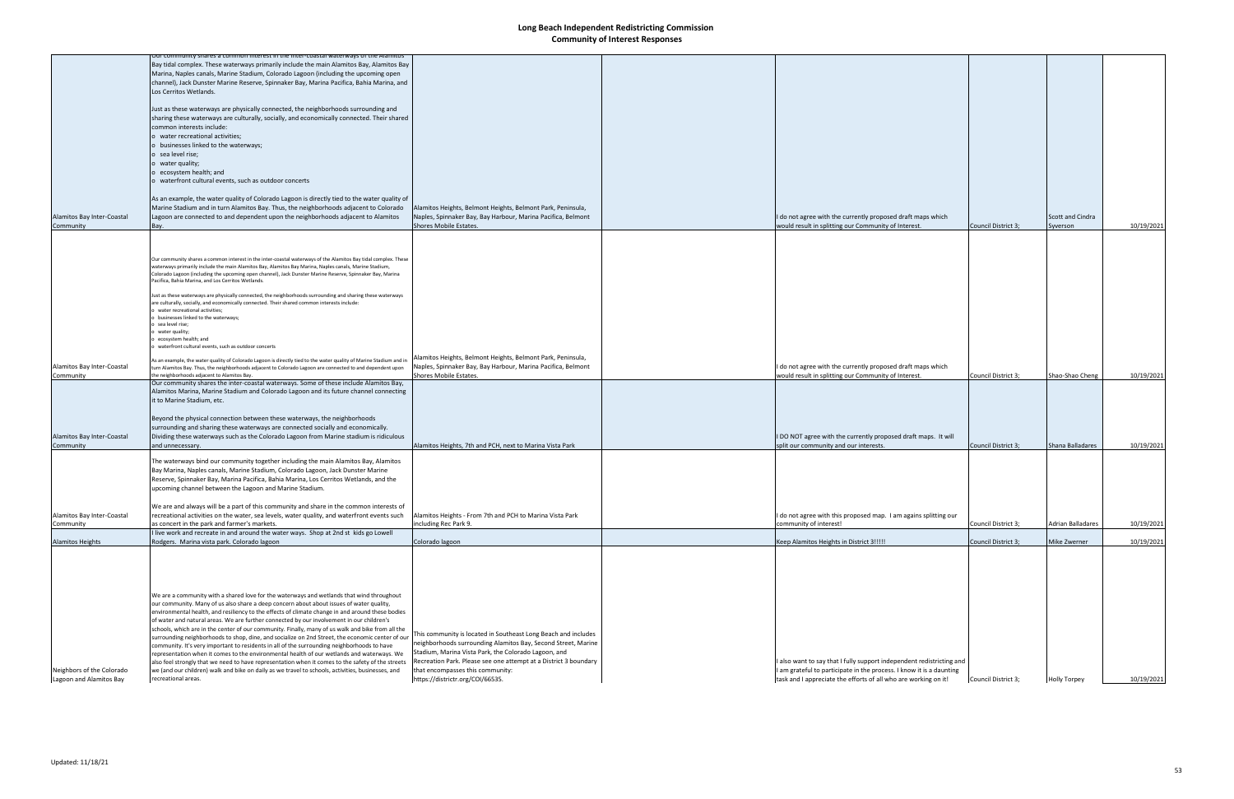|                            | Our community shares a common interest in the inter-coastal waterways of the Alamitos<br>Bay tidal complex. These waterways primarily include the main Alamitos Bay, Alamitos Bay                     |                                                                  |                                                                       |                     |                     |            |
|----------------------------|-------------------------------------------------------------------------------------------------------------------------------------------------------------------------------------------------------|------------------------------------------------------------------|-----------------------------------------------------------------------|---------------------|---------------------|------------|
|                            | Marina, Naples canals, Marine Stadium, Colorado Lagoon (including the upcoming open                                                                                                                   |                                                                  |                                                                       |                     |                     |            |
|                            | channel), Jack Dunster Marine Reserve, Spinnaker Bay, Marina Pacifica, Bahia Marina, and                                                                                                              |                                                                  |                                                                       |                     |                     |            |
|                            | Los Cerritos Wetlands.                                                                                                                                                                                |                                                                  |                                                                       |                     |                     |            |
|                            |                                                                                                                                                                                                       |                                                                  |                                                                       |                     |                     |            |
|                            | Just as these waterways are physically connected, the neighborhoods surrounding and                                                                                                                   |                                                                  |                                                                       |                     |                     |            |
|                            | sharing these waterways are culturally, socially, and economically connected. Their shared                                                                                                            |                                                                  |                                                                       |                     |                     |            |
|                            | common interests include:                                                                                                                                                                             |                                                                  |                                                                       |                     |                     |            |
|                            | o water recreational activities;                                                                                                                                                                      |                                                                  |                                                                       |                     |                     |            |
|                            | o businesses linked to the waterways;                                                                                                                                                                 |                                                                  |                                                                       |                     |                     |            |
|                            | o sea level rise;                                                                                                                                                                                     |                                                                  |                                                                       |                     |                     |            |
|                            | o water quality;                                                                                                                                                                                      |                                                                  |                                                                       |                     |                     |            |
|                            | o ecosystem health; and                                                                                                                                                                               |                                                                  |                                                                       |                     |                     |            |
|                            | o waterfront cultural events, such as outdoor concerts                                                                                                                                                |                                                                  |                                                                       |                     |                     |            |
|                            |                                                                                                                                                                                                       |                                                                  |                                                                       |                     |                     |            |
|                            | As an example, the water quality of Colorado Lagoon is directly tied to the water quality of                                                                                                          |                                                                  |                                                                       |                     |                     |            |
|                            | Marine Stadium and in turn Alamitos Bay. Thus, the neighborhoods adjacent to Colorado                                                                                                                 | Alamitos Heights, Belmont Heights, Belmont Park, Peninsula,      |                                                                       |                     |                     |            |
| Alamitos Bay Inter-Coastal | Lagoon are connected to and dependent upon the neighborhoods adjacent to Alamitos                                                                                                                     | Naples, Spinnaker Bay, Bay Harbour, Marina Pacifica, Belmont     | I do not agree with the currently proposed draft maps which           |                     | Scott and Cindra    |            |
| Community                  | Bay.                                                                                                                                                                                                  | Shores Mobile Estates.                                           | would result in splitting our Community of Interest.                  | Council District 3; | Syverson            | 10/19/2021 |
|                            |                                                                                                                                                                                                       |                                                                  |                                                                       |                     |                     |            |
|                            |                                                                                                                                                                                                       |                                                                  |                                                                       |                     |                     |            |
|                            | Our community shares a common interest in the inter-coastal waterways of the Alamitos Bay tidal complex. These                                                                                        |                                                                  |                                                                       |                     |                     |            |
|                            | waterways primarily include the main Alamitos Bay, Alamitos Bay Marina, Naples canals, Marine Stadium,                                                                                                |                                                                  |                                                                       |                     |                     |            |
|                            | Colorado Lagoon (including the upcoming open channel), Jack Dunster Marine Reserve, Spinnaker Bay, Marina                                                                                             |                                                                  |                                                                       |                     |                     |            |
|                            | Pacifica, Bahia Marina, and Los Cerritos Wetlands.                                                                                                                                                    |                                                                  |                                                                       |                     |                     |            |
|                            | Just as these waterways are physically connected, the neighborhoods surrounding and sharing these waterways                                                                                           |                                                                  |                                                                       |                     |                     |            |
|                            | are culturally, socially, and economically connected. Their shared common interests include:                                                                                                          |                                                                  |                                                                       |                     |                     |            |
|                            | water recreational activities;<br>businesses linked to the waterways;                                                                                                                                 |                                                                  |                                                                       |                     |                     |            |
|                            | sea level rise;                                                                                                                                                                                       |                                                                  |                                                                       |                     |                     |            |
|                            | water quality;                                                                                                                                                                                        |                                                                  |                                                                       |                     |                     |            |
|                            | ecosystem health; and<br>waterfront cultural events, such as outdoor concerts                                                                                                                         |                                                                  |                                                                       |                     |                     |            |
|                            |                                                                                                                                                                                                       |                                                                  |                                                                       |                     |                     |            |
|                            | As an example, the water quality of Colorado Lagoon is directly tied to the water quality of Marine Stadium and in                                                                                    | Alamitos Heights, Belmont Heights, Belmont Park, Peninsula,      |                                                                       |                     |                     |            |
| Alamitos Bay Inter-Coastal | turn Alamitos Bay. Thus, the neighborhoods adjacent to Colorado Lagoon are connected to and dependent upon                                                                                            | Naples, Spinnaker Bay, Bay Harbour, Marina Pacifica, Belmont     | I do not agree with the currently proposed draft maps which           |                     |                     |            |
| Community                  | the neighborhoods adjacent to Alamitos Bay.<br>Our community shares the inter-coastal waterways. Some of these include Alamitos Bay,                                                                  | Shores Mobile Estates.                                           | would result in splitting our Community of Interest.                  | Council District 3; | Shao-Shao Cheng     | 10/19/2021 |
|                            | Alamitos Marina, Marine Stadium and Colorado Lagoon and its future channel connecting                                                                                                                 |                                                                  |                                                                       |                     |                     |            |
|                            | it to Marine Stadium, etc.                                                                                                                                                                            |                                                                  |                                                                       |                     |                     |            |
|                            |                                                                                                                                                                                                       |                                                                  |                                                                       |                     |                     |            |
|                            | Beyond the physical connection between these waterways, the neighborhoods                                                                                                                             |                                                                  |                                                                       |                     |                     |            |
|                            | surrounding and sharing these waterways are connected socially and economically.                                                                                                                      |                                                                  |                                                                       |                     |                     |            |
| Alamitos Bay Inter-Coastal | Dividing these waterways such as the Colorado Lagoon from Marine stadium is ridiculous                                                                                                                |                                                                  | I DO NOT agree with the currently proposed draft maps. It will        |                     |                     |            |
| Community                  | and unnecessary.                                                                                                                                                                                      | Alamitos Heights, 7th and PCH, next to Marina Vista Park         | split our community and our interests.                                | Council District 3; | Shana Balladares    | 10/19/2021 |
|                            | The waterways bind our community together including the main Alamitos Bay, Alamitos                                                                                                                   |                                                                  |                                                                       |                     |                     |            |
|                            | Bay Marina, Naples canals, Marine Stadium, Colorado Lagoon, Jack Dunster Marine                                                                                                                       |                                                                  |                                                                       |                     |                     |            |
|                            | Reserve, Spinnaker Bay, Marina Pacifica, Bahia Marina, Los Cerritos Wetlands, and the                                                                                                                 |                                                                  |                                                                       |                     |                     |            |
|                            | upcoming channel between the Lagoon and Marine Stadium.                                                                                                                                               |                                                                  |                                                                       |                     |                     |            |
|                            |                                                                                                                                                                                                       |                                                                  |                                                                       |                     |                     |            |
|                            | We are and always will be a part of this community and share in the common interests of                                                                                                               |                                                                  |                                                                       |                     |                     |            |
| Alamitos Bay Inter-Coastal | recreational activities on the water, sea levels, water quality, and waterfront events such                                                                                                           | Alamitos Heights - From 7th and PCH to Marina Vista Park         | I do not agree with this proposed map. I am agains splitting our      |                     |                     |            |
| Community                  | as concert in the park and farmer's markets.                                                                                                                                                          | including Rec Park 9.                                            | community of interest!                                                | Council District 3; | Adrian Balladares   | 10/19/2021 |
|                            | I live work and recreate in and around the water ways. Shop at 2nd st kids go Lowell                                                                                                                  |                                                                  |                                                                       |                     |                     | 10/19/2021 |
| <b>Alamitos Heights</b>    | Rodgers. Marina vista park. Colorado lagoon                                                                                                                                                           | Colorado lagoon                                                  | Keep Alamitos Heights in District 3!!!!!                              | Council District 3; | Mike Zwerner        |            |
|                            |                                                                                                                                                                                                       |                                                                  |                                                                       |                     |                     |            |
|                            |                                                                                                                                                                                                       |                                                                  |                                                                       |                     |                     |            |
|                            |                                                                                                                                                                                                       |                                                                  |                                                                       |                     |                     |            |
|                            |                                                                                                                                                                                                       |                                                                  |                                                                       |                     |                     |            |
|                            | We are a community with a shared love for the waterways and wetlands that wind throughout                                                                                                             |                                                                  |                                                                       |                     |                     |            |
|                            | our community. Many of us also share a deep concern about about issues of water quality,                                                                                                              |                                                                  |                                                                       |                     |                     |            |
|                            | environmental health, and resiliency to the effects of climate change in and around these bodies                                                                                                      |                                                                  |                                                                       |                     |                     |            |
|                            | of water and natural areas. We are further connected by our involvement in our children's                                                                                                             |                                                                  |                                                                       |                     |                     |            |
|                            | schools, which are in the center of our community. Finally, many of us walk and bike from all the<br>surrounding neighborhoods to shop, dine, and socialize on 2nd Street, the economic center of our | This community is located in Southeast Long Beach and includes   |                                                                       |                     |                     |            |
|                            | community. It's very important to residents in all of the surrounding neighborhoods to have                                                                                                           | neighborhoods surrounding Alamitos Bay, Second Street, Marine    |                                                                       |                     |                     |            |
|                            | representation when it comes to the environmental health of our wetlands and waterways. We                                                                                                            | Stadium, Marina Vista Park, the Colorado Lagoon, and             |                                                                       |                     |                     |            |
|                            | also feel strongly that we need to have representation when it comes to the safety of the streets                                                                                                     | Recreation Park. Please see one attempt at a District 3 boundary | I also want to say that I fully support independent redistricting and |                     |                     |            |
| Neighbors of the Colorado  | we (and our children) walk and bike on daily as we travel to schools, activities, businesses, and                                                                                                     | that encompasses this community:                                 | I am grateful to participate in the process. I know it is a daunting  |                     |                     |            |
| Lagoon and Alamitos Bay    | recreational areas.                                                                                                                                                                                   | https://districtr.org/COI/66535.                                 | task and I appreciate the efforts of all who are working on it!       | Council District 3; | <b>Holly Torpey</b> | 10/19/2021 |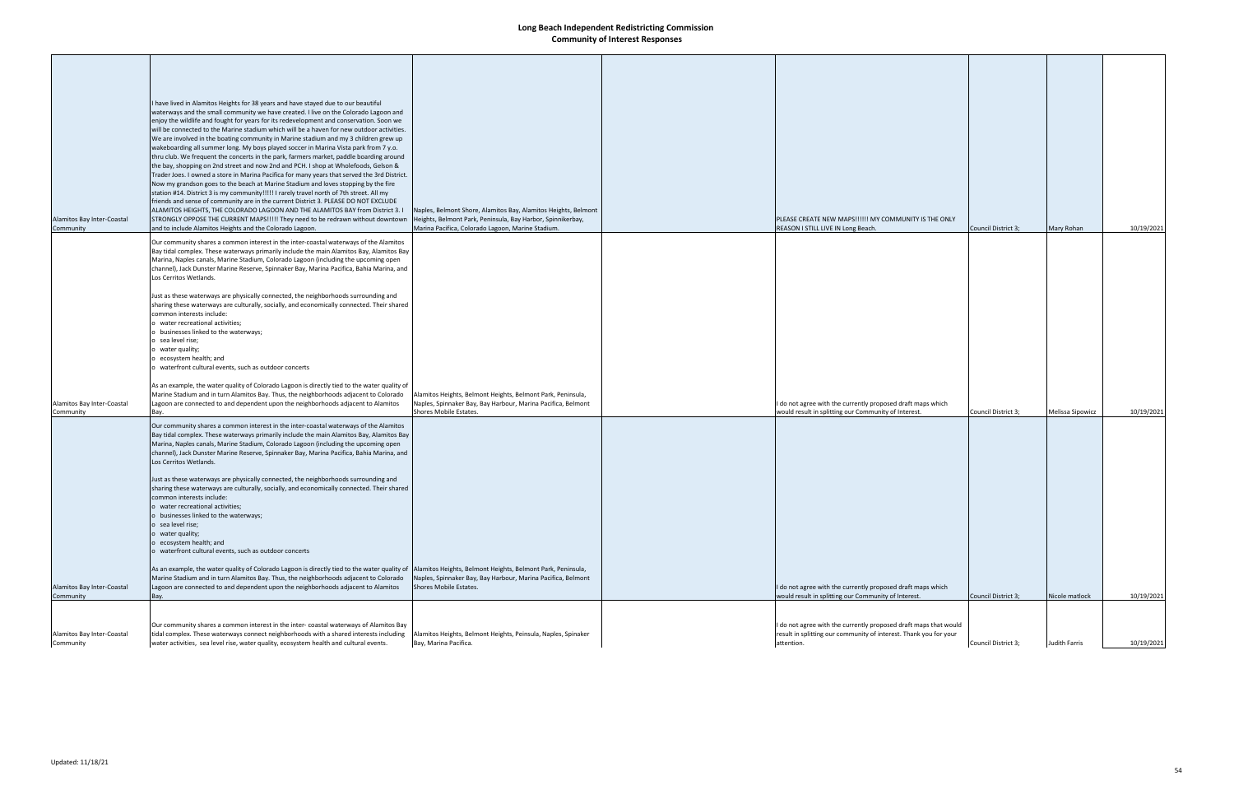| Alamitos Bay Inter-Coastal<br>Community | I have lived in Alamitos Heights for 38 years and have stayed due to our beautiful<br>waterways and the small community we have created. I live on the Colorado Lagoon and<br>enjoy the wildlife and fought for years for its redevelopment and conservation. Soon we<br>will be connected to the Marine stadium which will be a haven for new outdoor activities.<br>We are involved in the boating community in Marine stadium and my 3 children grew up<br>wakeboarding all summer long. My boys played soccer in Marina Vista park from 7 y.o.<br>thru club. We frequent the concerts in the park, farmers market, paddle boarding around<br>the bay, shopping on 2nd street and now 2nd and PCH. I shop at Wholefoods, Gelson &<br>Trader Joes. I owned a store in Marina Pacifica for many years that served the 3rd District.<br>Now my grandson goes to the beach at Marine Stadium and loves stopping by the fire<br>station #14. District 3 is my community!!!!! I rarely travel north of 7th street. All my<br>friends and sense of community are in the current District 3. PLEASE DO NOT EXCLUDE<br>ALAMITOS HEIGHTS, THE COLORADO LAGOON AND THE ALAMITOS BAY from District 3.1<br>STRONGLY OPPOSE THE CURRENT MAPS!!!!! They need to be redrawn without downtown<br>and to include Alamitos Heights and the Colorado Lagoon.<br>Our community shares a common interest in the inter-coastal waterways of the Alamitos<br>Bay tidal complex. These waterways primarily include the main Alamitos Bay, Alamitos Bay<br>Marina, Naples canals, Marine Stadium, Colorado Lagoon (including the upcoming open<br>channel), Jack Dunster Marine Reserve, Spinnaker Bay, Marina Pacifica, Bahia Marina, and | Naples, Belmont Shore, Alamitos Bay, Alamitos Heights, Belmont<br>Heights, Belmont Park, Peninsula, Bay Harbor, Spinnikerbay,<br>Marina Pacifica, Colorado Lagoon, Marine Stadium. | PLEASE CREATE NEW MAPS!!!!!! MY COMMUNITY IS THE ONLY<br>REASON I STILL LIVE IN Long Beach.                                                         | Council District 3; | Mary Rohan       | 10/19/2021 |
|-----------------------------------------|---------------------------------------------------------------------------------------------------------------------------------------------------------------------------------------------------------------------------------------------------------------------------------------------------------------------------------------------------------------------------------------------------------------------------------------------------------------------------------------------------------------------------------------------------------------------------------------------------------------------------------------------------------------------------------------------------------------------------------------------------------------------------------------------------------------------------------------------------------------------------------------------------------------------------------------------------------------------------------------------------------------------------------------------------------------------------------------------------------------------------------------------------------------------------------------------------------------------------------------------------------------------------------------------------------------------------------------------------------------------------------------------------------------------------------------------------------------------------------------------------------------------------------------------------------------------------------------------------------------------------------------------------------------------------------------------------------------------|------------------------------------------------------------------------------------------------------------------------------------------------------------------------------------|-----------------------------------------------------------------------------------------------------------------------------------------------------|---------------------|------------------|------------|
| Alamitos Bay Inter-Coastal              | Los Cerritos Wetlands.<br>Just as these waterways are physically connected, the neighborhoods surrounding and<br>sharing these waterways are culturally, socially, and economically connected. Their shared<br>common interests include:<br>o water recreational activities;<br>o businesses linked to the waterways;<br>o sea level rise;<br>o water quality;<br>o ecosystem health; and<br>o waterfront cultural events, such as outdoor concerts<br>As an example, the water quality of Colorado Lagoon is directly tied to the water quality of<br>Marine Stadium and in turn Alamitos Bay. Thus, the neighborhoods adjacent to Colorado<br>Lagoon are connected to and dependent upon the neighborhoods adjacent to Alamitos                                                                                                                                                                                                                                                                                                                                                                                                                                                                                                                                                                                                                                                                                                                                                                                                                                                                                                                                                                                   | Alamitos Heights, Belmont Heights, Belmont Park, Peninsula,<br>Naples, Spinnaker Bay, Bay Harbour, Marina Pacifica, Belmont                                                        | I do not agree with the currently proposed draft maps which                                                                                         |                     |                  |            |
| Community                               | Bay.<br>Our community shares a common interest in the inter-coastal waterways of the Alamitos<br>Bay tidal complex. These waterways primarily include the main Alamitos Bay, Alamitos Bay<br>Marina, Naples canals, Marine Stadium, Colorado Lagoon (including the upcoming open<br>channel), Jack Dunster Marine Reserve, Spinnaker Bay, Marina Pacifica, Bahia Marina, and<br>Los Cerritos Wetlands.<br>Just as these waterways are physically connected, the neighborhoods surrounding and<br>sharing these waterways are culturally, socially, and economically connected. Their shared<br>common interests include:<br>o water recreational activities;<br>o businesses linked to the waterways;<br>o sea level rise;<br>o water quality;<br>o ecosystem health; and<br>o waterfront cultural events, such as outdoor concerts                                                                                                                                                                                                                                                                                                                                                                                                                                                                                                                                                                                                                                                                                                                                                                                                                                                                                 | Shores Mobile Estates.                                                                                                                                                             | would result in splitting our Community of Interest.                                                                                                | Council District 3; | Melissa Sipowicz | 10/19/2021 |
| Alamitos Bay Inter-Coastal<br>Community | As an example, the water quality of Colorado Lagoon is directly tied to the water quality of  Alamitos Heights, Belmont Heights, Belmont Park, Peninsula,<br>Marine Stadium and in turn Alamitos Bay. Thus, the neighborhoods adjacent to Colorado<br>Lagoon are connected to and dependent upon the neighborhoods adjacent to Alamitos<br>Bay.                                                                                                                                                                                                                                                                                                                                                                                                                                                                                                                                                                                                                                                                                                                                                                                                                                                                                                                                                                                                                                                                                                                                                                                                                                                                                                                                                                     | Naples, Spinnaker Bay, Bay Harbour, Marina Pacifica, Belmont<br>Shores Mobile Estates.                                                                                             | I do not agree with the currently proposed draft maps which<br>would result in splitting our Community of Interest.                                 | Council District 3; | Nicole matlock   | 10/19/2021 |
| Alamitos Bay Inter-Coastal<br>Community | Our community shares a common interest in the inter-coastal waterways of Alamitos Bay<br>tidal complex. These waterways connect neighborhoods with a shared interests including<br>water activities, sea level rise, water quality, ecosystem health and cultural events.                                                                                                                                                                                                                                                                                                                                                                                                                                                                                                                                                                                                                                                                                                                                                                                                                                                                                                                                                                                                                                                                                                                                                                                                                                                                                                                                                                                                                                           | Alamitos Heights, Belmont Heights, Peinsula, Naples, Spinaker<br>Bay, Marina Pacifica.                                                                                             | I do not agree with the currently proposed draft maps that would<br>result in splitting our community of interest. Thank you for your<br>attention. | Council District 3; | Judith Farris    | 10/19/2021 |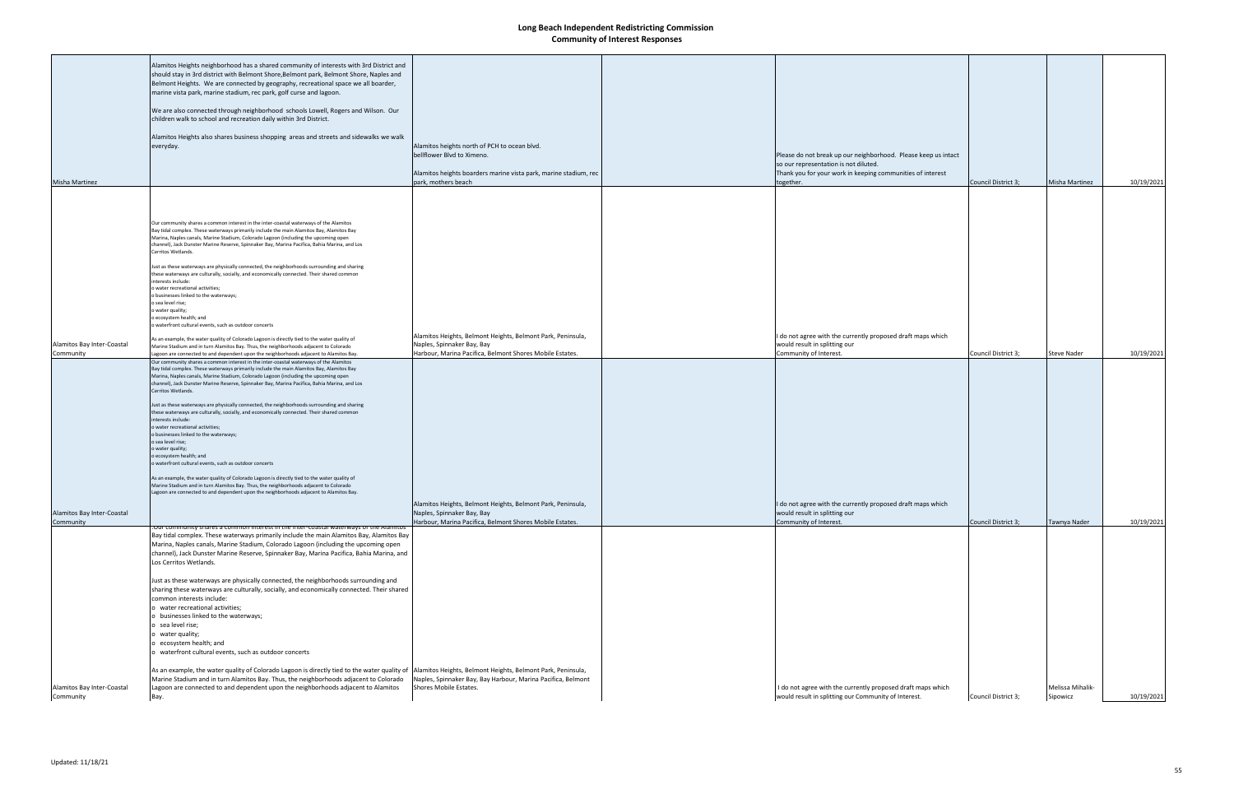| <b>Misha Martinez</b>      | Alamitos Heights neighborhood has a shared community of interests with 3rd District and<br>should stay in 3rd district with Belmont Shore, Belmont park, Belmont Shore, Naples and<br>Belmont Heights. We are connected by geography, recreational space we all boarder,<br>marine vista park, marine stadium, rec park, golf curse and lagoon.<br>We are also connected through neighborhood schools Lowell, Rogers and Wilson. Our<br>children walk to school and recreation daily within 3rd District.<br>Alamitos Heights also shares business shopping areas and streets and sidewalks we walk<br>everyday.                                                                                                                                                                                                                                                                                                                                                                                                          | Alamitos heights north of PCH to ocean blvd.<br>bellflower Blvd to Ximeno.<br>Alamitos heights boarders marine vista park, marine stadium, rec<br>park, mothers beach | Please do not break up our neighborhood. Please keep us intact<br>so our representation is not diluted.<br>Thank you for your work in keeping communities of interest<br>together. | Council District 3; | Misha Martinez     | 10/19/2021 |
|----------------------------|---------------------------------------------------------------------------------------------------------------------------------------------------------------------------------------------------------------------------------------------------------------------------------------------------------------------------------------------------------------------------------------------------------------------------------------------------------------------------------------------------------------------------------------------------------------------------------------------------------------------------------------------------------------------------------------------------------------------------------------------------------------------------------------------------------------------------------------------------------------------------------------------------------------------------------------------------------------------------------------------------------------------------|-----------------------------------------------------------------------------------------------------------------------------------------------------------------------|------------------------------------------------------------------------------------------------------------------------------------------------------------------------------------|---------------------|--------------------|------------|
|                            |                                                                                                                                                                                                                                                                                                                                                                                                                                                                                                                                                                                                                                                                                                                                                                                                                                                                                                                                                                                                                           |                                                                                                                                                                       |                                                                                                                                                                                    |                     |                    |            |
|                            | Our community shares a common interest in the inter-coastal waterways of the Alamitos<br>Bay tidal complex. These waterways primarily include the main Alamitos Bay, Alamitos Bay<br>Marina, Naples canals, Marine Stadium, Colorado Lagoon (including the upcoming open<br>channel), Jack Dunster Marine Reserve, Spinnaker Bay, Marina Pacifica, Bahia Marina, and Los<br>Cerritos Wetlands.<br>Just as these waterways are physically connected, the neighborhoods surrounding and sharing<br>these waterways are culturally, socially, and economically connected. Their shared common<br>interests include:<br>o water recreational activities;<br>o businesses linked to the waterways;<br>o sea level rise;<br>o water quality;<br>o ecosystem health; and<br>o waterfront cultural events, such as outdoor concerts                                                                                                                                                                                               |                                                                                                                                                                       |                                                                                                                                                                                    |                     |                    |            |
| Alamitos Bay Inter-Coastal | As an example, the water quality of Colorado Lagoon is directly tied to the water quality of                                                                                                                                                                                                                                                                                                                                                                                                                                                                                                                                                                                                                                                                                                                                                                                                                                                                                                                              | Alamitos Heights, Belmont Heights, Belmont Park, Peninsula,<br>Naples, Spinnaker Bay, Bay                                                                             | I do not agree with the currently proposed draft maps which<br>would result in splitting our                                                                                       |                     |                    |            |
| Community                  | Marine Stadium and in turn Alamitos Bay. Thus, the neighborhoods adjacent to Colorado<br>Lagoon are connected to and dependent upon the neighborhoods adjacent to Alamitos Bay.                                                                                                                                                                                                                                                                                                                                                                                                                                                                                                                                                                                                                                                                                                                                                                                                                                           | Harbour, Marina Pacifica, Belmont Shores Mobile Estates.                                                                                                              | Community of Interest.                                                                                                                                                             | Council District 3; | <b>Steve Nader</b> | 10/19/2021 |
|                            | Our community shares a common interest in the inter-coastal waterways of the Alamitos                                                                                                                                                                                                                                                                                                                                                                                                                                                                                                                                                                                                                                                                                                                                                                                                                                                                                                                                     |                                                                                                                                                                       |                                                                                                                                                                                    |                     |                    |            |
| Alamitos Bay Inter-Coastal | Bay tidal complex. These waterways primarily include the main Alamitos Bay, Alamitos Bay<br>Marina, Naples canals, Marine Stadium, Colorado Lagoon (including the upcoming open<br>channel), Jack Dunster Marine Reserve, Spinnaker Bay, Marina Pacifica, Bahia Marina, and Los<br>Cerritos Wetlands.<br>Just as these waterways are physically connected, the neighborhoods surrounding and sharing<br>these waterways are culturally, socially, and economically connected. Their shared common<br>interests include:<br>o water recreational activities;<br>o businesses linked to the waterways;<br>o sea level rise;<br>o water quality;<br>o ecosystem health; and<br>o waterfront cultural events, such as outdoor concerts<br>As an example, the water quality of Colorado Lagoon is directly tied to the water quality of<br>Marine Stadium and in turn Alamitos Bay. Thus, the neighborhoods adjacent to Colorado<br>Lagoon are connected to and dependent upon the neighborhoods adjacent to Alamitos Bay.     | Alamitos Heights, Belmont Heights, Belmont Park, Peninsula,<br>Naples, Spinnaker Bay, Bay                                                                             | I do not agree with the currently proposed draft maps which<br>would result in splitting our                                                                                       |                     |                    |            |
| Community                  |                                                                                                                                                                                                                                                                                                                                                                                                                                                                                                                                                                                                                                                                                                                                                                                                                                                                                                                                                                                                                           | Harbour, Marina Pacifica, Belmont Shores Mobile Estates.                                                                                                              | Community of Interest.                                                                                                                                                             | Council District 3; | Tawnya Nader       | 10/19/2021 |
|                            | est in the inter-coastal waterway<br>Bay tidal complex. These waterways primarily include the main Alamitos Bay, Alamitos Bay<br>Marina, Naples canals, Marine Stadium, Colorado Lagoon (including the upcoming open<br>channel), Jack Dunster Marine Reserve, Spinnaker Bay, Marina Pacifica, Bahia Marina, and<br>Los Cerritos Wetlands.<br>Just as these waterways are physically connected, the neighborhoods surrounding and<br>sharing these waterways are culturally, socially, and economically connected. Their shared<br>common interests include:<br>o water recreational activities;<br>o businesses linked to the waterways;<br>o sea level rise;<br>water quality;<br>o ecosystem health; and<br>waterfront cultural events, such as outdoor concerts<br>As an example, the water quality of Colorado Lagoon is directly tied to the water quality of  Alamitos Heights, Belmont Heights, Belmont Park, Peninsula,<br>Marine Stadium and in turn Alamitos Bay. Thus, the neighborhoods adjacent to Colorado | Naples, Spinnaker Bay, Bay Harbour, Marina Pacifica, Belmont                                                                                                          |                                                                                                                                                                                    |                     |                    |            |
| Alamitos Bay Inter-Coastal | Lagoon are connected to and dependent upon the neighborhoods adjacent to Alamitos                                                                                                                                                                                                                                                                                                                                                                                                                                                                                                                                                                                                                                                                                                                                                                                                                                                                                                                                         | Shores Mobile Estates.                                                                                                                                                | I do not agree with the currently proposed draft maps which<br>would result in splitting our Community of Interest.                                                                | Council District 3; | Melissa Mihalik-   | 10/19/2021 |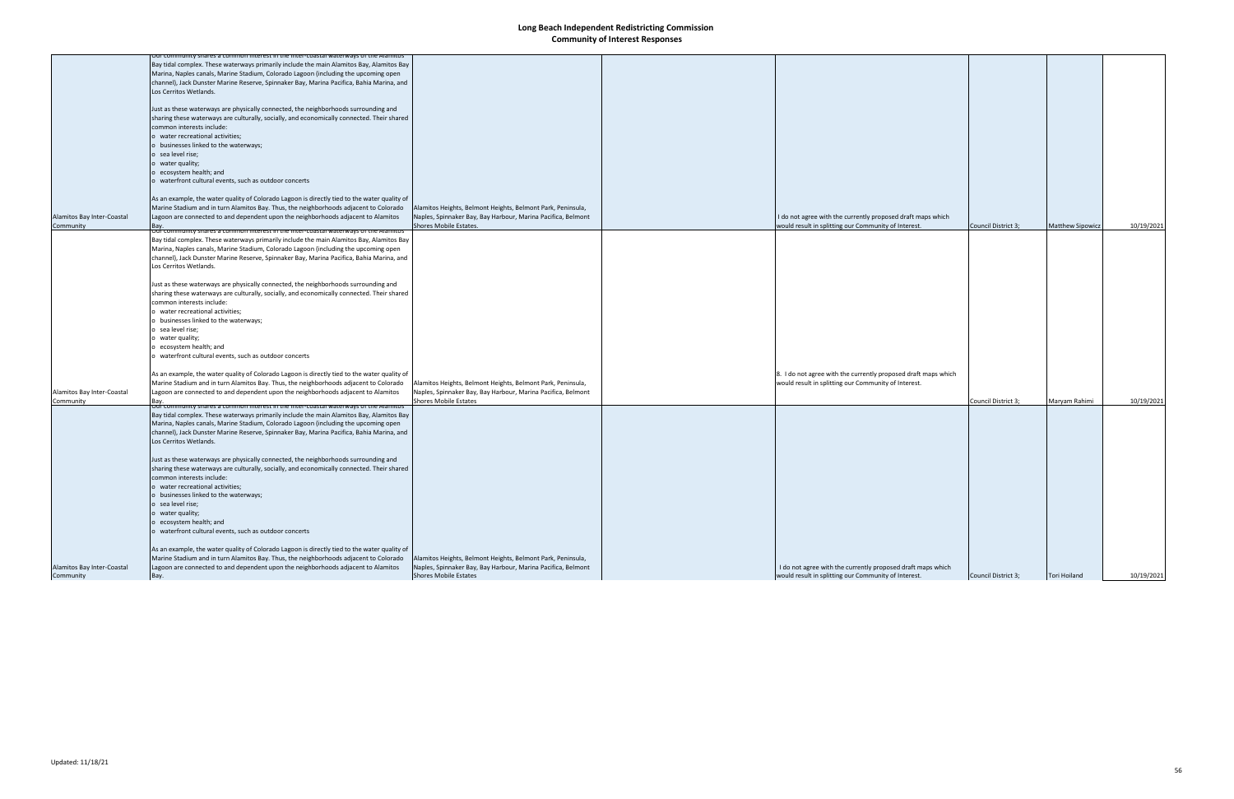|                            | Jur community shares a common interest in the inter-coastal waterways of the Alamitos                                   |                                                              |                                                                |                     |                         |            |
|----------------------------|-------------------------------------------------------------------------------------------------------------------------|--------------------------------------------------------------|----------------------------------------------------------------|---------------------|-------------------------|------------|
|                            | Bay tidal complex. These waterways primarily include the main Alamitos Bay, Alamitos Bay                                |                                                              |                                                                |                     |                         |            |
|                            | Marina, Naples canals, Marine Stadium, Colorado Lagoon (including the upcoming open                                     |                                                              |                                                                |                     |                         |            |
|                            | channel), Jack Dunster Marine Reserve, Spinnaker Bay, Marina Pacifica, Bahia Marina, and                                |                                                              |                                                                |                     |                         |            |
|                            | Los Cerritos Wetlands.                                                                                                  |                                                              |                                                                |                     |                         |            |
|                            | Just as these waterways are physically connected, the neighborhoods surrounding and                                     |                                                              |                                                                |                     |                         |            |
|                            | sharing these waterways are culturally, socially, and economically connected. Their shared<br>common interests include: |                                                              |                                                                |                     |                         |            |
|                            | o water recreational activities;                                                                                        |                                                              |                                                                |                     |                         |            |
|                            | o businesses linked to the waterways;                                                                                   |                                                              |                                                                |                     |                         |            |
|                            | o sea level rise;                                                                                                       |                                                              |                                                                |                     |                         |            |
|                            | o water quality;                                                                                                        |                                                              |                                                                |                     |                         |            |
|                            | o ecosystem health; and                                                                                                 |                                                              |                                                                |                     |                         |            |
|                            | o waterfront cultural events, such as outdoor concerts                                                                  |                                                              |                                                                |                     |                         |            |
|                            | As an example, the water quality of Colorado Lagoon is directly tied to the water quality of                            |                                                              |                                                                |                     |                         |            |
|                            | Marine Stadium and in turn Alamitos Bay. Thus, the neighborhoods adjacent to Colorado                                   | Alamitos Heights, Belmont Heights, Belmont Park, Peninsula,  |                                                                |                     |                         |            |
|                            |                                                                                                                         |                                                              |                                                                |                     |                         |            |
| Alamitos Bay Inter-Coastal | Lagoon are connected to and dependent upon the neighborhoods adjacent to Alamitos                                       | Naples, Spinnaker Bay, Bay Harbour, Marina Pacifica, Belmont | I do not agree with the currently proposed draft maps which    |                     |                         |            |
| Community                  | Bay.<br><u>Our community shares a common interest in the inter-coastal waterways o</u>                                  | Shores Mobile Estates.                                       | would result in splitting our Community of Interest.           | Council District 3; | <b>Matthew Sipowicz</b> | 10/19/2021 |
|                            | Bay tidal complex. These waterways primarily include the main Alamitos Bay, Alamitos Bay                                |                                                              |                                                                |                     |                         |            |
|                            | Marina, Naples canals, Marine Stadium, Colorado Lagoon (including the upcoming open                                     |                                                              |                                                                |                     |                         |            |
|                            | channel), Jack Dunster Marine Reserve, Spinnaker Bay, Marina Pacifica, Bahia Marina, and                                |                                                              |                                                                |                     |                         |            |
|                            | Los Cerritos Wetlands.                                                                                                  |                                                              |                                                                |                     |                         |            |
|                            |                                                                                                                         |                                                              |                                                                |                     |                         |            |
|                            | Just as these waterways are physically connected, the neighborhoods surrounding and                                     |                                                              |                                                                |                     |                         |            |
|                            | sharing these waterways are culturally, socially, and economically connected. Their shared                              |                                                              |                                                                |                     |                         |            |
|                            | common interests include:                                                                                               |                                                              |                                                                |                     |                         |            |
|                            | o water recreational activities;                                                                                        |                                                              |                                                                |                     |                         |            |
|                            | o businesses linked to the waterways;                                                                                   |                                                              |                                                                |                     |                         |            |
|                            | o sea level rise;                                                                                                       |                                                              |                                                                |                     |                         |            |
|                            | o water quality;                                                                                                        |                                                              |                                                                |                     |                         |            |
|                            | o ecosystem health; and                                                                                                 |                                                              |                                                                |                     |                         |            |
|                            |                                                                                                                         |                                                              |                                                                |                     |                         |            |
|                            | o waterfront cultural events, such as outdoor concerts                                                                  |                                                              |                                                                |                     |                         |            |
|                            |                                                                                                                         |                                                              |                                                                |                     |                         |            |
|                            | As an example, the water quality of Colorado Lagoon is directly tied to the water quality of                            |                                                              | 8. I do not agree with the currently proposed draft maps which |                     |                         |            |
|                            | Marine Stadium and in turn Alamitos Bay. Thus, the neighborhoods adjacent to Colorado                                   | Alamitos Heights, Belmont Heights, Belmont Park, Peninsula,  | would result in splitting our Community of Interest.           |                     |                         |            |
| Alamitos Bay Inter-Coastal | Lagoon are connected to and dependent upon the neighborhoods adjacent to Alamitos                                       | Naples, Spinnaker Bay, Bay Harbour, Marina Pacifica, Belmont |                                                                |                     |                         |            |
| Community                  | Bay.                                                                                                                    | Shores Mobile Estates                                        |                                                                | Council District 3; | Maryam Rahimi           | 10/19/2021 |
|                            | <u>, out community shares a common interest in the inter-coastal waterways or the </u>                                  |                                                              |                                                                |                     |                         |            |
|                            | Bay tidal complex. These waterways primarily include the main Alamitos Bay, Alamitos Bay                                |                                                              |                                                                |                     |                         |            |
|                            | Marina, Naples canals, Marine Stadium, Colorado Lagoon (including the upcoming open                                     |                                                              |                                                                |                     |                         |            |
|                            | channel), Jack Dunster Marine Reserve, Spinnaker Bay, Marina Pacifica, Bahia Marina, and                                |                                                              |                                                                |                     |                         |            |
|                            | Los Cerritos Wetlands.                                                                                                  |                                                              |                                                                |                     |                         |            |
|                            | Just as these waterways are physically connected, the neighborhoods surrounding and                                     |                                                              |                                                                |                     |                         |            |
|                            | sharing these waterways are culturally, socially, and economically connected. Their shared                              |                                                              |                                                                |                     |                         |            |
|                            |                                                                                                                         |                                                              |                                                                |                     |                         |            |
|                            | common interests include:                                                                                               |                                                              |                                                                |                     |                         |            |
|                            | o water recreational activities;                                                                                        |                                                              |                                                                |                     |                         |            |
|                            | o businesses linked to the waterways;                                                                                   |                                                              |                                                                |                     |                         |            |
|                            | o sea level rise;                                                                                                       |                                                              |                                                                |                     |                         |            |
|                            | o water quality;                                                                                                        |                                                              |                                                                |                     |                         |            |
|                            | o ecosystem health; and                                                                                                 |                                                              |                                                                |                     |                         |            |
|                            | o waterfront cultural events, such as outdoor concerts                                                                  |                                                              |                                                                |                     |                         |            |
|                            | As an example, the water quality of Colorado Lagoon is directly tied to the water quality of                            |                                                              |                                                                |                     |                         |            |
|                            | Marine Stadium and in turn Alamitos Bay. Thus, the neighborhoods adjacent to Colorado                                   | Alamitos Heights, Belmont Heights, Belmont Park, Peninsula,  |                                                                |                     |                         |            |
|                            |                                                                                                                         |                                                              |                                                                |                     |                         |            |
| Alamitos Bay Inter-Coastal | Lagoon are connected to and dependent upon the neighborhoods adjacent to Alamitos                                       | Naples, Spinnaker Bay, Bay Harbour, Marina Pacifica, Belmont | I do not agree with the currently proposed draft maps which    |                     |                         |            |
| Community                  | Bay.                                                                                                                    | <b>Shores Mobile Estates</b>                                 | would result in splitting our Community of Interest.           | Council District 3; | <b>Tori Hoiland</b>     | 10/19/2021 |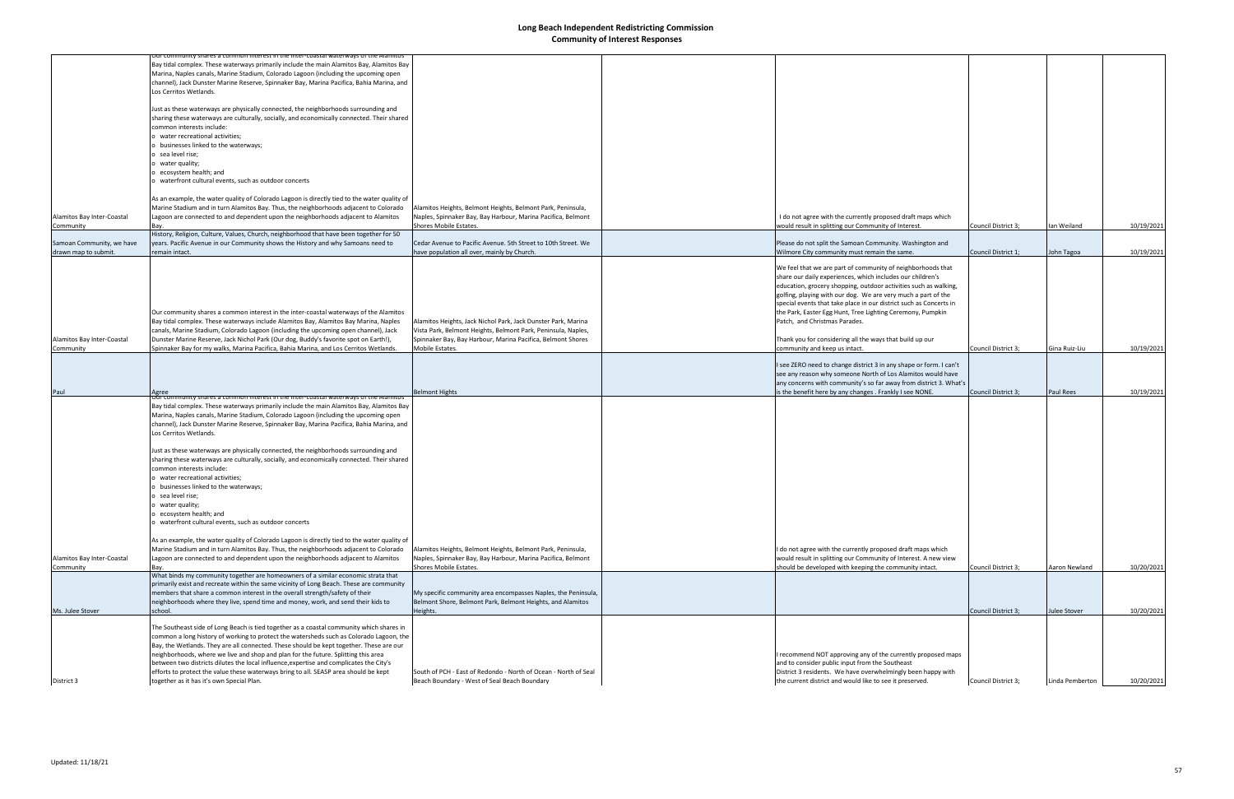|                            | for community shares a common interest in the inter-coastal waterways of the Alamitos        |                                                                 |                                                                    |                     |                 |            |
|----------------------------|----------------------------------------------------------------------------------------------|-----------------------------------------------------------------|--------------------------------------------------------------------|---------------------|-----------------|------------|
|                            | Bay tidal complex. These waterways primarily include the main Alamitos Bay, Alamitos Bay     |                                                                 |                                                                    |                     |                 |            |
|                            | Marina, Naples canals, Marine Stadium, Colorado Lagoon (including the upcoming open          |                                                                 |                                                                    |                     |                 |            |
|                            | channel), Jack Dunster Marine Reserve, Spinnaker Bay, Marina Pacifica, Bahia Marina, and     |                                                                 |                                                                    |                     |                 |            |
|                            | Los Cerritos Wetlands.                                                                       |                                                                 |                                                                    |                     |                 |            |
|                            |                                                                                              |                                                                 |                                                                    |                     |                 |            |
|                            | Just as these waterways are physically connected, the neighborhoods surrounding and          |                                                                 |                                                                    |                     |                 |            |
|                            | sharing these waterways are culturally, socially, and economically connected. Their shared   |                                                                 |                                                                    |                     |                 |            |
|                            | common interests include:                                                                    |                                                                 |                                                                    |                     |                 |            |
|                            | o water recreational activities;                                                             |                                                                 |                                                                    |                     |                 |            |
|                            | o businesses linked to the waterways;                                                        |                                                                 |                                                                    |                     |                 |            |
|                            | o sea level rise;                                                                            |                                                                 |                                                                    |                     |                 |            |
|                            | water quality;                                                                               |                                                                 |                                                                    |                     |                 |            |
|                            | o ecosystem health; and                                                                      |                                                                 |                                                                    |                     |                 |            |
|                            | o waterfront cultural events, such as outdoor concerts                                       |                                                                 |                                                                    |                     |                 |            |
|                            |                                                                                              |                                                                 |                                                                    |                     |                 |            |
|                            | As an example, the water quality of Colorado Lagoon is directly tied to the water quality of |                                                                 |                                                                    |                     |                 |            |
|                            | Marine Stadium and in turn Alamitos Bay. Thus, the neighborhoods adjacent to Colorado        | Alamitos Heights, Belmont Heights, Belmont Park, Peninsula,     |                                                                    |                     |                 |            |
| Alamitos Bay Inter-Coastal | Lagoon are connected to and dependent upon the neighborhoods adjacent to Alamitos            | Naples, Spinnaker Bay, Bay Harbour, Marina Pacifica, Belmont    | I do not agree with the currently proposed draft maps which        |                     |                 |            |
| Community                  | Bay.                                                                                         | Shores Mobile Estates.                                          | would result in splitting our Community of Interest.               | Council District 3  | Ian Weiland     | 10/19/2021 |
|                            | History, Religion, Culture, Values, Church, neighborhood that have been together for 50      |                                                                 |                                                                    |                     |                 |            |
| Samoan Community, we have  | years. Pacific Avenue in our Community shows the History and why Samoans need to             | Cedar Avenue to Pacific Avenue. 5th Street to 10th Street. We   | Please do not split the Samoan Community. Washington and           |                     |                 |            |
| drawn map to submit.       | remain intact.                                                                               | have population all over, mainly by Church.                     | Wilmore City community must remain the same.                       | Council District 1; | John Tagoa      | 10/19/2021 |
|                            |                                                                                              |                                                                 |                                                                    |                     |                 |            |
|                            |                                                                                              |                                                                 | We feel that we are part of community of neighborhoods that        |                     |                 |            |
|                            |                                                                                              |                                                                 | share our daily experiences, which includes our children's         |                     |                 |            |
|                            |                                                                                              |                                                                 | education, grocery shopping, outdoor activities such as walking,   |                     |                 |            |
|                            |                                                                                              |                                                                 | golfing, playing with our dog. We are very much a part of the      |                     |                 |            |
|                            |                                                                                              |                                                                 | special events that take place in our district such as Concerts in |                     |                 |            |
|                            | Our community shares a common interest in the inter-coastal waterways of the Alamitos        |                                                                 | the Park, Easter Egg Hunt, Tree Lighting Ceremony, Pumpkin         |                     |                 |            |
|                            | Bay tidal complex. These waterways include Alamitos Bay, Alamitos Bay Marina, Naples         | Alamitos Heights, Jack Nichol Park, Jack Dunster Park, Marina   | Patch, and Christmas Parades.                                      |                     |                 |            |
|                            | canals, Marine Stadium, Colorado Lagoon (including the upcoming open channel), Jack          | Vista Park, Belmont Heights, Belmont Park, Peninsula, Naples,   |                                                                    |                     |                 |            |
| Alamitos Bay Inter-Coastal | Dunster Marine Reserve, Jack Nichol Park (Our dog, Buddy's favorite spot on Earth!),         | Spinnaker Bay, Bay Harbour, Marina Pacifica, Belmont Shores     | Thank you for considering all the ways that build up our           |                     |                 |            |
| Community                  | Spinnaker Bay for my walks, Marina Pacifica, Bahia Marina, and Los Cerritos Wetlands.        | Mobile Estates.                                                 | community and keep us intact.                                      | Council District 3; | Gina Ruiz-Liu   | 10/19/2021 |
|                            |                                                                                              |                                                                 |                                                                    |                     |                 |            |
|                            |                                                                                              |                                                                 | I see ZERO need to change district 3 in any shape or form. I can't |                     |                 |            |
|                            |                                                                                              |                                                                 | see any reason why someone North of Los Alamitos would have        |                     |                 |            |
|                            |                                                                                              |                                                                 | any concerns with community's so far away from district 3. What's  |                     |                 |            |
| Paul                       |                                                                                              | <b>Belmont Hights</b>                                           | is the benefit here by any changes . Frankly I see NONE.           | Council District 3; | Paul Rees       | 10/19/2021 |
|                            | Agree<br>iunity shares a common interest in the inter-coastal waterways or the Alami         |                                                                 |                                                                    |                     |                 |            |
|                            | Bay tidal complex. These waterways primarily include the main Alamitos Bay, Alamitos Bay     |                                                                 |                                                                    |                     |                 |            |
|                            | Marina, Naples canals, Marine Stadium, Colorado Lagoon (including the upcoming open          |                                                                 |                                                                    |                     |                 |            |
|                            | channel), Jack Dunster Marine Reserve, Spinnaker Bay, Marina Pacifica, Bahia Marina, and     |                                                                 |                                                                    |                     |                 |            |
|                            | Los Cerritos Wetlands.                                                                       |                                                                 |                                                                    |                     |                 |            |
|                            |                                                                                              |                                                                 |                                                                    |                     |                 |            |
|                            | Just as these waterways are physically connected, the neighborhoods surrounding and          |                                                                 |                                                                    |                     |                 |            |
|                            | sharing these waterways are culturally, socially, and economically connected. Their shared   |                                                                 |                                                                    |                     |                 |            |
|                            | common interests include:                                                                    |                                                                 |                                                                    |                     |                 |            |
|                            | water recreational activities;                                                               |                                                                 |                                                                    |                     |                 |            |
|                            | o businesses linked to the waterways;                                                        |                                                                 |                                                                    |                     |                 |            |
|                            | o sea level rise;                                                                            |                                                                 |                                                                    |                     |                 |            |
|                            | o water quality;                                                                             |                                                                 |                                                                    |                     |                 |            |
|                            | o ecosystem health; and                                                                      |                                                                 |                                                                    |                     |                 |            |
|                            | o waterfront cultural events, such as outdoor concerts                                       |                                                                 |                                                                    |                     |                 |            |
|                            |                                                                                              |                                                                 |                                                                    |                     |                 |            |
|                            | As an example, the water quality of Colorado Lagoon is directly tied to the water quality of |                                                                 |                                                                    |                     |                 |            |
|                            | Marine Stadium and in turn Alamitos Bay. Thus, the neighborhoods adjacent to Colorado        | Alamitos Heights, Belmont Heights, Belmont Park, Peninsula,     | I do not agree with the currently proposed draft maps which        |                     |                 |            |
| Alamitos Bay Inter-Coastal | Lagoon are connected to and dependent upon the neighborhoods adjacent to Alamitos            | Naples, Spinnaker Bay, Bay Harbour, Marina Pacifica, Belmont    | would result in splitting our Community of Interest. A new view    |                     |                 |            |
| Community                  | Bav.                                                                                         | Shores Mobile Estates.                                          | should be developed with keeping the community intact.             | Council District 3; | Aaron Newland   | 10/20/2021 |
|                            | What binds my community together are homeowners of a similar economic strata that            |                                                                 |                                                                    |                     |                 |            |
|                            | primarily exist and recreate within the same vicinity of Long Beach. These are community     |                                                                 |                                                                    |                     |                 |            |
|                            | members that share a common interest in the overall strength/safety of their                 | My specific community area encompasses Naples, the Peninsula,   |                                                                    |                     |                 |            |
|                            | neighborhoods where they live, spend time and money, work, and send their kids to            | Belmont Shore, Belmont Park, Belmont Heights, and Alamitos      |                                                                    |                     |                 |            |
| Ms. Julee Stover           | school.                                                                                      |                                                                 |                                                                    | Council District 3; | Julee Stover    | 10/20/2021 |
|                            |                                                                                              | Heights.                                                        |                                                                    |                     |                 |            |
|                            | The Southeast side of Long Beach is tied together as a coastal community which shares in     |                                                                 |                                                                    |                     |                 |            |
|                            | common a long history of working to protect the watersheds such as Colorado Lagoon, the      |                                                                 |                                                                    |                     |                 |            |
|                            | Bay, the Wetlands. They are all connected. These should be kept together. These are our      |                                                                 |                                                                    |                     |                 |            |
|                            | neighborhoods, where we live and shop and plan for the future. Splitting this area           |                                                                 | I recommend NOT approving any of the currently proposed maps       |                     |                 |            |
|                            | between two districts dilutes the local influence, expertise and complicates the City's      |                                                                 | and to consider public input from the Southeast                    |                     |                 |            |
|                            | efforts to protect the value these waterways bring to all. SEASP area should be kept         | South of PCH - East of Redondo - North of Ocean - North of Seal | District 3 residents. We have overwhelmingly been happy with       |                     |                 |            |
|                            | together as it has it's own Special Plan.                                                    | Beach Boundary - West of Seal Beach Boundary                    | the current district and would like to see it preserved.           | Council District 3; | Linda Pemberton |            |
| District 3                 |                                                                                              |                                                                 |                                                                    |                     |                 | 10/20/2021 |

| I do not agree with the currently proposed draft maps which<br>would result in splitting our Community of Interest.                                                                                                                                                                                                                                                                                                                 | Council District 3;                        | Ian Weiland                          | 10/19/2021               |
|-------------------------------------------------------------------------------------------------------------------------------------------------------------------------------------------------------------------------------------------------------------------------------------------------------------------------------------------------------------------------------------------------------------------------------------|--------------------------------------------|--------------------------------------|--------------------------|
| Please do not split the Samoan Community. Washington and<br>Wilmore City community must remain the same.                                                                                                                                                                                                                                                                                                                            | Council District 1;                        | John Tagoa                           | 10/19/2021               |
| We feel that we are part of community of neighborhoods that<br>share our daily experiences, which includes our children's<br>education, grocery shopping, outdoor activities such as walking,<br>golfing, playing with our dog. We are very much a part of the<br>special events that take place in our district such as Concerts in<br>the Park, Easter Egg Hunt, Tree Lighting Ceremony, Pumpkin<br>Patch, and Christmas Parades. |                                            |                                      |                          |
| Thank you for considering all the ways that build up our<br>community and keep us intact.                                                                                                                                                                                                                                                                                                                                           | Council District 3;                        | Gina Ruiz-Liu                        | 10/19/2021               |
| I see ZERO need to change district 3 in any shape or form. I can't<br>see any reason why someone North of Los Alamitos would have                                                                                                                                                                                                                                                                                                   |                                            |                                      |                          |
| any concerns with community's so far away from district 3. What's<br>is the benefit here by any changes. Frankly I see NONE.                                                                                                                                                                                                                                                                                                        | Council District 3;                        | <b>Paul Rees</b>                     | 10/19/2021               |
| I do not agree with the currently proposed draft maps which<br>would result in splitting our Community of Interest. A new view<br>should be developed with keeping the community intact.                                                                                                                                                                                                                                            | Council District 3;<br>Council District 3; | Aaron Newland<br><b>Julee Stover</b> | 10/20/2021<br>10/20/2021 |
|                                                                                                                                                                                                                                                                                                                                                                                                                                     |                                            |                                      |                          |
| I recommend NOT approving any of the currently proposed maps<br>and to consider public input from the Southeast<br>District 3 residents. We have overwhelmingly been happy with<br>the current district and would like to see it preserved.                                                                                                                                                                                         | Council District 3;                        | Linda Pemberton                      | 10/20/2021               |
|                                                                                                                                                                                                                                                                                                                                                                                                                                     |                                            |                                      |                          |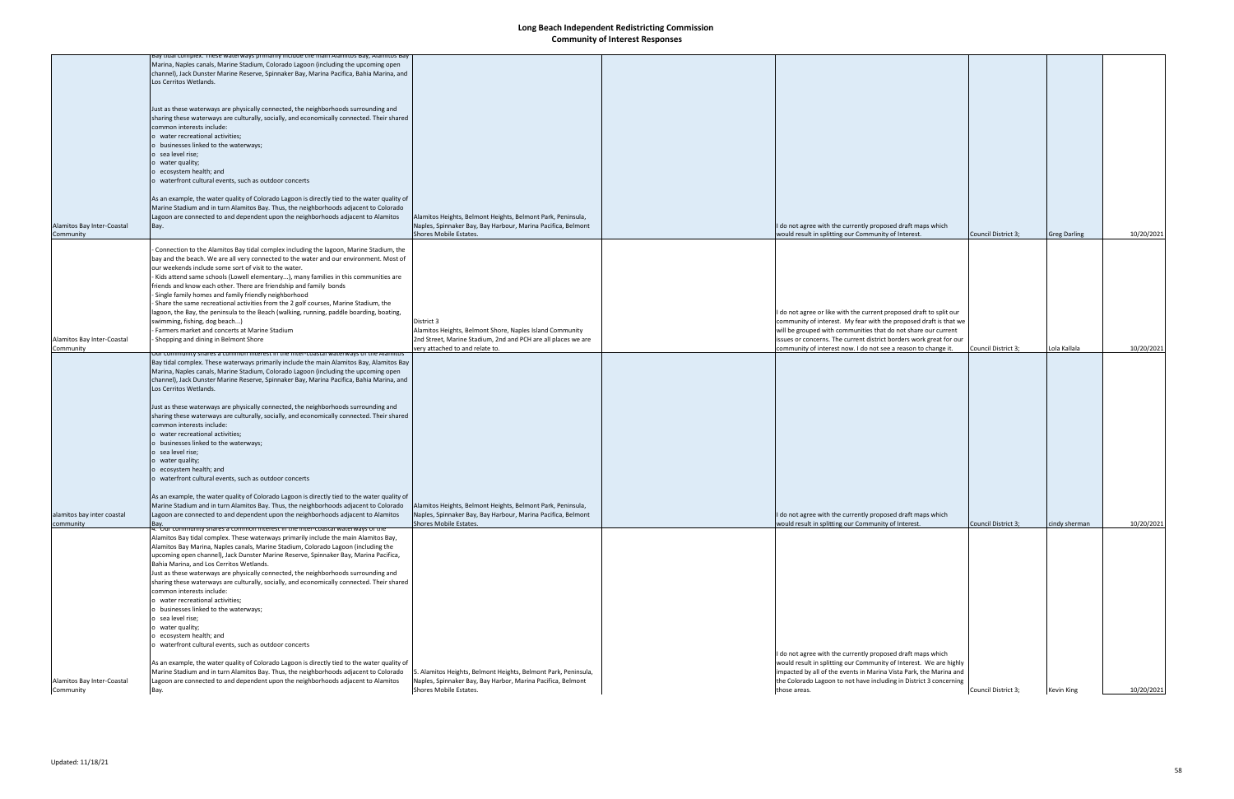|                            | say tidal complex. These waterways primarily include the main Alamitos Bay, Alamitos Bay                                                                                        |                                                               |                                                                     |                     |                     |            |
|----------------------------|---------------------------------------------------------------------------------------------------------------------------------------------------------------------------------|---------------------------------------------------------------|---------------------------------------------------------------------|---------------------|---------------------|------------|
|                            | Marina, Naples canals, Marine Stadium, Colorado Lagoon (including the upcoming open<br>channel), Jack Dunster Marine Reserve, Spinnaker Bay, Marina Pacifica, Bahia Marina, and |                                                               |                                                                     |                     |                     |            |
|                            |                                                                                                                                                                                 |                                                               |                                                                     |                     |                     |            |
|                            | Los Cerritos Wetlands.                                                                                                                                                          |                                                               |                                                                     |                     |                     |            |
|                            |                                                                                                                                                                                 |                                                               |                                                                     |                     |                     |            |
|                            |                                                                                                                                                                                 |                                                               |                                                                     |                     |                     |            |
|                            | Just as these waterways are physically connected, the neighborhoods surrounding and                                                                                             |                                                               |                                                                     |                     |                     |            |
|                            | sharing these waterways are culturally, socially, and economically connected. Their shared                                                                                      |                                                               |                                                                     |                     |                     |            |
|                            | common interests include:                                                                                                                                                       |                                                               |                                                                     |                     |                     |            |
|                            | o water recreational activities;                                                                                                                                                |                                                               |                                                                     |                     |                     |            |
|                            | o businesses linked to the waterways;                                                                                                                                           |                                                               |                                                                     |                     |                     |            |
|                            | o sea level rise;                                                                                                                                                               |                                                               |                                                                     |                     |                     |            |
|                            | o water quality;                                                                                                                                                                |                                                               |                                                                     |                     |                     |            |
|                            | o ecosystem health; and                                                                                                                                                         |                                                               |                                                                     |                     |                     |            |
|                            | o waterfront cultural events, such as outdoor concerts                                                                                                                          |                                                               |                                                                     |                     |                     |            |
|                            |                                                                                                                                                                                 |                                                               |                                                                     |                     |                     |            |
|                            | As an example, the water quality of Colorado Lagoon is directly tied to the water quality of                                                                                    |                                                               |                                                                     |                     |                     |            |
|                            | Marine Stadium and in turn Alamitos Bay. Thus, the neighborhoods adjacent to Colorado                                                                                           |                                                               |                                                                     |                     |                     |            |
|                            | Lagoon are connected to and dependent upon the neighborhoods adjacent to Alamitos                                                                                               | Alamitos Heights, Belmont Heights, Belmont Park, Peninsula,   |                                                                     |                     |                     |            |
| Alamitos Bay Inter-Coastal | Bay.                                                                                                                                                                            | Naples, Spinnaker Bay, Bay Harbour, Marina Pacifica, Belmont  | I do not agree with the currently proposed draft maps which         |                     |                     |            |
| Community                  |                                                                                                                                                                                 | Shores Mobile Estates.                                        | would result in splitting our Community of Interest.                | Council District 3; | <b>Greg Darling</b> | 10/20/2021 |
|                            |                                                                                                                                                                                 |                                                               |                                                                     |                     |                     |            |
|                            | Connection to the Alamitos Bay tidal complex including the lagoon, Marine Stadium, the                                                                                          |                                                               |                                                                     |                     |                     |            |
|                            | bay and the beach. We are all very connected to the water and our environment. Most of                                                                                          |                                                               |                                                                     |                     |                     |            |
|                            | our weekends include some sort of visit to the water.                                                                                                                           |                                                               |                                                                     |                     |                     |            |
|                            | Kids attend same schools (Lowell elementary), many families in this communities are                                                                                             |                                                               |                                                                     |                     |                     |            |
|                            | friends and know each other. There are friendship and family bonds                                                                                                              |                                                               |                                                                     |                     |                     |            |
|                            | Single family homes and family friendly neighborhood                                                                                                                            |                                                               |                                                                     |                     |                     |            |
|                            | Share the same recreational activities from the 2 golf courses, Marine Stadium, the                                                                                             |                                                               |                                                                     |                     |                     |            |
|                            | lagoon, the Bay, the peninsula to the Beach (walking, running, paddle boarding, boating,                                                                                        |                                                               | I do not agree or like with the current proposed draft to split our |                     |                     |            |
|                            | swimming, fishing, dog beach)                                                                                                                                                   | District 3                                                    | community of interest. My fear with the proposed draft is that we   |                     |                     |            |
|                            | Farmers market and concerts at Marine Stadium                                                                                                                                   | Alamitos Heights, Belmont Shore, Naples Island Community      | will be grouped with communities that do not share our current      |                     |                     |            |
| Alamitos Bay Inter-Coastal | Shopping and dining in Belmont Shore                                                                                                                                            | 2nd Street, Marine Stadium, 2nd and PCH are all places we are | issues or concerns. The current district borders work great for our |                     |                     |            |
| Community                  |                                                                                                                                                                                 | very attached to and relate to.                               | community of interest now. I do not see a reason to change it.      | Council District 3; | Lola Kallala        | 10/20/2021 |
|                            | <u>ion interest in the inter-coastal waterways of the Alamitos</u>                                                                                                              |                                                               |                                                                     |                     |                     |            |
|                            | Bay tidal complex. These waterways primarily include the main Alamitos Bay, Alamitos Bay                                                                                        |                                                               |                                                                     |                     |                     |            |
|                            | Marina, Naples canals, Marine Stadium, Colorado Lagoon (including the upcoming open                                                                                             |                                                               |                                                                     |                     |                     |            |
|                            | channel), Jack Dunster Marine Reserve, Spinnaker Bay, Marina Pacifica, Bahia Marina, and                                                                                        |                                                               |                                                                     |                     |                     |            |
|                            | Los Cerritos Wetlands.                                                                                                                                                          |                                                               |                                                                     |                     |                     |            |
|                            |                                                                                                                                                                                 |                                                               |                                                                     |                     |                     |            |
|                            | Just as these waterways are physically connected, the neighborhoods surrounding and                                                                                             |                                                               |                                                                     |                     |                     |            |
|                            | sharing these waterways are culturally, socially, and economically connected. Their shared                                                                                      |                                                               |                                                                     |                     |                     |            |
|                            | common interests include:                                                                                                                                                       |                                                               |                                                                     |                     |                     |            |
|                            | o water recreational activities;                                                                                                                                                |                                                               |                                                                     |                     |                     |            |
|                            | o businesses linked to the waterways;                                                                                                                                           |                                                               |                                                                     |                     |                     |            |
|                            | o sea level rise;                                                                                                                                                               |                                                               |                                                                     |                     |                     |            |
|                            | o water quality;                                                                                                                                                                |                                                               |                                                                     |                     |                     |            |
|                            | o ecosystem health; and                                                                                                                                                         |                                                               |                                                                     |                     |                     |            |
|                            | o waterfront cultural events, such as outdoor concerts                                                                                                                          |                                                               |                                                                     |                     |                     |            |
|                            |                                                                                                                                                                                 |                                                               |                                                                     |                     |                     |            |
|                            | As an example, the water quality of Colorado Lagoon is directly tied to the water quality of                                                                                    |                                                               |                                                                     |                     |                     |            |
|                            | Marine Stadium and in turn Alamitos Bay. Thus, the neighborhoods adjacent to Colorado                                                                                           | Alamitos Heights, Belmont Heights, Belmont Park, Peninsula,   |                                                                     |                     |                     |            |
| alamitos bay inter coastal | Lagoon are connected to and dependent upon the neighborhoods adjacent to Alamitos                                                                                               | Naples, Spinnaker Bay, Bay Harbour, Marina Pacifica, Belmont  | I do not agree with the currently proposed draft maps which         |                     |                     |            |
| community                  | Bay.                                                                                                                                                                            | Shores Mobile Estates.                                        | would result in splitting our Community of Interest.                | Council District 3; | cindy sherman       | 10/20/2021 |
|                            | 4. Our community shares a common interest in the inter-coastal waterways of the                                                                                                 |                                                               |                                                                     |                     |                     |            |
|                            | Alamitos Bay tidal complex. These waterways primarily include the main Alamitos Bay,                                                                                            |                                                               |                                                                     |                     |                     |            |
|                            | Alamitos Bay Marina, Naples canals, Marine Stadium, Colorado Lagoon (including the                                                                                              |                                                               |                                                                     |                     |                     |            |
|                            | upcoming open channel), Jack Dunster Marine Reserve, Spinnaker Bay, Marina Pacifica,                                                                                            |                                                               |                                                                     |                     |                     |            |
|                            | Bahia Marina, and Los Cerritos Wetlands.                                                                                                                                        |                                                               |                                                                     |                     |                     |            |
|                            | Just as these waterways are physically connected, the neighborhoods surrounding and                                                                                             |                                                               |                                                                     |                     |                     |            |
|                            | sharing these waterways are culturally, socially, and economically connected. Their shared                                                                                      |                                                               |                                                                     |                     |                     |            |
|                            | common interests include:                                                                                                                                                       |                                                               |                                                                     |                     |                     |            |
|                            | o water recreational activities;                                                                                                                                                |                                                               |                                                                     |                     |                     |            |
|                            | o businesses linked to the waterways;                                                                                                                                           |                                                               |                                                                     |                     |                     |            |
|                            | o sea level rise;                                                                                                                                                               |                                                               |                                                                     |                     |                     |            |
|                            | o water quality;                                                                                                                                                                |                                                               |                                                                     |                     |                     |            |
|                            | o ecosystem health; and                                                                                                                                                         |                                                               |                                                                     |                     |                     |            |
|                            | o waterfront cultural events, such as outdoor concerts                                                                                                                          |                                                               |                                                                     |                     |                     |            |
|                            |                                                                                                                                                                                 |                                                               | I do not agree with the currently proposed draft maps which         |                     |                     |            |
|                            | As an example, the water quality of Colorado Lagoon is directly tied to the water quality of                                                                                    |                                                               | would result in splitting our Community of Interest. We are highly  |                     |                     |            |
|                            | Marine Stadium and in turn Alamitos Bay. Thus, the neighborhoods adjacent to Colorado                                                                                           | . Alamitos Heights, Belmont Heights, Belmont Park, Peninsula, | impacted by all of the events in Marina Vista Park, the Marina and  |                     |                     |            |
| Alamitos Bay Inter-Coastal | Lagoon are connected to and dependent upon the neighborhoods adjacent to Alamitos                                                                                               | Naples, Spinnaker Bay, Bay Harbor, Marina Pacifica, Belmont   | the Colorado Lagoon to not have including in District 3 concerning  |                     |                     |            |
| Community                  | Bay.                                                                                                                                                                            | Shores Mobile Estates.                                        | those areas.                                                        | Council District 3; | <b>Kevin King</b>   | 10/20/2021 |
|                            |                                                                                                                                                                                 |                                                               |                                                                     |                     |                     |            |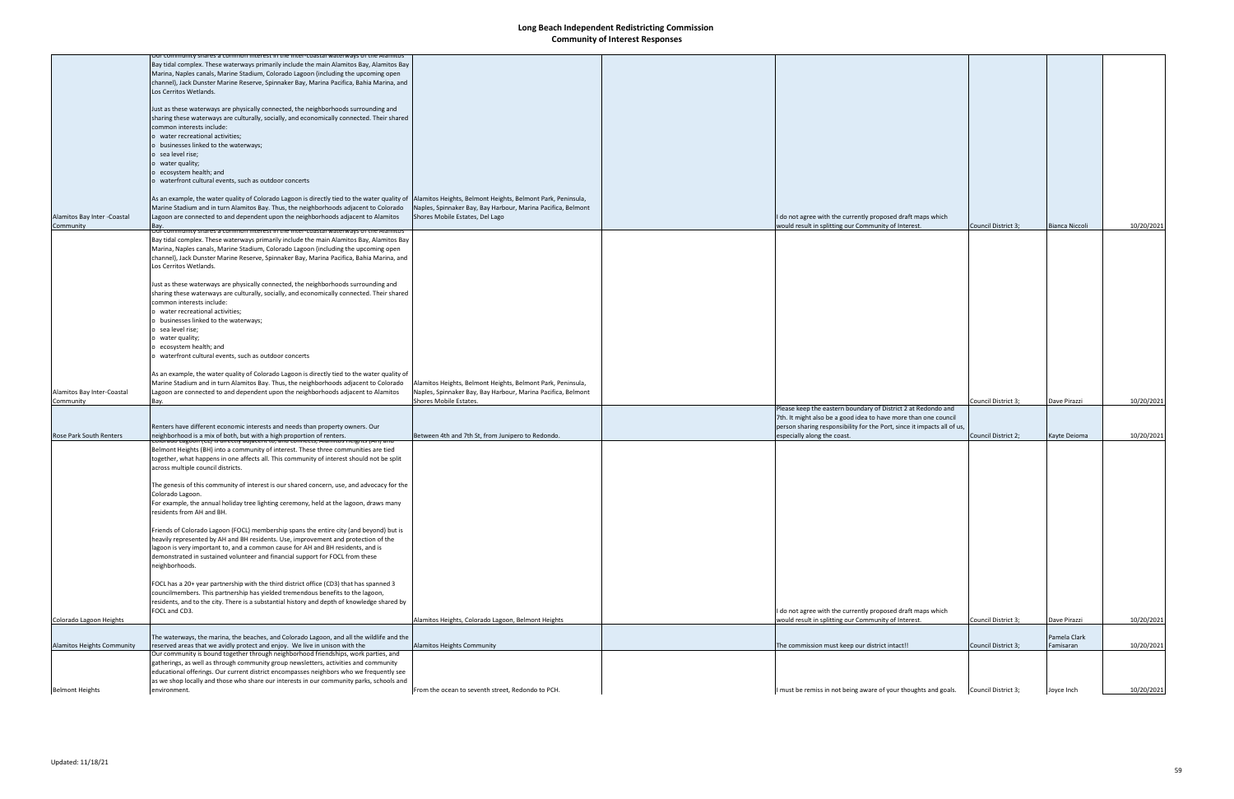|                                | for community shares a common interest in the inter-coastal waterways of the Alamitos                                                                               |                                                              |                                                                         |                     |                |            |
|--------------------------------|---------------------------------------------------------------------------------------------------------------------------------------------------------------------|--------------------------------------------------------------|-------------------------------------------------------------------------|---------------------|----------------|------------|
|                                | Bay tidal complex. These waterways primarily include the main Alamitos Bay, Alamitos Bay                                                                            |                                                              |                                                                         |                     |                |            |
|                                | Marina, Naples canals, Marine Stadium, Colorado Lagoon (including the upcoming open                                                                                 |                                                              |                                                                         |                     |                |            |
|                                | channel), Jack Dunster Marine Reserve, Spinnaker Bay, Marina Pacifica, Bahia Marina, and                                                                            |                                                              |                                                                         |                     |                |            |
|                                |                                                                                                                                                                     |                                                              |                                                                         |                     |                |            |
|                                | Los Cerritos Wetlands.                                                                                                                                              |                                                              |                                                                         |                     |                |            |
|                                |                                                                                                                                                                     |                                                              |                                                                         |                     |                |            |
|                                | Just as these waterways are physically connected, the neighborhoods surrounding and                                                                                 |                                                              |                                                                         |                     |                |            |
|                                | sharing these waterways are culturally, socially, and economically connected. Their shared                                                                          |                                                              |                                                                         |                     |                |            |
|                                |                                                                                                                                                                     |                                                              |                                                                         |                     |                |            |
|                                | common interests include:                                                                                                                                           |                                                              |                                                                         |                     |                |            |
|                                | o water recreational activities;                                                                                                                                    |                                                              |                                                                         |                     |                |            |
|                                | o businesses linked to the waterways;                                                                                                                               |                                                              |                                                                         |                     |                |            |
|                                |                                                                                                                                                                     |                                                              |                                                                         |                     |                |            |
|                                | o sea level rise;                                                                                                                                                   |                                                              |                                                                         |                     |                |            |
|                                | o water quality;                                                                                                                                                    |                                                              |                                                                         |                     |                |            |
|                                | o ecosystem health; and                                                                                                                                             |                                                              |                                                                         |                     |                |            |
|                                |                                                                                                                                                                     |                                                              |                                                                         |                     |                |            |
|                                | o waterfront cultural events, such as outdoor concerts                                                                                                              |                                                              |                                                                         |                     |                |            |
|                                |                                                                                                                                                                     |                                                              |                                                                         |                     |                |            |
|                                | As an example, the water quality of Colorado Lagoon is directly tied to the water quality of  Alamitos Heights, Belmont Heights, Belmont Park, Peninsula,           |                                                              |                                                                         |                     |                |            |
|                                |                                                                                                                                                                     |                                                              |                                                                         |                     |                |            |
|                                | Marine Stadium and in turn Alamitos Bay. Thus, the neighborhoods adjacent to Colorado                                                                               | Naples, Spinnaker Bay, Bay Harbour, Marina Pacifica, Belmont |                                                                         |                     |                |            |
| Alamitos Bay Inter - Coastal   | Lagoon are connected to and dependent upon the neighborhoods adjacent to Alamitos                                                                                   | Shores Mobile Estates, Del Lago                              | I do not agree with the currently proposed draft maps which             |                     |                |            |
| Community                      | Bay.                                                                                                                                                                |                                                              | would result in splitting our Community of Interest.                    | Council District 3; | Bianca Niccoli | 10/20/2021 |
|                                | imon interest in the inter-coastal waterways                                                                                                                        |                                                              |                                                                         |                     |                |            |
|                                | Bay tidal complex. These waterways primarily include the main Alamitos Bay, Alamitos Bay                                                                            |                                                              |                                                                         |                     |                |            |
|                                |                                                                                                                                                                     |                                                              |                                                                         |                     |                |            |
|                                | Marina, Naples canals, Marine Stadium, Colorado Lagoon (including the upcoming open                                                                                 |                                                              |                                                                         |                     |                |            |
|                                | channel), Jack Dunster Marine Reserve, Spinnaker Bay, Marina Pacifica, Bahia Marina, and                                                                            |                                                              |                                                                         |                     |                |            |
|                                | Los Cerritos Wetlands.                                                                                                                                              |                                                              |                                                                         |                     |                |            |
|                                |                                                                                                                                                                     |                                                              |                                                                         |                     |                |            |
|                                |                                                                                                                                                                     |                                                              |                                                                         |                     |                |            |
|                                | Just as these waterways are physically connected, the neighborhoods surrounding and                                                                                 |                                                              |                                                                         |                     |                |            |
|                                | sharing these waterways are culturally, socially, and economically connected. Their shared                                                                          |                                                              |                                                                         |                     |                |            |
|                                | common interests include:                                                                                                                                           |                                                              |                                                                         |                     |                |            |
|                                |                                                                                                                                                                     |                                                              |                                                                         |                     |                |            |
|                                | o water recreational activities;                                                                                                                                    |                                                              |                                                                         |                     |                |            |
|                                | o businesses linked to the waterways;                                                                                                                               |                                                              |                                                                         |                     |                |            |
|                                | o sea level rise;                                                                                                                                                   |                                                              |                                                                         |                     |                |            |
|                                |                                                                                                                                                                     |                                                              |                                                                         |                     |                |            |
|                                | o water quality;                                                                                                                                                    |                                                              |                                                                         |                     |                |            |
|                                | o ecosystem health; and                                                                                                                                             |                                                              |                                                                         |                     |                |            |
|                                | o waterfront cultural events, such as outdoor concerts                                                                                                              |                                                              |                                                                         |                     |                |            |
|                                |                                                                                                                                                                     |                                                              |                                                                         |                     |                |            |
|                                |                                                                                                                                                                     |                                                              |                                                                         |                     |                |            |
|                                | As an example, the water quality of Colorado Lagoon is directly tied to the water quality of                                                                        |                                                              |                                                                         |                     |                |            |
|                                | Marine Stadium and in turn Alamitos Bay. Thus, the neighborhoods adjacent to Colorado                                                                               | Alamitos Heights, Belmont Heights, Belmont Park, Peninsula,  |                                                                         |                     |                |            |
|                                |                                                                                                                                                                     |                                                              |                                                                         |                     |                |            |
| Alamitos Bay Inter-Coastal     | Lagoon are connected to and dependent upon the neighborhoods adjacent to Alamitos                                                                                   | Naples, Spinnaker Bay, Bay Harbour, Marina Pacifica, Belmont |                                                                         |                     |                |            |
| Community                      | Bay.                                                                                                                                                                | Shores Mobile Estates.                                       |                                                                         | Council District 3; | Dave Pirazzi   | 10/20/2021 |
|                                |                                                                                                                                                                     |                                                              | Please keep the eastern boundary of District 2 at Redondo and           |                     |                |            |
|                                |                                                                                                                                                                     |                                                              | 7th. It might also be a good idea to have more than one council         |                     |                |            |
|                                |                                                                                                                                                                     |                                                              | person sharing responsibility for the Port, since it impacts all of us, |                     |                |            |
|                                | Renters have different economic interests and needs than property owners. Our                                                                                       |                                                              |                                                                         |                     |                |            |
| <b>Rose Park South Renters</b> | <br> neighborhood is a mix of both, but with a high proportion of renters.<br> Colorado Lagoon (CL) is unectly adjacent to, and connects, Alamitos Heights (AH) and | Between 4th and 7th St, from Junipero to Redondo.            | especially along the coast.                                             | Council District 2; | Kayte Deioma   | 10/20/2021 |
|                                |                                                                                                                                                                     |                                                              |                                                                         |                     |                |            |
|                                | Belmont Heights (BH) into a community of interest. These three communities are tied                                                                                 |                                                              |                                                                         |                     |                |            |
|                                | together, what happens in one affects all. This community of interest should not be split                                                                           |                                                              |                                                                         |                     |                |            |
|                                | across multiple council districts.                                                                                                                                  |                                                              |                                                                         |                     |                |            |
|                                |                                                                                                                                                                     |                                                              |                                                                         |                     |                |            |
|                                |                                                                                                                                                                     |                                                              |                                                                         |                     |                |            |
|                                | The genesis of this community of interest is our shared concern, use, and advocacy for the                                                                          |                                                              |                                                                         |                     |                |            |
|                                | Colorado Lagoon.                                                                                                                                                    |                                                              |                                                                         |                     |                |            |
|                                |                                                                                                                                                                     |                                                              |                                                                         |                     |                |            |
|                                | For example, the annual holiday tree lighting ceremony, held at the lagoon, draws many                                                                              |                                                              |                                                                         |                     |                |            |
|                                | residents from AH and BH.                                                                                                                                           |                                                              |                                                                         |                     |                |            |
|                                |                                                                                                                                                                     |                                                              |                                                                         |                     |                |            |
|                                | Friends of Colorado Lagoon (FOCL) membership spans the entire city (and beyond) but is                                                                              |                                                              |                                                                         |                     |                |            |
|                                |                                                                                                                                                                     |                                                              |                                                                         |                     |                |            |
|                                | heavily represented by AH and BH residents. Use, improvement and protection of the                                                                                  |                                                              |                                                                         |                     |                |            |
|                                | lagoon is very important to, and a common cause for AH and BH residents, and is                                                                                     |                                                              |                                                                         |                     |                |            |
|                                | demonstrated in sustained volunteer and financial support for FOCL from these                                                                                       |                                                              |                                                                         |                     |                |            |
|                                |                                                                                                                                                                     |                                                              |                                                                         |                     |                |            |
|                                | neighborhoods.                                                                                                                                                      |                                                              |                                                                         |                     |                |            |
|                                |                                                                                                                                                                     |                                                              |                                                                         |                     |                |            |
|                                | FOCL has a 20+ year partnership with the third district office (CD3) that has spanned 3                                                                             |                                                              |                                                                         |                     |                |            |
|                                | councilmembers. This partnership has yielded tremendous benefits to the lagoon,                                                                                     |                                                              |                                                                         |                     |                |            |
|                                |                                                                                                                                                                     |                                                              |                                                                         |                     |                |            |
|                                | residents, and to the city. There is a substantial history and depth of knowledge shared by                                                                         |                                                              |                                                                         |                     |                |            |
|                                | FOCL and CD3.                                                                                                                                                       |                                                              | I do not agree with the currently proposed draft maps which             |                     |                |            |
| Colorado Lagoon Heights        |                                                                                                                                                                     | Alamitos Heights, Colorado Lagoon, Belmont Heights           | would result in splitting our Community of Interest.                    | Council District 3; | Dave Pirazzi   | 10/20/2021 |
|                                |                                                                                                                                                                     |                                                              |                                                                         |                     |                |            |
|                                | The waterways, the marina, the beaches, and Colorado Lagoon, and all the wildlife and the                                                                           |                                                              |                                                                         |                     | Pamela Clark   |            |
|                                |                                                                                                                                                                     |                                                              |                                                                         |                     |                |            |
| Alamitos Heights Community     | reserved areas that we avidly protect and enjoy. We live in unison with the                                                                                         | Alamitos Heights Community                                   | The commission must keep our district intact!!                          | Council District 3; | Famisaran      | 10/20/2021 |
|                                | Our community is bound together through neighborhood friendships, work parties, and                                                                                 |                                                              |                                                                         |                     |                |            |
|                                | gatherings, as well as through community group newsletters, activities and community                                                                                |                                                              |                                                                         |                     |                |            |
|                                | educational offerings. Our current district encompasses neighbors who we frequently see                                                                             |                                                              |                                                                         |                     |                |            |
|                                |                                                                                                                                                                     |                                                              |                                                                         |                     |                |            |
|                                | as we shop locally and those who share our interests in our community parks, schools and                                                                            |                                                              |                                                                         |                     |                |            |
| <b>Belmont Heights</b>         | environment.                                                                                                                                                        | From the ocean to seventh street, Redondo to PCH.            | I must be remiss in not being aware of your thoughts and goals.         | Council District 3; | Joyce Inch     | 10/20/2021 |
|                                |                                                                                                                                                                     |                                                              |                                                                         |                     |                |            |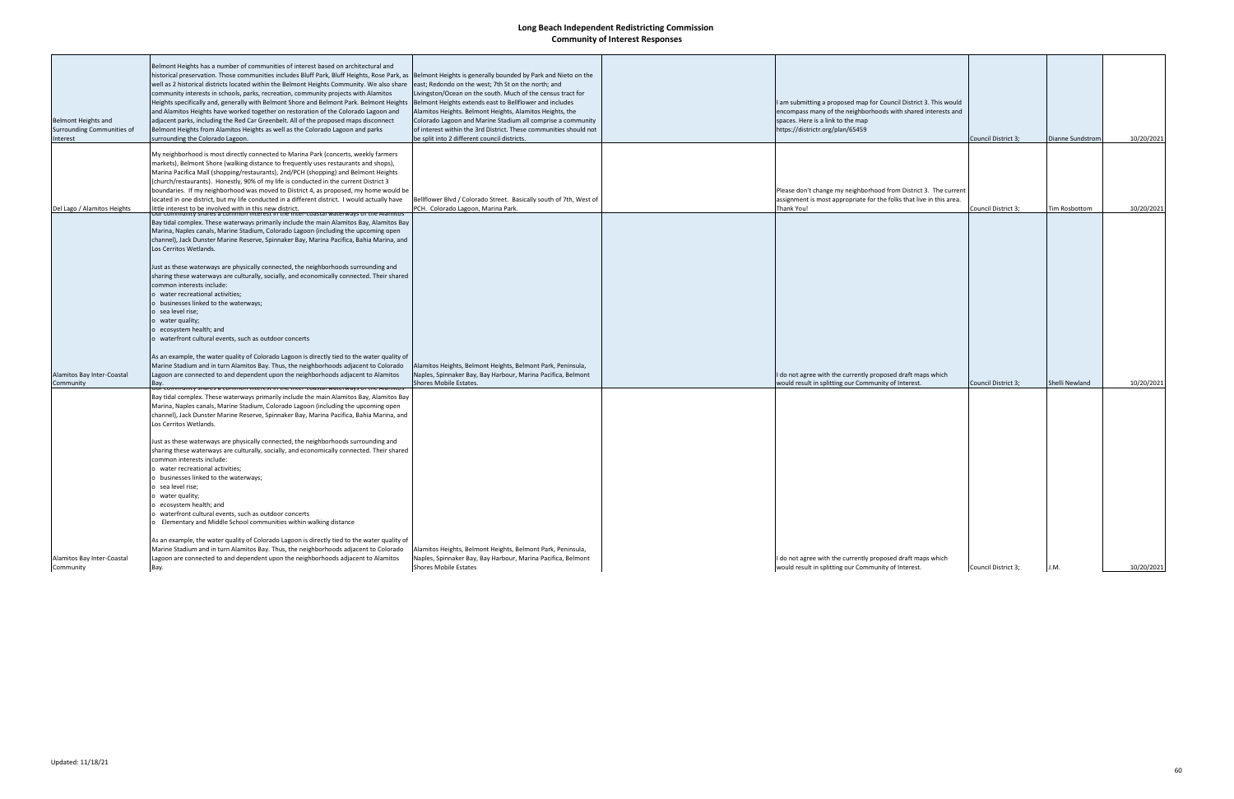| Belmont Heights and<br>Surrounding Communities of | Belmont Heights has a number of communities of interest based on architectural and<br>historical preservation. Those communities includes Bluff Park, Bluff Heights, Rose Park, as Belmont Heights is generally bounded by Park and Nieto on the<br>well as 2 historical districts located within the Belmont Heights Community. We also share<br>community interests in schools, parks, recreation, community projects with Alamitos<br>Heights specifically and, generally with Belmont Shore and Belmont Park. Belmont Heights<br>and Alamitos Heights have worked together on restoration of the Colorado Lagoon and<br>adjacent parks, including the Red Car Greenbelt. All of the proposed maps disconnect<br>Belmont Heights from Alamitos Heights as well as the Colorado Lagoon and parks                | east; Redondo on the west; 7th St on the north; and<br>Livingston/Ocean on the south. Much of the census tract for<br>Belmont Heights extends east to Bellflower and includes<br>Alamitos Heights. Belmont Heights, Alamitos Heights, the<br>Colorado Lagoon and Marine Stadium all comprise a community<br>of interest within the 3rd District. These communities should not | I am submitting a proposed map for Council District 3. This would<br>encompass many of the neighborhoods with shared interests and<br>spaces. Here is a link to the map<br>https://districtr.org/plan/65459 |                     |                      |            |
|---------------------------------------------------|-------------------------------------------------------------------------------------------------------------------------------------------------------------------------------------------------------------------------------------------------------------------------------------------------------------------------------------------------------------------------------------------------------------------------------------------------------------------------------------------------------------------------------------------------------------------------------------------------------------------------------------------------------------------------------------------------------------------------------------------------------------------------------------------------------------------|-------------------------------------------------------------------------------------------------------------------------------------------------------------------------------------------------------------------------------------------------------------------------------------------------------------------------------------------------------------------------------|-------------------------------------------------------------------------------------------------------------------------------------------------------------------------------------------------------------|---------------------|----------------------|------------|
| Interest                                          | surrounding the Colorado Lagoon.                                                                                                                                                                                                                                                                                                                                                                                                                                                                                                                                                                                                                                                                                                                                                                                  | be split into 2 different council districts.                                                                                                                                                                                                                                                                                                                                  |                                                                                                                                                                                                             | Council District 3; | Dianne Sundstrom     | 10/20/2021 |
| Del Lago / Alamitos Heights                       | My neighborhood is most directly connected to Marina Park (concerts, weekly farmers<br>markets), Belmont Shore (walking distance to frequently uses restaurants and shops),<br>Marina Pacifica Mall (shopping/restaurants), 2nd/PCH (shopping) and Belmont Heights<br>(church/restaurants). Honestly, 90% of my life is conducted in the current District 3<br>boundaries. If my neighborhood was moved to District 4, as proposed, my home would be<br>located in one district, but my life conducted in a different district. I would actually have<br>little interest to be involved with in this new district.                                                                                                                                                                                                | Bellflower Blvd / Colorado Street. Basically south of 7th, West of<br>PCH. Colorado Lagoon, Marina Park.                                                                                                                                                                                                                                                                      | Please don't change my neighborhood from District 3. The current<br>assignment is most appropriate for the folks that live in this area.<br>Thank You!                                                      | Council District 3; | <b>Tim Rosbottom</b> | 10/20/2021 |
|                                                   | Our community shares a common interest in the inter-coastal waterways of the Alamito!<br>Bay tidal complex. These waterways primarily include the main Alamitos Bay, Alamitos Bay<br>Marina, Naples canals, Marine Stadium, Colorado Lagoon (including the upcoming open<br>channel), Jack Dunster Marine Reserve, Spinnaker Bay, Marina Pacifica, Bahia Marina, and<br>Los Cerritos Wetlands.<br>Just as these waterways are physically connected, the neighborhoods surrounding and<br>sharing these waterways are culturally, socially, and economically connected. Their shared<br>common interests include:<br>o water recreational activities;<br>businesses linked to the waterways;<br>sea level rise;<br>water quality;<br>ecosystem health; and<br>waterfront cultural events, such as outdoor concerts |                                                                                                                                                                                                                                                                                                                                                                               |                                                                                                                                                                                                             |                     |                      |            |
| Alamitos Bay Inter-Coastal                        | As an example, the water quality of Colorado Lagoon is directly tied to the water quality of<br>Marine Stadium and in turn Alamitos Bay. Thus, the neighborhoods adjacent to Colorado<br>Lagoon are connected to and dependent upon the neighborhoods adjacent to Alamitos                                                                                                                                                                                                                                                                                                                                                                                                                                                                                                                                        | Alamitos Heights, Belmont Heights, Belmont Park, Peninsula,<br>Naples, Spinnaker Bay, Bay Harbour, Marina Pacifica, Belmont                                                                                                                                                                                                                                                   | I do not agree with the currently proposed draft maps which                                                                                                                                                 |                     |                      |            |
| Community                                         | Bay.<br>es a common mieresi in the inter-coastal waterwa                                                                                                                                                                                                                                                                                                                                                                                                                                                                                                                                                                                                                                                                                                                                                          | Shores Mobile Estates.                                                                                                                                                                                                                                                                                                                                                        | would result in splitting our Community of Interest.                                                                                                                                                        | Council District 3; | Shelli Newland       | 10/20/2021 |
|                                                   | Bay tidal complex. These waterways primarily include the main Alamitos Bay, Alamitos Bay<br>Marina, Naples canals, Marine Stadium, Colorado Lagoon (including the upcoming open<br>channel), Jack Dunster Marine Reserve, Spinnaker Bay, Marina Pacifica, Bahia Marina, and<br>Los Cerritos Wetlands.                                                                                                                                                                                                                                                                                                                                                                                                                                                                                                             |                                                                                                                                                                                                                                                                                                                                                                               |                                                                                                                                                                                                             |                     |                      |            |
|                                                   | Just as these waterways are physically connected, the neighborhoods surrounding and<br>sharing these waterways are culturally, socially, and economically connected. Their shared<br>common interests include:<br>water recreational activities;<br>businesses linked to the waterways;<br>sea level rise;<br>o water quality;<br>ecosystem health; and<br>waterfront cultural events, such as outdoor concerts<br>Elementary and Middle School communities within walking distance                                                                                                                                                                                                                                                                                                                               |                                                                                                                                                                                                                                                                                                                                                                               |                                                                                                                                                                                                             |                     |                      |            |
| Alamitos Bay Inter-Coastal<br>Community           | As an example, the water quality of Colorado Lagoon is directly tied to the water quality of<br>Marine Stadium and in turn Alamitos Bay. Thus, the neighborhoods adjacent to Colorado<br>Lagoon are connected to and dependent upon the neighborhoods adjacent to Alamitos<br>Bay.                                                                                                                                                                                                                                                                                                                                                                                                                                                                                                                                | Alamitos Heights, Belmont Heights, Belmont Park, Peninsula,<br>Naples, Spinnaker Bay, Bay Harbour, Marina Pacifica, Belmont<br>Shores Mobile Estates                                                                                                                                                                                                                          | I do not agree with the currently proposed draft maps which<br>would result in splitting our Community of Interest.                                                                                         | Council District 3; | J.M.                 | 10/20/2021 |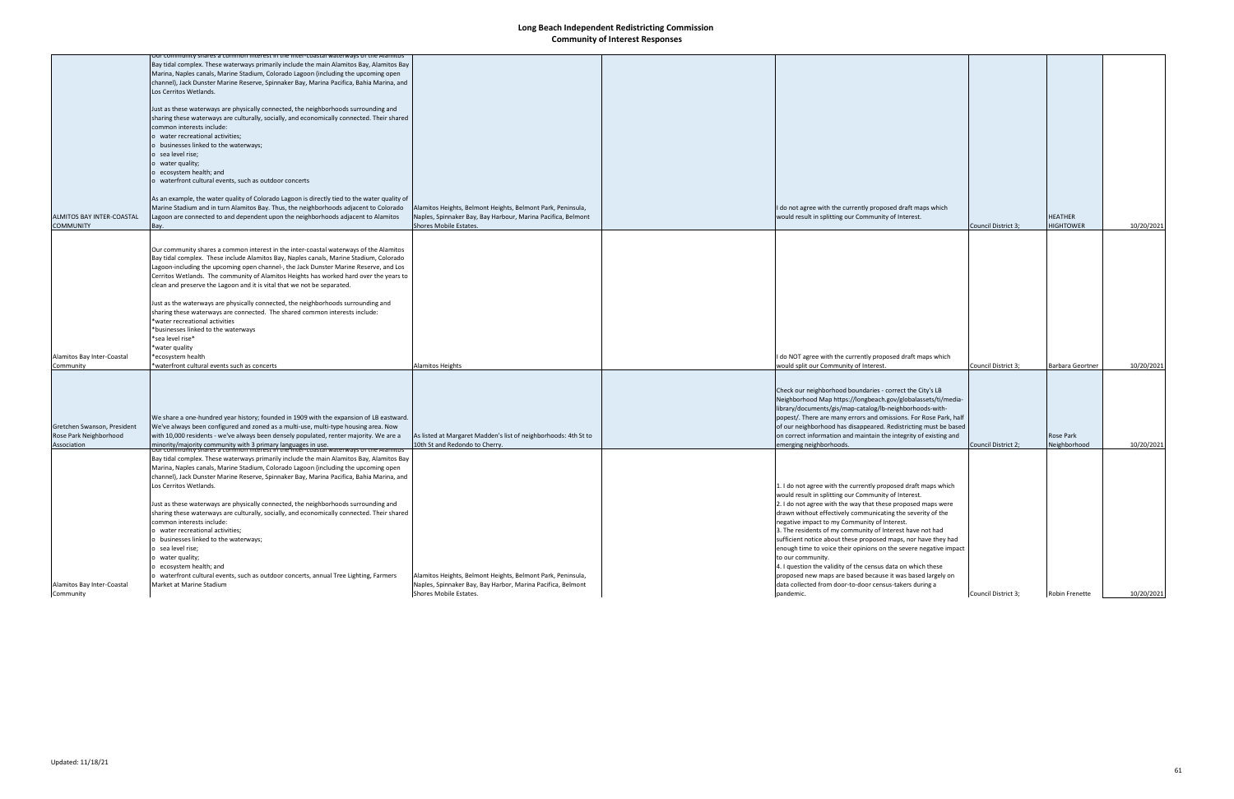| Alamitos Bay Inter-Coastal<br>Community                              | Marina, Naples canals, Marine Stadium, Colorado Lagoon (including the upcoming open<br>channel), Jack Dunster Marine Reserve, Spinnaker Bay, Marina Pacifica, Bahia Marina, and<br>Los Cerritos Wetlands.<br>Just as these waterways are physically connected, the neighborhoods surrounding and<br>sharing these waterways are culturally, socially, and economically connected. Their shared<br>common interests include:<br>water recreational activities;<br>o businesses linked to the waterways;<br>sea level rise;<br>water quality;<br>ecosystem health; and<br>waterfront cultural events, such as outdoor concerts, annual Tree Lighting, Farmers<br>Market at Marine Stadium                                                                                                                                                                                                                                                                                                                                                                                                                    | Alamitos Heights, Belmont Heights, Belmont Park, Peninsula,<br>Naples, Spinnaker Bay, Bay Harbor, Marina Pacifica, Belmont<br>Shores Mobile Estates.  | 1. I do not agree with the currently proposed draft maps which<br>would result in splitting our Community of Interest.<br>2. I do not agree with the way that these proposed maps were<br>drawn without effectively communicating the severity of the<br>negative impact to my Community of Interest.<br>3. The residents of my community of Interest have not had<br>sufficient notice about these proposed maps, nor have they had<br>enough time to voice their opinions on the severe negative impact<br>to our community.<br>4. I question the validity of the census data on which these<br>proposed new maps are based because it was based largely on<br>data collected from door-to-door census-takers during a<br>pandemic. | Council District 3; | Robin Frenette                     | 10/20/2021 |
|----------------------------------------------------------------------|------------------------------------------------------------------------------------------------------------------------------------------------------------------------------------------------------------------------------------------------------------------------------------------------------------------------------------------------------------------------------------------------------------------------------------------------------------------------------------------------------------------------------------------------------------------------------------------------------------------------------------------------------------------------------------------------------------------------------------------------------------------------------------------------------------------------------------------------------------------------------------------------------------------------------------------------------------------------------------------------------------------------------------------------------------------------------------------------------------|-------------------------------------------------------------------------------------------------------------------------------------------------------|---------------------------------------------------------------------------------------------------------------------------------------------------------------------------------------------------------------------------------------------------------------------------------------------------------------------------------------------------------------------------------------------------------------------------------------------------------------------------------------------------------------------------------------------------------------------------------------------------------------------------------------------------------------------------------------------------------------------------------------|---------------------|------------------------------------|------------|
| Gretchen Swanson, President<br>Rose Park Neighborhood<br>Association | We share a one-hundred year history; founded in 1909 with the expansion of LB eastward.<br>We've always been configured and zoned as a multi-use, multi-type housing area. Now<br>with 10,000 residents - we've always been densely populated, renter majority. We are a<br>minority/majority community with 3 primary languages in use.<br>Our community shares a common interest in the inter-coastal waterways of the Alamitos<br>Bay tidal complex. These waterways primarily include the main Alamitos Bay, Alamitos Bay                                                                                                                                                                                                                                                                                                                                                                                                                                                                                                                                                                              | As listed at Margaret Madden's list of neighborhoods: 4th St to<br>10th St and Redondo to Cherry.                                                     | Check our neighborhood boundaries - correct the City's LB<br>Neighborhood Map https://longbeach.gov/globalassets/ti/media-<br>library/documents/gis/map-catalog/lb-neighborhoods-with-<br>popest/. There are many errors and omissions. For Rose Park, half<br>of our neighborhood has disappeared. Redistricting must be based<br>on correct information and maintain the integrity of existing and<br>emerging neighborhoods.                                                                                                                                                                                                                                                                                                       | Council District 2; | Rose Park<br>Neighborhood          | 10/20/2021 |
| Alamitos Bay Inter-Coastal<br>Community                              | Our community shares a common interest in the inter-coastal waterways of the Alamitos<br>Bay tidal complex. These include Alamitos Bay, Naples canals, Marine Stadium, Colorado<br>Lagoon-including the upcoming open channel-, the Jack Dunster Marine Reserve, and Los<br>Cerritos Wetlands. The community of Alamitos Heights has worked hard over the years to<br>clean and preserve the Lagoon and it is vital that we not be separated.<br>Just as the waterways are physically connected, the neighborhoods surrounding and<br>sharing these waterways are connected. The shared common interests include:<br>*water recreational activities<br>*businesses linked to the waterways<br>*sea level rise*<br>*water quality<br>*ecosystem health<br>*waterfront cultural events such as concerts                                                                                                                                                                                                                                                                                                      | Alamitos Heights                                                                                                                                      | I do NOT agree with the currently proposed draft maps which<br>would split our Community of Interest.                                                                                                                                                                                                                                                                                                                                                                                                                                                                                                                                                                                                                                 | Council District 3; | <b>Barbara Geortner</b>            | 10/20/2021 |
| ALMITOS BAY INTER-COASTAL<br><b>COMMUNITY</b>                        | nunity shares a common interest in the inter-coastal waterways of the Alamitos<br>Bay tidal complex. These waterways primarily include the main Alamitos Bay, Alamitos Bay<br>Marina, Naples canals, Marine Stadium, Colorado Lagoon (including the upcoming open<br>channel), Jack Dunster Marine Reserve, Spinnaker Bay, Marina Pacifica, Bahia Marina, and<br>Los Cerritos Wetlands.<br>Just as these waterways are physically connected, the neighborhoods surrounding and<br>sharing these waterways are culturally, socially, and economically connected. Their shared<br>common interests include:<br>o water recreational activities;<br>o businesses linked to the waterways;<br>o sea level rise;<br>o water quality;<br>o ecosystem health; and<br>o waterfront cultural events, such as outdoor concerts<br>As an example, the water quality of Colorado Lagoon is directly tied to the water quality of<br>Marine Stadium and in turn Alamitos Bay. Thus, the neighborhoods adjacent to Colorado<br>Lagoon are connected to and dependent upon the neighborhoods adjacent to Alamitos<br>Bay. | Alamitos Heights, Belmont Heights, Belmont Park, Peninsula,<br>Naples, Spinnaker Bay, Bay Harbour, Marina Pacifica, Belmont<br>Shores Mobile Estates. | I do not agree with the currently proposed draft maps which<br>would result in splitting our Community of Interest.                                                                                                                                                                                                                                                                                                                                                                                                                                                                                                                                                                                                                   | Council District 3; | <b>HEATHER</b><br><b>HIGHTOWER</b> | 10/20/2021 |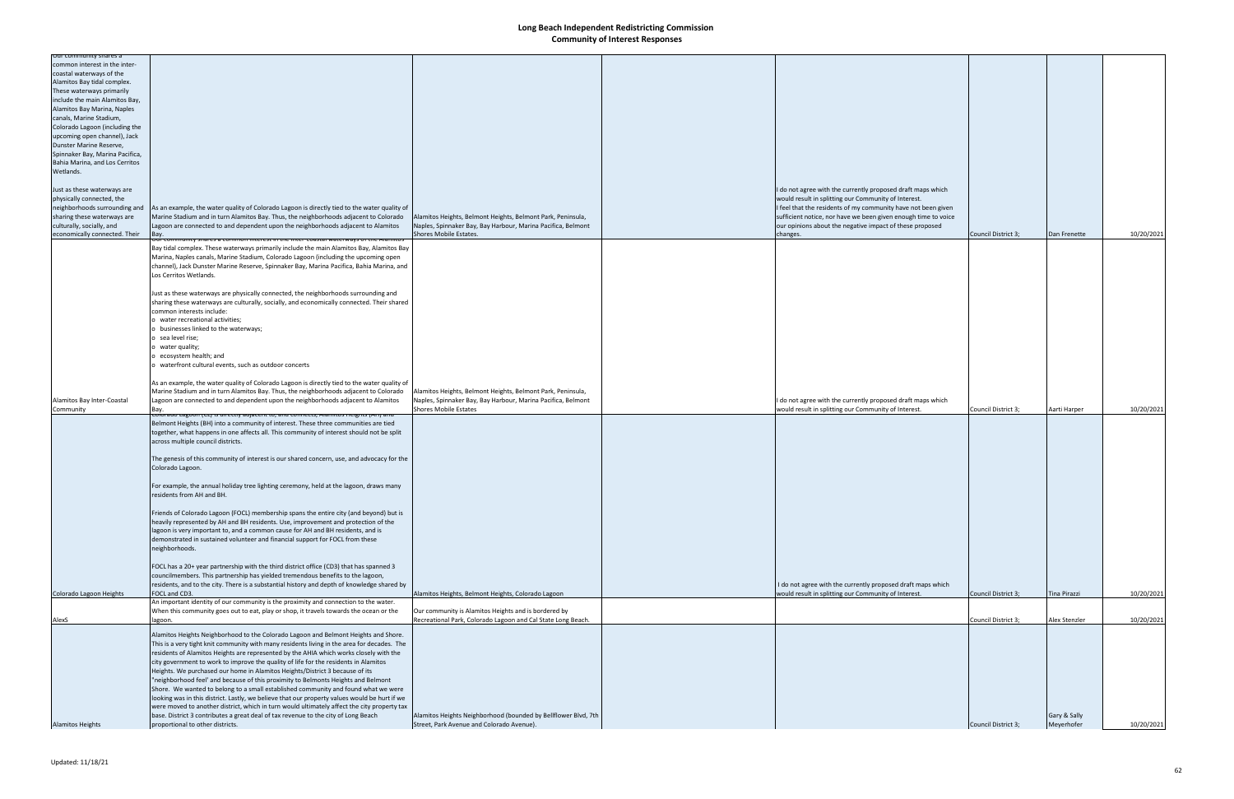| Our community shares a<br>common interest in the inter- |                                                                                                                                                                      |                                                                                                                             |                                                                |                     |                            |            |
|---------------------------------------------------------|----------------------------------------------------------------------------------------------------------------------------------------------------------------------|-----------------------------------------------------------------------------------------------------------------------------|----------------------------------------------------------------|---------------------|----------------------------|------------|
| coastal waterways of the                                |                                                                                                                                                                      |                                                                                                                             |                                                                |                     |                            |            |
| Alamitos Bay tidal complex.                             |                                                                                                                                                                      |                                                                                                                             |                                                                |                     |                            |            |
| These waterways primarily                               |                                                                                                                                                                      |                                                                                                                             |                                                                |                     |                            |            |
| include the main Alamitos Bay,                          |                                                                                                                                                                      |                                                                                                                             |                                                                |                     |                            |            |
| Alamitos Bay Marina, Naples                             |                                                                                                                                                                      |                                                                                                                             |                                                                |                     |                            |            |
| canals, Marine Stadium,                                 |                                                                                                                                                                      |                                                                                                                             |                                                                |                     |                            |            |
| Colorado Lagoon (including the                          |                                                                                                                                                                      |                                                                                                                             |                                                                |                     |                            |            |
| upcoming open channel), Jack                            |                                                                                                                                                                      |                                                                                                                             |                                                                |                     |                            |            |
| Dunster Marine Reserve,                                 |                                                                                                                                                                      |                                                                                                                             |                                                                |                     |                            |            |
| Spinnaker Bay, Marina Pacifica,                         |                                                                                                                                                                      |                                                                                                                             |                                                                |                     |                            |            |
| Bahia Marina, and Los Cerritos<br>Wetlands.             |                                                                                                                                                                      |                                                                                                                             |                                                                |                     |                            |            |
|                                                         |                                                                                                                                                                      |                                                                                                                             |                                                                |                     |                            |            |
| Just as these waterways are                             |                                                                                                                                                                      |                                                                                                                             | I do not agree with the currently proposed draft maps which    |                     |                            |            |
| physically connected, the                               |                                                                                                                                                                      |                                                                                                                             | would result in splitting our Community of Interest.           |                     |                            |            |
| neighborhoods surrounding and                           | As an example, the water quality of Colorado Lagoon is directly tied to the water quality of                                                                         |                                                                                                                             | I feel that the residents of my community have not been given  |                     |                            |            |
| sharing these waterways are                             | Marine Stadium and in turn Alamitos Bay. Thus, the neighborhoods adjacent to Colorado                                                                                | Alamitos Heights, Belmont Heights, Belmont Park, Peninsula,                                                                 | sufficient notice, nor have we been given enough time to voice |                     |                            |            |
| culturally, socially, and                               | Lagoon are connected to and dependent upon the neighborhoods adjacent to Alamitos                                                                                    | Naples, Spinnaker Bay, Bay Harbour, Marina Pacifica, Belmont                                                                | our opinions about the negative impact of these proposed       |                     |                            |            |
| economically connected. Their                           | <u>Jui community shares a common interest in the inter-coastal waterways of the Ala</u>                                                                              | Shores Mobile Estates.                                                                                                      | changes.                                                       | Council District 3; | Dan Frenette               | 10/20/2021 |
|                                                         | Bay tidal complex. These waterways primarily include the main Alamitos Bay, Alamitos Bay                                                                             |                                                                                                                             |                                                                |                     |                            |            |
|                                                         | Marina, Naples canals, Marine Stadium, Colorado Lagoon (including the upcoming open                                                                                  |                                                                                                                             |                                                                |                     |                            |            |
|                                                         | channel), Jack Dunster Marine Reserve, Spinnaker Bay, Marina Pacifica, Bahia Marina, and                                                                             |                                                                                                                             |                                                                |                     |                            |            |
|                                                         | Los Cerritos Wetlands.                                                                                                                                               |                                                                                                                             |                                                                |                     |                            |            |
|                                                         |                                                                                                                                                                      |                                                                                                                             |                                                                |                     |                            |            |
|                                                         | Just as these waterways are physically connected, the neighborhoods surrounding and                                                                                  |                                                                                                                             |                                                                |                     |                            |            |
|                                                         | sharing these waterways are culturally, socially, and economically connected. Their shared                                                                           |                                                                                                                             |                                                                |                     |                            |            |
|                                                         | common interests include:<br>o water recreational activities;                                                                                                        |                                                                                                                             |                                                                |                     |                            |            |
|                                                         | o businesses linked to the waterways;                                                                                                                                |                                                                                                                             |                                                                |                     |                            |            |
|                                                         | o sea level rise;                                                                                                                                                    |                                                                                                                             |                                                                |                     |                            |            |
|                                                         | o water quality;                                                                                                                                                     |                                                                                                                             |                                                                |                     |                            |            |
|                                                         | o ecosystem health; and                                                                                                                                              |                                                                                                                             |                                                                |                     |                            |            |
|                                                         | o waterfront cultural events, such as outdoor concerts                                                                                                               |                                                                                                                             |                                                                |                     |                            |            |
|                                                         |                                                                                                                                                                      |                                                                                                                             |                                                                |                     |                            |            |
|                                                         | As an example, the water quality of Colorado Lagoon is directly tied to the water quality of                                                                         |                                                                                                                             |                                                                |                     |                            |            |
| Alamitos Bay Inter-Coastal                              | Marine Stadium and in turn Alamitos Bay. Thus, the neighborhoods adjacent to Colorado                                                                                | Alamitos Heights, Belmont Heights, Belmont Park, Peninsula,<br>Naples, Spinnaker Bay, Bay Harbour, Marina Pacifica, Belmont | I do not agree with the currently proposed draft maps which    |                     |                            |            |
| Community                                               | Lagoon are connected to and dependent upon the neighborhoods adjacent to Alamitos<br>Bay.                                                                            | <b>Shores Mobile Estates</b>                                                                                                | would result in splitting our Community of Interest.           | Council District 3; | Aarti Harper               | 10/20/2021 |
|                                                         | <u>coforado cagoon (cc) is directly adjacent to, and connects, Alamitos Heights (AH) an</u>                                                                          |                                                                                                                             |                                                                |                     |                            |            |
|                                                         | Belmont Heights (BH) into a community of interest. These three communities are tied                                                                                  |                                                                                                                             |                                                                |                     |                            |            |
|                                                         |                                                                                                                                                                      |                                                                                                                             |                                                                |                     |                            |            |
|                                                         | together, what happens in one affects all. This community of interest should not be split                                                                            |                                                                                                                             |                                                                |                     |                            |            |
|                                                         | across multiple council districts.                                                                                                                                   |                                                                                                                             |                                                                |                     |                            |            |
|                                                         |                                                                                                                                                                      |                                                                                                                             |                                                                |                     |                            |            |
|                                                         | The genesis of this community of interest is our shared concern, use, and advocacy for the<br>Colorado Lagoon.                                                       |                                                                                                                             |                                                                |                     |                            |            |
|                                                         |                                                                                                                                                                      |                                                                                                                             |                                                                |                     |                            |            |
|                                                         | For example, the annual holiday tree lighting ceremony, held at the lagoon, draws many                                                                               |                                                                                                                             |                                                                |                     |                            |            |
|                                                         | residents from AH and BH.                                                                                                                                            |                                                                                                                             |                                                                |                     |                            |            |
|                                                         |                                                                                                                                                                      |                                                                                                                             |                                                                |                     |                            |            |
|                                                         | Friends of Colorado Lagoon (FOCL) membership spans the entire city (and beyond) but is                                                                               |                                                                                                                             |                                                                |                     |                            |            |
|                                                         | heavily represented by AH and BH residents. Use, improvement and protection of the                                                                                   |                                                                                                                             |                                                                |                     |                            |            |
|                                                         | lagoon is very important to, and a common cause for AH and BH residents, and is                                                                                      |                                                                                                                             |                                                                |                     |                            |            |
|                                                         | demonstrated in sustained volunteer and financial support for FOCL from these<br>neighborhoods.                                                                      |                                                                                                                             |                                                                |                     |                            |            |
|                                                         |                                                                                                                                                                      |                                                                                                                             |                                                                |                     |                            |            |
|                                                         | FOCL has a 20+ year partnership with the third district office (CD3) that has spanned 3                                                                              |                                                                                                                             |                                                                |                     |                            |            |
|                                                         | councilmembers. This partnership has yielded tremendous benefits to the lagoon,                                                                                      |                                                                                                                             |                                                                |                     |                            |            |
|                                                         | residents, and to the city. There is a substantial history and depth of knowledge shared by                                                                          |                                                                                                                             | I do not agree with the currently proposed draft maps which    |                     |                            |            |
| Colorado Lagoon Heights                                 | FOCL and CD3.                                                                                                                                                        | Alamitos Heights, Belmont Heights, Colorado Lagoon                                                                          | would result in splitting our Community of Interest.           | Council District 3; | <b>Tina Pirazzi</b>        | 10/20/2021 |
|                                                         | An important identity of our community is the proximity and connection to the water.                                                                                 | Our community is Alamitos Heights and is bordered by                                                                        |                                                                |                     |                            |            |
| AlexS                                                   | When this community goes out to eat, play or shop, it travels towards the ocean or the<br>lagoon.                                                                    | Recreational Park, Colorado Lagoon and Cal State Long Beach.                                                                |                                                                | Council District 3; | Alex Stenzler              | 10/20/2021 |
|                                                         |                                                                                                                                                                      |                                                                                                                             |                                                                |                     |                            |            |
|                                                         | Alamitos Heights Neighborhood to the Colorado Lagoon and Belmont Heights and Shore.                                                                                  |                                                                                                                             |                                                                |                     |                            |            |
|                                                         | This is a very tight knit community with many residents living in the area for decades. The                                                                          |                                                                                                                             |                                                                |                     |                            |            |
|                                                         | residents of Alamitos Heights are represented by the AHIA which works closely with the                                                                               |                                                                                                                             |                                                                |                     |                            |            |
|                                                         | city government to work to improve the quality of life for the residents in Alamitos<br>Heights. We purchased our home in Alamitos Heights/District 3 because of its |                                                                                                                             |                                                                |                     |                            |            |
|                                                         | "neighborhood feel' and because of this proximity to Belmonts Heights and Belmont                                                                                    |                                                                                                                             |                                                                |                     |                            |            |
|                                                         | Shore. We wanted to belong to a small established community and found what we were                                                                                   |                                                                                                                             |                                                                |                     |                            |            |
|                                                         | looking was in this district. Lastly, we believe that our property values would be hurt if we                                                                        |                                                                                                                             |                                                                |                     |                            |            |
|                                                         | were moved to another district, which in turn would ultimately affect the city property tax                                                                          |                                                                                                                             |                                                                |                     |                            |            |
| <b>Alamitos Heights</b>                                 | base. District 3 contributes a great deal of tax revenue to the city of Long Beach<br>proportional to other districts.                                               | Alamitos Heights Neighborhood (bounded by Bellflower Blvd, 7th<br>Street, Park Avenue and Colorado Avenue).                 |                                                                | Council District 3; | Gary & Sally<br>Meyerhofer | 10/20/2021 |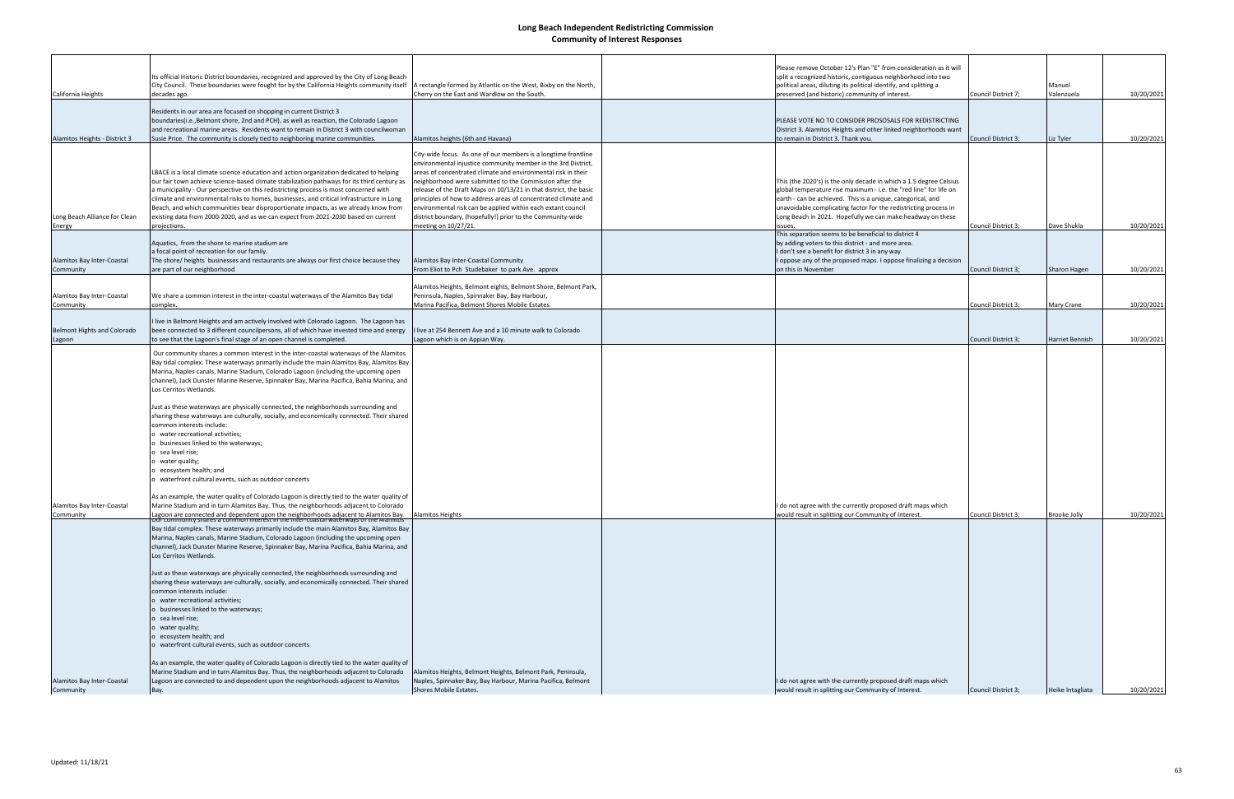|                                         |                                                                                                                                                                                     |                                                                                        | Please remove October 12's Plan "E" from consideration as it will                                                 |                     |                     |            |
|-----------------------------------------|-------------------------------------------------------------------------------------------------------------------------------------------------------------------------------------|----------------------------------------------------------------------------------------|-------------------------------------------------------------------------------------------------------------------|---------------------|---------------------|------------|
|                                         | Its official Historic District boundaries, recognized and approved by the City of Long Beach                                                                                        |                                                                                        | split a recognized historic, contiguous neighborhood into two                                                     |                     |                     |            |
|                                         | City Council. These boundaries were fought for by the California Heights community itself                                                                                           | A rectangle formed by Atlantic on the West, Bixby on the North,                        | political areas, diluting its political identify, and splitting a                                                 |                     | Manuel              |            |
| California Heights                      | decades ago.                                                                                                                                                                        | Cherry on the East and Wardlow on the South.                                           | preserved (and historic) community of interest.                                                                   | Council District 7; | Valenzuela          | 10/20/2021 |
|                                         |                                                                                                                                                                                     |                                                                                        |                                                                                                                   |                     |                     |            |
|                                         | Residents in our area are focused on shopping in current District 3                                                                                                                 |                                                                                        |                                                                                                                   |                     |                     |            |
|                                         | boundaries(i.e., Belmont shore, 2nd and PCH), as well as reaction, the Colorado Lagoon                                                                                              |                                                                                        | PLEASE VOTE NO TO CONSIDER PROSOSALS FOR REDISTRICTING                                                            |                     |                     |            |
|                                         | and recreational marine areas. Residents want to remain in District 3 with councilwoman                                                                                             |                                                                                        | District 3. Alamitos Heights and other linked neighborhoods want                                                  |                     |                     |            |
| Alamitos Heights - District 3           | Susie Price. The community is closely tied to neighboring marine communities.                                                                                                       | Alamitos heights (6th and Havana)                                                      | to remain in District 3. Thank you.                                                                               | Council District 3; | Liz Tyler           | 10/20/2021 |
|                                         |                                                                                                                                                                                     | City-wide focus. As one of our members is a longtime frontline                         |                                                                                                                   |                     |                     |            |
|                                         |                                                                                                                                                                                     | environmental injustice community member in the 3rd District,                          |                                                                                                                   |                     |                     |            |
|                                         | LBACE is a local climate science education and action organization dedicated to helping                                                                                             | areas of concentrated climate and environmental risk in their                          |                                                                                                                   |                     |                     |            |
|                                         | our fair town achieve science-based climate stabilization pathways for its third century as                                                                                         | neighborhood were submitted to the Commission after the                                | This (the 2020's) is the only decade in which a 1.5 degree Celsius                                                |                     |                     |            |
|                                         | a municipality - Our perspective on this redistricting process is most concerned with                                                                                               | release of the Draft Maps on 10/13/21 in that district, the basic                      | global temperature rise maximum - i.e. the "red line" for life on                                                 |                     |                     |            |
|                                         | climate and environmental risks to homes, businesses, and critical infrastructure in Long                                                                                           | principles of how to address areas of concentrated climate and                         | earth - can be achieved. This is a unique, categorical, and                                                       |                     |                     |            |
|                                         | Beach, and which communities bear disproportionate impacts, as we already know from                                                                                                 | environmental risk can be applied within each extant council                           | unavoidable complicating factor for the redistricting process in                                                  |                     |                     |            |
| Long Beach Alliance for Clean           | existing data from 2000-2020, and as we can expect from 2021-2030 based on current                                                                                                  | district boundary, (hopefully!) prior to the Community-wide                            | Long Beach in 2021. Hopefully we can make headway on these                                                        |                     |                     |            |
| Energy                                  | projections.                                                                                                                                                                        | meeting on 10/27/21.                                                                   | issues.<br>This separation seems to be beneficial to district 4                                                   | Council District 3; | Dave Shukla         | 10/20/2021 |
|                                         | Aquatics, from the shore to marine stadium are                                                                                                                                      |                                                                                        | by adding voters to this district - and more area.                                                                |                     |                     |            |
|                                         | a focal point of recreation for our family.                                                                                                                                         |                                                                                        | I don't see a benefit for district 3 in any way                                                                   |                     |                     |            |
| Alamitos Bay Inter-Coastal              | The shore/ heights businesses and restaurants are always our first choice because they                                                                                              | Alamitos Bay Inter-Coastal Community                                                   | I oppose any of the proposed maps. I oppose finalizing a decision                                                 |                     |                     |            |
| Community                               | are part of our neighborhood                                                                                                                                                        | From Eliot to Pch Studebaker to park Ave. approx                                       | on this in November                                                                                               | Council District 3; | Sharon Hagen        | 10/20/2021 |
|                                         |                                                                                                                                                                                     |                                                                                        |                                                                                                                   |                     |                     |            |
|                                         |                                                                                                                                                                                     | Alamitos Heights, Belmont eights, Belmont Shore, Belmont Park,                         |                                                                                                                   |                     |                     |            |
| Alamitos Bay Inter-Coastal              | We share a common interest in the inter-coastal waterways of the Alamitos Bay tidal                                                                                                 | Peninsula, Naples, Spinnaker Bay, Bay Harbour,                                         |                                                                                                                   |                     |                     |            |
| Community                               | complex.                                                                                                                                                                            | Marina Pacifica, Belmont Shores Mobile Estates.                                        |                                                                                                                   | Council District 3; | Mary Crane          | 10/20/2021 |
|                                         |                                                                                                                                                                                     |                                                                                        |                                                                                                                   |                     |                     |            |
| <b>Belmont Hights and Colorado</b>      | I live in Belmont Heights and am actively involved with Colorado Lagoon. The Lagoon has<br>been connected to 3 different councilpersons, all of which have invested time and energy | live at 254 Bennett Ave and a 10 minute walk to Colorado                               |                                                                                                                   |                     |                     |            |
| Lagoon                                  | to see that the Lagoon's final stage of an open channel is completed.                                                                                                               | Lagoon which is on Appian Way.                                                         |                                                                                                                   | Council District 3; | Harriet Bennish     | 10/20/2021 |
|                                         |                                                                                                                                                                                     |                                                                                        |                                                                                                                   |                     |                     |            |
|                                         | Our community shares a common interest in the inter-coastal waterways of the Alamitos                                                                                               |                                                                                        |                                                                                                                   |                     |                     |            |
|                                         | Bay tidal complex. These waterways primarily include the main Alamitos Bay, Alamitos Bay                                                                                            |                                                                                        |                                                                                                                   |                     |                     |            |
|                                         | Marina, Naples canals, Marine Stadium, Colorado Lagoon (including the upcoming open                                                                                                 |                                                                                        |                                                                                                                   |                     |                     |            |
|                                         | channel), Jack Dunster Marine Reserve, Spinnaker Bay, Marina Pacifica, Bahia Marina, and                                                                                            |                                                                                        |                                                                                                                   |                     |                     |            |
|                                         | Los Cerritos Wetlands.                                                                                                                                                              |                                                                                        |                                                                                                                   |                     |                     |            |
|                                         | Just as these waterways are physically connected, the neighborhoods surrounding and                                                                                                 |                                                                                        |                                                                                                                   |                     |                     |            |
|                                         | sharing these waterways are culturally, socially, and economically connected. Their shared                                                                                          |                                                                                        |                                                                                                                   |                     |                     |            |
|                                         | common interests include:                                                                                                                                                           |                                                                                        |                                                                                                                   |                     |                     |            |
|                                         | water recreational activities;                                                                                                                                                      |                                                                                        |                                                                                                                   |                     |                     |            |
|                                         | businesses linked to the waterways;                                                                                                                                                 |                                                                                        |                                                                                                                   |                     |                     |            |
|                                         | sea level rise;                                                                                                                                                                     |                                                                                        |                                                                                                                   |                     |                     |            |
|                                         | water quality;                                                                                                                                                                      |                                                                                        |                                                                                                                   |                     |                     |            |
|                                         | ecosystem health; and                                                                                                                                                               |                                                                                        |                                                                                                                   |                     |                     |            |
|                                         | waterfront cultural events, such as outdoor concerts                                                                                                                                |                                                                                        |                                                                                                                   |                     |                     |            |
|                                         |                                                                                                                                                                                     |                                                                                        |                                                                                                                   |                     |                     |            |
|                                         | As an example, the water quality of Colorado Lagoon is directly tied to the water quality of                                                                                        |                                                                                        |                                                                                                                   |                     |                     |            |
| Alamitos Bay Inter-Coastal<br>Community | Marine Stadium and in turn Alamitos Bay. Thus, the neighborhoods adjacent to Colorado                                                                                               | <b>Alamitos Heights</b>                                                                | do not agree with the currently proposed draft maps which<br>would result in splitting our Community of Interest. | Council District 3; | <b>Brooke Jolly</b> | 10/20/2021 |
|                                         | Lagoon are connected and dependent upon the neighborhoods adjacent to Alamitos Bay.<br>Curr community snares a common interest in the inter-coastal waterways of the Alamitos       |                                                                                        |                                                                                                                   |                     |                     |            |
|                                         | Bay tidal complex. These waterways primarily include the main Alamitos Bay, Alamitos Bay                                                                                            |                                                                                        |                                                                                                                   |                     |                     |            |
|                                         | Marina, Naples canals, Marine Stadium, Colorado Lagoon (including the upcoming open                                                                                                 |                                                                                        |                                                                                                                   |                     |                     |            |
|                                         | channel), Jack Dunster Marine Reserve, Spinnaker Bay, Marina Pacifica, Bahia Marina, and                                                                                            |                                                                                        |                                                                                                                   |                     |                     |            |
|                                         | Los Cerritos Wetlands.                                                                                                                                                              |                                                                                        |                                                                                                                   |                     |                     |            |
|                                         | Just as these waterways are physically connected, the neighborhoods surrounding and                                                                                                 |                                                                                        |                                                                                                                   |                     |                     |            |
|                                         | sharing these waterways are culturally, socially, and economically connected. Their shared                                                                                          |                                                                                        |                                                                                                                   |                     |                     |            |
|                                         | common interests include:                                                                                                                                                           |                                                                                        |                                                                                                                   |                     |                     |            |
|                                         | o water recreational activities;                                                                                                                                                    |                                                                                        |                                                                                                                   |                     |                     |            |
|                                         | o businesses linked to the waterways;                                                                                                                                               |                                                                                        |                                                                                                                   |                     |                     |            |
|                                         | o sea level rise;                                                                                                                                                                   |                                                                                        |                                                                                                                   |                     |                     |            |
|                                         | o water quality;                                                                                                                                                                    |                                                                                        |                                                                                                                   |                     |                     |            |
|                                         | o ecosystem health; and                                                                                                                                                             |                                                                                        |                                                                                                                   |                     |                     |            |
|                                         | o waterfront cultural events, such as outdoor concerts                                                                                                                              |                                                                                        |                                                                                                                   |                     |                     |            |
|                                         |                                                                                                                                                                                     |                                                                                        |                                                                                                                   |                     |                     |            |
|                                         | As an example, the water quality of Colorado Lagoon is directly tied to the water quality of                                                                                        |                                                                                        |                                                                                                                   |                     |                     |            |
|                                         | Marine Stadium and in turn Alamitos Bay. Thus, the neighborhoods adjacent to Colorado                                                                                               | Alamitos Heights, Belmont Heights, Belmont Park, Peninsula,                            |                                                                                                                   |                     |                     |            |
| Alamitos Bay Inter-Coastal              | Lagoon are connected to and dependent upon the neighborhoods adjacent to Alamitos                                                                                                   | Naples, Spinnaker Bay, Bay Harbour, Marina Pacifica, Belmont<br>Shores Mobile Estates. | I do not agree with the currently proposed draft maps which                                                       |                     |                     |            |
| Community                               | Bay.                                                                                                                                                                                |                                                                                        | would result in splitting our Community of Interest.                                                              | Council District 3; | Heike Intagliata    | 10/20/2021 |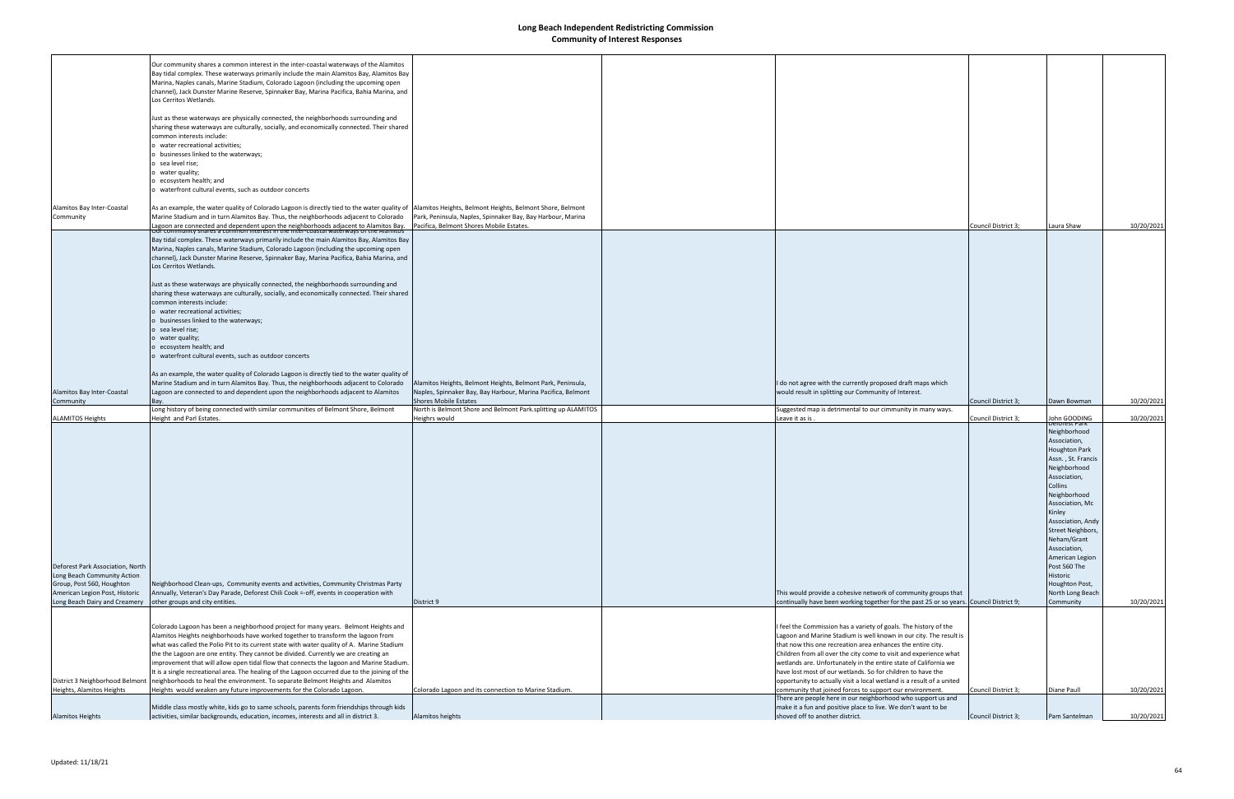|                                  | Our community shares a common interest in the inter-coastal waterways of the Alamitos                                                                                              |                                                               |                                                                                                  |                     |                      |            |
|----------------------------------|------------------------------------------------------------------------------------------------------------------------------------------------------------------------------------|---------------------------------------------------------------|--------------------------------------------------------------------------------------------------|---------------------|----------------------|------------|
|                                  | Bay tidal complex. These waterways primarily include the main Alamitos Bay, Alamitos Bay                                                                                           |                                                               |                                                                                                  |                     |                      |            |
|                                  | Marina, Naples canals, Marine Stadium, Colorado Lagoon (including the upcoming open                                                                                                |                                                               |                                                                                                  |                     |                      |            |
|                                  | channel), Jack Dunster Marine Reserve, Spinnaker Bay, Marina Pacifica, Bahia Marina, and                                                                                           |                                                               |                                                                                                  |                     |                      |            |
|                                  | Los Cerritos Wetlands.                                                                                                                                                             |                                                               |                                                                                                  |                     |                      |            |
|                                  |                                                                                                                                                                                    |                                                               |                                                                                                  |                     |                      |            |
|                                  |                                                                                                                                                                                    |                                                               |                                                                                                  |                     |                      |            |
|                                  | Just as these waterways are physically connected, the neighborhoods surrounding and                                                                                                |                                                               |                                                                                                  |                     |                      |            |
|                                  | sharing these waterways are culturally, socially, and economically connected. Their shared                                                                                         |                                                               |                                                                                                  |                     |                      |            |
|                                  | common interests include:                                                                                                                                                          |                                                               |                                                                                                  |                     |                      |            |
|                                  | water recreational activities;                                                                                                                                                     |                                                               |                                                                                                  |                     |                      |            |
|                                  | businesses linked to the waterways;                                                                                                                                                |                                                               |                                                                                                  |                     |                      |            |
|                                  |                                                                                                                                                                                    |                                                               |                                                                                                  |                     |                      |            |
|                                  | sea level rise;                                                                                                                                                                    |                                                               |                                                                                                  |                     |                      |            |
|                                  | water quality;                                                                                                                                                                     |                                                               |                                                                                                  |                     |                      |            |
|                                  | ecosystem health; and                                                                                                                                                              |                                                               |                                                                                                  |                     |                      |            |
|                                  | waterfront cultural events, such as outdoor concerts                                                                                                                               |                                                               |                                                                                                  |                     |                      |            |
|                                  |                                                                                                                                                                                    |                                                               |                                                                                                  |                     |                      |            |
| Alamitos Bay Inter-Coastal       | As an example, the water quality of Colorado Lagoon is directly tied to the water quality of  Alamitos Heights, Belmont Heights, Belmont Shore, Belmont                            |                                                               |                                                                                                  |                     |                      |            |
| Community                        | Marine Stadium and in turn Alamitos Bay. Thus, the neighborhoods adjacent to Colorado                                                                                              | Park, Peninsula, Naples, Spinnaker Bay, Bay Harbour, Marina   |                                                                                                  |                     |                      |            |
|                                  |                                                                                                                                                                                    |                                                               |                                                                                                  |                     |                      |            |
|                                  | Lagoon are connected and dependent upon the neighborhoods adjacent to Alamitos Bay.<br>Our community shares a common interest in the inter-coastal waterways of the Alamitos       | Pacifica, Belmont Shores Mobile Estates.                      |                                                                                                  | Council District 3; | Laura Shaw           | 10/20/2021 |
|                                  | Bay tidal complex. These waterways primarily include the main Alamitos Bay, Alamitos Bay                                                                                           |                                                               |                                                                                                  |                     |                      |            |
|                                  | Marina, Naples canals, Marine Stadium, Colorado Lagoon (including the upcoming open                                                                                                |                                                               |                                                                                                  |                     |                      |            |
|                                  |                                                                                                                                                                                    |                                                               |                                                                                                  |                     |                      |            |
|                                  | channel), Jack Dunster Marine Reserve, Spinnaker Bay, Marina Pacifica, Bahia Marina, and                                                                                           |                                                               |                                                                                                  |                     |                      |            |
|                                  | Los Cerritos Wetlands.                                                                                                                                                             |                                                               |                                                                                                  |                     |                      |            |
|                                  |                                                                                                                                                                                    |                                                               |                                                                                                  |                     |                      |            |
|                                  | Just as these waterways are physically connected, the neighborhoods surrounding and                                                                                                |                                                               |                                                                                                  |                     |                      |            |
|                                  | sharing these waterways are culturally, socially, and economically connected. Their shared                                                                                         |                                                               |                                                                                                  |                     |                      |            |
|                                  | common interests include:                                                                                                                                                          |                                                               |                                                                                                  |                     |                      |            |
|                                  |                                                                                                                                                                                    |                                                               |                                                                                                  |                     |                      |            |
|                                  | o water recreational activities;                                                                                                                                                   |                                                               |                                                                                                  |                     |                      |            |
|                                  | o businesses linked to the waterways;                                                                                                                                              |                                                               |                                                                                                  |                     |                      |            |
|                                  | o sea level rise;                                                                                                                                                                  |                                                               |                                                                                                  |                     |                      |            |
|                                  | o water quality;                                                                                                                                                                   |                                                               |                                                                                                  |                     |                      |            |
|                                  | o ecosystem health; and                                                                                                                                                            |                                                               |                                                                                                  |                     |                      |            |
|                                  | o waterfront cultural events, such as outdoor concerts                                                                                                                             |                                                               |                                                                                                  |                     |                      |            |
|                                  |                                                                                                                                                                                    |                                                               |                                                                                                  |                     |                      |            |
|                                  |                                                                                                                                                                                    |                                                               |                                                                                                  |                     |                      |            |
|                                  | As an example, the water quality of Colorado Lagoon is directly tied to the water quality of                                                                                       |                                                               |                                                                                                  |                     |                      |            |
|                                  | Marine Stadium and in turn Alamitos Bay. Thus, the neighborhoods adjacent to Colorado                                                                                              | Alamitos Heights, Belmont Heights, Belmont Park, Peninsula,   | I do not agree with the currently proposed draft maps which                                      |                     |                      |            |
|                                  |                                                                                                                                                                                    |                                                               |                                                                                                  |                     |                      |            |
| Alamitos Bay Inter-Coastal       | Lagoon are connected to and dependent upon the neighborhoods adjacent to Alamitos                                                                                                  | Naples, Spinnaker Bay, Bay Harbour, Marina Pacifica, Belmont  | would result in splitting our Community of Interest.                                             |                     |                      |            |
| Community                        |                                                                                                                                                                                    | <b>Shores Mobile Estates</b>                                  |                                                                                                  | Council District 3; | Dawn Bowman          | 10/20/2021 |
|                                  |                                                                                                                                                                                    | North is Belmont Shore and Belmont Park.splitting up ALAMITOS | Suggested map is detrimental to our cimmunity in many ways.                                      |                     |                      |            |
|                                  | Long history of being connected with similar communities of Belmont Shore, Belmont<br>Height and Parl Estates.                                                                     |                                                               |                                                                                                  | Council District 3; | John GOODING         |            |
| <b>ALAMITOS Heights</b>          |                                                                                                                                                                                    | Heighrs would                                                 | Leave it as is.                                                                                  |                     | ærorest Park         | 10/20/2021 |
|                                  |                                                                                                                                                                                    |                                                               |                                                                                                  |                     | Neighborhood         |            |
|                                  |                                                                                                                                                                                    |                                                               |                                                                                                  |                     | Association,         |            |
|                                  |                                                                                                                                                                                    |                                                               |                                                                                                  |                     | <b>Houghton Park</b> |            |
|                                  |                                                                                                                                                                                    |                                                               |                                                                                                  |                     |                      |            |
|                                  |                                                                                                                                                                                    |                                                               |                                                                                                  |                     | Assn., St. Francis   |            |
|                                  |                                                                                                                                                                                    |                                                               |                                                                                                  |                     | Neighborhood         |            |
|                                  |                                                                                                                                                                                    |                                                               |                                                                                                  |                     | Association,         |            |
|                                  |                                                                                                                                                                                    |                                                               |                                                                                                  |                     | Collins              |            |
|                                  |                                                                                                                                                                                    |                                                               |                                                                                                  |                     | Neighborhood         |            |
|                                  |                                                                                                                                                                                    |                                                               |                                                                                                  |                     | Association, MC      |            |
|                                  |                                                                                                                                                                                    |                                                               |                                                                                                  |                     | Kinley               |            |
|                                  |                                                                                                                                                                                    |                                                               |                                                                                                  |                     | Association, Andy    |            |
|                                  |                                                                                                                                                                                    |                                                               |                                                                                                  |                     |                      |            |
|                                  |                                                                                                                                                                                    |                                                               |                                                                                                  |                     | Street Neighbors,    |            |
|                                  |                                                                                                                                                                                    |                                                               |                                                                                                  |                     | Neham/Grant          |            |
|                                  |                                                                                                                                                                                    |                                                               |                                                                                                  |                     | Association,         |            |
|                                  |                                                                                                                                                                                    |                                                               |                                                                                                  |                     | American Legion      |            |
| Deforest Park Association, North |                                                                                                                                                                                    |                                                               |                                                                                                  |                     | Post 560 The         |            |
| Long Beach Community Action      |                                                                                                                                                                                    |                                                               |                                                                                                  |                     | Historic             |            |
| Group, Post 560, Houghton        | Neighborhood Clean-ups, Community events and activities, Community Christmas Party                                                                                                 |                                                               |                                                                                                  |                     | Houghton Post,       |            |
|                                  |                                                                                                                                                                                    |                                                               |                                                                                                  |                     |                      |            |
| American Legion Post, Historic   | Annually, Veteran's Day Parade, Deforest Chili Cook =-off, events in cooperation with                                                                                              |                                                               | This would provide a cohesive network of community groups that                                   |                     | North Long Beach     |            |
| Long Beach Dairy and Creamery    | other groups and city entities.                                                                                                                                                    | District 9                                                    | continually have been working together for the past 25 or so years. Council District 9;          |                     | Community            | 10/20/2021 |
|                                  |                                                                                                                                                                                    |                                                               |                                                                                                  |                     |                      |            |
|                                  |                                                                                                                                                                                    |                                                               |                                                                                                  |                     |                      |            |
|                                  | Colorado Lagoon has been a neighborhood project for many years. Belmont Heights and                                                                                                |                                                               | I feel the Commission has a variety of goals. The history of the                                 |                     |                      |            |
|                                  | Alamitos Heights neighborhoods have worked together to transform the lagoon from                                                                                                   |                                                               | Lagoon and Marine Stadium is well known in our city. The result is                               |                     |                      |            |
|                                  | what was called the Polio Pit to its current state with water quality of A. Marine Stadium                                                                                         |                                                               | that now this one recreation area enhances the entire city.                                      |                     |                      |            |
|                                  | the the Lagoon are one entity. They cannot be divided. Currently we are creating an                                                                                                |                                                               | Children from all over the city come to visit and experience what                                |                     |                      |            |
|                                  | improvement that will allow open tidal flow that connects the lagoon and Marine Stadium.                                                                                           |                                                               | wetlands are. Unfortunately in the entire state of California we                                 |                     |                      |            |
|                                  | It is a single recreational area. The healing of the Lagoon occurred due to the joining of the                                                                                     |                                                               | have lost most of our wetlands. So for children to have the                                      |                     |                      |            |
|                                  |                                                                                                                                                                                    |                                                               |                                                                                                  |                     |                      |            |
|                                  | District 3 Neighborhood Belmont   neighborhoods to heal the environment. To separate Belmont Heights and Alamitos                                                                  |                                                               | opportunity to actually visit a local wetland is a result of a united                            |                     |                      |            |
| Heights, Alamitos Heights        | Heights would weaken any future improvements for the Colorado Lagoon.                                                                                                              | Colorado Lagoon and its connection to Marine Stadium.         | community that joined forces to support our environment.                                         | Council District 3; | Diane Paull          | 10/20/2021 |
|                                  |                                                                                                                                                                                    |                                                               | There are people here in our neighborhood who support us and                                     |                     |                      |            |
| <b>Alamitos Heights</b>          | Middle class mostly white, kids go to same schools, parents form friendships through kids<br>activities, similar backgrounds, education, incomes, interests and all in district 3. | Alamitos heights                                              | make it a fun and positive place to live. We don't want to be<br>shoved off to another district. | Council District 3; | Pam Santelman        | 10/20/2021 |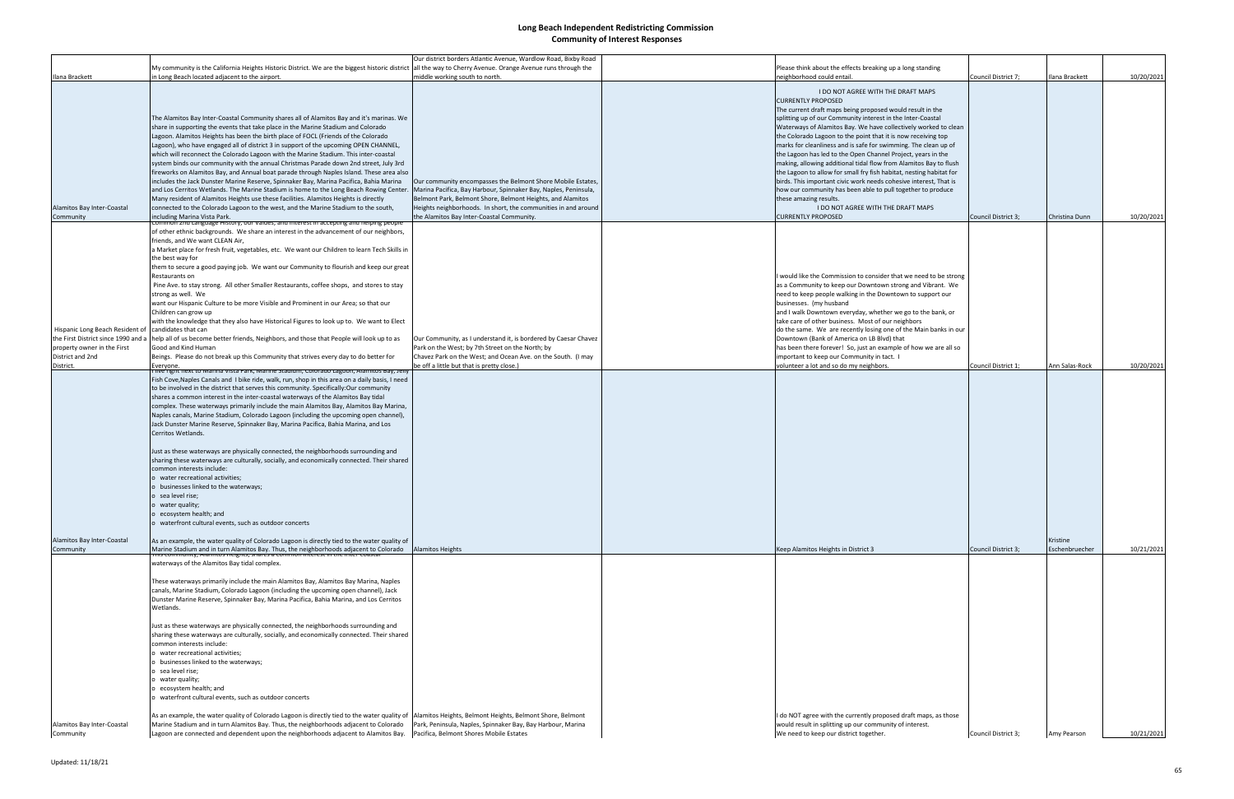| Ilana Brackett                                                         | My community is the California Heights Historic District. We are the biggest historic district all the way to Cherry Avenue. Orange Avenue runs through the<br>in Long Beach located adjacent to the airport.                                                                                                                                                                                                                                                                                                                                                                                                                                                                                                                                                                                                                                                                                                                                                                                                                                                                                                     | Our district borders Atlantic Avenue, Wardlow Road, Bixby Road<br>middle working south to north.                                                                                                                                                                                                            | Please think about the effects breaking up a long standing<br>neighborhood could entail.                                                                                                                                                                                                                                                                                                                                                                                                                                                                                                                                                                                                                                                                                                                                                        | Council District 7; | Ilana Brackett             | 10/20/2021 |
|------------------------------------------------------------------------|-------------------------------------------------------------------------------------------------------------------------------------------------------------------------------------------------------------------------------------------------------------------------------------------------------------------------------------------------------------------------------------------------------------------------------------------------------------------------------------------------------------------------------------------------------------------------------------------------------------------------------------------------------------------------------------------------------------------------------------------------------------------------------------------------------------------------------------------------------------------------------------------------------------------------------------------------------------------------------------------------------------------------------------------------------------------------------------------------------------------|-------------------------------------------------------------------------------------------------------------------------------------------------------------------------------------------------------------------------------------------------------------------------------------------------------------|-------------------------------------------------------------------------------------------------------------------------------------------------------------------------------------------------------------------------------------------------------------------------------------------------------------------------------------------------------------------------------------------------------------------------------------------------------------------------------------------------------------------------------------------------------------------------------------------------------------------------------------------------------------------------------------------------------------------------------------------------------------------------------------------------------------------------------------------------|---------------------|----------------------------|------------|
| Alamitos Bay Inter-Coastal<br>Community                                | The Alamitos Bay Inter-Coastal Community shares all of Alamitos Bay and it's marinas. We<br>share in supporting the events that take place in the Marine Stadium and Colorado<br>Lagoon. Alamitos Heights has been the birth place of FOCL (Friends of the Colorado<br>Lagoon), who have engaged all of district 3 in support of the upcoming OPEN CHANNEL,<br>which will reconnect the Colorado Lagoon with the Marine Stadium. This inter-coastal<br>system binds our community with the annual Christmas Parade down 2nd street, July 3rd<br>fireworks on Alamitos Bay, and Annual boat parade through Naples Island. These area also<br>includes the Jack Dunster Marine Reserve, Spinnaker Bay, Marina Pacifica, Bahia Marina<br>and Los Cerritos Wetlands. The Marine Stadium is home to the Long Beach Rowing Center.<br>Many resident of Alamitos Heights use these facilities. Alamitos Heights is directly<br>connected to the Colorado Lagoon to the west, and the Marine Stadium to the south,<br>including Marina Vista Park.                                                                        | Our community encompasses the Belmont Shore Mobile Estates,<br>Marina Pacifica, Bay Harbour, Spinnaker Bay, Naples, Peninsula,<br>Belmont Park, Belmont Shore, Belmont Heights, and Alamitos<br>Heights neighborhoods. In short, the communities in and around<br>the Alamitos Bay Inter-Coastal Community. | I DO NOT AGREE WITH THE DRAFT MAPS<br><b>CURRENTLY PROPOSED</b><br>The current draft maps being proposed would result in the<br>splitting up of our Community interest in the Inter-Coastal<br>Waterways of Alamitos Bay. We have collectively worked to clean<br>the Colorado Lagoon to the point that it is now receiving top<br>marks for cleanliness and is safe for swimming. The clean up of<br>the Lagoon has led to the Open Channel Project, years in the<br>making, allowing additional tidal flow from Alamitos Bay to flush<br>the Lagoon to allow for small fry fish habitat, nesting habitat for<br>birds. This important civic work needs cohesive interest, That is<br>how our community has been able to pull together to produce<br>these amazing results.<br>I DO NOT AGREE WITH THE DRAFT MAPS<br><b>CURRENTLY PROPOSED</b> | Council District 3; | Christina Dunn             | 10/20/2021 |
| Hispanic Long Beach Resident of<br>the First District since 1990 and a | <u>.ommoñ zna Language History, our values, and interest in accepting and helping people</u><br>of other ethnic backgrounds. We share an interest in the advancement of our neighbors,<br>friends, and We want CLEAN Air,<br>a Market place for fresh fruit, vegetables, etc. We want our Children to learn Tech Skills in<br>the best way for<br>them to secure a good paying job. We want our Community to flourish and keep our great<br>Restaurants on<br>Pine Ave. to stay strong. All other Smaller Restaurants, coffee shops, and stores to stay<br>strong as well. We<br>want our Hispanic Culture to be more Visible and Prominent in our Area; so that our<br>Children can grow up<br>with the knowledge that they also have Historical Figures to look up to. We want to Elect<br>candidates that can                                                                                                                                                                                                                                                                                                  |                                                                                                                                                                                                                                                                                                             | I would like the Commission to consider that we need to be strong<br>as a Community to keep our Downtown strong and Vibrant. We<br>need to keep people walking in the Downtown to support our<br>businesses. (my husband<br>and I walk Downtown everyday, whether we go to the bank, or<br>take care of other business. Most of our neighbors<br>do the same. We are recently losing one of the Main banks in our                                                                                                                                                                                                                                                                                                                                                                                                                               |                     |                            |            |
| property owner in the First<br>District and 2nd                        | help all of us become better friends, Neighbors, and those that People will look up to as<br>Good and Kind Human<br>Beings. Please do not break up this Community that strives every day to do better for                                                                                                                                                                                                                                                                                                                                                                                                                                                                                                                                                                                                                                                                                                                                                                                                                                                                                                         | Our Community, as I understand it, is bordered by Caesar Chavez<br>Park on the West; by 7th Street on the North; by<br>Chavez Park on the West; and Ocean Ave. on the South. (I may                                                                                                                         | Downtown (Bank of America on LB Blvd) that<br>has been there forever! So, just an example of how we are all so<br>important to keep our Community in tact. I                                                                                                                                                                                                                                                                                                                                                                                                                                                                                                                                                                                                                                                                                    |                     |                            |            |
|                                                                        | <u>live'right next to iviarina vista Park, iviarine Stadium, Colorado Lagoon, Alamitos Bay, Jeny</u><br>Fish Cove, Naples Canals and 1 bike ride, walk, run, shop in this area on a daily basis, I need<br>to be involved in the district that serves this community. Specifically:Our community<br>shares a common interest in the inter-coastal waterways of the Alamitos Bay tidal<br>complex. These waterways primarily include the main Alamitos Bay, Alamitos Bay Marina,<br>Naples canals, Marine Stadium, Colorado Lagoon (including the upcoming open channel),<br>Jack Dunster Marine Reserve, Spinnaker Bay, Marina Pacifica, Bahia Marina, and Los<br>Cerritos Wetlands.<br>Just as these waterways are physically connected, the neighborhoods surrounding and<br>sharing these waterways are culturally, socially, and economically connected. Their shared<br>common interests include:<br>o water recreational activities;<br>o businesses linked to the waterways;<br>o sea level rise;<br>o water quality;<br>o ecosystem health; and<br>o waterfront cultural events, such as outdoor concerts |                                                                                                                                                                                                                                                                                                             |                                                                                                                                                                                                                                                                                                                                                                                                                                                                                                                                                                                                                                                                                                                                                                                                                                                 |                     |                            |            |
| Alamitos Bay Inter-Coastal<br>Community                                | As an example, the water quality of Colorado Lagoon is directly tied to the water quality of<br>Marine Stadium and in turn Alamitos Bay. Thus, the neighborhoods adjacent to Colorado Alamitos Heights<br>Trins community, Alamitos Heights, shares a common interest in the inter-coastal                                                                                                                                                                                                                                                                                                                                                                                                                                                                                                                                                                                                                                                                                                                                                                                                                        |                                                                                                                                                                                                                                                                                                             | Keep Alamitos Heights in District 3                                                                                                                                                                                                                                                                                                                                                                                                                                                                                                                                                                                                                                                                                                                                                                                                             | Council District 3; | Kristine<br>Eschenbruecher | 10/21/2021 |
|                                                                        | waterways of the Alamitos Bay tidal complex.<br>These waterways primarily include the main Alamitos Bay, Alamitos Bay Marina, Naples<br>canals, Marine Stadium, Colorado Lagoon (including the upcoming open channel), Jack<br>Dunster Marine Reserve, Spinnaker Bay, Marina Pacifica, Bahia Marina, and Los Cerritos<br>Wetlands.<br>Just as these waterways are physically connected, the neighborhoods surrounding and<br>sharing these waterways are culturally, socially, and economically connected. Their shared<br>common interests include:<br>o water recreational activities;<br>o businesses linked to the waterways;<br>o sea level rise;<br>o water quality;<br>o ecosystem health; and<br>o waterfront cultural events, such as outdoor concerts                                                                                                                                                                                                                                                                                                                                                   |                                                                                                                                                                                                                                                                                                             |                                                                                                                                                                                                                                                                                                                                                                                                                                                                                                                                                                                                                                                                                                                                                                                                                                                 |                     |                            |            |
| Alamitos Bay Inter-Coastal<br>Community                                | As an example, the water quality of Colorado Lagoon is directly tied to the water quality of  Alamitos Heights, Belmont Heights, Belmont Shore, Belmont<br>Marine Stadium and in turn Alamitos Bay. Thus, the neighborhoods adjacent to Colorado<br>Lagoon are connected and dependent upon the neighborhoods adjacent to Alamitos Bay. Pacifica, Belmont Shores Mobile Estates                                                                                                                                                                                                                                                                                                                                                                                                                                                                                                                                                                                                                                                                                                                                   | Park, Peninsula, Naples, Spinnaker Bay, Bay Harbour, Marina                                                                                                                                                                                                                                                 | I do NOT agree with the currently proposed draft maps, as those<br>would result in splitting up our community of interest.<br>We need to keep our district together.                                                                                                                                                                                                                                                                                                                                                                                                                                                                                                                                                                                                                                                                            | Council District 3; | Amy Pearson                | 10/21/2021 |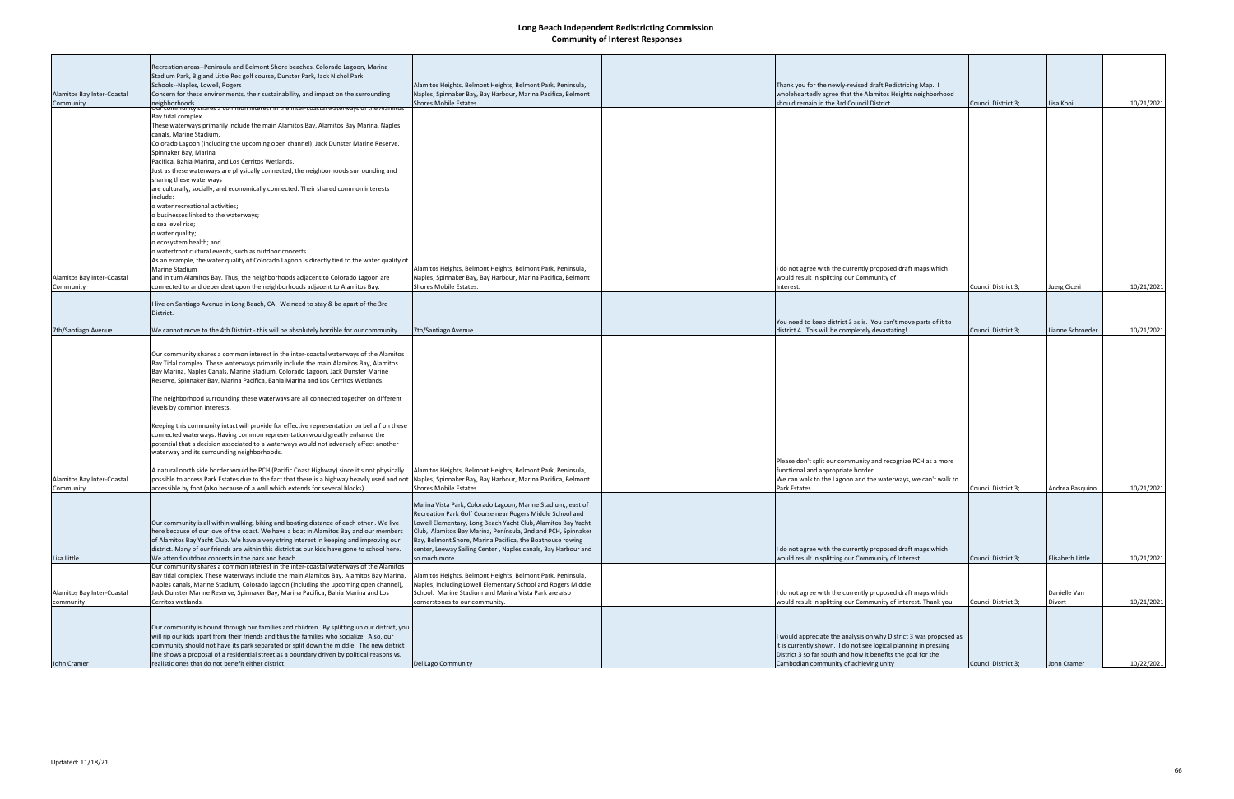|                                         | Recreation areas--Peninsula and Belmont Shore beaches, Colorado Lagoon, Marina                                                                                                                                                            |                                                                                                                              |                                                                                                                      |                     |                  |            |
|-----------------------------------------|-------------------------------------------------------------------------------------------------------------------------------------------------------------------------------------------------------------------------------------------|------------------------------------------------------------------------------------------------------------------------------|----------------------------------------------------------------------------------------------------------------------|---------------------|------------------|------------|
|                                         | Stadium Park, Big and Little Rec golf course, Dunster Park, Jack Nichol Park                                                                                                                                                              |                                                                                                                              |                                                                                                                      |                     |                  |            |
|                                         | Schools--Naples, Lowell, Rogers                                                                                                                                                                                                           | Alamitos Heights, Belmont Heights, Belmont Park, Peninsula,                                                                  | Thank you for the newly-revised draft Redistricing Map. I                                                            |                     |                  |            |
| Alamitos Bay Inter-Coastal              | Concern for these environments, their sustainability, and impact on the surrounding                                                                                                                                                       | Naples, Spinnaker Bay, Bay Harbour, Marina Pacifica, Belmont                                                                 | wholeheartedly agree that the Alamitos Heights neighborhood                                                          |                     |                  |            |
| Community                               | neighborhoods.<br>ui community shares a common interest in the inter-coastal waterways or the Alamitos                                                                                                                                    | <b>Shores Mobile Estates</b>                                                                                                 | should remain in the 3rd Council District.                                                                           | Council District 3; | Lisa Kooi        | 10/21/2021 |
|                                         | Bay tidal complex.                                                                                                                                                                                                                        |                                                                                                                              |                                                                                                                      |                     |                  |            |
|                                         | These waterways primarily include the main Alamitos Bay, Alamitos Bay Marina, Naples                                                                                                                                                      |                                                                                                                              |                                                                                                                      |                     |                  |            |
|                                         | canals, Marine Stadium,                                                                                                                                                                                                                   |                                                                                                                              |                                                                                                                      |                     |                  |            |
|                                         | Colorado Lagoon (including the upcoming open channel), Jack Dunster Marine Reserve,<br>Spinnaker Bay, Marina                                                                                                                              |                                                                                                                              |                                                                                                                      |                     |                  |            |
|                                         | Pacifica, Bahia Marina, and Los Cerritos Wetlands.                                                                                                                                                                                        |                                                                                                                              |                                                                                                                      |                     |                  |            |
|                                         | Just as these waterways are physically connected, the neighborhoods surrounding and                                                                                                                                                       |                                                                                                                              |                                                                                                                      |                     |                  |            |
|                                         | sharing these waterways                                                                                                                                                                                                                   |                                                                                                                              |                                                                                                                      |                     |                  |            |
|                                         | are culturally, socially, and economically connected. Their shared common interests                                                                                                                                                       |                                                                                                                              |                                                                                                                      |                     |                  |            |
|                                         | include:                                                                                                                                                                                                                                  |                                                                                                                              |                                                                                                                      |                     |                  |            |
|                                         | o water recreational activities;<br>o businesses linked to the waterways;                                                                                                                                                                 |                                                                                                                              |                                                                                                                      |                     |                  |            |
|                                         | o sea level rise;                                                                                                                                                                                                                         |                                                                                                                              |                                                                                                                      |                     |                  |            |
|                                         | o water quality;                                                                                                                                                                                                                          |                                                                                                                              |                                                                                                                      |                     |                  |            |
|                                         | o ecosystem health; and                                                                                                                                                                                                                   |                                                                                                                              |                                                                                                                      |                     |                  |            |
|                                         | o waterfront cultural events, such as outdoor concerts                                                                                                                                                                                    |                                                                                                                              |                                                                                                                      |                     |                  |            |
|                                         | As an example, the water quality of Colorado Lagoon is directly tied to the water quality of                                                                                                                                              |                                                                                                                              |                                                                                                                      |                     |                  |            |
| Alamitos Bay Inter-Coastal              | <b>Marine Stadium</b><br>and in turn Alamitos Bay. Thus, the neighborhoods adjacent to Colorado Lagoon are                                                                                                                                | Alamitos Heights, Belmont Heights, Belmont Park, Peninsula,<br>Naples, Spinnaker Bay, Bay Harbour, Marina Pacifica, Belmont  | I do not agree with the currently proposed draft maps which<br>would result in splitting our Community of            |                     |                  |            |
| Community                               | connected to and dependent upon the neighborhoods adjacent to Alamitos Bay.                                                                                                                                                               | Shores Mobile Estates.                                                                                                       | Interest.                                                                                                            | Council District 3; | Juerg Ciceri     | 10/21/2021 |
|                                         |                                                                                                                                                                                                                                           |                                                                                                                              |                                                                                                                      |                     |                  |            |
|                                         | I live on Santiago Avenue in Long Beach, CA. We need to stay & be apart of the 3rd                                                                                                                                                        |                                                                                                                              |                                                                                                                      |                     |                  |            |
|                                         | District.                                                                                                                                                                                                                                 |                                                                                                                              |                                                                                                                      |                     |                  |            |
| 7th/Santiago Avenue                     | We cannot move to the 4th District - this will be absolutely horrible for our community.                                                                                                                                                  | 7th/Santiago Avenue                                                                                                          | You need to keep district 3 as is. You can't move parts of it to<br>district 4. This will be completely devastating! | Council District 3; | ianne Schroeder  | 10/21/2021 |
|                                         |                                                                                                                                                                                                                                           |                                                                                                                              |                                                                                                                      |                     |                  |            |
|                                         |                                                                                                                                                                                                                                           |                                                                                                                              |                                                                                                                      |                     |                  |            |
|                                         | Our community shares a common interest in the inter-coastal waterways of the Alamitos                                                                                                                                                     |                                                                                                                              |                                                                                                                      |                     |                  |            |
|                                         | Bay Tidal complex. These waterways primarily include the main Alamitos Bay, Alamitos<br>Bay Marina, Naples Canals, Marine Stadium, Colorado Lagoon, Jack Dunster Marine                                                                   |                                                                                                                              |                                                                                                                      |                     |                  |            |
|                                         | Reserve, Spinnaker Bay, Marina Pacifica, Bahia Marina and Los Cerritos Wetlands.                                                                                                                                                          |                                                                                                                              |                                                                                                                      |                     |                  |            |
|                                         |                                                                                                                                                                                                                                           |                                                                                                                              |                                                                                                                      |                     |                  |            |
|                                         | The neighborhood surrounding these waterways are all connected together on different                                                                                                                                                      |                                                                                                                              |                                                                                                                      |                     |                  |            |
|                                         | levels by common interests.                                                                                                                                                                                                               |                                                                                                                              |                                                                                                                      |                     |                  |            |
|                                         | Keeping this community intact will provide for effective representation on behalf on these                                                                                                                                                |                                                                                                                              |                                                                                                                      |                     |                  |            |
|                                         | connected waterways. Having common representation would greatly enhance the                                                                                                                                                               |                                                                                                                              |                                                                                                                      |                     |                  |            |
|                                         | potential that a decision associated to a waterways would not adversely affect another                                                                                                                                                    |                                                                                                                              |                                                                                                                      |                     |                  |            |
|                                         | waterway and its surrounding neighborhoods.                                                                                                                                                                                               |                                                                                                                              |                                                                                                                      |                     |                  |            |
|                                         |                                                                                                                                                                                                                                           |                                                                                                                              | Please don't split our community and recognize PCH as a more                                                         |                     |                  |            |
|                                         | A natural north side border would be PCH (Pacific Coast Highway) since it's not physically                                                                                                                                                | Alamitos Heights, Belmont Heights, Belmont Park, Peninsula,                                                                  | functional and appropriate border.                                                                                   |                     |                  |            |
| Alamitos Bay Inter-Coastal<br>Community | possible to access Park Estates due to the fact that there is a highway heavily used and not Naples, Spinnaker Bay, Bay Harbour, Marina Pacifica, Belmont<br>accessible by foot (also because of a wall which extends for several blocks) | Shores Mobile Estates                                                                                                        | We can walk to the Lagoon and the waterways, we can't walk to<br>Park Estates.                                       | Council District 3: | Andrea Pasquino  | 10/21/2021 |
|                                         |                                                                                                                                                                                                                                           |                                                                                                                              |                                                                                                                      |                     |                  |            |
|                                         |                                                                                                                                                                                                                                           | Marina Vista Park, Colorado Lagoon, Marine Stadium,, east of                                                                 |                                                                                                                      |                     |                  |            |
|                                         |                                                                                                                                                                                                                                           | Recreation Park Golf Course near Rogers Middle School and                                                                    |                                                                                                                      |                     |                  |            |
|                                         | Our community is all within walking, biking and boating distance of each other . We live<br>here because of our love of the coast. We have a boat in Alamitos Bay and our members                                                         | Lowell Elementary, Long Beach Yacht Club, Alamitos Bay Yacht<br>Club, Alamitos Bay Marina, Península, 2nd and PCH, Spinnaker |                                                                                                                      |                     |                  |            |
|                                         | of Alamitos Bay Yacht Club. We have a very string interest in keeping and improving our                                                                                                                                                   | Bay, Belmont Shore, Marina Pacifica, the Boathouse rowing                                                                    |                                                                                                                      |                     |                  |            |
|                                         | district. Many of our friends are within this district as our kids have gone to school here.                                                                                                                                              | center, Leeway Sailing Center, Naples canals, Bay Harbour and                                                                | I do not agree with the currently proposed draft maps which                                                          |                     |                  |            |
| Lisa Little                             | We attend outdoor concerts in the park and beach.                                                                                                                                                                                         | so much more.                                                                                                                | would result in splitting our Community of Interest.                                                                 | Council District 3; | Elisabeth Little | 10/21/2021 |
|                                         | Our community shares a common interest in the inter-coastal waterways of the Alamitos                                                                                                                                                     |                                                                                                                              |                                                                                                                      |                     |                  |            |
|                                         | Bay tidal complex. These waterways include the main Alamitos Bay, Alamitos Bay Marina,<br>Naples canals, Marine Stadium, Colorado lagoon (including the upcoming open channel),                                                           | Alamitos Heights, Belmont Heights, Belmont Park, Peninsula,<br>Naples, including Lowell Elementary School and Rogers Middle  |                                                                                                                      |                     |                  |            |
| Alamitos Bay Inter-Coastal              | Jack Dunster Marine Reserve, Spinnaker Bay, Marina Pacifica, Bahia Marina and Los                                                                                                                                                         | School. Marine Stadium and Marina Vista Park are also                                                                        | I do not agree with the currently proposed draft maps which                                                          |                     | Danielle Van     |            |
| community                               | Cerritos wetlands.                                                                                                                                                                                                                        | cornerstones to our community.                                                                                               | would result in splitting our Community of interest. Thank you.                                                      | Council District 3; | Divort           | 10/21/2021 |
|                                         |                                                                                                                                                                                                                                           |                                                                                                                              |                                                                                                                      |                     |                  |            |
|                                         |                                                                                                                                                                                                                                           |                                                                                                                              |                                                                                                                      |                     |                  |            |
|                                         | Our community is bound through our families and children. By splitting up our district, you<br>will rip our kids apart from their friends and thus the families who socialize. Also, our                                                  |                                                                                                                              | I would appreciate the analysis on why District 3 was proposed as                                                    |                     |                  |            |
|                                         | community should not have its park separated or split down the middle. The new district                                                                                                                                                   |                                                                                                                              | it is currently shown. I do not see logical planning in pressing                                                     |                     |                  |            |
|                                         | line shows a proposal of a residential street as a boundary driven by political reasons vs.                                                                                                                                               |                                                                                                                              | District 3 so far south and how it benefits the goal for the                                                         |                     |                  |            |
| John Cramer                             | realistic ones that do not benefit either district.                                                                                                                                                                                       | Del Lago Community                                                                                                           | Cambodian community of achieving unity                                                                               | Council District 3; | John Cramer      | 10/22/2021 |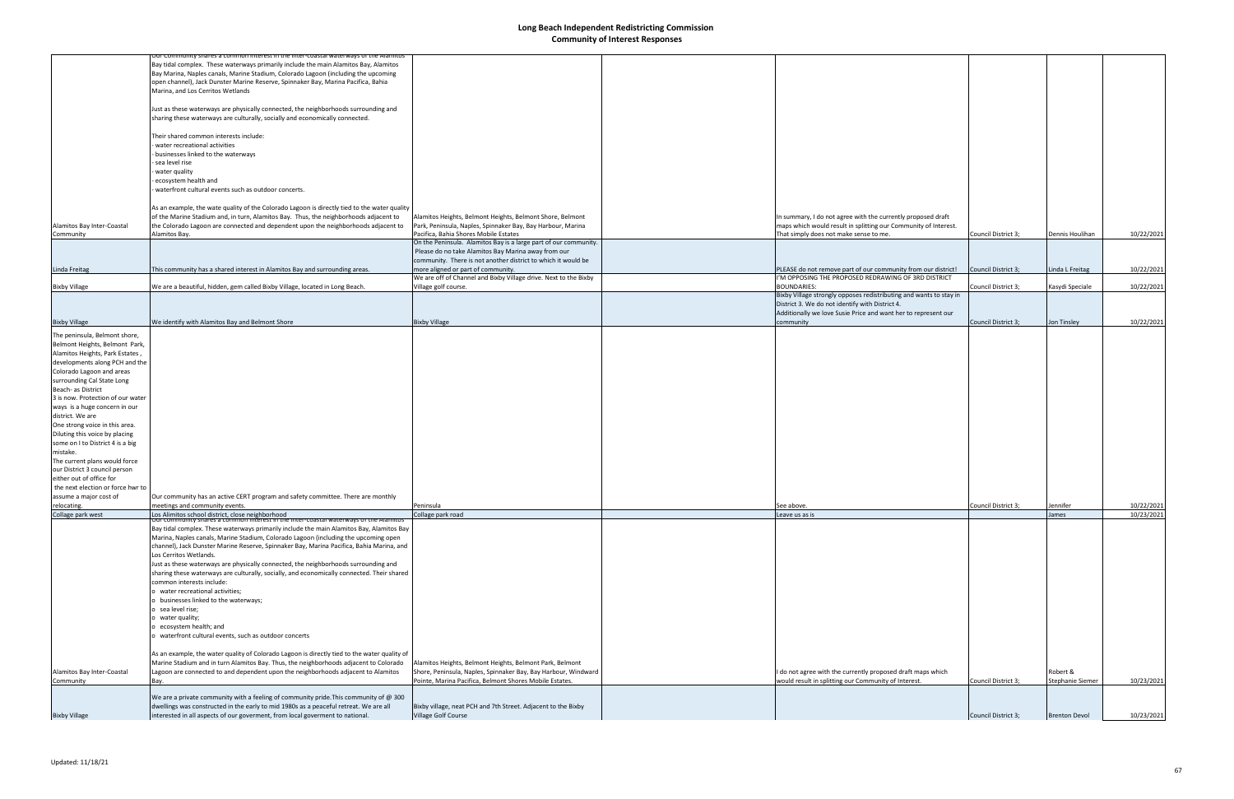|                                   | <del>iur Community snares a common interest in the inter-coastal waterways or the Alamito:</del> |                                                                  |                                                                    |                     |                      |            |
|-----------------------------------|--------------------------------------------------------------------------------------------------|------------------------------------------------------------------|--------------------------------------------------------------------|---------------------|----------------------|------------|
|                                   | Bay tidal complex. These waterways primarily include the main Alamitos Bay, Alamitos             |                                                                  |                                                                    |                     |                      |            |
|                                   | Bay Marina, Naples canals, Marine Stadium, Colorado Lagoon (including the upcoming               |                                                                  |                                                                    |                     |                      |            |
|                                   | open channel), Jack Dunster Marine Reserve, Spinnaker Bay, Marina Pacifica, Bahia                |                                                                  |                                                                    |                     |                      |            |
|                                   |                                                                                                  |                                                                  |                                                                    |                     |                      |            |
|                                   | Marina, and Los Cerritos Wetlands                                                                |                                                                  |                                                                    |                     |                      |            |
|                                   |                                                                                                  |                                                                  |                                                                    |                     |                      |            |
|                                   | Just as these waterways are physically connected, the neighborhoods surrounding and              |                                                                  |                                                                    |                     |                      |            |
|                                   | sharing these waterways are culturally, socially and economically connected.                     |                                                                  |                                                                    |                     |                      |            |
|                                   |                                                                                                  |                                                                  |                                                                    |                     |                      |            |
|                                   | Their shared common interests include:                                                           |                                                                  |                                                                    |                     |                      |            |
|                                   | water recreational activities                                                                    |                                                                  |                                                                    |                     |                      |            |
|                                   | - businesses linked to the waterways                                                             |                                                                  |                                                                    |                     |                      |            |
|                                   | - sea level rise                                                                                 |                                                                  |                                                                    |                     |                      |            |
|                                   | water quality                                                                                    |                                                                  |                                                                    |                     |                      |            |
|                                   | ecosystem health and                                                                             |                                                                  |                                                                    |                     |                      |            |
|                                   | waterfront cultural events such as outdoor concerts.                                             |                                                                  |                                                                    |                     |                      |            |
|                                   |                                                                                                  |                                                                  |                                                                    |                     |                      |            |
|                                   | As an example, the wate quality of the Colorado Lagoon is directly tied to the water quality     |                                                                  |                                                                    |                     |                      |            |
|                                   | of the Marine Stadium and, in turn, Alamitos Bay. Thus, the neighborhoods adjacent to            | Alamitos Heights, Belmont Heights, Belmont Shore, Belmont        | In summary, I do not agree with the currently proposed draft       |                     |                      |            |
| Alamitos Bay Inter-Coastal        | the Colorado Lagoon are connected and dependent upon the neighborhoods adjacent to               | Park, Peninsula, Naples, Spinnaker Bay, Bay Harbour, Marina      | maps which would result in splitting our Community of Interest.    |                     |                      |            |
| Community                         | Alamitos Bay.                                                                                    | Pacifica, Bahia Shores Mobile Estates                            | That simply does not make sense to me.                             | Council District 3; | Dennis Houlihan      | 10/22/2021 |
|                                   |                                                                                                  | On the Peninsula. Alamitos Bay is a large part of our community. |                                                                    |                     |                      |            |
|                                   |                                                                                                  | Please do no take Alamitos Bay Marina away from our              |                                                                    |                     |                      |            |
|                                   |                                                                                                  | community. There is not another district to which it would be    |                                                                    |                     |                      |            |
| Linda Freitag                     | This community has a shared interest in Alamitos Bay and surrounding areas.                      | more aligned or part of community.                               | PLEASE do not remove part of our community from our district!      | Council District 3; | Linda L Freitag      | 10/22/2021 |
|                                   |                                                                                                  | We are off of Channel and Bixby Village drive. Next to the Bixby | I'M OPPOSING THE PROPOSED REDRAWING OF 3RD DISTRICT                |                     |                      |            |
| <b>Bixby Village</b>              | We are a beautiful, hidden, gem called Bixby Village, located in Long Beach.                     | Village golf course.                                             | <b>BOUNDARIES:</b>                                                 | Council District 3: | Kasydi Speciale      | 10/22/2021 |
|                                   |                                                                                                  |                                                                  | Bixby Village strongly opposes redistributing and wants to stay in |                     |                      |            |
|                                   |                                                                                                  |                                                                  | District 3. We do not identify with District 4.                    |                     |                      |            |
|                                   |                                                                                                  |                                                                  | Additionally we love Susie Price and want her to represent our     |                     |                      |            |
| <b>Bixby Village</b>              | We identify with Alamitos Bay and Belmont Shore                                                  | <b>Bixby Village</b>                                             | community                                                          | Council District 3; | Jon Tinsley          | 10/22/2021 |
|                                   |                                                                                                  |                                                                  |                                                                    |                     |                      |            |
| The peninsula, Belmont shore,     |                                                                                                  |                                                                  |                                                                    |                     |                      |            |
| Belmont Heights, Belmont Park,    |                                                                                                  |                                                                  |                                                                    |                     |                      |            |
| Alamitos Heights, Park Estates,   |                                                                                                  |                                                                  |                                                                    |                     |                      |            |
| developments along PCH and the    |                                                                                                  |                                                                  |                                                                    |                     |                      |            |
| Colorado Lagoon and areas         |                                                                                                  |                                                                  |                                                                    |                     |                      |            |
| surrounding Cal State Long        |                                                                                                  |                                                                  |                                                                    |                     |                      |            |
| Beach- as District                |                                                                                                  |                                                                  |                                                                    |                     |                      |            |
| 3 is now. Protection of our water |                                                                                                  |                                                                  |                                                                    |                     |                      |            |
| ways is a huge concern in our     |                                                                                                  |                                                                  |                                                                    |                     |                      |            |
| district. We are                  |                                                                                                  |                                                                  |                                                                    |                     |                      |            |
| One strong voice in this area.    |                                                                                                  |                                                                  |                                                                    |                     |                      |            |
| Diluting this voice by placing    |                                                                                                  |                                                                  |                                                                    |                     |                      |            |
| some on I to District 4 is a big  |                                                                                                  |                                                                  |                                                                    |                     |                      |            |
| mistake.                          |                                                                                                  |                                                                  |                                                                    |                     |                      |            |
| The current plans would force     |                                                                                                  |                                                                  |                                                                    |                     |                      |            |
| our District 3 council person     |                                                                                                  |                                                                  |                                                                    |                     |                      |            |
| either out of office for          |                                                                                                  |                                                                  |                                                                    |                     |                      |            |
| the next election or force hwr to |                                                                                                  |                                                                  |                                                                    |                     |                      |            |
| assume a major cost of            |                                                                                                  |                                                                  |                                                                    |                     |                      |            |
|                                   | Our community has an active CERT program and safety committee. There are monthly                 | Peninsula                                                        |                                                                    |                     |                      |            |
| relocating.<br>Collage park west  | meetings and community events.<br>Los Alimitos school district, close neighborhood               |                                                                  | See above.                                                         | Council District 3; | Jennifer<br>James    | 10/22/2021 |
|                                   | ' shares a common interest in the inter-coastal waterways of the Alamitos                        | Collage park road                                                | Leave us as is                                                     |                     |                      | 10/23/2021 |
|                                   | Bay tidal complex. These waterways primarily include the main Alamitos Bay, Alamitos Bay         |                                                                  |                                                                    |                     |                      |            |
|                                   | Marina, Naples canals, Marine Stadium, Colorado Lagoon (including the upcoming open              |                                                                  |                                                                    |                     |                      |            |
|                                   | channel), Jack Dunster Marine Reserve, Spinnaker Bay, Marina Pacifica, Bahia Marina, and         |                                                                  |                                                                    |                     |                      |            |
|                                   | Los Cerritos Wetlands.                                                                           |                                                                  |                                                                    |                     |                      |            |
|                                   | Just as these waterways are physically connected, the neighborhoods surrounding and              |                                                                  |                                                                    |                     |                      |            |
|                                   | sharing these waterways are culturally, socially, and economically connected. Their shared       |                                                                  |                                                                    |                     |                      |            |
|                                   | common interests include:                                                                        |                                                                  |                                                                    |                     |                      |            |
|                                   |                                                                                                  |                                                                  |                                                                    |                     |                      |            |
|                                   | o water recreational activities;                                                                 |                                                                  |                                                                    |                     |                      |            |
|                                   | businesses linked to the waterways;                                                              |                                                                  |                                                                    |                     |                      |            |
|                                   | o sea level rise;                                                                                |                                                                  |                                                                    |                     |                      |            |
|                                   | o water quality;                                                                                 |                                                                  |                                                                    |                     |                      |            |
|                                   | o ecosystem health; and                                                                          |                                                                  |                                                                    |                     |                      |            |
|                                   | o waterfront cultural events, such as outdoor concerts                                           |                                                                  |                                                                    |                     |                      |            |
|                                   |                                                                                                  |                                                                  |                                                                    |                     |                      |            |
|                                   | As an example, the water quality of Colorado Lagoon is directly tied to the water quality of     |                                                                  |                                                                    |                     |                      |            |
|                                   | Marine Stadium and in turn Alamitos Bay. Thus, the neighborhoods adjacent to Colorado            | Alamitos Heights, Belmont Heights, Belmont Park, Belmont         |                                                                    |                     |                      |            |
| Alamitos Bay Inter-Coastal        | Lagoon are connected to and dependent upon the neighborhoods adjacent to Alamitos                | Shore, Peninsula, Naples, Spinnaker Bay, Bay Harbour, Windward   | I do not agree with the currently proposed draft maps which        |                     | Robert &             |            |
| Community                         | Bay.                                                                                             | Pointe, Marina Pacifica, Belmont Shores Mobile Estates.          | would result in splitting our Community of Interest.               | Council District 3; | Stephanie Siemer     | 10/23/2021 |
|                                   |                                                                                                  |                                                                  |                                                                    |                     |                      |            |
|                                   | We are a private community with a feeling of community pride. This community of $@300$           |                                                                  |                                                                    |                     |                      |            |
|                                   | dwellings was constructed in the early to mid 1980s as a peaceful retreat. We are all            | Bixby village, neat PCH and 7th Street. Adjacent to the Bixby    |                                                                    |                     |                      |            |
| <b>Bixby Village</b>              | interested in all aspects of our goverment, from local goverment to national.                    | Village Golf Course                                              |                                                                    | Council District 3; | <b>Brenton Devol</b> | 10/23/2021 |
|                                   |                                                                                                  |                                                                  |                                                                    |                     |                      |            |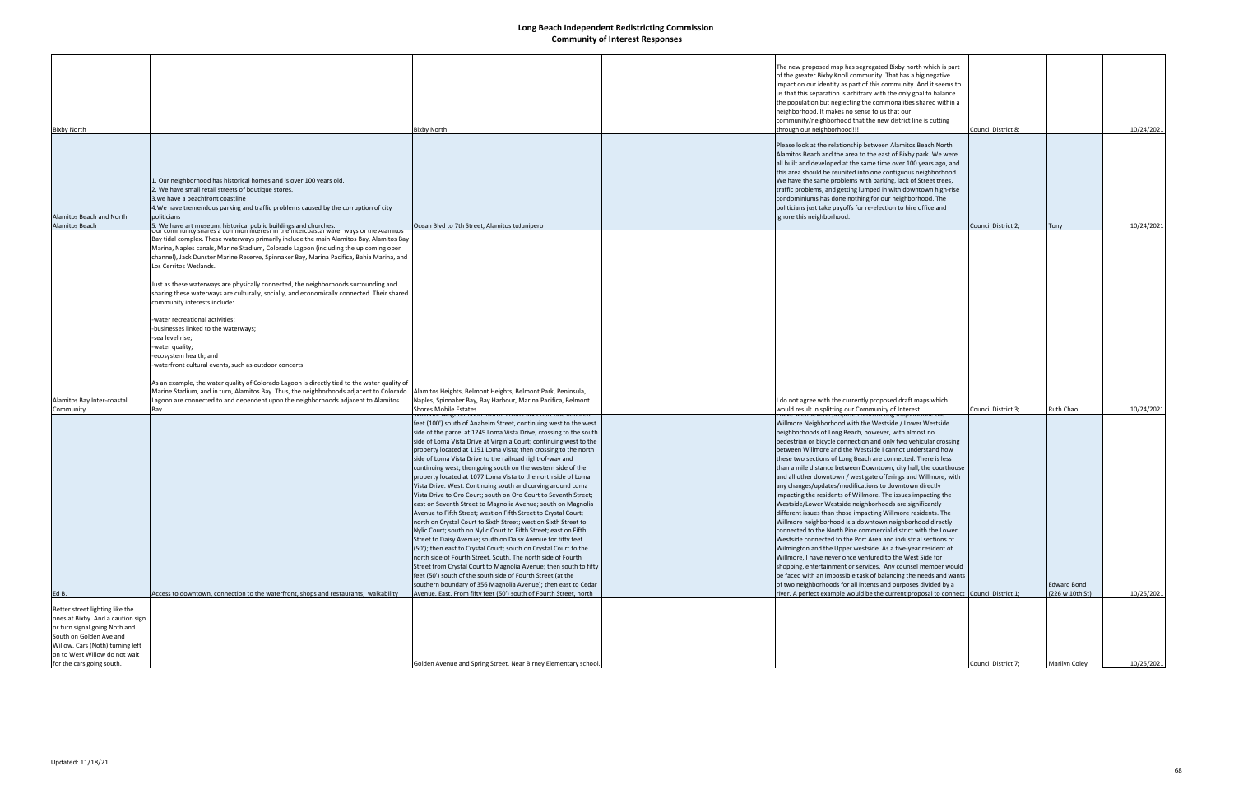| <b>Bixby North</b>                                                                                                                                                                                                                 |                                                                                                                                                                                                                                                                                                                                                                                                                                                                                                                                                                                                                            | <b>Bixby North</b>                                                                                                                                   | The new proposed map has segregated Bixby north which is part<br>of the greater Bixby Knoll community. That has a big negative<br>impact on our identity as part of this community. And it seems to<br>us that this separation is arbitrary with the only goal to balance<br>the population but neglecting the commonalities shared within a<br>neighborhood. It makes no sense to us that our<br>community/neighborhood that the new district line is cutting<br>through our neighborhood!!!                                                                        | Council District 8; |                      | 10/24/2021 |
|------------------------------------------------------------------------------------------------------------------------------------------------------------------------------------------------------------------------------------|----------------------------------------------------------------------------------------------------------------------------------------------------------------------------------------------------------------------------------------------------------------------------------------------------------------------------------------------------------------------------------------------------------------------------------------------------------------------------------------------------------------------------------------------------------------------------------------------------------------------------|------------------------------------------------------------------------------------------------------------------------------------------------------|----------------------------------------------------------------------------------------------------------------------------------------------------------------------------------------------------------------------------------------------------------------------------------------------------------------------------------------------------------------------------------------------------------------------------------------------------------------------------------------------------------------------------------------------------------------------|---------------------|----------------------|------------|
|                                                                                                                                                                                                                                    |                                                                                                                                                                                                                                                                                                                                                                                                                                                                                                                                                                                                                            |                                                                                                                                                      |                                                                                                                                                                                                                                                                                                                                                                                                                                                                                                                                                                      |                     |                      |            |
| Alamitos Beach and North                                                                                                                                                                                                           | 1. Our neighborhood has historical homes and is over 100 years old.<br>2. We have small retail streets of boutique stores.<br>3. we have a beachfront coastline<br>4. We have tremendous parking and traffic problems caused by the corruption of city<br>politicians                                                                                                                                                                                                                                                                                                                                                      |                                                                                                                                                      | Please look at the relationship between Alamitos Beach North<br>Alamitos Beach and the area to the east of Bixby park. We were<br>all built and developed at the same time over 100 years ago, and<br>this area should be reunited into one contiguous neighborhood.<br>We have the same problems with parking, lack of Street trees,<br>traffic problems, and getting lumped in with downtown high-rise<br>condominiums has done nothing for our neighborhood. The<br>politicians just take payoffs for re-election to hire office and<br>ignore this neighborhood. |                     |                      |            |
| Alamitos Beach                                                                                                                                                                                                                     | 5. We have art museum, historical public buildings and churches.                                                                                                                                                                                                                                                                                                                                                                                                                                                                                                                                                           | Ocean Blvd to 7th Street, Alamitos to unipero                                                                                                        |                                                                                                                                                                                                                                                                                                                                                                                                                                                                                                                                                                      | Council District 2; | Tony                 | 10/24/2021 |
|                                                                                                                                                                                                                                    | Bay tidal complex. These waterways primarily include the main Alamitos Bay, Alamitos Bay<br>Marina, Naples canals, Marine Stadium, Colorado Lagoon (including the up coming open<br>channel), Jack Dunster Marine Reserve, Spinnaker Bay, Marina Pacifica, Bahia Marina, and<br>Los Cerritos Wetlands.<br>Just as these waterways are physically connected, the neighborhoods surrounding and<br>sharing these waterways are culturally, socially, and economically connected. Their shared<br>community interests include:<br>-water recreational activities;<br>-businesses linked to the waterways;<br>-sea level rise; |                                                                                                                                                      |                                                                                                                                                                                                                                                                                                                                                                                                                                                                                                                                                                      |                     |                      |            |
| Alamitos Bay Inter-coastal                                                                                                                                                                                                         | -water quality;<br>-ecosystem health; and<br>-waterfront cultural events, such as outdoor concerts<br>As an example, the water quality of Colorado Lagoon is directly tied to the water quality of<br>Marine Stadium, and in turn, Alamitos Bay. Thus, the neighborhoods adjacent to Colorado<br>Lagoon are connected to and dependent upon the neighborhoods adjacent to Alamitos                                                                                                                                                                                                                                         | Alamitos Heights, Belmont Heights, Belmont Park, Peninsula,<br>Naples, Spinnaker Bay, Bay Harbour, Marina Pacifica, Belmont<br>Shores Mobile Estates | do not agree with the currently proposed draft maps which                                                                                                                                                                                                                                                                                                                                                                                                                                                                                                            |                     | Ruth Chao            |            |
| Community                                                                                                                                                                                                                          | Bay.                                                                                                                                                                                                                                                                                                                                                                                                                                                                                                                                                                                                                       | mimore iveignoomood. ivortii. From Park Court one nundred                                                                                            | would result in splitting our Community of Interest.<br>nave seen several proposed redistricting maps include the                                                                                                                                                                                                                                                                                                                                                                                                                                                    | Council District 3; |                      | 10/24/2021 |
|                                                                                                                                                                                                                                    |                                                                                                                                                                                                                                                                                                                                                                                                                                                                                                                                                                                                                            | feet (100') south of Anaheim Street, continuing west to the west                                                                                     | Willmore Neighborhood with the Westside / Lower Westside                                                                                                                                                                                                                                                                                                                                                                                                                                                                                                             |                     |                      |            |
|                                                                                                                                                                                                                                    |                                                                                                                                                                                                                                                                                                                                                                                                                                                                                                                                                                                                                            | side of the parcel at 1249 Loma Vista Drive; crossing to the south                                                                                   | neighborhoods of Long Beach, however, with almost no                                                                                                                                                                                                                                                                                                                                                                                                                                                                                                                 |                     |                      |            |
|                                                                                                                                                                                                                                    |                                                                                                                                                                                                                                                                                                                                                                                                                                                                                                                                                                                                                            | side of Loma Vista Drive at Virginia Court; continuing west to the                                                                                   | pedestrian or bicycle connection and only two vehicular crossing                                                                                                                                                                                                                                                                                                                                                                                                                                                                                                     |                     |                      |            |
|                                                                                                                                                                                                                                    |                                                                                                                                                                                                                                                                                                                                                                                                                                                                                                                                                                                                                            | property located at 1191 Loma Vista; then crossing to the north                                                                                      | between Willmore and the Westside I cannot understand how                                                                                                                                                                                                                                                                                                                                                                                                                                                                                                            |                     |                      |            |
|                                                                                                                                                                                                                                    |                                                                                                                                                                                                                                                                                                                                                                                                                                                                                                                                                                                                                            | side of Loma Vista Drive to the railroad right-of-way and                                                                                            | these two sections of Long Beach are connected. There is less                                                                                                                                                                                                                                                                                                                                                                                                                                                                                                        |                     |                      |            |
|                                                                                                                                                                                                                                    |                                                                                                                                                                                                                                                                                                                                                                                                                                                                                                                                                                                                                            | continuing west; then going south on the western side of the                                                                                         | than a mile distance between Downtown, city hall, the courthouse                                                                                                                                                                                                                                                                                                                                                                                                                                                                                                     |                     |                      |            |
|                                                                                                                                                                                                                                    |                                                                                                                                                                                                                                                                                                                                                                                                                                                                                                                                                                                                                            | property located at 1077 Loma Vista to the north side of Loma<br>Vista Drive. West. Continuing south and curving around Loma                         | and all other downtown / west gate offerings and Willmore, with<br>any changes/updates/modifications to downtown directly                                                                                                                                                                                                                                                                                                                                                                                                                                            |                     |                      |            |
|                                                                                                                                                                                                                                    |                                                                                                                                                                                                                                                                                                                                                                                                                                                                                                                                                                                                                            | Vista Drive to Oro Court; south on Oro Court to Seventh Street;                                                                                      | impacting the residents of Willmore. The issues impacting the                                                                                                                                                                                                                                                                                                                                                                                                                                                                                                        |                     |                      |            |
|                                                                                                                                                                                                                                    |                                                                                                                                                                                                                                                                                                                                                                                                                                                                                                                                                                                                                            | east on Seventh Street to Magnolia Avenue; south on Magnolia                                                                                         | Westside/Lower Westside neighborhoods are significantly                                                                                                                                                                                                                                                                                                                                                                                                                                                                                                              |                     |                      |            |
|                                                                                                                                                                                                                                    |                                                                                                                                                                                                                                                                                                                                                                                                                                                                                                                                                                                                                            | Avenue to Fifth Street; west on Fifth Street to Crystal Court;                                                                                       | different issues than those impacting Willmore residents. The                                                                                                                                                                                                                                                                                                                                                                                                                                                                                                        |                     |                      |            |
|                                                                                                                                                                                                                                    |                                                                                                                                                                                                                                                                                                                                                                                                                                                                                                                                                                                                                            | north on Crystal Court to Sixth Street; west on Sixth Street to                                                                                      | Willmore neighborhood is a downtown neighborhood directly                                                                                                                                                                                                                                                                                                                                                                                                                                                                                                            |                     |                      |            |
|                                                                                                                                                                                                                                    |                                                                                                                                                                                                                                                                                                                                                                                                                                                                                                                                                                                                                            | Nylic Court; south on Nylic Court to Fifth Street; east on Fifth                                                                                     | connected to the North Pine commercial district with the Lower                                                                                                                                                                                                                                                                                                                                                                                                                                                                                                       |                     |                      |            |
|                                                                                                                                                                                                                                    |                                                                                                                                                                                                                                                                                                                                                                                                                                                                                                                                                                                                                            | Street to Daisy Avenue; south on Daisy Avenue for fifty feet                                                                                         | Westside connected to the Port Area and industrial sections of                                                                                                                                                                                                                                                                                                                                                                                                                                                                                                       |                     |                      |            |
|                                                                                                                                                                                                                                    |                                                                                                                                                                                                                                                                                                                                                                                                                                                                                                                                                                                                                            | (50'); then east to Crystal Court; south on Crystal Court to the<br>north side of Fourth Street. South. The north side of Fourth                     | Wilmington and the Upper westside. As a five-year resident of                                                                                                                                                                                                                                                                                                                                                                                                                                                                                                        |                     |                      |            |
|                                                                                                                                                                                                                                    |                                                                                                                                                                                                                                                                                                                                                                                                                                                                                                                                                                                                                            | Street from Crystal Court to Magnolia Avenue; then south to fifty                                                                                    | Willmore, I have never once ventured to the West Side for<br>shopping, entertainment or services. Any counsel member would                                                                                                                                                                                                                                                                                                                                                                                                                                           |                     |                      |            |
|                                                                                                                                                                                                                                    |                                                                                                                                                                                                                                                                                                                                                                                                                                                                                                                                                                                                                            | feet (50') south of the south side of Fourth Street (at the                                                                                          | be faced with an impossible task of balancing the needs and wants                                                                                                                                                                                                                                                                                                                                                                                                                                                                                                    |                     |                      |            |
|                                                                                                                                                                                                                                    |                                                                                                                                                                                                                                                                                                                                                                                                                                                                                                                                                                                                                            | southern boundary of 356 Magnolia Avenue); then east to Cedar                                                                                        | of two neighborhoods for all intents and purposes divided by a                                                                                                                                                                                                                                                                                                                                                                                                                                                                                                       |                     | <b>Edward Bond</b>   |            |
| Ed B.                                                                                                                                                                                                                              | Access to downtown, connection to the waterfront, shops and restaurants, walkability                                                                                                                                                                                                                                                                                                                                                                                                                                                                                                                                       | Avenue. East. From fifty feet (50') south of Fourth Street, north                                                                                    | river. A perfect example would be the current proposal to connect Council District 1;                                                                                                                                                                                                                                                                                                                                                                                                                                                                                |                     | (226 w 10th St)      | 10/25/2021 |
| Better street lighting like the<br>ones at Bixby. And a caution sign<br>or turn signal going Noth and<br>South on Golden Ave and<br>Willow. Cars (Noth) turning left<br>on to West Willow do not wait<br>for the cars going south. |                                                                                                                                                                                                                                                                                                                                                                                                                                                                                                                                                                                                                            |                                                                                                                                                      |                                                                                                                                                                                                                                                                                                                                                                                                                                                                                                                                                                      |                     |                      |            |
|                                                                                                                                                                                                                                    |                                                                                                                                                                                                                                                                                                                                                                                                                                                                                                                                                                                                                            | Golden Avenue and Spring Street. Near Birney Elementary school.                                                                                      |                                                                                                                                                                                                                                                                                                                                                                                                                                                                                                                                                                      | Council District 7; | <b>Marilyn Coley</b> | 10/25/2021 |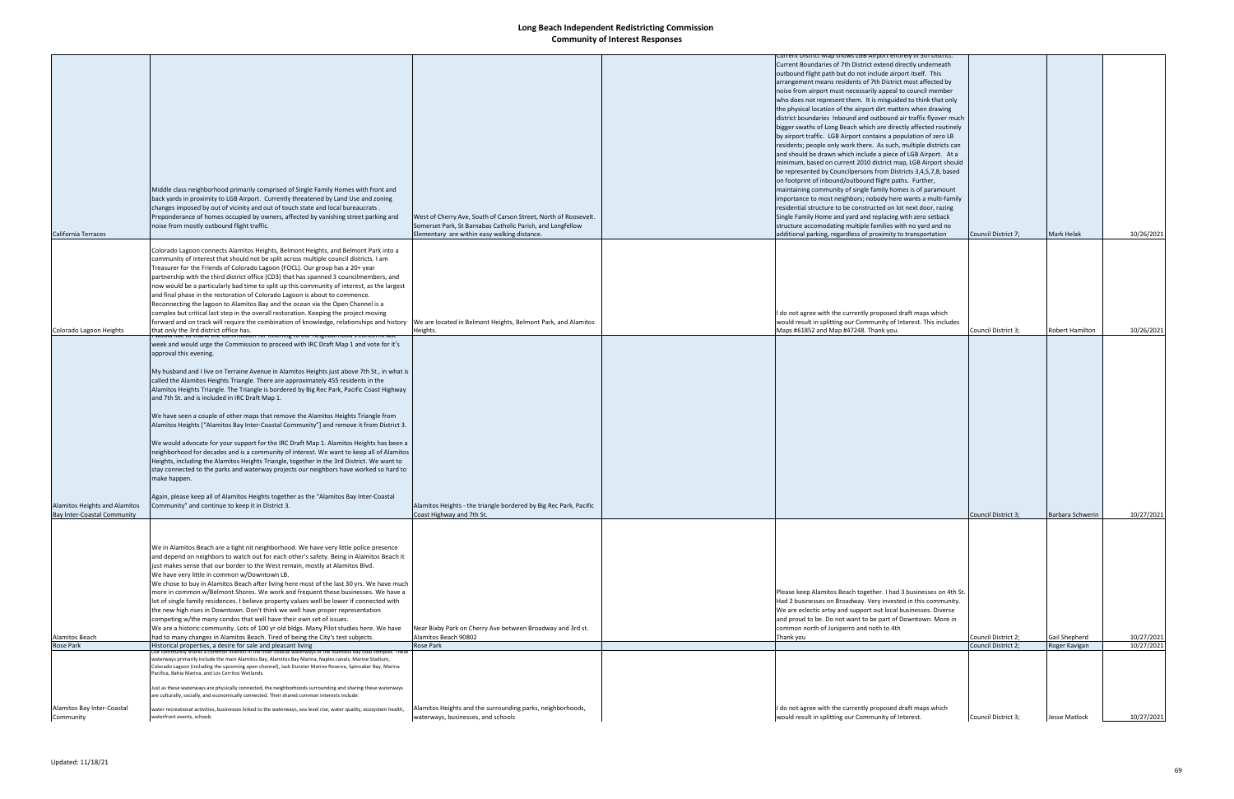|                                    |                                                                                                                                  |                                                                   | urrent District Map shows LGB Airport entirely in Stri District.   |                     |                        |            |
|------------------------------------|----------------------------------------------------------------------------------------------------------------------------------|-------------------------------------------------------------------|--------------------------------------------------------------------|---------------------|------------------------|------------|
|                                    |                                                                                                                                  |                                                                   |                                                                    |                     |                        |            |
|                                    |                                                                                                                                  |                                                                   | Current Boundaries of 7th District extend directly underneath      |                     |                        |            |
|                                    |                                                                                                                                  |                                                                   | outbound flight path but do not include airport itself. This       |                     |                        |            |
|                                    |                                                                                                                                  |                                                                   | arrangement means residents of 7th District most affected by       |                     |                        |            |
|                                    |                                                                                                                                  |                                                                   | noise from airport must necessarily appeal to council member       |                     |                        |            |
|                                    |                                                                                                                                  |                                                                   |                                                                    |                     |                        |            |
|                                    |                                                                                                                                  |                                                                   | who does not represent them. It is misguided to think that only    |                     |                        |            |
|                                    |                                                                                                                                  |                                                                   | the physical location of the airport dirt matters when drawing     |                     |                        |            |
|                                    |                                                                                                                                  |                                                                   | district boundaries Inbound and outbound air traffic flyover much  |                     |                        |            |
|                                    |                                                                                                                                  |                                                                   |                                                                    |                     |                        |            |
|                                    |                                                                                                                                  |                                                                   | bigger swaths of Long Beach which are directly affected routinely  |                     |                        |            |
|                                    |                                                                                                                                  |                                                                   | by airport traffic. LGB Airport contains a population of zero LB   |                     |                        |            |
|                                    |                                                                                                                                  |                                                                   | residents; people only work there. As such, multiple districts can |                     |                        |            |
|                                    |                                                                                                                                  |                                                                   | and should be drawn which include a piece of LGB Airport. At a     |                     |                        |            |
|                                    |                                                                                                                                  |                                                                   | minimum, based on current 2010 district map, LGB Airport should    |                     |                        |            |
|                                    |                                                                                                                                  |                                                                   |                                                                    |                     |                        |            |
|                                    |                                                                                                                                  |                                                                   | be represented by Councilpersons from Districts 3,4,5,7,8, based   |                     |                        |            |
|                                    |                                                                                                                                  |                                                                   | on footprint of inbound/outbound flight paths. Further,            |                     |                        |            |
|                                    | Middle class neighborhood primarily comprised of Single Family Homes with front and                                              |                                                                   | maintaining community of single family homes is of paramount       |                     |                        |            |
|                                    |                                                                                                                                  |                                                                   |                                                                    |                     |                        |            |
|                                    | back yards in proximity to LGB Airport. Currently threatened by Land Use and zoning                                              |                                                                   | importance to most neighbors; nobody here wants a multi-family     |                     |                        |            |
|                                    | changes imposed by out of vicinity and out of touch state and local bureaucrats.                                                 |                                                                   | residential structure to be constructed on lot next door, razing   |                     |                        |            |
|                                    | Preponderance of homes occupied by owners, affected by vanishing street parking and                                              | West of Cherry Ave, South of Carson Street, North of Roosevelt.   | Single Family Home and yard and replacing with zero setback        |                     |                        |            |
|                                    | noise from mostly outbound flight traffic.                                                                                       | Somerset Park, St Barnabas Catholic Parish, and Longfellow        | structure accomodating multiple families with no yard and no       |                     |                        |            |
|                                    |                                                                                                                                  |                                                                   |                                                                    |                     |                        |            |
| California Terraces                |                                                                                                                                  | Elementary are within easy walking distance.                      | additional parking, regardless of proximity to transportation      | Council District 7; | Mark Helak             | 10/26/2021 |
|                                    |                                                                                                                                  |                                                                   |                                                                    |                     |                        |            |
|                                    | Colorado Lagoon connects Alamitos Heights, Belmont Heights, and Belmont Park into a                                              |                                                                   |                                                                    |                     |                        |            |
|                                    | community of interest that should not be split across multiple council districts. I am                                           |                                                                   |                                                                    |                     |                        |            |
|                                    |                                                                                                                                  |                                                                   |                                                                    |                     |                        |            |
|                                    | Treasurer for the Friends of Colorado Lagoon (FOCL). Our group has a 20+ year                                                    |                                                                   |                                                                    |                     |                        |            |
|                                    | partnership with the third district office (CD3) that has spanned 3 councilmembers, and                                          |                                                                   |                                                                    |                     |                        |            |
|                                    | now would be a particularly bad time to split up this community of interest, as the largest                                      |                                                                   |                                                                    |                     |                        |            |
|                                    |                                                                                                                                  |                                                                   |                                                                    |                     |                        |            |
|                                    | and final phase in the restoration of Colorado Lagoon is about to commence.                                                      |                                                                   |                                                                    |                     |                        |            |
|                                    | Reconnecting the lagoon to Alamitos Bay and the ocean via the Open Channel is a                                                  |                                                                   |                                                                    |                     |                        |            |
|                                    | complex but critical last step in the overall restoration. Keeping the project moving                                            |                                                                   | I do not agree with the currently proposed draft maps which        |                     |                        |            |
|                                    | forward and on track will require the combination of knowledge, relationships and history                                        | We are located in Belmont Heights, Belmont Park, and Alamitos     | would result in splitting our Community of Interest. This includes |                     |                        |            |
|                                    |                                                                                                                                  |                                                                   |                                                                    |                     |                        |            |
| Colorado Lagoon Heights            | that only the 3rd district office has.<br> Twould like to thank the commission for fistening to our neighborhood's concerns fast | Heights.                                                          | Maps #61852 and Map #47248. Thank you.                             | Council District 3; | <b>Robert Hamilton</b> | 10/26/2021 |
|                                    |                                                                                                                                  |                                                                   |                                                                    |                     |                        |            |
|                                    | week and would urge the Commission to proceed with IRC Draft Map 1 and vote for it's                                             |                                                                   |                                                                    |                     |                        |            |
|                                    | approval this evening.                                                                                                           |                                                                   |                                                                    |                     |                        |            |
|                                    |                                                                                                                                  |                                                                   |                                                                    |                     |                        |            |
|                                    | My husband and I live on Terraine Avenue in Alamitos Heights just above 7th St., in what is                                      |                                                                   |                                                                    |                     |                        |            |
|                                    |                                                                                                                                  |                                                                   |                                                                    |                     |                        |            |
|                                    | called the Alamitos Heights Triangle. There are approximately 455 residents in the                                               |                                                                   |                                                                    |                     |                        |            |
|                                    | Alamitos Heights Triangle. The Triangle is bordered by Big Rec Park, Pacific Coast Highway                                       |                                                                   |                                                                    |                     |                        |            |
|                                    | and 7th St. and is included in IRC Draft Map 1.                                                                                  |                                                                   |                                                                    |                     |                        |            |
|                                    |                                                                                                                                  |                                                                   |                                                                    |                     |                        |            |
|                                    |                                                                                                                                  |                                                                   |                                                                    |                     |                        |            |
|                                    | We have seen a couple of other maps that remove the Alamitos Heights Triangle from                                               |                                                                   |                                                                    |                     |                        |            |
|                                    | Alamitos Heights ["Alamitos Bay Inter-Coastal Community"] and remove it from District 3.                                         |                                                                   |                                                                    |                     |                        |            |
|                                    |                                                                                                                                  |                                                                   |                                                                    |                     |                        |            |
|                                    |                                                                                                                                  |                                                                   |                                                                    |                     |                        |            |
|                                    | We would advocate for your support for the IRC Draft Map 1. Alamitos Heights has been a                                          |                                                                   |                                                                    |                     |                        |            |
|                                    | neighborhood for decades and is a community of interest. We want to keep all of Alamitos                                         |                                                                   |                                                                    |                     |                        |            |
|                                    |                                                                                                                                  |                                                                   |                                                                    |                     |                        |            |
|                                    | Heights, including the Alamitos Heights Triangle, together in the 3rd District. We want to                                       |                                                                   |                                                                    |                     |                        |            |
|                                    | stay connected to the parks and waterway projects our neighbors have worked so hard to                                           |                                                                   |                                                                    |                     |                        |            |
|                                    | make happen.                                                                                                                     |                                                                   |                                                                    |                     |                        |            |
|                                    |                                                                                                                                  |                                                                   |                                                                    |                     |                        |            |
|                                    |                                                                                                                                  |                                                                   |                                                                    |                     |                        |            |
|                                    | Again, please keep all of Alamitos Heights together as the "Alamitos Bay Inter-Coastal                                           |                                                                   |                                                                    |                     |                        |            |
| Alamitos Heights and Alamitos      | Community" and continue to keep it in District 3.                                                                                | Alamitos Heights - the triangle bordered by Big Rec Park, Pacific |                                                                    |                     |                        |            |
| <b>Bay Inter-Coastal Community</b> |                                                                                                                                  | Coast Highway and 7th St.                                         |                                                                    | Council District 3; | Barbara Schwerin       | 10/27/2021 |
|                                    |                                                                                                                                  |                                                                   |                                                                    |                     |                        |            |
|                                    |                                                                                                                                  |                                                                   |                                                                    |                     |                        |            |
|                                    |                                                                                                                                  |                                                                   |                                                                    |                     |                        |            |
|                                    |                                                                                                                                  |                                                                   |                                                                    |                     |                        |            |
|                                    | We in Alamitos Beach are a tight nit neighborhood. We have very little police presence                                           |                                                                   |                                                                    |                     |                        |            |
|                                    | and depend on neighbors to watch out for each other's safety. Being in Alamitos Beach it                                         |                                                                   |                                                                    |                     |                        |            |
|                                    |                                                                                                                                  |                                                                   |                                                                    |                     |                        |            |
|                                    | just makes sense that our border to the West remain, mostly at Alamitos Blvd.                                                    |                                                                   |                                                                    |                     |                        |            |
|                                    | We have very little in common w/Downtown LB.                                                                                     |                                                                   |                                                                    |                     |                        |            |
|                                    | We chose to buy in Alamitos Beach after living here most of the last 30 yrs. We have much                                        |                                                                   |                                                                    |                     |                        |            |
|                                    | more in common w/Belmont Shores. We work and frequent these businesses. We have a                                                |                                                                   | Please keep Alamitos Beach together. I had 3 businesses on 4th St. |                     |                        |            |
|                                    |                                                                                                                                  |                                                                   |                                                                    |                     |                        |            |
|                                    | lot of single family residences. I believe property values well be lower if connected with                                       |                                                                   | Had 2 businesses on Broadway. Very invested in this community.     |                     |                        |            |
|                                    | the new high rises in Downtown. Don't think we well have proper representation                                                   |                                                                   | We are eclectic artsy and support out local businesses. Diverse    |                     |                        |            |
|                                    | competing w/the many condos that well have their own set of issues.                                                              |                                                                   | and proud to be. Do not want to be part of Downtown. More in       |                     |                        |            |
|                                    |                                                                                                                                  |                                                                   |                                                                    |                     |                        |            |
|                                    | We are a historic community. Lots of 100 yr old bldgs. Many Pilot studies here. We have                                          | Near Bixby Park on Cherry Ave between Broadway and 3rd st.        | common north of Juniperro and noth to 4th                          |                     |                        |            |
| Alamitos Beach                     | had to many changes in Alamitos Beach. Tired of being the City's test subjects.                                                  | Alamitos Beach 90802                                              | Thank you                                                          | Council District 2; | Gail Shepherd          | 10/27/2021 |
| Rose Park                          | Historical properties, a desire for sale and pleasant living                                                                     | Rose Park                                                         |                                                                    | Council District 2; | Roger Kavigan          | 10/27/2021 |
|                                    | Jur community shares a common interest in the inter-coastal waterways of the Alamitos Bay tidal complex. These                   |                                                                   |                                                                    |                     |                        |            |
|                                    | waterways primarily include the main Alamitos Bay, Alamitos Bay Marina, Naples canals, Marine Stadium,                           |                                                                   |                                                                    |                     |                        |            |
|                                    | Colorado Lagoon (including the upcoming open channel), Jack Dunster Marine Reserve, Spinnaker Bay, Marina                        |                                                                   |                                                                    |                     |                        |            |
|                                    | Pacifica, Bahia Marina, and Los Cerritos Wetlands.                                                                               |                                                                   |                                                                    |                     |                        |            |
|                                    |                                                                                                                                  |                                                                   |                                                                    |                     |                        |            |
|                                    | Just as these waterways are physically connected, the neighborhoods surrounding and sharing these waterways                      |                                                                   |                                                                    |                     |                        |            |
|                                    | are culturally, socially, and economically connected. Their shared common interests include:                                     |                                                                   |                                                                    |                     |                        |            |
|                                    |                                                                                                                                  |                                                                   |                                                                    |                     |                        |            |
| Alamitos Bay Inter-Coastal         | water recreational activities, businesses linked to the waterways, sea level rise, water quality, ecosystem health,              | Alamitos Heights and the surrounding parks, neighborhoods,        | I do not agree with the currently proposed draft maps which        |                     |                        |            |
|                                    |                                                                                                                                  |                                                                   |                                                                    |                     |                        |            |
| Community                          | waterfront events, schools                                                                                                       | waterways, businesses, and schools                                | would result in splitting our Community of Interest.               | Council District 3; | Jesse Matlock          | 10/27/2021 |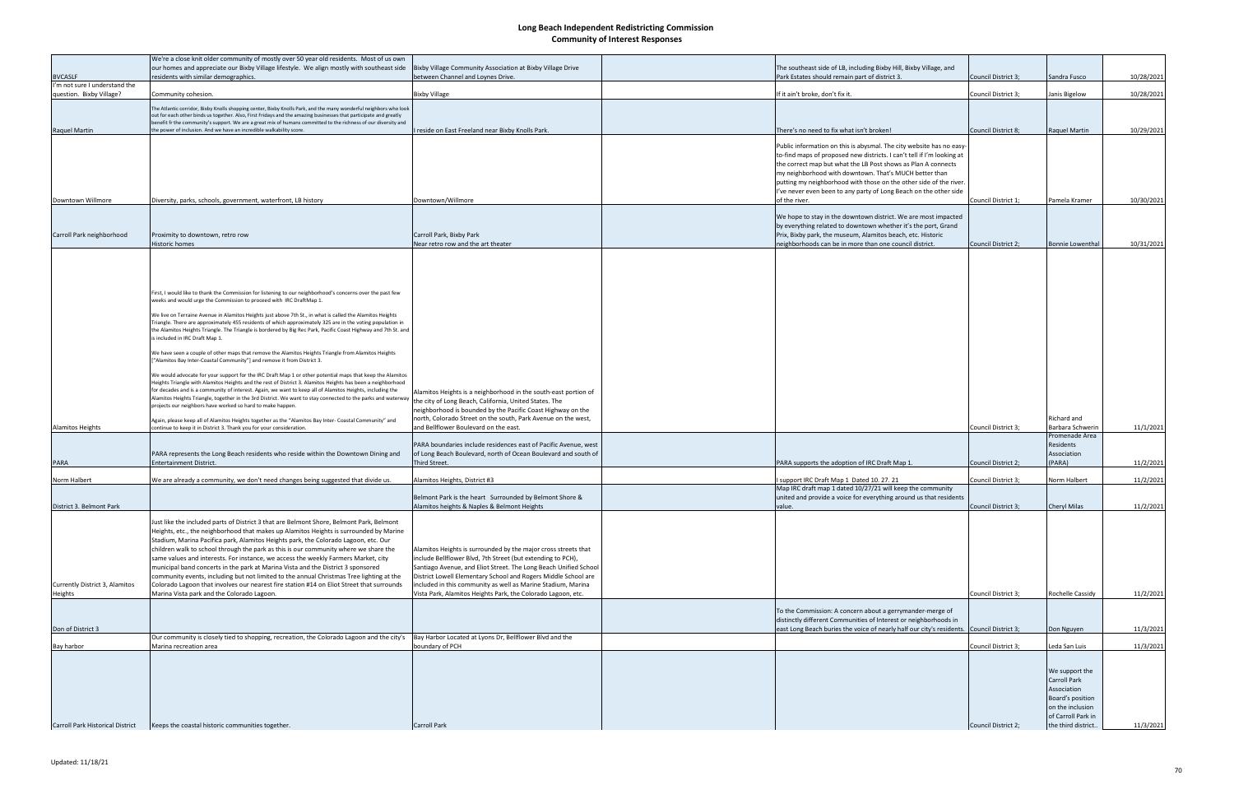| <b>BVCASLF</b>                                            | We're a close knit older community of mostly over 50 year old residents. Most of us own<br>our homes and appreciate our Bixby Village lifestyle. We align mostly with southeast side<br>residents with similar demographics.                                                                                                                                                                                                                                                                                                                                                                                                                                                                                                                                                       | Bixby Village Community Association at Bixby Village Drive<br>between Channel and Loynes Drive.                                                                                                                                                                                                                                                                                                     | The southeast side of LB, including Bixby Hill, Bixby Village, and<br>Park Estates should remain part of district 3.                                                                                                                                                                                                                                                                                                 | Council District 3; | Sandra Fusco                                                                                                       | 10/28/2021 |
|-----------------------------------------------------------|------------------------------------------------------------------------------------------------------------------------------------------------------------------------------------------------------------------------------------------------------------------------------------------------------------------------------------------------------------------------------------------------------------------------------------------------------------------------------------------------------------------------------------------------------------------------------------------------------------------------------------------------------------------------------------------------------------------------------------------------------------------------------------|-----------------------------------------------------------------------------------------------------------------------------------------------------------------------------------------------------------------------------------------------------------------------------------------------------------------------------------------------------------------------------------------------------|----------------------------------------------------------------------------------------------------------------------------------------------------------------------------------------------------------------------------------------------------------------------------------------------------------------------------------------------------------------------------------------------------------------------|---------------------|--------------------------------------------------------------------------------------------------------------------|------------|
| I'm not sure I understand the<br>question. Bixby Village? | Community cohesion.                                                                                                                                                                                                                                                                                                                                                                                                                                                                                                                                                                                                                                                                                                                                                                | <b>Bixby Village</b>                                                                                                                                                                                                                                                                                                                                                                                | If it ain't broke, don't fix it.                                                                                                                                                                                                                                                                                                                                                                                     | Council District 3; | Janis Bigelow                                                                                                      | 10/28/2021 |
|                                                           | The Atlantic corridor, Bixby Knolls shopping center, Bixby Knolls Park, and the many wonderful neighbors who look                                                                                                                                                                                                                                                                                                                                                                                                                                                                                                                                                                                                                                                                  |                                                                                                                                                                                                                                                                                                                                                                                                     |                                                                                                                                                                                                                                                                                                                                                                                                                      |                     |                                                                                                                    |            |
|                                                           | out for each other binds us together. Also, First Fridays and the amazing businesses that participate and greatly<br>benefit fr the community's support. We are a great mix of humans committed to the richness of our diversity and                                                                                                                                                                                                                                                                                                                                                                                                                                                                                                                                               |                                                                                                                                                                                                                                                                                                                                                                                                     |                                                                                                                                                                                                                                                                                                                                                                                                                      |                     |                                                                                                                    |            |
| Raquel Martin                                             | the power of inclusion. And we have an incredible walkability score.                                                                                                                                                                                                                                                                                                                                                                                                                                                                                                                                                                                                                                                                                                               | reside on East Freeland near Bixby Knolls Park.                                                                                                                                                                                                                                                                                                                                                     | There's no need to fix what isn't broken!                                                                                                                                                                                                                                                                                                                                                                            | Council District 8; | Raquel Martin                                                                                                      | 10/29/2021 |
|                                                           |                                                                                                                                                                                                                                                                                                                                                                                                                                                                                                                                                                                                                                                                                                                                                                                    |                                                                                                                                                                                                                                                                                                                                                                                                     | Public information on this is abysmal. The city website has no easy-<br>to-find maps of proposed new districts. I can't tell if I'm looking at<br>the correct map but what the LB Post shows as Plan A connects<br>my neighborhood with downtown. That's MUCH better than<br>putting my neighborhood with those on the other side of the river.<br>I've never even been to any party of Long Beach on the other side |                     |                                                                                                                    |            |
| Downtown Willmore                                         | Diversity, parks, schools, government, waterfront, LB history                                                                                                                                                                                                                                                                                                                                                                                                                                                                                                                                                                                                                                                                                                                      | Downtown/Willmore                                                                                                                                                                                                                                                                                                                                                                                   | of the river.                                                                                                                                                                                                                                                                                                                                                                                                        | Council District 1; | Pamela Kramer                                                                                                      | 10/30/2021 |
| Carroll Park neighborhood                                 | Proximity to downtown, retro row<br>Historic homes                                                                                                                                                                                                                                                                                                                                                                                                                                                                                                                                                                                                                                                                                                                                 | Carroll Park, Bixby Park<br>Near retro row and the art theater                                                                                                                                                                                                                                                                                                                                      | We hope to stay in the downtown district. We are most impacted<br>by everything related to downtown whether it's the port, Grand<br>Prix, Bixby park, the museum, Alamitos beach, etc. Historic<br>neighborhoods can be in more than one council district.                                                                                                                                                           | Council District 2; | <b>Bonnie Lowenthal</b>                                                                                            | 10/31/2021 |
|                                                           | First, I would like to thank the Commission for listening to our neighborhood's concerns over the past few<br>weeks and would urge the Commission to proceed with IRC DraftMap 1.<br>We live on Terraine Avenue in Alamitos Heights just above 7th St., in what is called the Alamitos Heights<br>Triangle. There are approximately 455 residents of which approximately 325 are in the voting population in                                                                                                                                                                                                                                                                                                                                                                       |                                                                                                                                                                                                                                                                                                                                                                                                     |                                                                                                                                                                                                                                                                                                                                                                                                                      |                     |                                                                                                                    |            |
|                                                           | the Alamitos Heights Triangle. The Triangle is bordered by Big Rec Park, Pacific Coast Highway and 7th St. and<br>is included in IRC Draft Map 1.<br>We have seen a couple of other maps that remove the Alamitos Heights Triangle from Alamitos Heights<br>["Alamitos Bay Inter-Coastal Community"] and remove it from District 3.                                                                                                                                                                                                                                                                                                                                                                                                                                                |                                                                                                                                                                                                                                                                                                                                                                                                     |                                                                                                                                                                                                                                                                                                                                                                                                                      |                     |                                                                                                                    |            |
|                                                           | We would advocate for your support for the IRC Draft Map 1 or other potential maps that keep the Alamitos<br>Heights Triangle with Alamitos Heights and the rest of District 3. Alamitos Heights has been a neighborhood<br>for decades and is a community of interest. Again, we want to keep all of Alamitos Heights, including the<br>Alamitos Heights Triangle, together in the 3rd District. We want to stay connected to the parks and waterway<br>projects our neighbors have worked so hard to make happen.                                                                                                                                                                                                                                                                | Alamitos Heights is a neighborhood in the south-east portion of<br>the city of Long Beach, California, United States. The<br>neighborhood is bounded by the Pacific Coast Highway on the<br>north, Colorado Street on the south, Park Avenue on the west,                                                                                                                                           |                                                                                                                                                                                                                                                                                                                                                                                                                      |                     | Richard and                                                                                                        |            |
| <b>Alamitos Heights</b>                                   | Again, please keep all of Alamitos Heights together as the "Alamitos Bay Inter- Coastal Community" and<br>continue to keep it in District 3. Thank you for your consideration.                                                                                                                                                                                                                                                                                                                                                                                                                                                                                                                                                                                                     | and Bellflower Boulevard on the east.                                                                                                                                                                                                                                                                                                                                                               |                                                                                                                                                                                                                                                                                                                                                                                                                      | Council District 3; | Barbara Schwerin                                                                                                   | 11/1/2021  |
| <b>PARA</b>                                               | PARA represents the Long Beach residents who reside within the Downtown Dining and<br>Entertainment District.                                                                                                                                                                                                                                                                                                                                                                                                                                                                                                                                                                                                                                                                      | PARA boundaries include residences east of Pacific Avenue, west<br>of Long Beach Boulevard, north of Ocean Boulevard and south of<br>Third Street.                                                                                                                                                                                                                                                  | PARA supports the adoption of IRC Draft Map 1.                                                                                                                                                                                                                                                                                                                                                                       | Council District 2; | Promenade Area<br>Residents<br>Association<br>(PARA)                                                               | 11/2/2021  |
| Norm Halbert                                              | We are already a community, we don't need changes being suggested that divide us.                                                                                                                                                                                                                                                                                                                                                                                                                                                                                                                                                                                                                                                                                                  | Alamitos Heights, District #3                                                                                                                                                                                                                                                                                                                                                                       | support IRC Draft Map 1 Dated 10. 27. 21                                                                                                                                                                                                                                                                                                                                                                             | Council District 3; | Norm Halbert                                                                                                       | 11/2/2021  |
|                                                           |                                                                                                                                                                                                                                                                                                                                                                                                                                                                                                                                                                                                                                                                                                                                                                                    |                                                                                                                                                                                                                                                                                                                                                                                                     | Map IRC draft map 1 dated 10/27/21 will keep the community                                                                                                                                                                                                                                                                                                                                                           |                     |                                                                                                                    |            |
| District 3. Belmont Park                                  |                                                                                                                                                                                                                                                                                                                                                                                                                                                                                                                                                                                                                                                                                                                                                                                    | Belmont Park is the heart Surrounded by Belmont Shore &<br>Alamitos heights & Naples & Belmont Heights                                                                                                                                                                                                                                                                                              | united and provide a voice for everything around us that residents<br>value.                                                                                                                                                                                                                                                                                                                                         | Council District 3; | Cheryl Milas                                                                                                       | 11/2/2021  |
| Currently District 3, Alamitos<br>Heights                 | Just like the included parts of District 3 that are Belmont Shore, Belmont Park, Belmont<br>Heights, etc., the neighborhood that makes up Alamitos Heights is surrounded by Marine<br>Stadium, Marina Pacifica park, Alamitos Heights park, the Colorado Lagoon, etc. Our<br>children walk to school through the park as this is our community where we share the<br>same values and interests. For instance, we access the weekly Farmers Market, city<br>municipal band concerts in the park at Marina Vista and the District 3 sponsored<br>community events, including but not limited to the annual Christmas Tree lighting at the<br>Colorado Lagoon that involves our nearest fire station #14 on Eliot Street that surrounds<br>Marina Vista park and the Colorado Lagoon. | Alamitos Heights is surrounded by the major cross streets that<br>include Bellflower Blvd, 7th Street (but extending to PCH),<br>Santiago Avenue, and Eliot Street. The Long Beach Unified School<br>District Lowell Elementary School and Rogers Middle School are<br>included in this community as well as Marine Stadium, Marina<br>Vista Park, Alamitos Heights Park, the Colorado Lagoon, etc. |                                                                                                                                                                                                                                                                                                                                                                                                                      | Council District 3; | Rochelle Cassidy                                                                                                   | 11/2/2021  |
|                                                           |                                                                                                                                                                                                                                                                                                                                                                                                                                                                                                                                                                                                                                                                                                                                                                                    |                                                                                                                                                                                                                                                                                                                                                                                                     | To the Commission: A concern about a gerrymander-merge of                                                                                                                                                                                                                                                                                                                                                            |                     |                                                                                                                    |            |
|                                                           |                                                                                                                                                                                                                                                                                                                                                                                                                                                                                                                                                                                                                                                                                                                                                                                    |                                                                                                                                                                                                                                                                                                                                                                                                     | distinctly different Communities of Interest or neighborhoods in                                                                                                                                                                                                                                                                                                                                                     |                     |                                                                                                                    |            |
| Don of District 3                                         | Our community is closely tied to shopping, recreation, the Colorado Lagoon and the city's                                                                                                                                                                                                                                                                                                                                                                                                                                                                                                                                                                                                                                                                                          | Bay Harbor Located at Lyons Dr, Bellflower Blvd and the                                                                                                                                                                                                                                                                                                                                             | east Long Beach buries the voice of nearly half our city's residents. Council District 3;                                                                                                                                                                                                                                                                                                                            |                     | Don Nguyen                                                                                                         | 11/3/2021  |
| Bay harbor                                                | Marina recreation area                                                                                                                                                                                                                                                                                                                                                                                                                                                                                                                                                                                                                                                                                                                                                             | boundary of PCH                                                                                                                                                                                                                                                                                                                                                                                     |                                                                                                                                                                                                                                                                                                                                                                                                                      | Council District 3; | Leda San Luis                                                                                                      | 11/3/2021  |
|                                                           |                                                                                                                                                                                                                                                                                                                                                                                                                                                                                                                                                                                                                                                                                                                                                                                    |                                                                                                                                                                                                                                                                                                                                                                                                     |                                                                                                                                                                                                                                                                                                                                                                                                                      |                     | We support the<br><b>Carroll Park</b><br>Association<br>Board's position<br>on the inclusion<br>of Carroll Park in |            |
| <b>Carroll Park Historical District</b>                   | Keeps the coastal historic communities together.                                                                                                                                                                                                                                                                                                                                                                                                                                                                                                                                                                                                                                                                                                                                   | <b>Carroll Park</b>                                                                                                                                                                                                                                                                                                                                                                                 |                                                                                                                                                                                                                                                                                                                                                                                                                      | Council District 2; | the third district.                                                                                                | 11/3/2021  |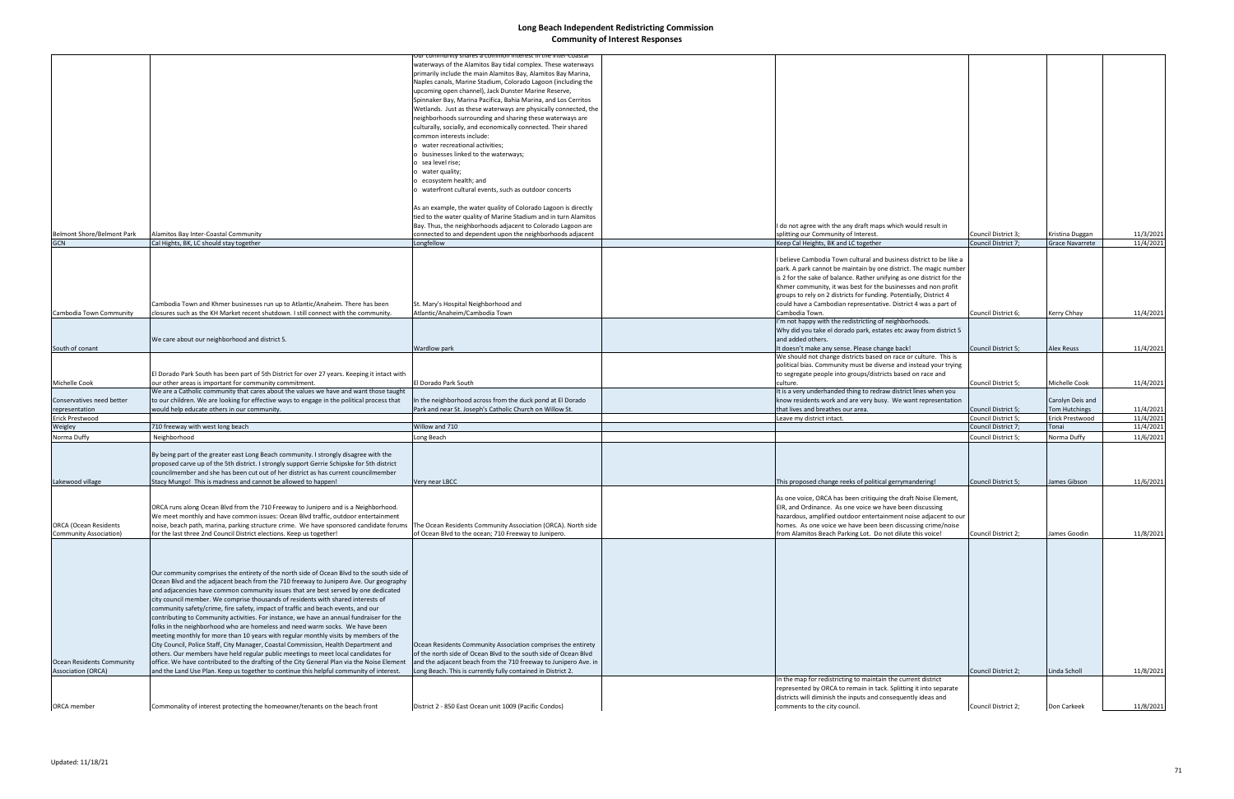|                                  |                                                                                              | unity shares a common interest in the inter-coastal<br>waterways of the Alamitos Bay tidal complex. These waterways |                                                                       |                     |                        |           |
|----------------------------------|----------------------------------------------------------------------------------------------|---------------------------------------------------------------------------------------------------------------------|-----------------------------------------------------------------------|---------------------|------------------------|-----------|
|                                  |                                                                                              | primarily include the main Alamitos Bay, Alamitos Bay Marina,                                                       |                                                                       |                     |                        |           |
|                                  |                                                                                              |                                                                                                                     |                                                                       |                     |                        |           |
|                                  |                                                                                              | Naples canals, Marine Stadium, Colorado Lagoon (including the                                                       |                                                                       |                     |                        |           |
|                                  |                                                                                              | upcoming open channel), Jack Dunster Marine Reserve,                                                                |                                                                       |                     |                        |           |
|                                  |                                                                                              | Spinnaker Bay, Marina Pacifica, Bahia Marina, and Los Cerritos                                                      |                                                                       |                     |                        |           |
|                                  |                                                                                              | Wetlands. Just as these waterways are physically connected, the                                                     |                                                                       |                     |                        |           |
|                                  |                                                                                              | neighborhoods surrounding and sharing these waterways are                                                           |                                                                       |                     |                        |           |
|                                  |                                                                                              | culturally, socially, and economically connected. Their shared                                                      |                                                                       |                     |                        |           |
|                                  |                                                                                              | common interests include:                                                                                           |                                                                       |                     |                        |           |
|                                  |                                                                                              | o water recreational activities;                                                                                    |                                                                       |                     |                        |           |
|                                  |                                                                                              | o businesses linked to the waterways;                                                                               |                                                                       |                     |                        |           |
|                                  |                                                                                              | o sea level rise;                                                                                                   |                                                                       |                     |                        |           |
|                                  |                                                                                              | o water quality;                                                                                                    |                                                                       |                     |                        |           |
|                                  |                                                                                              |                                                                                                                     |                                                                       |                     |                        |           |
|                                  |                                                                                              | o ecosystem health; and                                                                                             |                                                                       |                     |                        |           |
|                                  |                                                                                              | o waterfront cultural events, such as outdoor concerts                                                              |                                                                       |                     |                        |           |
|                                  |                                                                                              |                                                                                                                     |                                                                       |                     |                        |           |
|                                  |                                                                                              | As an example, the water quality of Colorado Lagoon is directly                                                     |                                                                       |                     |                        |           |
|                                  |                                                                                              | tied to the water quality of Marine Stadium and in turn Alamitos                                                    |                                                                       |                     |                        |           |
|                                  |                                                                                              | Bay. Thus, the neighborhoods adjacent to Colorado Lagoon are                                                        | I do not agree with the any draft maps which would result in          |                     |                        |           |
| Belmont Shore/Belmont Park       | Alamitos Bay Inter-Coastal Community                                                         | connected to and dependent upon the neighborhoods adjacent                                                          | splitting our Community of Interest.                                  | Council District 3; | Kristina Duggan        | 11/3/2021 |
| <b>GCN</b>                       | Cal Hights, BK, LC should stay together                                                      | Longfellow                                                                                                          | Keep Cal Heights, BK and LC together                                  | Council District 7; | <b>Grace Navarrete</b> | 11/4/2021 |
|                                  |                                                                                              |                                                                                                                     |                                                                       |                     |                        |           |
|                                  |                                                                                              |                                                                                                                     | I believe Cambodia Town cultural and business district to be like a   |                     |                        |           |
|                                  |                                                                                              |                                                                                                                     | park. A park cannot be maintain by one district. The magic number     |                     |                        |           |
|                                  |                                                                                              |                                                                                                                     | is 2 for the sake of balance. Rather unifying as one district for the |                     |                        |           |
|                                  |                                                                                              |                                                                                                                     | Khmer community, it was best for the businesses and non profit        |                     |                        |           |
|                                  |                                                                                              |                                                                                                                     |                                                                       |                     |                        |           |
|                                  |                                                                                              |                                                                                                                     | groups to rely on 2 districts for funding. Potentially, District 4    |                     |                        |           |
|                                  | Cambodia Town and Khmer businesses run up to Atlantic/Anaheim. There has been                | St. Mary's Hospital Neighborhood and                                                                                | could have a Cambodian representative. District 4 was a part of       |                     |                        |           |
| Cambodia Town Community          | closures such as the KH Market recent shutdown. I still connect with the community.          | Atlantic/Anaheim/Cambodia Town                                                                                      | Cambodia Town.                                                        | Council District 6; | Kerry Chhay            | 11/4/2021 |
|                                  |                                                                                              |                                                                                                                     | I'm not happy with the redistricting of neighborhoods.                |                     |                        |           |
|                                  |                                                                                              |                                                                                                                     | Why did you take el dorado park, estates etc away from district 5     |                     |                        |           |
|                                  | We care about our neighborhood and district 5.                                               |                                                                                                                     | and added others.                                                     |                     |                        |           |
| South of conant                  |                                                                                              | Wardlow park                                                                                                        | It doesn't make any sense. Please change back!                        | Council District 5; | <b>Alex Reuss</b>      | 11/4/2021 |
|                                  |                                                                                              |                                                                                                                     | We should not change districts based on race or culture. This is      |                     |                        |           |
|                                  |                                                                                              |                                                                                                                     | political bias. Community must be diverse and instead your trying     |                     |                        |           |
|                                  | El Dorado Park South has been part of 5th District for over 27 years. Keeping it intact with |                                                                                                                     | to segregate people into groups/districts based on race and           |                     |                        |           |
| Michelle Cook                    | our other areas is important for community commitment.                                       | El Dorado Park South                                                                                                | culture.                                                              | Council District 5; | Michelle Cook          | 11/4/2021 |
|                                  | We are a Catholic community that cares about the values we have and want those taught        |                                                                                                                     | It is a very underhanded thing to redraw district lines when you      |                     |                        |           |
|                                  |                                                                                              |                                                                                                                     |                                                                       |                     |                        |           |
| Conservatives need better        | to our children. We are looking for effective ways to engage in the political process that   | In the neighborhood across from the duck pond at El Dorado                                                          | know residents work and are very busy. We want representation         |                     | Carolyn Deis and       |           |
| representation                   | would help educate others in our community.                                                  | Park and near St. Joseph's Catholic Church on Willow St.                                                            | that lives and breathes our area.                                     | Council District 5; | Tom Hutchings          | 11/4/2021 |
| Erick Prestwood                  |                                                                                              |                                                                                                                     | Leave my district intact.                                             | Council District 5; | Erick Prestwood        | 11/4/2021 |
| Weigley                          | 710 freeway with west long beach                                                             | Willow and 710                                                                                                      |                                                                       | Council District 7; | Tonai                  | 11/4/2021 |
| Norma Duffy                      | Neighborhood                                                                                 | Long Beach                                                                                                          |                                                                       | Council District 5; | Norma Duffy            | 11/6/2021 |
|                                  |                                                                                              |                                                                                                                     |                                                                       |                     |                        |           |
|                                  | By being part of the greater east Long Beach community. I strongly disagree with the         |                                                                                                                     |                                                                       |                     |                        |           |
|                                  | proposed carve up of the 5th district. I strongly support Gerrie Schipske for 5th district   |                                                                                                                     |                                                                       |                     |                        |           |
|                                  | councilmember and she has been cut out of her district as has current councilmember          |                                                                                                                     |                                                                       |                     |                        |           |
| Lakewood village                 | Stacy Mungo! This is madness and cannot be allowed to happen!                                | Very near LBCC                                                                                                      | This proposed change reeks of political gerrymandering!               | Council District 5; | James Gibson           | 11/6/2021 |
|                                  |                                                                                              |                                                                                                                     |                                                                       |                     |                        |           |
|                                  |                                                                                              |                                                                                                                     | As one voice, ORCA has been critiquing the draft Noise Element,       |                     |                        |           |
|                                  |                                                                                              |                                                                                                                     |                                                                       |                     |                        |           |
|                                  | ORCA runs along Ocean Blvd from the 710 Freeway to Junipero and is a Neighborhood.           |                                                                                                                     | EIR, and Ordinance. As one voice we have been discussing              |                     |                        |           |
|                                  | We meet monthly and have common issues: Ocean Blvd traffic, outdoor entertainment            |                                                                                                                     | hazardous, amplified outdoor entertainment noise adjacent to our      |                     |                        |           |
| <b>ORCA</b> (Ocean Residents     | noise, beach path, marina, parking structure crime. We have sponsored candidate forums       | The Ocean Residents Community Association (ORCA). North side                                                        | homes. As one voice we have been been discussing crime/noise          |                     |                        |           |
| Community Association)           | for the last three 2nd Council District elections. Keep us together!                         | of Ocean Blvd to the ocean; 710 Freeway to Junipero.                                                                | from Alamitos Beach Parking Lot. Do not dilute this voice!            | Council District 2; | James Goodin           | 11/8/2021 |
|                                  |                                                                                              |                                                                                                                     |                                                                       |                     |                        |           |
|                                  |                                                                                              |                                                                                                                     |                                                                       |                     |                        |           |
|                                  |                                                                                              |                                                                                                                     |                                                                       |                     |                        |           |
|                                  |                                                                                              |                                                                                                                     |                                                                       |                     |                        |           |
|                                  | Our community comprises the entirety of the north side of Ocean Blvd to the south side of    |                                                                                                                     |                                                                       |                     |                        |           |
|                                  | Ocean Blvd and the adjacent beach from the 710 freeway to Junipero Ave. Our geography        |                                                                                                                     |                                                                       |                     |                        |           |
|                                  | and adjacencies have common community issues that are best served by one dedicated           |                                                                                                                     |                                                                       |                     |                        |           |
|                                  | city council member. We comprise thousands of residents with shared interests of             |                                                                                                                     |                                                                       |                     |                        |           |
|                                  | community safety/crime, fire safety, impact of traffic and beach events, and our             |                                                                                                                     |                                                                       |                     |                        |           |
|                                  | contributing to Community activities. For instance, we have an annual fundraiser for the     |                                                                                                                     |                                                                       |                     |                        |           |
|                                  | folks in the neighborhood who are homeless and need warm socks. We have been                 |                                                                                                                     |                                                                       |                     |                        |           |
|                                  | meeting monthly for more than 10 years with regular monthly visits by members of the         |                                                                                                                     |                                                                       |                     |                        |           |
|                                  |                                                                                              |                                                                                                                     |                                                                       |                     |                        |           |
|                                  | City Council, Police Staff, City Manager, Coastal Commission, Health Department and          | Ocean Residents Community Association comprises the entirety                                                        |                                                                       |                     |                        |           |
|                                  | others. Our members have held regular public meetings to meet local candidates for           | of the north side of Ocean Blvd to the south side of Ocean Blvd                                                     |                                                                       |                     |                        |           |
| <b>Ocean Residents Community</b> | office. We have contributed to the drafting of the City General Plan via the Noise Element   | and the adjacent beach from the 710 freeway to Junipero Ave. in                                                     |                                                                       |                     |                        |           |
| <b>Association (ORCA)</b>        | and the Land Use Plan. Keep us together to continue this helpful community of interest.      | ong Beach. This is currently fully contained in District 2.                                                         |                                                                       | Council District 2; | Linda Scholl           | 11/8/2021 |
|                                  |                                                                                              |                                                                                                                     | In the map for redistricting to maintain the current district         |                     |                        |           |
|                                  |                                                                                              |                                                                                                                     | represented by ORCA to remain in tack. Splitting it into separate     |                     |                        |           |
|                                  |                                                                                              |                                                                                                                     | districts will diminish the inputs and consequently ideas and         |                     |                        |           |
| ORCA member                      | Commonality of interest protecting the homeowner/tenants on the beach front                  | District 2 - 850 East Ocean unit 1009 (Pacific Condos)                                                              | comments to the city council.                                         | Council District 2; | Don Carkeek            | 11/8/2021 |
|                                  |                                                                                              |                                                                                                                     |                                                                       |                     |                        |           |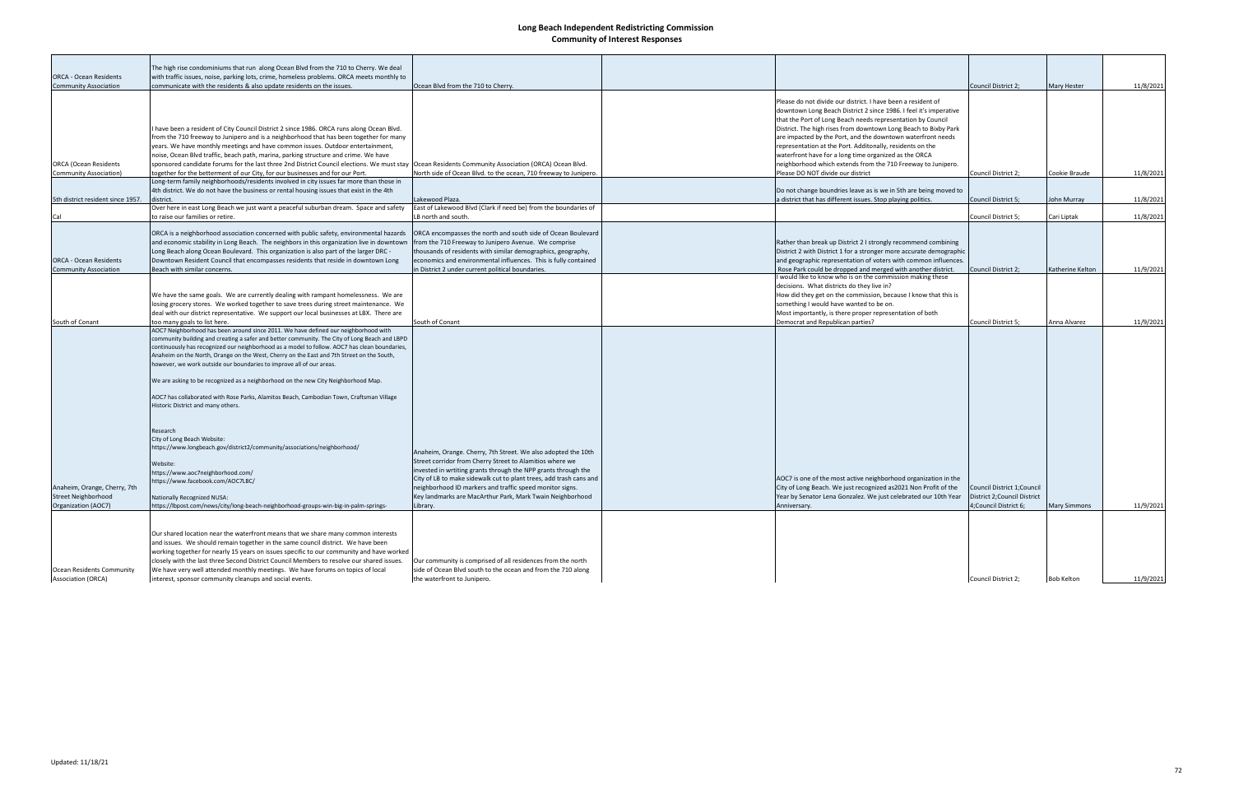|                                   | The high rise condominiums that run along Ocean Blvd from the 710 to Cherry. We deal                                                                 |                                                                    |                                                                     |                              |                    |           |
|-----------------------------------|------------------------------------------------------------------------------------------------------------------------------------------------------|--------------------------------------------------------------------|---------------------------------------------------------------------|------------------------------|--------------------|-----------|
| <b>ORCA - Ocean Residents</b>     | with traffic issues, noise, parking lots, crime, homeless problems. ORCA meets monthly to                                                            |                                                                    |                                                                     |                              |                    |           |
| <b>Community Association</b>      | communicate with the residents & also update residents on the issues.                                                                                | Ocean Blvd from the 710 to Cherry.                                 |                                                                     | Council District 2;          | <b>Mary Hester</b> | 11/8/2021 |
|                                   |                                                                                                                                                      |                                                                    |                                                                     |                              |                    |           |
|                                   |                                                                                                                                                      |                                                                    | Please do not divide our district. I have been a resident of        |                              |                    |           |
|                                   |                                                                                                                                                      |                                                                    | downtown Long Beach District 2 since 1986. I feel it's imperative   |                              |                    |           |
|                                   |                                                                                                                                                      |                                                                    | that the Port of Long Beach needs representation by Council         |                              |                    |           |
|                                   |                                                                                                                                                      |                                                                    | District. The high rises from downtown Long Beach to Bixby Park     |                              |                    |           |
|                                   | have been a resident of City Council District 2 since 1986. ORCA runs along Ocean Blvd.                                                              |                                                                    |                                                                     |                              |                    |           |
|                                   | from the 710 freeway to Junipero and is a neighborhood that has been together for many                                                               |                                                                    | are impacted by the Port, and the downtown waterfront needs         |                              |                    |           |
|                                   | years. We have monthly meetings and have common issues. Outdoor entertainment,                                                                       |                                                                    | representation at the Port. Additonally, residents on the           |                              |                    |           |
|                                   | noise, Ocean Blvd traffic, beach path, marina, parking structure and crime. We have                                                                  |                                                                    | waterfront have for a long time organized as the ORCA               |                              |                    |           |
| <b>ORCA (Ocean Residents</b>      | sponsored candidate forums for the last three 2nd District Council elections. We must stay  Ocean Residents Community Association (ORCA) Ocean Blvd. |                                                                    | neighborhood which extends from the 710 Freeway to Junipero.        |                              |                    |           |
| Community Association)            | together for the betterment of our City, for our businesses and for our Port.                                                                        | North side of Ocean Blvd. to the ocean, 710 freeway to Junipero.   | Please DO NOT divide our district                                   | Council District 2;          | Cookie Braude      | 11/8/2021 |
|                                   | Long-term family neighborhoods/residents involved in city issues far more than those in                                                              |                                                                    |                                                                     |                              |                    |           |
|                                   | 4th district. We do not have the business or rental housing issues that exist in the 4th                                                             |                                                                    | Do not change boundries leave as is we in 5th are being moved to    |                              |                    |           |
| 5th district resident since 1957. | district.                                                                                                                                            | Lakewood Plaza.                                                    | a district that has different issues. Stop playing politics.        | Council District 5;          | John Murray        | 11/8/2021 |
|                                   | Over here in east Long Beach we just want a peaceful suburban dream. Space and safety                                                                | East of Lakewood Blvd (Clark if need be) from the boundaries of    |                                                                     |                              |                    |           |
|                                   | to raise our families or retire.                                                                                                                     | LB north and south.                                                |                                                                     | Council District 5;          | Cari Liptak        | 11/8/2021 |
|                                   |                                                                                                                                                      |                                                                    |                                                                     |                              |                    |           |
|                                   | ORCA is a neighborhood association concerned with public safety, environmental hazards                                                               | ORCA encompasses the north and south side of Ocean Boulevard       |                                                                     |                              |                    |           |
|                                   | and economic stability in Long Beach. The neighbors in this organization live in downtown                                                            | from the 710 Freeway to Junipero Avenue. We comprise               | Rather than break up District 2 I strongly recommend combining      |                              |                    |           |
|                                   | Long Beach along Ocean Boulevard. This organization is also part of the larger DRC -                                                                 | thousands of residents with similar demographics, geography,       | District 2 with District 1 for a stronger more accurate demographic |                              |                    |           |
| <b>ORCA - Ocean Residents</b>     | Downtown Resident Council that encompasses residents that reside in downtown Long                                                                    | economics and environmental influences. This is fully contained    | and geographic representation of voters with common influences.     |                              |                    |           |
| <b>Community Association</b>      | Beach with similar concerns.                                                                                                                         | in District 2 under current political boundaries.                  | Rose Park could be dropped and merged with another district.        | Council District 2;          | Katherine Kelton   | 11/9/2021 |
|                                   |                                                                                                                                                      |                                                                    | would like to know who is on the commission making these            |                              |                    |           |
|                                   |                                                                                                                                                      |                                                                    | decisions. What districts do they live in?                          |                              |                    |           |
|                                   | We have the same goals. We are currently dealing with rampant homelessness. We are                                                                   |                                                                    | How did they get on the commission, because I know that this is     |                              |                    |           |
|                                   | losing grocery stores. We worked together to save trees during street maintenance. We                                                                |                                                                    | something I would have wanted to be on.                             |                              |                    |           |
|                                   | deal with our district representative. We support our local businesses at LBX. There are                                                             |                                                                    | Most importantly, is there proper representation of both            |                              |                    |           |
| South of Conant                   | too many goals to list here.                                                                                                                         | South of Conant                                                    | Democrat and Republican parties?                                    | Council District 5:          | Anna Alvarez       | 11/9/2021 |
|                                   | AOC7 Neighborhood has been around since 2011. We have defined our neighborhood with                                                                  |                                                                    |                                                                     |                              |                    |           |
|                                   | community building and creating a safer and better community. The City of Long Beach and LBPD                                                        |                                                                    |                                                                     |                              |                    |           |
|                                   | continuously has recognized our neighborhood as a model to follow. AOC7 has clean boundaries,                                                        |                                                                    |                                                                     |                              |                    |           |
|                                   | Anaheim on the North, Orange on the West, Cherry on the East and 7th Street on the South,                                                            |                                                                    |                                                                     |                              |                    |           |
|                                   | however, we work outside our boundaries to improve all of our areas.                                                                                 |                                                                    |                                                                     |                              |                    |           |
|                                   |                                                                                                                                                      |                                                                    |                                                                     |                              |                    |           |
|                                   | We are asking to be recognized as a neighborhood on the new City Neighborhood Map.                                                                   |                                                                    |                                                                     |                              |                    |           |
|                                   |                                                                                                                                                      |                                                                    |                                                                     |                              |                    |           |
|                                   | AOC7 has collaborated with Rose Parks, Alamitos Beach, Cambodian Town, Craftsman Village                                                             |                                                                    |                                                                     |                              |                    |           |
|                                   | Historic District and many others.                                                                                                                   |                                                                    |                                                                     |                              |                    |           |
|                                   |                                                                                                                                                      |                                                                    |                                                                     |                              |                    |           |
|                                   |                                                                                                                                                      |                                                                    |                                                                     |                              |                    |           |
|                                   | Research                                                                                                                                             |                                                                    |                                                                     |                              |                    |           |
|                                   | City of Long Beach Website:                                                                                                                          |                                                                    |                                                                     |                              |                    |           |
|                                   | https://www.longbeach.gov/district2/community/associations/neighborhood/                                                                             | Anaheim, Orange. Cherry, 7th Street. We also adopted the 10th      |                                                                     |                              |                    |           |
|                                   |                                                                                                                                                      | Street corridor from Cherry Street to Alamitios where we           |                                                                     |                              |                    |           |
|                                   | Website:                                                                                                                                             |                                                                    |                                                                     |                              |                    |           |
|                                   | https://www.aoc7neighborhood.com/                                                                                                                    | invested in wrtiting grants through the NPP grants through the     |                                                                     |                              |                    |           |
|                                   | https://www.facebook.com/AOC7LBC/                                                                                                                    | City of LB to make sidewalk cut to plant trees, add trash cans and | AOC7 is one of the most active neighborhood organization in the     |                              |                    |           |
| Anaheim, Orange, Cherry, 7th      |                                                                                                                                                      | neighborhood ID markers and traffic speed monitor signs.           | City of Long Beach. We just recognized as2021 Non Profit of the     | Council District 1; Council  |                    |           |
| <b>Street Neighborhood</b>        | Nationally Recognized NUSA:                                                                                                                          | Key landmarks are MacArthur Park, Mark Twain Neighborhood          | Year by Senator Lena Gonzalez. We just celebrated our 10th Year     | District 2; Council District |                    |           |
| Organization (AOC7)               | ttns://lhnost.com/news/city/long-beach-neighhorhood-groups-win-hig-in-palm-springs-                                                                  |                                                                    |                                                                     | 4:Council District 6:        | Mary Simmons       | 11/9/2021 |
|                                   |                                                                                                                                                      |                                                                    |                                                                     |                              |                    |           |
|                                   |                                                                                                                                                      |                                                                    |                                                                     |                              |                    |           |
|                                   | Our shared location near the waterfront means that we share many common interests                                                                    |                                                                    |                                                                     |                              |                    |           |
|                                   | and issues. We should remain together in the same council district. We have been                                                                     |                                                                    |                                                                     |                              |                    |           |
|                                   | working together for nearly 15 years on issues specific to our community and have worked                                                             |                                                                    |                                                                     |                              |                    |           |
|                                   | closely with the last three Second District Council Members to resolve our shared issues.                                                            | Our community is comprised of all residences from the north        |                                                                     |                              |                    |           |
| Ocean Residents Community         | We have very well attended monthly meetings. We have forums on topics of local                                                                       | side of Ocean Blvd south to the ocean and from the 710 along       |                                                                     |                              |                    |           |
| <b>Association (ORCA)</b>         | interest, sponsor community cleanups and social events.                                                                                              | the waterfront to Junipero.                                        |                                                                     | Council District 2;          | <b>Bob Kelton</b>  | 11/9/2021 |
|                                   |                                                                                                                                                      |                                                                    |                                                                     |                              |                    |           |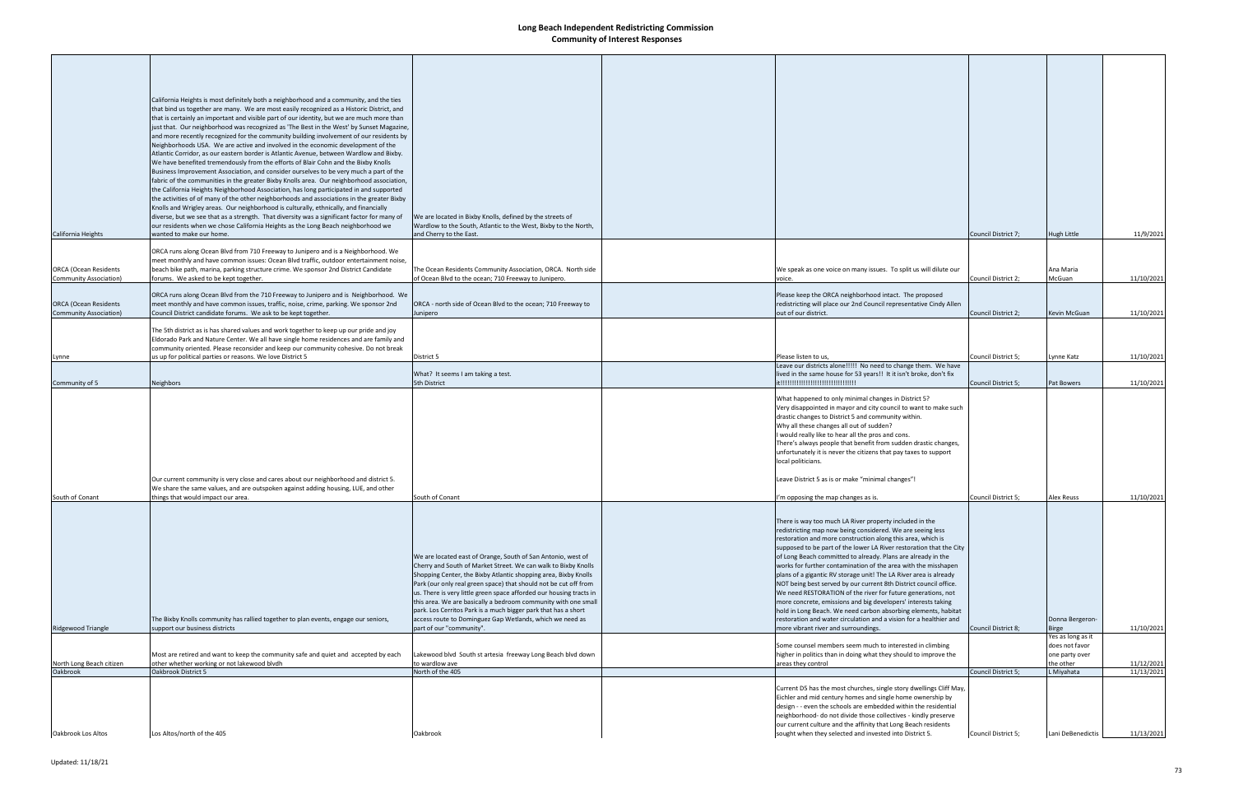|                                                               | California Heights is most definitely both a neighborhood and a community, and the ties                                                                                                                                                                                                                                                                                                                                                                                                                                                                                                                                                                    |                                                                                                                                                                                                                                                                              |                                                                                                                                                                                                                                                                                 |                     |                                               |            |
|---------------------------------------------------------------|------------------------------------------------------------------------------------------------------------------------------------------------------------------------------------------------------------------------------------------------------------------------------------------------------------------------------------------------------------------------------------------------------------------------------------------------------------------------------------------------------------------------------------------------------------------------------------------------------------------------------------------------------------|------------------------------------------------------------------------------------------------------------------------------------------------------------------------------------------------------------------------------------------------------------------------------|---------------------------------------------------------------------------------------------------------------------------------------------------------------------------------------------------------------------------------------------------------------------------------|---------------------|-----------------------------------------------|------------|
|                                                               | that bind us together are many. We are most easily recognized as a Historic District, and<br>that is certainly an important and visible part of our identity, but we are much more than<br>just that. Our neighborhood was recognized as 'The Best in the West' by Sunset Magazine,<br>and more recently recognized for the community building involvement of our residents by<br>Neighborhoods USA. We are active and involved in the economic development of the<br>Atlantic Corridor, as our eastern border is Atlantic Avenue, between Wardlow and Bixby.                                                                                              |                                                                                                                                                                                                                                                                              |                                                                                                                                                                                                                                                                                 |                     |                                               |            |
|                                                               | We have benefited tremendously from the efforts of Blair Cohn and the Bixby Knolls<br>Business Improvement Association, and consider ourselves to be very much a part of the<br>fabric of the communities in the greater Bixby Knolls area. Our neighborhood association,<br>the California Heights Neighborhood Association, has long participated in and supported<br>the activities of of many of the other neighborhoods and associations in the greater Bixby<br>Knolls and Wrigley areas. Our neighborhood is culturally, ethnically, and financially<br>diverse, but we see that as a strength. That diversity was a significant factor for many of | We are located in Bixby Knolls, defined by the streets of                                                                                                                                                                                                                    |                                                                                                                                                                                                                                                                                 |                     |                                               |            |
| California Heights                                            | our residents when we chose California Heights as the Long Beach neighborhood we<br>wanted to make our home.                                                                                                                                                                                                                                                                                                                                                                                                                                                                                                                                               | Wardlow to the South, Atlantic to the West, Bixby to the North,<br>and Cherry to the East.                                                                                                                                                                                   |                                                                                                                                                                                                                                                                                 | Council District 7; | <b>Hugh Little</b>                            | 11/9/2021  |
|                                                               | ORCA runs along Ocean Blvd from 710 Freeway to Junipero and is a Neighborhood. We<br>meet monthly and have common issues: Ocean Blvd traffic, outdoor entertainment noise,                                                                                                                                                                                                                                                                                                                                                                                                                                                                                 |                                                                                                                                                                                                                                                                              |                                                                                                                                                                                                                                                                                 |                     |                                               |            |
| <b>ORCA</b> (Ocean Residents<br><b>Community Association)</b> | beach bike path, marina, parking structure crime. We sponsor 2nd District Candidate<br>forums. We asked to be kept together.                                                                                                                                                                                                                                                                                                                                                                                                                                                                                                                               | The Ocean Residents Community Association, ORCA. North side<br>of Ocean Blvd to the ocean; 710 Freeway to Junipero.                                                                                                                                                          | We speak as one voice on many issues. To split us will dilute our<br>voice.                                                                                                                                                                                                     | Council District 2; | Ana Maria<br>McGuan                           | 11/10/2021 |
| <b>ORCA (Ocean Residents</b><br><b>Community Association)</b> | ORCA runs along Ocean Blvd from the 710 Freeway to Junipero and is Neighborhood. We<br>meet monthly and have common issues, traffic, noise, crime, parking. We sponsor 2nd<br>Council District candidate forums. We ask to be kept together.                                                                                                                                                                                                                                                                                                                                                                                                               | ORCA - north side of Ocean Blvd to the ocean; 710 Freeway to<br>Junipero                                                                                                                                                                                                     | Please keep the ORCA neighborhood intact. The proposed<br>redistricting will place our 2nd Council representative Cindy Allen<br>out of our district.                                                                                                                           | Council District 2; | Kevin McGuan                                  | 11/10/2021 |
|                                                               | The 5th district as is has shared values and work together to keep up our pride and joy<br>Eldorado Park and Nature Center. We all have single home residences and are family and<br>community oriented. Please reconsider and keep our community cohesive. Do not break                                                                                                                                                                                                                                                                                                                                                                                   |                                                                                                                                                                                                                                                                              |                                                                                                                                                                                                                                                                                 |                     |                                               |            |
| Lynne                                                         | us up for political parties or reasons. We love District 5                                                                                                                                                                                                                                                                                                                                                                                                                                                                                                                                                                                                 | District 5                                                                                                                                                                                                                                                                   | Please listen to us,<br>Leave our districts alone!!!!! No need to change them. We have                                                                                                                                                                                          | Council District 5; | Lynne Katz                                    | 11/10/2021 |
| Community of 5                                                | Neighbors                                                                                                                                                                                                                                                                                                                                                                                                                                                                                                                                                                                                                                                  | What? It seems I am taking a test.<br>5th District                                                                                                                                                                                                                           | lived in the same house for 53 years!! It it isn't broke, don't fix<br>it!!!!!!!!!!!!!!!!!!!!!!!!!!!!!!!!!!                                                                                                                                                                     | Council District 5; | Pat Bowers                                    | 11/10/2021 |
|                                                               |                                                                                                                                                                                                                                                                                                                                                                                                                                                                                                                                                                                                                                                            |                                                                                                                                                                                                                                                                              | What happened to only minimal changes in District 5?<br>Very disappointed in mayor and city council to want to make such<br>drastic changes to District 5 and community within.<br>Why all these changes all out of sudden?<br>would really like to hear all the pros and cons. |                     |                                               |            |
|                                                               | Our current community is very close and cares about our neighborhood and district 5.                                                                                                                                                                                                                                                                                                                                                                                                                                                                                                                                                                       |                                                                                                                                                                                                                                                                              | There's always people that benefit from sudden drastic changes,<br>unfortunately it is never the citizens that pay taxes to support<br>local politicians.<br>Leave District 5 as is or make "minimal changes"!                                                                  |                     |                                               |            |
| South of Conant                                               | We share the same values, and are outspoken against adding housing, LUE, and other<br>things that would impact our area.                                                                                                                                                                                                                                                                                                                                                                                                                                                                                                                                   | South of Conant                                                                                                                                                                                                                                                              | 'm opposing the map changes as is.                                                                                                                                                                                                                                              | Council District 5; | <b>Alex Reuss</b>                             | 11/10/2021 |
|                                                               |                                                                                                                                                                                                                                                                                                                                                                                                                                                                                                                                                                                                                                                            |                                                                                                                                                                                                                                                                              | There is way too much LA River property included in the<br>redistricting map now being considered. We are seeing less                                                                                                                                                           |                     |                                               |            |
|                                                               |                                                                                                                                                                                                                                                                                                                                                                                                                                                                                                                                                                                                                                                            | We are located east of Orange, South of San Antonio, west of                                                                                                                                                                                                                 | restoration and more construction along this area, which is<br>supposed to be part of the lower LA River restoration that the City<br>of Long Beach committed to already. Plans are already in the                                                                              |                     |                                               |            |
|                                                               |                                                                                                                                                                                                                                                                                                                                                                                                                                                                                                                                                                                                                                                            | Cherry and South of Market Street. We can walk to Bixby Knolls<br>Shopping Center, the Bixby Atlantic shopping area, Bixby Knolls<br>Park (our only real green space) that should not be cut off from<br>us. There is very little green space afforded our housing tracts in | works for further contamination of the area with the misshapen<br>plans of a gigantic RV storage unit! The LA River area is already<br>NOT being best served by our current 8th District council office.<br>We need RESTORATION of the river for future generations, not        |                     |                                               |            |
|                                                               | The Bixby Knolls community has rallied together to plan events, engage our seniors,                                                                                                                                                                                                                                                                                                                                                                                                                                                                                                                                                                        | this area. We are basically a bedroom community with one small<br>park. Los Cerritos Park is a much bigger park that has a short<br>access route to Dominguez Gap Wetlands, which we need as                                                                                 | more concrete, emissions and big developers' interests taking<br>hold in Long Beach. We need carbon absorbing elements, habitat<br>restoration and water circulation and a vision for a healthier and                                                                           |                     | Donna Bergeron-                               |            |
| Ridgewood Triangle                                            | support our business districts                                                                                                                                                                                                                                                                                                                                                                                                                                                                                                                                                                                                                             | part of our "community".                                                                                                                                                                                                                                                     | more vibrant river and surroundings.                                                                                                                                                                                                                                            | Council District 8; | <b>Birge</b><br>Yes as long as it             | 11/10/2021 |
| North Long Beach citizen                                      | Most are retired and want to keep the community safe and quiet and accepted by each<br>other whether working or not lakewood blvdh                                                                                                                                                                                                                                                                                                                                                                                                                                                                                                                         | Lakewood blvd South st artesia freeway Long Beach blvd down<br>to wardlow ave                                                                                                                                                                                                | Some counsel members seem much to interested in climbing<br>higher in politics than in doing what they should to improve the<br>areas they control                                                                                                                              |                     | does not favor<br>one party over<br>the other | 11/12/2021 |
| Oakbrook                                                      | Oakbrook District 5                                                                                                                                                                                                                                                                                                                                                                                                                                                                                                                                                                                                                                        | North of the 405                                                                                                                                                                                                                                                             | Current D5 has the most churches, single story dwellings Cliff May,                                                                                                                                                                                                             | Council District 5; | L Miyahata                                    | 11/13/2021 |
|                                                               |                                                                                                                                                                                                                                                                                                                                                                                                                                                                                                                                                                                                                                                            |                                                                                                                                                                                                                                                                              | Eichler and mid century homes and single home ownership by<br>design - - even the schools are embedded within the residential<br>neighborhood- do not divide those collectives - kindly preserve                                                                                |                     |                                               |            |
| Oakbrook Los Altos                                            | Los Altos/north of the 405                                                                                                                                                                                                                                                                                                                                                                                                                                                                                                                                                                                                                                 | Oakbrook                                                                                                                                                                                                                                                                     | our current culture and the affinity that Long Beach residents<br>sought when they selected and invested into District 5.                                                                                                                                                       | Council District 5; | Lani DeBenedictis                             | 11/13/2021 |